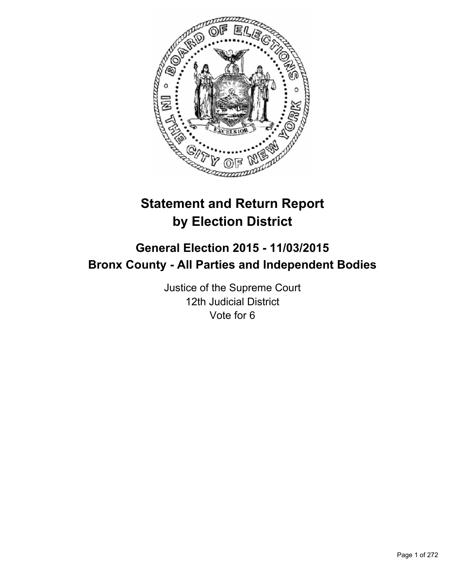

# **Statement and Return Report by Election District**

# **General Election 2015 - 11/03/2015 Bronx County - All Parties and Independent Bodies**

Justice of the Supreme Court 12th Judicial District Vote for 6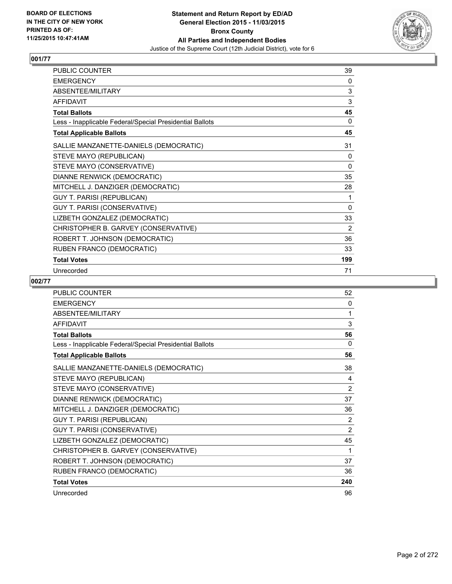

| <b>PUBLIC COUNTER</b>                                    | 39       |
|----------------------------------------------------------|----------|
| <b>EMERGENCY</b>                                         | 0        |
| ABSENTEE/MILITARY                                        | 3        |
| <b>AFFIDAVIT</b>                                         | 3        |
| <b>Total Ballots</b>                                     | 45       |
| Less - Inapplicable Federal/Special Presidential Ballots | 0        |
| <b>Total Applicable Ballots</b>                          | 45       |
| SALLIE MANZANETTE-DANIELS (DEMOCRATIC)                   | 31       |
| STEVE MAYO (REPUBLICAN)                                  | 0        |
| STEVE MAYO (CONSERVATIVE)                                | 0        |
| DIANNE RENWICK (DEMOCRATIC)                              | 35       |
| MITCHELL J. DANZIGER (DEMOCRATIC)                        | 28       |
| <b>GUY T. PARISI (REPUBLICAN)</b>                        | 1        |
| <b>GUY T. PARISI (CONSERVATIVE)</b>                      | $\Omega$ |
| LIZBETH GONZALEZ (DEMOCRATIC)                            | 33       |
| CHRISTOPHER B. GARVEY (CONSERVATIVE)                     | 2        |
| ROBERT T. JOHNSON (DEMOCRATIC)                           | 36       |
| RUBEN FRANCO (DEMOCRATIC)                                | 33       |
| <b>Total Votes</b>                                       | 199      |
| Unrecorded                                               | 71       |

| PUBLIC COUNTER                                           | 52             |
|----------------------------------------------------------|----------------|
| <b>EMERGENCY</b>                                         | $\Omega$       |
| ABSENTEE/MILITARY                                        | 1              |
| <b>AFFIDAVIT</b>                                         | 3              |
| <b>Total Ballots</b>                                     | 56             |
| Less - Inapplicable Federal/Special Presidential Ballots | 0              |
| <b>Total Applicable Ballots</b>                          | 56             |
| SALLIE MANZANETTE-DANIELS (DEMOCRATIC)                   | 38             |
| STEVE MAYO (REPUBLICAN)                                  | 4              |
| STEVE MAYO (CONSERVATIVE)                                | $\overline{2}$ |
| DIANNE RENWICK (DEMOCRATIC)                              | 37             |
| MITCHELL J. DANZIGER (DEMOCRATIC)                        | 36             |
| <b>GUY T. PARISI (REPUBLICAN)</b>                        | 2              |
| GUY T. PARISI (CONSERVATIVE)                             | $\overline{2}$ |
| LIZBETH GONZALEZ (DEMOCRATIC)                            | 45             |
| CHRISTOPHER B. GARVEY (CONSERVATIVE)                     | 1              |
| ROBERT T. JOHNSON (DEMOCRATIC)                           | 37             |
| RUBEN FRANCO (DEMOCRATIC)                                | 36             |
| <b>Total Votes</b>                                       | 240            |
| Unrecorded                                               | 96             |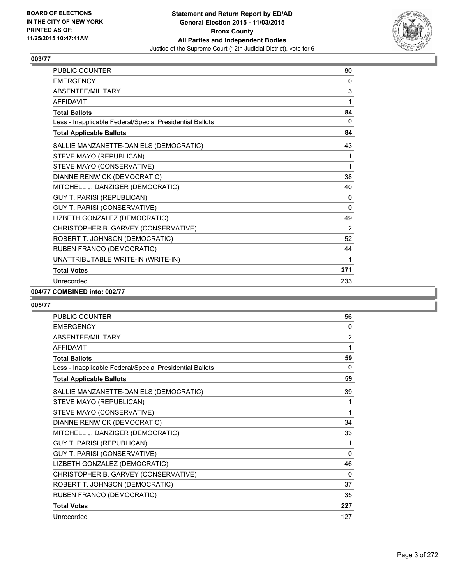

| PUBLIC COUNTER                                           | 80             |
|----------------------------------------------------------|----------------|
| <b>EMERGENCY</b>                                         | 0              |
| ABSENTEE/MILITARY                                        | 3              |
| <b>AFFIDAVIT</b>                                         | 1              |
| <b>Total Ballots</b>                                     | 84             |
| Less - Inapplicable Federal/Special Presidential Ballots | 0              |
| <b>Total Applicable Ballots</b>                          | 84             |
| SALLIE MANZANETTE-DANIELS (DEMOCRATIC)                   | 43             |
| STEVE MAYO (REPUBLICAN)                                  | 1              |
| STEVE MAYO (CONSERVATIVE)                                | 1              |
| DIANNE RENWICK (DEMOCRATIC)                              | 38             |
| MITCHELL J. DANZIGER (DEMOCRATIC)                        | 40             |
| <b>GUY T. PARISI (REPUBLICAN)</b>                        | 0              |
| GUY T. PARISI (CONSERVATIVE)                             | $\Omega$       |
| LIZBETH GONZALEZ (DEMOCRATIC)                            | 49             |
| CHRISTOPHER B. GARVEY (CONSERVATIVE)                     | $\overline{2}$ |
| ROBERT T. JOHNSON (DEMOCRATIC)                           | 52             |
| RUBEN FRANCO (DEMOCRATIC)                                | 44             |
| UNATTRIBUTABLE WRITE-IN (WRITE-IN)                       | 1              |
| <b>Total Votes</b>                                       | 271            |
| Unrecorded                                               | 233            |

#### **004/77 COMBINED into: 002/77**

| <b>PUBLIC COUNTER</b>                                    | 56             |
|----------------------------------------------------------|----------------|
| <b>EMERGENCY</b>                                         | 0              |
| <b>ABSENTEE/MILITARY</b>                                 | $\overline{2}$ |
| <b>AFFIDAVIT</b>                                         | 1              |
| <b>Total Ballots</b>                                     | 59             |
| Less - Inapplicable Federal/Special Presidential Ballots | $\Omega$       |
| <b>Total Applicable Ballots</b>                          | 59             |
| SALLIE MANZANETTE-DANIELS (DEMOCRATIC)                   | 39             |
| STEVE MAYO (REPUBLICAN)                                  | 1              |
| STEVE MAYO (CONSERVATIVE)                                | 1              |
| DIANNE RENWICK (DEMOCRATIC)                              | 34             |
| MITCHELL J. DANZIGER (DEMOCRATIC)                        | 33             |
| <b>GUY T. PARISI (REPUBLICAN)</b>                        | 1              |
| GUY T. PARISI (CONSERVATIVE)                             | 0              |
| LIZBETH GONZALEZ (DEMOCRATIC)                            | 46             |
| CHRISTOPHER B. GARVEY (CONSERVATIVE)                     | $\Omega$       |
| ROBERT T. JOHNSON (DEMOCRATIC)                           | 37             |
| RUBEN FRANCO (DEMOCRATIC)                                | 35             |
| <b>Total Votes</b>                                       | 227            |
| Unrecorded                                               | 127            |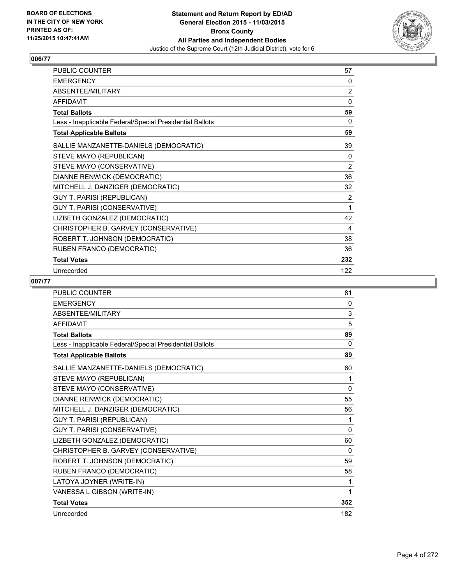

| <b>PUBLIC COUNTER</b>                                    | 57  |
|----------------------------------------------------------|-----|
| <b>EMERGENCY</b>                                         | 0   |
| ABSENTEE/MILITARY                                        | 2   |
| <b>AFFIDAVIT</b>                                         | 0   |
| <b>Total Ballots</b>                                     | 59  |
| Less - Inapplicable Federal/Special Presidential Ballots | 0   |
| <b>Total Applicable Ballots</b>                          | 59  |
| SALLIE MANZANETTE-DANIELS (DEMOCRATIC)                   | 39  |
| STEVE MAYO (REPUBLICAN)                                  | 0   |
| STEVE MAYO (CONSERVATIVE)                                | 2   |
| DIANNE RENWICK (DEMOCRATIC)                              | 36  |
| MITCHELL J. DANZIGER (DEMOCRATIC)                        | 32  |
| <b>GUY T. PARISI (REPUBLICAN)</b>                        | 2   |
| GUY T. PARISI (CONSERVATIVE)                             | 1   |
| LIZBETH GONZALEZ (DEMOCRATIC)                            | 42  |
| CHRISTOPHER B. GARVEY (CONSERVATIVE)                     | 4   |
| ROBERT T. JOHNSON (DEMOCRATIC)                           | 38  |
| RUBEN FRANCO (DEMOCRATIC)                                | 36  |
| <b>Total Votes</b>                                       | 232 |
| Unrecorded                                               | 122 |

| <b>PUBLIC COUNTER</b>                                    | 81       |
|----------------------------------------------------------|----------|
| <b>EMERGENCY</b>                                         | 0        |
| <b>ABSENTEE/MILITARY</b>                                 | 3        |
| <b>AFFIDAVIT</b>                                         | 5        |
| <b>Total Ballots</b>                                     | 89       |
| Less - Inapplicable Federal/Special Presidential Ballots | 0        |
| <b>Total Applicable Ballots</b>                          | 89       |
| SALLIE MANZANETTE-DANIELS (DEMOCRATIC)                   | 60       |
| STEVE MAYO (REPUBLICAN)                                  | 1        |
| STEVE MAYO (CONSERVATIVE)                                | 0        |
| DIANNE RENWICK (DEMOCRATIC)                              | 55       |
| MITCHELL J. DANZIGER (DEMOCRATIC)                        | 56       |
| <b>GUY T. PARISI (REPUBLICAN)</b>                        | 1        |
| <b>GUY T. PARISI (CONSERVATIVE)</b>                      | $\Omega$ |
| LIZBETH GONZALEZ (DEMOCRATIC)                            | 60       |
| CHRISTOPHER B. GARVEY (CONSERVATIVE)                     | $\Omega$ |
| ROBERT T. JOHNSON (DEMOCRATIC)                           | 59       |
| RUBEN FRANCO (DEMOCRATIC)                                | 58       |
| LATOYA JOYNER (WRITE-IN)                                 | 1        |
| VANESSA L GIBSON (WRITE-IN)                              | 1        |
| <b>Total Votes</b>                                       | 352      |
| Unrecorded                                               | 182      |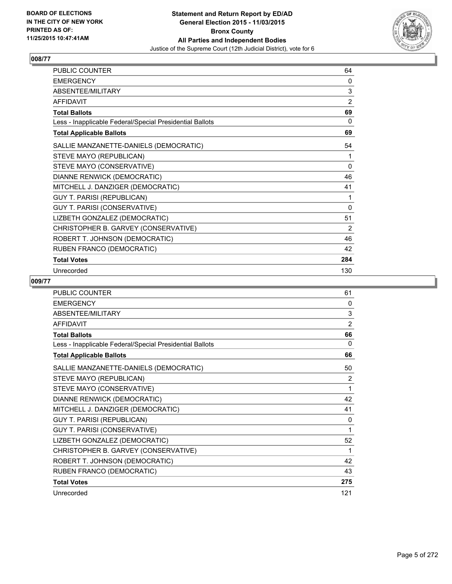

| PUBLIC COUNTER                                           | 64             |
|----------------------------------------------------------|----------------|
| <b>EMERGENCY</b>                                         | 0              |
| ABSENTEE/MILITARY                                        | 3              |
| <b>AFFIDAVIT</b>                                         | $\overline{2}$ |
| <b>Total Ballots</b>                                     | 69             |
| Less - Inapplicable Federal/Special Presidential Ballots | 0              |
| <b>Total Applicable Ballots</b>                          | 69             |
| SALLIE MANZANETTE-DANIELS (DEMOCRATIC)                   | 54             |
| STEVE MAYO (REPUBLICAN)                                  | 1              |
| STEVE MAYO (CONSERVATIVE)                                | $\mathbf{0}$   |
| DIANNE RENWICK (DEMOCRATIC)                              | 46             |
| MITCHELL J. DANZIGER (DEMOCRATIC)                        | 41             |
| <b>GUY T. PARISI (REPUBLICAN)</b>                        | 1              |
| GUY T. PARISI (CONSERVATIVE)                             | 0              |
| LIZBETH GONZALEZ (DEMOCRATIC)                            | 51             |
| CHRISTOPHER B. GARVEY (CONSERVATIVE)                     | 2              |
| ROBERT T. JOHNSON (DEMOCRATIC)                           | 46             |
| RUBEN FRANCO (DEMOCRATIC)                                | 42             |
| <b>Total Votes</b>                                       | 284            |
| Unrecorded                                               | 130            |

| PUBLIC COUNTER                                           | 61  |
|----------------------------------------------------------|-----|
| <b>EMERGENCY</b>                                         | 0   |
| ABSENTEE/MILITARY                                        | 3   |
| <b>AFFIDAVIT</b>                                         | 2   |
| <b>Total Ballots</b>                                     | 66  |
| Less - Inapplicable Federal/Special Presidential Ballots | 0   |
| <b>Total Applicable Ballots</b>                          | 66  |
| SALLIE MANZANETTE-DANIELS (DEMOCRATIC)                   | 50  |
| STEVE MAYO (REPUBLICAN)                                  | 2   |
| STEVE MAYO (CONSERVATIVE)                                | 1   |
| DIANNE RENWICK (DEMOCRATIC)                              | 42  |
| MITCHELL J. DANZIGER (DEMOCRATIC)                        | 41  |
| <b>GUY T. PARISI (REPUBLICAN)</b>                        | 0   |
| GUY T. PARISI (CONSERVATIVE)                             | 1   |
| LIZBETH GONZALEZ (DEMOCRATIC)                            | 52  |
| CHRISTOPHER B. GARVEY (CONSERVATIVE)                     | 1   |
| ROBERT T. JOHNSON (DEMOCRATIC)                           | 42  |
| RUBEN FRANCO (DEMOCRATIC)                                | 43  |
| <b>Total Votes</b>                                       | 275 |
| Unrecorded                                               | 121 |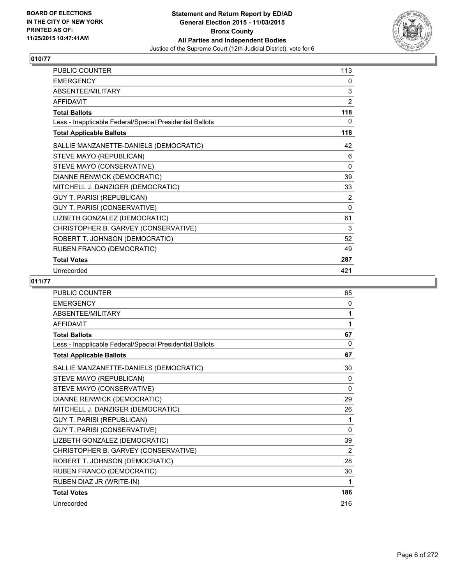

| PUBLIC COUNTER                                           | 113            |
|----------------------------------------------------------|----------------|
| <b>EMERGENCY</b>                                         | 0              |
| ABSENTEE/MILITARY                                        | 3              |
| <b>AFFIDAVIT</b>                                         | $\overline{2}$ |
| <b>Total Ballots</b>                                     | 118            |
| Less - Inapplicable Federal/Special Presidential Ballots | 0              |
| <b>Total Applicable Ballots</b>                          | 118            |
| SALLIE MANZANETTE-DANIELS (DEMOCRATIC)                   | 42             |
| STEVE MAYO (REPUBLICAN)                                  | 6              |
| STEVE MAYO (CONSERVATIVE)                                | 0              |
| DIANNE RENWICK (DEMOCRATIC)                              | 39             |
| MITCHELL J. DANZIGER (DEMOCRATIC)                        | 33             |
| <b>GUY T. PARISI (REPUBLICAN)</b>                        | $\overline{2}$ |
| GUY T. PARISI (CONSERVATIVE)                             | 0              |
| LIZBETH GONZALEZ (DEMOCRATIC)                            | 61             |
| CHRISTOPHER B. GARVEY (CONSERVATIVE)                     | 3              |
| ROBERT T. JOHNSON (DEMOCRATIC)                           | 52             |
| RUBEN FRANCO (DEMOCRATIC)                                | 49             |
| <b>Total Votes</b>                                       | 287            |
| Unrecorded                                               | 421            |

| PUBLIC COUNTER                                           | 65       |
|----------------------------------------------------------|----------|
| <b>EMERGENCY</b>                                         | 0        |
| <b>ABSENTEE/MILITARY</b>                                 | 1        |
| <b>AFFIDAVIT</b>                                         | 1        |
| <b>Total Ballots</b>                                     | 67       |
| Less - Inapplicable Federal/Special Presidential Ballots | $\Omega$ |
| <b>Total Applicable Ballots</b>                          | 67       |
| SALLIE MANZANETTE-DANIELS (DEMOCRATIC)                   | 30       |
| STEVE MAYO (REPUBLICAN)                                  | 0        |
| STEVE MAYO (CONSERVATIVE)                                | $\Omega$ |
| DIANNE RENWICK (DEMOCRATIC)                              | 29       |
| MITCHELL J. DANZIGER (DEMOCRATIC)                        | 26       |
| <b>GUY T. PARISI (REPUBLICAN)</b>                        | 1        |
| GUY T. PARISI (CONSERVATIVE)                             | $\Omega$ |
| LIZBETH GONZALEZ (DEMOCRATIC)                            | 39       |
| CHRISTOPHER B. GARVEY (CONSERVATIVE)                     | 2        |
| ROBERT T. JOHNSON (DEMOCRATIC)                           | 28       |
| RUBEN FRANCO (DEMOCRATIC)                                | 30       |
| RUBEN DIAZ JR (WRITE-IN)                                 | 1        |
| <b>Total Votes</b>                                       | 186      |
| Unrecorded                                               | 216      |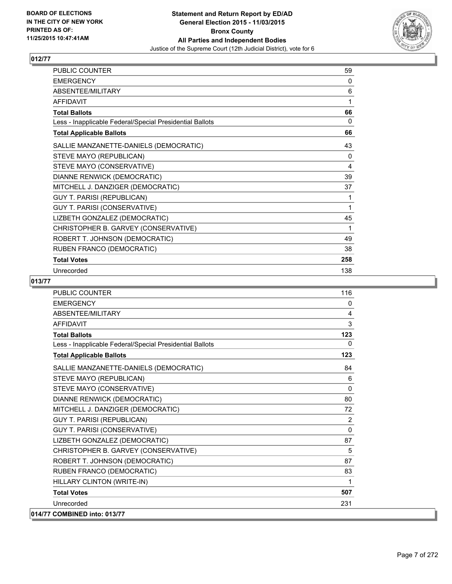

| <b>PUBLIC COUNTER</b>                                    | 59  |
|----------------------------------------------------------|-----|
| <b>EMERGENCY</b>                                         | 0   |
| ABSENTEE/MILITARY                                        | 6   |
| <b>AFFIDAVIT</b>                                         | 1   |
| <b>Total Ballots</b>                                     | 66  |
| Less - Inapplicable Federal/Special Presidential Ballots | 0   |
| <b>Total Applicable Ballots</b>                          | 66  |
| SALLIE MANZANETTE-DANIELS (DEMOCRATIC)                   | 43  |
| STEVE MAYO (REPUBLICAN)                                  | 0   |
| STEVE MAYO (CONSERVATIVE)                                | 4   |
| DIANNE RENWICK (DEMOCRATIC)                              | 39  |
| MITCHELL J. DANZIGER (DEMOCRATIC)                        | 37  |
| <b>GUY T. PARISI (REPUBLICAN)</b>                        | 1   |
| GUY T. PARISI (CONSERVATIVE)                             | 1   |
| LIZBETH GONZALEZ (DEMOCRATIC)                            | 45  |
| CHRISTOPHER B. GARVEY (CONSERVATIVE)                     | 1   |
| ROBERT T. JOHNSON (DEMOCRATIC)                           | 49  |
| RUBEN FRANCO (DEMOCRATIC)                                | 38  |
| <b>Total Votes</b>                                       | 258 |
| Unrecorded                                               | 138 |

| PUBLIC COUNTER                                           | 116      |
|----------------------------------------------------------|----------|
| <b>EMERGENCY</b>                                         | 0        |
| <b>ABSENTEE/MILITARY</b>                                 | 4        |
| <b>AFFIDAVIT</b>                                         | 3        |
| <b>Total Ballots</b>                                     | 123      |
| Less - Inapplicable Federal/Special Presidential Ballots | 0        |
| <b>Total Applicable Ballots</b>                          | 123      |
| SALLIE MANZANETTE-DANIELS (DEMOCRATIC)                   | 84       |
| STEVE MAYO (REPUBLICAN)                                  | 6        |
| STEVE MAYO (CONSERVATIVE)                                | 0        |
| DIANNE RENWICK (DEMOCRATIC)                              | 80       |
| MITCHELL J. DANZIGER (DEMOCRATIC)                        | 72       |
| <b>GUY T. PARISI (REPUBLICAN)</b>                        | 2        |
| GUY T. PARISI (CONSERVATIVE)                             | $\Omega$ |
| LIZBETH GONZALEZ (DEMOCRATIC)                            | 87       |
| CHRISTOPHER B. GARVEY (CONSERVATIVE)                     | 5        |
| ROBERT T. JOHNSON (DEMOCRATIC)                           | 87       |
| RUBEN FRANCO (DEMOCRATIC)                                | 83       |
| HILLARY CLINTON (WRITE-IN)                               | 1        |
| <b>Total Votes</b>                                       | 507      |
| Unrecorded                                               | 231      |
| 014/77 COMBINED into: 013/77                             |          |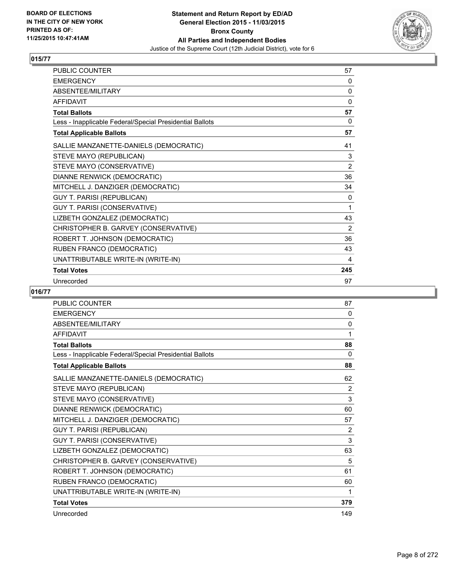

| PUBLIC COUNTER                                           | 57       |
|----------------------------------------------------------|----------|
| <b>EMERGENCY</b>                                         | 0        |
| ABSENTEE/MILITARY                                        | $\Omega$ |
| <b>AFFIDAVIT</b>                                         | 0        |
| <b>Total Ballots</b>                                     | 57       |
| Less - Inapplicable Federal/Special Presidential Ballots | 0        |
| <b>Total Applicable Ballots</b>                          | 57       |
| SALLIE MANZANETTE-DANIELS (DEMOCRATIC)                   | 41       |
| STEVE MAYO (REPUBLICAN)                                  | 3        |
| STEVE MAYO (CONSERVATIVE)                                | 2        |
| DIANNE RENWICK (DEMOCRATIC)                              | 36       |
| MITCHELL J. DANZIGER (DEMOCRATIC)                        | 34       |
| <b>GUY T. PARISI (REPUBLICAN)</b>                        | 0        |
| GUY T. PARISI (CONSERVATIVE)                             | 1        |
| LIZBETH GONZALEZ (DEMOCRATIC)                            | 43       |
| CHRISTOPHER B. GARVEY (CONSERVATIVE)                     | 2        |
| ROBERT T. JOHNSON (DEMOCRATIC)                           | 36       |
| RUBEN FRANCO (DEMOCRATIC)                                | 43       |
| UNATTRIBUTABLE WRITE-IN (WRITE-IN)                       | 4        |
| <b>Total Votes</b>                                       | 245      |
| Unrecorded                                               | 97       |

| <b>PUBLIC COUNTER</b>                                    | 87       |
|----------------------------------------------------------|----------|
| <b>EMERGENCY</b>                                         | 0        |
| ABSENTEE/MILITARY                                        | 0        |
| <b>AFFIDAVIT</b>                                         | 1        |
| <b>Total Ballots</b>                                     | 88       |
| Less - Inapplicable Federal/Special Presidential Ballots | $\Omega$ |
| <b>Total Applicable Ballots</b>                          | 88       |
| SALLIE MANZANETTE-DANIELS (DEMOCRATIC)                   | 62       |
| STEVE MAYO (REPUBLICAN)                                  | 2        |
| STEVE MAYO (CONSERVATIVE)                                | 3        |
| DIANNE RENWICK (DEMOCRATIC)                              | 60       |
| MITCHELL J. DANZIGER (DEMOCRATIC)                        | 57       |
| <b>GUY T. PARISI (REPUBLICAN)</b>                        | 2        |
| <b>GUY T. PARISI (CONSERVATIVE)</b>                      | 3        |
| LIZBETH GONZALEZ (DEMOCRATIC)                            | 63       |
| CHRISTOPHER B. GARVEY (CONSERVATIVE)                     | 5        |
| ROBERT T. JOHNSON (DEMOCRATIC)                           | 61       |
| RUBEN FRANCO (DEMOCRATIC)                                | 60       |
| UNATTRIBUTABLE WRITE-IN (WRITE-IN)                       | 1        |
| <b>Total Votes</b>                                       | 379      |
| Unrecorded                                               | 149      |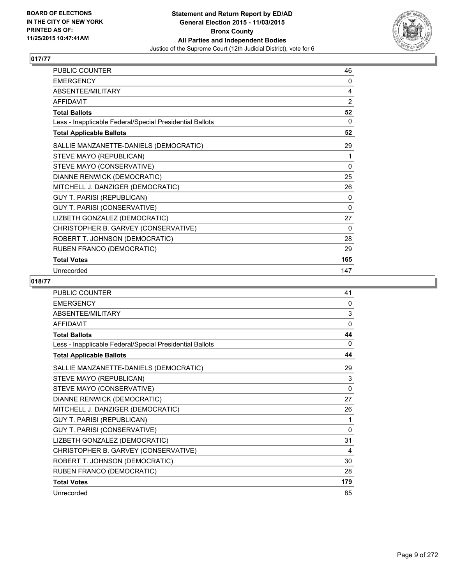

| PUBLIC COUNTER                                           | 46  |
|----------------------------------------------------------|-----|
| <b>EMERGENCY</b>                                         | 0   |
| ABSENTEE/MILITARY                                        | 4   |
| <b>AFFIDAVIT</b>                                         | 2   |
| <b>Total Ballots</b>                                     | 52  |
| Less - Inapplicable Federal/Special Presidential Ballots | 0   |
| <b>Total Applicable Ballots</b>                          | 52  |
| SALLIE MANZANETTE-DANIELS (DEMOCRATIC)                   | 29  |
| STEVE MAYO (REPUBLICAN)                                  | 1   |
| STEVE MAYO (CONSERVATIVE)                                | 0   |
| DIANNE RENWICK (DEMOCRATIC)                              | 25  |
| MITCHELL J. DANZIGER (DEMOCRATIC)                        | 26  |
| <b>GUY T. PARISI (REPUBLICAN)</b>                        | 0   |
| GUY T. PARISI (CONSERVATIVE)                             | 0   |
| LIZBETH GONZALEZ (DEMOCRATIC)                            | 27  |
| CHRISTOPHER B. GARVEY (CONSERVATIVE)                     | 0   |
| ROBERT T. JOHNSON (DEMOCRATIC)                           | 28  |
| RUBEN FRANCO (DEMOCRATIC)                                | 29  |
| <b>Total Votes</b>                                       | 165 |
| Unrecorded                                               | 147 |

| PUBLIC COUNTER                                           | 41             |
|----------------------------------------------------------|----------------|
| <b>EMERGENCY</b>                                         | 0              |
| ABSENTEE/MILITARY                                        | 3              |
| <b>AFFIDAVIT</b>                                         | $\Omega$       |
| <b>Total Ballots</b>                                     | 44             |
| Less - Inapplicable Federal/Special Presidential Ballots | $\Omega$       |
| <b>Total Applicable Ballots</b>                          | 44             |
| SALLIE MANZANETTE-DANIELS (DEMOCRATIC)                   | 29             |
| STEVE MAYO (REPUBLICAN)                                  | 3              |
| STEVE MAYO (CONSERVATIVE)                                | $\mathbf{0}$   |
| DIANNE RENWICK (DEMOCRATIC)                              | 27             |
| MITCHELL J. DANZIGER (DEMOCRATIC)                        | 26             |
| <b>GUY T. PARISI (REPUBLICAN)</b>                        | 1              |
| GUY T. PARISI (CONSERVATIVE)                             | $\Omega$       |
| LIZBETH GONZALEZ (DEMOCRATIC)                            | 31             |
| CHRISTOPHER B. GARVEY (CONSERVATIVE)                     | $\overline{4}$ |
| ROBERT T. JOHNSON (DEMOCRATIC)                           | 30             |
| RUBEN FRANCO (DEMOCRATIC)                                | 28             |
| <b>Total Votes</b>                                       | 179            |
| Unrecorded                                               | 85             |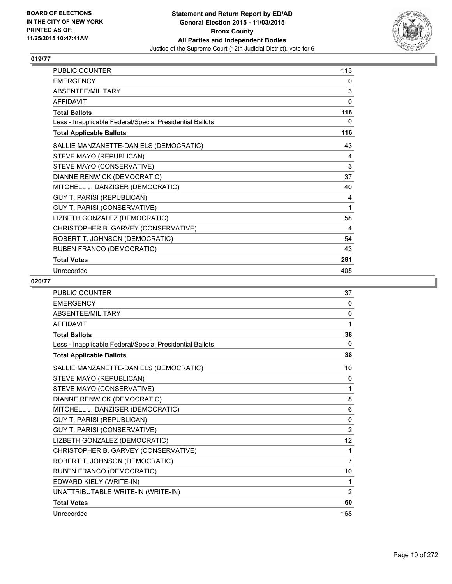

| <b>PUBLIC COUNTER</b>                                    | 113 |
|----------------------------------------------------------|-----|
| <b>EMERGENCY</b>                                         | 0   |
| ABSENTEE/MILITARY                                        | 3   |
| <b>AFFIDAVIT</b>                                         | 0   |
| <b>Total Ballots</b>                                     | 116 |
| Less - Inapplicable Federal/Special Presidential Ballots | 0   |
| <b>Total Applicable Ballots</b>                          | 116 |
| SALLIE MANZANETTE-DANIELS (DEMOCRATIC)                   | 43  |
| STEVE MAYO (REPUBLICAN)                                  | 4   |
| STEVE MAYO (CONSERVATIVE)                                | 3   |
| DIANNE RENWICK (DEMOCRATIC)                              | 37  |
| MITCHELL J. DANZIGER (DEMOCRATIC)                        | 40  |
| <b>GUY T. PARISI (REPUBLICAN)</b>                        | 4   |
| GUY T. PARISI (CONSERVATIVE)                             | 1   |
| LIZBETH GONZALEZ (DEMOCRATIC)                            | 58  |
| CHRISTOPHER B. GARVEY (CONSERVATIVE)                     | 4   |
| ROBERT T. JOHNSON (DEMOCRATIC)                           | 54  |
| RUBEN FRANCO (DEMOCRATIC)                                | 43  |
| <b>Total Votes</b>                                       | 291 |
| Unrecorded                                               | 405 |

| <b>PUBLIC COUNTER</b>                                    | 37             |
|----------------------------------------------------------|----------------|
| <b>EMERGENCY</b>                                         | $\Omega$       |
| ABSENTEE/MILITARY                                        | 0              |
| <b>AFFIDAVIT</b>                                         | 1              |
| <b>Total Ballots</b>                                     | 38             |
| Less - Inapplicable Federal/Special Presidential Ballots | 0              |
| <b>Total Applicable Ballots</b>                          | 38             |
| SALLIE MANZANETTE-DANIELS (DEMOCRATIC)                   | 10             |
| STEVE MAYO (REPUBLICAN)                                  | 0              |
| STEVE MAYO (CONSERVATIVE)                                | 1              |
| DIANNE RENWICK (DEMOCRATIC)                              | 8              |
| MITCHELL J. DANZIGER (DEMOCRATIC)                        | 6              |
| <b>GUY T. PARISI (REPUBLICAN)</b>                        | 0              |
| <b>GUY T. PARISI (CONSERVATIVE)</b>                      | $\overline{2}$ |
| LIZBETH GONZALEZ (DEMOCRATIC)                            | 12             |
| CHRISTOPHER B. GARVEY (CONSERVATIVE)                     | 1              |
| ROBERT T. JOHNSON (DEMOCRATIC)                           | 7              |
| RUBEN FRANCO (DEMOCRATIC)                                | 10             |
| EDWARD KIELY (WRITE-IN)                                  | 1              |
| UNATTRIBUTABLE WRITE-IN (WRITE-IN)                       | 2              |
| <b>Total Votes</b>                                       | 60             |
| Unrecorded                                               | 168            |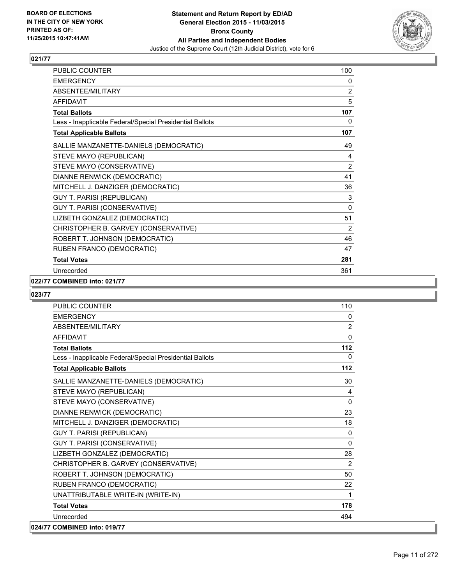

| PUBLIC COUNTER                                           | 100            |
|----------------------------------------------------------|----------------|
| <b>EMERGENCY</b>                                         | 0              |
| ABSENTEE/MILITARY                                        | $\overline{2}$ |
| <b>AFFIDAVIT</b>                                         | 5              |
| <b>Total Ballots</b>                                     | 107            |
| Less - Inapplicable Federal/Special Presidential Ballots | 0              |
| <b>Total Applicable Ballots</b>                          | 107            |
| SALLIE MANZANETTE-DANIELS (DEMOCRATIC)                   | 49             |
| STEVE MAYO (REPUBLICAN)                                  | 4              |
| STEVE MAYO (CONSERVATIVE)                                | $\overline{2}$ |
| DIANNE RENWICK (DEMOCRATIC)                              | 41             |
| MITCHELL J. DANZIGER (DEMOCRATIC)                        | 36             |
| GUY T. PARISI (REPUBLICAN)                               | 3              |
| GUY T. PARISI (CONSERVATIVE)                             | 0              |
| LIZBETH GONZALEZ (DEMOCRATIC)                            | 51             |
| CHRISTOPHER B. GARVEY (CONSERVATIVE)                     | $\overline{2}$ |
| ROBERT T. JOHNSON (DEMOCRATIC)                           | 46             |
| RUBEN FRANCO (DEMOCRATIC)                                | 47             |
| <b>Total Votes</b>                                       | 281            |
| Unrecorded                                               | 361            |

#### **022/77 COMBINED into: 021/77**

| PUBLIC COUNTER                                           | 110            |
|----------------------------------------------------------|----------------|
| <b>EMERGENCY</b>                                         | 0              |
| <b>ABSENTEE/MILITARY</b>                                 | $\overline{2}$ |
| <b>AFFIDAVIT</b>                                         | $\mathbf 0$    |
| <b>Total Ballots</b>                                     | 112            |
| Less - Inapplicable Federal/Special Presidential Ballots | 0              |
| <b>Total Applicable Ballots</b>                          | 112            |
| SALLIE MANZANETTE-DANIELS (DEMOCRATIC)                   | 30             |
| STEVE MAYO (REPUBLICAN)                                  | 4              |
| STEVE MAYO (CONSERVATIVE)                                | $\mathbf{0}$   |
| DIANNE RENWICK (DEMOCRATIC)                              | 23             |
| MITCHELL J. DANZIGER (DEMOCRATIC)                        | 18             |
| <b>GUY T. PARISI (REPUBLICAN)</b>                        | 0              |
| GUY T. PARISI (CONSERVATIVE)                             | $\mathbf{0}$   |
| LIZBETH GONZALEZ (DEMOCRATIC)                            | 28             |
| CHRISTOPHER B. GARVEY (CONSERVATIVE)                     | 2              |
| ROBERT T. JOHNSON (DEMOCRATIC)                           | 50             |
| RUBEN FRANCO (DEMOCRATIC)                                | 22             |
| UNATTRIBUTABLE WRITE-IN (WRITE-IN)                       | 1              |
| <b>Total Votes</b>                                       | 178            |
| Unrecorded                                               | 494            |
| 024/77 COMBINED into: 019/77                             |                |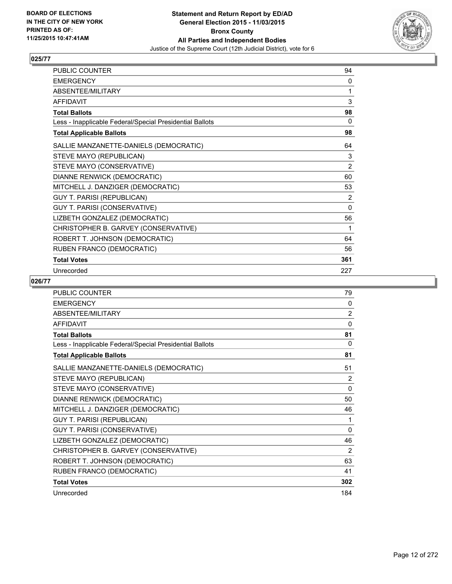

| <b>PUBLIC COUNTER</b>                                    | 94       |
|----------------------------------------------------------|----------|
| <b>EMERGENCY</b>                                         | 0        |
| ABSENTEE/MILITARY                                        | 1        |
| <b>AFFIDAVIT</b>                                         | 3        |
| <b>Total Ballots</b>                                     | 98       |
| Less - Inapplicable Federal/Special Presidential Ballots | 0        |
| <b>Total Applicable Ballots</b>                          | 98       |
| SALLIE MANZANETTE-DANIELS (DEMOCRATIC)                   | 64       |
| STEVE MAYO (REPUBLICAN)                                  | 3        |
| STEVE MAYO (CONSERVATIVE)                                | 2        |
| DIANNE RENWICK (DEMOCRATIC)                              | 60       |
| MITCHELL J. DANZIGER (DEMOCRATIC)                        | 53       |
| <b>GUY T. PARISI (REPUBLICAN)</b>                        | 2        |
| GUY T. PARISI (CONSERVATIVE)                             | $\Omega$ |
| LIZBETH GONZALEZ (DEMOCRATIC)                            | 56       |
| CHRISTOPHER B. GARVEY (CONSERVATIVE)                     | 1        |
| ROBERT T. JOHNSON (DEMOCRATIC)                           | 64       |
| RUBEN FRANCO (DEMOCRATIC)                                | 56       |
| <b>Total Votes</b>                                       | 361      |
| Unrecorded                                               | 227      |

| <b>PUBLIC COUNTER</b>                                    | 79             |
|----------------------------------------------------------|----------------|
| <b>EMERGENCY</b>                                         | 0              |
| ABSENTEE/MILITARY                                        | $\overline{2}$ |
| <b>AFFIDAVIT</b>                                         | $\mathbf{0}$   |
| <b>Total Ballots</b>                                     | 81             |
| Less - Inapplicable Federal/Special Presidential Ballots | $\Omega$       |
| <b>Total Applicable Ballots</b>                          | 81             |
| SALLIE MANZANETTE-DANIELS (DEMOCRATIC)                   | 51             |
| STEVE MAYO (REPUBLICAN)                                  | 2              |
| STEVE MAYO (CONSERVATIVE)                                | $\mathbf{0}$   |
| DIANNE RENWICK (DEMOCRATIC)                              | 50             |
| MITCHELL J. DANZIGER (DEMOCRATIC)                        | 46             |
| <b>GUY T. PARISI (REPUBLICAN)</b>                        | 1              |
| GUY T. PARISI (CONSERVATIVE)                             | $\mathbf{0}$   |
| LIZBETH GONZALEZ (DEMOCRATIC)                            | 46             |
| CHRISTOPHER B. GARVEY (CONSERVATIVE)                     | 2              |
| ROBERT T. JOHNSON (DEMOCRATIC)                           | 63             |
| RUBEN FRANCO (DEMOCRATIC)                                | 41             |
| <b>Total Votes</b>                                       | 302            |
| Unrecorded                                               | 184            |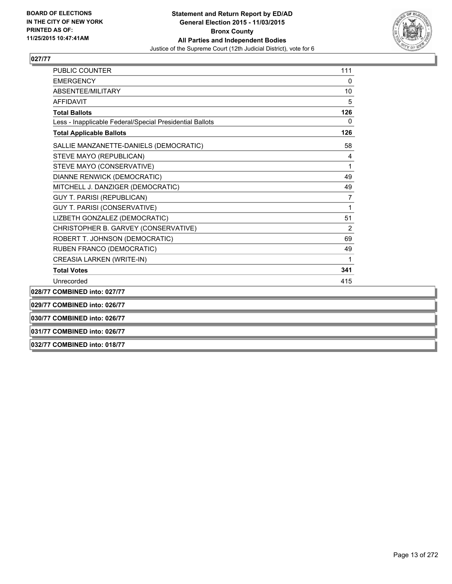

| PUBLIC COUNTER                                           | 111            |
|----------------------------------------------------------|----------------|
| <b>EMERGENCY</b>                                         | 0              |
| <b>ABSENTEE/MILITARY</b>                                 | 10             |
| <b>AFFIDAVIT</b>                                         | 5              |
| <b>Total Ballots</b>                                     | 126            |
| Less - Inapplicable Federal/Special Presidential Ballots | 0              |
| <b>Total Applicable Ballots</b>                          | 126            |
| SALLIE MANZANETTE-DANIELS (DEMOCRATIC)                   | 58             |
| STEVE MAYO (REPUBLICAN)                                  | 4              |
| STEVE MAYO (CONSERVATIVE)                                | 1              |
| DIANNE RENWICK (DEMOCRATIC)                              | 49             |
| MITCHELL J. DANZIGER (DEMOCRATIC)                        | 49             |
| <b>GUY T. PARISI (REPUBLICAN)</b>                        | 7              |
| <b>GUY T. PARISI (CONSERVATIVE)</b>                      | 1              |
| LIZBETH GONZALEZ (DEMOCRATIC)                            | 51             |
| CHRISTOPHER B. GARVEY (CONSERVATIVE)                     | $\overline{2}$ |
| ROBERT T. JOHNSON (DEMOCRATIC)                           | 69             |
| RUBEN FRANCO (DEMOCRATIC)                                | 49             |
| <b>CREASIA LARKEN (WRITE-IN)</b>                         | 1              |
| <b>Total Votes</b>                                       | 341            |
| Unrecorded                                               | 415            |
| 028/77 COMBINED into: 027/77                             |                |
| 029/77 COMBINED into: 026/77                             |                |
| 030/77 COMBINED into: 026/77                             |                |
| 031/77 COMBINED into: 026/77                             |                |

**032/77 COMBINED into: 018/77**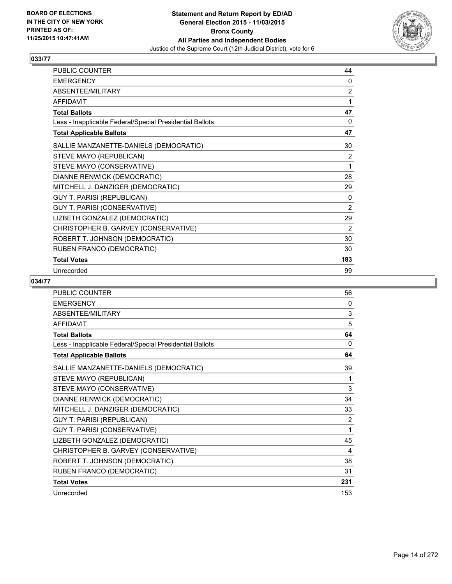

| <b>PUBLIC COUNTER</b>                                    | 44  |
|----------------------------------------------------------|-----|
| <b>EMERGENCY</b>                                         | 0   |
| ABSENTEE/MILITARY                                        | 2   |
| <b>AFFIDAVIT</b>                                         | 1   |
| <b>Total Ballots</b>                                     | 47  |
| Less - Inapplicable Federal/Special Presidential Ballots | 0   |
| <b>Total Applicable Ballots</b>                          | 47  |
| SALLIE MANZANETTE-DANIELS (DEMOCRATIC)                   | 30  |
| STEVE MAYO (REPUBLICAN)                                  | 2   |
| STEVE MAYO (CONSERVATIVE)                                | 1   |
| DIANNE RENWICK (DEMOCRATIC)                              | 28  |
| MITCHELL J. DANZIGER (DEMOCRATIC)                        | 29  |
| <b>GUY T. PARISI (REPUBLICAN)</b>                        | 0   |
| GUY T. PARISI (CONSERVATIVE)                             | 2   |
| LIZBETH GONZALEZ (DEMOCRATIC)                            | 29  |
| CHRISTOPHER B. GARVEY (CONSERVATIVE)                     | 2   |
| ROBERT T. JOHNSON (DEMOCRATIC)                           | 30  |
| RUBEN FRANCO (DEMOCRATIC)                                | 30  |
| <b>Total Votes</b>                                       | 183 |
| Unrecorded                                               | 99  |

| <b>PUBLIC COUNTER</b>                                    | 56  |
|----------------------------------------------------------|-----|
| <b>EMERGENCY</b>                                         | 0   |
| ABSENTEE/MILITARY                                        | 3   |
| <b>AFFIDAVIT</b>                                         | 5   |
| <b>Total Ballots</b>                                     | 64  |
| Less - Inapplicable Federal/Special Presidential Ballots | 0   |
| <b>Total Applicable Ballots</b>                          | 64  |
| SALLIE MANZANETTE-DANIELS (DEMOCRATIC)                   | 39  |
| STEVE MAYO (REPUBLICAN)                                  | 1   |
| STEVE MAYO (CONSERVATIVE)                                | 3   |
| DIANNE RENWICK (DEMOCRATIC)                              | 34  |
| MITCHELL J. DANZIGER (DEMOCRATIC)                        | 33  |
| GUY T. PARISI (REPUBLICAN)                               | 2   |
| GUY T. PARISI (CONSERVATIVE)                             | 1   |
| LIZBETH GONZALEZ (DEMOCRATIC)                            | 45  |
| CHRISTOPHER B. GARVEY (CONSERVATIVE)                     | 4   |
| ROBERT T. JOHNSON (DEMOCRATIC)                           | 38  |
| RUBEN FRANCO (DEMOCRATIC)                                | 31  |
| <b>Total Votes</b>                                       | 231 |
| Unrecorded                                               | 153 |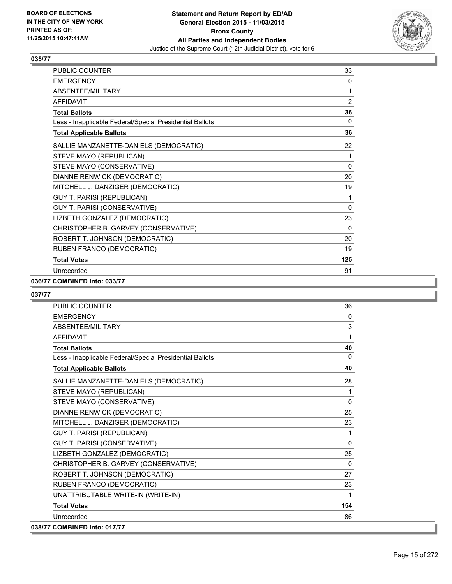

| <b>PUBLIC COUNTER</b>                                    | 33             |
|----------------------------------------------------------|----------------|
| <b>EMERGENCY</b>                                         | 0              |
| <b>ABSENTEE/MILITARY</b>                                 | 1              |
| <b>AFFIDAVIT</b>                                         | $\overline{2}$ |
| <b>Total Ballots</b>                                     | 36             |
| Less - Inapplicable Federal/Special Presidential Ballots | 0              |
| <b>Total Applicable Ballots</b>                          | 36             |
| SALLIE MANZANETTE-DANIELS (DEMOCRATIC)                   | 22             |
| STEVE MAYO (REPUBLICAN)                                  | 1              |
| STEVE MAYO (CONSERVATIVE)                                | 0              |
| DIANNE RENWICK (DEMOCRATIC)                              | 20             |
| MITCHELL J. DANZIGER (DEMOCRATIC)                        | 19             |
| <b>GUY T. PARISI (REPUBLICAN)</b>                        | 1              |
| GUY T. PARISI (CONSERVATIVE)                             | 0              |
| LIZBETH GONZALEZ (DEMOCRATIC)                            | 23             |
| CHRISTOPHER B. GARVEY (CONSERVATIVE)                     | $\Omega$       |
| ROBERT T. JOHNSON (DEMOCRATIC)                           | 20             |
| RUBEN FRANCO (DEMOCRATIC)                                | 19             |
| <b>Total Votes</b>                                       | 125            |
| Unrecorded                                               | 91             |

#### **036/77 COMBINED into: 033/77**

| <b>PUBLIC COUNTER</b>                                    | 36           |
|----------------------------------------------------------|--------------|
| <b>EMERGENCY</b>                                         | $\mathbf{0}$ |
| ABSENTEE/MILITARY                                        | 3            |
| <b>AFFIDAVIT</b>                                         | 1            |
| <b>Total Ballots</b>                                     | 40           |
| Less - Inapplicable Federal/Special Presidential Ballots | $\mathbf{0}$ |
| <b>Total Applicable Ballots</b>                          | 40           |
| SALLIE MANZANETTE-DANIELS (DEMOCRATIC)                   | 28           |
| STEVE MAYO (REPUBLICAN)                                  | 1            |
| STEVE MAYO (CONSERVATIVE)                                | $\mathbf{0}$ |
| DIANNE RENWICK (DEMOCRATIC)                              | 25           |
| MITCHELL J. DANZIGER (DEMOCRATIC)                        | 23           |
| <b>GUY T. PARISI (REPUBLICAN)</b>                        | 1            |
| GUY T. PARISI (CONSERVATIVE)                             | 0            |
| LIZBETH GONZALEZ (DEMOCRATIC)                            | 25           |
| CHRISTOPHER B. GARVEY (CONSERVATIVE)                     | $\mathbf{0}$ |
| ROBERT T. JOHNSON (DEMOCRATIC)                           | 27           |
| RUBEN FRANCO (DEMOCRATIC)                                | 23           |
| UNATTRIBUTABLE WRITE-IN (WRITE-IN)                       | 1            |
| <b>Total Votes</b>                                       | 154          |
| Unrecorded                                               | 86           |
| 038/77 COMBINED into: 017/77                             |              |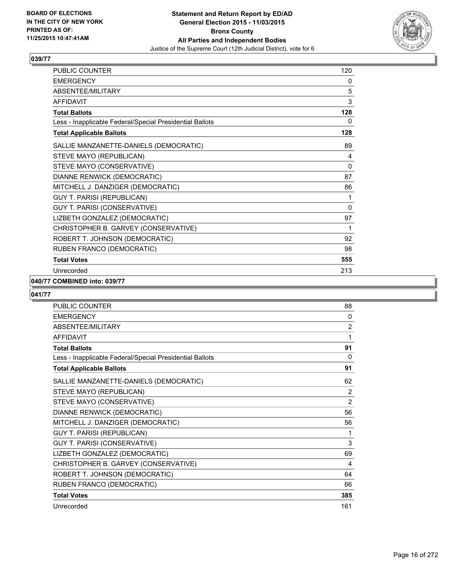

| <b>PUBLIC COUNTER</b>                                    | 120 |
|----------------------------------------------------------|-----|
| <b>EMERGENCY</b>                                         | 0   |
| ABSENTEE/MILITARY                                        | 5   |
| <b>AFFIDAVIT</b>                                         | 3   |
| <b>Total Ballots</b>                                     | 128 |
| Less - Inapplicable Federal/Special Presidential Ballots | 0   |
| <b>Total Applicable Ballots</b>                          | 128 |
| SALLIE MANZANETTE-DANIELS (DEMOCRATIC)                   | 89  |
| STEVE MAYO (REPUBLICAN)                                  | 4   |
| STEVE MAYO (CONSERVATIVE)                                | 0   |
| DIANNE RENWICK (DEMOCRATIC)                              | 87  |
| MITCHELL J. DANZIGER (DEMOCRATIC)                        | 86  |
| GUY T. PARISI (REPUBLICAN)                               | 1   |
| GUY T. PARISI (CONSERVATIVE)                             | 0   |
| LIZBETH GONZALEZ (DEMOCRATIC)                            | 97  |
| CHRISTOPHER B. GARVEY (CONSERVATIVE)                     | 1   |
| ROBERT T. JOHNSON (DEMOCRATIC)                           | 92  |
| RUBEN FRANCO (DEMOCRATIC)                                | 98  |
| <b>Total Votes</b>                                       | 555 |
| Unrecorded                                               | 213 |

#### **040/77 COMBINED into: 039/77**

| <b>PUBLIC COUNTER</b>                                    | 88             |
|----------------------------------------------------------|----------------|
| <b>EMERGENCY</b>                                         | 0              |
| <b>ABSENTEE/MILITARY</b>                                 | $\overline{2}$ |
| <b>AFFIDAVIT</b>                                         | 1              |
| <b>Total Ballots</b>                                     | 91             |
| Less - Inapplicable Federal/Special Presidential Ballots | 0              |
| <b>Total Applicable Ballots</b>                          | 91             |
| SALLIE MANZANETTE-DANIELS (DEMOCRATIC)                   | 62             |
| STEVE MAYO (REPUBLICAN)                                  | $\overline{2}$ |
| STEVE MAYO (CONSERVATIVE)                                | $\overline{2}$ |
| DIANNE RENWICK (DEMOCRATIC)                              | 56             |
| MITCHELL J. DANZIGER (DEMOCRATIC)                        | 56             |
| GUY T. PARISI (REPUBLICAN)                               | 1              |
| <b>GUY T. PARISI (CONSERVATIVE)</b>                      | 3              |
| LIZBETH GONZALEZ (DEMOCRATIC)                            | 69             |
| CHRISTOPHER B. GARVEY (CONSERVATIVE)                     | 4              |
| ROBERT T. JOHNSON (DEMOCRATIC)                           | 64             |
| RUBEN FRANCO (DEMOCRATIC)                                | 66             |
| <b>Total Votes</b>                                       | 385            |
| Unrecorded                                               | 161            |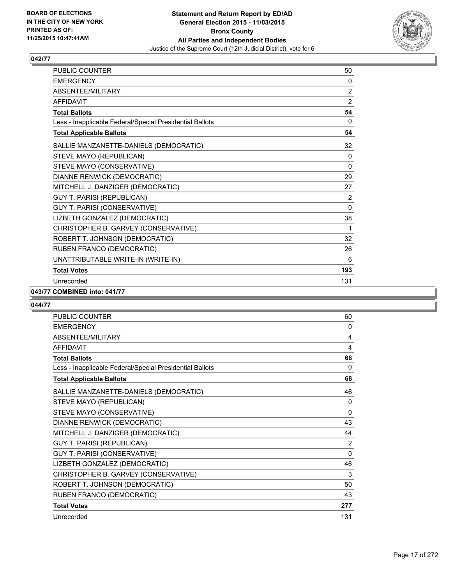

| PUBLIC COUNTER                                           | 50           |
|----------------------------------------------------------|--------------|
| <b>EMERGENCY</b>                                         | 0            |
| ABSENTEE/MILITARY                                        | 2            |
| <b>AFFIDAVIT</b>                                         | 2            |
| <b>Total Ballots</b>                                     | 54           |
| Less - Inapplicable Federal/Special Presidential Ballots | 0            |
| <b>Total Applicable Ballots</b>                          | 54           |
| SALLIE MANZANETTE-DANIELS (DEMOCRATIC)                   | 32           |
| STEVE MAYO (REPUBLICAN)                                  | 0            |
| STEVE MAYO (CONSERVATIVE)                                | $\mathbf{0}$ |
| DIANNE RENWICK (DEMOCRATIC)                              | 29           |
| MITCHELL J. DANZIGER (DEMOCRATIC)                        | 27           |
| <b>GUY T. PARISI (REPUBLICAN)</b>                        | 2            |
| GUY T. PARISI (CONSERVATIVE)                             | $\mathbf{0}$ |
| LIZBETH GONZALEZ (DEMOCRATIC)                            | 38           |
| CHRISTOPHER B. GARVEY (CONSERVATIVE)                     | 1            |
| ROBERT T. JOHNSON (DEMOCRATIC)                           | 32           |
| RUBEN FRANCO (DEMOCRATIC)                                | 26           |
| UNATTRIBUTABLE WRITE-IN (WRITE-IN)                       | 6            |
| <b>Total Votes</b>                                       | 193          |
| Unrecorded                                               | 131          |

#### **043/77 COMBINED into: 041/77**

| <b>PUBLIC COUNTER</b>                                    | 60           |
|----------------------------------------------------------|--------------|
| <b>EMERGENCY</b>                                         | 0            |
| <b>ABSENTEE/MILITARY</b>                                 | 4            |
| <b>AFFIDAVIT</b>                                         | 4            |
| <b>Total Ballots</b>                                     | 68           |
| Less - Inapplicable Federal/Special Presidential Ballots | 0            |
| <b>Total Applicable Ballots</b>                          | 68           |
| SALLIE MANZANETTE-DANIELS (DEMOCRATIC)                   | 46           |
| STEVE MAYO (REPUBLICAN)                                  | 0            |
| STEVE MAYO (CONSERVATIVE)                                | $\mathbf{0}$ |
| DIANNE RENWICK (DEMOCRATIC)                              | 43           |
| MITCHELL J. DANZIGER (DEMOCRATIC)                        | 44           |
| <b>GUY T. PARISI (REPUBLICAN)</b>                        | 2            |
| GUY T. PARISI (CONSERVATIVE)                             | 0            |
| LIZBETH GONZALEZ (DEMOCRATIC)                            | 46           |
| CHRISTOPHER B. GARVEY (CONSERVATIVE)                     | 3            |
| ROBERT T. JOHNSON (DEMOCRATIC)                           | 50           |
| RUBEN FRANCO (DEMOCRATIC)                                | 43           |
| <b>Total Votes</b>                                       | 277          |
| Unrecorded                                               | 131          |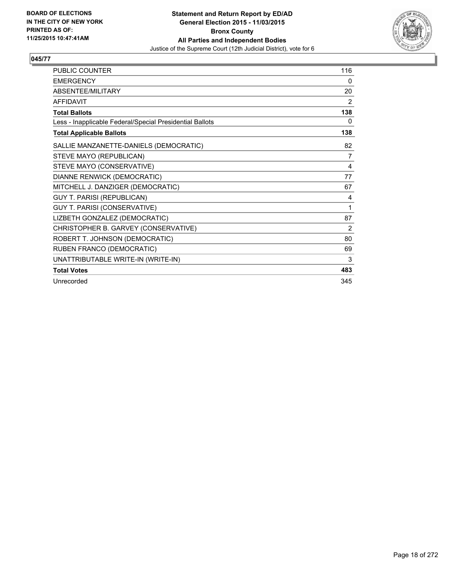

| <b>PUBLIC COUNTER</b>                                    | 116 |
|----------------------------------------------------------|-----|
| <b>EMERGENCY</b>                                         | 0   |
| ABSENTEE/MILITARY                                        | 20  |
| <b>AFFIDAVIT</b>                                         | 2   |
| <b>Total Ballots</b>                                     | 138 |
| Less - Inapplicable Federal/Special Presidential Ballots | 0   |
| <b>Total Applicable Ballots</b>                          | 138 |
| SALLIE MANZANETTE-DANIELS (DEMOCRATIC)                   | 82  |
| STEVE MAYO (REPUBLICAN)                                  | 7   |
| STEVE MAYO (CONSERVATIVE)                                | 4   |
| DIANNE RENWICK (DEMOCRATIC)                              | 77  |
| MITCHELL J. DANZIGER (DEMOCRATIC)                        | 67  |
| <b>GUY T. PARISI (REPUBLICAN)</b>                        | 4   |
| GUY T. PARISI (CONSERVATIVE)                             | 1   |
| LIZBETH GONZALEZ (DEMOCRATIC)                            | 87  |
| CHRISTOPHER B. GARVEY (CONSERVATIVE)                     | 2   |
| ROBERT T. JOHNSON (DEMOCRATIC)                           | 80  |
| RUBEN FRANCO (DEMOCRATIC)                                | 69  |
| UNATTRIBUTABLE WRITE-IN (WRITE-IN)                       | 3   |
| <b>Total Votes</b>                                       | 483 |
| Unrecorded                                               | 345 |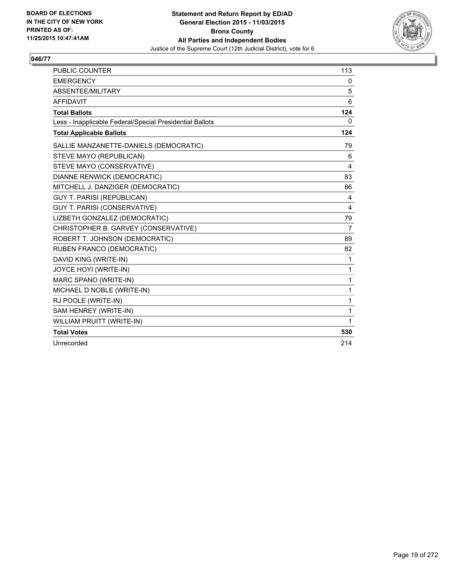

| <b>PUBLIC COUNTER</b>                                    | 113          |
|----------------------------------------------------------|--------------|
| <b>EMERGENCY</b>                                         | 0            |
| ABSENTEE/MILITARY                                        | 5            |
| <b>AFFIDAVIT</b>                                         | 6            |
| <b>Total Ballots</b>                                     | 124          |
| Less - Inapplicable Federal/Special Presidential Ballots | $\mathbf{0}$ |
| <b>Total Applicable Ballots</b>                          | 124          |
| SALLIE MANZANETTE-DANIELS (DEMOCRATIC)                   | 79           |
| STEVE MAYO (REPUBLICAN)                                  | 6            |
| STEVE MAYO (CONSERVATIVE)                                | 4            |
| DIANNE RENWICK (DEMOCRATIC)                              | 83           |
| MITCHELL J. DANZIGER (DEMOCRATIC)                        | 86           |
| <b>GUY T. PARISI (REPUBLICAN)</b>                        | 4            |
| <b>GUY T. PARISI (CONSERVATIVE)</b>                      | 4            |
| LIZBETH GONZALEZ (DEMOCRATIC)                            | 79           |
| CHRISTOPHER B. GARVEY (CONSERVATIVE)                     | 7            |
| ROBERT T. JOHNSON (DEMOCRATIC)                           | 89           |
| RUBEN FRANCO (DEMOCRATIC)                                | 82           |
| DAVID KING (WRITE-IN)                                    | 1            |
| JOYCE HOYI (WRITE-IN)                                    | 1            |
| MARC SPANO (WRITE-IN)                                    | 1            |
| MICHAEL D NOBLE (WRITE-IN)                               | 1            |
| RJ POOLE (WRITE-IN)                                      | 1            |
| SAM HENREY (WRITE-IN)                                    | 1            |
| <b>WILLIAM PRUITT (WRITE-IN)</b>                         | 1            |
| <b>Total Votes</b>                                       | 530          |
| Unrecorded                                               | 214          |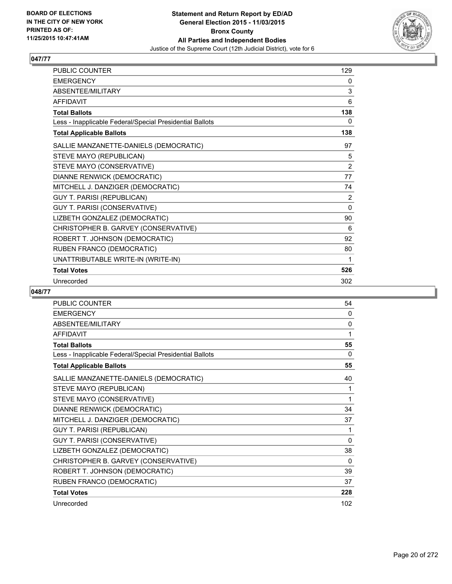

| PUBLIC COUNTER                                           | 129            |
|----------------------------------------------------------|----------------|
| <b>EMERGENCY</b>                                         | 0              |
| ABSENTEE/MILITARY                                        | 3              |
| <b>AFFIDAVIT</b>                                         | 6              |
| <b>Total Ballots</b>                                     | 138            |
| Less - Inapplicable Federal/Special Presidential Ballots | 0              |
| <b>Total Applicable Ballots</b>                          | 138            |
| SALLIE MANZANETTE-DANIELS (DEMOCRATIC)                   | 97             |
| STEVE MAYO (REPUBLICAN)                                  | 5              |
| STEVE MAYO (CONSERVATIVE)                                | $\overline{2}$ |
| DIANNE RENWICK (DEMOCRATIC)                              | 77             |
| MITCHELL J. DANZIGER (DEMOCRATIC)                        | 74             |
| <b>GUY T. PARISI (REPUBLICAN)</b>                        | 2              |
| GUY T. PARISI (CONSERVATIVE)                             | 0              |
| LIZBETH GONZALEZ (DEMOCRATIC)                            | 90             |
| CHRISTOPHER B. GARVEY (CONSERVATIVE)                     | 6              |
| ROBERT T. JOHNSON (DEMOCRATIC)                           | 92             |
| RUBEN FRANCO (DEMOCRATIC)                                | 80             |
| UNATTRIBUTABLE WRITE-IN (WRITE-IN)                       | 1              |
| <b>Total Votes</b>                                       | 526            |
| Unrecorded                                               | 302            |

| <b>PUBLIC COUNTER</b>                                    | 54           |
|----------------------------------------------------------|--------------|
| <b>EMERGENCY</b>                                         | 0            |
| ABSENTEE/MILITARY                                        | $\mathbf{0}$ |
| <b>AFFIDAVIT</b>                                         | 1            |
| <b>Total Ballots</b>                                     | 55           |
| Less - Inapplicable Federal/Special Presidential Ballots | 0            |
| <b>Total Applicable Ballots</b>                          | 55           |
| SALLIE MANZANETTE-DANIELS (DEMOCRATIC)                   | 40           |
| STEVE MAYO (REPUBLICAN)                                  | 1            |
| STEVE MAYO (CONSERVATIVE)                                | 1            |
| DIANNE RENWICK (DEMOCRATIC)                              | 34           |
| MITCHELL J. DANZIGER (DEMOCRATIC)                        | 37           |
| GUY T. PARISI (REPUBLICAN)                               | 1            |
| GUY T. PARISI (CONSERVATIVE)                             | 0            |
| LIZBETH GONZALEZ (DEMOCRATIC)                            | 38           |
| CHRISTOPHER B. GARVEY (CONSERVATIVE)                     | 0            |
| ROBERT T. JOHNSON (DEMOCRATIC)                           | 39           |
| RUBEN FRANCO (DEMOCRATIC)                                | 37           |
| <b>Total Votes</b>                                       | 228          |
| Unrecorded                                               | 102          |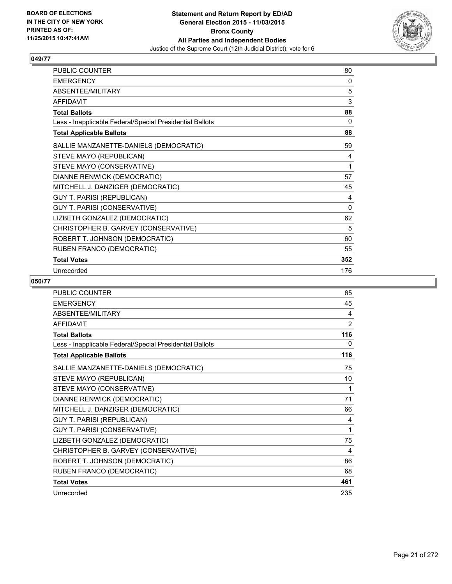

| <b>PUBLIC COUNTER</b>                                    | 80       |
|----------------------------------------------------------|----------|
| <b>EMERGENCY</b>                                         | 0        |
| ABSENTEE/MILITARY                                        | 5        |
| <b>AFFIDAVIT</b>                                         | 3        |
| <b>Total Ballots</b>                                     | 88       |
| Less - Inapplicable Federal/Special Presidential Ballots | 0        |
| <b>Total Applicable Ballots</b>                          | 88       |
| SALLIE MANZANETTE-DANIELS (DEMOCRATIC)                   | 59       |
| STEVE MAYO (REPUBLICAN)                                  | 4        |
| STEVE MAYO (CONSERVATIVE)                                | 1        |
| DIANNE RENWICK (DEMOCRATIC)                              | 57       |
| MITCHELL J. DANZIGER (DEMOCRATIC)                        | 45       |
| <b>GUY T. PARISI (REPUBLICAN)</b>                        | 4        |
| GUY T. PARISI (CONSERVATIVE)                             | $\Omega$ |
| LIZBETH GONZALEZ (DEMOCRATIC)                            | 62       |
| CHRISTOPHER B. GARVEY (CONSERVATIVE)                     | 5        |
| ROBERT T. JOHNSON (DEMOCRATIC)                           | 60       |
| RUBEN FRANCO (DEMOCRATIC)                                | 55       |
| <b>Total Votes</b>                                       | 352      |
| Unrecorded                                               | 176      |

| <b>PUBLIC COUNTER</b>                                    | 65  |
|----------------------------------------------------------|-----|
| <b>EMERGENCY</b>                                         | 45  |
| ABSENTEE/MILITARY                                        | 4   |
| <b>AFFIDAVIT</b>                                         | 2   |
| <b>Total Ballots</b>                                     | 116 |
| Less - Inapplicable Federal/Special Presidential Ballots | 0   |
| <b>Total Applicable Ballots</b>                          | 116 |
| SALLIE MANZANETTE-DANIELS (DEMOCRATIC)                   | 75  |
| STEVE MAYO (REPUBLICAN)                                  | 10  |
| STEVE MAYO (CONSERVATIVE)                                | 1   |
| DIANNE RENWICK (DEMOCRATIC)                              | 71  |
| MITCHELL J. DANZIGER (DEMOCRATIC)                        | 66  |
| <b>GUY T. PARISI (REPUBLICAN)</b>                        | 4   |
| GUY T. PARISI (CONSERVATIVE)                             | 1   |
| LIZBETH GONZALEZ (DEMOCRATIC)                            | 75  |
| CHRISTOPHER B. GARVEY (CONSERVATIVE)                     | 4   |
| ROBERT T. JOHNSON (DEMOCRATIC)                           | 86  |
| RUBEN FRANCO (DEMOCRATIC)                                | 68  |
| <b>Total Votes</b>                                       | 461 |
| Unrecorded                                               | 235 |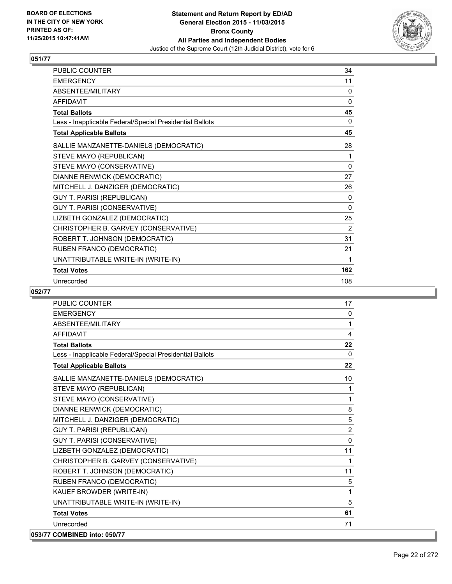

| PUBLIC COUNTER                                           | 34       |
|----------------------------------------------------------|----------|
| <b>EMERGENCY</b>                                         | 11       |
| ABSENTEE/MILITARY                                        | $\Omega$ |
| <b>AFFIDAVIT</b>                                         | 0        |
| <b>Total Ballots</b>                                     | 45       |
| Less - Inapplicable Federal/Special Presidential Ballots | 0        |
| <b>Total Applicable Ballots</b>                          | 45       |
| SALLIE MANZANETTE-DANIELS (DEMOCRATIC)                   | 28       |
| STEVE MAYO (REPUBLICAN)                                  | 1        |
| STEVE MAYO (CONSERVATIVE)                                | $\Omega$ |
| DIANNE RENWICK (DEMOCRATIC)                              | 27       |
| MITCHELL J. DANZIGER (DEMOCRATIC)                        | 26       |
| <b>GUY T. PARISI (REPUBLICAN)</b>                        | 0        |
| GUY T. PARISI (CONSERVATIVE)                             | 0        |
| LIZBETH GONZALEZ (DEMOCRATIC)                            | 25       |
| CHRISTOPHER B. GARVEY (CONSERVATIVE)                     | 2        |
| ROBERT T. JOHNSON (DEMOCRATIC)                           | 31       |
| RUBEN FRANCO (DEMOCRATIC)                                | 21       |
| UNATTRIBUTABLE WRITE-IN (WRITE-IN)                       | 1        |
| <b>Total Votes</b>                                       | 162      |
| Unrecorded                                               | 108      |

| PUBLIC COUNTER                                           | 17          |
|----------------------------------------------------------|-------------|
| <b>EMERGENCY</b>                                         | 0           |
| ABSENTEE/MILITARY                                        | 1           |
| <b>AFFIDAVIT</b>                                         | 4           |
| <b>Total Ballots</b>                                     | 22          |
| Less - Inapplicable Federal/Special Presidential Ballots | $\Omega$    |
| <b>Total Applicable Ballots</b>                          | 22          |
| SALLIE MANZANETTE-DANIELS (DEMOCRATIC)                   | 10          |
| STEVE MAYO (REPUBLICAN)                                  | 1           |
| STEVE MAYO (CONSERVATIVE)                                | 1           |
| DIANNE RENWICK (DEMOCRATIC)                              | 8           |
| MITCHELL J. DANZIGER (DEMOCRATIC)                        | 5           |
| <b>GUY T. PARISI (REPUBLICAN)</b>                        | 2           |
| GUY T. PARISI (CONSERVATIVE)                             | $\Omega$    |
| LIZBETH GONZALEZ (DEMOCRATIC)                            | 11          |
| CHRISTOPHER B. GARVEY (CONSERVATIVE)                     | $\mathbf 1$ |
| ROBERT T. JOHNSON (DEMOCRATIC)                           | 11          |
| RUBEN FRANCO (DEMOCRATIC)                                | 5           |
| KAUEF BROWDER (WRITE-IN)                                 | 1           |
| UNATTRIBUTABLE WRITE-IN (WRITE-IN)                       | 5           |
| <b>Total Votes</b>                                       | 61          |
| Unrecorded                                               | 71          |
| 053/77 COMBINED into: 050/77                             |             |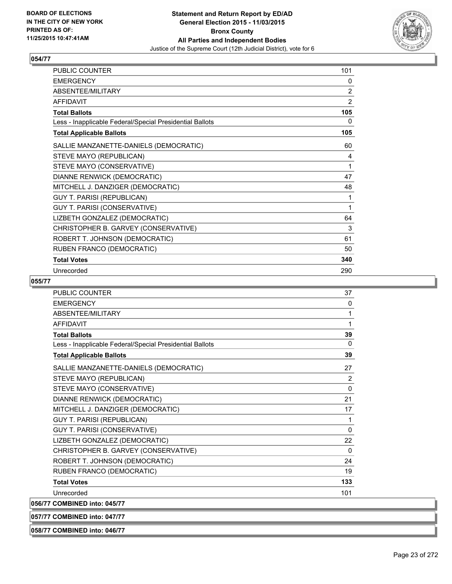

| PUBLIC COUNTER                                           | 101            |
|----------------------------------------------------------|----------------|
| <b>EMERGENCY</b>                                         | 0              |
| ABSENTEE/MILITARY                                        | 2              |
| <b>AFFIDAVIT</b>                                         | $\overline{2}$ |
| <b>Total Ballots</b>                                     | 105            |
| Less - Inapplicable Federal/Special Presidential Ballots | 0              |
| <b>Total Applicable Ballots</b>                          | 105            |
| SALLIE MANZANETTE-DANIELS (DEMOCRATIC)                   | 60             |
| STEVE MAYO (REPUBLICAN)                                  | 4              |
| STEVE MAYO (CONSERVATIVE)                                | 1              |
| DIANNE RENWICK (DEMOCRATIC)                              | 47             |
| MITCHELL J. DANZIGER (DEMOCRATIC)                        | 48             |
| <b>GUY T. PARISI (REPUBLICAN)</b>                        | 1              |
| GUY T. PARISI (CONSERVATIVE)                             | 1              |
| LIZBETH GONZALEZ (DEMOCRATIC)                            | 64             |
| CHRISTOPHER B. GARVEY (CONSERVATIVE)                     | 3              |
| ROBERT T. JOHNSON (DEMOCRATIC)                           | 61             |
| RUBEN FRANCO (DEMOCRATIC)                                | 50             |
| <b>Total Votes</b>                                       | 340            |
| Unrecorded                                               | 290            |

#### **055/77**

| <b>PUBLIC COUNTER</b>                                    | 37           |
|----------------------------------------------------------|--------------|
| <b>FMFRGFNCY</b>                                         | $\mathbf{0}$ |
| ABSENTEE/MILITARY                                        | 1            |
| <b>AFFIDAVIT</b>                                         | 1            |
| <b>Total Ballots</b>                                     | 39           |
| Less - Inapplicable Federal/Special Presidential Ballots | $\Omega$     |
| <b>Total Applicable Ballots</b>                          | 39           |
| SALLIE MANZANETTE-DANIELS (DEMOCRATIC)                   | 27           |
| STEVE MAYO (REPUBLICAN)                                  | 2            |
| STEVE MAYO (CONSERVATIVE)                                | $\mathbf 0$  |
| DIANNE RENWICK (DEMOCRATIC)                              | 21           |
| MITCHELL J. DANZIGER (DEMOCRATIC)                        | 17           |
| <b>GUY T. PARISI (REPUBLICAN)</b>                        | 1            |
| GUY T. PARISI (CONSERVATIVE)                             | 0            |
| LIZBETH GONZALEZ (DEMOCRATIC)                            | 22           |
| CHRISTOPHER B. GARVEY (CONSERVATIVE)                     | 0            |
| ROBERT T. JOHNSON (DEMOCRATIC)                           | 24           |
| RUBEN FRANCO (DEMOCRATIC)                                | 19           |
| <b>Total Votes</b>                                       | 133          |
| Unrecorded                                               | 101          |
| 056/77 COMBINED into: 045/77                             |              |

**057/77 COMBINED into: 047/77**

**058/77 COMBINED into: 046/77**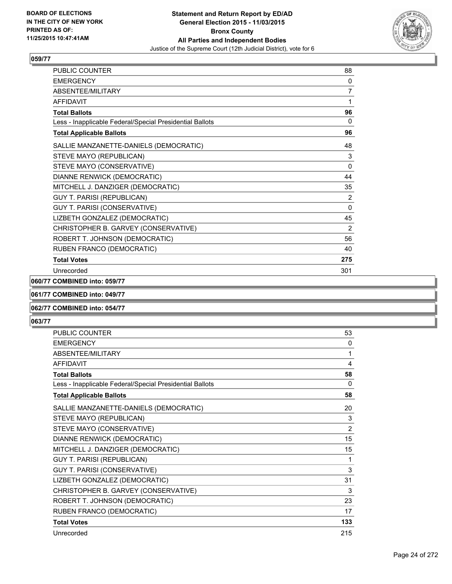

| <b>PUBLIC COUNTER</b>                                    | 88           |
|----------------------------------------------------------|--------------|
| <b>EMERGENCY</b>                                         | 0            |
| ABSENTEE/MILITARY                                        | 7            |
| <b>AFFIDAVIT</b>                                         | 1            |
| <b>Total Ballots</b>                                     | 96           |
| Less - Inapplicable Federal/Special Presidential Ballots | $\mathbf{0}$ |
| <b>Total Applicable Ballots</b>                          | 96           |
| SALLIE MANZANETTE-DANIELS (DEMOCRATIC)                   | 48           |
| STEVE MAYO (REPUBLICAN)                                  | 3            |
| STEVE MAYO (CONSERVATIVE)                                | 0            |
| DIANNE RENWICK (DEMOCRATIC)                              | 44           |
| MITCHELL J. DANZIGER (DEMOCRATIC)                        | 35           |
| GUY T. PARISI (REPUBLICAN)                               | 2            |
| GUY T. PARISI (CONSERVATIVE)                             | $\mathbf{0}$ |
| LIZBETH GONZALEZ (DEMOCRATIC)                            | 45           |
| CHRISTOPHER B. GARVEY (CONSERVATIVE)                     | 2            |
| ROBERT T. JOHNSON (DEMOCRATIC)                           | 56           |
| RUBEN FRANCO (DEMOCRATIC)                                | 40           |
| <b>Total Votes</b>                                       | 275          |
| Unrecorded                                               | 301          |

#### **060/77 COMBINED into: 059/77**

#### **061/77 COMBINED into: 049/77**

#### **062/77 COMBINED into: 054/77**

| <b>PUBLIC COUNTER</b>                                    | 53             |
|----------------------------------------------------------|----------------|
| <b>EMERGENCY</b>                                         | 0              |
| <b>ABSENTEE/MILITARY</b>                                 | 1              |
| <b>AFFIDAVIT</b>                                         | 4              |
| <b>Total Ballots</b>                                     | 58             |
| Less - Inapplicable Federal/Special Presidential Ballots | 0              |
| <b>Total Applicable Ballots</b>                          | 58             |
| SALLIE MANZANETTE-DANIELS (DEMOCRATIC)                   | 20             |
| STEVE MAYO (REPUBLICAN)                                  | 3              |
| STEVE MAYO (CONSERVATIVE)                                | $\overline{2}$ |
| DIANNE RENWICK (DEMOCRATIC)                              | 15             |
| MITCHELL J. DANZIGER (DEMOCRATIC)                        | 15             |
| <b>GUY T. PARISI (REPUBLICAN)</b>                        | 1              |
| GUY T. PARISI (CONSERVATIVE)                             | 3              |
| LIZBETH GONZALEZ (DEMOCRATIC)                            | 31             |
| CHRISTOPHER B. GARVEY (CONSERVATIVE)                     | 3              |
| ROBERT T. JOHNSON (DEMOCRATIC)                           | 23             |
| RUBEN FRANCO (DEMOCRATIC)                                | 17             |
| <b>Total Votes</b>                                       | 133            |
| Unrecorded                                               | 215            |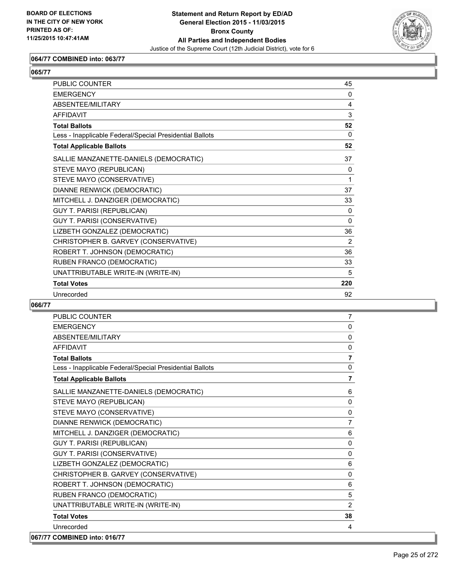

## **064/77 COMBINED into: 063/77**

# **065/77**

| <b>PUBLIC COUNTER</b>                                    | 45       |
|----------------------------------------------------------|----------|
| <b>EMERGENCY</b>                                         | 0        |
| ABSENTEE/MILITARY                                        | 4        |
| <b>AFFIDAVIT</b>                                         | 3        |
| <b>Total Ballots</b>                                     | 52       |
| Less - Inapplicable Federal/Special Presidential Ballots | $\Omega$ |
| <b>Total Applicable Ballots</b>                          | 52       |
| SALLIE MANZANETTE-DANIELS (DEMOCRATIC)                   | 37       |
| STEVE MAYO (REPUBLICAN)                                  | 0        |
| STEVE MAYO (CONSERVATIVE)                                | 1        |
| DIANNE RENWICK (DEMOCRATIC)                              | 37       |
| MITCHELL J. DANZIGER (DEMOCRATIC)                        | 33       |
| <b>GUY T. PARISI (REPUBLICAN)</b>                        | 0        |
| GUY T. PARISI (CONSERVATIVE)                             | $\Omega$ |
| LIZBETH GONZALEZ (DEMOCRATIC)                            | 36       |
| CHRISTOPHER B. GARVEY (CONSERVATIVE)                     | 2        |
| ROBERT T. JOHNSON (DEMOCRATIC)                           | 36       |
| RUBEN FRANCO (DEMOCRATIC)                                | 33       |
| UNATTRIBUTABLE WRITE-IN (WRITE-IN)                       | 5        |
| <b>Total Votes</b>                                       | 220      |
| Unrecorded                                               | 92       |

| <b>PUBLIC COUNTER</b>                                    | $\overline{7}$ |
|----------------------------------------------------------|----------------|
| <b>EMERGENCY</b>                                         | 0              |
| ABSENTEE/MILITARY                                        | 0              |
| <b>AFFIDAVIT</b>                                         | $\mathbf{0}$   |
| <b>Total Ballots</b>                                     | $\overline{7}$ |
| Less - Inapplicable Federal/Special Presidential Ballots | $\mathbf 0$    |
| <b>Total Applicable Ballots</b>                          | $\overline{7}$ |
| SALLIE MANZANETTE-DANIELS (DEMOCRATIC)                   | 6              |
| STEVE MAYO (REPUBLICAN)                                  | $\mathbf 0$    |
| STEVE MAYO (CONSERVATIVE)                                | 0              |
| DIANNE RENWICK (DEMOCRATIC)                              | $\overline{7}$ |
| MITCHELL J. DANZIGER (DEMOCRATIC)                        | 6              |
| <b>GUY T. PARISI (REPUBLICAN)</b>                        | 0              |
| <b>GUY T. PARISI (CONSERVATIVE)</b>                      | $\mathbf 0$    |
| LIZBETH GONZALEZ (DEMOCRATIC)                            | 6              |
| CHRISTOPHER B. GARVEY (CONSERVATIVE)                     | 0              |
| ROBERT T. JOHNSON (DEMOCRATIC)                           | 6              |
| RUBEN FRANCO (DEMOCRATIC)                                | 5              |
| UNATTRIBUTABLE WRITE-IN (WRITE-IN)                       | 2              |
| <b>Total Votes</b>                                       | 38             |
| Unrecorded                                               | 4              |
| 067/77 COMBINED into: 016/77                             |                |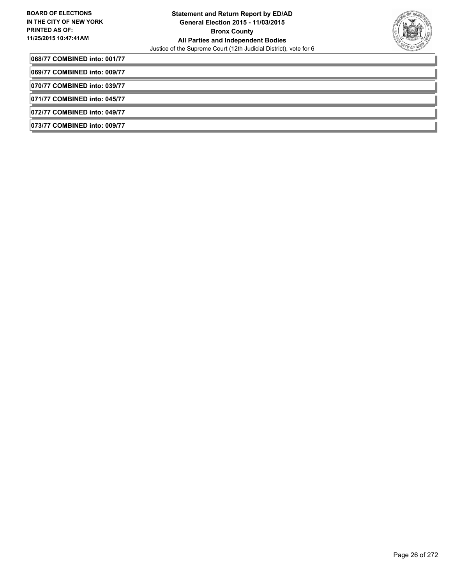

**068/77 COMBINED into: 001/77**

**069/77 COMBINED into: 009/77**

**070/77 COMBINED into: 039/77**

**071/77 COMBINED into: 045/77**

**072/77 COMBINED into: 049/77**

**073/77 COMBINED into: 009/77**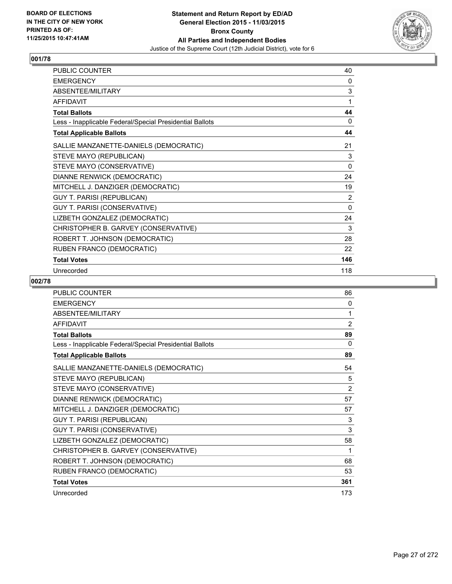

| PUBLIC COUNTER                                           | 40             |
|----------------------------------------------------------|----------------|
| <b>EMERGENCY</b>                                         | 0              |
| ABSENTEE/MILITARY                                        | 3              |
| <b>AFFIDAVIT</b>                                         | 1              |
| <b>Total Ballots</b>                                     | 44             |
| Less - Inapplicable Federal/Special Presidential Ballots | 0              |
| <b>Total Applicable Ballots</b>                          | 44             |
| SALLIE MANZANETTE-DANIELS (DEMOCRATIC)                   | 21             |
| STEVE MAYO (REPUBLICAN)                                  | 3              |
| STEVE MAYO (CONSERVATIVE)                                | $\Omega$       |
| DIANNE RENWICK (DEMOCRATIC)                              | 24             |
| MITCHELL J. DANZIGER (DEMOCRATIC)                        | 19             |
| <b>GUY T. PARISI (REPUBLICAN)</b>                        | $\overline{2}$ |
| GUY T. PARISI (CONSERVATIVE)                             | 0              |
| LIZBETH GONZALEZ (DEMOCRATIC)                            | 24             |
| CHRISTOPHER B. GARVEY (CONSERVATIVE)                     | 3              |
| ROBERT T. JOHNSON (DEMOCRATIC)                           | 28             |
| RUBEN FRANCO (DEMOCRATIC)                                | 22             |
| <b>Total Votes</b>                                       | 146            |
| Unrecorded                                               | 118            |

| PUBLIC COUNTER                                           | 86             |
|----------------------------------------------------------|----------------|
| <b>EMERGENCY</b>                                         | 0              |
| ABSENTEE/MILITARY                                        | 1              |
| <b>AFFIDAVIT</b>                                         | $\overline{2}$ |
| <b>Total Ballots</b>                                     | 89             |
| Less - Inapplicable Federal/Special Presidential Ballots | $\Omega$       |
| <b>Total Applicable Ballots</b>                          | 89             |
| SALLIE MANZANETTE-DANIELS (DEMOCRATIC)                   | 54             |
| STEVE MAYO (REPUBLICAN)                                  | 5              |
| STEVE MAYO (CONSERVATIVE)                                | $\overline{2}$ |
| DIANNE RENWICK (DEMOCRATIC)                              | 57             |
| MITCHELL J. DANZIGER (DEMOCRATIC)                        | 57             |
| <b>GUY T. PARISI (REPUBLICAN)</b>                        | 3              |
| GUY T. PARISI (CONSERVATIVE)                             | 3              |
| LIZBETH GONZALEZ (DEMOCRATIC)                            | 58             |
| CHRISTOPHER B. GARVEY (CONSERVATIVE)                     | 1              |
| ROBERT T. JOHNSON (DEMOCRATIC)                           | 68             |
| RUBEN FRANCO (DEMOCRATIC)                                | 53             |
| <b>Total Votes</b>                                       | 361            |
| Unrecorded                                               | 173            |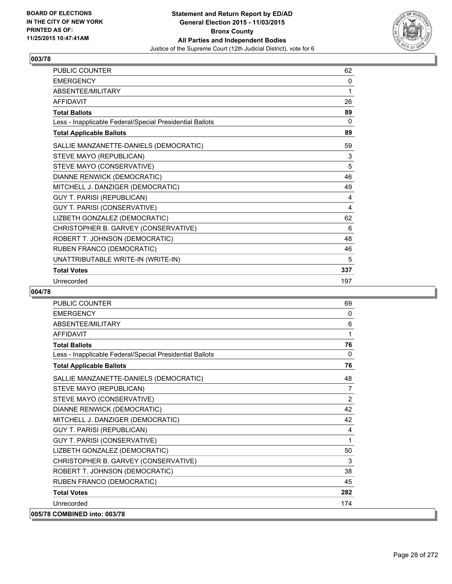

| PUBLIC COUNTER                                           | 62  |
|----------------------------------------------------------|-----|
| <b>EMERGENCY</b>                                         | 0   |
| ABSENTEE/MILITARY                                        | 1   |
| <b>AFFIDAVIT</b>                                         | 26  |
| <b>Total Ballots</b>                                     | 89  |
| Less - Inapplicable Federal/Special Presidential Ballots | 0   |
| <b>Total Applicable Ballots</b>                          | 89  |
| SALLIE MANZANETTE-DANIELS (DEMOCRATIC)                   | 59  |
| STEVE MAYO (REPUBLICAN)                                  | 3   |
| STEVE MAYO (CONSERVATIVE)                                | 5   |
| DIANNE RENWICK (DEMOCRATIC)                              | 46  |
| MITCHELL J. DANZIGER (DEMOCRATIC)                        | 49  |
| <b>GUY T. PARISI (REPUBLICAN)</b>                        | 4   |
| GUY T. PARISI (CONSERVATIVE)                             | 4   |
| LIZBETH GONZALEZ (DEMOCRATIC)                            | 62  |
| CHRISTOPHER B. GARVEY (CONSERVATIVE)                     | 6   |
| ROBERT T. JOHNSON (DEMOCRATIC)                           | 48  |
| RUBEN FRANCO (DEMOCRATIC)                                | 46  |
| UNATTRIBUTABLE WRITE-IN (WRITE-IN)                       | 5   |
| <b>Total Votes</b>                                       | 337 |
| Unrecorded                                               | 197 |

| <b>PUBLIC COUNTER</b>                                    | 69             |
|----------------------------------------------------------|----------------|
| <b>FMFRGFNCY</b>                                         | $\mathbf{0}$   |
| ABSENTEE/MILITARY                                        | 6              |
| <b>AFFIDAVIT</b>                                         | 1              |
| <b>Total Ballots</b>                                     | 76             |
| Less - Inapplicable Federal/Special Presidential Ballots | $\mathbf{0}$   |
| <b>Total Applicable Ballots</b>                          | 76             |
| SALLIE MANZANETTE-DANIELS (DEMOCRATIC)                   | 48             |
| STEVE MAYO (REPUBLICAN)                                  | $\overline{7}$ |
| STEVE MAYO (CONSERVATIVE)                                | 2              |
| DIANNE RENWICK (DEMOCRATIC)                              | 42             |
| MITCHELL J. DANZIGER (DEMOCRATIC)                        | 42             |
| <b>GUY T. PARISI (REPUBLICAN)</b>                        | 4              |
| GUY T. PARISI (CONSERVATIVE)                             | 1              |
| LIZBETH GONZALEZ (DEMOCRATIC)                            | 50             |
| CHRISTOPHER B. GARVEY (CONSERVATIVE)                     | 3              |
| ROBERT T. JOHNSON (DEMOCRATIC)                           | 38             |
| RUBEN FRANCO (DEMOCRATIC)                                | 45             |
| <b>Total Votes</b>                                       | 282            |
| Unrecorded                                               | 174            |
| 005/78 COMBINED into: 003/78                             |                |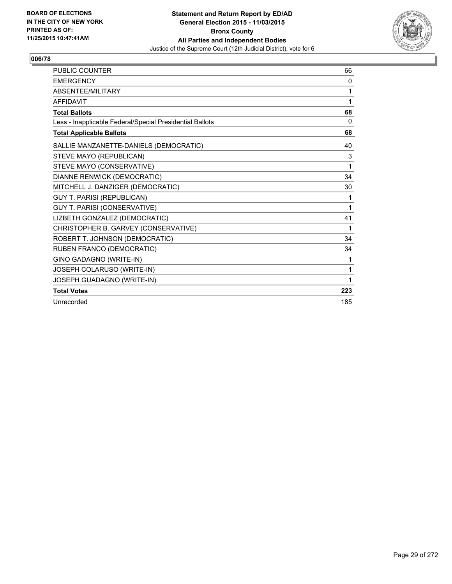

| <b>PUBLIC COUNTER</b>                                    | 66  |
|----------------------------------------------------------|-----|
| <b>EMERGENCY</b>                                         | 0   |
| ABSENTEE/MILITARY                                        | 1   |
| <b>AFFIDAVIT</b>                                         | 1   |
| <b>Total Ballots</b>                                     | 68  |
| Less - Inapplicable Federal/Special Presidential Ballots | 0   |
| <b>Total Applicable Ballots</b>                          | 68  |
| SALLIE MANZANETTE-DANIELS (DEMOCRATIC)                   | 40  |
| STEVE MAYO (REPUBLICAN)                                  | 3   |
| STEVE MAYO (CONSERVATIVE)                                | 1   |
| DIANNE RENWICK (DEMOCRATIC)                              | 34  |
| MITCHELL J. DANZIGER (DEMOCRATIC)                        | 30  |
| <b>GUY T. PARISI (REPUBLICAN)</b>                        | 1   |
| GUY T. PARISI (CONSERVATIVE)                             | 1   |
| LIZBETH GONZALEZ (DEMOCRATIC)                            | 41  |
| CHRISTOPHER B. GARVEY (CONSERVATIVE)                     | 1   |
| ROBERT T. JOHNSON (DEMOCRATIC)                           | 34  |
| RUBEN FRANCO (DEMOCRATIC)                                | 34  |
| GINO GADAGNO (WRITE-IN)                                  | 1   |
| JOSEPH COLARUSO (WRITE-IN)                               | 1   |
| JOSEPH GUADAGNO (WRITE-IN)                               | 1   |
| <b>Total Votes</b>                                       | 223 |
| Unrecorded                                               | 185 |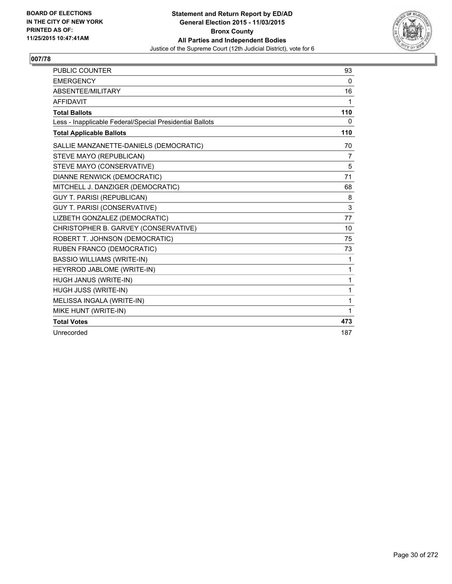

| PUBLIC COUNTER                                           | 93             |
|----------------------------------------------------------|----------------|
| <b>EMERGENCY</b>                                         | $\mathbf{0}$   |
| ABSENTEE/MILITARY                                        | 16             |
| <b>AFFIDAVIT</b>                                         | 1              |
| <b>Total Ballots</b>                                     | 110            |
| Less - Inapplicable Federal/Special Presidential Ballots | 0              |
| <b>Total Applicable Ballots</b>                          | 110            |
| SALLIE MANZANETTE-DANIELS (DEMOCRATIC)                   | 70             |
| STEVE MAYO (REPUBLICAN)                                  | $\overline{7}$ |
| STEVE MAYO (CONSERVATIVE)                                | 5              |
| DIANNE RENWICK (DEMOCRATIC)                              | 71             |
| MITCHELL J. DANZIGER (DEMOCRATIC)                        | 68             |
| <b>GUY T. PARISI (REPUBLICAN)</b>                        | 8              |
| <b>GUY T. PARISI (CONSERVATIVE)</b>                      | 3              |
| LIZBETH GONZALEZ (DEMOCRATIC)                            | 77             |
| CHRISTOPHER B. GARVEY (CONSERVATIVE)                     | 10             |
| ROBERT T. JOHNSON (DEMOCRATIC)                           | 75             |
| RUBEN FRANCO (DEMOCRATIC)                                | 73             |
| <b>BASSIO WILLIAMS (WRITE-IN)</b>                        | 1              |
| HEYRROD JABLOME (WRITE-IN)                               | 1              |
| HUGH JANUS (WRITE-IN)                                    | $\mathbf{1}$   |
| HUGH JUSS (WRITE-IN)                                     | $\mathbf{1}$   |
| MELISSA INGALA (WRITE-IN)                                | 1              |
| MIKE HUNT (WRITE-IN)                                     | 1              |
| <b>Total Votes</b>                                       | 473            |
| Unrecorded                                               | 187            |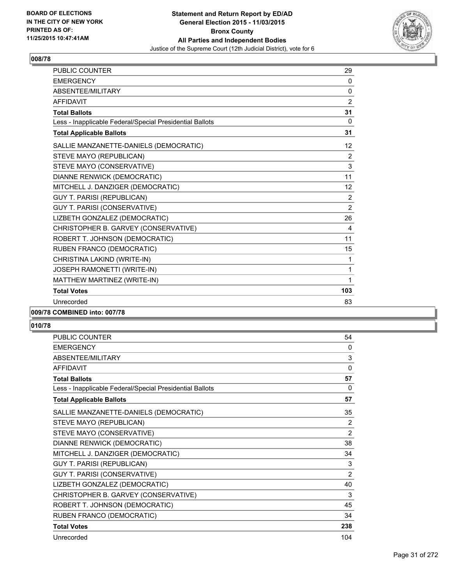

| <b>PUBLIC COUNTER</b>                                    | 29             |
|----------------------------------------------------------|----------------|
| <b>EMERGENCY</b>                                         | 0              |
| ABSENTEE/MILITARY                                        | 0              |
| <b>AFFIDAVIT</b>                                         | $\overline{2}$ |
| <b>Total Ballots</b>                                     | 31             |
| Less - Inapplicable Federal/Special Presidential Ballots | $\mathbf 0$    |
| <b>Total Applicable Ballots</b>                          | 31             |
| SALLIE MANZANETTE-DANIELS (DEMOCRATIC)                   | 12             |
| STEVE MAYO (REPUBLICAN)                                  | 2              |
| STEVE MAYO (CONSERVATIVE)                                | 3              |
| DIANNE RENWICK (DEMOCRATIC)                              | 11             |
| MITCHELL J. DANZIGER (DEMOCRATIC)                        | 12             |
| <b>GUY T. PARISI (REPUBLICAN)</b>                        | 2              |
| GUY T. PARISI (CONSERVATIVE)                             | 2              |
| LIZBETH GONZALEZ (DEMOCRATIC)                            | 26             |
| CHRISTOPHER B. GARVEY (CONSERVATIVE)                     | 4              |
| ROBERT T. JOHNSON (DEMOCRATIC)                           | 11             |
| RUBEN FRANCO (DEMOCRATIC)                                | 15             |
| CHRISTINA LAKIND (WRITE-IN)                              | $\mathbf{1}$   |
| JOSEPH RAMONETTI (WRITE-IN)                              | 1              |
| MATTHEW MARTINEZ (WRITE-IN)                              | 1              |
| <b>Total Votes</b>                                       | 103            |
| Unrecorded                                               | 83             |
|                                                          |                |

# **009/78 COMBINED into: 007/78**

| PUBLIC COUNTER                                           | 54             |
|----------------------------------------------------------|----------------|
| <b>EMERGENCY</b>                                         | $\Omega$       |
| <b>ABSENTEF/MILITARY</b>                                 | 3              |
| <b>AFFIDAVIT</b>                                         | 0              |
| <b>Total Ballots</b>                                     | 57             |
| Less - Inapplicable Federal/Special Presidential Ballots | 0              |
| <b>Total Applicable Ballots</b>                          | 57             |
| SALLIE MANZANETTE-DANIELS (DEMOCRATIC)                   | 35             |
| STEVE MAYO (REPUBLICAN)                                  | 2              |
| STEVE MAYO (CONSERVATIVE)                                | $\overline{2}$ |
| DIANNE RENWICK (DEMOCRATIC)                              | 38             |
| MITCHELL J. DANZIGER (DEMOCRATIC)                        | 34             |
| <b>GUY T. PARISI (REPUBLICAN)</b>                        | 3              |
| GUY T. PARISI (CONSERVATIVE)                             | $\overline{2}$ |
| LIZBETH GONZALEZ (DEMOCRATIC)                            | 40             |
| CHRISTOPHER B. GARVEY (CONSERVATIVE)                     | 3              |
| ROBERT T. JOHNSON (DEMOCRATIC)                           | 45             |
| RUBEN FRANCO (DEMOCRATIC)                                | 34             |
| <b>Total Votes</b>                                       | 238            |
| Unrecorded                                               | 104            |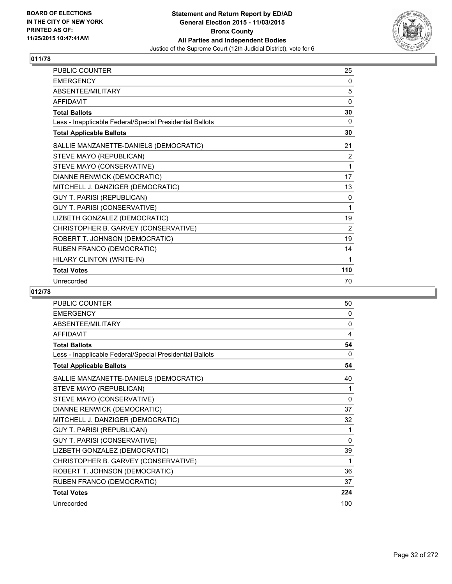

| <b>PUBLIC COUNTER</b>                                    | 25  |
|----------------------------------------------------------|-----|
| <b>EMERGENCY</b>                                         | 0   |
| ABSENTEE/MILITARY                                        | 5   |
| <b>AFFIDAVIT</b>                                         | 0   |
| <b>Total Ballots</b>                                     | 30  |
| Less - Inapplicable Federal/Special Presidential Ballots | 0   |
| <b>Total Applicable Ballots</b>                          | 30  |
| SALLIE MANZANETTE-DANIELS (DEMOCRATIC)                   | 21  |
| STEVE MAYO (REPUBLICAN)                                  | 2   |
| STEVE MAYO (CONSERVATIVE)                                | 1   |
| DIANNE RENWICK (DEMOCRATIC)                              | 17  |
| MITCHELL J. DANZIGER (DEMOCRATIC)                        | 13  |
| <b>GUY T. PARISI (REPUBLICAN)</b>                        | 0   |
| GUY T. PARISI (CONSERVATIVE)                             | 1   |
| LIZBETH GONZALEZ (DEMOCRATIC)                            | 19  |
| CHRISTOPHER B. GARVEY (CONSERVATIVE)                     | 2   |
| ROBERT T. JOHNSON (DEMOCRATIC)                           | 19  |
| RUBEN FRANCO (DEMOCRATIC)                                | 14  |
| HILARY CLINTON (WRITE-IN)                                | 1   |
| <b>Total Votes</b>                                       | 110 |
| Unrecorded                                               | 70  |

| PUBLIC COUNTER                                           | 50  |
|----------------------------------------------------------|-----|
| <b>EMERGENCY</b>                                         | 0   |
| ABSENTEE/MILITARY                                        | 0   |
| <b>AFFIDAVIT</b>                                         | 4   |
| <b>Total Ballots</b>                                     | 54  |
| Less - Inapplicable Federal/Special Presidential Ballots | 0   |
| <b>Total Applicable Ballots</b>                          | 54  |
| SALLIE MANZANETTE-DANIELS (DEMOCRATIC)                   | 40  |
| STEVE MAYO (REPUBLICAN)                                  | 1   |
| STEVE MAYO (CONSERVATIVE)                                | 0   |
| DIANNE RENWICK (DEMOCRATIC)                              | 37  |
| MITCHELL J. DANZIGER (DEMOCRATIC)                        | 32  |
| <b>GUY T. PARISI (REPUBLICAN)</b>                        | 1   |
| GUY T. PARISI (CONSERVATIVE)                             | 0   |
| LIZBETH GONZALEZ (DEMOCRATIC)                            | 39  |
| CHRISTOPHER B. GARVEY (CONSERVATIVE)                     | 1   |
| ROBERT T. JOHNSON (DEMOCRATIC)                           | 36  |
| RUBEN FRANCO (DEMOCRATIC)                                | 37  |
| <b>Total Votes</b>                                       | 224 |
| Unrecorded                                               | 100 |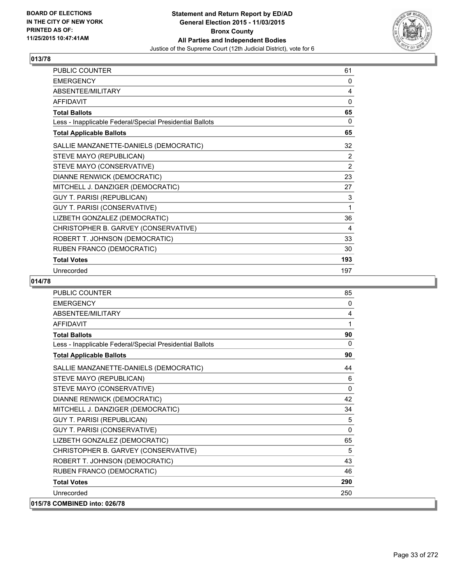

| PUBLIC COUNTER                                           | 61             |
|----------------------------------------------------------|----------------|
| <b>EMERGENCY</b>                                         | 0              |
| ABSENTEE/MILITARY                                        | 4              |
| <b>AFFIDAVIT</b>                                         | 0              |
| <b>Total Ballots</b>                                     | 65             |
| Less - Inapplicable Federal/Special Presidential Ballots | 0              |
| <b>Total Applicable Ballots</b>                          | 65             |
| SALLIE MANZANETTE-DANIELS (DEMOCRATIC)                   | 32             |
| STEVE MAYO (REPUBLICAN)                                  | 2              |
| STEVE MAYO (CONSERVATIVE)                                | $\overline{2}$ |
| DIANNE RENWICK (DEMOCRATIC)                              | 23             |
| MITCHELL J. DANZIGER (DEMOCRATIC)                        | 27             |
| <b>GUY T. PARISI (REPUBLICAN)</b>                        | 3              |
| GUY T. PARISI (CONSERVATIVE)                             | 1              |
| LIZBETH GONZALEZ (DEMOCRATIC)                            | 36             |
| CHRISTOPHER B. GARVEY (CONSERVATIVE)                     | 4              |
| ROBERT T. JOHNSON (DEMOCRATIC)                           | 33             |
| RUBEN FRANCO (DEMOCRATIC)                                | 30             |
| <b>Total Votes</b>                                       | 193            |
| Unrecorded                                               | 197            |

| <b>PUBLIC COUNTER</b>                                    | 85       |
|----------------------------------------------------------|----------|
| <b>EMERGENCY</b>                                         | 0        |
| <b>ABSENTEE/MILITARY</b>                                 | 4        |
| <b>AFFIDAVIT</b>                                         | 1        |
| <b>Total Ballots</b>                                     | 90       |
| Less - Inapplicable Federal/Special Presidential Ballots | $\Omega$ |
| <b>Total Applicable Ballots</b>                          | 90       |
| SALLIE MANZANETTE-DANIELS (DEMOCRATIC)                   | 44       |
| STEVE MAYO (REPUBLICAN)                                  | 6        |
| STEVE MAYO (CONSERVATIVE)                                | $\Omega$ |
| DIANNE RENWICK (DEMOCRATIC)                              | 42       |
| MITCHELL J. DANZIGER (DEMOCRATIC)                        | 34       |
| <b>GUY T. PARISI (REPUBLICAN)</b>                        | 5        |
| GUY T. PARISI (CONSERVATIVE)                             | 0        |
| LIZBETH GONZALEZ (DEMOCRATIC)                            | 65       |
| CHRISTOPHER B. GARVEY (CONSERVATIVE)                     | 5        |
| ROBERT T. JOHNSON (DEMOCRATIC)                           | 43       |
| RUBEN FRANCO (DEMOCRATIC)                                | 46       |
| <b>Total Votes</b>                                       | 290      |
| Unrecorded                                               | 250      |
| 015/78 COMBINED into: 026/78                             |          |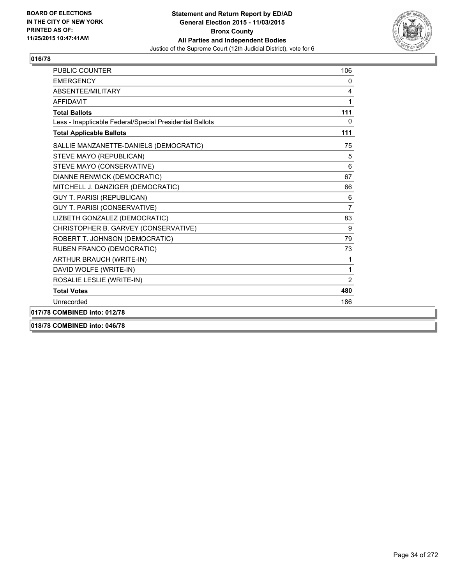

| PUBLIC COUNTER                                           | 106   |
|----------------------------------------------------------|-------|
| <b>EMERGENCY</b>                                         | 0     |
| ABSENTEE/MILITARY                                        | 4     |
| <b>AFFIDAVIT</b>                                         | 1     |
| <b>Total Ballots</b>                                     | $111$ |
| Less - Inapplicable Federal/Special Presidential Ballots | 0     |
| <b>Total Applicable Ballots</b>                          | 111   |
| SALLIE MANZANETTE-DANIELS (DEMOCRATIC)                   | 75    |
| STEVE MAYO (REPUBLICAN)                                  | 5     |
| STEVE MAYO (CONSERVATIVE)                                | 6     |
| <b>DIANNE RENWICK (DEMOCRATIC)</b>                       | 67    |
| MITCHELL J. DANZIGER (DEMOCRATIC)                        | 66    |
| <b>GUY T. PARISI (REPUBLICAN)</b>                        | 6     |
| GUY T. PARISI (CONSERVATIVE)                             | 7     |
| LIZBETH GONZALEZ (DEMOCRATIC)                            | 83    |
| CHRISTOPHER B. GARVEY (CONSERVATIVE)                     | 9     |
| ROBERT T. JOHNSON (DEMOCRATIC)                           | 79    |
| RUBEN FRANCO (DEMOCRATIC)                                | 73    |
| ARTHUR BRAUCH (WRITE-IN)                                 | 1     |
| DAVID WOLFE (WRITE-IN)                                   | 1     |
| ROSALIE LESLIE (WRITE-IN)                                | 2     |
| <b>Total Votes</b>                                       | 480   |
| Unrecorded                                               | 186   |
| 017/78 COMBINED into: 012/78                             |       |
|                                                          |       |

**018/78 COMBINED into: 046/78**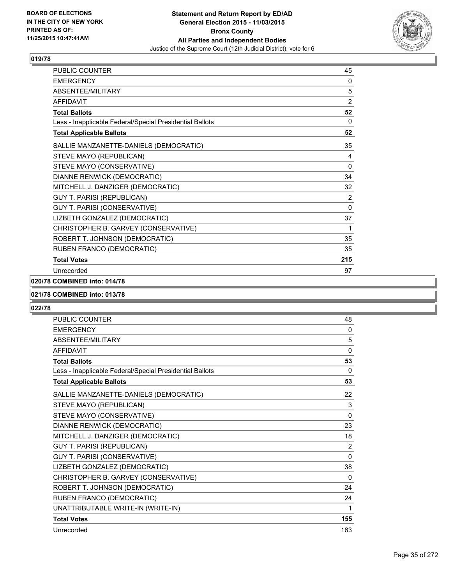

| PUBLIC COUNTER                                           | 45             |
|----------------------------------------------------------|----------------|
| <b>EMERGENCY</b>                                         | 0              |
| ABSENTEE/MILITARY                                        | 5              |
| <b>AFFIDAVIT</b>                                         | $\overline{2}$ |
| <b>Total Ballots</b>                                     | 52             |
| Less - Inapplicable Federal/Special Presidential Ballots | 0              |
| <b>Total Applicable Ballots</b>                          | 52             |
| SALLIE MANZANETTE-DANIELS (DEMOCRATIC)                   | 35             |
| STEVE MAYO (REPUBLICAN)                                  | 4              |
| STEVE MAYO (CONSERVATIVE)                                | 0              |
| DIANNE RENWICK (DEMOCRATIC)                              | 34             |
| MITCHELL J. DANZIGER (DEMOCRATIC)                        | 32             |
| <b>GUY T. PARISI (REPUBLICAN)</b>                        | 2              |
| GUY T. PARISI (CONSERVATIVE)                             | $\mathbf{0}$   |
| LIZBETH GONZALEZ (DEMOCRATIC)                            | 37             |
| CHRISTOPHER B. GARVEY (CONSERVATIVE)                     | 1              |
| ROBERT T. JOHNSON (DEMOCRATIC)                           | 35             |
| RUBEN FRANCO (DEMOCRATIC)                                | 35             |
| <b>Total Votes</b>                                       | 215            |
| Unrecorded                                               | 97             |

## **020/78 COMBINED into: 014/78**

#### **021/78 COMBINED into: 013/78**

| <b>PUBLIC COUNTER</b>                                    | 48           |
|----------------------------------------------------------|--------------|
| <b>EMERGENCY</b>                                         | 0            |
| <b>ABSENTEE/MILITARY</b>                                 | 5            |
| <b>AFFIDAVIT</b>                                         | $\mathbf{0}$ |
| <b>Total Ballots</b>                                     | 53           |
| Less - Inapplicable Federal/Special Presidential Ballots | 0            |
| <b>Total Applicable Ballots</b>                          | 53           |
| SALLIE MANZANETTE-DANIELS (DEMOCRATIC)                   | 22           |
| STEVE MAYO (REPUBLICAN)                                  | 3            |
| STEVE MAYO (CONSERVATIVE)                                | $\Omega$     |
| DIANNE RENWICK (DEMOCRATIC)                              | 23           |
| MITCHELL J. DANZIGER (DEMOCRATIC)                        | 18           |
| <b>GUY T. PARISI (REPUBLICAN)</b>                        | 2            |
| GUY T. PARISI (CONSERVATIVE)                             | 0            |
| LIZBETH GONZALEZ (DEMOCRATIC)                            | 38           |
| CHRISTOPHER B. GARVEY (CONSERVATIVE)                     | 0            |
| ROBERT T. JOHNSON (DEMOCRATIC)                           | 24           |
| RUBEN FRANCO (DEMOCRATIC)                                | 24           |
| UNATTRIBUTABLE WRITE-IN (WRITE-IN)                       | 1            |
| <b>Total Votes</b>                                       | 155          |
| Unrecorded                                               | 163          |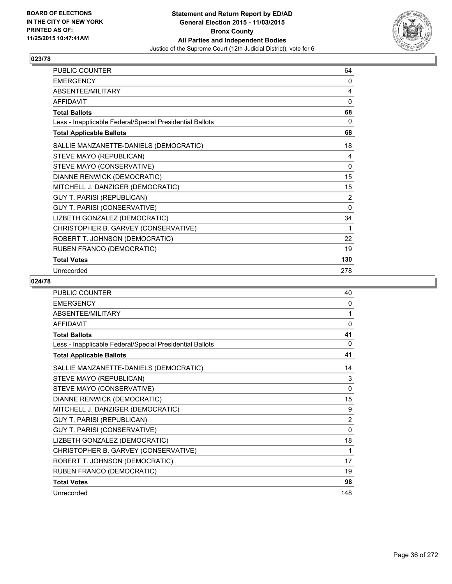

| <b>PUBLIC COUNTER</b>                                    | 64       |
|----------------------------------------------------------|----------|
| <b>EMERGENCY</b>                                         | 0        |
| ABSENTEE/MILITARY                                        | 4        |
| <b>AFFIDAVIT</b>                                         | 0        |
| <b>Total Ballots</b>                                     | 68       |
| Less - Inapplicable Federal/Special Presidential Ballots | 0        |
| <b>Total Applicable Ballots</b>                          | 68       |
| SALLIE MANZANETTE-DANIELS (DEMOCRATIC)                   | 18       |
| STEVE MAYO (REPUBLICAN)                                  | 4        |
| STEVE MAYO (CONSERVATIVE)                                | 0        |
| DIANNE RENWICK (DEMOCRATIC)                              | 15       |
| MITCHELL J. DANZIGER (DEMOCRATIC)                        | 15       |
| <b>GUY T. PARISI (REPUBLICAN)</b>                        | 2        |
| GUY T. PARISI (CONSERVATIVE)                             | $\Omega$ |
| LIZBETH GONZALEZ (DEMOCRATIC)                            | 34       |
| CHRISTOPHER B. GARVEY (CONSERVATIVE)                     | 1        |
| ROBERT T. JOHNSON (DEMOCRATIC)                           | 22       |
| RUBEN FRANCO (DEMOCRATIC)                                | 19       |
| <b>Total Votes</b>                                       | 130      |
| Unrecorded                                               | 278      |

| <b>PUBLIC COUNTER</b>                                    | 40             |
|----------------------------------------------------------|----------------|
| <b>EMERGENCY</b>                                         | 0              |
| ABSENTEE/MILITARY                                        | 1              |
| <b>AFFIDAVIT</b>                                         | $\mathbf{0}$   |
| <b>Total Ballots</b>                                     | 41             |
| Less - Inapplicable Federal/Special Presidential Ballots | $\Omega$       |
| <b>Total Applicable Ballots</b>                          | 41             |
| SALLIE MANZANETTE-DANIELS (DEMOCRATIC)                   | 14             |
| STEVE MAYO (REPUBLICAN)                                  | 3              |
| STEVE MAYO (CONSERVATIVE)                                | $\mathbf{0}$   |
| DIANNE RENWICK (DEMOCRATIC)                              | 15             |
| MITCHELL J. DANZIGER (DEMOCRATIC)                        | 9              |
| <b>GUY T. PARISI (REPUBLICAN)</b>                        | $\overline{2}$ |
| GUY T. PARISI (CONSERVATIVE)                             | $\mathbf{0}$   |
| LIZBETH GONZALEZ (DEMOCRATIC)                            | 18             |
| CHRISTOPHER B. GARVEY (CONSERVATIVE)                     | 1              |
| ROBERT T. JOHNSON (DEMOCRATIC)                           | 17             |
| RUBEN FRANCO (DEMOCRATIC)                                | 19             |
| <b>Total Votes</b>                                       | 98             |
| Unrecorded                                               | 148            |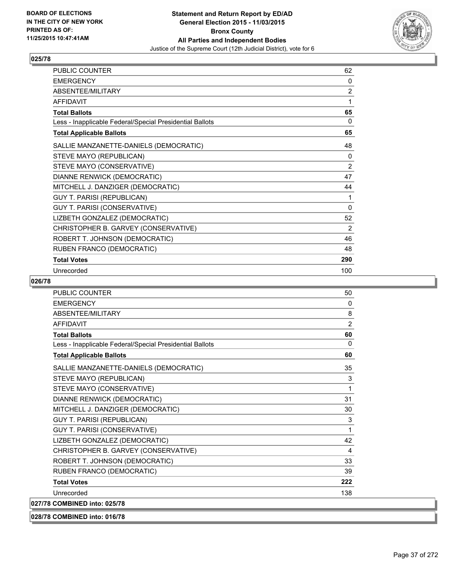

| <b>PUBLIC COUNTER</b>                                    | 62       |
|----------------------------------------------------------|----------|
| <b>EMERGENCY</b>                                         | 0        |
| ABSENTEE/MILITARY                                        | 2        |
| <b>AFFIDAVIT</b>                                         | 1        |
| <b>Total Ballots</b>                                     | 65       |
| Less - Inapplicable Federal/Special Presidential Ballots | 0        |
| <b>Total Applicable Ballots</b>                          | 65       |
| SALLIE MANZANETTE-DANIELS (DEMOCRATIC)                   | 48       |
| STEVE MAYO (REPUBLICAN)                                  | 0        |
| STEVE MAYO (CONSERVATIVE)                                | 2        |
| DIANNE RENWICK (DEMOCRATIC)                              | 47       |
| MITCHELL J. DANZIGER (DEMOCRATIC)                        | 44       |
| <b>GUY T. PARISI (REPUBLICAN)</b>                        | 1        |
| GUY T. PARISI (CONSERVATIVE)                             | $\Omega$ |
| LIZBETH GONZALEZ (DEMOCRATIC)                            | 52       |
| CHRISTOPHER B. GARVEY (CONSERVATIVE)                     | 2        |
| ROBERT T. JOHNSON (DEMOCRATIC)                           | 46       |
| RUBEN FRANCO (DEMOCRATIC)                                | 48       |
| <b>Total Votes</b>                                       | 290      |
| Unrecorded                                               | 100      |

| 028/78 COMBINED into: 016/78                             |                |
|----------------------------------------------------------|----------------|
| 027/78 COMBINED into: 025/78                             |                |
| Unrecorded                                               | 138            |
| <b>Total Votes</b>                                       | 222            |
| RUBEN FRANCO (DEMOCRATIC)                                | 39             |
| ROBERT T. JOHNSON (DEMOCRATIC)                           | 33             |
| CHRISTOPHER B. GARVEY (CONSERVATIVE)                     | 4              |
| LIZBETH GONZALEZ (DEMOCRATIC)                            | 42             |
| <b>GUY T. PARISI (CONSERVATIVE)</b>                      | 1              |
| <b>GUY T. PARISI (REPUBLICAN)</b>                        | 3              |
| MITCHELL J. DANZIGER (DEMOCRATIC)                        | 30             |
| DIANNE RENWICK (DEMOCRATIC)                              | 31             |
| STEVE MAYO (CONSERVATIVE)                                | 1              |
| STEVE MAYO (REPUBLICAN)                                  | 3              |
| SALLIE MANZANETTE-DANIELS (DEMOCRATIC)                   | 35             |
| <b>Total Applicable Ballots</b>                          | 60             |
| Less - Inapplicable Federal/Special Presidential Ballots | $\mathbf{0}$   |
| <b>Total Ballots</b>                                     | 60             |
| AFFIDAVIT                                                | $\overline{2}$ |
| ABSENTEE/MILITARY                                        | 8              |
| <b>EMERGENCY</b>                                         | $\mathbf{0}$   |
| <b>PUBLIC COUNTER</b>                                    | 50             |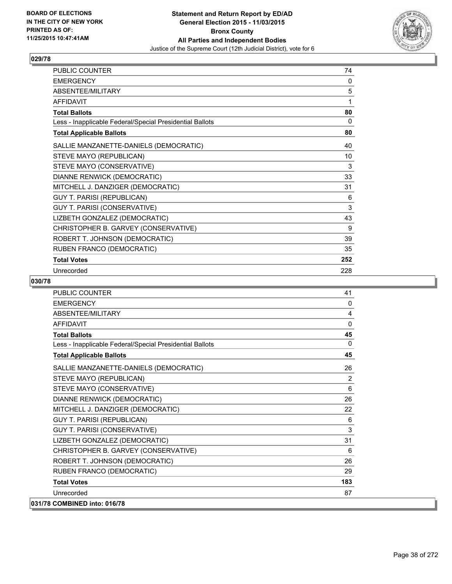

| PUBLIC COUNTER                                           | 74  |
|----------------------------------------------------------|-----|
| <b>EMERGENCY</b>                                         | 0   |
| ABSENTEE/MILITARY                                        | 5   |
| <b>AFFIDAVIT</b>                                         | 1   |
| <b>Total Ballots</b>                                     | 80  |
| Less - Inapplicable Federal/Special Presidential Ballots | 0   |
| <b>Total Applicable Ballots</b>                          | 80  |
| SALLIE MANZANETTE-DANIELS (DEMOCRATIC)                   | 40  |
| STEVE MAYO (REPUBLICAN)                                  | 10  |
| STEVE MAYO (CONSERVATIVE)                                | 3   |
| DIANNE RENWICK (DEMOCRATIC)                              | 33  |
| MITCHELL J. DANZIGER (DEMOCRATIC)                        | 31  |
| <b>GUY T. PARISI (REPUBLICAN)</b>                        | 6   |
| GUY T. PARISI (CONSERVATIVE)                             | 3   |
| LIZBETH GONZALEZ (DEMOCRATIC)                            | 43  |
| CHRISTOPHER B. GARVEY (CONSERVATIVE)                     | 9   |
| ROBERT T. JOHNSON (DEMOCRATIC)                           | 39  |
| RUBEN FRANCO (DEMOCRATIC)                                | 35  |
| <b>Total Votes</b>                                       | 252 |
| Unrecorded                                               | 228 |

| <b>PUBLIC COUNTER</b>                                    | 41           |
|----------------------------------------------------------|--------------|
| <b>EMERGENCY</b>                                         | 0            |
| ABSENTEE/MILITARY                                        | 4            |
| <b>AFFIDAVIT</b>                                         | 0            |
| <b>Total Ballots</b>                                     | 45           |
| Less - Inapplicable Federal/Special Presidential Ballots | $\mathbf{0}$ |
| <b>Total Applicable Ballots</b>                          | 45           |
| SALLIE MANZANETTE-DANIELS (DEMOCRATIC)                   | 26           |
| STEVE MAYO (REPUBLICAN)                                  | 2            |
| STEVE MAYO (CONSERVATIVE)                                | 6            |
| DIANNE RENWICK (DEMOCRATIC)                              | 26           |
| MITCHELL J. DANZIGER (DEMOCRATIC)                        | 22           |
| <b>GUY T. PARISI (REPUBLICAN)</b>                        | 6            |
| GUY T. PARISI (CONSERVATIVE)                             | 3            |
| LIZBETH GONZALEZ (DEMOCRATIC)                            | 31           |
| CHRISTOPHER B. GARVEY (CONSERVATIVE)                     | 6            |
| ROBERT T. JOHNSON (DEMOCRATIC)                           | 26           |
| RUBEN FRANCO (DEMOCRATIC)                                | 29           |
| <b>Total Votes</b>                                       | 183          |
| Unrecorded                                               | 87           |
| 031/78 COMBINED into: 016/78                             |              |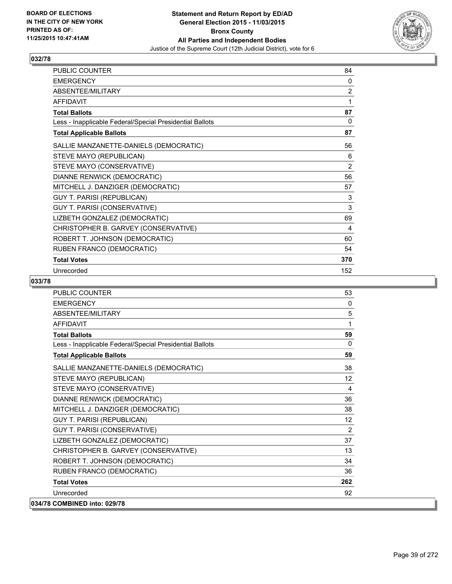

| PUBLIC COUNTER                                           | 84  |
|----------------------------------------------------------|-----|
| <b>EMERGENCY</b>                                         | 0   |
| ABSENTEE/MILITARY                                        | 2   |
| <b>AFFIDAVIT</b>                                         | 1   |
| <b>Total Ballots</b>                                     | 87  |
| Less - Inapplicable Federal/Special Presidential Ballots | 0   |
| <b>Total Applicable Ballots</b>                          | 87  |
| SALLIE MANZANETTE-DANIELS (DEMOCRATIC)                   | 56  |
| STEVE MAYO (REPUBLICAN)                                  | 6   |
| STEVE MAYO (CONSERVATIVE)                                | 2   |
| DIANNE RENWICK (DEMOCRATIC)                              | 56  |
| MITCHELL J. DANZIGER (DEMOCRATIC)                        | 57  |
| <b>GUY T. PARISI (REPUBLICAN)</b>                        | 3   |
| GUY T. PARISI (CONSERVATIVE)                             | 3   |
| LIZBETH GONZALEZ (DEMOCRATIC)                            | 69  |
| CHRISTOPHER B. GARVEY (CONSERVATIVE)                     | 4   |
| ROBERT T. JOHNSON (DEMOCRATIC)                           | 60  |
| RUBEN FRANCO (DEMOCRATIC)                                | 54  |
| <b>Total Votes</b>                                       | 370 |
| Unrecorded                                               | 152 |

| <b>PUBLIC COUNTER</b>                                    | 53       |
|----------------------------------------------------------|----------|
| <b>EMERGENCY</b>                                         | 0        |
| <b>ABSENTEE/MILITARY</b>                                 | 5        |
| <b>AFFIDAVIT</b>                                         | 1        |
| <b>Total Ballots</b>                                     | 59       |
| Less - Inapplicable Federal/Special Presidential Ballots | $\Omega$ |
| <b>Total Applicable Ballots</b>                          | 59       |
| SALLIE MANZANETTE-DANIELS (DEMOCRATIC)                   | 38       |
| STEVE MAYO (REPUBLICAN)                                  | 12       |
| STEVE MAYO (CONSERVATIVE)                                | 4        |
| <b>DIANNE RENWICK (DEMOCRATIC)</b>                       | 36       |
| MITCHELL J. DANZIGER (DEMOCRATIC)                        | 38       |
| <b>GUY T. PARISI (REPUBLICAN)</b>                        | 12       |
| GUY T. PARISI (CONSERVATIVE)                             | 2        |
| LIZBETH GONZALEZ (DEMOCRATIC)                            | 37       |
| CHRISTOPHER B. GARVEY (CONSERVATIVE)                     | 13       |
| ROBERT T. JOHNSON (DEMOCRATIC)                           | 34       |
| RUBEN FRANCO (DEMOCRATIC)                                | 36       |
| <b>Total Votes</b>                                       | 262      |
| Unrecorded                                               | 92       |
| 034/78 COMBINED into: 029/78                             |          |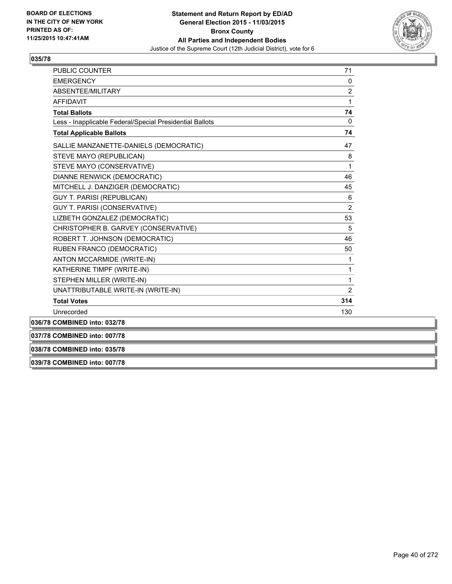

| PUBLIC COUNTER                                           | 71             |
|----------------------------------------------------------|----------------|
| <b>EMERGENCY</b>                                         | 0              |
| ABSENTEE/MILITARY                                        | $\overline{2}$ |
| <b>AFFIDAVIT</b>                                         | $\mathbf{1}$   |
| <b>Total Ballots</b>                                     | 74             |
| Less - Inapplicable Federal/Special Presidential Ballots | 0              |
| <b>Total Applicable Ballots</b>                          | 74             |
| SALLIE MANZANETTE-DANIELS (DEMOCRATIC)                   | 47             |
| STEVE MAYO (REPUBLICAN)                                  | 8              |
| STEVE MAYO (CONSERVATIVE)                                | $\mathbf{1}$   |
| DIANNE RENWICK (DEMOCRATIC)                              | 46             |
| MITCHELL J. DANZIGER (DEMOCRATIC)                        | 45             |
| <b>GUY T. PARISI (REPUBLICAN)</b>                        | 6              |
| <b>GUY T. PARISI (CONSERVATIVE)</b>                      | $\overline{2}$ |
| LIZBETH GONZALEZ (DEMOCRATIC)                            | 53             |
| CHRISTOPHER B. GARVEY (CONSERVATIVE)                     | 5              |
| ROBERT T. JOHNSON (DEMOCRATIC)                           | 46             |
| RUBEN FRANCO (DEMOCRATIC)                                | 50             |
| ANTON MCCARMIDE (WRITE-IN)                               | 1              |
| KATHERINE TIMPF (WRITE-IN)                               | 1              |
| STEPHEN MILLER (WRITE-IN)                                | 1              |
| UNATTRIBUTABLE WRITE-IN (WRITE-IN)                       | $\overline{2}$ |
| <b>Total Votes</b>                                       | 314            |
| Unrecorded                                               | 130            |
| 036/78 COMBINED into: 032/78                             |                |
| 037/78 COMBINED into: 007/78                             |                |

**038/78 COMBINED into: 035/78**

**039/78 COMBINED into: 007/78**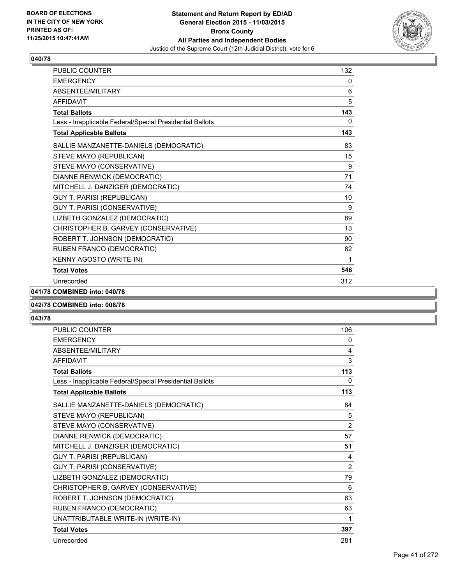

| PUBLIC COUNTER                                           | 132 |
|----------------------------------------------------------|-----|
| <b>EMERGENCY</b>                                         | 0   |
| <b>ABSENTEE/MILITARY</b>                                 | 6   |
| <b>AFFIDAVIT</b>                                         | 5   |
| <b>Total Ballots</b>                                     | 143 |
| Less - Inapplicable Federal/Special Presidential Ballots | 0   |
| <b>Total Applicable Ballots</b>                          | 143 |
| SALLIE MANZANETTE-DANIELS (DEMOCRATIC)                   | 83  |
| STEVE MAYO (REPUBLICAN)                                  | 15  |
| STEVE MAYO (CONSERVATIVE)                                | 9   |
| DIANNE RENWICK (DEMOCRATIC)                              | 71  |
| MITCHELL J. DANZIGER (DEMOCRATIC)                        | 74  |
| <b>GUY T. PARISI (REPUBLICAN)</b>                        | 10  |
| GUY T. PARISI (CONSERVATIVE)                             | 9   |
| LIZBETH GONZALEZ (DEMOCRATIC)                            | 89  |
| CHRISTOPHER B. GARVEY (CONSERVATIVE)                     | 13  |
| ROBERT T. JOHNSON (DEMOCRATIC)                           | 90  |
| RUBEN FRANCO (DEMOCRATIC)                                | 82  |
| KENNY AGOSTO (WRITE-IN)                                  | 1   |
| <b>Total Votes</b>                                       | 546 |
| Unrecorded                                               | 312 |

**041/78 COMBINED into: 040/78**

### **042/78 COMBINED into: 008/78**

| <b>PUBLIC COUNTER</b>                                    | 106            |
|----------------------------------------------------------|----------------|
| <b>EMERGENCY</b>                                         | 0              |
| <b>ABSENTEE/MILITARY</b>                                 | 4              |
| <b>AFFIDAVIT</b>                                         | 3              |
| <b>Total Ballots</b>                                     | 113            |
| Less - Inapplicable Federal/Special Presidential Ballots | 0              |
| <b>Total Applicable Ballots</b>                          | 113            |
| SALLIE MANZANETTE-DANIELS (DEMOCRATIC)                   | 64             |
| STEVE MAYO (REPUBLICAN)                                  | 5              |
| STEVE MAYO (CONSERVATIVE)                                | $\overline{2}$ |
| DIANNE RENWICK (DEMOCRATIC)                              | 57             |
| MITCHELL J. DANZIGER (DEMOCRATIC)                        | 51             |
| <b>GUY T. PARISI (REPUBLICAN)</b>                        | 4              |
| GUY T. PARISI (CONSERVATIVE)                             | 2              |
| LIZBETH GONZALEZ (DEMOCRATIC)                            | 79             |
| CHRISTOPHER B. GARVEY (CONSERVATIVE)                     | 6              |
| ROBERT T. JOHNSON (DEMOCRATIC)                           | 63             |
| RUBEN FRANCO (DEMOCRATIC)                                | 63             |
| UNATTRIBUTABLE WRITE-IN (WRITE-IN)                       | 1              |
| <b>Total Votes</b>                                       | 397            |
| Unrecorded                                               | 281            |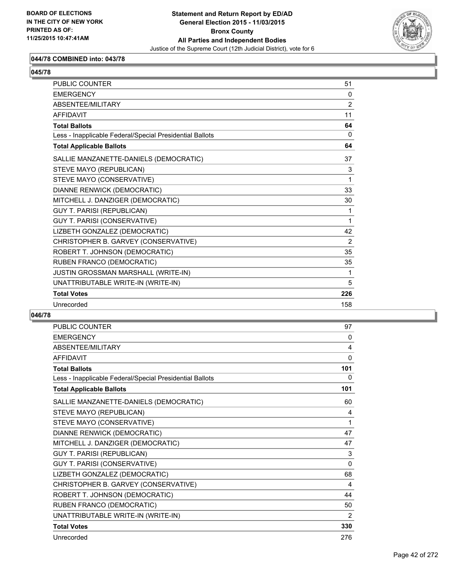

### **044/78 COMBINED into: 043/78**

| <b>PUBLIC COUNTER</b>                                    | 51             |
|----------------------------------------------------------|----------------|
| <b>EMERGENCY</b>                                         | $\Omega$       |
| ABSENTEE/MILITARY                                        | $\overline{2}$ |
| <b>AFFIDAVIT</b>                                         | 11             |
| <b>Total Ballots</b>                                     | 64             |
| Less - Inapplicable Federal/Special Presidential Ballots | $\Omega$       |
| <b>Total Applicable Ballots</b>                          | 64             |
| SALLIE MANZANETTE-DANIELS (DEMOCRATIC)                   | 37             |
| STEVE MAYO (REPUBLICAN)                                  | 3              |
| STEVE MAYO (CONSERVATIVE)                                | 1              |
| DIANNE RENWICK (DEMOCRATIC)                              | 33             |
| MITCHELL J. DANZIGER (DEMOCRATIC)                        | 30             |
| <b>GUY T. PARISI (REPUBLICAN)</b>                        | 1              |
| GUY T. PARISI (CONSERVATIVE)                             | 1              |
| LIZBETH GONZALEZ (DEMOCRATIC)                            | 42             |
| CHRISTOPHER B. GARVEY (CONSERVATIVE)                     | 2              |
| ROBERT T. JOHNSON (DEMOCRATIC)                           | 35             |
| RUBEN FRANCO (DEMOCRATIC)                                | 35             |
| JUSTIN GROSSMAN MARSHALL (WRITE-IN)                      | 1              |
| UNATTRIBUTABLE WRITE-IN (WRITE-IN)                       | 5              |
| <b>Total Votes</b>                                       | 226            |
| Unrecorded                                               | 158            |

| <b>PUBLIC COUNTER</b>                                    | 97           |
|----------------------------------------------------------|--------------|
| <b>EMERGENCY</b>                                         | 0            |
| <b>ABSENTEE/MILITARY</b>                                 | 4            |
| <b>AFFIDAVIT</b>                                         | $\mathbf{0}$ |
| <b>Total Ballots</b>                                     | 101          |
| Less - Inapplicable Federal/Special Presidential Ballots | 0            |
| <b>Total Applicable Ballots</b>                          | 101          |
| SALLIE MANZANETTE-DANIELS (DEMOCRATIC)                   | 60           |
| STEVE MAYO (REPUBLICAN)                                  | 4            |
| STEVE MAYO (CONSERVATIVE)                                | 1            |
| <b>DIANNE RENWICK (DEMOCRATIC)</b>                       | 47           |
| MITCHELL J. DANZIGER (DEMOCRATIC)                        | 47           |
| <b>GUY T. PARISI (REPUBLICAN)</b>                        | 3            |
| GUY T. PARISI (CONSERVATIVE)                             | 0            |
| LIZBETH GONZALEZ (DEMOCRATIC)                            | 68           |
| CHRISTOPHER B. GARVEY (CONSERVATIVE)                     | 4            |
| ROBERT T. JOHNSON (DEMOCRATIC)                           | 44           |
| RUBEN FRANCO (DEMOCRATIC)                                | 50           |
| UNATTRIBUTABLE WRITE-IN (WRITE-IN)                       | 2            |
| <b>Total Votes</b>                                       | 330          |
| Unrecorded                                               | 276          |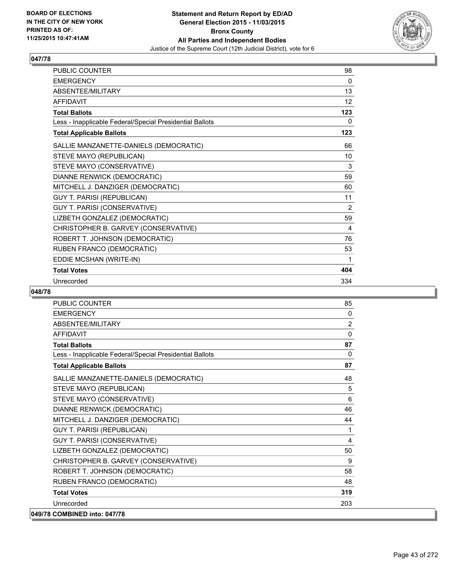

| <b>PUBLIC COUNTER</b>                                    | 98  |
|----------------------------------------------------------|-----|
| <b>EMERGENCY</b>                                         | 0   |
| ABSENTEE/MILITARY                                        | 13  |
| <b>AFFIDAVIT</b>                                         | 12  |
| <b>Total Ballots</b>                                     | 123 |
| Less - Inapplicable Federal/Special Presidential Ballots | 0   |
| <b>Total Applicable Ballots</b>                          | 123 |
| SALLIE MANZANETTE-DANIELS (DEMOCRATIC)                   | 66  |
| STEVE MAYO (REPUBLICAN)                                  | 10  |
| STEVE MAYO (CONSERVATIVE)                                | 3   |
| DIANNE RENWICK (DEMOCRATIC)                              | 59  |
| MITCHELL J. DANZIGER (DEMOCRATIC)                        | 60  |
| <b>GUY T. PARISI (REPUBLICAN)</b>                        | 11  |
| GUY T. PARISI (CONSERVATIVE)                             | 2   |
| LIZBETH GONZALEZ (DEMOCRATIC)                            | 59  |
| CHRISTOPHER B. GARVEY (CONSERVATIVE)                     | 4   |
| ROBERT T. JOHNSON (DEMOCRATIC)                           | 76  |
| RUBEN FRANCO (DEMOCRATIC)                                | 53  |
| EDDIE MCSHAN (WRITE-IN)                                  | 1   |
| <b>Total Votes</b>                                       | 404 |
| Unrecorded                                               | 334 |

| <b>PUBLIC COUNTER</b>                                    | 85           |
|----------------------------------------------------------|--------------|
| <b>EMERGENCY</b>                                         | 0            |
| ABSENTEE/MILITARY                                        | 2            |
| <b>AFFIDAVIT</b>                                         | $\mathbf{0}$ |
| <b>Total Ballots</b>                                     | 87           |
| Less - Inapplicable Federal/Special Presidential Ballots | 0            |
| <b>Total Applicable Ballots</b>                          | 87           |
| SALLIE MANZANETTE-DANIELS (DEMOCRATIC)                   | 48           |
| STEVE MAYO (REPUBLICAN)                                  | 5            |
| STEVE MAYO (CONSERVATIVE)                                | 6            |
| DIANNE RENWICK (DEMOCRATIC)                              | 46           |
| MITCHELL J. DANZIGER (DEMOCRATIC)                        | 44           |
| <b>GUY T. PARISI (REPUBLICAN)</b>                        | 1            |
| GUY T. PARISI (CONSERVATIVE)                             | 4            |
| LIZBETH GONZALEZ (DEMOCRATIC)                            | 50           |
| CHRISTOPHER B. GARVEY (CONSERVATIVE)                     | 9            |
| ROBERT T. JOHNSON (DEMOCRATIC)                           | 58           |
| RUBEN FRANCO (DEMOCRATIC)                                | 48           |
| <b>Total Votes</b>                                       | 319          |
| Unrecorded                                               | 203          |
| 049/78 COMBINED into: 047/78                             |              |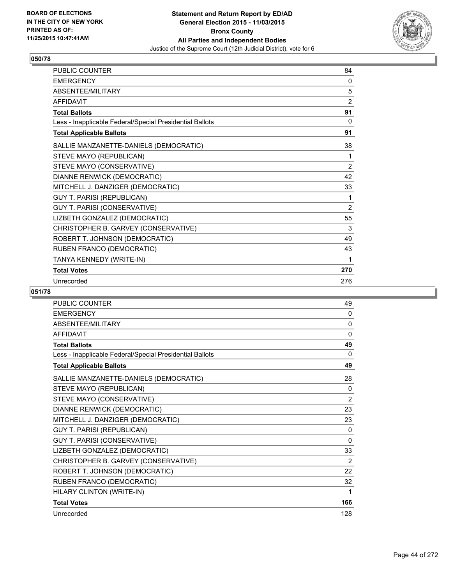

| <b>PUBLIC COUNTER</b>                                    | 84             |
|----------------------------------------------------------|----------------|
| <b>EMERGENCY</b>                                         | 0              |
| ABSENTEE/MILITARY                                        | 5              |
| <b>AFFIDAVIT</b>                                         | 2              |
| <b>Total Ballots</b>                                     | 91             |
| Less - Inapplicable Federal/Special Presidential Ballots | 0              |
| <b>Total Applicable Ballots</b>                          | 91             |
| SALLIE MANZANETTE-DANIELS (DEMOCRATIC)                   | 38             |
| STEVE MAYO (REPUBLICAN)                                  | 1              |
| STEVE MAYO (CONSERVATIVE)                                | 2              |
| DIANNE RENWICK (DEMOCRATIC)                              | 42             |
| MITCHELL J. DANZIGER (DEMOCRATIC)                        | 33             |
| <b>GUY T. PARISI (REPUBLICAN)</b>                        | 1              |
| GUY T. PARISI (CONSERVATIVE)                             | $\overline{2}$ |
| LIZBETH GONZALEZ (DEMOCRATIC)                            | 55             |
| CHRISTOPHER B. GARVEY (CONSERVATIVE)                     | 3              |
| ROBERT T. JOHNSON (DEMOCRATIC)                           | 49             |
| RUBEN FRANCO (DEMOCRATIC)                                | 43             |
| TANYA KENNEDY (WRITE-IN)                                 | 1              |
| <b>Total Votes</b>                                       | 270            |
| Unrecorded                                               | 276            |

| PUBLIC COUNTER                                           | 49           |
|----------------------------------------------------------|--------------|
| <b>EMERGENCY</b>                                         | 0            |
| ABSENTEE/MILITARY                                        | 0            |
| <b>AFFIDAVIT</b>                                         | 0            |
| <b>Total Ballots</b>                                     | 49           |
| Less - Inapplicable Federal/Special Presidential Ballots | 0            |
| <b>Total Applicable Ballots</b>                          | 49           |
| SALLIE MANZANETTE-DANIELS (DEMOCRATIC)                   | 28           |
| STEVE MAYO (REPUBLICAN)                                  | 0            |
| STEVE MAYO (CONSERVATIVE)                                | 2            |
| DIANNE RENWICK (DEMOCRATIC)                              | 23           |
| MITCHELL J. DANZIGER (DEMOCRATIC)                        | 23           |
| <b>GUY T. PARISI (REPUBLICAN)</b>                        | 0            |
| GUY T. PARISI (CONSERVATIVE)                             | $\mathbf{0}$ |
| LIZBETH GONZALEZ (DEMOCRATIC)                            | 33           |
| CHRISTOPHER B. GARVEY (CONSERVATIVE)                     | 2            |
| ROBERT T. JOHNSON (DEMOCRATIC)                           | 22           |
| RUBEN FRANCO (DEMOCRATIC)                                | 32           |
| HILARY CLINTON (WRITE-IN)                                | 1            |
| <b>Total Votes</b>                                       | 166          |
| Unrecorded                                               | 128          |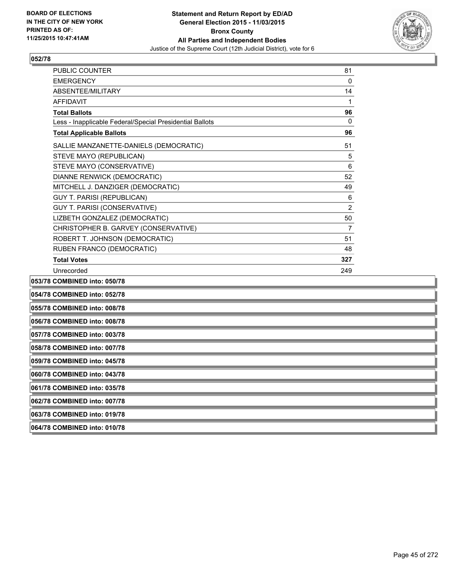

| 054/78 COMBINED into: 052/78                             |                |
|----------------------------------------------------------|----------------|
| 053/78 COMBINED into: 050/78                             |                |
| Unrecorded                                               | 249            |
| <b>Total Votes</b>                                       | 327            |
| RUBEN FRANCO (DEMOCRATIC)                                | 48             |
| ROBERT T. JOHNSON (DEMOCRATIC)                           | 51             |
| CHRISTOPHER B. GARVEY (CONSERVATIVE)                     | $\overline{7}$ |
| LIZBETH GONZALEZ (DEMOCRATIC)                            | 50             |
| GUY T. PARISI (CONSERVATIVE)                             | $\overline{2}$ |
| <b>GUY T. PARISI (REPUBLICAN)</b>                        | 6              |
| MITCHELL J. DANZIGER (DEMOCRATIC)                        | 49             |
| DIANNE RENWICK (DEMOCRATIC)                              | 52             |
| STEVE MAYO (CONSERVATIVE)                                | 6              |
| STEVE MAYO (REPUBLICAN)                                  | 5              |
| SALLIE MANZANETTE-DANIELS (DEMOCRATIC)                   | 51             |
| <b>Total Applicable Ballots</b>                          | 96             |
| Less - Inapplicable Federal/Special Presidential Ballots | $\mathbf{0}$   |
| <b>Total Ballots</b>                                     | 96             |
| <b>AFFIDAVIT</b>                                         | 1              |
| <b>ABSENTFF/MILITARY</b>                                 | 14             |
| <b>EMERGENCY</b>                                         | $\mathbf{0}$   |
| <b>PUBLIC COUNTER</b>                                    | 81             |

**055/78 COMBINED into: 008/78**

**056/78 COMBINED into: 008/78**

**057/78 COMBINED into: 003/78**

**058/78 COMBINED into: 007/78**

**059/78 COMBINED into: 045/78**

**060/78 COMBINED into: 043/78**

**061/78 COMBINED into: 035/78**

**062/78 COMBINED into: 007/78**

**063/78 COMBINED into: 019/78**

**064/78 COMBINED into: 010/78**

Page 45 of 272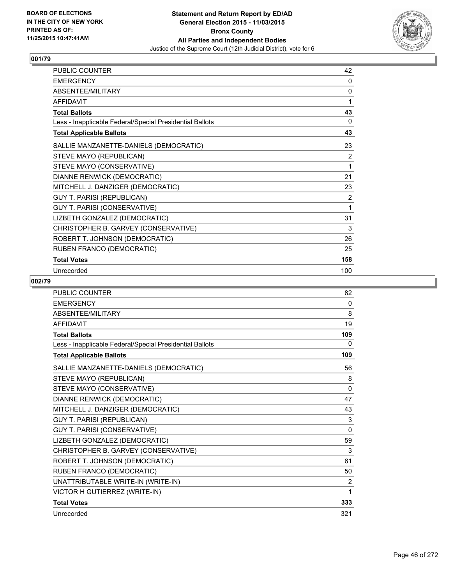

| <b>PUBLIC COUNTER</b>                                    | 42             |
|----------------------------------------------------------|----------------|
| <b>EMERGENCY</b>                                         | 0              |
| ABSENTEE/MILITARY                                        | 0              |
| <b>AFFIDAVIT</b>                                         | 1              |
| <b>Total Ballots</b>                                     | 43             |
| Less - Inapplicable Federal/Special Presidential Ballots | 0              |
| <b>Total Applicable Ballots</b>                          | 43             |
| SALLIE MANZANETTE-DANIELS (DEMOCRATIC)                   | 23             |
| STEVE MAYO (REPUBLICAN)                                  | 2              |
| STEVE MAYO (CONSERVATIVE)                                | 1              |
| DIANNE RENWICK (DEMOCRATIC)                              | 21             |
| MITCHELL J. DANZIGER (DEMOCRATIC)                        | 23             |
| <b>GUY T. PARISI (REPUBLICAN)</b>                        | $\overline{2}$ |
| GUY T. PARISI (CONSERVATIVE)                             | 1              |
| LIZBETH GONZALEZ (DEMOCRATIC)                            | 31             |
| CHRISTOPHER B. GARVEY (CONSERVATIVE)                     | 3              |
| ROBERT T. JOHNSON (DEMOCRATIC)                           | 26             |
| RUBEN FRANCO (DEMOCRATIC)                                | 25             |
| <b>Total Votes</b>                                       | 158            |
| Unrecorded                                               | 100            |

| <b>PUBLIC COUNTER</b>                                    | 82       |
|----------------------------------------------------------|----------|
| <b>EMERGENCY</b>                                         | 0        |
| ABSENTEE/MILITARY                                        | 8        |
| <b>AFFIDAVIT</b>                                         | 19       |
| <b>Total Ballots</b>                                     | 109      |
| Less - Inapplicable Federal/Special Presidential Ballots | 0        |
| <b>Total Applicable Ballots</b>                          | 109      |
| SALLIE MANZANETTE-DANIELS (DEMOCRATIC)                   | 56       |
| STEVE MAYO (REPUBLICAN)                                  | 8        |
| STEVE MAYO (CONSERVATIVE)                                | 0        |
| DIANNE RENWICK (DEMOCRATIC)                              | 47       |
| MITCHELL J. DANZIGER (DEMOCRATIC)                        | 43       |
| <b>GUY T. PARISI (REPUBLICAN)</b>                        | 3        |
| <b>GUY T. PARISI (CONSERVATIVE)</b>                      | $\Omega$ |
| LIZBETH GONZALEZ (DEMOCRATIC)                            | 59       |
| CHRISTOPHER B. GARVEY (CONSERVATIVE)                     | 3        |
| ROBERT T. JOHNSON (DEMOCRATIC)                           | 61       |
| RUBEN FRANCO (DEMOCRATIC)                                | 50       |
| UNATTRIBUTABLE WRITE-IN (WRITE-IN)                       | 2        |
| VICTOR H GUTIERREZ (WRITE-IN)                            | 1        |
| <b>Total Votes</b>                                       | 333      |
| Unrecorded                                               | 321      |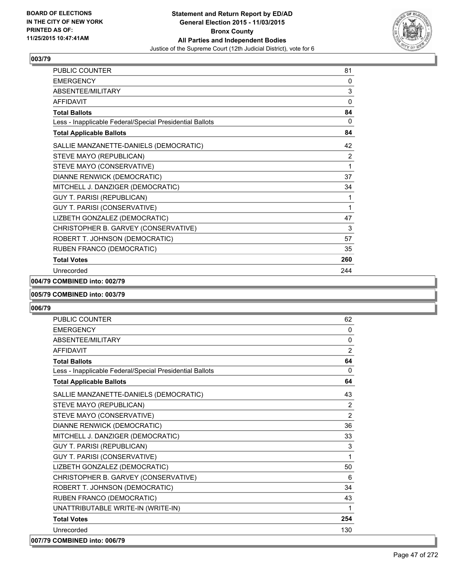

| <b>PUBLIC COUNTER</b>                                    | 81           |
|----------------------------------------------------------|--------------|
| <b>EMERGENCY</b>                                         | 0            |
| ABSENTEE/MILITARY                                        | 3            |
| <b>AFFIDAVIT</b>                                         | $\mathbf{0}$ |
| <b>Total Ballots</b>                                     | 84           |
| Less - Inapplicable Federal/Special Presidential Ballots | 0            |
| <b>Total Applicable Ballots</b>                          | 84           |
| SALLIE MANZANETTE-DANIELS (DEMOCRATIC)                   | 42           |
| STEVE MAYO (REPUBLICAN)                                  | 2            |
| STEVE MAYO (CONSERVATIVE)                                | 1            |
| DIANNE RENWICK (DEMOCRATIC)                              | 37           |
| MITCHELL J. DANZIGER (DEMOCRATIC)                        | 34           |
| GUY T. PARISI (REPUBLICAN)                               | 1            |
| GUY T. PARISI (CONSERVATIVE)                             | 1            |
| LIZBETH GONZALEZ (DEMOCRATIC)                            | 47           |
| CHRISTOPHER B. GARVEY (CONSERVATIVE)                     | 3            |
| ROBERT T. JOHNSON (DEMOCRATIC)                           | 57           |
| RUBEN FRANCO (DEMOCRATIC)                                | 35           |
| <b>Total Votes</b>                                       | 260          |
| Unrecorded                                               | 244          |

### **004/79 COMBINED into: 002/79**

#### **005/79 COMBINED into: 003/79**

| <b>PUBLIC COUNTER</b>                                    | 62             |
|----------------------------------------------------------|----------------|
| <b>EMERGENCY</b>                                         | $\Omega$       |
| ABSENTEE/MILITARY                                        | $\Omega$       |
| <b>AFFIDAVIT</b>                                         | $\overline{2}$ |
| <b>Total Ballots</b>                                     | 64             |
| Less - Inapplicable Federal/Special Presidential Ballots | 0              |
| <b>Total Applicable Ballots</b>                          | 64             |
| SALLIE MANZANETTE-DANIELS (DEMOCRATIC)                   | 43             |
| STEVE MAYO (REPUBLICAN)                                  | $\overline{2}$ |
| STEVE MAYO (CONSERVATIVE)                                | $\overline{2}$ |
| DIANNE RENWICK (DEMOCRATIC)                              | 36             |
| MITCHELL J. DANZIGER (DEMOCRATIC)                        | 33             |
| <b>GUY T. PARISI (REPUBLICAN)</b>                        | 3              |
| GUY T. PARISI (CONSERVATIVE)                             | 1              |
| LIZBETH GONZALEZ (DEMOCRATIC)                            | 50             |
| CHRISTOPHER B. GARVEY (CONSERVATIVE)                     | 6              |
| ROBERT T. JOHNSON (DEMOCRATIC)                           | 34             |
| RUBEN FRANCO (DEMOCRATIC)                                | 43             |
| UNATTRIBUTABLE WRITE-IN (WRITE-IN)                       | 1              |
| <b>Total Votes</b>                                       | 254            |
| Unrecorded                                               | 130            |
| 007/79 COMBINED into: 006/79                             |                |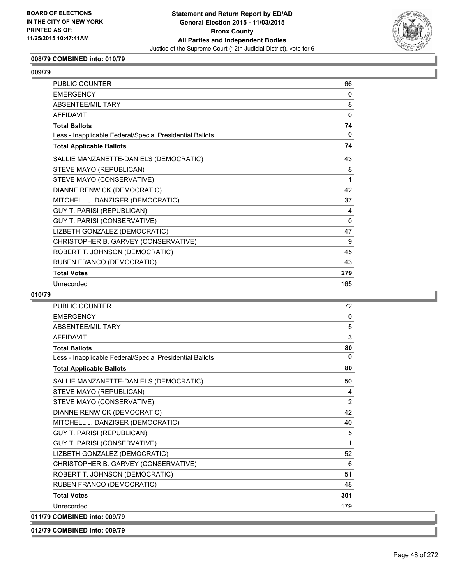

### **008/79 COMBINED into: 010/79**

| <b>PUBLIC COUNTER</b>                                    | 66           |
|----------------------------------------------------------|--------------|
| <b>FMFRGFNCY</b>                                         | $\Omega$     |
| ABSENTEE/MILITARY                                        | 8            |
| AFFIDAVIT                                                | $\Omega$     |
| <b>Total Ballots</b>                                     | 74           |
| Less - Inapplicable Federal/Special Presidential Ballots | 0            |
| <b>Total Applicable Ballots</b>                          | 74           |
| SALLIE MANZANETTE-DANIELS (DEMOCRATIC)                   | 43           |
| STEVE MAYO (REPUBLICAN)                                  | 8            |
| STEVE MAYO (CONSERVATIVE)                                | 1            |
| DIANNE RENWICK (DEMOCRATIC)                              | 42           |
| MITCHELL J. DANZIGER (DEMOCRATIC)                        | 37           |
| <b>GUY T. PARISI (REPUBLICAN)</b>                        | 4            |
| GUY T. PARISI (CONSERVATIVE)                             | $\mathbf{0}$ |
| LIZBETH GONZALEZ (DEMOCRATIC)                            | 47           |
| CHRISTOPHER B. GARVEY (CONSERVATIVE)                     | 9            |
| ROBERT T. JOHNSON (DEMOCRATIC)                           | 45           |
| RUBEN FRANCO (DEMOCRATIC)                                | 43           |
| <b>Total Votes</b>                                       | 279          |
| Unrecorded                                               | 165          |

### **010/79**

| <b>PUBLIC COUNTER</b>                                    | 72             |
|----------------------------------------------------------|----------------|
| <b>EMERGENCY</b>                                         | $\mathbf{0}$   |
| ABSENTEE/MILITARY                                        | 5              |
| <b>AFFIDAVIT</b>                                         | 3              |
| <b>Total Ballots</b>                                     | 80             |
| Less - Inapplicable Federal/Special Presidential Ballots | $\mathbf{0}$   |
| <b>Total Applicable Ballots</b>                          | 80             |
| SALLIE MANZANETTE-DANIELS (DEMOCRATIC)                   | 50             |
| STEVE MAYO (REPUBLICAN)                                  | 4              |
| STEVE MAYO (CONSERVATIVE)                                | $\overline{2}$ |
| DIANNE RENWICK (DEMOCRATIC)                              | 42             |
| MITCHELL J. DANZIGER (DEMOCRATIC)                        | 40             |
| <b>GUY T. PARISI (REPUBLICAN)</b>                        | 5              |
| GUY T. PARISI (CONSERVATIVE)                             | 1              |
| LIZBETH GONZALEZ (DEMOCRATIC)                            | 52             |
| CHRISTOPHER B. GARVEY (CONSERVATIVE)                     | 6              |
| ROBERT T. JOHNSON (DEMOCRATIC)                           | 51             |
| RUBEN FRANCO (DEMOCRATIC)                                | 48             |
| <b>Total Votes</b>                                       | 301            |
| Unrecorded                                               | 179            |
| 011/79 COMBINED into: 009/79                             |                |
|                                                          |                |

**012/79 COMBINED into: 009/79**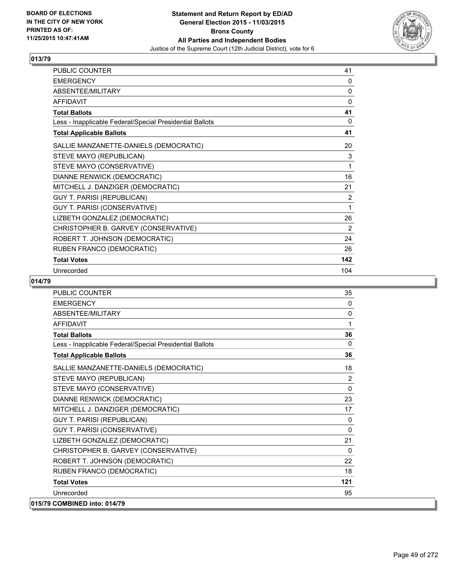

| PUBLIC COUNTER                                           | 41             |
|----------------------------------------------------------|----------------|
| <b>EMERGENCY</b>                                         | 0              |
| ABSENTEE/MILITARY                                        | 0              |
| <b>AFFIDAVIT</b>                                         | 0              |
| <b>Total Ballots</b>                                     | 41             |
| Less - Inapplicable Federal/Special Presidential Ballots | 0              |
| <b>Total Applicable Ballots</b>                          | 41             |
| SALLIE MANZANETTE-DANIELS (DEMOCRATIC)                   | 20             |
| STEVE MAYO (REPUBLICAN)                                  | 3              |
| STEVE MAYO (CONSERVATIVE)                                | 1              |
| DIANNE RENWICK (DEMOCRATIC)                              | 16             |
| MITCHELL J. DANZIGER (DEMOCRATIC)                        | 21             |
| <b>GUY T. PARISI (REPUBLICAN)</b>                        | $\overline{2}$ |
| GUY T. PARISI (CONSERVATIVE)                             | 1              |
| LIZBETH GONZALEZ (DEMOCRATIC)                            | 26             |
| CHRISTOPHER B. GARVEY (CONSERVATIVE)                     | 2              |
| ROBERT T. JOHNSON (DEMOCRATIC)                           | 24             |
| RUBEN FRANCO (DEMOCRATIC)                                | 26             |
| <b>Total Votes</b>                                       | 142            |
| Unrecorded                                               | 104            |

| <b>PUBLIC COUNTER</b>                                    | 35           |
|----------------------------------------------------------|--------------|
| <b>FMFRGFNCY</b>                                         | $\Omega$     |
| <b>ABSENTEE/MILITARY</b>                                 | 0            |
| <b>AFFIDAVIT</b>                                         | 1            |
| <b>Total Ballots</b>                                     | 36           |
| Less - Inapplicable Federal/Special Presidential Ballots | $\Omega$     |
| <b>Total Applicable Ballots</b>                          | 36           |
| SALLIE MANZANETTE-DANIELS (DEMOCRATIC)                   | 18           |
| STEVE MAYO (REPUBLICAN)                                  | 2            |
| STEVE MAYO (CONSERVATIVE)                                | $\mathbf{0}$ |
| DIANNE RENWICK (DEMOCRATIC)                              | 23           |
| MITCHELL J. DANZIGER (DEMOCRATIC)                        | 17           |
| <b>GUY T. PARISI (REPUBLICAN)</b>                        | 0            |
| GUY T. PARISI (CONSERVATIVE)                             | 0            |
| LIZBETH GONZALEZ (DEMOCRATIC)                            | 21           |
| CHRISTOPHER B. GARVEY (CONSERVATIVE)                     | $\Omega$     |
| ROBERT T. JOHNSON (DEMOCRATIC)                           | 22           |
| RUBEN FRANCO (DEMOCRATIC)                                | 18           |
| <b>Total Votes</b>                                       | 121          |
| Unrecorded                                               | 95           |
| 015/79 COMBINED into: 014/79                             |              |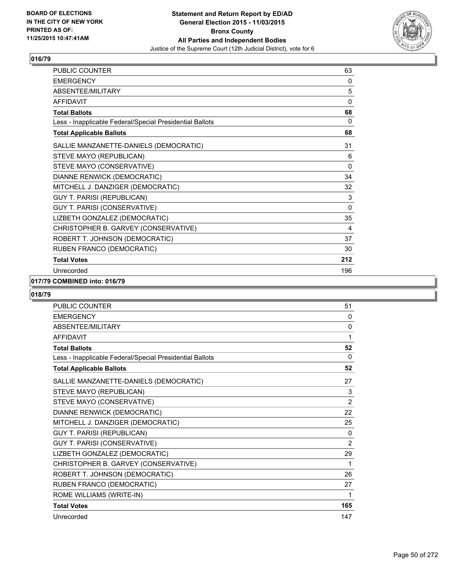

| PUBLIC COUNTER                                           | 63  |
|----------------------------------------------------------|-----|
| <b>EMERGENCY</b>                                         | 0   |
| ABSENTEE/MILITARY                                        | 5   |
| <b>AFFIDAVIT</b>                                         | 0   |
| <b>Total Ballots</b>                                     | 68  |
| Less - Inapplicable Federal/Special Presidential Ballots | 0   |
| <b>Total Applicable Ballots</b>                          | 68  |
| SALLIE MANZANETTE-DANIELS (DEMOCRATIC)                   | 31  |
| STEVE MAYO (REPUBLICAN)                                  | 6   |
| STEVE MAYO (CONSERVATIVE)                                | 0   |
| DIANNE RENWICK (DEMOCRATIC)                              | 34  |
| MITCHELL J. DANZIGER (DEMOCRATIC)                        | 32  |
| <b>GUY T. PARISI (REPUBLICAN)</b>                        | 3   |
| GUY T. PARISI (CONSERVATIVE)                             | 0   |
| LIZBETH GONZALEZ (DEMOCRATIC)                            | 35  |
| CHRISTOPHER B. GARVEY (CONSERVATIVE)                     | 4   |
| ROBERT T. JOHNSON (DEMOCRATIC)                           | 37  |
| RUBEN FRANCO (DEMOCRATIC)                                | 30  |
| <b>Total Votes</b>                                       | 212 |
| Unrecorded                                               | 196 |

### **017/79 COMBINED into: 016/79**

| PUBLIC COUNTER                                           | 51             |
|----------------------------------------------------------|----------------|
| <b>EMERGENCY</b>                                         | 0              |
| ABSENTEE/MILITARY                                        | 0              |
| <b>AFFIDAVIT</b>                                         | 1              |
| <b>Total Ballots</b>                                     | 52             |
| Less - Inapplicable Federal/Special Presidential Ballots | $\Omega$       |
| <b>Total Applicable Ballots</b>                          | 52             |
| SALLIE MANZANETTE-DANIELS (DEMOCRATIC)                   | 27             |
| STEVE MAYO (REPUBLICAN)                                  | 3              |
| STEVE MAYO (CONSERVATIVE)                                | $\overline{2}$ |
| DIANNE RENWICK (DEMOCRATIC)                              | 22             |
| MITCHELL J. DANZIGER (DEMOCRATIC)                        | 25             |
| <b>GUY T. PARISI (REPUBLICAN)</b>                        | 0              |
| GUY T. PARISI (CONSERVATIVE)                             | 2              |
| LIZBETH GONZALEZ (DEMOCRATIC)                            | 29             |
| CHRISTOPHER B. GARVEY (CONSERVATIVE)                     | 1              |
| ROBERT T. JOHNSON (DEMOCRATIC)                           | 26             |
| RUBEN FRANCO (DEMOCRATIC)                                | 27             |
| ROME WILLIAMS (WRITE-IN)                                 | 1              |
| <b>Total Votes</b>                                       | 165            |
| Unrecorded                                               | 147            |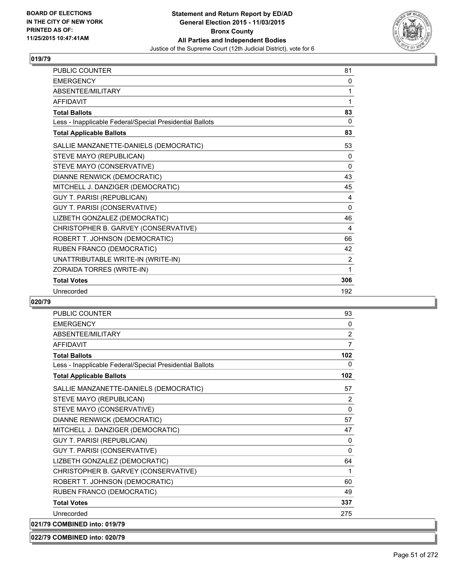

| PUBLIC COUNTER                                           | 81             |
|----------------------------------------------------------|----------------|
| <b>EMERGENCY</b>                                         | 0              |
| ABSENTEE/MILITARY                                        | 1              |
| <b>AFFIDAVIT</b>                                         | 1              |
| <b>Total Ballots</b>                                     | 83             |
| Less - Inapplicable Federal/Special Presidential Ballots | 0              |
| <b>Total Applicable Ballots</b>                          | 83             |
| SALLIE MANZANETTE-DANIELS (DEMOCRATIC)                   | 53             |
| STEVE MAYO (REPUBLICAN)                                  | $\mathbf{0}$   |
| STEVE MAYO (CONSERVATIVE)                                | $\Omega$       |
| DIANNE RENWICK (DEMOCRATIC)                              | 43             |
| MITCHELL J. DANZIGER (DEMOCRATIC)                        | 45             |
| <b>GUY T. PARISI (REPUBLICAN)</b>                        | 4              |
| GUY T. PARISI (CONSERVATIVE)                             | $\mathbf{0}$   |
| LIZBETH GONZALEZ (DEMOCRATIC)                            | 46             |
| CHRISTOPHER B. GARVEY (CONSERVATIVE)                     | 4              |
| ROBERT T. JOHNSON (DEMOCRATIC)                           | 66             |
| RUBEN FRANCO (DEMOCRATIC)                                | 42             |
| UNATTRIBUTABLE WRITE-IN (WRITE-IN)                       | $\overline{2}$ |
| ZORAIDA TORRES (WRITE-IN)                                | 1              |
| <b>Total Votes</b>                                       | 306            |
| Unrecorded                                               | 192            |

### **020/79**

| <b>PUBLIC COUNTER</b>                                    | 93             |
|----------------------------------------------------------|----------------|
| <b>EMERGENCY</b>                                         | 0              |
| <b>ABSENTEE/MILITARY</b>                                 | $\overline{2}$ |
| <b>AFFIDAVIT</b>                                         | $\overline{7}$ |
| <b>Total Ballots</b>                                     | 102            |
| Less - Inapplicable Federal/Special Presidential Ballots | 0              |
| <b>Total Applicable Ballots</b>                          | 102            |
| SALLIE MANZANETTE-DANIELS (DEMOCRATIC)                   | 57             |
| STEVE MAYO (REPUBLICAN)                                  | 2              |
| STEVE MAYO (CONSERVATIVE)                                | 0              |
| DIANNE RENWICK (DEMOCRATIC)                              | 57             |
| MITCHELL J. DANZIGER (DEMOCRATIC)                        | 47             |
| GUY T. PARISI (REPUBLICAN)                               | 0              |
| GUY T. PARISI (CONSERVATIVE)                             | 0              |
| LIZBETH GONZALEZ (DEMOCRATIC)                            | 64             |
| CHRISTOPHER B. GARVEY (CONSERVATIVE)                     | 1              |
| ROBERT T. JOHNSON (DEMOCRATIC)                           | 60             |
| RUBEN FRANCO (DEMOCRATIC)                                | 49             |
| <b>Total Votes</b>                                       | 337            |
| Unrecorded                                               | 275            |
| 021/79 COMBINED into: 019/79                             |                |

**022/79 COMBINED into: 020/79**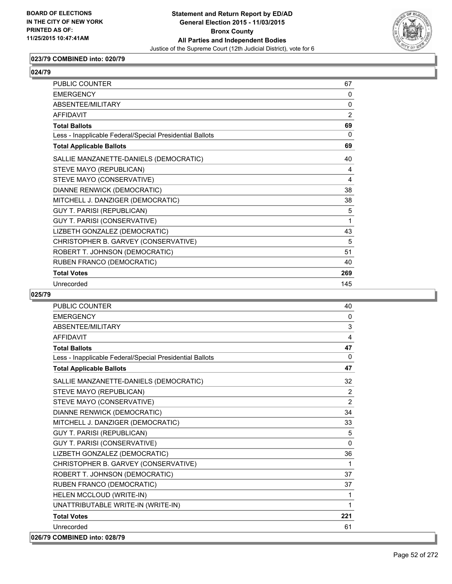

### **023/79 COMBINED into: 020/79**

| <b>PUBLIC COUNTER</b>                                    | 67             |
|----------------------------------------------------------|----------------|
| <b>FMFRGFNCY</b>                                         | $\Omega$       |
| ABSENTEE/MILITARY                                        | $\mathbf{0}$   |
| <b>AFFIDAVIT</b>                                         | $\overline{2}$ |
| <b>Total Ballots</b>                                     | 69             |
| Less - Inapplicable Federal/Special Presidential Ballots | $\Omega$       |
| <b>Total Applicable Ballots</b>                          | 69             |
| SALLIE MANZANETTE-DANIELS (DEMOCRATIC)                   | 40             |
| STEVE MAYO (REPUBLICAN)                                  | 4              |
| STEVE MAYO (CONSERVATIVE)                                | 4              |
| DIANNE RENWICK (DEMOCRATIC)                              | 38             |
| MITCHELL J. DANZIGER (DEMOCRATIC)                        | 38             |
| <b>GUY T. PARISI (REPUBLICAN)</b>                        | 5              |
| GUY T. PARISI (CONSERVATIVE)                             | 1              |
| LIZBETH GONZALEZ (DEMOCRATIC)                            | 43             |
| CHRISTOPHER B. GARVEY (CONSERVATIVE)                     | 5              |
| ROBERT T. JOHNSON (DEMOCRATIC)                           | 51             |
| RUBEN FRANCO (DEMOCRATIC)                                | 40             |
| <b>Total Votes</b>                                       | 269            |
| Unrecorded                                               | 145            |

| <b>PUBLIC COUNTER</b>                                    | 40             |
|----------------------------------------------------------|----------------|
| <b>EMERGENCY</b>                                         | 0              |
| ABSENTEE/MILITARY                                        | 3              |
| AFFIDAVIT                                                | 4              |
| <b>Total Ballots</b>                                     | 47             |
| Less - Inapplicable Federal/Special Presidential Ballots | $\mathbf{0}$   |
| <b>Total Applicable Ballots</b>                          | 47             |
| SALLIE MANZANETTE-DANIELS (DEMOCRATIC)                   | 32             |
| STEVE MAYO (REPUBLICAN)                                  | $\overline{2}$ |
| STEVE MAYO (CONSERVATIVE)                                | 2              |
| DIANNE RENWICK (DEMOCRATIC)                              | 34             |
| MITCHELL J. DANZIGER (DEMOCRATIC)                        | 33             |
| <b>GUY T. PARISI (REPUBLICAN)</b>                        | 5              |
| <b>GUY T. PARISI (CONSERVATIVE)</b>                      | $\mathbf{0}$   |
| LIZBETH GONZALEZ (DEMOCRATIC)                            | 36             |
| CHRISTOPHER B. GARVEY (CONSERVATIVE)                     | $\mathbf 1$    |
| ROBERT T. JOHNSON (DEMOCRATIC)                           | 37             |
| RUBEN FRANCO (DEMOCRATIC)                                | 37             |
| HELEN MCCLOUD (WRITE-IN)                                 | 1              |
| UNATTRIBUTABLE WRITE-IN (WRITE-IN)                       | 1              |
| <b>Total Votes</b>                                       | 221            |
| Unrecorded                                               | 61             |
| 026/79 COMBINED into: 028/79                             |                |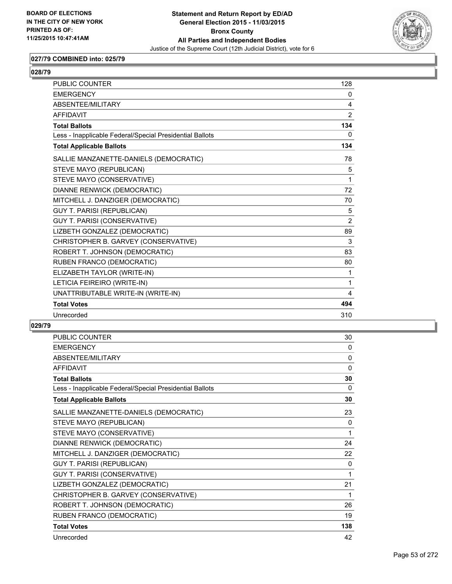

### **027/79 COMBINED into: 025/79**

| ۰.<br>۰.<br>i<br>× |
|--------------------|
|--------------------|

| <b>PUBLIC COUNTER</b>                                    | 128            |
|----------------------------------------------------------|----------------|
| <b>EMERGENCY</b>                                         | 0              |
| ABSENTEE/MILITARY                                        | 4              |
| <b>AFFIDAVIT</b>                                         | $\overline{2}$ |
| <b>Total Ballots</b>                                     | 134            |
| Less - Inapplicable Federal/Special Presidential Ballots | 0              |
| <b>Total Applicable Ballots</b>                          | 134            |
| SALLIE MANZANETTE-DANIELS (DEMOCRATIC)                   | 78             |
| STEVE MAYO (REPUBLICAN)                                  | 5              |
| STEVE MAYO (CONSERVATIVE)                                | 1              |
| DIANNE RENWICK (DEMOCRATIC)                              | 72             |
| MITCHELL J. DANZIGER (DEMOCRATIC)                        | 70             |
| <b>GUY T. PARISI (REPUBLICAN)</b>                        | 5              |
| GUY T. PARISI (CONSERVATIVE)                             | $\overline{2}$ |
| LIZBETH GONZALEZ (DEMOCRATIC)                            | 89             |
| CHRISTOPHER B. GARVEY (CONSERVATIVE)                     | 3              |
| ROBERT T. JOHNSON (DEMOCRATIC)                           | 83             |
| RUBEN FRANCO (DEMOCRATIC)                                | 80             |
| ELIZABETH TAYLOR (WRITE-IN)                              | 1              |
| LETICIA FEIREIRO (WRITE-IN)                              | 1              |
| UNATTRIBUTABLE WRITE-IN (WRITE-IN)                       | 4              |
| <b>Total Votes</b>                                       | 494            |
| Unrecorded                                               | 310            |

| <b>PUBLIC COUNTER</b>                                    | 30           |
|----------------------------------------------------------|--------------|
| <b>EMERGENCY</b>                                         | 0            |
| ABSENTEE/MILITARY                                        | $\mathbf{0}$ |
| <b>AFFIDAVIT</b>                                         | $\Omega$     |
| <b>Total Ballots</b>                                     | 30           |
| Less - Inapplicable Federal/Special Presidential Ballots | 0            |
| <b>Total Applicable Ballots</b>                          | 30           |
| SALLIE MANZANETTE-DANIELS (DEMOCRATIC)                   | 23           |
| STEVE MAYO (REPUBLICAN)                                  | 0            |
| STEVE MAYO (CONSERVATIVE)                                | 1            |
| DIANNE RENWICK (DEMOCRATIC)                              | 24           |
| MITCHELL J. DANZIGER (DEMOCRATIC)                        | 22           |
| <b>GUY T. PARISI (REPUBLICAN)</b>                        | 0            |
| GUY T. PARISI (CONSERVATIVE)                             | 1            |
| LIZBETH GONZALEZ (DEMOCRATIC)                            | 21           |
| CHRISTOPHER B. GARVEY (CONSERVATIVE)                     | 1            |
| ROBERT T. JOHNSON (DEMOCRATIC)                           | 26           |
| RUBEN FRANCO (DEMOCRATIC)                                | 19           |
| <b>Total Votes</b>                                       | 138          |
| Unrecorded                                               | 42           |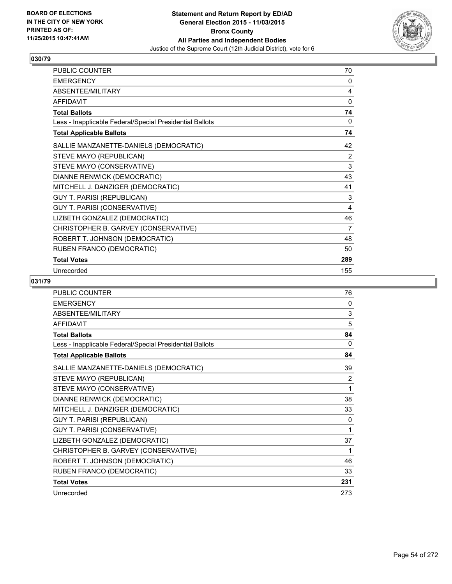

| PUBLIC COUNTER                                           | 70  |
|----------------------------------------------------------|-----|
| <b>EMERGENCY</b>                                         | 0   |
| ABSENTEE/MILITARY                                        | 4   |
| <b>AFFIDAVIT</b>                                         | 0   |
| <b>Total Ballots</b>                                     | 74  |
| Less - Inapplicable Federal/Special Presidential Ballots | 0   |
| <b>Total Applicable Ballots</b>                          | 74  |
| SALLIE MANZANETTE-DANIELS (DEMOCRATIC)                   | 42  |
| STEVE MAYO (REPUBLICAN)                                  | 2   |
| STEVE MAYO (CONSERVATIVE)                                | 3   |
| DIANNE RENWICK (DEMOCRATIC)                              | 43  |
| MITCHELL J. DANZIGER (DEMOCRATIC)                        | 41  |
| <b>GUY T. PARISI (REPUBLICAN)</b>                        | 3   |
| GUY T. PARISI (CONSERVATIVE)                             | 4   |
| LIZBETH GONZALEZ (DEMOCRATIC)                            | 46  |
| CHRISTOPHER B. GARVEY (CONSERVATIVE)                     | 7   |
| ROBERT T. JOHNSON (DEMOCRATIC)                           | 48  |
| RUBEN FRANCO (DEMOCRATIC)                                | 50  |
| <b>Total Votes</b>                                       | 289 |
| Unrecorded                                               | 155 |

| <b>PUBLIC COUNTER</b>                                    | 76       |
|----------------------------------------------------------|----------|
| <b>EMERGENCY</b>                                         | 0        |
| ABSENTEE/MILITARY                                        | 3        |
| <b>AFFIDAVIT</b>                                         | 5        |
| <b>Total Ballots</b>                                     | 84       |
| Less - Inapplicable Federal/Special Presidential Ballots | $\Omega$ |
| <b>Total Applicable Ballots</b>                          | 84       |
| SALLIE MANZANETTE-DANIELS (DEMOCRATIC)                   | 39       |
| STEVE MAYO (REPUBLICAN)                                  | 2        |
| STEVE MAYO (CONSERVATIVE)                                | 1        |
| DIANNE RENWICK (DEMOCRATIC)                              | 38       |
| MITCHELL J. DANZIGER (DEMOCRATIC)                        | 33       |
| GUY T. PARISI (REPUBLICAN)                               | 0        |
| GUY T. PARISI (CONSERVATIVE)                             | 1        |
| LIZBETH GONZALEZ (DEMOCRATIC)                            | 37       |
| CHRISTOPHER B. GARVEY (CONSERVATIVE)                     | 1        |
| ROBERT T. JOHNSON (DEMOCRATIC)                           | 46       |
| RUBEN FRANCO (DEMOCRATIC)                                | 33       |
| <b>Total Votes</b>                                       | 231      |
| Unrecorded                                               | 273      |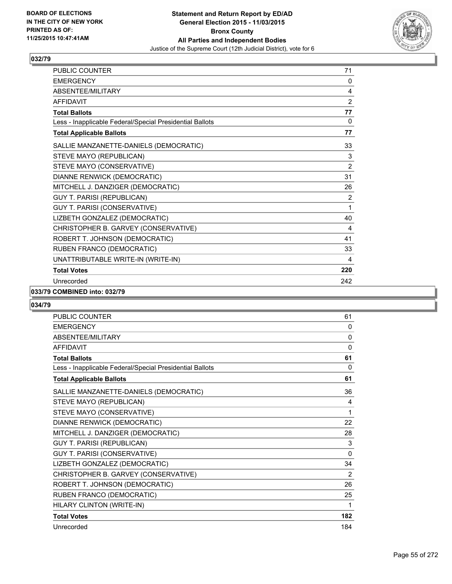

| <b>PUBLIC COUNTER</b>                                    | 71             |
|----------------------------------------------------------|----------------|
| <b>EMERGENCY</b>                                         | 0              |
| <b>ABSENTEE/MILITARY</b>                                 | 4              |
| <b>AFFIDAVIT</b>                                         | $\overline{2}$ |
| <b>Total Ballots</b>                                     | 77             |
| Less - Inapplicable Federal/Special Presidential Ballots | 0              |
| <b>Total Applicable Ballots</b>                          | 77             |
| SALLIE MANZANETTE-DANIELS (DEMOCRATIC)                   | 33             |
| STEVE MAYO (REPUBLICAN)                                  | 3              |
| STEVE MAYO (CONSERVATIVE)                                | $\overline{2}$ |
| DIANNE RENWICK (DEMOCRATIC)                              | 31             |
| MITCHELL J. DANZIGER (DEMOCRATIC)                        | 26             |
| <b>GUY T. PARISI (REPUBLICAN)</b>                        | 2              |
| GUY T. PARISI (CONSERVATIVE)                             | 1              |
| LIZBETH GONZALEZ (DEMOCRATIC)                            | 40             |
| CHRISTOPHER B. GARVEY (CONSERVATIVE)                     | 4              |
| ROBERT T. JOHNSON (DEMOCRATIC)                           | 41             |
| RUBEN FRANCO (DEMOCRATIC)                                | 33             |
| UNATTRIBUTABLE WRITE-IN (WRITE-IN)                       | 4              |
| <b>Total Votes</b>                                       | 220            |
| Unrecorded                                               | 242            |

### **033/79 COMBINED into: 032/79**

| <b>PUBLIC COUNTER</b>                                    | 61           |
|----------------------------------------------------------|--------------|
| <b>EMERGENCY</b>                                         | 0            |
| ABSENTEE/MILITARY                                        | $\mathbf{0}$ |
| <b>AFFIDAVIT</b>                                         | $\mathbf 0$  |
| <b>Total Ballots</b>                                     | 61           |
| Less - Inapplicable Federal/Special Presidential Ballots | $\Omega$     |
| <b>Total Applicable Ballots</b>                          | 61           |
| SALLIE MANZANETTE-DANIELS (DEMOCRATIC)                   | 36           |
| STEVE MAYO (REPUBLICAN)                                  | 4            |
| STEVE MAYO (CONSERVATIVE)                                | 1            |
| DIANNE RENWICK (DEMOCRATIC)                              | 22           |
| MITCHELL J. DANZIGER (DEMOCRATIC)                        | 28           |
| <b>GUY T. PARISI (REPUBLICAN)</b>                        | 3            |
| GUY T. PARISI (CONSERVATIVE)                             | $\Omega$     |
| LIZBETH GONZALEZ (DEMOCRATIC)                            | 34           |
| CHRISTOPHER B. GARVEY (CONSERVATIVE)                     | 2            |
| ROBERT T. JOHNSON (DEMOCRATIC)                           | 26           |
| RUBEN FRANCO (DEMOCRATIC)                                | 25           |
| HILARY CLINTON (WRITE-IN)                                | 1            |
| <b>Total Votes</b>                                       | 182          |
| Unrecorded                                               | 184          |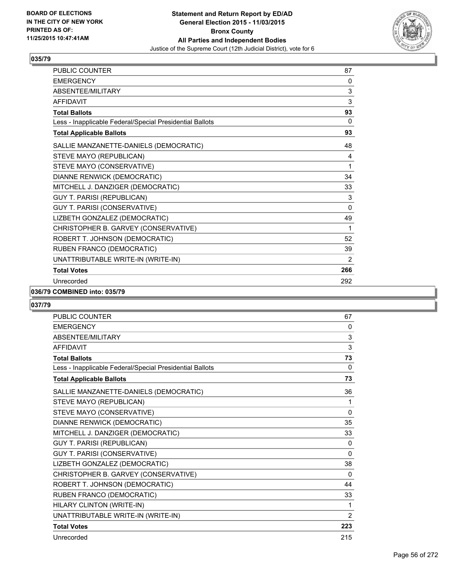

| <b>PUBLIC COUNTER</b>                                    | 87           |
|----------------------------------------------------------|--------------|
| <b>EMERGENCY</b>                                         | 0            |
| ABSENTEE/MILITARY                                        | 3            |
| <b>AFFIDAVIT</b>                                         | 3            |
| <b>Total Ballots</b>                                     | 93           |
| Less - Inapplicable Federal/Special Presidential Ballots | 0            |
| <b>Total Applicable Ballots</b>                          | 93           |
| SALLIE MANZANETTE-DANIELS (DEMOCRATIC)                   | 48           |
| STEVE MAYO (REPUBLICAN)                                  | 4            |
| STEVE MAYO (CONSERVATIVE)                                | 1            |
| DIANNE RENWICK (DEMOCRATIC)                              | 34           |
| MITCHELL J. DANZIGER (DEMOCRATIC)                        | 33           |
| <b>GUY T. PARISI (REPUBLICAN)</b>                        | 3            |
| GUY T. PARISI (CONSERVATIVE)                             | $\mathbf{0}$ |
| LIZBETH GONZALEZ (DEMOCRATIC)                            | 49           |
| CHRISTOPHER B. GARVEY (CONSERVATIVE)                     | 1            |
| ROBERT T. JOHNSON (DEMOCRATIC)                           | 52           |
| RUBEN FRANCO (DEMOCRATIC)                                | 39           |
| UNATTRIBUTABLE WRITE-IN (WRITE-IN)                       | 2            |
| <b>Total Votes</b>                                       | 266          |
| Unrecorded                                               | 292          |

#### **036/79 COMBINED into: 035/79**

| <b>PUBLIC COUNTER</b>                                    | 67           |
|----------------------------------------------------------|--------------|
| <b>EMERGENCY</b>                                         | 0            |
| <b>ABSENTEE/MILITARY</b>                                 | 3            |
| <b>AFFIDAVIT</b>                                         | 3            |
| <b>Total Ballots</b>                                     | 73           |
| Less - Inapplicable Federal/Special Presidential Ballots | 0            |
| <b>Total Applicable Ballots</b>                          | 73           |
| SALLIE MANZANETTE-DANIELS (DEMOCRATIC)                   | 36           |
| STEVE MAYO (REPUBLICAN)                                  | 1            |
| STEVE MAYO (CONSERVATIVE)                                | $\mathbf{0}$ |
| DIANNE RENWICK (DEMOCRATIC)                              | 35           |
| MITCHELL J. DANZIGER (DEMOCRATIC)                        | 33           |
| <b>GUY T. PARISI (REPUBLICAN)</b>                        | $\mathbf{0}$ |
| GUY T. PARISI (CONSERVATIVE)                             | $\mathbf{0}$ |
| LIZBETH GONZALEZ (DEMOCRATIC)                            | 38           |
| CHRISTOPHER B. GARVEY (CONSERVATIVE)                     | 0            |
| ROBERT T. JOHNSON (DEMOCRATIC)                           | 44           |
| RUBEN FRANCO (DEMOCRATIC)                                | 33           |
| HILARY CLINTON (WRITE-IN)                                | 1            |
| UNATTRIBUTABLE WRITE-IN (WRITE-IN)                       | 2            |
| <b>Total Votes</b>                                       | 223          |
| Unrecorded                                               | 215          |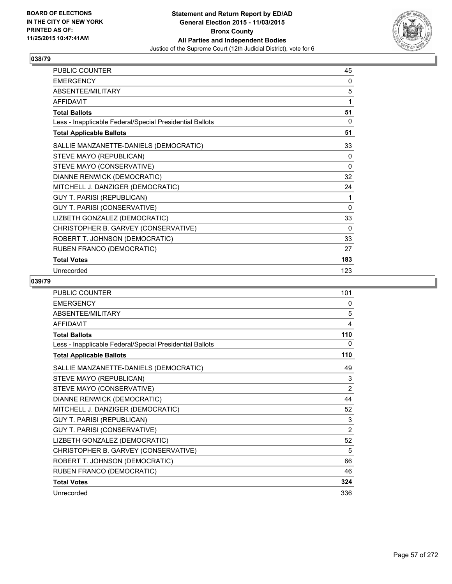

| <b>PUBLIC COUNTER</b>                                    | 45       |
|----------------------------------------------------------|----------|
| <b>EMERGENCY</b>                                         | 0        |
| ABSENTEE/MILITARY                                        | 5        |
| <b>AFFIDAVIT</b>                                         | 1        |
| <b>Total Ballots</b>                                     | 51       |
| Less - Inapplicable Federal/Special Presidential Ballots | 0        |
| <b>Total Applicable Ballots</b>                          | 51       |
| SALLIE MANZANETTE-DANIELS (DEMOCRATIC)                   | 33       |
| STEVE MAYO (REPUBLICAN)                                  | 0        |
| STEVE MAYO (CONSERVATIVE)                                | 0        |
| DIANNE RENWICK (DEMOCRATIC)                              | 32       |
| MITCHELL J. DANZIGER (DEMOCRATIC)                        | 24       |
| <b>GUY T. PARISI (REPUBLICAN)</b>                        | 1        |
| GUY T. PARISI (CONSERVATIVE)                             | $\Omega$ |
| LIZBETH GONZALEZ (DEMOCRATIC)                            | 33       |
| CHRISTOPHER B. GARVEY (CONSERVATIVE)                     | 0        |
| ROBERT T. JOHNSON (DEMOCRATIC)                           | 33       |
| RUBEN FRANCO (DEMOCRATIC)                                | 27       |
| <b>Total Votes</b>                                       | 183      |
| Unrecorded                                               | 123      |

| <b>PUBLIC COUNTER</b>                                    | 101 |
|----------------------------------------------------------|-----|
| <b>EMERGENCY</b>                                         | 0   |
| ABSENTEE/MILITARY                                        | 5   |
| <b>AFFIDAVIT</b>                                         | 4   |
| <b>Total Ballots</b>                                     | 110 |
| Less - Inapplicable Federal/Special Presidential Ballots | 0   |
| <b>Total Applicable Ballots</b>                          | 110 |
| SALLIE MANZANETTE-DANIELS (DEMOCRATIC)                   | 49  |
| STEVE MAYO (REPUBLICAN)                                  | 3   |
| STEVE MAYO (CONSERVATIVE)                                | 2   |
| DIANNE RENWICK (DEMOCRATIC)                              | 44  |
| MITCHELL J. DANZIGER (DEMOCRATIC)                        | 52  |
| <b>GUY T. PARISI (REPUBLICAN)</b>                        | 3   |
| GUY T. PARISI (CONSERVATIVE)                             | 2   |
| LIZBETH GONZALEZ (DEMOCRATIC)                            | 52  |
| CHRISTOPHER B. GARVEY (CONSERVATIVE)                     | 5   |
| ROBERT T. JOHNSON (DEMOCRATIC)                           | 66  |
| RUBEN FRANCO (DEMOCRATIC)                                | 46  |
| <b>Total Votes</b>                                       | 324 |
| Unrecorded                                               | 336 |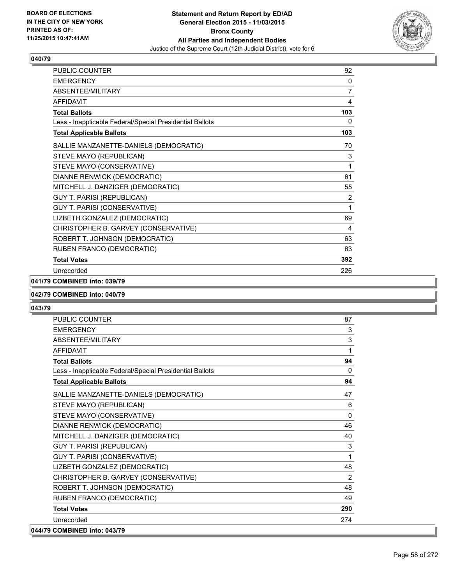

| PUBLIC COUNTER                                           | 92  |
|----------------------------------------------------------|-----|
| <b>EMERGENCY</b>                                         | 0   |
| <b>ABSENTEE/MILITARY</b>                                 | 7   |
| <b>AFFIDAVIT</b>                                         | 4   |
| <b>Total Ballots</b>                                     | 103 |
| Less - Inapplicable Federal/Special Presidential Ballots | 0   |
| <b>Total Applicable Ballots</b>                          | 103 |
| SALLIE MANZANETTE-DANIELS (DEMOCRATIC)                   | 70  |
| STEVE MAYO (REPUBLICAN)                                  | 3   |
| STEVE MAYO (CONSERVATIVE)                                | 1   |
| DIANNE RENWICK (DEMOCRATIC)                              | 61  |
| MITCHELL J. DANZIGER (DEMOCRATIC)                        | 55  |
| <b>GUY T. PARISI (REPUBLICAN)</b>                        | 2   |
| GUY T. PARISI (CONSERVATIVE)                             | 1   |
| LIZBETH GONZALEZ (DEMOCRATIC)                            | 69  |
| CHRISTOPHER B. GARVEY (CONSERVATIVE)                     | 4   |
| ROBERT T. JOHNSON (DEMOCRATIC)                           | 63  |
| RUBEN FRANCO (DEMOCRATIC)                                | 63  |
| <b>Total Votes</b>                                       | 392 |
| Unrecorded                                               | 226 |

### **041/79 COMBINED into: 039/79**

#### **042/79 COMBINED into: 040/79**

| PUBLIC COUNTER                                           | 87       |
|----------------------------------------------------------|----------|
| <b>EMERGENCY</b>                                         | 3        |
| <b>ABSENTEE/MILITARY</b>                                 | 3        |
| <b>AFFIDAVIT</b>                                         | 1        |
| <b>Total Ballots</b>                                     | 94       |
| Less - Inapplicable Federal/Special Presidential Ballots | $\Omega$ |
| <b>Total Applicable Ballots</b>                          | 94       |
| SALLIE MANZANETTE-DANIELS (DEMOCRATIC)                   | 47       |
| STEVE MAYO (REPUBLICAN)                                  | 6        |
| STEVE MAYO (CONSERVATIVE)                                | $\Omega$ |
| DIANNE RENWICK (DEMOCRATIC)                              | 46       |
| MITCHELL J. DANZIGER (DEMOCRATIC)                        | 40       |
| <b>GUY T. PARISI (REPUBLICAN)</b>                        | 3        |
| GUY T. PARISI (CONSERVATIVE)                             | 1        |
| LIZBETH GONZALEZ (DEMOCRATIC)                            | 48       |
| CHRISTOPHER B. GARVEY (CONSERVATIVE)                     | 2        |
| ROBERT T. JOHNSON (DEMOCRATIC)                           | 48       |
| RUBEN FRANCO (DEMOCRATIC)                                | 49       |
| <b>Total Votes</b>                                       | 290      |
| Unrecorded                                               | 274      |
| 044/79 COMBINED into: 043/79                             |          |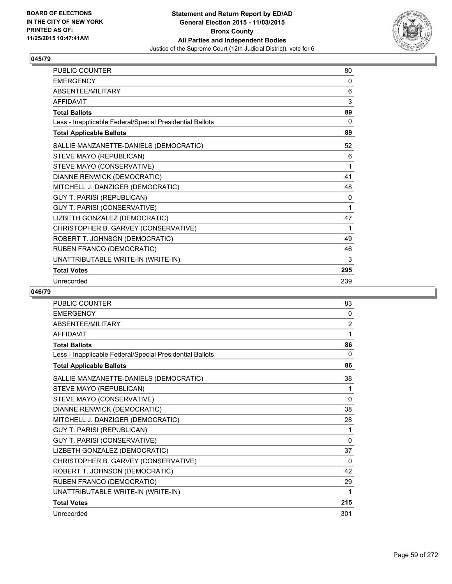

| <b>PUBLIC COUNTER</b>                                    | 80  |
|----------------------------------------------------------|-----|
| <b>EMERGENCY</b>                                         | 0   |
| <b>ABSENTFF/MILITARY</b>                                 | 6   |
| <b>AFFIDAVIT</b>                                         | 3   |
| <b>Total Ballots</b>                                     | 89  |
| Less - Inapplicable Federal/Special Presidential Ballots | 0   |
| <b>Total Applicable Ballots</b>                          | 89  |
| SALLIE MANZANETTE-DANIELS (DEMOCRATIC)                   | 52  |
| STEVE MAYO (REPUBLICAN)                                  | 6   |
| STEVE MAYO (CONSERVATIVE)                                | 1   |
| DIANNE RENWICK (DEMOCRATIC)                              | 41  |
| MITCHELL J. DANZIGER (DEMOCRATIC)                        | 48  |
| <b>GUY T. PARISI (REPUBLICAN)</b>                        | 0   |
| GUY T. PARISI (CONSERVATIVE)                             | 1   |
| LIZBETH GONZALEZ (DEMOCRATIC)                            | 47  |
| CHRISTOPHER B. GARVEY (CONSERVATIVE)                     | 1   |
| ROBERT T. JOHNSON (DEMOCRATIC)                           | 49  |
| RUBEN FRANCO (DEMOCRATIC)                                | 46  |
| UNATTRIBUTABLE WRITE-IN (WRITE-IN)                       | 3   |
| <b>Total Votes</b>                                       | 295 |
| Unrecorded                                               | 239 |

| PUBLIC COUNTER                                           | 83           |
|----------------------------------------------------------|--------------|
| <b>EMERGENCY</b>                                         | 0            |
| ABSENTEE/MILITARY                                        | 2            |
| <b>AFFIDAVIT</b>                                         | 1            |
| <b>Total Ballots</b>                                     | 86           |
| Less - Inapplicable Federal/Special Presidential Ballots | $\Omega$     |
| <b>Total Applicable Ballots</b>                          | 86           |
| SALLIE MANZANETTE-DANIELS (DEMOCRATIC)                   | 38           |
| STEVE MAYO (REPUBLICAN)                                  | 1            |
| STEVE MAYO (CONSERVATIVE)                                | 0            |
| DIANNE RENWICK (DEMOCRATIC)                              | 38           |
| MITCHELL J. DANZIGER (DEMOCRATIC)                        | 28           |
| <b>GUY T. PARISI (REPUBLICAN)</b>                        | 1            |
| GUY T. PARISI (CONSERVATIVE)                             | $\mathbf{0}$ |
| LIZBETH GONZALEZ (DEMOCRATIC)                            | 37           |
| CHRISTOPHER B. GARVEY (CONSERVATIVE)                     | $\Omega$     |
| ROBERT T. JOHNSON (DEMOCRATIC)                           | 42           |
| RUBEN FRANCO (DEMOCRATIC)                                | 29           |
| UNATTRIBUTABLE WRITE-IN (WRITE-IN)                       | 1            |
| <b>Total Votes</b>                                       | 215          |
| Unrecorded                                               | 301          |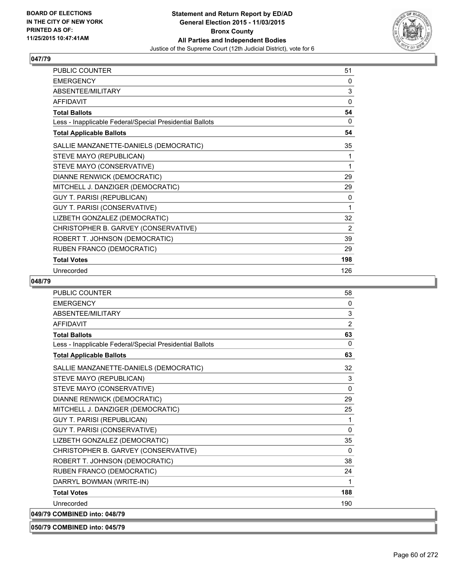

| <b>PUBLIC COUNTER</b>                                    | 51  |
|----------------------------------------------------------|-----|
| <b>EMERGENCY</b>                                         | 0   |
| ABSENTEE/MILITARY                                        | 3   |
| <b>AFFIDAVIT</b>                                         | 0   |
| <b>Total Ballots</b>                                     | 54  |
| Less - Inapplicable Federal/Special Presidential Ballots | 0   |
| <b>Total Applicable Ballots</b>                          | 54  |
| SALLIE MANZANETTE-DANIELS (DEMOCRATIC)                   | 35  |
| STEVE MAYO (REPUBLICAN)                                  | 1   |
| STEVE MAYO (CONSERVATIVE)                                | 1   |
| DIANNE RENWICK (DEMOCRATIC)                              | 29  |
| MITCHELL J. DANZIGER (DEMOCRATIC)                        | 29  |
| <b>GUY T. PARISI (REPUBLICAN)</b>                        | 0   |
| GUY T. PARISI (CONSERVATIVE)                             | 1   |
| LIZBETH GONZALEZ (DEMOCRATIC)                            | 32  |
| CHRISTOPHER B. GARVEY (CONSERVATIVE)                     | 2   |
| ROBERT T. JOHNSON (DEMOCRATIC)                           | 39  |
| RUBEN FRANCO (DEMOCRATIC)                                | 29  |
| <b>Total Votes</b>                                       | 198 |
| Unrecorded                                               | 126 |

| <b>PUBLIC COUNTER</b>                                    | 58           |
|----------------------------------------------------------|--------------|
| <b>EMERGENCY</b>                                         | $\mathbf{0}$ |
| <b>ABSENTEE/MILITARY</b>                                 | 3            |
| <b>AFFIDAVIT</b>                                         | 2            |
| <b>Total Ballots</b>                                     | 63           |
| Less - Inapplicable Federal/Special Presidential Ballots | $\Omega$     |
| <b>Total Applicable Ballots</b>                          | 63           |
| SALLIE MANZANETTE-DANIELS (DEMOCRATIC)                   | 32           |
| STEVE MAYO (REPUBLICAN)                                  | 3            |
| STEVE MAYO (CONSERVATIVE)                                | $\Omega$     |
| DIANNE RENWICK (DEMOCRATIC)                              | 29           |
| MITCHELL J. DANZIGER (DEMOCRATIC)                        | 25           |
| <b>GUY T. PARISI (REPUBLICAN)</b>                        | 1            |
| <b>GUY T. PARISI (CONSERVATIVE)</b>                      | $\Omega$     |
| LIZBETH GONZALEZ (DEMOCRATIC)                            | 35           |
| CHRISTOPHER B. GARVEY (CONSERVATIVE)                     | $\Omega$     |
| ROBERT T. JOHNSON (DEMOCRATIC)                           | 38           |
| RUBEN FRANCO (DEMOCRATIC)                                | 24           |
| DARRYL BOWMAN (WRITE-IN)                                 | 1            |
| <b>Total Votes</b>                                       | 188          |
| Unrecorded                                               | 190          |
| 049/79 COMBINED into: 048/79                             |              |
| 050/79 COMBINED into: 045/79                             |              |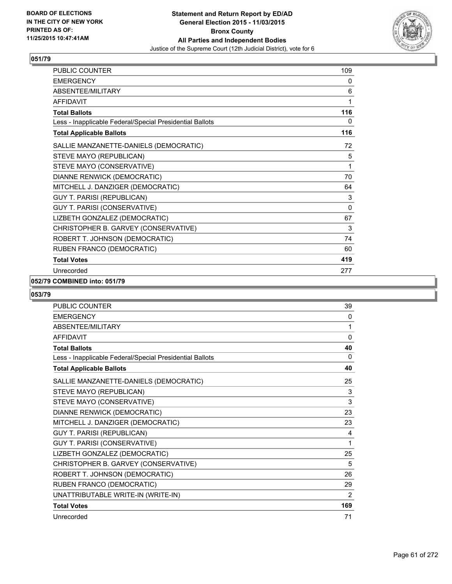

| PUBLIC COUNTER                                           | 109 |
|----------------------------------------------------------|-----|
| <b>EMERGENCY</b>                                         | 0   |
| ABSENTEE/MILITARY                                        | 6   |
| <b>AFFIDAVIT</b>                                         | 1   |
| <b>Total Ballots</b>                                     | 116 |
| Less - Inapplicable Federal/Special Presidential Ballots | 0   |
| <b>Total Applicable Ballots</b>                          | 116 |
| SALLIE MANZANETTE-DANIELS (DEMOCRATIC)                   | 72  |
| STEVE MAYO (REPUBLICAN)                                  | 5   |
| STEVE MAYO (CONSERVATIVE)                                | 1   |
| DIANNE RENWICK (DEMOCRATIC)                              | 70  |
| MITCHELL J. DANZIGER (DEMOCRATIC)                        | 64  |
| <b>GUY T. PARISI (REPUBLICAN)</b>                        | 3   |
| GUY T. PARISI (CONSERVATIVE)                             | 0   |
| LIZBETH GONZALEZ (DEMOCRATIC)                            | 67  |
| CHRISTOPHER B. GARVEY (CONSERVATIVE)                     | 3   |
| ROBERT T. JOHNSON (DEMOCRATIC)                           | 74  |
| RUBEN FRANCO (DEMOCRATIC)                                | 60  |
| <b>Total Votes</b>                                       | 419 |
| Unrecorded                                               | 277 |

### **052/79 COMBINED into: 051/79**

| <b>PUBLIC COUNTER</b>                                    | 39       |
|----------------------------------------------------------|----------|
| <b>EMERGENCY</b>                                         | 0        |
| ABSENTEE/MILITARY                                        | 1        |
| <b>AFFIDAVIT</b>                                         | 0        |
| <b>Total Ballots</b>                                     | 40       |
| Less - Inapplicable Federal/Special Presidential Ballots | $\Omega$ |
| <b>Total Applicable Ballots</b>                          | 40       |
| SALLIE MANZANETTE-DANIELS (DEMOCRATIC)                   | 25       |
| STEVE MAYO (REPUBLICAN)                                  | 3        |
| STEVE MAYO (CONSERVATIVE)                                | 3        |
| DIANNE RENWICK (DEMOCRATIC)                              | 23       |
| MITCHELL J. DANZIGER (DEMOCRATIC)                        | 23       |
| <b>GUY T. PARISI (REPUBLICAN)</b>                        | 4        |
| GUY T. PARISI (CONSERVATIVE)                             | 1        |
| LIZBETH GONZALEZ (DEMOCRATIC)                            | 25       |
| CHRISTOPHER B. GARVEY (CONSERVATIVE)                     | 5        |
| ROBERT T. JOHNSON (DEMOCRATIC)                           | 26       |
| RUBEN FRANCO (DEMOCRATIC)                                | 29       |
| UNATTRIBUTABLE WRITE-IN (WRITE-IN)                       | 2        |
| <b>Total Votes</b>                                       | 169      |
| Unrecorded                                               | 71       |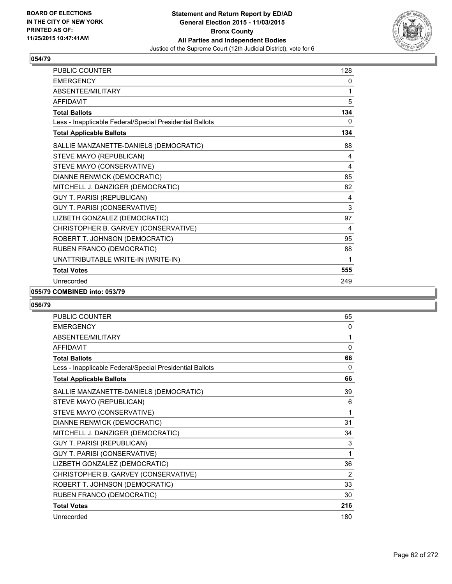

| <b>PUBLIC COUNTER</b>                                    | 128 |
|----------------------------------------------------------|-----|
| <b>EMERGENCY</b>                                         | 0   |
| ABSENTEE/MILITARY                                        | 1   |
| <b>AFFIDAVIT</b>                                         | 5   |
| <b>Total Ballots</b>                                     | 134 |
| Less - Inapplicable Federal/Special Presidential Ballots | 0   |
| <b>Total Applicable Ballots</b>                          | 134 |
| SALLIE MANZANETTE-DANIELS (DEMOCRATIC)                   | 88  |
| STEVE MAYO (REPUBLICAN)                                  | 4   |
| STEVE MAYO (CONSERVATIVE)                                | 4   |
| DIANNE RENWICK (DEMOCRATIC)                              | 85  |
| MITCHELL J. DANZIGER (DEMOCRATIC)                        | 82  |
| <b>GUY T. PARISI (REPUBLICAN)</b>                        | 4   |
| GUY T. PARISI (CONSERVATIVE)                             | 3   |
| LIZBETH GONZALEZ (DEMOCRATIC)                            | 97  |
| CHRISTOPHER B. GARVEY (CONSERVATIVE)                     | 4   |
| ROBERT T. JOHNSON (DEMOCRATIC)                           | 95  |
| RUBEN FRANCO (DEMOCRATIC)                                | 88  |
| UNATTRIBUTABLE WRITE-IN (WRITE-IN)                       | 1   |
| <b>Total Votes</b>                                       | 555 |
| Unrecorded                                               | 249 |

### **055/79 COMBINED into: 053/79**

| <b>PUBLIC COUNTER</b>                                    | 65           |
|----------------------------------------------------------|--------------|
| <b>EMERGENCY</b>                                         | 0            |
| <b>ABSENTEE/MILITARY</b>                                 | 1            |
| <b>AFFIDAVIT</b>                                         | $\mathbf{0}$ |
| <b>Total Ballots</b>                                     | 66           |
| Less - Inapplicable Federal/Special Presidential Ballots | 0            |
| <b>Total Applicable Ballots</b>                          | 66           |
| SALLIE MANZANETTE-DANIELS (DEMOCRATIC)                   | 39           |
| STEVE MAYO (REPUBLICAN)                                  | 6            |
| STEVE MAYO (CONSERVATIVE)                                | 1            |
| DIANNE RENWICK (DEMOCRATIC)                              | 31           |
| MITCHELL J. DANZIGER (DEMOCRATIC)                        | 34           |
| GUY T. PARISI (REPUBLICAN)                               | 3            |
| GUY T. PARISI (CONSERVATIVE)                             | 1            |
| LIZBETH GONZALEZ (DEMOCRATIC)                            | 36           |
| CHRISTOPHER B. GARVEY (CONSERVATIVE)                     | 2            |
| ROBERT T. JOHNSON (DEMOCRATIC)                           | 33           |
| RUBEN FRANCO (DEMOCRATIC)                                | 30           |
| <b>Total Votes</b>                                       | 216          |
| Unrecorded                                               | 180          |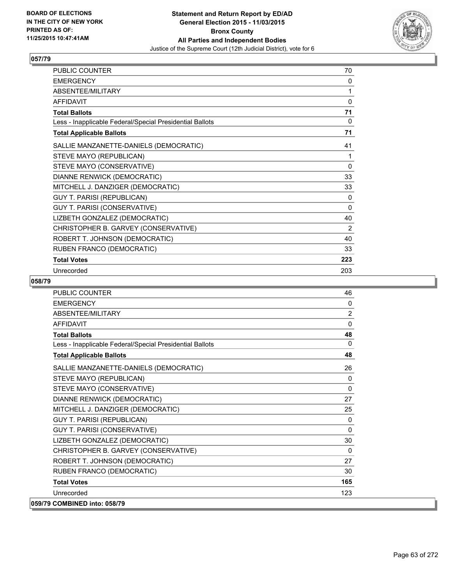

| PUBLIC COUNTER                                           | 70       |
|----------------------------------------------------------|----------|
| <b>EMERGENCY</b>                                         | 0        |
| ABSENTEE/MILITARY                                        | 1        |
| <b>AFFIDAVIT</b>                                         | 0        |
| <b>Total Ballots</b>                                     | 71       |
| Less - Inapplicable Federal/Special Presidential Ballots | 0        |
| <b>Total Applicable Ballots</b>                          | 71       |
| SALLIE MANZANETTE-DANIELS (DEMOCRATIC)                   | 41       |
| STEVE MAYO (REPUBLICAN)                                  | 1        |
| STEVE MAYO (CONSERVATIVE)                                | $\Omega$ |
| DIANNE RENWICK (DEMOCRATIC)                              | 33       |
| MITCHELL J. DANZIGER (DEMOCRATIC)                        | 33       |
| <b>GUY T. PARISI (REPUBLICAN)</b>                        | 0        |
| GUY T. PARISI (CONSERVATIVE)                             | 0        |
| LIZBETH GONZALEZ (DEMOCRATIC)                            | 40       |
| CHRISTOPHER B. GARVEY (CONSERVATIVE)                     | 2        |
| ROBERT T. JOHNSON (DEMOCRATIC)                           | 40       |
| RUBEN FRANCO (DEMOCRATIC)                                | 33       |
| <b>Total Votes</b>                                       | 223      |
| Unrecorded                                               | 203      |

| PUBLIC COUNTER                                           | 46       |
|----------------------------------------------------------|----------|
| <b>EMERGENCY</b>                                         | $\Omega$ |
| ABSENTEE/MILITARY                                        | 2        |
| <b>AFFIDAVIT</b>                                         | 0        |
| <b>Total Ballots</b>                                     | 48       |
| Less - Inapplicable Federal/Special Presidential Ballots | $\Omega$ |
| <b>Total Applicable Ballots</b>                          | 48       |
| SALLIE MANZANETTE-DANIELS (DEMOCRATIC)                   | 26       |
| STEVE MAYO (REPUBLICAN)                                  | 0        |
| STEVE MAYO (CONSERVATIVE)                                | 0        |
| DIANNE RENWICK (DEMOCRATIC)                              | 27       |
| MITCHELL J. DANZIGER (DEMOCRATIC)                        | 25       |
| <b>GUY T. PARISI (REPUBLICAN)</b>                        | 0        |
| GUY T. PARISI (CONSERVATIVE)                             | 0        |
| LIZBETH GONZALEZ (DEMOCRATIC)                            | 30       |
| CHRISTOPHER B. GARVEY (CONSERVATIVE)                     | $\Omega$ |
| ROBERT T. JOHNSON (DEMOCRATIC)                           | 27       |
| RUBEN FRANCO (DEMOCRATIC)                                | 30       |
| <b>Total Votes</b>                                       | 165      |
| Unrecorded                                               | 123      |
| 059/79 COMBINED into: 058/79                             |          |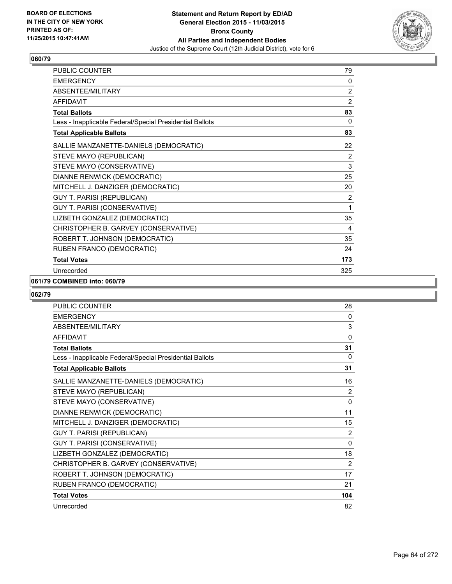

| PUBLIC COUNTER                                           | 79             |
|----------------------------------------------------------|----------------|
| <b>EMERGENCY</b>                                         | 0              |
| ABSENTEE/MILITARY                                        | 2              |
| <b>AFFIDAVIT</b>                                         | $\overline{2}$ |
| <b>Total Ballots</b>                                     | 83             |
| Less - Inapplicable Federal/Special Presidential Ballots | 0              |
| <b>Total Applicable Ballots</b>                          | 83             |
| SALLIE MANZANETTE-DANIELS (DEMOCRATIC)                   | 22             |
| STEVE MAYO (REPUBLICAN)                                  | 2              |
| STEVE MAYO (CONSERVATIVE)                                | 3              |
| DIANNE RENWICK (DEMOCRATIC)                              | 25             |
| MITCHELL J. DANZIGER (DEMOCRATIC)                        | 20             |
| <b>GUY T. PARISI (REPUBLICAN)</b>                        | 2              |
| GUY T. PARISI (CONSERVATIVE)                             | 1              |
| LIZBETH GONZALEZ (DEMOCRATIC)                            | 35             |
| CHRISTOPHER B. GARVEY (CONSERVATIVE)                     | 4              |
| ROBERT T. JOHNSON (DEMOCRATIC)                           | 35             |
| RUBEN FRANCO (DEMOCRATIC)                                | 24             |
| <b>Total Votes</b>                                       | 173            |
| Unrecorded                                               | 325            |

### **061/79 COMBINED into: 060/79**

| <b>PUBLIC COUNTER</b>                                    | 28       |
|----------------------------------------------------------|----------|
| <b>EMERGENCY</b>                                         | 0        |
| ABSENTEE/MILITARY                                        | 3        |
| <b>AFFIDAVIT</b>                                         | $\Omega$ |
| <b>Total Ballots</b>                                     | 31       |
| Less - Inapplicable Federal/Special Presidential Ballots | 0        |
| <b>Total Applicable Ballots</b>                          | 31       |
| SALLIE MANZANETTE-DANIELS (DEMOCRATIC)                   | 16       |
| STEVE MAYO (REPUBLICAN)                                  | 2        |
| STEVE MAYO (CONSERVATIVE)                                | 0        |
| DIANNE RENWICK (DEMOCRATIC)                              | 11       |
| MITCHELL J. DANZIGER (DEMOCRATIC)                        | 15       |
| <b>GUY T. PARISI (REPUBLICAN)</b>                        | 2        |
| GUY T. PARISI (CONSERVATIVE)                             | 0        |
| LIZBETH GONZALEZ (DEMOCRATIC)                            | 18       |
| CHRISTOPHER B. GARVEY (CONSERVATIVE)                     | 2        |
| ROBERT T. JOHNSON (DEMOCRATIC)                           | 17       |
| RUBEN FRANCO (DEMOCRATIC)                                | 21       |
| <b>Total Votes</b>                                       | 104      |
| Unrecorded                                               | 82       |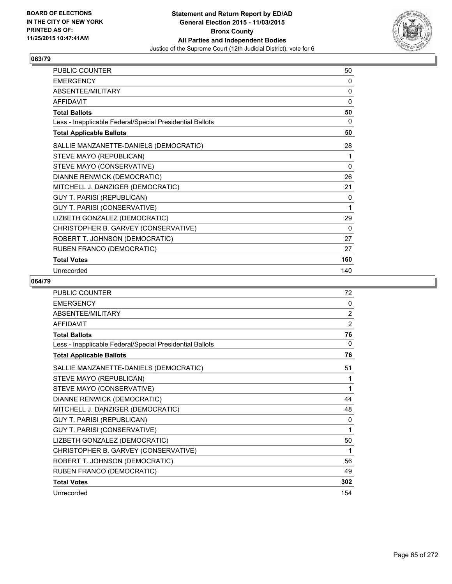

| <b>PUBLIC COUNTER</b>                                    | 50  |
|----------------------------------------------------------|-----|
| <b>EMERGENCY</b>                                         | 0   |
| ABSENTEE/MILITARY                                        | 0   |
| <b>AFFIDAVIT</b>                                         | 0   |
| <b>Total Ballots</b>                                     | 50  |
| Less - Inapplicable Federal/Special Presidential Ballots | 0   |
| <b>Total Applicable Ballots</b>                          | 50  |
| SALLIE MANZANETTE-DANIELS (DEMOCRATIC)                   | 28  |
| STEVE MAYO (REPUBLICAN)                                  | 1   |
| STEVE MAYO (CONSERVATIVE)                                | 0   |
| DIANNE RENWICK (DEMOCRATIC)                              | 26  |
| MITCHELL J. DANZIGER (DEMOCRATIC)                        | 21  |
| <b>GUY T. PARISI (REPUBLICAN)</b>                        | 0   |
| GUY T. PARISI (CONSERVATIVE)                             | 1   |
| LIZBETH GONZALEZ (DEMOCRATIC)                            | 29  |
| CHRISTOPHER B. GARVEY (CONSERVATIVE)                     | 0   |
| ROBERT T. JOHNSON (DEMOCRATIC)                           | 27  |
| RUBEN FRANCO (DEMOCRATIC)                                | 27  |
| <b>Total Votes</b>                                       | 160 |
| Unrecorded                                               | 140 |

| <b>PUBLIC COUNTER</b>                                    | 72           |
|----------------------------------------------------------|--------------|
| <b>EMERGENCY</b>                                         | 0            |
| ABSENTEE/MILITARY                                        | 2            |
| <b>AFFIDAVIT</b>                                         | 2            |
| <b>Total Ballots</b>                                     | 76           |
| Less - Inapplicable Federal/Special Presidential Ballots | 0            |
| <b>Total Applicable Ballots</b>                          | 76           |
| SALLIE MANZANETTE-DANIELS (DEMOCRATIC)                   | 51           |
| STEVE MAYO (REPUBLICAN)                                  | 1            |
| STEVE MAYO (CONSERVATIVE)                                | 1            |
| DIANNE RENWICK (DEMOCRATIC)                              | 44           |
| MITCHELL J. DANZIGER (DEMOCRATIC)                        | 48           |
| <b>GUY T. PARISI (REPUBLICAN)</b>                        | $\mathbf{0}$ |
| GUY T. PARISI (CONSERVATIVE)                             | 1            |
| LIZBETH GONZALEZ (DEMOCRATIC)                            | 50           |
| CHRISTOPHER B. GARVEY (CONSERVATIVE)                     | 1            |
| ROBERT T. JOHNSON (DEMOCRATIC)                           | 56           |
| RUBEN FRANCO (DEMOCRATIC)                                | 49           |
| <b>Total Votes</b>                                       | 302          |
| Unrecorded                                               | 154          |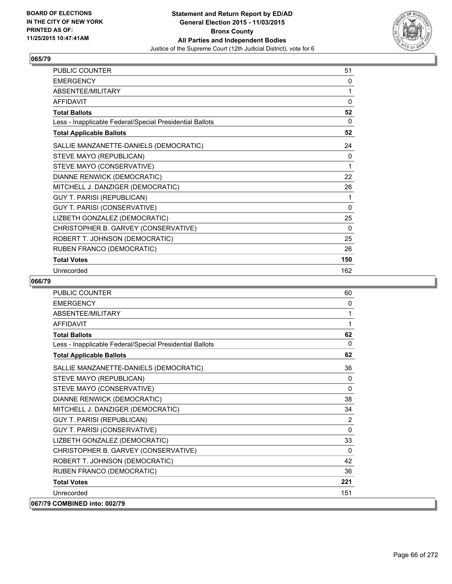

| PUBLIC COUNTER                                           | 51       |
|----------------------------------------------------------|----------|
| <b>EMERGENCY</b>                                         | 0        |
| ABSENTEE/MILITARY                                        | 1        |
| <b>AFFIDAVIT</b>                                         | $\Omega$ |
| <b>Total Ballots</b>                                     | 52       |
| Less - Inapplicable Federal/Special Presidential Ballots | 0        |
| <b>Total Applicable Ballots</b>                          | 52       |
| SALLIE MANZANETTE-DANIELS (DEMOCRATIC)                   | 24       |
| STEVE MAYO (REPUBLICAN)                                  | 0        |
| STEVE MAYO (CONSERVATIVE)                                | 1        |
| DIANNE RENWICK (DEMOCRATIC)                              | 22       |
| MITCHELL J. DANZIGER (DEMOCRATIC)                        | 26       |
| GUY T. PARISI (REPUBLICAN)                               | 1        |
| GUY T. PARISI (CONSERVATIVE)                             | 0        |
| LIZBETH GONZALEZ (DEMOCRATIC)                            | 25       |
| CHRISTOPHER B. GARVEY (CONSERVATIVE)                     | 0        |
| ROBERT T. JOHNSON (DEMOCRATIC)                           | 25       |
| RUBEN FRANCO (DEMOCRATIC)                                | 26       |
| <b>Total Votes</b>                                       | 150      |
| Unrecorded                                               | 162      |

| PUBLIC COUNTER                                           | 60             |
|----------------------------------------------------------|----------------|
| <b>FMFRGFNCY</b>                                         | 0              |
| <b>ABSENTEE/MILITARY</b>                                 | 1              |
| <b>AFFIDAVIT</b>                                         | 1              |
| <b>Total Ballots</b>                                     | 62             |
| Less - Inapplicable Federal/Special Presidential Ballots | $\mathbf{0}$   |
| <b>Total Applicable Ballots</b>                          | 62             |
| SALLIE MANZANETTE-DANIELS (DEMOCRATIC)                   | 36             |
| STEVE MAYO (REPUBLICAN)                                  | 0              |
| STEVE MAYO (CONSERVATIVE)                                | $\mathbf{0}$   |
| DIANNE RENWICK (DEMOCRATIC)                              | 38             |
| MITCHELL J. DANZIGER (DEMOCRATIC)                        | 34             |
| <b>GUY T. PARISI (REPUBLICAN)</b>                        | $\overline{2}$ |
| GUY T. PARISI (CONSERVATIVE)                             | $\mathbf{0}$   |
| LIZBETH GONZALEZ (DEMOCRATIC)                            | 33             |
| CHRISTOPHER B. GARVEY (CONSERVATIVE)                     | $\Omega$       |
| ROBERT T. JOHNSON (DEMOCRATIC)                           | 42             |
| RUBEN FRANCO (DEMOCRATIC)                                | 36             |
| <b>Total Votes</b>                                       | 221            |
| Unrecorded                                               | 151            |
| 067/79 COMBINED into: 002/79                             |                |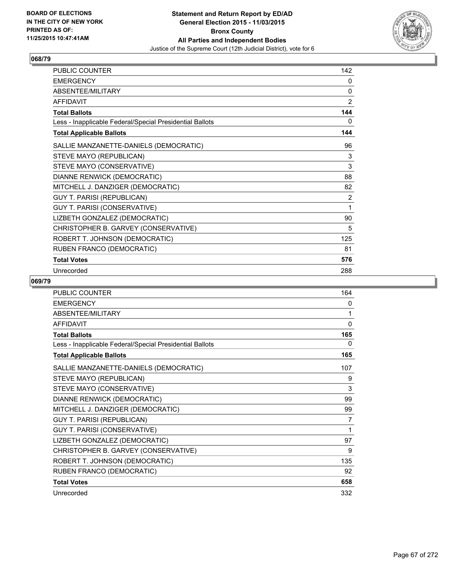

| PUBLIC COUNTER                                           | 142            |
|----------------------------------------------------------|----------------|
| <b>EMERGENCY</b>                                         | 0              |
| ABSENTEE/MILITARY                                        | 0              |
| <b>AFFIDAVIT</b>                                         | 2              |
| <b>Total Ballots</b>                                     | 144            |
| Less - Inapplicable Federal/Special Presidential Ballots | 0              |
| <b>Total Applicable Ballots</b>                          | 144            |
| SALLIE MANZANETTE-DANIELS (DEMOCRATIC)                   | 96             |
| STEVE MAYO (REPUBLICAN)                                  | 3              |
| STEVE MAYO (CONSERVATIVE)                                | 3              |
| DIANNE RENWICK (DEMOCRATIC)                              | 88             |
| MITCHELL J. DANZIGER (DEMOCRATIC)                        | 82             |
| <b>GUY T. PARISI (REPUBLICAN)</b>                        | $\overline{2}$ |
| GUY T. PARISI (CONSERVATIVE)                             | 1              |
| LIZBETH GONZALEZ (DEMOCRATIC)                            | 90             |
| CHRISTOPHER B. GARVEY (CONSERVATIVE)                     | 5              |
| ROBERT T. JOHNSON (DEMOCRATIC)                           | 125            |
| RUBEN FRANCO (DEMOCRATIC)                                | 81             |
| <b>Total Votes</b>                                       | 576            |
| Unrecorded                                               | 288            |

| <b>PUBLIC COUNTER</b>                                    | 164          |
|----------------------------------------------------------|--------------|
| <b>EMERGENCY</b>                                         | 0            |
| ABSENTEE/MILITARY                                        | 1            |
| <b>AFFIDAVIT</b>                                         | $\mathbf{0}$ |
| <b>Total Ballots</b>                                     | 165          |
| Less - Inapplicable Federal/Special Presidential Ballots | 0            |
| <b>Total Applicable Ballots</b>                          | 165          |
| SALLIE MANZANETTE-DANIELS (DEMOCRATIC)                   | 107          |
| STEVE MAYO (REPUBLICAN)                                  | 9            |
| STEVE MAYO (CONSERVATIVE)                                | 3            |
| DIANNE RENWICK (DEMOCRATIC)                              | 99           |
| MITCHELL J. DANZIGER (DEMOCRATIC)                        | 99           |
| <b>GUY T. PARISI (REPUBLICAN)</b>                        | 7            |
| GUY T. PARISI (CONSERVATIVE)                             | 1            |
| LIZBETH GONZALEZ (DEMOCRATIC)                            | 97           |
| CHRISTOPHER B. GARVEY (CONSERVATIVE)                     | 9            |
| ROBERT T. JOHNSON (DEMOCRATIC)                           | 135          |
| RUBEN FRANCO (DEMOCRATIC)                                | 92           |
| <b>Total Votes</b>                                       | 658          |
| Unrecorded                                               | 332          |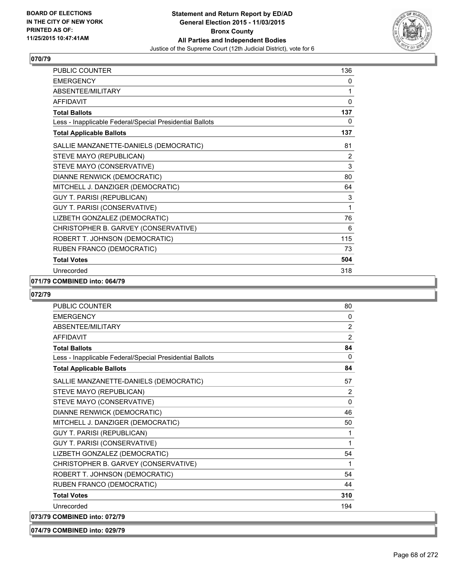

| <b>PUBLIC COUNTER</b>                                    | 136 |
|----------------------------------------------------------|-----|
| <b>EMERGENCY</b>                                         | 0   |
| ABSENTEE/MILITARY                                        | 1   |
| <b>AFFIDAVIT</b>                                         | 0   |
| <b>Total Ballots</b>                                     | 137 |
| Less - Inapplicable Federal/Special Presidential Ballots | 0   |
| <b>Total Applicable Ballots</b>                          | 137 |
| SALLIE MANZANETTE-DANIELS (DEMOCRATIC)                   | 81  |
| STEVE MAYO (REPUBLICAN)                                  | 2   |
| STEVE MAYO (CONSERVATIVE)                                | 3   |
| DIANNE RENWICK (DEMOCRATIC)                              | 80  |
| MITCHELL J. DANZIGER (DEMOCRATIC)                        | 64  |
| <b>GUY T. PARISI (REPUBLICAN)</b>                        | 3   |
| GUY T. PARISI (CONSERVATIVE)                             | 1   |
| LIZBETH GONZALEZ (DEMOCRATIC)                            | 76  |
| CHRISTOPHER B. GARVEY (CONSERVATIVE)                     | 6   |
| ROBERT T. JOHNSON (DEMOCRATIC)                           | 115 |
| RUBEN FRANCO (DEMOCRATIC)                                | 73  |
| <b>Total Votes</b>                                       | 504 |
| Unrecorded                                               | 318 |

### **071/79 COMBINED into: 064/79**

# **072/79**

| <b>PUBLIC COUNTER</b>                                    | 80             |
|----------------------------------------------------------|----------------|
| <b>EMERGENCY</b>                                         | 0              |
| ABSENTEE/MILITARY                                        | 2              |
| <b>AFFIDAVIT</b>                                         | $\overline{2}$ |
| <b>Total Ballots</b>                                     | 84             |
| Less - Inapplicable Federal/Special Presidential Ballots | $\mathbf{0}$   |
| <b>Total Applicable Ballots</b>                          | 84             |
| SALLIE MANZANETTE-DANIELS (DEMOCRATIC)                   | 57             |
| STEVE MAYO (REPUBLICAN)                                  | 2              |
| STEVE MAYO (CONSERVATIVE)                                | 0              |
| DIANNE RENWICK (DEMOCRATIC)                              | 46             |
| MITCHELL J. DANZIGER (DEMOCRATIC)                        | 50             |
| <b>GUY T. PARISI (REPUBLICAN)</b>                        | 1              |
| GUY T. PARISI (CONSERVATIVE)                             | 1              |
| LIZBETH GONZALEZ (DEMOCRATIC)                            | 54             |
| CHRISTOPHER B. GARVEY (CONSERVATIVE)                     | 1              |
| ROBERT T. JOHNSON (DEMOCRATIC)                           | 54             |
| RUBEN FRANCO (DEMOCRATIC)                                | 44             |
| <b>Total Votes</b>                                       | 310            |
| Unrecorded                                               | 194            |
| 073/79 COMBINED into: 072/79                             |                |
|                                                          |                |

**074/79 COMBINED into: 029/79**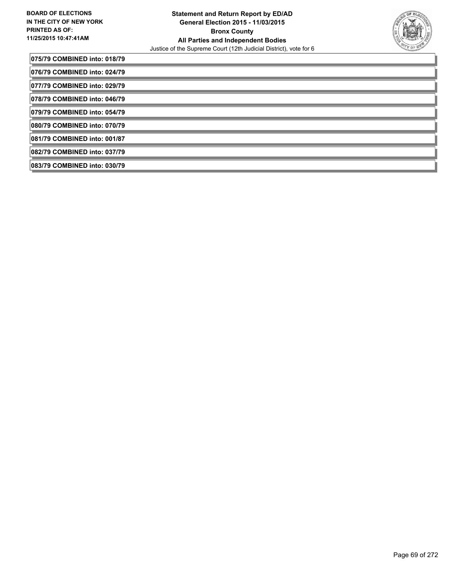

| 075/79 COMBINED into: 018/79 |  |
|------------------------------|--|
| 076/79 COMBINED into: 024/79 |  |
| 077/79 COMBINED into: 029/79 |  |
| 078/79 COMBINED into: 046/79 |  |
| 079/79 COMBINED into: 054/79 |  |
| 080/79 COMBINED into: 070/79 |  |
| 081/79 COMBINED into: 001/87 |  |
| 082/79 COMBINED into: 037/79 |  |
| 083/79 COMBINED into: 030/79 |  |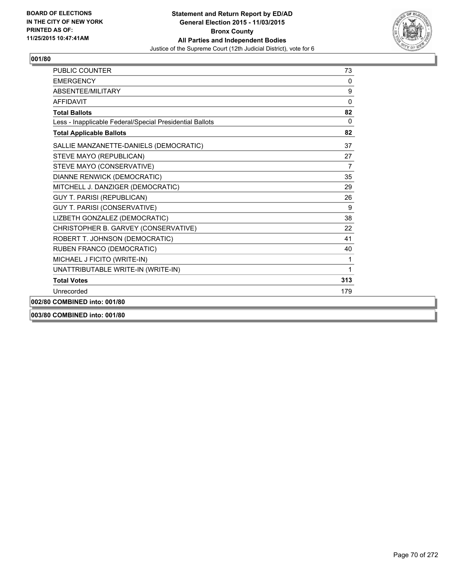

| <b>PUBLIC COUNTER</b>                                    | 73             |
|----------------------------------------------------------|----------------|
| <b>FMFRGFNCY</b>                                         | 0              |
| ABSENTEE/MILITARY                                        | 9              |
| <b>AFFIDAVIT</b>                                         | 0              |
| <b>Total Ballots</b>                                     | 82             |
| Less - Inapplicable Federal/Special Presidential Ballots | $\mathbf{0}$   |
| <b>Total Applicable Ballots</b>                          | 82             |
| SALLIE MANZANETTE-DANIELS (DEMOCRATIC)                   | 37             |
| STEVE MAYO (REPUBLICAN)                                  | 27             |
| STEVE MAYO (CONSERVATIVE)                                | $\overline{7}$ |
| DIANNE RENWICK (DEMOCRATIC)                              | 35             |
| MITCHELL J. DANZIGER (DEMOCRATIC)                        | 29             |
| <b>GUY T. PARISI (REPUBLICAN)</b>                        | 26             |
| GUY T. PARISI (CONSERVATIVE)                             | 9              |
| LIZBETH GONZALEZ (DEMOCRATIC)                            | 38             |
| CHRISTOPHER B. GARVEY (CONSERVATIVE)                     | 22             |
| ROBERT T. JOHNSON (DEMOCRATIC)                           | 41             |
| RUBEN FRANCO (DEMOCRATIC)                                | 40             |
| MICHAEL J FICITO (WRITE-IN)                              | 1              |
| UNATTRIBUTABLE WRITE-IN (WRITE-IN)                       | 1              |
| <b>Total Votes</b>                                       | 313            |
| Unrecorded                                               | 179            |
| 002/80 COMBINED into: 001/80                             |                |
| 003/80 COMBINED into: 001/80                             |                |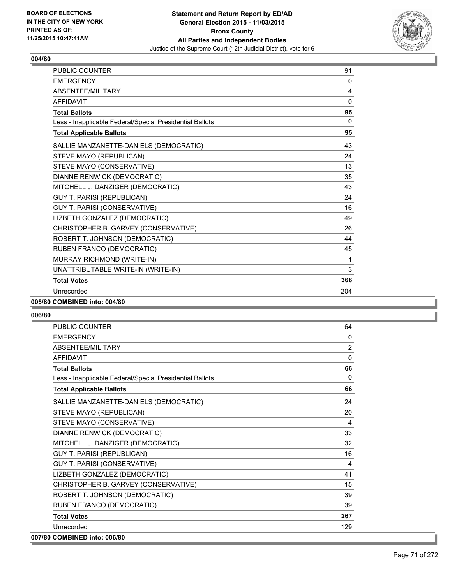

| <b>PUBLIC COUNTER</b>                                    | 91  |
|----------------------------------------------------------|-----|
| <b>EMERGENCY</b>                                         | 0   |
| ABSENTEE/MILITARY                                        | 4   |
| <b>AFFIDAVIT</b>                                         | 0   |
| <b>Total Ballots</b>                                     | 95  |
| Less - Inapplicable Federal/Special Presidential Ballots | 0   |
| <b>Total Applicable Ballots</b>                          | 95  |
| SALLIE MANZANETTE-DANIELS (DEMOCRATIC)                   | 43  |
| STEVE MAYO (REPUBLICAN)                                  | 24  |
| STEVE MAYO (CONSERVATIVE)                                | 13  |
| DIANNE RENWICK (DEMOCRATIC)                              | 35  |
| MITCHELL J. DANZIGER (DEMOCRATIC)                        | 43  |
| <b>GUY T. PARISI (REPUBLICAN)</b>                        | 24  |
| GUY T. PARISI (CONSERVATIVE)                             | 16  |
| LIZBETH GONZALEZ (DEMOCRATIC)                            | 49  |
| CHRISTOPHER B. GARVEY (CONSERVATIVE)                     | 26  |
| ROBERT T. JOHNSON (DEMOCRATIC)                           | 44  |
| RUBEN FRANCO (DEMOCRATIC)                                | 45  |
| MURRAY RICHMOND (WRITE-IN)                               | 1   |
| UNATTRIBUTABLE WRITE-IN (WRITE-IN)                       | 3   |
| <b>Total Votes</b>                                       | 366 |
| Unrecorded                                               | 204 |
|                                                          |     |

#### **005/80 COMBINED into: 004/80**

| PUBLIC COUNTER                                           | 64           |
|----------------------------------------------------------|--------------|
| <b>EMERGENCY</b>                                         | $\mathbf{0}$ |
| ABSENTEE/MILITARY                                        | 2            |
| <b>AFFIDAVIT</b>                                         | $\mathbf{0}$ |
| <b>Total Ballots</b>                                     | 66           |
| Less - Inapplicable Federal/Special Presidential Ballots | $\Omega$     |
| <b>Total Applicable Ballots</b>                          | 66           |
| SALLIE MANZANETTE-DANIELS (DEMOCRATIC)                   | 24           |
| STEVE MAYO (REPUBLICAN)                                  | 20           |
| STEVE MAYO (CONSERVATIVE)                                | 4            |
| DIANNE RENWICK (DEMOCRATIC)                              | 33           |
| MITCHELL J. DANZIGER (DEMOCRATIC)                        | 32           |
| <b>GUY T. PARISI (REPUBLICAN)</b>                        | 16           |
| GUY T. PARISI (CONSERVATIVE)                             | 4            |
| LIZBETH GONZALEZ (DEMOCRATIC)                            | 41           |
| CHRISTOPHER B. GARVEY (CONSERVATIVE)                     | 15           |
| ROBERT T. JOHNSON (DEMOCRATIC)                           | 39           |
| RUBEN FRANCO (DEMOCRATIC)                                | 39           |
| <b>Total Votes</b>                                       | 267          |
| Unrecorded                                               | 129          |
| 007/80 COMBINED into: 006/80                             |              |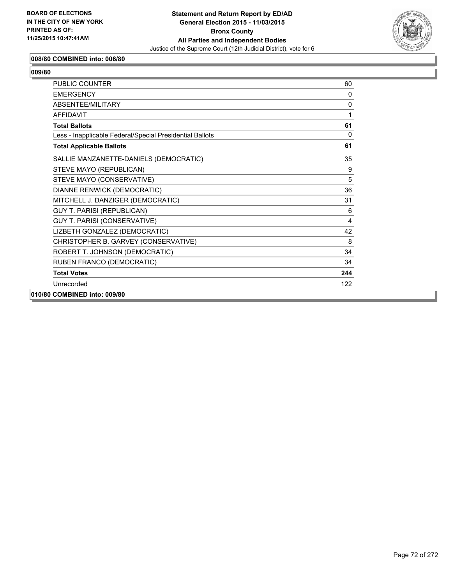

### **008/80 COMBINED into: 006/80**

| 1009/80 |
|---------|
|---------|

| <b>PUBLIC COUNTER</b>                                    | 60           |
|----------------------------------------------------------|--------------|
| <b>EMERGENCY</b>                                         | $\mathbf{0}$ |
| ABSENTEE/MILITARY                                        | $\mathbf{0}$ |
| <b>AFFIDAVIT</b>                                         | 1            |
| <b>Total Ballots</b>                                     | 61           |
| Less - Inapplicable Federal/Special Presidential Ballots | 0            |
| <b>Total Applicable Ballots</b>                          | 61           |
| SALLIE MANZANETTE-DANIELS (DEMOCRATIC)                   | 35           |
| STEVE MAYO (REPUBLICAN)                                  | 9            |
| STEVE MAYO (CONSERVATIVE)                                | 5            |
| DIANNE RENWICK (DEMOCRATIC)                              | 36           |
| MITCHELL J. DANZIGER (DEMOCRATIC)                        | 31           |
| <b>GUY T. PARISI (REPUBLICAN)</b>                        | 6            |
| GUY T. PARISI (CONSERVATIVE)                             | 4            |
| LIZBETH GONZALEZ (DEMOCRATIC)                            | 42           |
| CHRISTOPHER B. GARVEY (CONSERVATIVE)                     | 8            |
| ROBERT T. JOHNSON (DEMOCRATIC)                           | 34           |
| RUBEN FRANCO (DEMOCRATIC)                                | 34           |
| <b>Total Votes</b>                                       | 244          |
| Unrecorded                                               | 122          |
| 010/80 COMBINED into: 009/80                             |              |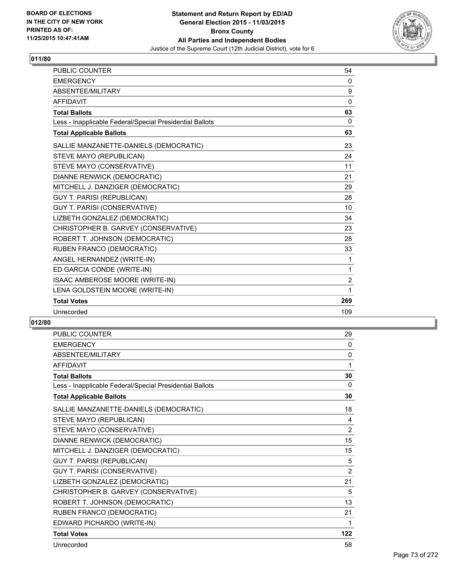

| <b>PUBLIC COUNTER</b>                                    | 54             |
|----------------------------------------------------------|----------------|
| <b>EMERGENCY</b>                                         | 0              |
| ABSENTEE/MILITARY                                        | 9              |
| <b>AFFIDAVIT</b>                                         | 0              |
| <b>Total Ballots</b>                                     | 63             |
| Less - Inapplicable Federal/Special Presidential Ballots | $\mathbf{0}$   |
| <b>Total Applicable Ballots</b>                          | 63             |
| SALLIE MANZANETTE-DANIELS (DEMOCRATIC)                   | 23             |
| STEVE MAYO (REPUBLICAN)                                  | 24             |
| STEVE MAYO (CONSERVATIVE)                                | 11             |
| DIANNE RENWICK (DEMOCRATIC)                              | 21             |
| MITCHELL J. DANZIGER (DEMOCRATIC)                        | 29             |
| <b>GUY T. PARISI (REPUBLICAN)</b>                        | 28             |
| <b>GUY T. PARISI (CONSERVATIVE)</b>                      | 10             |
| LIZBETH GONZALEZ (DEMOCRATIC)                            | 34             |
| CHRISTOPHER B. GARVEY (CONSERVATIVE)                     | 23             |
| ROBERT T. JOHNSON (DEMOCRATIC)                           | 28             |
| RUBEN FRANCO (DEMOCRATIC)                                | 33             |
| ANGEL HERNANDEZ (WRITE-IN)                               | 1              |
| ED GARCIA CONDE (WRITE-IN)                               | 1              |
| ISAAC AMBEROSE MOORE (WRITE-IN)                          | $\overline{2}$ |
| LENA GOLDSTEIN MOORE (WRITE-IN)                          | 1              |
| <b>Total Votes</b>                                       | 269            |
| Unrecorded                                               | 109            |

| <b>PUBLIC COUNTER</b>                                    | 29       |
|----------------------------------------------------------|----------|
| <b>EMERGENCY</b>                                         | $\Omega$ |
| <b>ABSENTEE/MILITARY</b>                                 | 0        |
| <b>AFFIDAVIT</b>                                         | 1        |
| <b>Total Ballots</b>                                     | 30       |
| Less - Inapplicable Federal/Special Presidential Ballots | 0        |
| <b>Total Applicable Ballots</b>                          | 30       |
| SALLIE MANZANETTE-DANIELS (DEMOCRATIC)                   | 18       |
| STEVE MAYO (REPUBLICAN)                                  | 4        |
| STEVE MAYO (CONSERVATIVE)                                | 2        |
| DIANNE RENWICK (DEMOCRATIC)                              | 15       |
| MITCHELL J. DANZIGER (DEMOCRATIC)                        | 15       |
| <b>GUY T. PARISI (REPUBLICAN)</b>                        | 5        |
| GUY T. PARISI (CONSERVATIVE)                             | 2        |
| LIZBETH GONZALEZ (DEMOCRATIC)                            | 21       |
| CHRISTOPHER B. GARVEY (CONSERVATIVE)                     | 5        |
| ROBERT T. JOHNSON (DEMOCRATIC)                           | 13       |
| RUBEN FRANCO (DEMOCRATIC)                                | 21       |
| EDWARD PICHARDO (WRITE-IN)                               | 1        |
| <b>Total Votes</b>                                       | 122      |
| Unrecorded                                               | 58       |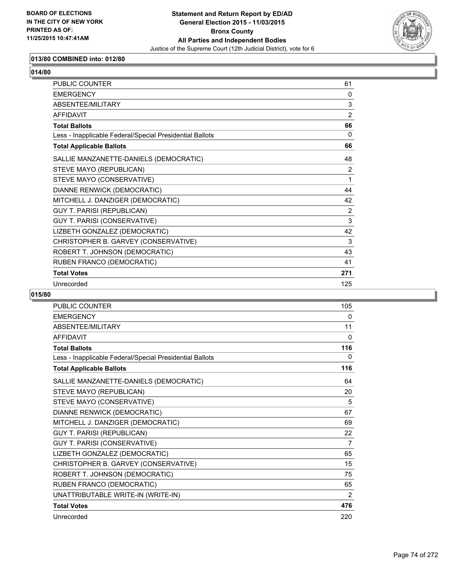

# **013/80 COMBINED into: 012/80**

| <b>PUBLIC COUNTER</b>                                    | 61       |
|----------------------------------------------------------|----------|
| <b>EMERGENCY</b>                                         | $\Omega$ |
| ABSENTEE/MILITARY                                        | 3        |
| <b>AFFIDAVIT</b>                                         | 2        |
| <b>Total Ballots</b>                                     | 66       |
| Less - Inapplicable Federal/Special Presidential Ballots | 0        |
| <b>Total Applicable Ballots</b>                          | 66       |
| SALLIE MANZANETTE-DANIELS (DEMOCRATIC)                   | 48       |
| STEVE MAYO (REPUBLICAN)                                  | 2        |
| STEVE MAYO (CONSERVATIVE)                                | 1        |
| DIANNE RENWICK (DEMOCRATIC)                              | 44       |
| MITCHELL J. DANZIGER (DEMOCRATIC)                        | 42       |
| <b>GUY T. PARISI (REPUBLICAN)</b>                        | 2        |
| GUY T. PARISI (CONSERVATIVE)                             | 3        |
| LIZBETH GONZALEZ (DEMOCRATIC)                            | 42       |
| CHRISTOPHER B. GARVEY (CONSERVATIVE)                     | 3        |
| ROBERT T. JOHNSON (DEMOCRATIC)                           | 43       |
| RUBEN FRANCO (DEMOCRATIC)                                | 41       |
| <b>Total Votes</b>                                       | 271      |
| Unrecorded                                               | 125      |

| PUBLIC COUNTER                                           | 105 |
|----------------------------------------------------------|-----|
| <b>EMERGENCY</b>                                         | 0   |
| <b>ABSENTEE/MILITARY</b>                                 | 11  |
| <b>AFFIDAVIT</b>                                         | 0   |
| <b>Total Ballots</b>                                     | 116 |
| Less - Inapplicable Federal/Special Presidential Ballots | 0   |
| <b>Total Applicable Ballots</b>                          | 116 |
| SALLIE MANZANETTE-DANIELS (DEMOCRATIC)                   | 64  |
| STEVE MAYO (REPUBLICAN)                                  | 20  |
| STEVE MAYO (CONSERVATIVE)                                | 5   |
| DIANNE RENWICK (DEMOCRATIC)                              | 67  |
| MITCHELL J. DANZIGER (DEMOCRATIC)                        | 69  |
| <b>GUY T. PARISI (REPUBLICAN)</b>                        | 22  |
| GUY T. PARISI (CONSERVATIVE)                             | 7   |
| LIZBETH GONZALEZ (DEMOCRATIC)                            | 65  |
| CHRISTOPHER B. GARVEY (CONSERVATIVE)                     | 15  |
| ROBERT T. JOHNSON (DEMOCRATIC)                           | 75  |
| RUBEN FRANCO (DEMOCRATIC)                                | 65  |
| UNATTRIBUTABLE WRITE-IN (WRITE-IN)                       | 2   |
| <b>Total Votes</b>                                       | 476 |
| Unrecorded                                               | 220 |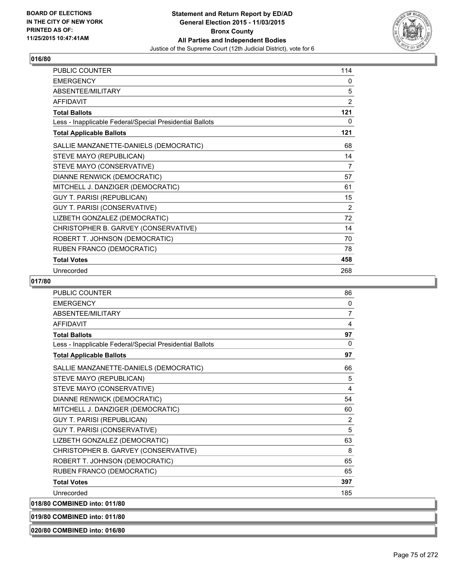

| PUBLIC COUNTER                                           | 114            |
|----------------------------------------------------------|----------------|
| <b>EMERGENCY</b>                                         | 0              |
| ABSENTEE/MILITARY                                        | 5              |
| <b>AFFIDAVIT</b>                                         | 2              |
| <b>Total Ballots</b>                                     | 121            |
| Less - Inapplicable Federal/Special Presidential Ballots | 0              |
| <b>Total Applicable Ballots</b>                          | 121            |
| SALLIE MANZANETTE-DANIELS (DEMOCRATIC)                   | 68             |
| STEVE MAYO (REPUBLICAN)                                  | 14             |
| STEVE MAYO (CONSERVATIVE)                                | 7              |
| DIANNE RENWICK (DEMOCRATIC)                              | 57             |
| MITCHELL J. DANZIGER (DEMOCRATIC)                        | 61             |
| <b>GUY T. PARISI (REPUBLICAN)</b>                        | 15             |
| <b>GUY T. PARISI (CONSERVATIVE)</b>                      | $\overline{2}$ |
| LIZBETH GONZALEZ (DEMOCRATIC)                            | 72             |
| CHRISTOPHER B. GARVEY (CONSERVATIVE)                     | 14             |
| ROBERT T. JOHNSON (DEMOCRATIC)                           | 70             |
| RUBEN FRANCO (DEMOCRATIC)                                | 78             |
| <b>Total Votes</b>                                       | 458            |
| Unrecorded                                               | 268            |

### **017/80**

| <b>PUBLIC COUNTER</b>                                    | 86             |
|----------------------------------------------------------|----------------|
| <b>EMERGENCY</b>                                         | 0              |
| <b>ABSENTEE/MILITARY</b>                                 | $\overline{7}$ |
| <b>AFFIDAVIT</b>                                         | 4              |
| <b>Total Ballots</b>                                     | 97             |
| Less - Inapplicable Federal/Special Presidential Ballots | $\Omega$       |
| <b>Total Applicable Ballots</b>                          | 97             |
| SALLIE MANZANETTE-DANIELS (DEMOCRATIC)                   | 66             |
| STEVE MAYO (REPUBLICAN)                                  | 5              |
| STEVE MAYO (CONSERVATIVE)                                | 4              |
| DIANNE RENWICK (DEMOCRATIC)                              | 54             |
| MITCHELL J. DANZIGER (DEMOCRATIC)                        | 60             |
| <b>GUY T. PARISI (REPUBLICAN)</b>                        | 2              |
| GUY T. PARISI (CONSERVATIVE)                             | 5              |
| LIZBETH GONZALEZ (DEMOCRATIC)                            | 63             |
| CHRISTOPHER B. GARVEY (CONSERVATIVE)                     | 8              |
| ROBERT T. JOHNSON (DEMOCRATIC)                           | 65             |
| RUBEN FRANCO (DEMOCRATIC)                                | 65             |
| <b>Total Votes</b>                                       | 397            |
| Unrecorded                                               | 185            |
| 018/80 COMBINED into: 011/80                             |                |

**019/80 COMBINED into: 011/80**

**020/80 COMBINED into: 016/80**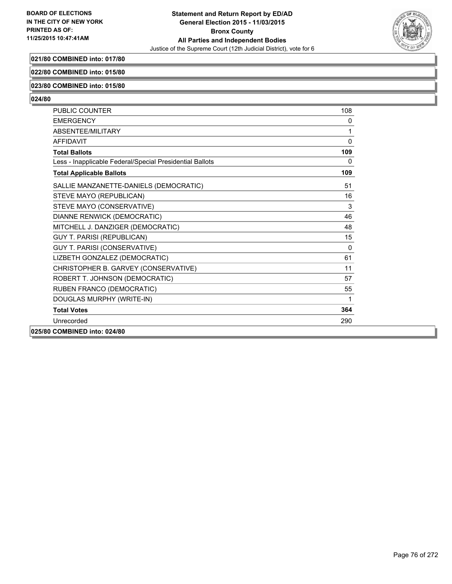

# **021/80 COMBINED into: 017/80**

### **022/80 COMBINED into: 015/80**

#### **023/80 COMBINED into: 015/80**

| <b>PUBLIC COUNTER</b>                                    | 108          |
|----------------------------------------------------------|--------------|
| <b>EMERGENCY</b>                                         | 0            |
| <b>ABSENTEE/MILITARY</b>                                 | 1            |
| <b>AFFIDAVIT</b>                                         | $\Omega$     |
| <b>Total Ballots</b>                                     | 109          |
| Less - Inapplicable Federal/Special Presidential Ballots | $\mathbf{0}$ |
| <b>Total Applicable Ballots</b>                          | 109          |
| SALLIE MANZANETTE-DANIELS (DEMOCRATIC)                   | 51           |
| STEVE MAYO (REPUBLICAN)                                  | 16           |
| STEVE MAYO (CONSERVATIVE)                                | 3            |
| DIANNE RENWICK (DEMOCRATIC)                              | 46           |
| MITCHELL J. DANZIGER (DEMOCRATIC)                        | 48           |
| <b>GUY T. PARISI (REPUBLICAN)</b>                        | 15           |
| GUY T. PARISI (CONSERVATIVE)                             | $\mathbf{0}$ |
| LIZBETH GONZALEZ (DEMOCRATIC)                            | 61           |
| CHRISTOPHER B. GARVEY (CONSERVATIVE)                     | 11           |
| ROBERT T. JOHNSON (DEMOCRATIC)                           | 57           |
| RUBEN FRANCO (DEMOCRATIC)                                | 55           |
| DOUGLAS MURPHY (WRITE-IN)                                | 1            |
| <b>Total Votes</b>                                       | 364          |
| Unrecorded                                               | 290          |
| 025/80 COMBINED into: 024/80                             |              |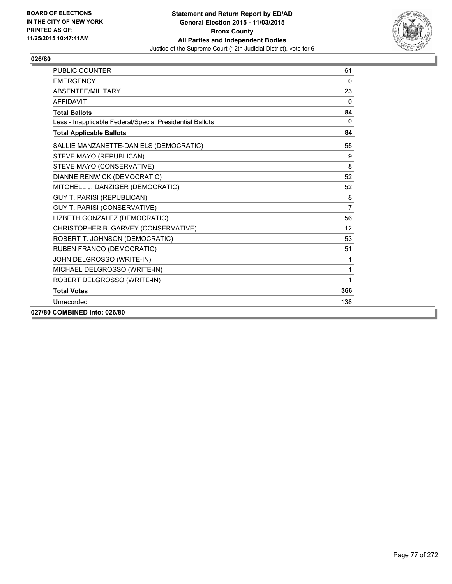

| <b>PUBLIC COUNTER</b>                                    | 61             |
|----------------------------------------------------------|----------------|
| <b>FMFRGFNCY</b>                                         | $\mathbf{0}$   |
| ABSENTEE/MILITARY                                        | 23             |
| <b>AFFIDAVIT</b>                                         | $\mathbf{0}$   |
| <b>Total Ballots</b>                                     | 84             |
| Less - Inapplicable Federal/Special Presidential Ballots | $\mathbf{0}$   |
| <b>Total Applicable Ballots</b>                          | 84             |
| SALLIE MANZANETTE-DANIELS (DEMOCRATIC)                   | 55             |
| STEVE MAYO (REPUBLICAN)                                  | 9              |
| STEVE MAYO (CONSERVATIVE)                                | 8              |
| DIANNE RENWICK (DEMOCRATIC)                              | 52             |
| MITCHELL J. DANZIGER (DEMOCRATIC)                        | 52             |
| <b>GUY T. PARISI (REPUBLICAN)</b>                        | 8              |
| GUY T. PARISI (CONSERVATIVE)                             | $\overline{7}$ |
| LIZBETH GONZALEZ (DEMOCRATIC)                            | 56             |
| CHRISTOPHER B. GARVEY (CONSERVATIVE)                     | 12             |
| ROBERT T. JOHNSON (DEMOCRATIC)                           | 53             |
| RUBEN FRANCO (DEMOCRATIC)                                | 51             |
| JOHN DELGROSSO (WRITE-IN)                                | 1              |
| MICHAEL DELGROSSO (WRITE-IN)                             | 1              |
| ROBERT DELGROSSO (WRITE-IN)                              | 1              |
| <b>Total Votes</b>                                       | 366            |
| Unrecorded                                               | 138            |
| 027/80 COMBINED into: 026/80                             |                |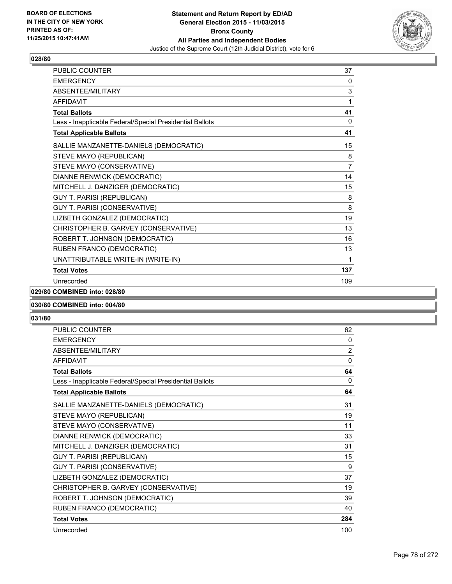

| PUBLIC COUNTER                                           | 37             |
|----------------------------------------------------------|----------------|
| <b>EMERGENCY</b>                                         | 0              |
| ABSENTEE/MILITARY                                        | 3              |
| <b>AFFIDAVIT</b>                                         | 1              |
| <b>Total Ballots</b>                                     | 41             |
| Less - Inapplicable Federal/Special Presidential Ballots | 0              |
| <b>Total Applicable Ballots</b>                          | 41             |
| SALLIE MANZANETTE-DANIELS (DEMOCRATIC)                   | 15             |
| STEVE MAYO (REPUBLICAN)                                  | 8              |
| STEVE MAYO (CONSERVATIVE)                                | $\overline{7}$ |
| DIANNE RENWICK (DEMOCRATIC)                              | 14             |
| MITCHELL J. DANZIGER (DEMOCRATIC)                        | 15             |
| <b>GUY T. PARISI (REPUBLICAN)</b>                        | 8              |
| GUY T. PARISI (CONSERVATIVE)                             | 8              |
| LIZBETH GONZALEZ (DEMOCRATIC)                            | 19             |
| CHRISTOPHER B. GARVEY (CONSERVATIVE)                     | 13             |
| ROBERT T. JOHNSON (DEMOCRATIC)                           | 16             |
| RUBEN FRANCO (DEMOCRATIC)                                | 13             |
| UNATTRIBUTABLE WRITE-IN (WRITE-IN)                       | 1              |
| <b>Total Votes</b>                                       | 137            |
| Unrecorded                                               | 109            |

**029/80 COMBINED into: 028/80**

### **030/80 COMBINED into: 004/80**

| <b>PUBLIC COUNTER</b>                                    | 62             |
|----------------------------------------------------------|----------------|
| <b>EMERGENCY</b>                                         | 0              |
| <b>ABSENTEE/MILITARY</b>                                 | $\overline{2}$ |
| <b>AFFIDAVIT</b>                                         | $\Omega$       |
| <b>Total Ballots</b>                                     | 64             |
| Less - Inapplicable Federal/Special Presidential Ballots | 0              |
| <b>Total Applicable Ballots</b>                          | 64             |
| SALLIE MANZANETTE-DANIELS (DEMOCRATIC)                   | 31             |
| STEVE MAYO (REPUBLICAN)                                  | 19             |
| STEVE MAYO (CONSERVATIVE)                                | 11             |
| DIANNE RENWICK (DEMOCRATIC)                              | 33             |
| MITCHELL J. DANZIGER (DEMOCRATIC)                        | 31             |
| <b>GUY T. PARISI (REPUBLICAN)</b>                        | 15             |
| GUY T. PARISI (CONSERVATIVE)                             | 9              |
| LIZBETH GONZALEZ (DEMOCRATIC)                            | 37             |
| CHRISTOPHER B. GARVEY (CONSERVATIVE)                     | 19             |
| ROBERT T. JOHNSON (DEMOCRATIC)                           | 39             |
| RUBEN FRANCO (DEMOCRATIC)                                | 40             |
| <b>Total Votes</b>                                       | 284            |
| Unrecorded                                               | 100            |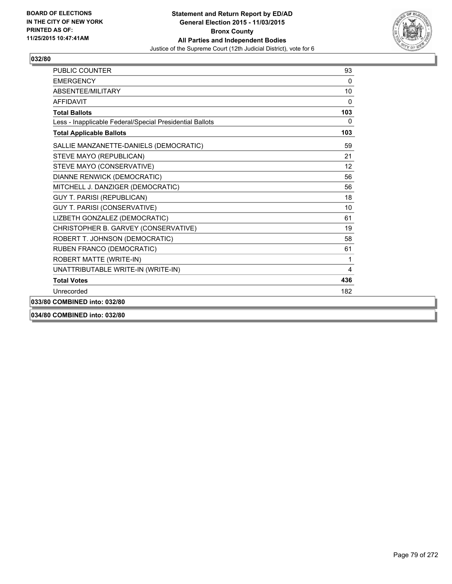

| <b>PUBLIC COUNTER</b>                                    | 93              |
|----------------------------------------------------------|-----------------|
| <b>FMFRGFNCY</b>                                         | 0               |
| ABSENTEE/MILITARY                                        | 10              |
| <b>AFFIDAVIT</b>                                         | 0               |
| <b>Total Ballots</b>                                     | 103             |
| Less - Inapplicable Federal/Special Presidential Ballots | $\mathbf{0}$    |
| <b>Total Applicable Ballots</b>                          | 103             |
| SALLIE MANZANETTE-DANIELS (DEMOCRATIC)                   | 59              |
| STEVE MAYO (REPUBLICAN)                                  | 21              |
| STEVE MAYO (CONSERVATIVE)                                | 12 <sup>2</sup> |
| DIANNE RENWICK (DEMOCRATIC)                              | 56              |
| MITCHELL J. DANZIGER (DEMOCRATIC)                        | 56              |
| <b>GUY T. PARISI (REPUBLICAN)</b>                        | 18              |
| GUY T. PARISI (CONSERVATIVE)                             | 10              |
| LIZBETH GONZALEZ (DEMOCRATIC)                            | 61              |
| CHRISTOPHER B. GARVEY (CONSERVATIVE)                     | 19              |
| ROBERT T. JOHNSON (DEMOCRATIC)                           | 58              |
| RUBEN FRANCO (DEMOCRATIC)                                | 61              |
| ROBERT MATTE (WRITE-IN)                                  | 1               |
| UNATTRIBUTABLE WRITE-IN (WRITE-IN)                       | 4               |
| <b>Total Votes</b>                                       | 436             |
| Unrecorded                                               | 182             |
| 033/80 COMBINED into: 032/80                             |                 |
|                                                          |                 |

**034/80 COMBINED into: 032/80**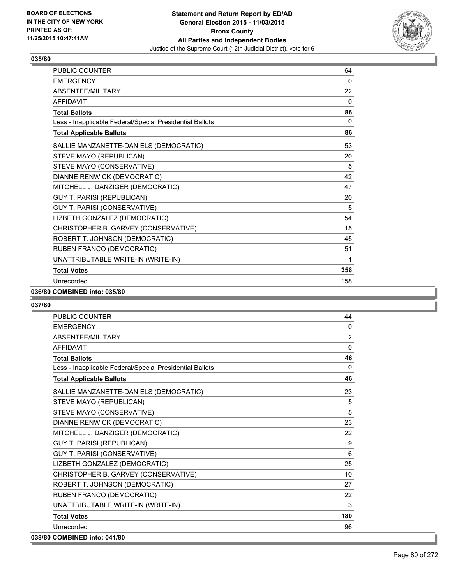

| PUBLIC COUNTER                                           | 64  |
|----------------------------------------------------------|-----|
| <b>EMERGENCY</b>                                         | 0   |
| <b>ABSENTEE/MILITARY</b>                                 | 22  |
| <b>AFFIDAVIT</b>                                         | 0   |
| <b>Total Ballots</b>                                     | 86  |
| Less - Inapplicable Federal/Special Presidential Ballots | 0   |
| <b>Total Applicable Ballots</b>                          | 86  |
| SALLIE MANZANETTE-DANIELS (DEMOCRATIC)                   | 53  |
| STEVE MAYO (REPUBLICAN)                                  | 20  |
| STEVE MAYO (CONSERVATIVE)                                | 5   |
| DIANNE RENWICK (DEMOCRATIC)                              | 42  |
| MITCHELL J. DANZIGER (DEMOCRATIC)                        | 47  |
| <b>GUY T. PARISI (REPUBLICAN)</b>                        | 20  |
| GUY T. PARISI (CONSERVATIVE)                             | 5   |
| LIZBETH GONZALEZ (DEMOCRATIC)                            | 54  |
| CHRISTOPHER B. GARVEY (CONSERVATIVE)                     | 15  |
| ROBERT T. JOHNSON (DEMOCRATIC)                           | 45  |
| RUBEN FRANCO (DEMOCRATIC)                                | 51  |
| UNATTRIBUTABLE WRITE-IN (WRITE-IN)                       | 1   |
| <b>Total Votes</b>                                       | 358 |
| Unrecorded                                               | 158 |

### **036/80 COMBINED into: 035/80**

| <b>PUBLIC COUNTER</b>                                    | 44             |
|----------------------------------------------------------|----------------|
| <b>EMERGENCY</b>                                         | $\Omega$       |
| ABSENTEE/MILITARY                                        | $\overline{2}$ |
| <b>AFFIDAVIT</b>                                         | $\Omega$       |
| <b>Total Ballots</b>                                     | 46             |
| Less - Inapplicable Federal/Special Presidential Ballots | $\Omega$       |
| <b>Total Applicable Ballots</b>                          | 46             |
| SALLIE MANZANETTE-DANIELS (DEMOCRATIC)                   | 23             |
| STEVE MAYO (REPUBLICAN)                                  | 5              |
| STEVE MAYO (CONSERVATIVE)                                | 5              |
| DIANNE RENWICK (DEMOCRATIC)                              | 23             |
| MITCHELL J. DANZIGER (DEMOCRATIC)                        | 22             |
| <b>GUY T. PARISI (REPUBLICAN)</b>                        | 9              |
| GUY T. PARISI (CONSERVATIVE)                             | 6              |
| LIZBETH GONZALEZ (DEMOCRATIC)                            | 25             |
| CHRISTOPHER B. GARVEY (CONSERVATIVE)                     | 10             |
| ROBERT T. JOHNSON (DEMOCRATIC)                           | 27             |
| RUBEN FRANCO (DEMOCRATIC)                                | 22             |
| UNATTRIBUTABLE WRITE-IN (WRITE-IN)                       | 3              |
| <b>Total Votes</b>                                       | 180            |
| Unrecorded                                               | 96             |
| 038/80 COMBINED into: 041/80                             |                |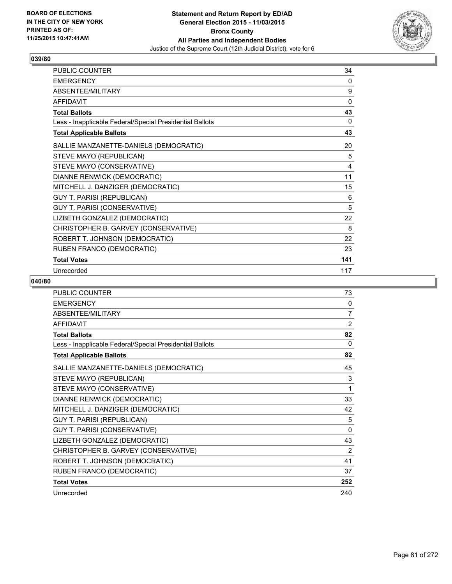

| PUBLIC COUNTER                                           | 34  |
|----------------------------------------------------------|-----|
| <b>EMERGENCY</b>                                         | 0   |
| ABSENTEE/MILITARY                                        | 9   |
| <b>AFFIDAVIT</b>                                         | 0   |
| <b>Total Ballots</b>                                     | 43  |
| Less - Inapplicable Federal/Special Presidential Ballots | 0   |
| <b>Total Applicable Ballots</b>                          | 43  |
| SALLIE MANZANETTE-DANIELS (DEMOCRATIC)                   | 20  |
| STEVE MAYO (REPUBLICAN)                                  | 5   |
| STEVE MAYO (CONSERVATIVE)                                | 4   |
| DIANNE RENWICK (DEMOCRATIC)                              | 11  |
| MITCHELL J. DANZIGER (DEMOCRATIC)                        | 15  |
| <b>GUY T. PARISI (REPUBLICAN)</b>                        | 6   |
| GUY T. PARISI (CONSERVATIVE)                             | 5   |
| LIZBETH GONZALEZ (DEMOCRATIC)                            | 22  |
| CHRISTOPHER B. GARVEY (CONSERVATIVE)                     | 8   |
| ROBERT T. JOHNSON (DEMOCRATIC)                           | 22  |
| RUBEN FRANCO (DEMOCRATIC)                                | 23  |
| <b>Total Votes</b>                                       | 141 |
| Unrecorded                                               | 117 |

| PUBLIC COUNTER                                           | 73             |
|----------------------------------------------------------|----------------|
| <b>EMERGENCY</b>                                         | 0              |
| ABSENTEE/MILITARY                                        | 7              |
| <b>AFFIDAVIT</b>                                         | $\overline{2}$ |
| <b>Total Ballots</b>                                     | 82             |
| Less - Inapplicable Federal/Special Presidential Ballots | $\Omega$       |
| <b>Total Applicable Ballots</b>                          | 82             |
| SALLIE MANZANETTE-DANIELS (DEMOCRATIC)                   | 45             |
| STEVE MAYO (REPUBLICAN)                                  | 3              |
| STEVE MAYO (CONSERVATIVE)                                | 1              |
| DIANNE RENWICK (DEMOCRATIC)                              | 33             |
| MITCHELL J. DANZIGER (DEMOCRATIC)                        | 42             |
| <b>GUY T. PARISI (REPUBLICAN)</b>                        | 5              |
| GUY T. PARISI (CONSERVATIVE)                             | $\mathbf{0}$   |
| LIZBETH GONZALEZ (DEMOCRATIC)                            | 43             |
| CHRISTOPHER B. GARVEY (CONSERVATIVE)                     | 2              |
| ROBERT T. JOHNSON (DEMOCRATIC)                           | 41             |
| RUBEN FRANCO (DEMOCRATIC)                                | 37             |
| <b>Total Votes</b>                                       | 252            |
| Unrecorded                                               | 240            |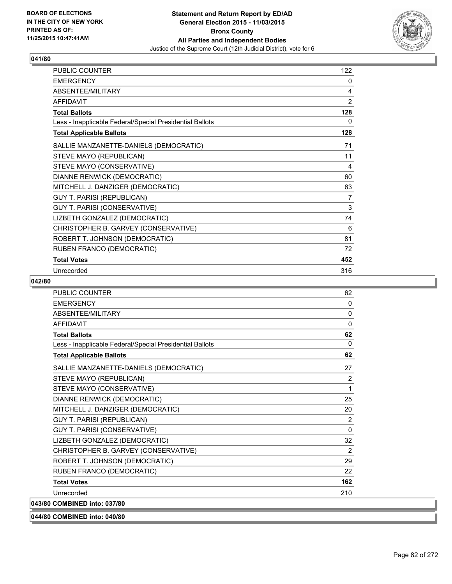

| PUBLIC COUNTER                                           | 122            |
|----------------------------------------------------------|----------------|
| <b>EMERGENCY</b>                                         | 0              |
| ABSENTEE/MILITARY                                        | 4              |
| <b>AFFIDAVIT</b>                                         | 2              |
| <b>Total Ballots</b>                                     | 128            |
| Less - Inapplicable Federal/Special Presidential Ballots | 0              |
| <b>Total Applicable Ballots</b>                          | 128            |
| SALLIE MANZANETTE-DANIELS (DEMOCRATIC)                   | 71             |
| STEVE MAYO (REPUBLICAN)                                  | 11             |
| STEVE MAYO (CONSERVATIVE)                                | 4              |
| DIANNE RENWICK (DEMOCRATIC)                              | 60             |
| MITCHELL J. DANZIGER (DEMOCRATIC)                        | 63             |
| <b>GUY T. PARISI (REPUBLICAN)</b>                        | $\overline{7}$ |
| GUY T. PARISI (CONSERVATIVE)                             | 3              |
| LIZBETH GONZALEZ (DEMOCRATIC)                            | 74             |
| CHRISTOPHER B. GARVEY (CONSERVATIVE)                     | 6              |
| ROBERT T. JOHNSON (DEMOCRATIC)                           | 81             |
| RUBEN FRANCO (DEMOCRATIC)                                | 72             |
| <b>Total Votes</b>                                       | 452            |
| Unrecorded                                               | 316            |

| <b>PUBLIC COUNTER</b>                                    | 62             |
|----------------------------------------------------------|----------------|
| <b>EMERGENCY</b>                                         | $\mathbf{0}$   |
| ABSENTEE/MILITARY                                        | $\mathbf{0}$   |
| <b>AFFIDAVIT</b>                                         | 0              |
| <b>Total Ballots</b>                                     | 62             |
| Less - Inapplicable Federal/Special Presidential Ballots | 0              |
| <b>Total Applicable Ballots</b>                          | 62             |
| SALLIE MANZANETTE-DANIELS (DEMOCRATIC)                   | 27             |
| STEVE MAYO (REPUBLICAN)                                  | $\overline{2}$ |
| STEVE MAYO (CONSERVATIVE)                                | 1              |
| DIANNE RENWICK (DEMOCRATIC)                              | 25             |
| MITCHELL J. DANZIGER (DEMOCRATIC)                        | 20             |
| <b>GUY T. PARISI (REPUBLICAN)</b>                        | 2              |
| GUY T. PARISI (CONSERVATIVE)                             | $\mathbf{0}$   |
| LIZBETH GONZALEZ (DEMOCRATIC)                            | 32             |
| CHRISTOPHER B. GARVEY (CONSERVATIVE)                     | 2              |
| ROBERT T. JOHNSON (DEMOCRATIC)                           | 29             |
| RUBEN FRANCO (DEMOCRATIC)                                | 22             |
| <b>Total Votes</b>                                       | 162            |
| Unrecorded                                               | 210            |
| 043/80 COMBINED into: 037/80                             |                |
| 044/80 COMBINED into: 040/80                             |                |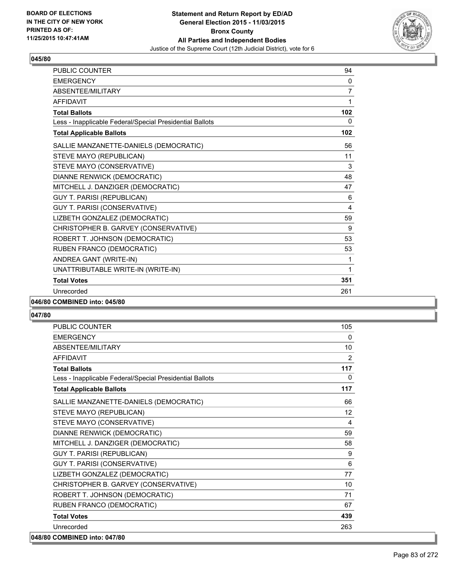

| <b>PUBLIC COUNTER</b>                                    | 94             |
|----------------------------------------------------------|----------------|
| <b>EMERGENCY</b>                                         | 0              |
| ABSENTEE/MILITARY                                        | $\overline{7}$ |
| <b>AFFIDAVIT</b>                                         | 1              |
| <b>Total Ballots</b>                                     | 102            |
| Less - Inapplicable Federal/Special Presidential Ballots | 0              |
| <b>Total Applicable Ballots</b>                          | 102            |
| SALLIE MANZANETTE-DANIELS (DEMOCRATIC)                   | 56             |
| STEVE MAYO (REPUBLICAN)                                  | 11             |
| STEVE MAYO (CONSERVATIVE)                                | 3              |
| DIANNE RENWICK (DEMOCRATIC)                              | 48             |
| MITCHELL J. DANZIGER (DEMOCRATIC)                        | 47             |
| <b>GUY T. PARISI (REPUBLICAN)</b>                        | 6              |
| GUY T. PARISI (CONSERVATIVE)                             | 4              |
| LIZBETH GONZALEZ (DEMOCRATIC)                            | 59             |
| CHRISTOPHER B. GARVEY (CONSERVATIVE)                     | 9              |
| ROBERT T. JOHNSON (DEMOCRATIC)                           | 53             |
| RUBEN FRANCO (DEMOCRATIC)                                | 53             |
| ANDREA GANT (WRITE-IN)                                   | 1              |
| UNATTRIBUTABLE WRITE-IN (WRITE-IN)                       | 1              |
| <b>Total Votes</b>                                       | 351            |
| Unrecorded                                               | 261            |
|                                                          |                |

# **046/80 COMBINED into: 045/80**

### **047/80**

| <b>PUBLIC COUNTER</b>                                    | 105            |
|----------------------------------------------------------|----------------|
| <b>EMERGENCY</b>                                         | 0              |
| ABSENTEE/MILITARY                                        | 10             |
| <b>AFFIDAVIT</b>                                         | $\overline{2}$ |
| <b>Total Ballots</b>                                     | 117            |
| Less - Inapplicable Federal/Special Presidential Ballots | 0              |
| <b>Total Applicable Ballots</b>                          | 117            |
| SALLIE MANZANETTE-DANIELS (DEMOCRATIC)                   | 66             |
| STEVE MAYO (REPUBLICAN)                                  | 12             |
| STEVE MAYO (CONSERVATIVE)                                | 4              |
| DIANNE RENWICK (DEMOCRATIC)                              | 59             |
| MITCHELL J. DANZIGER (DEMOCRATIC)                        | 58             |
| <b>GUY T. PARISI (REPUBLICAN)</b>                        | 9              |
| GUY T. PARISI (CONSERVATIVE)                             | 6              |
| LIZBETH GONZALEZ (DEMOCRATIC)                            | 77             |
| CHRISTOPHER B. GARVEY (CONSERVATIVE)                     | 10             |
| ROBERT T. JOHNSON (DEMOCRATIC)                           | 71             |
| RUBEN FRANCO (DEMOCRATIC)                                | 67             |
| <b>Total Votes</b>                                       | 439            |
| Unrecorded                                               | 263            |

### **048/80 COMBINED into: 047/80**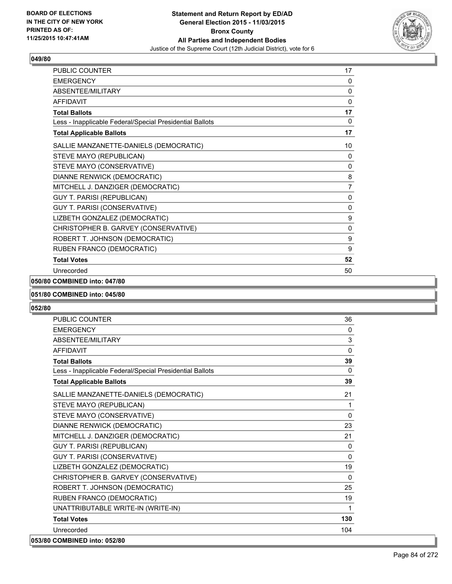

| <b>PUBLIC COUNTER</b>                                    | 17             |
|----------------------------------------------------------|----------------|
| <b>EMERGENCY</b>                                         | 0              |
| ABSENTEE/MILITARY                                        | 0              |
| <b>AFFIDAVIT</b>                                         | 0              |
| <b>Total Ballots</b>                                     | 17             |
| Less - Inapplicable Federal/Special Presidential Ballots | 0              |
| <b>Total Applicable Ballots</b>                          | 17             |
| SALLIE MANZANETTE-DANIELS (DEMOCRATIC)                   | 10             |
| STEVE MAYO (REPUBLICAN)                                  | 0              |
| STEVE MAYO (CONSERVATIVE)                                | 0              |
| DIANNE RENWICK (DEMOCRATIC)                              | 8              |
| MITCHELL J. DANZIGER (DEMOCRATIC)                        | $\overline{7}$ |
| <b>GUY T. PARISI (REPUBLICAN)</b>                        | 0              |
| GUY T. PARISI (CONSERVATIVE)                             | $\mathbf{0}$   |
| LIZBETH GONZALEZ (DEMOCRATIC)                            | 9              |
| CHRISTOPHER B. GARVEY (CONSERVATIVE)                     | 0              |
| ROBERT T. JOHNSON (DEMOCRATIC)                           | 9              |
| RUBEN FRANCO (DEMOCRATIC)                                | 9              |
| <b>Total Votes</b>                                       | 52             |
| Unrecorded                                               | 50             |

# **050/80 COMBINED into: 047/80**

### **051/80 COMBINED into: 045/80**

| <b>PUBLIC COUNTER</b>                                    | 36           |
|----------------------------------------------------------|--------------|
| <b>EMERGENCY</b>                                         | $\Omega$     |
| ABSENTEE/MILITARY                                        | 3            |
| <b>AFFIDAVIT</b>                                         | $\Omega$     |
| <b>Total Ballots</b>                                     | 39           |
| Less - Inapplicable Federal/Special Presidential Ballots | $\mathbf{0}$ |
| <b>Total Applicable Ballots</b>                          | 39           |
| SALLIE MANZANETTE-DANIELS (DEMOCRATIC)                   | 21           |
| STEVE MAYO (REPUBLICAN)                                  | 1            |
| STEVE MAYO (CONSERVATIVE)                                | $\Omega$     |
| DIANNE RENWICK (DEMOCRATIC)                              | 23           |
| MITCHELL J. DANZIGER (DEMOCRATIC)                        | 21           |
| <b>GUY T. PARISI (REPUBLICAN)</b>                        | $\Omega$     |
| GUY T. PARISI (CONSERVATIVE)                             | $\Omega$     |
| LIZBETH GONZALEZ (DEMOCRATIC)                            | 19           |
| CHRISTOPHER B. GARVEY (CONSERVATIVE)                     | $\Omega$     |
| ROBERT T. JOHNSON (DEMOCRATIC)                           | 25           |
| RUBEN FRANCO (DEMOCRATIC)                                | 19           |
| UNATTRIBUTABLE WRITE-IN (WRITE-IN)                       | 1            |
| <b>Total Votes</b>                                       | 130          |
| Unrecorded                                               | 104          |
| 053/80 COMBINED into: 052/80                             |              |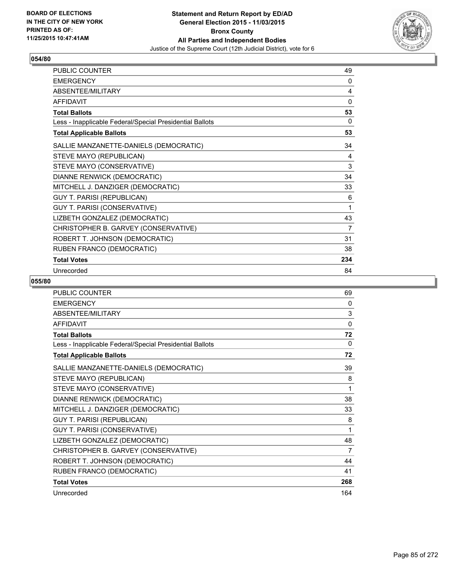

| PUBLIC COUNTER                                           | 49  |
|----------------------------------------------------------|-----|
| <b>EMERGENCY</b>                                         | 0   |
| ABSENTEE/MILITARY                                        | 4   |
| <b>AFFIDAVIT</b>                                         | 0   |
| <b>Total Ballots</b>                                     | 53  |
| Less - Inapplicable Federal/Special Presidential Ballots | 0   |
| <b>Total Applicable Ballots</b>                          | 53  |
| SALLIE MANZANETTE-DANIELS (DEMOCRATIC)                   | 34  |
| STEVE MAYO (REPUBLICAN)                                  | 4   |
| STEVE MAYO (CONSERVATIVE)                                | 3   |
| DIANNE RENWICK (DEMOCRATIC)                              | 34  |
| MITCHELL J. DANZIGER (DEMOCRATIC)                        | 33  |
| <b>GUY T. PARISI (REPUBLICAN)</b>                        | 6   |
| GUY T. PARISI (CONSERVATIVE)                             | 1   |
| LIZBETH GONZALEZ (DEMOCRATIC)                            | 43  |
| CHRISTOPHER B. GARVEY (CONSERVATIVE)                     | 7   |
| ROBERT T. JOHNSON (DEMOCRATIC)                           | 31  |
| RUBEN FRANCO (DEMOCRATIC)                                | 38  |
| <b>Total Votes</b>                                       | 234 |
| Unrecorded                                               | 84  |

| <b>PUBLIC COUNTER</b>                                    | 69           |
|----------------------------------------------------------|--------------|
| <b>EMERGENCY</b>                                         | 0            |
| ABSENTEE/MILITARY                                        | 3            |
| <b>AFFIDAVIT</b>                                         | $\mathbf{0}$ |
| <b>Total Ballots</b>                                     | 72           |
| Less - Inapplicable Federal/Special Presidential Ballots | $\Omega$     |
| <b>Total Applicable Ballots</b>                          | 72           |
| SALLIE MANZANETTE-DANIELS (DEMOCRATIC)                   | 39           |
| STEVE MAYO (REPUBLICAN)                                  | 8            |
| STEVE MAYO (CONSERVATIVE)                                | 1            |
| DIANNE RENWICK (DEMOCRATIC)                              | 38           |
| MITCHELL J. DANZIGER (DEMOCRATIC)                        | 33           |
| GUY T. PARISI (REPUBLICAN)                               | 8            |
| GUY T. PARISI (CONSERVATIVE)                             | 1            |
| LIZBETH GONZALEZ (DEMOCRATIC)                            | 48           |
| CHRISTOPHER B. GARVEY (CONSERVATIVE)                     | 7            |
| ROBERT T. JOHNSON (DEMOCRATIC)                           | 44           |
| RUBEN FRANCO (DEMOCRATIC)                                | 41           |
| <b>Total Votes</b>                                       | 268          |
| Unrecorded                                               | 164          |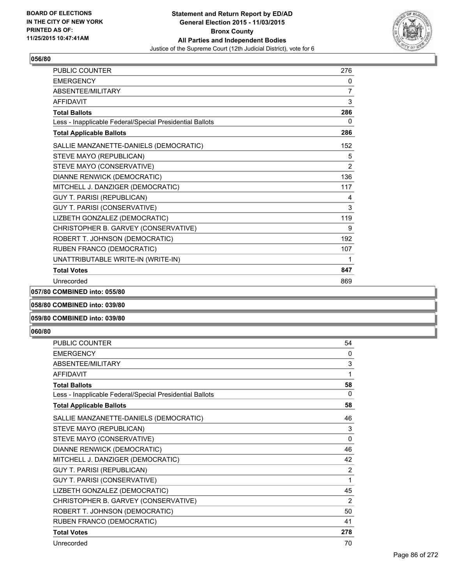

| PUBLIC COUNTER                                           | 276          |
|----------------------------------------------------------|--------------|
| <b>EMERGENCY</b>                                         | 0            |
| ABSENTEE/MILITARY                                        | 7            |
| <b>AFFIDAVIT</b>                                         | 3            |
| <b>Total Ballots</b>                                     | 286          |
| Less - Inapplicable Federal/Special Presidential Ballots | $\mathbf{0}$ |
| <b>Total Applicable Ballots</b>                          | 286          |
| SALLIE MANZANETTE-DANIELS (DEMOCRATIC)                   | 152          |
| STEVE MAYO (REPUBLICAN)                                  | 5            |
| STEVE MAYO (CONSERVATIVE)                                | 2            |
| DIANNE RENWICK (DEMOCRATIC)                              | 136          |
| MITCHELL J. DANZIGER (DEMOCRATIC)                        | 117          |
| <b>GUY T. PARISI (REPUBLICAN)</b>                        | 4            |
| <b>GUY T. PARISI (CONSERVATIVE)</b>                      | 3            |
| LIZBETH GONZALEZ (DEMOCRATIC)                            | 119          |
| CHRISTOPHER B. GARVEY (CONSERVATIVE)                     | 9            |
| ROBERT T. JOHNSON (DEMOCRATIC)                           | 192          |
| RUBEN FRANCO (DEMOCRATIC)                                | 107          |
| UNATTRIBUTABLE WRITE-IN (WRITE-IN)                       | 1            |
| <b>Total Votes</b>                                       | 847          |
| Unrecorded                                               | 869          |

**057/80 COMBINED into: 055/80**

**058/80 COMBINED into: 039/80**

# **059/80 COMBINED into: 039/80**

| <b>PUBLIC COUNTER</b>                                    | 54           |
|----------------------------------------------------------|--------------|
| <b>EMERGENCY</b>                                         | $\mathbf{0}$ |
| ABSENTEE/MILITARY                                        | 3            |
| <b>AFFIDAVIT</b>                                         | 1            |
| <b>Total Ballots</b>                                     | 58           |
| Less - Inapplicable Federal/Special Presidential Ballots | 0            |
| <b>Total Applicable Ballots</b>                          | 58           |
| SALLIE MANZANETTE-DANIELS (DEMOCRATIC)                   | 46           |
| STEVE MAYO (REPUBLICAN)                                  | 3            |
| STEVE MAYO (CONSERVATIVE)                                | $\mathbf{0}$ |
| DIANNE RENWICK (DEMOCRATIC)                              | 46           |
| MITCHELL J. DANZIGER (DEMOCRATIC)                        | 42           |
| GUY T. PARISI (REPUBLICAN)                               | 2            |
| GUY T. PARISI (CONSERVATIVE)                             | 1            |
| LIZBETH GONZALEZ (DEMOCRATIC)                            | 45           |
| CHRISTOPHER B. GARVEY (CONSERVATIVE)                     | 2            |
| ROBERT T. JOHNSON (DEMOCRATIC)                           | 50           |
| RUBEN FRANCO (DEMOCRATIC)                                | 41           |
| <b>Total Votes</b>                                       | 278          |
| Unrecorded                                               | 70           |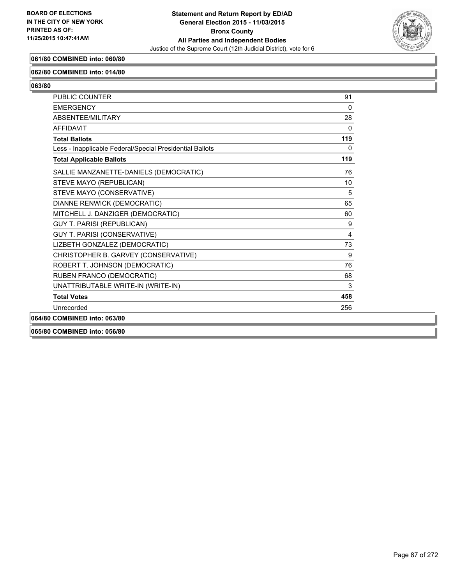

# **061/80 COMBINED into: 060/80**

### **062/80 COMBINED into: 014/80**

**063/80** 

| <b>PUBLIC COUNTER</b>                                    | 91           |
|----------------------------------------------------------|--------------|
| <b>EMERGENCY</b>                                         | $\Omega$     |
| ABSENTEE/MILITARY                                        | 28           |
| <b>AFFIDAVIT</b>                                         | $\mathbf{0}$ |
| <b>Total Ballots</b>                                     | 119          |
| Less - Inapplicable Federal/Special Presidential Ballots | $\mathbf{0}$ |
| <b>Total Applicable Ballots</b>                          | 119          |
| SALLIE MANZANETTE-DANIELS (DEMOCRATIC)                   | 76           |
| STEVE MAYO (REPUBLICAN)                                  | 10           |
| STEVE MAYO (CONSERVATIVE)                                | 5            |
| DIANNE RENWICK (DEMOCRATIC)                              | 65           |
| MITCHELL J. DANZIGER (DEMOCRATIC)                        | 60           |
| <b>GUY T. PARISI (REPUBLICAN)</b>                        | 9            |
| GUY T. PARISI (CONSERVATIVE)                             | 4            |
| LIZBETH GONZALEZ (DEMOCRATIC)                            | 73           |
| CHRISTOPHER B. GARVEY (CONSERVATIVE)                     | 9            |
| ROBERT T. JOHNSON (DEMOCRATIC)                           | 76           |
| RUBEN FRANCO (DEMOCRATIC)                                | 68           |
| UNATTRIBUTABLE WRITE-IN (WRITE-IN)                       | 3            |
| <b>Total Votes</b>                                       | 458          |
| Unrecorded                                               | 256          |
| 064/80 COMBINED into: 063/80                             |              |
|                                                          |              |

**065/80 COMBINED into: 056/80**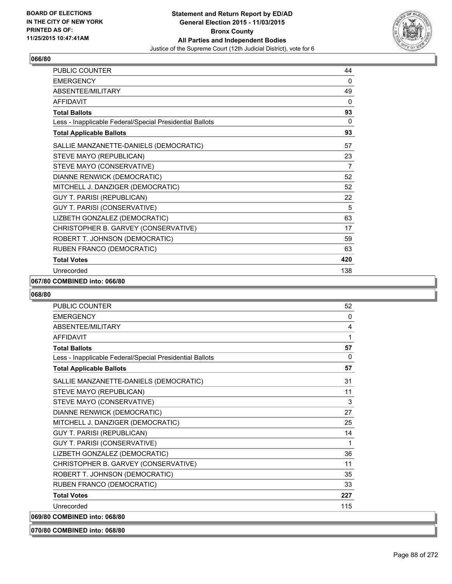

| PUBLIC COUNTER                                           | 44           |
|----------------------------------------------------------|--------------|
| <b>EMERGENCY</b>                                         | $\mathbf{0}$ |
| ABSENTEE/MILITARY                                        | 49           |
| <b>AFFIDAVIT</b>                                         | 0            |
| <b>Total Ballots</b>                                     | 93           |
| Less - Inapplicable Federal/Special Presidential Ballots | $\mathbf{0}$ |
| <b>Total Applicable Ballots</b>                          | 93           |
| SALLIE MANZANETTE-DANIELS (DEMOCRATIC)                   | 57           |
| STEVE MAYO (REPUBLICAN)                                  | 23           |
| STEVE MAYO (CONSERVATIVE)                                | 7            |
| DIANNE RENWICK (DEMOCRATIC)                              | 52           |
| MITCHELL J. DANZIGER (DEMOCRATIC)                        | 52           |
| <b>GUY T. PARISI (REPUBLICAN)</b>                        | 22           |
| GUY T. PARISI (CONSERVATIVE)                             | 5            |
| LIZBETH GONZALEZ (DEMOCRATIC)                            | 63           |
| CHRISTOPHER B. GARVEY (CONSERVATIVE)                     | 17           |
| ROBERT T. JOHNSON (DEMOCRATIC)                           | 59           |
| RUBEN FRANCO (DEMOCRATIC)                                | 63           |
| <b>Total Votes</b>                                       | 420          |
| Unrecorded                                               | 138          |

## **067/80 COMBINED into: 066/80**

| <b>PUBLIC COUNTER</b>                                    | 52           |
|----------------------------------------------------------|--------------|
| <b>FMFRGFNCY</b>                                         | $\mathbf{0}$ |
| ABSENTEE/MILITARY                                        | 4            |
| <b>AFFIDAVIT</b>                                         | 1            |
| <b>Total Ballots</b>                                     | 57           |
| Less - Inapplicable Federal/Special Presidential Ballots | $\mathbf{0}$ |
| <b>Total Applicable Ballots</b>                          | 57           |
| SALLIE MANZANETTE-DANIELS (DEMOCRATIC)                   | 31           |
| STEVE MAYO (REPUBLICAN)                                  | 11           |
| STEVE MAYO (CONSERVATIVE)                                | 3            |
| DIANNE RENWICK (DEMOCRATIC)                              | 27           |
| MITCHELL J. DANZIGER (DEMOCRATIC)                        | 25           |
| <b>GUY T. PARISI (REPUBLICAN)</b>                        | 14           |
| GUY T. PARISI (CONSERVATIVE)                             | 1            |
| LIZBETH GONZALEZ (DEMOCRATIC)                            | 36           |
| CHRISTOPHER B. GARVEY (CONSERVATIVE)                     | 11           |
| ROBERT T. JOHNSON (DEMOCRATIC)                           | 35           |
| RUBEN FRANCO (DEMOCRATIC)                                | 33           |
| <b>Total Votes</b>                                       | 227          |
| Unrecorded                                               | 115          |
| 069/80 COMBINED into: 068/80                             |              |
| 070/80 COMBINED into: 068/80                             |              |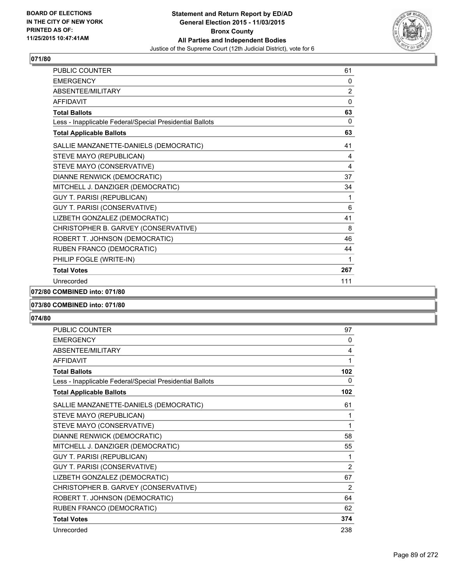

| <b>PUBLIC COUNTER</b>                                    | 61             |
|----------------------------------------------------------|----------------|
| <b>EMERGENCY</b>                                         | 0              |
| <b>ABSENTEF/MILITARY</b>                                 | $\overline{2}$ |
| <b>AFFIDAVIT</b>                                         | 0              |
| <b>Total Ballots</b>                                     | 63             |
| Less - Inapplicable Federal/Special Presidential Ballots | 0              |
| <b>Total Applicable Ballots</b>                          | 63             |
| SALLIE MANZANETTE-DANIELS (DEMOCRATIC)                   | 41             |
| STEVE MAYO (REPUBLICAN)                                  | 4              |
| STEVE MAYO (CONSERVATIVE)                                | 4              |
| DIANNE RENWICK (DEMOCRATIC)                              | 37             |
| MITCHELL J. DANZIGER (DEMOCRATIC)                        | 34             |
| <b>GUY T. PARISI (REPUBLICAN)</b>                        | 1              |
| GUY T. PARISI (CONSERVATIVE)                             | 6              |
| LIZBETH GONZALEZ (DEMOCRATIC)                            | 41             |
| CHRISTOPHER B. GARVEY (CONSERVATIVE)                     | 8              |
| ROBERT T. JOHNSON (DEMOCRATIC)                           | 46             |
| RUBEN FRANCO (DEMOCRATIC)                                | 44             |
| PHILIP FOGLE (WRITE-IN)                                  | 1              |
| <b>Total Votes</b>                                       | 267            |
| Unrecorded                                               | 111            |

**072/80 COMBINED into: 071/80**

#### **073/80 COMBINED into: 071/80**

| <b>PUBLIC COUNTER</b>                                    | 97             |
|----------------------------------------------------------|----------------|
| <b>EMERGENCY</b>                                         | 0              |
| ABSENTEE/MILITARY                                        | 4              |
| <b>AFFIDAVIT</b>                                         | 1              |
| <b>Total Ballots</b>                                     | 102            |
| Less - Inapplicable Federal/Special Presidential Ballots | 0              |
| <b>Total Applicable Ballots</b>                          | 102            |
| SALLIE MANZANETTE-DANIELS (DEMOCRATIC)                   | 61             |
| STEVE MAYO (REPUBLICAN)                                  | 1              |
| STEVE MAYO (CONSERVATIVE)                                | 1              |
| DIANNE RENWICK (DEMOCRATIC)                              | 58             |
| MITCHELL J. DANZIGER (DEMOCRATIC)                        | 55             |
| GUY T. PARISI (REPUBLICAN)                               | 1              |
| GUY T. PARISI (CONSERVATIVE)                             | $\overline{2}$ |
| LIZBETH GONZALEZ (DEMOCRATIC)                            | 67             |
| CHRISTOPHER B. GARVEY (CONSERVATIVE)                     | $\overline{2}$ |
| ROBERT T. JOHNSON (DEMOCRATIC)                           | 64             |
| RUBEN FRANCO (DEMOCRATIC)                                | 62             |
| <b>Total Votes</b>                                       | 374            |
| Unrecorded                                               | 238            |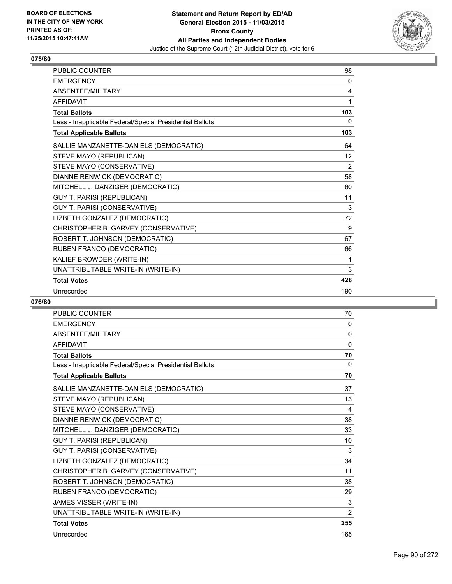

| <b>PUBLIC COUNTER</b>                                    | 98             |
|----------------------------------------------------------|----------------|
| <b>EMERGENCY</b>                                         | 0              |
| ABSENTEE/MILITARY                                        | 4              |
| <b>AFFIDAVIT</b>                                         | 1              |
| <b>Total Ballots</b>                                     | 103            |
| Less - Inapplicable Federal/Special Presidential Ballots | 0              |
| <b>Total Applicable Ballots</b>                          | 103            |
| SALLIE MANZANETTE-DANIELS (DEMOCRATIC)                   | 64             |
| STEVE MAYO (REPUBLICAN)                                  | 12             |
| STEVE MAYO (CONSERVATIVE)                                | $\overline{2}$ |
| DIANNE RENWICK (DEMOCRATIC)                              | 58             |
| MITCHELL J. DANZIGER (DEMOCRATIC)                        | 60             |
| <b>GUY T. PARISI (REPUBLICAN)</b>                        | 11             |
| GUY T. PARISI (CONSERVATIVE)                             | 3              |
| LIZBETH GONZALEZ (DEMOCRATIC)                            | 72             |
| CHRISTOPHER B. GARVEY (CONSERVATIVE)                     | 9              |
| ROBERT T. JOHNSON (DEMOCRATIC)                           | 67             |
| RUBEN FRANCO (DEMOCRATIC)                                | 66             |
| KALIEF BROWDER (WRITE-IN)                                | 1              |
| UNATTRIBUTABLE WRITE-IN (WRITE-IN)                       | 3              |
| <b>Total Votes</b>                                       | 428            |
| Unrecorded                                               | 190            |

| <b>PUBLIC COUNTER</b>                                    | 70             |
|----------------------------------------------------------|----------------|
| <b>EMERGENCY</b>                                         | 0              |
| ABSENTEE/MILITARY                                        | 0              |
| <b>AFFIDAVIT</b>                                         | $\mathbf 0$    |
| <b>Total Ballots</b>                                     | 70             |
| Less - Inapplicable Federal/Special Presidential Ballots | 0              |
| <b>Total Applicable Ballots</b>                          | 70             |
| SALLIE MANZANETTE-DANIELS (DEMOCRATIC)                   | 37             |
| STEVE MAYO (REPUBLICAN)                                  | 13             |
| STEVE MAYO (CONSERVATIVE)                                | 4              |
| DIANNE RENWICK (DEMOCRATIC)                              | 38             |
| MITCHELL J. DANZIGER (DEMOCRATIC)                        | 33             |
| <b>GUY T. PARISI (REPUBLICAN)</b>                        | 10             |
| GUY T. PARISI (CONSERVATIVE)                             | 3              |
| LIZBETH GONZALEZ (DEMOCRATIC)                            | 34             |
| CHRISTOPHER B. GARVEY (CONSERVATIVE)                     | 11             |
| ROBERT T. JOHNSON (DEMOCRATIC)                           | 38             |
| RUBEN FRANCO (DEMOCRATIC)                                | 29             |
| JAMES VISSER (WRITE-IN)                                  | 3              |
| UNATTRIBUTABLE WRITE-IN (WRITE-IN)                       | $\overline{2}$ |
| <b>Total Votes</b>                                       | 255            |
| Unrecorded                                               | 165            |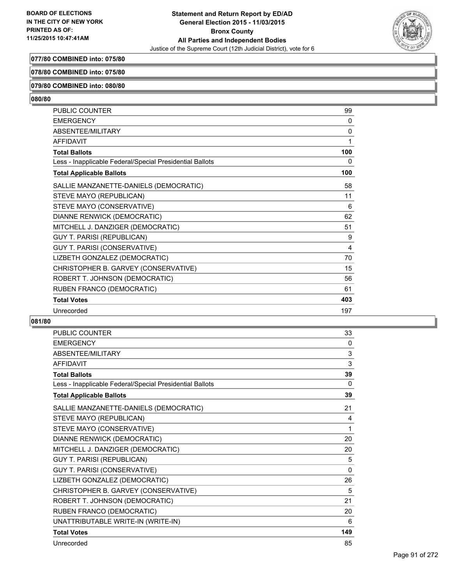

# **077/80 COMBINED into: 075/80**

### **078/80 COMBINED into: 075/80**

#### **079/80 COMBINED into: 080/80**

# **080/80**

| <b>PUBLIC COUNTER</b>                                    | 99           |
|----------------------------------------------------------|--------------|
| <b>EMERGENCY</b>                                         | 0            |
| ABSENTEE/MILITARY                                        | $\mathbf{0}$ |
| <b>AFFIDAVIT</b>                                         | 1            |
| <b>Total Ballots</b>                                     | 100          |
| Less - Inapplicable Federal/Special Presidential Ballots | 0            |
| <b>Total Applicable Ballots</b>                          | 100          |
| SALLIE MANZANETTE-DANIELS (DEMOCRATIC)                   | 58           |
| STEVE MAYO (REPUBLICAN)                                  | 11           |
| STEVE MAYO (CONSERVATIVE)                                | 6            |
| DIANNE RENWICK (DEMOCRATIC)                              | 62           |
| MITCHELL J. DANZIGER (DEMOCRATIC)                        | 51           |
| <b>GUY T. PARISI (REPUBLICAN)</b>                        | 9            |
| GUY T. PARISI (CONSERVATIVE)                             | 4            |
| LIZBETH GONZALEZ (DEMOCRATIC)                            | 70           |
| CHRISTOPHER B. GARVEY (CONSERVATIVE)                     | 15           |
| ROBERT T. JOHNSON (DEMOCRATIC)                           | 56           |
| RUBEN FRANCO (DEMOCRATIC)                                | 61           |
| <b>Total Votes</b>                                       | 403          |
| Unrecorded                                               | 197          |

| <b>PUBLIC COUNTER</b>                                    | 33       |
|----------------------------------------------------------|----------|
| <b>EMERGENCY</b>                                         | $\Omega$ |
| ABSENTEE/MILITARY                                        | 3        |
| <b>AFFIDAVIT</b>                                         | 3        |
| <b>Total Ballots</b>                                     | 39       |
| Less - Inapplicable Federal/Special Presidential Ballots | $\Omega$ |
| <b>Total Applicable Ballots</b>                          | 39       |
| SALLIE MANZANETTE-DANIELS (DEMOCRATIC)                   | 21       |
| STEVE MAYO (REPUBLICAN)                                  | 4        |
| STEVE MAYO (CONSERVATIVE)                                | 1        |
| DIANNE RENWICK (DEMOCRATIC)                              | 20       |
| MITCHELL J. DANZIGER (DEMOCRATIC)                        | 20       |
| <b>GUY T. PARISI (REPUBLICAN)</b>                        | 5        |
| GUY T. PARISI (CONSERVATIVE)                             | $\Omega$ |
| LIZBETH GONZALEZ (DEMOCRATIC)                            | 26       |
| CHRISTOPHER B. GARVEY (CONSERVATIVE)                     | 5        |
| ROBERT T. JOHNSON (DEMOCRATIC)                           | 21       |
| RUBEN FRANCO (DEMOCRATIC)                                | 20       |
| UNATTRIBUTABLE WRITE-IN (WRITE-IN)                       | 6        |
| <b>Total Votes</b>                                       | 149      |
| Unrecorded                                               | 85       |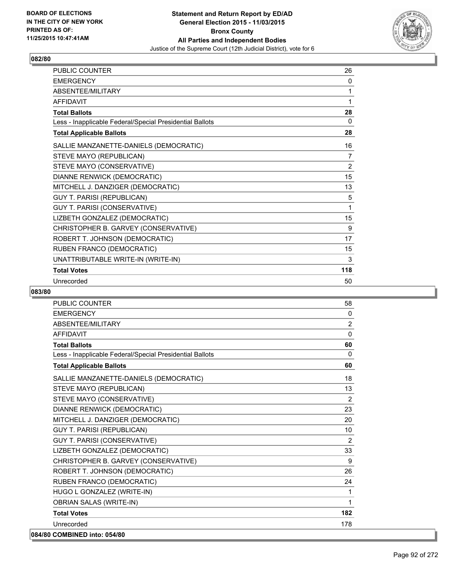

| <b>PUBLIC COUNTER</b>                                    | 26             |
|----------------------------------------------------------|----------------|
| <b>EMERGENCY</b>                                         | 0              |
| ABSENTEE/MILITARY                                        | 1              |
| <b>AFFIDAVIT</b>                                         | 1              |
| <b>Total Ballots</b>                                     | 28             |
| Less - Inapplicable Federal/Special Presidential Ballots | 0              |
| <b>Total Applicable Ballots</b>                          | 28             |
| SALLIE MANZANETTE-DANIELS (DEMOCRATIC)                   | 16             |
| STEVE MAYO (REPUBLICAN)                                  | 7              |
| STEVE MAYO (CONSERVATIVE)                                | $\overline{2}$ |
| DIANNE RENWICK (DEMOCRATIC)                              | 15             |
| MITCHELL J. DANZIGER (DEMOCRATIC)                        | 13             |
| <b>GUY T. PARISI (REPUBLICAN)</b>                        | 5              |
| GUY T. PARISI (CONSERVATIVE)                             | 1              |
| LIZBETH GONZALEZ (DEMOCRATIC)                            | 15             |
| CHRISTOPHER B. GARVEY (CONSERVATIVE)                     | 9              |
| ROBERT T. JOHNSON (DEMOCRATIC)                           | 17             |
| RUBEN FRANCO (DEMOCRATIC)                                | 15             |
| UNATTRIBUTABLE WRITE-IN (WRITE-IN)                       | 3              |
| <b>Total Votes</b>                                       | 118            |
| Unrecorded                                               | 50             |

| <b>PUBLIC COUNTER</b>                                    | 58           |
|----------------------------------------------------------|--------------|
| <b>EMERGENCY</b>                                         | 0            |
| ABSENTEE/MILITARY                                        | 2            |
| <b>AFFIDAVIT</b>                                         | $\mathbf{0}$ |
| <b>Total Ballots</b>                                     | 60           |
| Less - Inapplicable Federal/Special Presidential Ballots | $\Omega$     |
| <b>Total Applicable Ballots</b>                          | 60           |
| SALLIE MANZANETTE-DANIELS (DEMOCRATIC)                   | 18           |
| STEVE MAYO (REPUBLICAN)                                  | 13           |
| STEVE MAYO (CONSERVATIVE)                                | 2            |
| DIANNE RENWICK (DEMOCRATIC)                              | 23           |
| MITCHELL J. DANZIGER (DEMOCRATIC)                        | 20           |
| <b>GUY T. PARISI (REPUBLICAN)</b>                        | 10           |
| GUY T. PARISI (CONSERVATIVE)                             | 2            |
| LIZBETH GONZALEZ (DEMOCRATIC)                            | 33           |
| CHRISTOPHER B. GARVEY (CONSERVATIVE)                     | 9            |
| ROBERT T. JOHNSON (DEMOCRATIC)                           | 26           |
| RUBEN FRANCO (DEMOCRATIC)                                | 24           |
| HUGO L GONZALEZ (WRITE-IN)                               | 1            |
| <b>OBRIAN SALAS (WRITE-IN)</b>                           | 1            |
| <b>Total Votes</b>                                       | 182          |
| Unrecorded                                               | 178          |
| 084/80 COMBINED into: 054/80                             |              |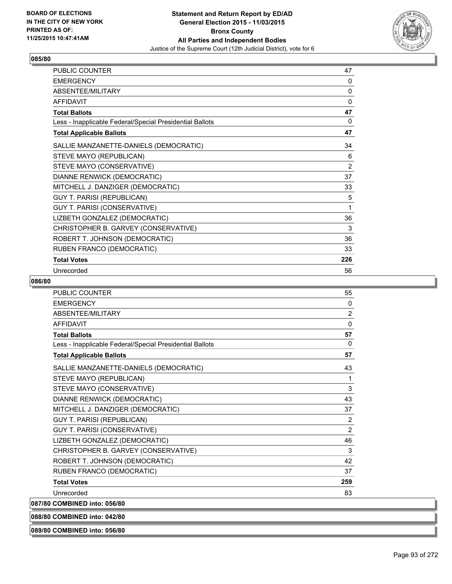

| PUBLIC COUNTER                                           | 47             |
|----------------------------------------------------------|----------------|
| <b>EMERGENCY</b>                                         | 0              |
| ABSENTEE/MILITARY                                        | 0              |
| <b>AFFIDAVIT</b>                                         | 0              |
| <b>Total Ballots</b>                                     | 47             |
| Less - Inapplicable Federal/Special Presidential Ballots | 0              |
| <b>Total Applicable Ballots</b>                          | 47             |
| SALLIE MANZANETTE-DANIELS (DEMOCRATIC)                   | 34             |
| STEVE MAYO (REPUBLICAN)                                  | 6              |
| STEVE MAYO (CONSERVATIVE)                                | $\overline{2}$ |
| DIANNE RENWICK (DEMOCRATIC)                              | 37             |
| MITCHELL J. DANZIGER (DEMOCRATIC)                        | 33             |
| <b>GUY T. PARISI (REPUBLICAN)</b>                        | 5              |
| GUY T. PARISI (CONSERVATIVE)                             | 1              |
| LIZBETH GONZALEZ (DEMOCRATIC)                            | 36             |
| CHRISTOPHER B. GARVEY (CONSERVATIVE)                     | 3              |
| ROBERT T. JOHNSON (DEMOCRATIC)                           | 36             |
| RUBEN FRANCO (DEMOCRATIC)                                | 33             |
| <b>Total Votes</b>                                       | 226            |
| Unrecorded                                               | 56             |

### **086/80**

| <b>PUBLIC COUNTER</b>                                    | 55           |
|----------------------------------------------------------|--------------|
| <b>EMERGENCY</b>                                         | $\mathbf{0}$ |
| <b>ABSENTEE/MILITARY</b>                                 | 2            |
| <b>AFFIDAVIT</b>                                         | $\mathbf{0}$ |
| <b>Total Ballots</b>                                     | 57           |
| Less - Inapplicable Federal/Special Presidential Ballots | $\mathbf{0}$ |
| <b>Total Applicable Ballots</b>                          | 57           |
| SALLIE MANZANETTE-DANIELS (DEMOCRATIC)                   | 43           |
| STEVE MAYO (REPUBLICAN)                                  | 1            |
| STEVE MAYO (CONSERVATIVE)                                | 3            |
| DIANNE RENWICK (DEMOCRATIC)                              | 43           |
| MITCHELL J. DANZIGER (DEMOCRATIC)                        | 37           |
| <b>GUY T. PARISI (REPUBLICAN)</b>                        | 2            |
| GUY T. PARISI (CONSERVATIVE)                             | 2            |
| LIZBETH GONZALEZ (DEMOCRATIC)                            | 46           |
| CHRISTOPHER B. GARVEY (CONSERVATIVE)                     | 3            |
| ROBERT T. JOHNSON (DEMOCRATIC)                           | 42           |
| RUBEN FRANCO (DEMOCRATIC)                                | 37           |
| <b>Total Votes</b>                                       | 259          |
| Unrecorded                                               | 83           |
| 087/80 COMBINED into: 056/80                             |              |

**088/80 COMBINED into: 042/80**

**089/80 COMBINED into: 056/80**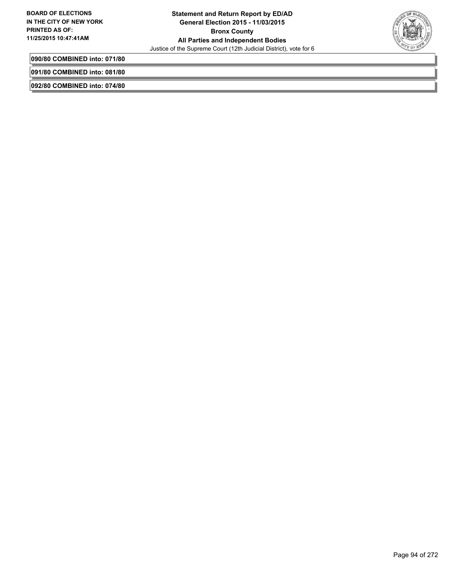

**090/80 COMBINED into: 071/80**

**091/80 COMBINED into: 081/80**

**092/80 COMBINED into: 074/80**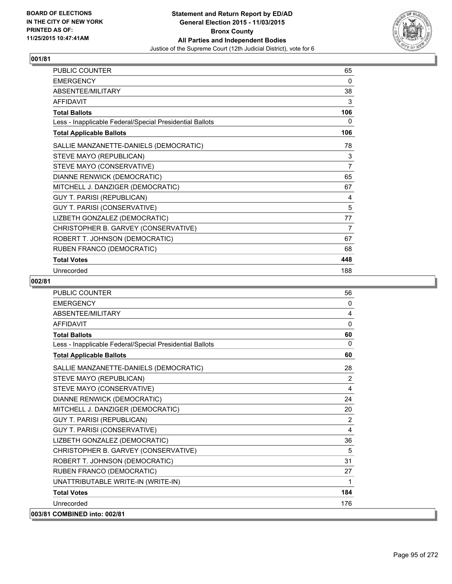

| PUBLIC COUNTER                                           | 65             |
|----------------------------------------------------------|----------------|
| <b>EMERGENCY</b>                                         | 0              |
| ABSENTEE/MILITARY                                        | 38             |
| <b>AFFIDAVIT</b>                                         | 3              |
| <b>Total Ballots</b>                                     | 106            |
| Less - Inapplicable Federal/Special Presidential Ballots | 0              |
| <b>Total Applicable Ballots</b>                          | 106            |
| SALLIE MANZANETTE-DANIELS (DEMOCRATIC)                   | 78             |
| STEVE MAYO (REPUBLICAN)                                  | 3              |
| STEVE MAYO (CONSERVATIVE)                                | $\overline{7}$ |
| DIANNE RENWICK (DEMOCRATIC)                              | 65             |
| MITCHELL J. DANZIGER (DEMOCRATIC)                        | 67             |
| <b>GUY T. PARISI (REPUBLICAN)</b>                        | 4              |
| GUY T. PARISI (CONSERVATIVE)                             | 5              |
| LIZBETH GONZALEZ (DEMOCRATIC)                            | 77             |
| CHRISTOPHER B. GARVEY (CONSERVATIVE)                     | 7              |
| ROBERT T. JOHNSON (DEMOCRATIC)                           | 67             |
| RUBEN FRANCO (DEMOCRATIC)                                | 68             |
| <b>Total Votes</b>                                       | 448            |
| Unrecorded                                               | 188            |

| <b>PUBLIC COUNTER</b>                                    | 56           |
|----------------------------------------------------------|--------------|
| <b>EMERGENCY</b>                                         | $\mathbf{0}$ |
| <b>ABSENTEE/MILITARY</b>                                 | 4            |
| <b>AFFIDAVIT</b>                                         | $\mathbf{0}$ |
| <b>Total Ballots</b>                                     | 60           |
| Less - Inapplicable Federal/Special Presidential Ballots | $\mathbf{0}$ |
| <b>Total Applicable Ballots</b>                          | 60           |
| SALLIE MANZANETTE-DANIELS (DEMOCRATIC)                   | 28           |
| STEVE MAYO (REPUBLICAN)                                  | 2            |
| STEVE MAYO (CONSERVATIVE)                                | 4            |
| DIANNE RENWICK (DEMOCRATIC)                              | 24           |
| MITCHELL J. DANZIGER (DEMOCRATIC)                        | 20           |
| <b>GUY T. PARISI (REPUBLICAN)</b>                        | 2            |
| GUY T. PARISI (CONSERVATIVE)                             | 4            |
| LIZBETH GONZALEZ (DEMOCRATIC)                            | 36           |
| CHRISTOPHER B. GARVEY (CONSERVATIVE)                     | 5            |
| ROBERT T. JOHNSON (DEMOCRATIC)                           | 31           |
| RUBEN FRANCO (DEMOCRATIC)                                | 27           |
| UNATTRIBUTABLE WRITE-IN (WRITE-IN)                       | 1            |
| <b>Total Votes</b>                                       | 184          |
| Unrecorded                                               | 176          |
| 003/81 COMBINED into: 002/81                             |              |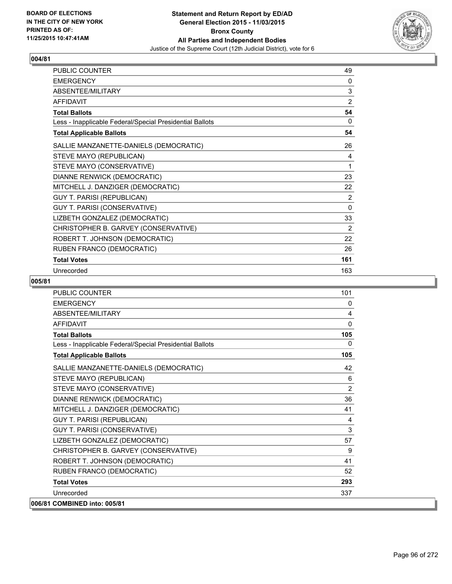

| PUBLIC COUNTER                                           | 49             |
|----------------------------------------------------------|----------------|
| <b>EMERGENCY</b>                                         | 0              |
| ABSENTEE/MILITARY                                        | 3              |
| <b>AFFIDAVIT</b>                                         | 2              |
| <b>Total Ballots</b>                                     | 54             |
| Less - Inapplicable Federal/Special Presidential Ballots | 0              |
| <b>Total Applicable Ballots</b>                          | 54             |
| SALLIE MANZANETTE-DANIELS (DEMOCRATIC)                   | 26             |
| STEVE MAYO (REPUBLICAN)                                  | 4              |
| STEVE MAYO (CONSERVATIVE)                                | 1              |
| DIANNE RENWICK (DEMOCRATIC)                              | 23             |
| MITCHELL J. DANZIGER (DEMOCRATIC)                        | 22             |
| GUY T. PARISI (REPUBLICAN)                               | $\overline{2}$ |
| GUY T. PARISI (CONSERVATIVE)                             | $\Omega$       |
| LIZBETH GONZALEZ (DEMOCRATIC)                            | 33             |
| CHRISTOPHER B. GARVEY (CONSERVATIVE)                     | 2              |
| ROBERT T. JOHNSON (DEMOCRATIC)                           | 22             |
| RUBEN FRANCO (DEMOCRATIC)                                | 26             |
| <b>Total Votes</b>                                       | 161            |
| Unrecorded                                               | 163            |

| <b>PUBLIC COUNTER</b>                                    | 101          |
|----------------------------------------------------------|--------------|
| <b>EMERGENCY</b>                                         | 0            |
| <b>ABSENTEE/MILITARY</b>                                 | 4            |
| <b>AFFIDAVIT</b>                                         | 0            |
| <b>Total Ballots</b>                                     | 105          |
| Less - Inapplicable Federal/Special Presidential Ballots | $\mathbf{0}$ |
| <b>Total Applicable Ballots</b>                          | 105          |
| SALLIE MANZANETTE-DANIELS (DEMOCRATIC)                   | 42           |
| STEVE MAYO (REPUBLICAN)                                  | 6            |
| STEVE MAYO (CONSERVATIVE)                                | 2            |
| DIANNE RENWICK (DEMOCRATIC)                              | 36           |
| MITCHELL J. DANZIGER (DEMOCRATIC)                        | 41           |
| <b>GUY T. PARISI (REPUBLICAN)</b>                        | 4            |
| GUY T. PARISI (CONSERVATIVE)                             | 3            |
| LIZBETH GONZALEZ (DEMOCRATIC)                            | 57           |
| CHRISTOPHER B. GARVEY (CONSERVATIVE)                     | 9            |
| ROBERT T. JOHNSON (DEMOCRATIC)                           | 41           |
| RUBEN FRANCO (DEMOCRATIC)                                | 52           |
| <b>Total Votes</b>                                       | 293          |
| Unrecorded                                               | 337          |
| 006/81 COMBINED into: 005/81                             |              |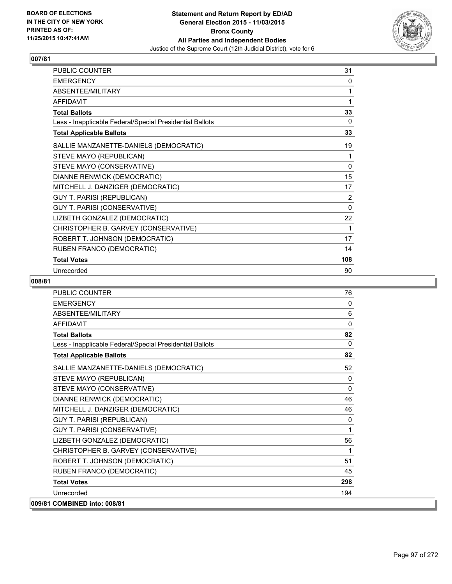

| <b>PUBLIC COUNTER</b>                                    | 31       |
|----------------------------------------------------------|----------|
| <b>EMERGENCY</b>                                         | 0        |
| ABSENTEE/MILITARY                                        | 1        |
| <b>AFFIDAVIT</b>                                         | 1        |
| <b>Total Ballots</b>                                     | 33       |
| Less - Inapplicable Federal/Special Presidential Ballots | 0        |
| <b>Total Applicable Ballots</b>                          | 33       |
| SALLIE MANZANETTE-DANIELS (DEMOCRATIC)                   | 19       |
| STEVE MAYO (REPUBLICAN)                                  | 1        |
| STEVE MAYO (CONSERVATIVE)                                | 0        |
| DIANNE RENWICK (DEMOCRATIC)                              | 15       |
| MITCHELL J. DANZIGER (DEMOCRATIC)                        | 17       |
| <b>GUY T. PARISI (REPUBLICAN)</b>                        | 2        |
| GUY T. PARISI (CONSERVATIVE)                             | $\Omega$ |
| LIZBETH GONZALEZ (DEMOCRATIC)                            | 22       |
| CHRISTOPHER B. GARVEY (CONSERVATIVE)                     | 1        |
| ROBERT T. JOHNSON (DEMOCRATIC)                           | 17       |
| RUBEN FRANCO (DEMOCRATIC)                                | 14       |
| <b>Total Votes</b>                                       | 108      |
| Unrecorded                                               | 90       |

| <b>PUBLIC COUNTER</b>                                    | 76           |
|----------------------------------------------------------|--------------|
| <b>FMFRGFNCY</b>                                         | 0            |
| <b>ABSENTEE/MILITARY</b>                                 | 6            |
| <b>AFFIDAVIT</b>                                         | $\Omega$     |
| <b>Total Ballots</b>                                     | 82           |
| Less - Inapplicable Federal/Special Presidential Ballots | $\Omega$     |
| <b>Total Applicable Ballots</b>                          | 82           |
| SALLIE MANZANETTE-DANIELS (DEMOCRATIC)                   | 52           |
| STEVE MAYO (REPUBLICAN)                                  | $\mathbf{0}$ |
| STEVE MAYO (CONSERVATIVE)                                | 0            |
| DIANNE RENWICK (DEMOCRATIC)                              | 46           |
| MITCHELL J. DANZIGER (DEMOCRATIC)                        | 46           |
| <b>GUY T. PARISI (REPUBLICAN)</b>                        | 0            |
| GUY T. PARISI (CONSERVATIVE)                             | 1            |
| LIZBETH GONZALEZ (DEMOCRATIC)                            | 56           |
| CHRISTOPHER B. GARVEY (CONSERVATIVE)                     | 1            |
| ROBERT T. JOHNSON (DEMOCRATIC)                           | 51           |
| RUBEN FRANCO (DEMOCRATIC)                                | 45           |
| <b>Total Votes</b>                                       | 298          |
| Unrecorded                                               | 194          |
| 009/81 COMBINED into: 008/81                             |              |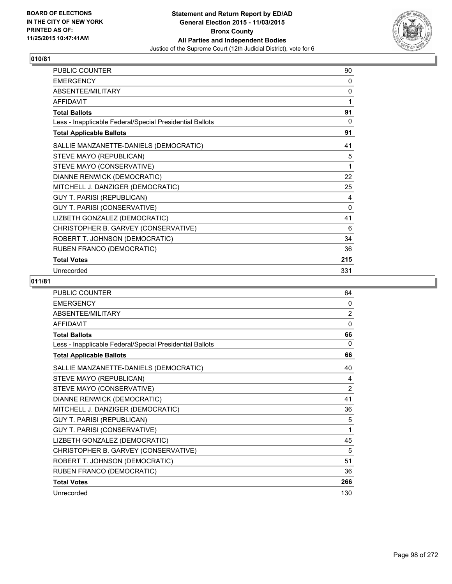

| PUBLIC COUNTER                                           | 90  |
|----------------------------------------------------------|-----|
| <b>EMERGENCY</b>                                         | 0   |
| ABSENTEE/MILITARY                                        | 0   |
| <b>AFFIDAVIT</b>                                         | 1   |
| <b>Total Ballots</b>                                     | 91  |
| Less - Inapplicable Federal/Special Presidential Ballots | 0   |
| <b>Total Applicable Ballots</b>                          | 91  |
| SALLIE MANZANETTE-DANIELS (DEMOCRATIC)                   | 41  |
| STEVE MAYO (REPUBLICAN)                                  | 5   |
| STEVE MAYO (CONSERVATIVE)                                | 1   |
| DIANNE RENWICK (DEMOCRATIC)                              | 22  |
| MITCHELL J. DANZIGER (DEMOCRATIC)                        | 25  |
| GUY T. PARISI (REPUBLICAN)                               | 4   |
| GUY T. PARISI (CONSERVATIVE)                             | 0   |
| LIZBETH GONZALEZ (DEMOCRATIC)                            | 41  |
| CHRISTOPHER B. GARVEY (CONSERVATIVE)                     | 6   |
| ROBERT T. JOHNSON (DEMOCRATIC)                           | 34  |
| RUBEN FRANCO (DEMOCRATIC)                                | 36  |
| <b>Total Votes</b>                                       | 215 |
| Unrecorded                                               | 331 |

| <b>PUBLIC COUNTER</b>                                    | 64             |
|----------------------------------------------------------|----------------|
| <b>EMERGENCY</b>                                         | 0              |
| ABSENTEE/MILITARY                                        | $\overline{2}$ |
| <b>AFFIDAVIT</b>                                         | $\mathbf{0}$   |
| <b>Total Ballots</b>                                     | 66             |
| Less - Inapplicable Federal/Special Presidential Ballots | $\Omega$       |
| <b>Total Applicable Ballots</b>                          | 66             |
| SALLIE MANZANETTE-DANIELS (DEMOCRATIC)                   | 40             |
| STEVE MAYO (REPUBLICAN)                                  | 4              |
| STEVE MAYO (CONSERVATIVE)                                | $\overline{2}$ |
| DIANNE RENWICK (DEMOCRATIC)                              | 41             |
| MITCHELL J. DANZIGER (DEMOCRATIC)                        | 36             |
| GUY T. PARISI (REPUBLICAN)                               | 5              |
| GUY T. PARISI (CONSERVATIVE)                             | 1              |
| LIZBETH GONZALEZ (DEMOCRATIC)                            | 45             |
| CHRISTOPHER B. GARVEY (CONSERVATIVE)                     | 5              |
| ROBERT T. JOHNSON (DEMOCRATIC)                           | 51             |
| RUBEN FRANCO (DEMOCRATIC)                                | 36             |
| <b>Total Votes</b>                                       | 266            |
| Unrecorded                                               | 130            |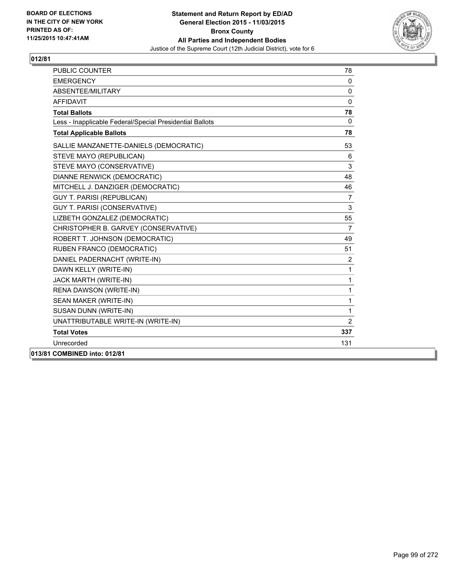

| <b>PUBLIC COUNTER</b>                                    | 78             |
|----------------------------------------------------------|----------------|
| <b>EMERGENCY</b>                                         | $\Omega$       |
| ABSENTEE/MILITARY                                        | $\mathbf{0}$   |
| <b>AFFIDAVIT</b>                                         | $\Omega$       |
| <b>Total Ballots</b>                                     | 78             |
| Less - Inapplicable Federal/Special Presidential Ballots | $\mathbf{0}$   |
| <b>Total Applicable Ballots</b>                          | 78             |
| SALLIE MANZANETTE-DANIELS (DEMOCRATIC)                   | 53             |
| STEVE MAYO (REPUBLICAN)                                  | 6              |
| STEVE MAYO (CONSERVATIVE)                                | 3              |
| <b>DIANNE RENWICK (DEMOCRATIC)</b>                       | 48             |
| MITCHELL J. DANZIGER (DEMOCRATIC)                        | 46             |
| <b>GUY T. PARISI (REPUBLICAN)</b>                        | $\overline{7}$ |
| <b>GUY T. PARISI (CONSERVATIVE)</b>                      | 3              |
| LIZBETH GONZALEZ (DEMOCRATIC)                            | 55             |
| CHRISTOPHER B. GARVEY (CONSERVATIVE)                     | $\overline{7}$ |
| ROBERT T. JOHNSON (DEMOCRATIC)                           | 49             |
| RUBEN FRANCO (DEMOCRATIC)                                | 51             |
| DANIEL PADERNACHT (WRITE-IN)                             | $\overline{2}$ |
| DAWN KELLY (WRITE-IN)                                    | 1              |
| JACK MARTH (WRITE-IN)                                    | 1              |
| RENA DAWSON (WRITE-IN)                                   | 1              |
| SEAN MAKER (WRITE-IN)                                    | 1              |
| SUSAN DUNN (WRITE-IN)                                    | 1              |
| UNATTRIBUTABLE WRITE-IN (WRITE-IN)                       | $\overline{2}$ |
| <b>Total Votes</b>                                       | 337            |
| Unrecorded                                               | 131            |
| 013/81 COMBINED into: 012/81                             |                |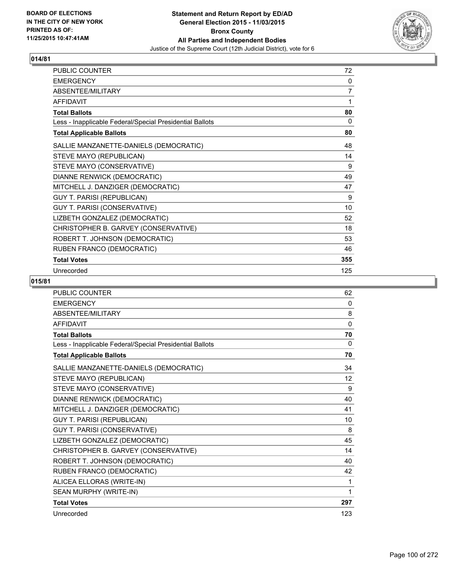

| PUBLIC COUNTER                                           | 72  |
|----------------------------------------------------------|-----|
| <b>EMERGENCY</b>                                         | 0   |
| ABSENTEE/MILITARY                                        | 7   |
| <b>AFFIDAVIT</b>                                         | 1   |
| <b>Total Ballots</b>                                     | 80  |
| Less - Inapplicable Federal/Special Presidential Ballots | 0   |
| <b>Total Applicable Ballots</b>                          | 80  |
| SALLIE MANZANETTE-DANIELS (DEMOCRATIC)                   | 48  |
| STEVE MAYO (REPUBLICAN)                                  | 14  |
| STEVE MAYO (CONSERVATIVE)                                | 9   |
| DIANNE RENWICK (DEMOCRATIC)                              | 49  |
| MITCHELL J. DANZIGER (DEMOCRATIC)                        | 47  |
| GUY T. PARISI (REPUBLICAN)                               | 9   |
| GUY T. PARISI (CONSERVATIVE)                             | 10  |
| LIZBETH GONZALEZ (DEMOCRATIC)                            | 52  |
| CHRISTOPHER B. GARVEY (CONSERVATIVE)                     | 18  |
| ROBERT T. JOHNSON (DEMOCRATIC)                           | 53  |
| RUBEN FRANCO (DEMOCRATIC)                                | 46  |
| <b>Total Votes</b>                                       | 355 |
| Unrecorded                                               | 125 |

| <b>PUBLIC COUNTER</b>                                    | 62           |
|----------------------------------------------------------|--------------|
| <b>EMERGENCY</b>                                         | 0            |
| <b>ABSENTEE/MILITARY</b>                                 | 8            |
| <b>AFFIDAVIT</b>                                         | $\mathbf{0}$ |
| <b>Total Ballots</b>                                     | 70           |
| Less - Inapplicable Federal/Special Presidential Ballots | 0            |
| <b>Total Applicable Ballots</b>                          | 70           |
| SALLIE MANZANETTE-DANIELS (DEMOCRATIC)                   | 34           |
| STEVE MAYO (REPUBLICAN)                                  | 12           |
| STEVE MAYO (CONSERVATIVE)                                | 9            |
| DIANNE RENWICK (DEMOCRATIC)                              | 40           |
| MITCHELL J. DANZIGER (DEMOCRATIC)                        | 41           |
| <b>GUY T. PARISI (REPUBLICAN)</b>                        | 10           |
| <b>GUY T. PARISI (CONSERVATIVE)</b>                      | 8            |
| LIZBETH GONZALEZ (DEMOCRATIC)                            | 45           |
| CHRISTOPHER B. GARVEY (CONSERVATIVE)                     | 14           |
| ROBERT T. JOHNSON (DEMOCRATIC)                           | 40           |
| RUBEN FRANCO (DEMOCRATIC)                                | 42           |
| ALICEA ELLORAS (WRITE-IN)                                | 1            |
| SEAN MURPHY (WRITE-IN)                                   | 1            |
| <b>Total Votes</b>                                       | 297          |
| Unrecorded                                               | 123          |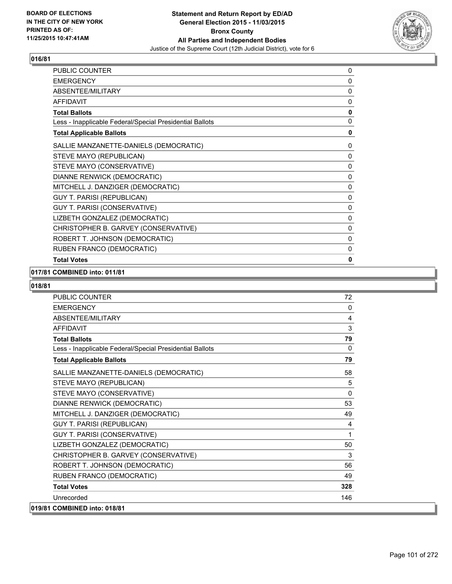

| PUBLIC COUNTER                                           | 0            |
|----------------------------------------------------------|--------------|
| <b>EMERGENCY</b>                                         | 0            |
| ABSENTEE/MILITARY                                        | 0            |
| <b>AFFIDAVIT</b>                                         | 0            |
| <b>Total Ballots</b>                                     | $\mathbf 0$  |
| Less - Inapplicable Federal/Special Presidential Ballots | 0            |
| <b>Total Applicable Ballots</b>                          | 0            |
| SALLIE MANZANETTE-DANIELS (DEMOCRATIC)                   | 0            |
| STEVE MAYO (REPUBLICAN)                                  | 0            |
| STEVE MAYO (CONSERVATIVE)                                | 0            |
| DIANNE RENWICK (DEMOCRATIC)                              | 0            |
| MITCHELL J. DANZIGER (DEMOCRATIC)                        | 0            |
| <b>GUY T. PARISI (REPUBLICAN)</b>                        | 0            |
| GUY T. PARISI (CONSERVATIVE)                             | 0            |
| LIZBETH GONZALEZ (DEMOCRATIC)                            | 0            |
| CHRISTOPHER B. GARVEY (CONSERVATIVE)                     | 0            |
| ROBERT T. JOHNSON (DEMOCRATIC)                           | 0            |
| RUBEN FRANCO (DEMOCRATIC)                                | 0            |
| <b>Total Votes</b>                                       | $\mathbf{0}$ |

## **017/81 COMBINED into: 011/81**

| <b>PUBLIC COUNTER</b>                                    | 72           |
|----------------------------------------------------------|--------------|
| <b>EMERGENCY</b>                                         | 0            |
| ABSENTEE/MILITARY                                        | 4            |
| <b>AFFIDAVIT</b>                                         | 3            |
| <b>Total Ballots</b>                                     | 79           |
| Less - Inapplicable Federal/Special Presidential Ballots | 0            |
| <b>Total Applicable Ballots</b>                          | 79           |
| SALLIE MANZANETTE-DANIELS (DEMOCRATIC)                   | 58           |
| STEVE MAYO (REPUBLICAN)                                  | 5            |
| STEVE MAYO (CONSERVATIVE)                                | $\mathbf{0}$ |
| DIANNE RENWICK (DEMOCRATIC)                              | 53           |
| MITCHELL J. DANZIGER (DEMOCRATIC)                        | 49           |
| <b>GUY T. PARISI (REPUBLICAN)</b>                        | 4            |
| GUY T. PARISI (CONSERVATIVE)                             | 1            |
| LIZBETH GONZALEZ (DEMOCRATIC)                            | 50           |
| CHRISTOPHER B. GARVEY (CONSERVATIVE)                     | 3            |
| ROBERT T. JOHNSON (DEMOCRATIC)                           | 56           |
| RUBEN FRANCO (DEMOCRATIC)                                | 49           |
| <b>Total Votes</b>                                       | 328          |
| Unrecorded                                               | 146          |
| 019/81 COMBINED into: 018/81                             |              |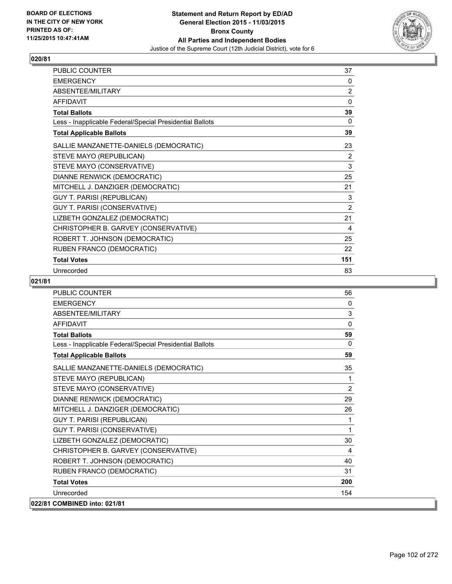

| PUBLIC COUNTER                                           | 37          |
|----------------------------------------------------------|-------------|
| <b>EMERGENCY</b>                                         | 0           |
| ABSENTEE/MILITARY                                        | 2           |
| <b>AFFIDAVIT</b>                                         | $\mathbf 0$ |
| <b>Total Ballots</b>                                     | 39          |
| Less - Inapplicable Federal/Special Presidential Ballots | 0           |
| <b>Total Applicable Ballots</b>                          | 39          |
| SALLIE MANZANETTE-DANIELS (DEMOCRATIC)                   | 23          |
| STEVE MAYO (REPUBLICAN)                                  | 2           |
| STEVE MAYO (CONSERVATIVE)                                | 3           |
| DIANNE RENWICK (DEMOCRATIC)                              | 25          |
| MITCHELL J. DANZIGER (DEMOCRATIC)                        | 21          |
| <b>GUY T. PARISI (REPUBLICAN)</b>                        | 3           |
| GUY T. PARISI (CONSERVATIVE)                             | 2           |
| LIZBETH GONZALEZ (DEMOCRATIC)                            | 21          |
| CHRISTOPHER B. GARVEY (CONSERVATIVE)                     | 4           |
| ROBERT T. JOHNSON (DEMOCRATIC)                           | 25          |
| RUBEN FRANCO (DEMOCRATIC)                                | 22          |
| <b>Total Votes</b>                                       | 151         |
| Unrecorded                                               | 83          |

| <b>PUBLIC COUNTER</b>                                    | 56           |
|----------------------------------------------------------|--------------|
| <b>FMFRGFNCY</b>                                         | $\Omega$     |
| <b>ABSENTEE/MILITARY</b>                                 | 3            |
| <b>AFFIDAVIT</b>                                         | $\mathbf{0}$ |
| <b>Total Ballots</b>                                     | 59           |
| Less - Inapplicable Federal/Special Presidential Ballots | $\Omega$     |
| <b>Total Applicable Ballots</b>                          | 59           |
| SALLIE MANZANETTE-DANIELS (DEMOCRATIC)                   | 35           |
| STEVE MAYO (REPUBLICAN)                                  | 1            |
| STEVE MAYO (CONSERVATIVE)                                | 2            |
| DIANNE RENWICK (DEMOCRATIC)                              | 29           |
| MITCHELL J. DANZIGER (DEMOCRATIC)                        | 26           |
| <b>GUY T. PARISI (REPUBLICAN)</b>                        | 1            |
| GUY T. PARISI (CONSERVATIVE)                             | 1            |
| LIZBETH GONZALEZ (DEMOCRATIC)                            | 30           |
| CHRISTOPHER B. GARVEY (CONSERVATIVE)                     | 4            |
| ROBERT T. JOHNSON (DEMOCRATIC)                           | 40           |
| RUBEN FRANCO (DEMOCRATIC)                                | 31           |
| <b>Total Votes</b>                                       | 200          |
| Unrecorded                                               | 154          |
| 022/81 COMBINED into: 021/81                             |              |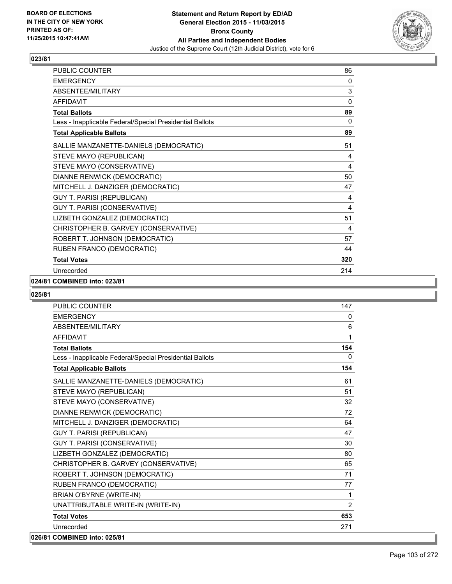

| <b>PUBLIC COUNTER</b>                                    | 86       |
|----------------------------------------------------------|----------|
| <b>EMERGENCY</b>                                         | 0        |
| ABSENTEE/MILITARY                                        | 3        |
| <b>AFFIDAVIT</b>                                         | $\Omega$ |
| <b>Total Ballots</b>                                     | 89       |
| Less - Inapplicable Federal/Special Presidential Ballots | 0        |
| <b>Total Applicable Ballots</b>                          | 89       |
| SALLIE MANZANETTE-DANIELS (DEMOCRATIC)                   | 51       |
| STEVE MAYO (REPUBLICAN)                                  | 4        |
| STEVE MAYO (CONSERVATIVE)                                | 4        |
| DIANNE RENWICK (DEMOCRATIC)                              | 50       |
| MITCHELL J. DANZIGER (DEMOCRATIC)                        | 47       |
| <b>GUY T. PARISI (REPUBLICAN)</b>                        | 4        |
| GUY T. PARISI (CONSERVATIVE)                             | 4        |
| LIZBETH GONZALEZ (DEMOCRATIC)                            | 51       |
| CHRISTOPHER B. GARVEY (CONSERVATIVE)                     | 4        |
| ROBERT T. JOHNSON (DEMOCRATIC)                           | 57       |
| RUBEN FRANCO (DEMOCRATIC)                                | 44       |
| <b>Total Votes</b>                                       | 320      |
| Unrecorded                                               | 214      |

### **024/81 COMBINED into: 023/81**

| <b>PUBLIC COUNTER</b>                                    | 147          |
|----------------------------------------------------------|--------------|
| <b>EMERGENCY</b>                                         | 0            |
| ABSENTEE/MILITARY                                        | 6            |
| <b>AFFIDAVIT</b>                                         | 1            |
| <b>Total Ballots</b>                                     | 154          |
| Less - Inapplicable Federal/Special Presidential Ballots | $\Omega$     |
| <b>Total Applicable Ballots</b>                          | 154          |
| SALLIE MANZANETTE-DANIELS (DEMOCRATIC)                   | 61           |
| STEVE MAYO (REPUBLICAN)                                  | 51           |
| STEVE MAYO (CONSERVATIVE)                                | 32           |
| DIANNE RENWICK (DEMOCRATIC)                              | 72           |
| MITCHELL J. DANZIGER (DEMOCRATIC)                        | 64           |
| <b>GUY T. PARISI (REPUBLICAN)</b>                        | 47           |
| <b>GUY T. PARISI (CONSERVATIVE)</b>                      | 30           |
| LIZBETH GONZALEZ (DEMOCRATIC)                            | 80           |
| CHRISTOPHER B. GARVEY (CONSERVATIVE)                     | 65           |
| ROBERT T. JOHNSON (DEMOCRATIC)                           | 71           |
| RUBEN FRANCO (DEMOCRATIC)                                | 77           |
| <b>BRIAN O'BYRNE (WRITE-IN)</b>                          | $\mathbf{1}$ |
| UNATTRIBUTABLE WRITE-IN (WRITE-IN)                       | 2            |
| <b>Total Votes</b>                                       | 653          |
| Unrecorded                                               | 271          |
| 026/81 COMBINED into: 025/81                             |              |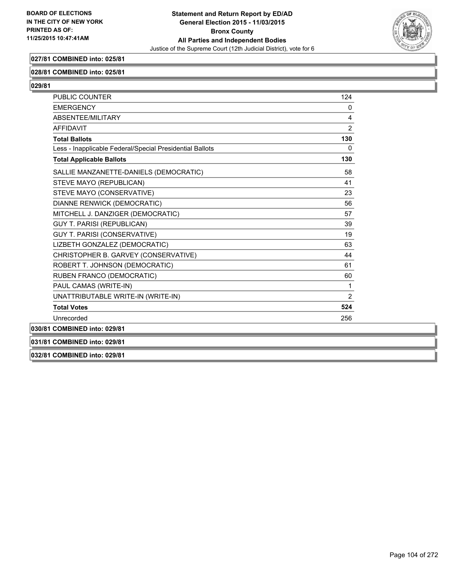

# **027/81 COMBINED into: 025/81**

### **028/81 COMBINED into: 025/81**

**029/81** 

| <b>PUBLIC COUNTER</b>                                    | 124            |
|----------------------------------------------------------|----------------|
| <b>EMERGENCY</b>                                         | $\Omega$       |
| ABSENTEE/MILITARY                                        | 4              |
| <b>AFFIDAVIT</b>                                         | 2              |
| <b>Total Ballots</b>                                     | 130            |
| Less - Inapplicable Federal/Special Presidential Ballots | 0              |
| <b>Total Applicable Ballots</b>                          | 130            |
| SALLIE MANZANETTE-DANIELS (DEMOCRATIC)                   | 58             |
| STEVE MAYO (REPUBLICAN)                                  | 41             |
| STEVE MAYO (CONSERVATIVE)                                | 23             |
| DIANNE RENWICK (DEMOCRATIC)                              | 56             |
| MITCHELL J. DANZIGER (DEMOCRATIC)                        | 57             |
| <b>GUY T. PARISI (REPUBLICAN)</b>                        | 39             |
| <b>GUY T. PARISI (CONSERVATIVE)</b>                      | 19             |
| LIZBETH GONZALEZ (DEMOCRATIC)                            | 63             |
| CHRISTOPHER B. GARVEY (CONSERVATIVE)                     | 44             |
| ROBERT T. JOHNSON (DEMOCRATIC)                           | 61             |
| RUBEN FRANCO (DEMOCRATIC)                                | 60             |
| PAUL CAMAS (WRITE-IN)                                    | 1              |
| UNATTRIBUTABLE WRITE-IN (WRITE-IN)                       | $\overline{2}$ |
| <b>Total Votes</b>                                       | 524            |
| Unrecorded                                               | 256            |
| 030/81 COMBINED into: 029/81                             |                |

**031/81 COMBINED into: 029/81**

**032/81 COMBINED into: 029/81**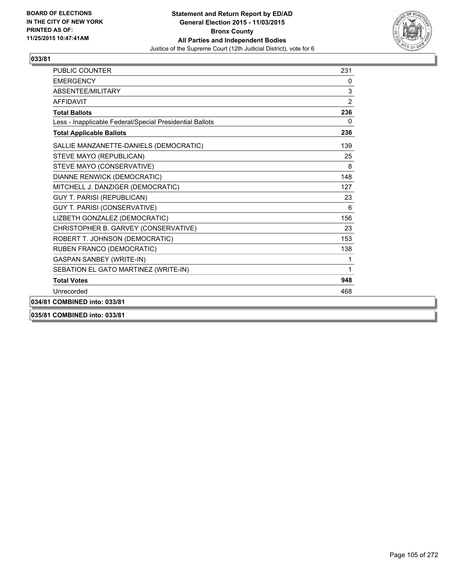

| <b>PUBLIC COUNTER</b>                                    | 231            |
|----------------------------------------------------------|----------------|
| <b>EMERGENCY</b>                                         | 0              |
| ABSENTEE/MILITARY                                        | 3              |
| <b>AFFIDAVIT</b>                                         | $\overline{2}$ |
| <b>Total Ballots</b>                                     | 236            |
| Less - Inapplicable Federal/Special Presidential Ballots | $\mathbf{0}$   |
| <b>Total Applicable Ballots</b>                          | 236            |
| SALLIE MANZANETTE-DANIELS (DEMOCRATIC)                   | 139            |
| STEVE MAYO (REPUBLICAN)                                  | 25             |
| STEVE MAYO (CONSERVATIVE)                                | 8              |
| DIANNE RENWICK (DEMOCRATIC)                              | 148            |
| MITCHELL J. DANZIGER (DEMOCRATIC)                        | 127            |
| <b>GUY T. PARISI (REPUBLICAN)</b>                        | 23             |
| GUY T. PARISI (CONSERVATIVE)                             | 6              |
| LIZBETH GONZALEZ (DEMOCRATIC)                            | 156            |
| CHRISTOPHER B. GARVEY (CONSERVATIVE)                     | 23             |
| ROBERT T. JOHNSON (DEMOCRATIC)                           | 153            |
| RUBEN FRANCO (DEMOCRATIC)                                | 138            |
| <b>GASPAN SANBEY (WRITE-IN)</b>                          | 1              |
| SEBATION EL GATO MARTINEZ (WRITE-IN)                     | 1              |
| <b>Total Votes</b>                                       | 948            |
| Unrecorded                                               | 468            |
| 034/81 COMBINED into: 033/81                             |                |
|                                                          |                |

**035/81 COMBINED into: 033/81**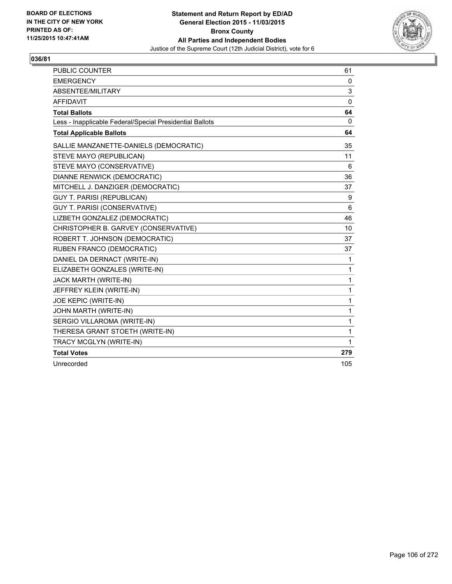

| <b>PUBLIC COUNTER</b>                                    | 61       |
|----------------------------------------------------------|----------|
| <b>EMERGENCY</b>                                         | 0        |
| <b>ABSENTEE/MILITARY</b>                                 | 3        |
| <b>AFFIDAVIT</b>                                         | $\Omega$ |
| <b>Total Ballots</b>                                     | 64       |
| Less - Inapplicable Federal/Special Presidential Ballots | 0        |
| <b>Total Applicable Ballots</b>                          | 64       |
| SALLIE MANZANETTE-DANIELS (DEMOCRATIC)                   | 35       |
| STEVE MAYO (REPUBLICAN)                                  | 11       |
| STEVE MAYO (CONSERVATIVE)                                | 6        |
| DIANNE RENWICK (DEMOCRATIC)                              | 36       |
| MITCHELL J. DANZIGER (DEMOCRATIC)                        | 37       |
| <b>GUY T. PARISI (REPUBLICAN)</b>                        | 9        |
| GUY T. PARISI (CONSERVATIVE)                             | 6        |
| LIZBETH GONZALEZ (DEMOCRATIC)                            | 46       |
| CHRISTOPHER B. GARVEY (CONSERVATIVE)                     | 10       |
| ROBERT T. JOHNSON (DEMOCRATIC)                           | 37       |
| RUBEN FRANCO (DEMOCRATIC)                                | 37       |
| DANIEL DA DERNACT (WRITE-IN)                             | 1        |
| ELIZABETH GONZALES (WRITE-IN)                            | 1        |
| JACK MARTH (WRITE-IN)                                    | 1        |
| JEFFREY KLEIN (WRITE-IN)                                 | 1        |
| <b>JOE KEPIC (WRITE-IN)</b>                              | 1        |
| JOHN MARTH (WRITE-IN)                                    | 1        |
| SERGIO VILLAROMA (WRITE-IN)                              | 1        |
| THERESA GRANT STOETH (WRITE-IN)                          | 1        |
| TRACY MCGLYN (WRITE-IN)                                  | 1        |
| <b>Total Votes</b>                                       | 279      |
| Unrecorded                                               | 105      |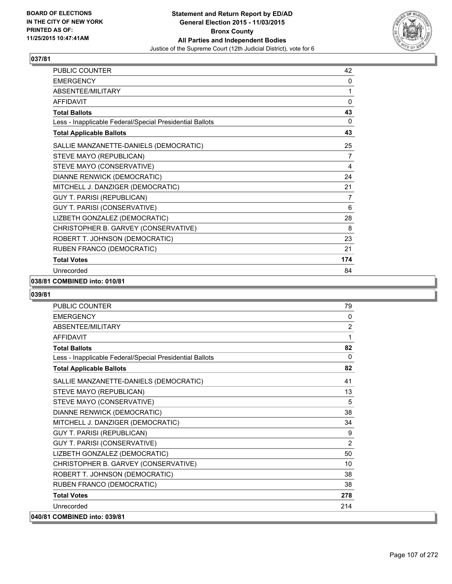

| <b>PUBLIC COUNTER</b>                                    | 42       |
|----------------------------------------------------------|----------|
| <b>EMERGENCY</b>                                         | 0        |
| ABSENTEE/MILITARY                                        | 1        |
| <b>AFFIDAVIT</b>                                         | $\Omega$ |
| <b>Total Ballots</b>                                     | 43       |
| Less - Inapplicable Federal/Special Presidential Ballots | 0        |
| <b>Total Applicable Ballots</b>                          | 43       |
| SALLIE MANZANETTE-DANIELS (DEMOCRATIC)                   | 25       |
| STEVE MAYO (REPUBLICAN)                                  | 7        |
| STEVE MAYO (CONSERVATIVE)                                | 4        |
| DIANNE RENWICK (DEMOCRATIC)                              | 24       |
| MITCHELL J. DANZIGER (DEMOCRATIC)                        | 21       |
| <b>GUY T. PARISI (REPUBLICAN)</b>                        | 7        |
| GUY T. PARISI (CONSERVATIVE)                             | 6        |
| LIZBETH GONZALEZ (DEMOCRATIC)                            | 28       |
| CHRISTOPHER B. GARVEY (CONSERVATIVE)                     | 8        |
| ROBERT T. JOHNSON (DEMOCRATIC)                           | 23       |
| RUBEN FRANCO (DEMOCRATIC)                                | 21       |
| <b>Total Votes</b>                                       | 174      |
| Unrecorded                                               | 84       |

## **038/81 COMBINED into: 010/81**

| <b>PUBLIC COUNTER</b>                                    | 79             |
|----------------------------------------------------------|----------------|
| <b>EMERGENCY</b>                                         | $\mathbf{0}$   |
| ABSENTEE/MILITARY                                        | $\overline{2}$ |
| <b>AFFIDAVIT</b>                                         | 1              |
| <b>Total Ballots</b>                                     | 82             |
| Less - Inapplicable Federal/Special Presidential Ballots | $\mathbf{0}$   |
| <b>Total Applicable Ballots</b>                          | 82             |
| SALLIE MANZANETTE-DANIELS (DEMOCRATIC)                   | 41             |
| STEVE MAYO (REPUBLICAN)                                  | 13             |
| STEVE MAYO (CONSERVATIVE)                                | 5              |
| DIANNE RENWICK (DEMOCRATIC)                              | 38             |
| MITCHELL J. DANZIGER (DEMOCRATIC)                        | 34             |
| <b>GUY T. PARISI (REPUBLICAN)</b>                        | 9              |
| GUY T. PARISI (CONSERVATIVE)                             | 2              |
| LIZBETH GONZALEZ (DEMOCRATIC)                            | 50             |
| CHRISTOPHER B. GARVEY (CONSERVATIVE)                     | 10             |
| ROBERT T. JOHNSON (DEMOCRATIC)                           | 38             |
| RUBEN FRANCO (DEMOCRATIC)                                | 38             |
| <b>Total Votes</b>                                       | 278            |
| Unrecorded                                               | 214            |
| 040/81 COMBINED into: 039/81                             |                |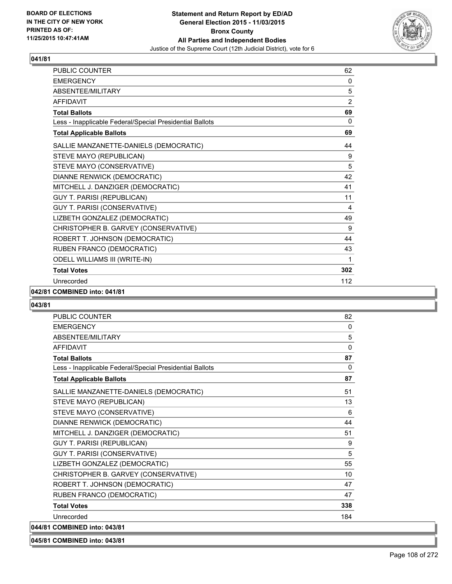

| <b>PUBLIC COUNTER</b>                                    | 62             |
|----------------------------------------------------------|----------------|
| <b>EMERGENCY</b>                                         | 0              |
| ABSENTEE/MILITARY                                        | 5              |
| <b>AFFIDAVIT</b>                                         | $\overline{2}$ |
| <b>Total Ballots</b>                                     | 69             |
| Less - Inapplicable Federal/Special Presidential Ballots | 0              |
| <b>Total Applicable Ballots</b>                          | 69             |
| SALLIE MANZANETTE-DANIELS (DEMOCRATIC)                   | 44             |
| STEVE MAYO (REPUBLICAN)                                  | 9              |
| STEVE MAYO (CONSERVATIVE)                                | 5              |
| DIANNE RENWICK (DEMOCRATIC)                              | 42             |
| MITCHELL J. DANZIGER (DEMOCRATIC)                        | 41             |
| <b>GUY T. PARISI (REPUBLICAN)</b>                        | 11             |
| GUY T. PARISI (CONSERVATIVE)                             | 4              |
| LIZBETH GONZALEZ (DEMOCRATIC)                            | 49             |
| CHRISTOPHER B. GARVEY (CONSERVATIVE)                     | 9              |
| ROBERT T. JOHNSON (DEMOCRATIC)                           | 44             |
| RUBEN FRANCO (DEMOCRATIC)                                | 43             |
| <b>ODELL WILLIAMS III (WRITE-IN)</b>                     | 1              |
| <b>Total Votes</b>                                       | 302            |
| Unrecorded                                               | 112            |

### **042/81 COMBINED into: 041/81**

### **043/81**

| <b>PUBLIC COUNTER</b>                                    | 82       |
|----------------------------------------------------------|----------|
| <b>EMERGENCY</b>                                         | 0        |
| ABSENTEE/MILITARY                                        | 5        |
| <b>AFFIDAVIT</b>                                         | $\Omega$ |
| <b>Total Ballots</b>                                     | 87       |
| Less - Inapplicable Federal/Special Presidential Ballots | $\Omega$ |
| <b>Total Applicable Ballots</b>                          | 87       |
| SALLIE MANZANETTE-DANIELS (DEMOCRATIC)                   | 51       |
| STEVE MAYO (REPUBLICAN)                                  | 13       |
| STEVE MAYO (CONSERVATIVE)                                | 6        |
| DIANNE RENWICK (DEMOCRATIC)                              | 44       |
| MITCHELL J. DANZIGER (DEMOCRATIC)                        | 51       |
| <b>GUY T. PARISI (REPUBLICAN)</b>                        | 9        |
| GUY T. PARISI (CONSERVATIVE)                             | 5        |
| LIZBETH GONZALEZ (DEMOCRATIC)                            | 55       |
| CHRISTOPHER B. GARVEY (CONSERVATIVE)                     | 10       |
| ROBERT T. JOHNSON (DEMOCRATIC)                           | 47       |
| RUBEN FRANCO (DEMOCRATIC)                                | 47       |
| <b>Total Votes</b>                                       | 338      |
| Unrecorded                                               | 184      |
| 044/81 COMBINED into: 043/81                             |          |

# **045/81 COMBINED into: 043/81**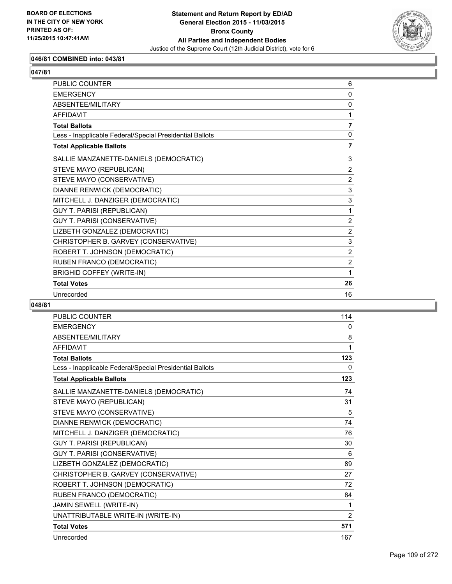

# **046/81 COMBINED into: 043/81**

# **047/81**

| PUBLIC COUNTER                                           | 6              |
|----------------------------------------------------------|----------------|
| <b>EMERGENCY</b>                                         | $\Omega$       |
| ABSENTEE/MILITARY                                        | 0              |
| <b>AFFIDAVIT</b>                                         | 1              |
| <b>Total Ballots</b>                                     | $\overline{7}$ |
| Less - Inapplicable Federal/Special Presidential Ballots | $\Omega$       |
| <b>Total Applicable Ballots</b>                          | 7              |
| SALLIE MANZANETTE-DANIELS (DEMOCRATIC)                   | 3              |
| STEVE MAYO (REPUBLICAN)                                  | 2              |
| STEVE MAYO (CONSERVATIVE)                                | 2              |
| DIANNE RENWICK (DEMOCRATIC)                              | 3              |
| MITCHELL J. DANZIGER (DEMOCRATIC)                        | 3              |
| <b>GUY T. PARISI (REPUBLICAN)</b>                        | 1              |
| <b>GUY T. PARISI (CONSERVATIVE)</b>                      | 2              |
| LIZBETH GONZALEZ (DEMOCRATIC)                            | 2              |
| CHRISTOPHER B. GARVEY (CONSERVATIVE)                     | 3              |
| ROBERT T. JOHNSON (DEMOCRATIC)                           | 2              |
| RUBEN FRANCO (DEMOCRATIC)                                | 2              |
| <b>BRIGHID COFFEY (WRITE-IN)</b>                         | 1              |
| <b>Total Votes</b>                                       | 26             |
| Unrecorded                                               | 16             |

| <b>PUBLIC COUNTER</b>                                    | 114            |
|----------------------------------------------------------|----------------|
| <b>EMERGENCY</b>                                         | 0              |
| <b>ABSENTEE/MILITARY</b>                                 | 8              |
| <b>AFFIDAVIT</b>                                         | 1              |
| <b>Total Ballots</b>                                     | 123            |
| Less - Inapplicable Federal/Special Presidential Ballots | 0              |
| <b>Total Applicable Ballots</b>                          | 123            |
| SALLIE MANZANETTE-DANIELS (DEMOCRATIC)                   | 74             |
| STEVE MAYO (REPUBLICAN)                                  | 31             |
| STEVE MAYO (CONSERVATIVE)                                | 5              |
| DIANNE RENWICK (DEMOCRATIC)                              | 74             |
| MITCHELL J. DANZIGER (DEMOCRATIC)                        | 76             |
| <b>GUY T. PARISI (REPUBLICAN)</b>                        | 30             |
| GUY T. PARISI (CONSERVATIVE)                             | 6              |
| LIZBETH GONZALEZ (DEMOCRATIC)                            | 89             |
| CHRISTOPHER B. GARVEY (CONSERVATIVE)                     | 27             |
| ROBERT T. JOHNSON (DEMOCRATIC)                           | 72             |
| RUBEN FRANCO (DEMOCRATIC)                                | 84             |
| JAMIN SEWELL (WRITE-IN)                                  | 1              |
| UNATTRIBUTABLE WRITE-IN (WRITE-IN)                       | $\overline{2}$ |
| <b>Total Votes</b>                                       | 571            |
| Unrecorded                                               | 167            |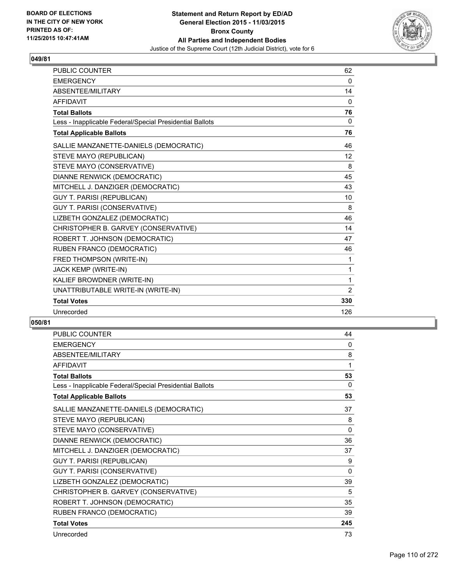

| <b>PUBLIC COUNTER</b>                                    | 62  |
|----------------------------------------------------------|-----|
| <b>EMERGENCY</b>                                         | 0   |
| ABSENTEE/MILITARY                                        | 14  |
| <b>AFFIDAVIT</b>                                         | 0   |
| <b>Total Ballots</b>                                     | 76  |
| Less - Inapplicable Federal/Special Presidential Ballots | 0   |
| <b>Total Applicable Ballots</b>                          | 76  |
| SALLIE MANZANETTE-DANIELS (DEMOCRATIC)                   | 46  |
| STEVE MAYO (REPUBLICAN)                                  | 12  |
| STEVE MAYO (CONSERVATIVE)                                | 8   |
| DIANNE RENWICK (DEMOCRATIC)                              | 45  |
| MITCHELL J. DANZIGER (DEMOCRATIC)                        | 43  |
| <b>GUY T. PARISI (REPUBLICAN)</b>                        | 10  |
| GUY T. PARISI (CONSERVATIVE)                             | 8   |
| LIZBETH GONZALEZ (DEMOCRATIC)                            | 46  |
| CHRISTOPHER B. GARVEY (CONSERVATIVE)                     | 14  |
| ROBERT T. JOHNSON (DEMOCRATIC)                           | 47  |
| RUBEN FRANCO (DEMOCRATIC)                                | 46  |
| FRED THOMPSON (WRITE-IN)                                 | 1   |
| JACK KEMP (WRITE-IN)                                     | 1   |
| KALIEF BROWDNER (WRITE-IN)                               | 1   |
| UNATTRIBUTABLE WRITE-IN (WRITE-IN)                       | 2   |
| <b>Total Votes</b>                                       | 330 |
| Unrecorded                                               | 126 |

| <b>PUBLIC COUNTER</b>                                    | 44       |
|----------------------------------------------------------|----------|
| <b>EMERGENCY</b>                                         | 0        |
| ABSENTEE/MILITARY                                        | 8        |
| <b>AFFIDAVIT</b>                                         | 1        |
| <b>Total Ballots</b>                                     | 53       |
| Less - Inapplicable Federal/Special Presidential Ballots | 0        |
| <b>Total Applicable Ballots</b>                          | 53       |
| SALLIE MANZANETTE-DANIELS (DEMOCRATIC)                   | 37       |
| STEVE MAYO (REPUBLICAN)                                  | 8        |
| STEVE MAYO (CONSERVATIVE)                                | $\Omega$ |
| DIANNE RENWICK (DEMOCRATIC)                              | 36       |
| MITCHELL J. DANZIGER (DEMOCRATIC)                        | 37       |
| <b>GUY T. PARISI (REPUBLICAN)</b>                        | 9        |
| GUY T. PARISI (CONSERVATIVE)                             | 0        |
| LIZBETH GONZALEZ (DEMOCRATIC)                            | 39       |
| CHRISTOPHER B. GARVEY (CONSERVATIVE)                     | 5        |
| ROBERT T. JOHNSON (DEMOCRATIC)                           | 35       |
| RUBEN FRANCO (DEMOCRATIC)                                | 39       |
| <b>Total Votes</b>                                       | 245      |
| Unrecorded                                               | 73       |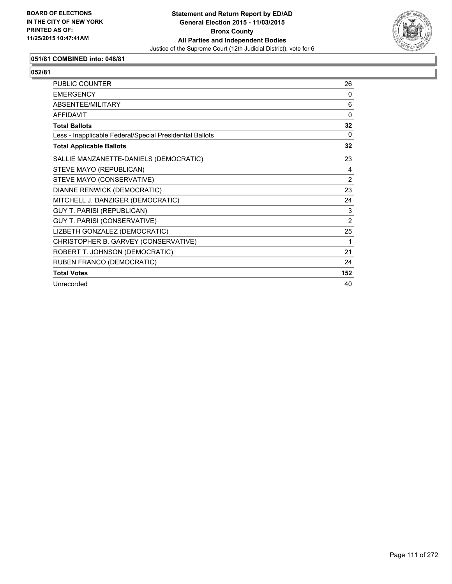

# **051/81 COMBINED into: 048/81**

| <b>PUBLIC COUNTER</b>                                    | 26             |
|----------------------------------------------------------|----------------|
| <b>EMERGENCY</b>                                         | $\Omega$       |
| ABSENTEE/MILITARY                                        | 6              |
| <b>AFFIDAVIT</b>                                         | $\Omega$       |
| <b>Total Ballots</b>                                     | 32             |
| Less - Inapplicable Federal/Special Presidential Ballots | $\Omega$       |
| <b>Total Applicable Ballots</b>                          | 32             |
| SALLIE MANZANETTE-DANIELS (DEMOCRATIC)                   | 23             |
| STEVE MAYO (REPUBLICAN)                                  | 4              |
| STEVE MAYO (CONSERVATIVE)                                | 2              |
| DIANNE RENWICK (DEMOCRATIC)                              | 23             |
| MITCHELL J. DANZIGER (DEMOCRATIC)                        | 24             |
| <b>GUY T. PARISI (REPUBLICAN)</b>                        | 3              |
| GUY T. PARISI (CONSERVATIVE)                             | $\overline{2}$ |
| LIZBETH GONZALEZ (DEMOCRATIC)                            | 25             |
| CHRISTOPHER B. GARVEY (CONSERVATIVE)                     | 1              |
| ROBERT T. JOHNSON (DEMOCRATIC)                           | 21             |
| RUBEN FRANCO (DEMOCRATIC)                                | 24             |
| <b>Total Votes</b>                                       | 152            |
| Unrecorded                                               | 40             |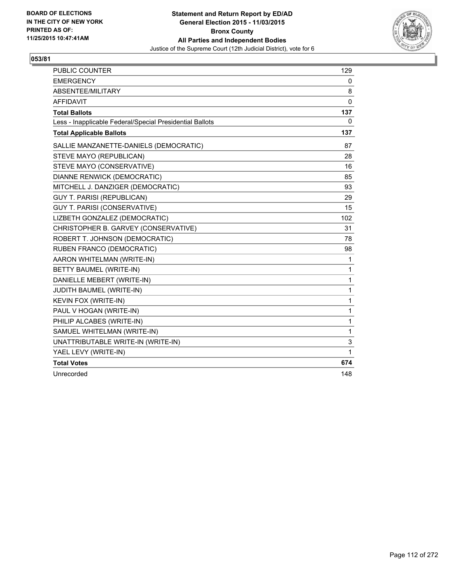

| <b>PUBLIC COUNTER</b>                                    | 129      |
|----------------------------------------------------------|----------|
| <b>EMERGENCY</b>                                         | 0        |
| ABSENTEE/MILITARY                                        | 8        |
| <b>AFFIDAVIT</b>                                         | 0        |
| <b>Total Ballots</b>                                     | 137      |
| Less - Inapplicable Federal/Special Presidential Ballots | $\Omega$ |
| <b>Total Applicable Ballots</b>                          | 137      |
| SALLIE MANZANETTE-DANIELS (DEMOCRATIC)                   | 87       |
| STEVE MAYO (REPUBLICAN)                                  | 28       |
| STEVE MAYO (CONSERVATIVE)                                | 16       |
| DIANNE RENWICK (DEMOCRATIC)                              | 85       |
| MITCHELL J. DANZIGER (DEMOCRATIC)                        | 93       |
| <b>GUY T. PARISI (REPUBLICAN)</b>                        | 29       |
| GUY T. PARISI (CONSERVATIVE)                             | 15       |
| LIZBETH GONZALEZ (DEMOCRATIC)                            | 102      |
| CHRISTOPHER B. GARVEY (CONSERVATIVE)                     | 31       |
| ROBERT T. JOHNSON (DEMOCRATIC)                           | 78       |
| RUBEN FRANCO (DEMOCRATIC)                                | 98       |
| AARON WHITELMAN (WRITE-IN)                               | 1        |
| BETTY BAUMEL (WRITE-IN)                                  | 1        |
| DANIELLE MEBERT (WRITE-IN)                               | 1        |
| JUDITH BAUMEL (WRITE-IN)                                 | 1        |
| <b>KEVIN FOX (WRITE-IN)</b>                              | 1        |
| PAUL V HOGAN (WRITE-IN)                                  | 1        |
| PHILIP ALCABES (WRITE-IN)                                | 1        |
| SAMUEL WHITELMAN (WRITE-IN)                              | 1        |
| UNATTRIBUTABLE WRITE-IN (WRITE-IN)                       | 3        |
| YAEL LEVY (WRITE-IN)                                     | 1        |
| <b>Total Votes</b>                                       | 674      |
| Unrecorded                                               | 148      |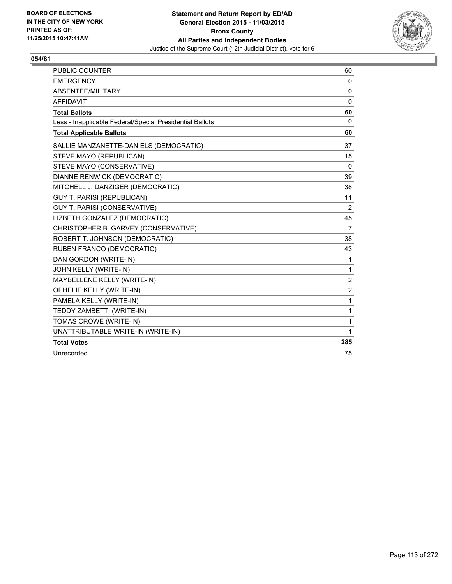

| <b>PUBLIC COUNTER</b>                                    | 60             |
|----------------------------------------------------------|----------------|
| <b>EMERGENCY</b>                                         | 0              |
| ABSENTEE/MILITARY                                        | $\mathbf{0}$   |
| <b>AFFIDAVIT</b>                                         | 0              |
| <b>Total Ballots</b>                                     | 60             |
| Less - Inapplicable Federal/Special Presidential Ballots | 0              |
| <b>Total Applicable Ballots</b>                          | 60             |
| SALLIE MANZANETTE-DANIELS (DEMOCRATIC)                   | 37             |
| STEVE MAYO (REPUBLICAN)                                  | 15             |
| STEVE MAYO (CONSERVATIVE)                                | 0              |
| DIANNE RENWICK (DEMOCRATIC)                              | 39             |
| MITCHELL J. DANZIGER (DEMOCRATIC)                        | 38             |
| <b>GUY T. PARISI (REPUBLICAN)</b>                        | 11             |
| GUY T. PARISI (CONSERVATIVE)                             | 2              |
| LIZBETH GONZALEZ (DEMOCRATIC)                            | 45             |
| CHRISTOPHER B. GARVEY (CONSERVATIVE)                     | $\overline{7}$ |
| ROBERT T. JOHNSON (DEMOCRATIC)                           | 38             |
| RUBEN FRANCO (DEMOCRATIC)                                | 43             |
| DAN GORDON (WRITE-IN)                                    | 1              |
| JOHN KELLY (WRITE-IN)                                    | 1              |
| MAYBELLENE KELLY (WRITE-IN)                              | $\overline{2}$ |
| OPHELIE KELLY (WRITE-IN)                                 | $\overline{2}$ |
| PAMELA KELLY (WRITE-IN)                                  | 1              |
| TEDDY ZAMBETTI (WRITE-IN)                                | 1              |
| TOMAS CROWE (WRITE-IN)                                   | 1              |
| UNATTRIBUTABLE WRITE-IN (WRITE-IN)                       | 1              |
| <b>Total Votes</b>                                       | 285            |
| Unrecorded                                               | 75             |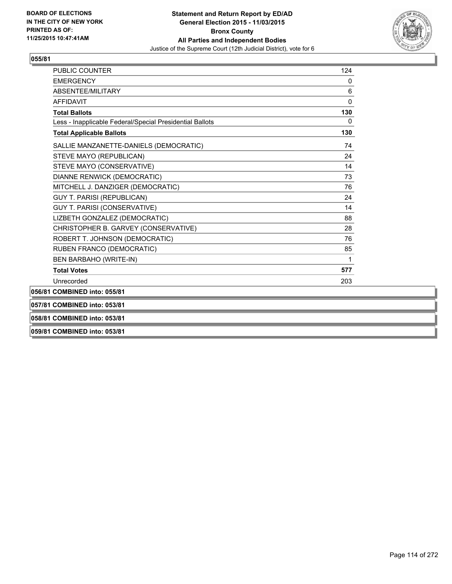

| 058/81 COMBINED into: 053/81                             |          |
|----------------------------------------------------------|----------|
| 057/81 COMBINED into: 053/81                             |          |
| 056/81 COMBINED into: 055/81                             |          |
| Unrecorded                                               | 203      |
| <b>Total Votes</b>                                       | 577      |
| BEN BARBAHO (WRITE-IN)                                   | 1        |
| RUBEN FRANCO (DEMOCRATIC)                                | 85       |
| ROBERT T. JOHNSON (DEMOCRATIC)                           | 76       |
| CHRISTOPHER B. GARVEY (CONSERVATIVE)                     | 28       |
| LIZBETH GONZALEZ (DEMOCRATIC)                            | 88       |
| GUY T. PARISI (CONSERVATIVE)                             | 14       |
| <b>GUY T. PARISI (REPUBLICAN)</b>                        | 24       |
| MITCHELL J. DANZIGER (DEMOCRATIC)                        | 76       |
| DIANNE RENWICK (DEMOCRATIC)                              | 73       |
| STEVE MAYO (CONSERVATIVE)                                | 14       |
| STEVE MAYO (REPUBLICAN)                                  | 24       |
| SALLIE MANZANETTE-DANIELS (DEMOCRATIC)                   | 74       |
| <b>Total Applicable Ballots</b>                          | 130      |
| Less - Inapplicable Federal/Special Presidential Ballots | $\Omega$ |
| <b>Total Ballots</b>                                     | 130      |
| <b>AFFIDAVIT</b>                                         | 0        |
| <b>ABSENTEE/MILITARY</b>                                 | 6        |
| <b>EMERGENCY</b>                                         | 0        |
| <b>PUBLIC COUNTER</b>                                    | 124      |

**059/81 COMBINED into: 053/81**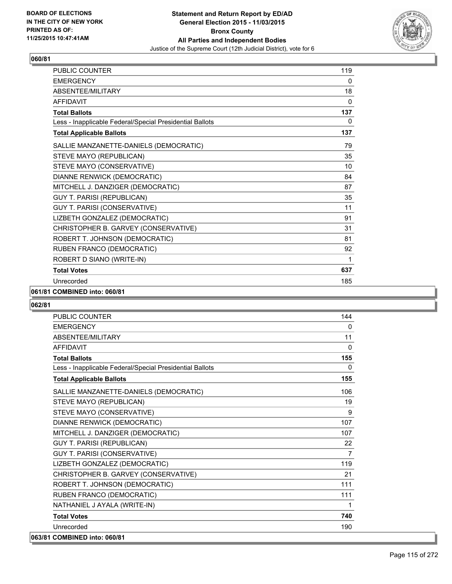

| PUBLIC COUNTER                                           | 119          |
|----------------------------------------------------------|--------------|
| <b>EMERGENCY</b>                                         | 0            |
| ABSENTEE/MILITARY                                        | 18           |
| <b>AFFIDAVIT</b>                                         | $\mathbf{0}$ |
| <b>Total Ballots</b>                                     | 137          |
| Less - Inapplicable Federal/Special Presidential Ballots | 0            |
| <b>Total Applicable Ballots</b>                          | 137          |
| SALLIE MANZANETTE-DANIELS (DEMOCRATIC)                   | 79           |
| STEVE MAYO (REPUBLICAN)                                  | 35           |
| STEVE MAYO (CONSERVATIVE)                                | 10           |
| DIANNE RENWICK (DEMOCRATIC)                              | 84           |
| MITCHELL J. DANZIGER (DEMOCRATIC)                        | 87           |
| <b>GUY T. PARISI (REPUBLICAN)</b>                        | 35           |
| GUY T. PARISI (CONSERVATIVE)                             | 11           |
| LIZBETH GONZALEZ (DEMOCRATIC)                            | 91           |
| CHRISTOPHER B. GARVEY (CONSERVATIVE)                     | 31           |
| ROBERT T. JOHNSON (DEMOCRATIC)                           | 81           |
| RUBEN FRANCO (DEMOCRATIC)                                | 92           |
| ROBERT D SIANO (WRITE-IN)                                | 1            |
| <b>Total Votes</b>                                       | 637          |
| Unrecorded                                               | 185          |

#### **061/81 COMBINED into: 060/81**

| <b>PUBLIC COUNTER</b>                                    | 144            |
|----------------------------------------------------------|----------------|
| <b>EMERGENCY</b>                                         | $\mathbf{0}$   |
| ABSENTEE/MILITARY                                        | 11             |
| <b>AFFIDAVIT</b>                                         | $\Omega$       |
| <b>Total Ballots</b>                                     | 155            |
| Less - Inapplicable Federal/Special Presidential Ballots | $\mathbf{0}$   |
| <b>Total Applicable Ballots</b>                          | 155            |
| SALLIE MANZANETTE-DANIELS (DEMOCRATIC)                   | 106            |
| STEVE MAYO (REPUBLICAN)                                  | 19             |
| STEVE MAYO (CONSERVATIVE)                                | 9              |
| DIANNE RENWICK (DEMOCRATIC)                              | 107            |
| MITCHELL J. DANZIGER (DEMOCRATIC)                        | 107            |
| <b>GUY T. PARISI (REPUBLICAN)</b>                        | 22             |
| GUY T. PARISI (CONSERVATIVE)                             | $\overline{7}$ |
| LIZBETH GONZALEZ (DEMOCRATIC)                            | 119            |
| CHRISTOPHER B. GARVEY (CONSERVATIVE)                     | 21             |
| ROBERT T. JOHNSON (DEMOCRATIC)                           | 111            |
| RUBEN FRANCO (DEMOCRATIC)                                | 111            |
| NATHANIEL J AYALA (WRITE-IN)                             | 1              |
| <b>Total Votes</b>                                       | 740            |
| Unrecorded                                               | 190            |
| 063/81 COMBINED into: 060/81                             |                |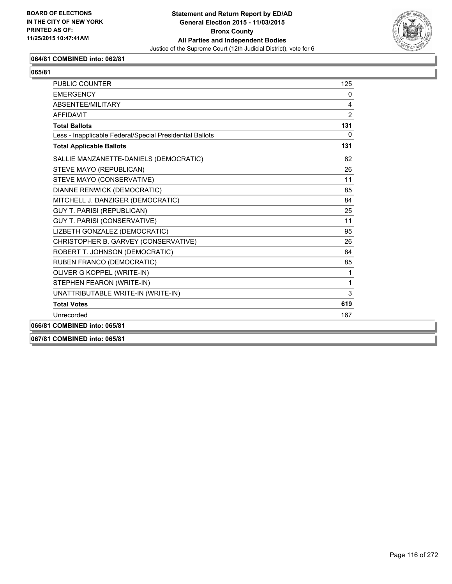

## **064/81 COMBINED into: 062/81**

| ×<br>۰.<br>۰,<br>I<br>I |
|-------------------------|
|-------------------------|

| <b>PUBLIC COUNTER</b>                                    | 125          |
|----------------------------------------------------------|--------------|
| <b>EMERGENCY</b>                                         | $\Omega$     |
| <b>ABSENTEE/MILITARY</b>                                 | 4            |
| <b>AFFIDAVIT</b>                                         | 2            |
| <b>Total Ballots</b>                                     | 131          |
| Less - Inapplicable Federal/Special Presidential Ballots | $\mathbf{0}$ |
| <b>Total Applicable Ballots</b>                          | 131          |
| SALLIE MANZANETTE-DANIELS (DEMOCRATIC)                   | 82           |
| STEVE MAYO (REPUBLICAN)                                  | 26           |
| STEVE MAYO (CONSERVATIVE)                                | 11           |
| DIANNE RENWICK (DEMOCRATIC)                              | 85           |
| MITCHELL J. DANZIGER (DEMOCRATIC)                        | 84           |
| <b>GUY T. PARISI (REPUBLICAN)</b>                        | 25           |
| GUY T. PARISI (CONSERVATIVE)                             | 11           |
| LIZBETH GONZALEZ (DEMOCRATIC)                            | 95           |
| CHRISTOPHER B. GARVEY (CONSERVATIVE)                     | 26           |
| ROBERT T. JOHNSON (DEMOCRATIC)                           | 84           |
| RUBEN FRANCO (DEMOCRATIC)                                | 85           |
| OLIVER G KOPPEL (WRITE-IN)                               | $\mathbf{1}$ |
| STEPHEN FEARON (WRITE-IN)                                | 1            |
| UNATTRIBUTABLE WRITE-IN (WRITE-IN)                       | 3            |
| <b>Total Votes</b>                                       | 619          |
| Unrecorded                                               | 167          |
| 066/81 COMBINED into: 065/81                             |              |
|                                                          |              |

**067/81 COMBINED into: 065/81**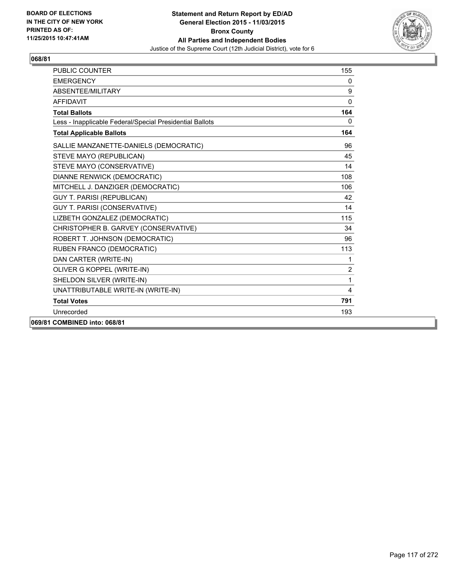

| PUBLIC COUNTER                                           | 155            |
|----------------------------------------------------------|----------------|
| <b>FMFRGFNCY</b>                                         | $\mathbf{0}$   |
| ABSENTEE/MILITARY                                        | 9              |
| <b>AFFIDAVIT</b>                                         | 0              |
| <b>Total Ballots</b>                                     | 164            |
| Less - Inapplicable Federal/Special Presidential Ballots | 0              |
| <b>Total Applicable Ballots</b>                          | 164            |
| SALLIE MANZANETTE-DANIELS (DEMOCRATIC)                   | 96             |
| STEVE MAYO (REPUBLICAN)                                  | 45             |
| STEVE MAYO (CONSERVATIVE)                                | 14             |
| DIANNE RENWICK (DEMOCRATIC)                              | 108            |
| MITCHELL J. DANZIGER (DEMOCRATIC)                        | 106            |
| <b>GUY T. PARISI (REPUBLICAN)</b>                        | 42             |
| <b>GUY T. PARISI (CONSERVATIVE)</b>                      | 14             |
| LIZBETH GONZALEZ (DEMOCRATIC)                            | 115            |
| CHRISTOPHER B. GARVEY (CONSERVATIVE)                     | 34             |
| ROBERT T. JOHNSON (DEMOCRATIC)                           | 96             |
| RUBEN FRANCO (DEMOCRATIC)                                | 113            |
| DAN CARTER (WRITE-IN)                                    | 1              |
| OLIVER G KOPPEL (WRITE-IN)                               | $\overline{2}$ |
| SHELDON SILVER (WRITE-IN)                                | 1              |
| UNATTRIBUTABLE WRITE-IN (WRITE-IN)                       | 4              |
| <b>Total Votes</b>                                       | 791            |
| Unrecorded                                               | 193            |
| 069/81 COMBINED into: 068/81                             |                |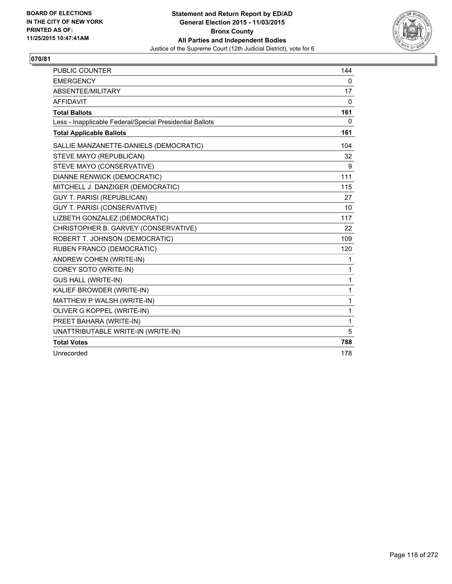

| <b>PUBLIC COUNTER</b>                                    | 144 |
|----------------------------------------------------------|-----|
| <b>EMERGENCY</b>                                         | 0   |
| ABSENTEE/MILITARY                                        | 17  |
| <b>AFFIDAVIT</b>                                         | 0   |
| <b>Total Ballots</b>                                     | 161 |
| Less - Inapplicable Federal/Special Presidential Ballots | 0   |
| <b>Total Applicable Ballots</b>                          | 161 |
| SALLIE MANZANETTE-DANIELS (DEMOCRATIC)                   | 104 |
| STEVE MAYO (REPUBLICAN)                                  | 32  |
| STEVE MAYO (CONSERVATIVE)                                | 9   |
| DIANNE RENWICK (DEMOCRATIC)                              | 111 |
| MITCHELL J. DANZIGER (DEMOCRATIC)                        | 115 |
| <b>GUY T. PARISI (REPUBLICAN)</b>                        | 27  |
| <b>GUY T. PARISI (CONSERVATIVE)</b>                      | 10  |
| LIZBETH GONZALEZ (DEMOCRATIC)                            | 117 |
| CHRISTOPHER B. GARVEY (CONSERVATIVE)                     | 22  |
| ROBERT T. JOHNSON (DEMOCRATIC)                           | 109 |
| RUBEN FRANCO (DEMOCRATIC)                                | 120 |
| ANDREW COHEN (WRITE-IN)                                  | 1   |
| COREY SOTO (WRITE-IN)                                    | 1   |
| <b>GUS HALL (WRITE-IN)</b>                               | 1   |
| KALIEF BROWDER (WRITE-IN)                                | 1   |
| MATTHEW P WALSH (WRITE-IN)                               | 1   |
| OLIVER G KOPPEL (WRITE-IN)                               | 1   |
| PREET BAHARA (WRITE-IN)                                  | 1   |
| UNATTRIBUTABLE WRITE-IN (WRITE-IN)                       | 5   |
| <b>Total Votes</b>                                       | 788 |
| Unrecorded                                               | 178 |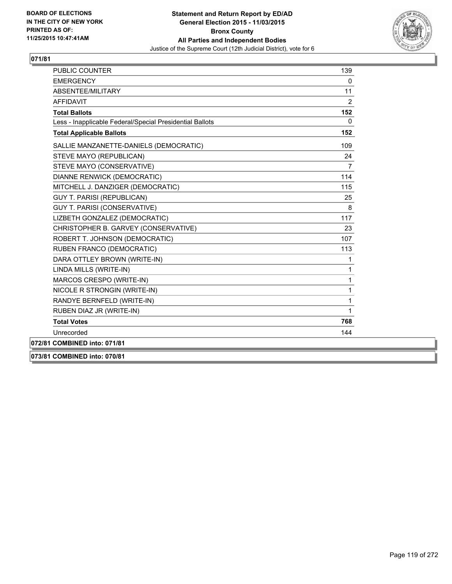

| <b>PUBLIC COUNTER</b>                                    | 139            |
|----------------------------------------------------------|----------------|
| <b>EMERGENCY</b>                                         | $\mathbf{0}$   |
| ABSENTEE/MILITARY                                        | 11             |
| <b>AFFIDAVIT</b>                                         | 2              |
| <b>Total Ballots</b>                                     | 152            |
| Less - Inapplicable Federal/Special Presidential Ballots | $\mathbf{0}$   |
| <b>Total Applicable Ballots</b>                          | 152            |
| SALLIE MANZANETTE-DANIELS (DEMOCRATIC)                   | 109            |
| STEVE MAYO (REPUBLICAN)                                  | 24             |
| STEVE MAYO (CONSERVATIVE)                                | $\overline{7}$ |
| DIANNE RENWICK (DEMOCRATIC)                              | 114            |
| MITCHELL J. DANZIGER (DEMOCRATIC)                        | 115            |
| <b>GUY T. PARISI (REPUBLICAN)</b>                        | 25             |
| <b>GUY T. PARISI (CONSERVATIVE)</b>                      | 8              |
| LIZBETH GONZALEZ (DEMOCRATIC)                            | 117            |
| CHRISTOPHER B. GARVEY (CONSERVATIVE)                     | 23             |
| ROBERT T. JOHNSON (DEMOCRATIC)                           | 107            |
| RUBEN FRANCO (DEMOCRATIC)                                | 113            |
| DARA OTTLEY BROWN (WRITE-IN)                             | 1              |
| LINDA MILLS (WRITE-IN)                                   | $\mathbf{1}$   |
| MARCOS CRESPO (WRITE-IN)                                 | 1              |
| NICOLE R STRONGIN (WRITE-IN)                             | 1              |
| RANDYE BERNFELD (WRITE-IN)                               | 1              |
| RUBEN DIAZ JR (WRITE-IN)                                 | $\mathbf{1}$   |
| <b>Total Votes</b>                                       | 768            |
| Unrecorded                                               | 144            |
| 072/81 COMBINED into: 071/81                             |                |

**073/81 COMBINED into: 070/81**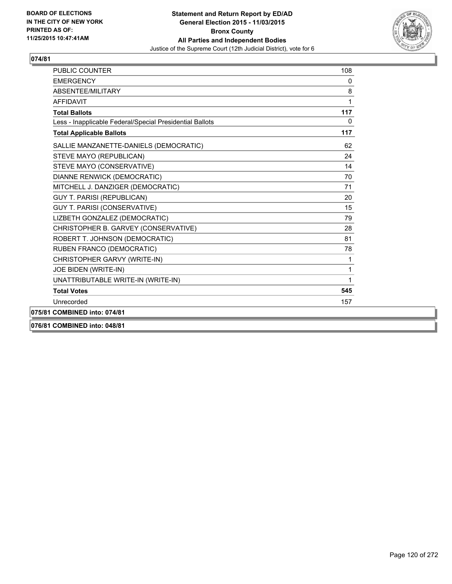

| PUBLIC COUNTER                                           | 108          |
|----------------------------------------------------------|--------------|
| <b>EMERGENCY</b>                                         | 0            |
| ABSENTEE/MILITARY                                        | 8            |
| <b>AFFIDAVIT</b>                                         | 1            |
| <b>Total Ballots</b>                                     | 117          |
| Less - Inapplicable Federal/Special Presidential Ballots | $\mathbf{0}$ |
| <b>Total Applicable Ballots</b>                          | 117          |
| SALLIE MANZANETTE-DANIELS (DEMOCRATIC)                   | 62           |
| STEVE MAYO (REPUBLICAN)                                  | 24           |
| STEVE MAYO (CONSERVATIVE)                                | 14           |
| <b>DIANNE RENWICK (DEMOCRATIC)</b>                       | 70           |
| MITCHELL J. DANZIGER (DEMOCRATIC)                        | 71           |
| <b>GUY T. PARISI (REPUBLICAN)</b>                        | 20           |
| <b>GUY T. PARISI (CONSERVATIVE)</b>                      | 15           |
| LIZBETH GONZALEZ (DEMOCRATIC)                            | 79           |
| CHRISTOPHER B. GARVEY (CONSERVATIVE)                     | 28           |
| ROBERT T. JOHNSON (DEMOCRATIC)                           | 81           |
| RUBEN FRANCO (DEMOCRATIC)                                | 78           |
| CHRISTOPHER GARVY (WRITE-IN)                             | 1            |
| JOE BIDEN (WRITE-IN)                                     | 1            |
| UNATTRIBUTABLE WRITE-IN (WRITE-IN)                       | 1            |
| <b>Total Votes</b>                                       | 545          |
| Unrecorded                                               | 157          |
| 075/81 COMBINED into: 074/81                             |              |
| 076/81 COMBINED into: 048/81                             |              |

Page 120 of 272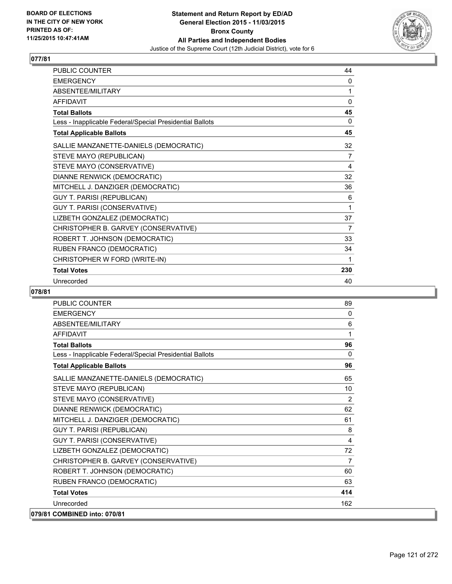

| PUBLIC COUNTER                                           | 44  |
|----------------------------------------------------------|-----|
| <b>EMERGENCY</b>                                         | 0   |
| ABSENTEE/MILITARY                                        | 1   |
| <b>AFFIDAVIT</b>                                         | 0   |
| <b>Total Ballots</b>                                     | 45  |
| Less - Inapplicable Federal/Special Presidential Ballots | 0   |
| <b>Total Applicable Ballots</b>                          | 45  |
| SALLIE MANZANETTE-DANIELS (DEMOCRATIC)                   | 32  |
| STEVE MAYO (REPUBLICAN)                                  | 7   |
| STEVE MAYO (CONSERVATIVE)                                | 4   |
| DIANNE RENWICK (DEMOCRATIC)                              | 32  |
| MITCHELL J. DANZIGER (DEMOCRATIC)                        | 36  |
| <b>GUY T. PARISI (REPUBLICAN)</b>                        | 6   |
| GUY T. PARISI (CONSERVATIVE)                             | 1   |
| LIZBETH GONZALEZ (DEMOCRATIC)                            | 37  |
| CHRISTOPHER B. GARVEY (CONSERVATIVE)                     | 7   |
| ROBERT T. JOHNSON (DEMOCRATIC)                           | 33  |
| RUBEN FRANCO (DEMOCRATIC)                                | 34  |
| CHRISTOPHER W FORD (WRITE-IN)                            | 1   |
| <b>Total Votes</b>                                       | 230 |
| Unrecorded                                               | 40  |

| <b>PUBLIC COUNTER</b>                                    | 89             |
|----------------------------------------------------------|----------------|
| <b>FMFRGFNCY</b>                                         | $\mathbf{0}$   |
| ABSENTEE/MILITARY                                        | 6              |
| <b>AFFIDAVIT</b>                                         | 1              |
| <b>Total Ballots</b>                                     | 96             |
| Less - Inapplicable Federal/Special Presidential Ballots | $\mathbf{0}$   |
| <b>Total Applicable Ballots</b>                          | 96             |
| SALLIE MANZANETTE-DANIELS (DEMOCRATIC)                   | 65             |
| STEVE MAYO (REPUBLICAN)                                  | 10             |
| STEVE MAYO (CONSERVATIVE)                                | 2              |
| DIANNE RENWICK (DEMOCRATIC)                              | 62             |
| MITCHELL J. DANZIGER (DEMOCRATIC)                        | 61             |
| <b>GUY T. PARISI (REPUBLICAN)</b>                        | 8              |
| GUY T. PARISI (CONSERVATIVE)                             | 4              |
| LIZBETH GONZALEZ (DEMOCRATIC)                            | 72             |
| CHRISTOPHER B. GARVEY (CONSERVATIVE)                     | $\overline{7}$ |
| ROBERT T. JOHNSON (DEMOCRATIC)                           | 60             |
| RUBEN FRANCO (DEMOCRATIC)                                | 63             |
| <b>Total Votes</b>                                       | 414            |
| Unrecorded                                               | 162            |
| 079/81 COMBINED into: 070/81                             |                |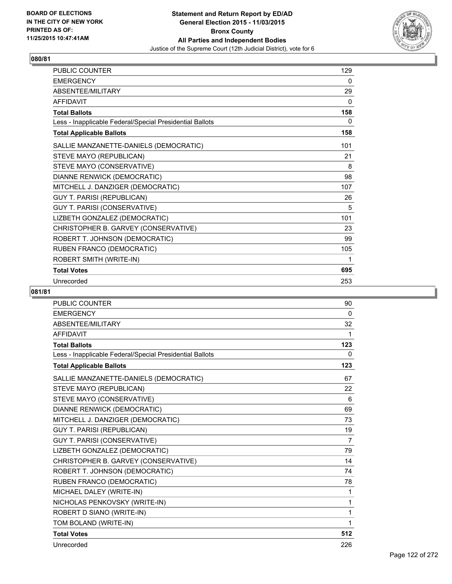

| <b>PUBLIC COUNTER</b>                                    | 129 |
|----------------------------------------------------------|-----|
| <b>EMERGENCY</b>                                         | 0   |
| ABSENTEE/MILITARY                                        | 29  |
| <b>AFFIDAVIT</b>                                         | 0   |
| <b>Total Ballots</b>                                     | 158 |
| Less - Inapplicable Federal/Special Presidential Ballots | 0   |
| <b>Total Applicable Ballots</b>                          | 158 |
| SALLIE MANZANETTE-DANIELS (DEMOCRATIC)                   | 101 |
| STEVE MAYO (REPUBLICAN)                                  | 21  |
| STEVE MAYO (CONSERVATIVE)                                | 8   |
| DIANNE RENWICK (DEMOCRATIC)                              | 98  |
| MITCHELL J. DANZIGER (DEMOCRATIC)                        | 107 |
| <b>GUY T. PARISI (REPUBLICAN)</b>                        | 26  |
| GUY T. PARISI (CONSERVATIVE)                             | 5   |
| LIZBETH GONZALEZ (DEMOCRATIC)                            | 101 |
| CHRISTOPHER B. GARVEY (CONSERVATIVE)                     | 23  |
| ROBERT T. JOHNSON (DEMOCRATIC)                           | 99  |
| RUBEN FRANCO (DEMOCRATIC)                                | 105 |
| ROBERT SMITH (WRITE-IN)                                  | 1   |
| <b>Total Votes</b>                                       | 695 |
| Unrecorded                                               | 253 |

| <b>PUBLIC COUNTER</b>                                    | 90             |
|----------------------------------------------------------|----------------|
| <b>EMERGENCY</b>                                         | 0              |
| <b>ABSENTEE/MILITARY</b>                                 | 32             |
| <b>AFFIDAVIT</b>                                         | 1              |
| <b>Total Ballots</b>                                     | 123            |
| Less - Inapplicable Federal/Special Presidential Ballots | 0              |
| <b>Total Applicable Ballots</b>                          | 123            |
| SALLIE MANZANETTE-DANIELS (DEMOCRATIC)                   | 67             |
| STEVE MAYO (REPUBLICAN)                                  | 22             |
| STEVE MAYO (CONSERVATIVE)                                | 6              |
| DIANNE RENWICK (DEMOCRATIC)                              | 69             |
| MITCHELL J. DANZIGER (DEMOCRATIC)                        | 73             |
| <b>GUY T. PARISI (REPUBLICAN)</b>                        | 19             |
| <b>GUY T. PARISI (CONSERVATIVE)</b>                      | $\overline{7}$ |
| LIZBETH GONZALEZ (DEMOCRATIC)                            | 79             |
| CHRISTOPHER B. GARVEY (CONSERVATIVE)                     | 14             |
| ROBERT T. JOHNSON (DEMOCRATIC)                           | 74             |
| RUBEN FRANCO (DEMOCRATIC)                                | 78             |
| MICHAEL DALEY (WRITE-IN)                                 | 1              |
| NICHOLAS PENKOVSKY (WRITE-IN)                            | 1              |
| ROBERT D SIANO (WRITE-IN)                                | 1              |
| TOM BOLAND (WRITE-IN)                                    | 1              |
| <b>Total Votes</b>                                       | 512            |
| Unrecorded                                               | 226            |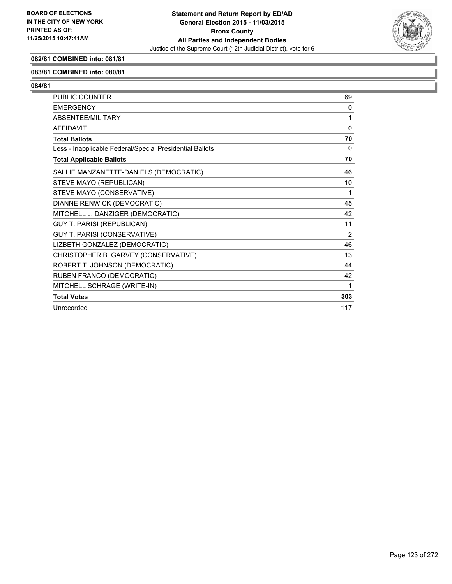

#### **082/81 COMBINED into: 081/81**

#### **083/81 COMBINED into: 080/81**

| <b>PUBLIC COUNTER</b>                                    | 69             |
|----------------------------------------------------------|----------------|
| <b>EMERGENCY</b>                                         | $\Omega$       |
| ABSENTEE/MILITARY                                        | 1              |
| <b>AFFIDAVIT</b>                                         | $\Omega$       |
| <b>Total Ballots</b>                                     | 70             |
| Less - Inapplicable Federal/Special Presidential Ballots | 0              |
| <b>Total Applicable Ballots</b>                          | 70             |
| SALLIE MANZANETTE-DANIELS (DEMOCRATIC)                   | 46             |
| STEVE MAYO (REPUBLICAN)                                  | 10             |
| STEVE MAYO (CONSERVATIVE)                                | 1              |
| DIANNE RENWICK (DEMOCRATIC)                              | 45             |
| MITCHELL J. DANZIGER (DEMOCRATIC)                        | 42             |
| <b>GUY T. PARISI (REPUBLICAN)</b>                        | 11             |
| <b>GUY T. PARISI (CONSERVATIVE)</b>                      | $\overline{2}$ |
| LIZBETH GONZALEZ (DEMOCRATIC)                            | 46             |
| CHRISTOPHER B. GARVEY (CONSERVATIVE)                     | 13             |
| ROBERT T. JOHNSON (DEMOCRATIC)                           | 44             |
| RUBEN FRANCO (DEMOCRATIC)                                | 42             |
| MITCHELL SCHRAGE (WRITE-IN)                              | 1              |
| <b>Total Votes</b>                                       | 303            |
| Unrecorded                                               | 117            |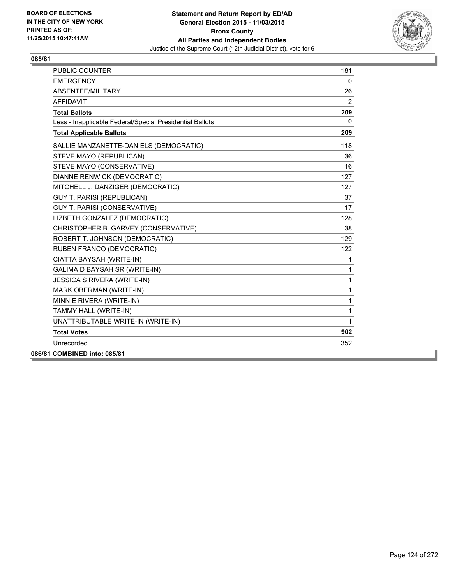

| <b>PUBLIC COUNTER</b>                                    | 181          |
|----------------------------------------------------------|--------------|
| <b>EMERGENCY</b>                                         | 0            |
| ABSENTEE/MILITARY                                        | 26           |
| AFFIDAVIT                                                | 2            |
| <b>Total Ballots</b>                                     | 209          |
| Less - Inapplicable Federal/Special Presidential Ballots | $\mathbf{0}$ |
| <b>Total Applicable Ballots</b>                          | 209          |
| SALLIE MANZANETTE-DANIELS (DEMOCRATIC)                   | 118          |
| STEVE MAYO (REPUBLICAN)                                  | 36           |
| STEVE MAYO (CONSERVATIVE)                                | 16           |
| DIANNE RENWICK (DEMOCRATIC)                              | 127          |
| MITCHELL J. DANZIGER (DEMOCRATIC)                        | 127          |
| <b>GUY T. PARISI (REPUBLICAN)</b>                        | 37           |
| <b>GUY T. PARISI (CONSERVATIVE)</b>                      | 17           |
| LIZBETH GONZALEZ (DEMOCRATIC)                            | 128          |
| CHRISTOPHER B. GARVEY (CONSERVATIVE)                     | 38           |
| ROBERT T. JOHNSON (DEMOCRATIC)                           | 129          |
| RUBEN FRANCO (DEMOCRATIC)                                | 122          |
| CIATTA BAYSAH (WRITE-IN)                                 | 1            |
| GALIMA D BAYSAH SR (WRITE-IN)                            | $\mathbf{1}$ |
| <b>JESSICA S RIVERA (WRITE-IN)</b>                       | $\mathbf{1}$ |
| MARK OBERMAN (WRITE-IN)                                  | 1            |
| MINNIE RIVERA (WRITE-IN)                                 | 1            |
| TAMMY HALL (WRITE-IN)                                    | 1            |
| UNATTRIBUTABLE WRITE-IN (WRITE-IN)                       | $\mathbf{1}$ |
| <b>Total Votes</b>                                       | 902          |
| Unrecorded                                               | 352          |
| 086/81 COMBINED into: 085/81                             |              |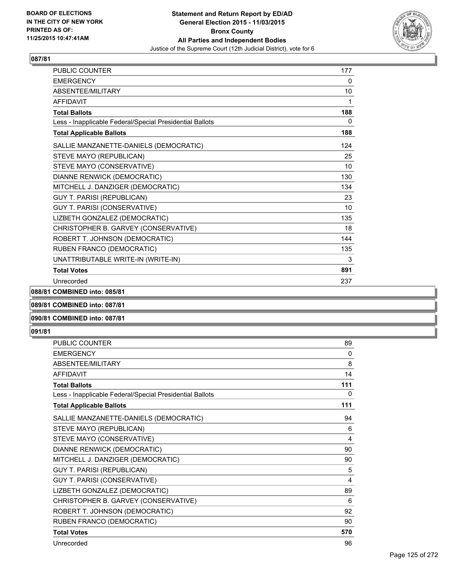

| <b>PUBLIC COUNTER</b>                                    | 177 |
|----------------------------------------------------------|-----|
| <b>EMERGENCY</b>                                         | 0   |
| ABSENTEE/MILITARY                                        | 10  |
| <b>AFFIDAVIT</b>                                         | 1   |
| <b>Total Ballots</b>                                     | 188 |
| Less - Inapplicable Federal/Special Presidential Ballots | 0   |
| <b>Total Applicable Ballots</b>                          | 188 |
| SALLIE MANZANETTE-DANIELS (DEMOCRATIC)                   | 124 |
| STEVE MAYO (REPUBLICAN)                                  | 25  |
| STEVE MAYO (CONSERVATIVE)                                | 10  |
| DIANNE RENWICK (DEMOCRATIC)                              | 130 |
| MITCHELL J. DANZIGER (DEMOCRATIC)                        | 134 |
| GUY T. PARISI (REPUBLICAN)                               | 23  |
| GUY T. PARISI (CONSERVATIVE)                             | 10  |
| LIZBETH GONZALEZ (DEMOCRATIC)                            | 135 |
| CHRISTOPHER B. GARVEY (CONSERVATIVE)                     | 18  |
| ROBERT T. JOHNSON (DEMOCRATIC)                           | 144 |
| RUBEN FRANCO (DEMOCRATIC)                                | 135 |
| UNATTRIBUTABLE WRITE-IN (WRITE-IN)                       | 3   |
| <b>Total Votes</b>                                       | 891 |
| Unrecorded                                               | 237 |

**088/81 COMBINED into: 085/81**

## **089/81 COMBINED into: 087/81**

## **090/81 COMBINED into: 087/81**

| <b>PUBLIC COUNTER</b>                                    | 89           |
|----------------------------------------------------------|--------------|
| <b>EMERGENCY</b>                                         | $\mathbf{0}$ |
| ABSENTEE/MILITARY                                        | 8            |
| <b>AFFIDAVIT</b>                                         | 14           |
| <b>Total Ballots</b>                                     | 111          |
| Less - Inapplicable Federal/Special Presidential Ballots | 0            |
| <b>Total Applicable Ballots</b>                          | 111          |
| SALLIE MANZANETTE-DANIELS (DEMOCRATIC)                   | 94           |
| STEVE MAYO (REPUBLICAN)                                  | 6            |
| STEVE MAYO (CONSERVATIVE)                                | 4            |
| DIANNE RENWICK (DEMOCRATIC)                              | 90           |
| MITCHELL J. DANZIGER (DEMOCRATIC)                        | 90           |
| <b>GUY T. PARISI (REPUBLICAN)</b>                        | 5            |
| GUY T. PARISI (CONSERVATIVE)                             | 4            |
| LIZBETH GONZALEZ (DEMOCRATIC)                            | 89           |
| CHRISTOPHER B. GARVEY (CONSERVATIVE)                     | 6            |
| ROBERT T. JOHNSON (DEMOCRATIC)                           | 92           |
| RUBEN FRANCO (DEMOCRATIC)                                | 90           |
| <b>Total Votes</b>                                       | 570          |
| Unrecorded                                               | 96           |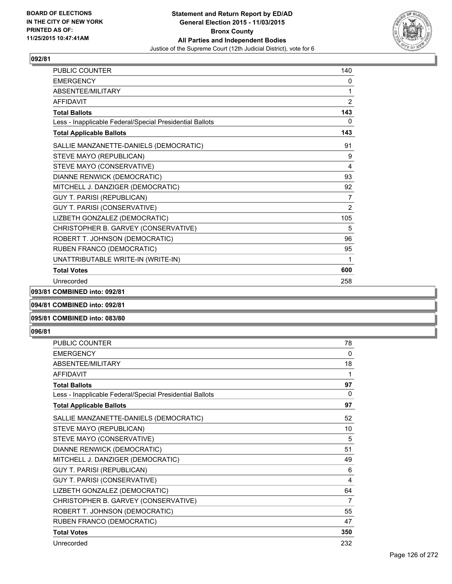

| PUBLIC COUNTER                                           | 140            |
|----------------------------------------------------------|----------------|
| <b>EMERGENCY</b>                                         | 0              |
| <b>ABSENTEE/MILITARY</b>                                 | 1              |
| <b>AFFIDAVIT</b>                                         | 2              |
| <b>Total Ballots</b>                                     | 143            |
| Less - Inapplicable Federal/Special Presidential Ballots | 0              |
| <b>Total Applicable Ballots</b>                          | 143            |
| SALLIE MANZANETTE-DANIELS (DEMOCRATIC)                   | 91             |
| STEVE MAYO (REPUBLICAN)                                  | 9              |
| STEVE MAYO (CONSERVATIVE)                                | 4              |
| DIANNE RENWICK (DEMOCRATIC)                              | 93             |
| MITCHELL J. DANZIGER (DEMOCRATIC)                        | 92             |
| <b>GUY T. PARISI (REPUBLICAN)</b>                        | $\overline{7}$ |
| GUY T. PARISI (CONSERVATIVE)                             | 2              |
| LIZBETH GONZALEZ (DEMOCRATIC)                            | 105            |
| CHRISTOPHER B. GARVEY (CONSERVATIVE)                     | 5              |
| ROBERT T. JOHNSON (DEMOCRATIC)                           | 96             |
| RUBEN FRANCO (DEMOCRATIC)                                | 95             |
| UNATTRIBUTABLE WRITE-IN (WRITE-IN)                       | 1              |
| <b>Total Votes</b>                                       | 600            |
| Unrecorded                                               | 258            |

**093/81 COMBINED into: 092/81**

**094/81 COMBINED into: 092/81**

## **095/81 COMBINED into: 083/80**

| <b>PUBLIC COUNTER</b>                                    | 78  |
|----------------------------------------------------------|-----|
| <b>EMERGENCY</b>                                         | 0   |
| ABSENTEE/MILITARY                                        | 18  |
| <b>AFFIDAVIT</b>                                         | 1   |
| <b>Total Ballots</b>                                     | 97  |
| Less - Inapplicable Federal/Special Presidential Ballots | 0   |
| <b>Total Applicable Ballots</b>                          | 97  |
| SALLIE MANZANETTE-DANIELS (DEMOCRATIC)                   | 52  |
| STEVE MAYO (REPUBLICAN)                                  | 10  |
| STEVE MAYO (CONSERVATIVE)                                | 5   |
| DIANNE RENWICK (DEMOCRATIC)                              | 51  |
| MITCHELL J. DANZIGER (DEMOCRATIC)                        | 49  |
| <b>GUY T. PARISI (REPUBLICAN)</b>                        | 6   |
| <b>GUY T. PARISI (CONSERVATIVE)</b>                      | 4   |
| LIZBETH GONZALEZ (DEMOCRATIC)                            | 64  |
| CHRISTOPHER B. GARVEY (CONSERVATIVE)                     | 7   |
| ROBERT T. JOHNSON (DEMOCRATIC)                           | 55  |
| RUBEN FRANCO (DEMOCRATIC)                                | 47  |
| <b>Total Votes</b>                                       | 350 |
| Unrecorded                                               | 232 |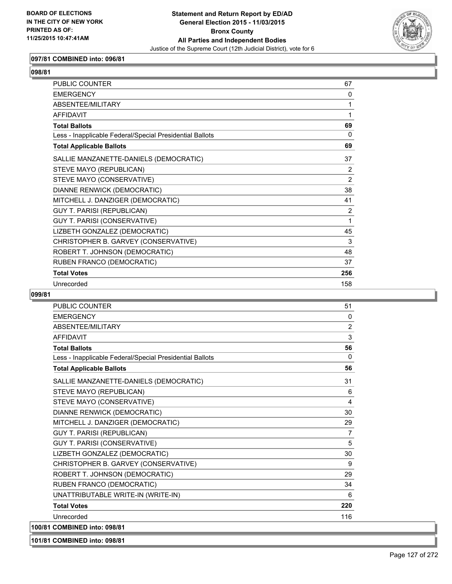

## **097/81 COMBINED into: 096/81**

| <b>PUBLIC COUNTER</b>                                    | 67       |
|----------------------------------------------------------|----------|
| <b>EMERGENCY</b>                                         | $\Omega$ |
| ABSENTEE/MILITARY                                        | 1        |
| <b>AFFIDAVIT</b>                                         | 1        |
| <b>Total Ballots</b>                                     | 69       |
| Less - Inapplicable Federal/Special Presidential Ballots | $\Omega$ |
| <b>Total Applicable Ballots</b>                          | 69       |
| SALLIE MANZANETTE-DANIELS (DEMOCRATIC)                   | 37       |
| STEVE MAYO (REPUBLICAN)                                  | 2        |
| STEVE MAYO (CONSERVATIVE)                                | 2        |
| DIANNE RENWICK (DEMOCRATIC)                              | 38       |
| MITCHELL J. DANZIGER (DEMOCRATIC)                        | 41       |
| <b>GUY T. PARISI (REPUBLICAN)</b>                        | 2        |
| GUY T. PARISI (CONSERVATIVE)                             | 1        |
| LIZBETH GONZALEZ (DEMOCRATIC)                            | 45       |
| CHRISTOPHER B. GARVEY (CONSERVATIVE)                     | 3        |
| ROBERT T. JOHNSON (DEMOCRATIC)                           | 48       |
| RUBEN FRANCO (DEMOCRATIC)                                | 37       |
| <b>Total Votes</b>                                       | 256      |
| Unrecorded                                               | 158      |

#### **099/81**

| <b>PUBLIC COUNTER</b>                                    | 51             |
|----------------------------------------------------------|----------------|
| <b>EMERGENCY</b>                                         | 0              |
| ABSENTEE/MILITARY                                        | $\overline{2}$ |
| <b>AFFIDAVIT</b>                                         | 3              |
| <b>Total Ballots</b>                                     | 56             |
| Less - Inapplicable Federal/Special Presidential Ballots | $\mathbf{0}$   |
| <b>Total Applicable Ballots</b>                          | 56             |
| SALLIE MANZANETTE-DANIELS (DEMOCRATIC)                   | 31             |
| STEVE MAYO (REPUBLICAN)                                  | 6              |
| STEVE MAYO (CONSERVATIVE)                                | 4              |
| DIANNE RENWICK (DEMOCRATIC)                              | 30             |
| MITCHELL J. DANZIGER (DEMOCRATIC)                        | 29             |
| <b>GUY T. PARISI (REPUBLICAN)</b>                        | $\overline{7}$ |
| <b>GUY T. PARISI (CONSERVATIVE)</b>                      | 5              |
| LIZBETH GONZALEZ (DEMOCRATIC)                            | 30             |
| CHRISTOPHER B. GARVEY (CONSERVATIVE)                     | 9              |
| ROBERT T. JOHNSON (DEMOCRATIC)                           | 29             |
| RUBEN FRANCO (DEMOCRATIC)                                | 34             |
| UNATTRIBUTABLE WRITE-IN (WRITE-IN)                       | 6              |
| <b>Total Votes</b>                                       | 220            |
| Unrecorded                                               | 116            |
| 100/81 COMBINED into: 098/81                             |                |

**101/81 COMBINED into: 098/81**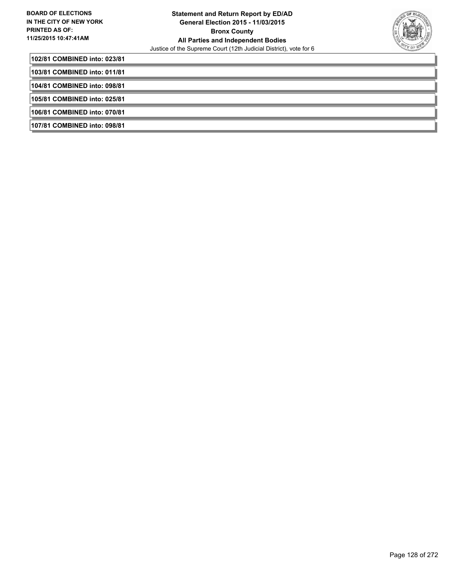

**102/81 COMBINED into: 023/81**

**103/81 COMBINED into: 011/81**

**104/81 COMBINED into: 098/81**

**105/81 COMBINED into: 025/81**

**106/81 COMBINED into: 070/81**

**107/81 COMBINED into: 098/81**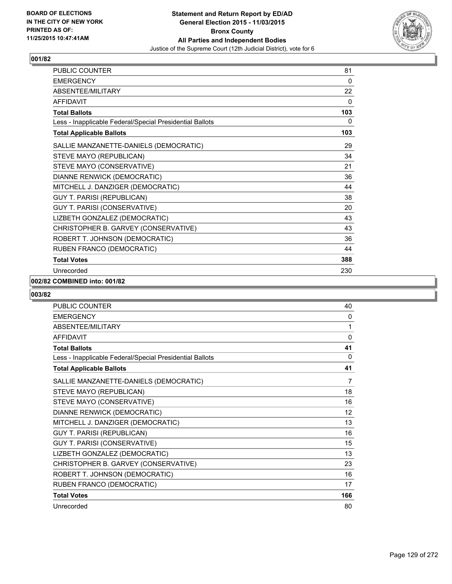

| <b>PUBLIC COUNTER</b>                                    | 81  |
|----------------------------------------------------------|-----|
| <b>EMERGENCY</b>                                         | 0   |
| ABSENTEE/MILITARY                                        | 22  |
| <b>AFFIDAVIT</b>                                         | 0   |
| <b>Total Ballots</b>                                     | 103 |
| Less - Inapplicable Federal/Special Presidential Ballots | 0   |
| <b>Total Applicable Ballots</b>                          | 103 |
| SALLIE MANZANETTE-DANIELS (DEMOCRATIC)                   | 29  |
| STEVE MAYO (REPUBLICAN)                                  | 34  |
| STEVE MAYO (CONSERVATIVE)                                | 21  |
| DIANNE RENWICK (DEMOCRATIC)                              | 36  |
| MITCHELL J. DANZIGER (DEMOCRATIC)                        | 44  |
| <b>GUY T. PARISI (REPUBLICAN)</b>                        | 38  |
| GUY T. PARISI (CONSERVATIVE)                             | 20  |
| LIZBETH GONZALEZ (DEMOCRATIC)                            | 43  |
| CHRISTOPHER B. GARVEY (CONSERVATIVE)                     | 43  |
| ROBERT T. JOHNSON (DEMOCRATIC)                           | 36  |
| RUBEN FRANCO (DEMOCRATIC)                                | 44  |
| <b>Total Votes</b>                                       | 388 |
| Unrecorded                                               | 230 |

## **002/82 COMBINED into: 001/82**

| <b>PUBLIC COUNTER</b>                                    | 40       |
|----------------------------------------------------------|----------|
| <b>EMERGENCY</b>                                         | 0        |
| ABSENTEE/MILITARY                                        | 1        |
| <b>AFFIDAVIT</b>                                         | $\Omega$ |
| <b>Total Ballots</b>                                     | 41       |
| Less - Inapplicable Federal/Special Presidential Ballots | 0        |
| <b>Total Applicable Ballots</b>                          | 41       |
| SALLIE MANZANETTE-DANIELS (DEMOCRATIC)                   | 7        |
| STEVE MAYO (REPUBLICAN)                                  | 18       |
| STEVE MAYO (CONSERVATIVE)                                | 16       |
| DIANNE RENWICK (DEMOCRATIC)                              | 12       |
| MITCHELL J. DANZIGER (DEMOCRATIC)                        | 13       |
| <b>GUY T. PARISI (REPUBLICAN)</b>                        | 16       |
| GUY T. PARISI (CONSERVATIVE)                             | 15       |
| LIZBETH GONZALEZ (DEMOCRATIC)                            | 13       |
| CHRISTOPHER B. GARVEY (CONSERVATIVE)                     | 23       |
| ROBERT T. JOHNSON (DEMOCRATIC)                           | 16       |
| RUBEN FRANCO (DEMOCRATIC)                                | 17       |
| <b>Total Votes</b>                                       | 166      |
| Unrecorded                                               | 80       |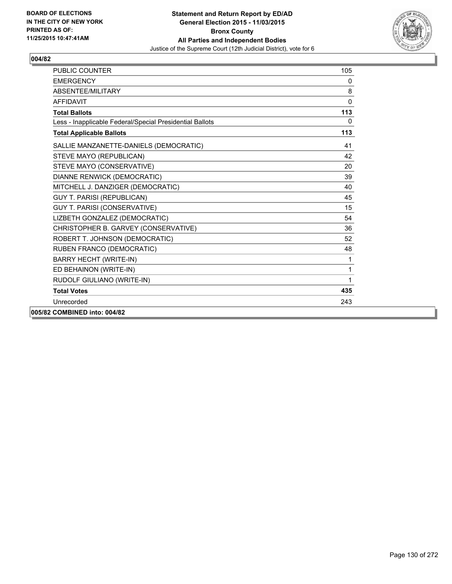

| <b>PUBLIC COUNTER</b>                                    | 105          |
|----------------------------------------------------------|--------------|
| <b>EMERGENCY</b>                                         | 0            |
| ABSENTEE/MILITARY                                        | 8            |
| <b>AFFIDAVIT</b>                                         | $\mathbf{0}$ |
| <b>Total Ballots</b>                                     | 113          |
| Less - Inapplicable Federal/Special Presidential Ballots | $\mathbf{0}$ |
| <b>Total Applicable Ballots</b>                          | 113          |
| SALLIE MANZANETTE-DANIELS (DEMOCRATIC)                   | 41           |
| STEVE MAYO (REPUBLICAN)                                  | 42           |
| STEVE MAYO (CONSERVATIVE)                                | 20           |
| DIANNE RENWICK (DEMOCRATIC)                              | 39           |
| MITCHELL J. DANZIGER (DEMOCRATIC)                        | 40           |
| <b>GUY T. PARISI (REPUBLICAN)</b>                        | 45           |
| GUY T. PARISI (CONSERVATIVE)                             | 15           |
| LIZBETH GONZALEZ (DEMOCRATIC)                            | 54           |
| CHRISTOPHER B. GARVEY (CONSERVATIVE)                     | 36           |
| ROBERT T. JOHNSON (DEMOCRATIC)                           | 52           |
| RUBEN FRANCO (DEMOCRATIC)                                | 48           |
| <b>BARRY HECHT (WRITE-IN)</b>                            | 1            |
| ED BEHAINON (WRITE-IN)                                   | 1            |
| RUDOLF GIULIANO (WRITE-IN)                               | 1            |
| <b>Total Votes</b>                                       | 435          |
| Unrecorded                                               | 243          |
| 005/82 COMBINED into: 004/82                             |              |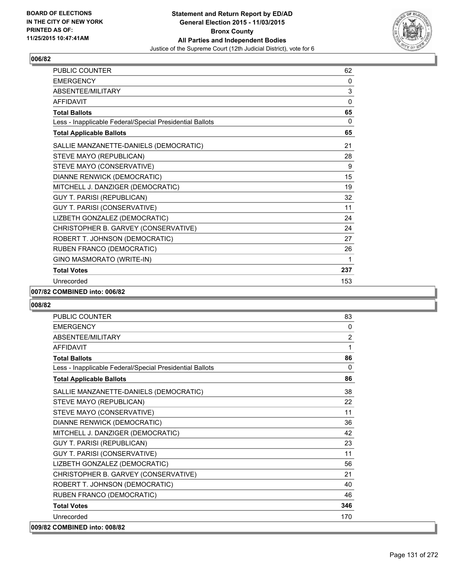

| PUBLIC COUNTER                                           | 62       |
|----------------------------------------------------------|----------|
| <b>EMERGENCY</b>                                         | 0        |
| ABSENTEE/MILITARY                                        | 3        |
| <b>AFFIDAVIT</b>                                         | $\Omega$ |
| <b>Total Ballots</b>                                     | 65       |
| Less - Inapplicable Federal/Special Presidential Ballots | 0        |
| <b>Total Applicable Ballots</b>                          | 65       |
| SALLIE MANZANETTE-DANIELS (DEMOCRATIC)                   | 21       |
| STEVE MAYO (REPUBLICAN)                                  | 28       |
| STEVE MAYO (CONSERVATIVE)                                | 9        |
| DIANNE RENWICK (DEMOCRATIC)                              | 15       |
| MITCHELL J. DANZIGER (DEMOCRATIC)                        | 19       |
| <b>GUY T. PARISI (REPUBLICAN)</b>                        | 32       |
| GUY T. PARISI (CONSERVATIVE)                             | 11       |
| LIZBETH GONZALEZ (DEMOCRATIC)                            | 24       |
| CHRISTOPHER B. GARVEY (CONSERVATIVE)                     | 24       |
| ROBERT T. JOHNSON (DEMOCRATIC)                           | 27       |
| RUBEN FRANCO (DEMOCRATIC)                                | 26       |
| GINO MASMORATO (WRITE-IN)                                | 1        |
| <b>Total Votes</b>                                       | 237      |
| Unrecorded                                               | 153      |

#### **007/82 COMBINED into: 006/82**

| <b>PUBLIC COUNTER</b>                                    | 83             |
|----------------------------------------------------------|----------------|
| <b>EMERGENCY</b>                                         | 0              |
| ABSENTEE/MILITARY                                        | $\overline{2}$ |
| <b>AFFIDAVIT</b>                                         | 1              |
| <b>Total Ballots</b>                                     | 86             |
| Less - Inapplicable Federal/Special Presidential Ballots | $\Omega$       |
| <b>Total Applicable Ballots</b>                          | 86             |
| SALLIE MANZANETTE-DANIELS (DEMOCRATIC)                   | 38             |
| STEVE MAYO (REPUBLICAN)                                  | 22             |
| STEVE MAYO (CONSERVATIVE)                                | 11             |
| DIANNE RENWICK (DEMOCRATIC)                              | 36             |
| MITCHELL J. DANZIGER (DEMOCRATIC)                        | 42             |
| <b>GUY T. PARISI (REPUBLICAN)</b>                        | 23             |
| GUY T. PARISI (CONSERVATIVE)                             | 11             |
| LIZBETH GONZALEZ (DEMOCRATIC)                            | 56             |
| CHRISTOPHER B. GARVEY (CONSERVATIVE)                     | 21             |
| ROBERT T. JOHNSON (DEMOCRATIC)                           | 40             |
| RUBEN FRANCO (DEMOCRATIC)                                | 46             |
| <b>Total Votes</b>                                       | 346            |
| Unrecorded                                               | 170            |
| 009/82 COMBINED into: 008/82                             |                |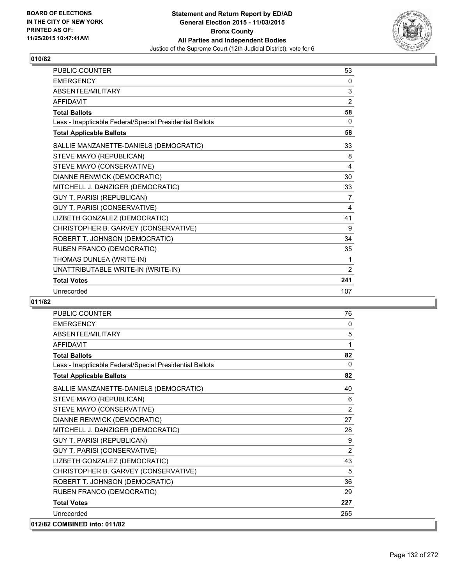

| <b>PUBLIC COUNTER</b>                                    | 53             |
|----------------------------------------------------------|----------------|
| <b>EMERGENCY</b>                                         | 0              |
| ABSENTEE/MILITARY                                        | 3              |
| <b>AFFIDAVIT</b>                                         | 2              |
| <b>Total Ballots</b>                                     | 58             |
| Less - Inapplicable Federal/Special Presidential Ballots | 0              |
| <b>Total Applicable Ballots</b>                          | 58             |
| SALLIE MANZANETTE-DANIELS (DEMOCRATIC)                   | 33             |
| STEVE MAYO (REPUBLICAN)                                  | 8              |
| STEVE MAYO (CONSERVATIVE)                                | 4              |
| DIANNE RENWICK (DEMOCRATIC)                              | 30             |
| MITCHELL J. DANZIGER (DEMOCRATIC)                        | 33             |
| <b>GUY T. PARISI (REPUBLICAN)</b>                        | 7              |
| GUY T. PARISI (CONSERVATIVE)                             | 4              |
| LIZBETH GONZALEZ (DEMOCRATIC)                            | 41             |
| CHRISTOPHER B. GARVEY (CONSERVATIVE)                     | 9              |
| ROBERT T. JOHNSON (DEMOCRATIC)                           | 34             |
| RUBEN FRANCO (DEMOCRATIC)                                | 35             |
| THOMAS DUNLEA (WRITE-IN)                                 | 1              |
| UNATTRIBUTABLE WRITE-IN (WRITE-IN)                       | $\overline{2}$ |
| <b>Total Votes</b>                                       | 241            |
| Unrecorded                                               | 107            |

| <b>PUBLIC COUNTER</b>                                    | 76             |
|----------------------------------------------------------|----------------|
| <b>EMERGENCY</b>                                         | 0              |
| ABSENTEE/MILITARY                                        | 5              |
| <b>AFFIDAVIT</b>                                         | 1              |
| <b>Total Ballots</b>                                     | 82             |
| Less - Inapplicable Federal/Special Presidential Ballots | $\Omega$       |
| <b>Total Applicable Ballots</b>                          | 82             |
| SALLIE MANZANETTE-DANIELS (DEMOCRATIC)                   | 40             |
| STEVE MAYO (REPUBLICAN)                                  | 6              |
| STEVE MAYO (CONSERVATIVE)                                | $\overline{2}$ |
| <b>DIANNE RENWICK (DEMOCRATIC)</b>                       | 27             |
| MITCHELL J. DANZIGER (DEMOCRATIC)                        | 28             |
| <b>GUY T. PARISI (REPUBLICAN)</b>                        | 9              |
| GUY T. PARISI (CONSERVATIVE)                             | 2              |
| LIZBETH GONZALEZ (DEMOCRATIC)                            | 43             |
| CHRISTOPHER B. GARVEY (CONSERVATIVE)                     | 5              |
| ROBERT T. JOHNSON (DEMOCRATIC)                           | 36             |
| RUBEN FRANCO (DEMOCRATIC)                                | 29             |
| <b>Total Votes</b>                                       | 227            |
| Unrecorded                                               | 265            |
| 012/82 COMBINED into: 011/82                             |                |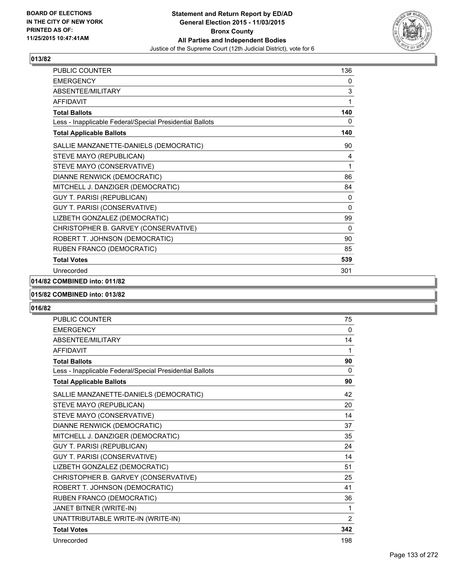

| <b>PUBLIC COUNTER</b>                                    | 136          |
|----------------------------------------------------------|--------------|
| <b>EMERGENCY</b>                                         | 0            |
| <b>ABSENTEE/MILITARY</b>                                 | 3            |
| <b>AFFIDAVIT</b>                                         | 1            |
| <b>Total Ballots</b>                                     | 140          |
| Less - Inapplicable Federal/Special Presidential Ballots | 0            |
| <b>Total Applicable Ballots</b>                          | 140          |
| SALLIE MANZANETTE-DANIELS (DEMOCRATIC)                   | 90           |
| STEVE MAYO (REPUBLICAN)                                  | 4            |
| STEVE MAYO (CONSERVATIVE)                                | 1            |
| DIANNE RENWICK (DEMOCRATIC)                              | 86           |
| MITCHELL J. DANZIGER (DEMOCRATIC)                        | 84           |
| <b>GUY T. PARISI (REPUBLICAN)</b>                        | 0            |
| GUY T. PARISI (CONSERVATIVE)                             | $\mathbf{0}$ |
| LIZBETH GONZALEZ (DEMOCRATIC)                            | 99           |
| CHRISTOPHER B. GARVEY (CONSERVATIVE)                     | $\mathbf{0}$ |
| ROBERT T. JOHNSON (DEMOCRATIC)                           | 90           |
| RUBEN FRANCO (DEMOCRATIC)                                | 85           |
| <b>Total Votes</b>                                       | 539          |
| Unrecorded                                               | 301          |

# **014/82 COMBINED into: 011/82**

#### **015/82 COMBINED into: 013/82**

| <b>PUBLIC COUNTER</b>                                    | 75           |
|----------------------------------------------------------|--------------|
| <b>EMERGENCY</b>                                         | $\mathbf{0}$ |
| ABSENTEE/MILITARY                                        | 14           |
| <b>AFFIDAVIT</b>                                         | 1            |
| <b>Total Ballots</b>                                     | 90           |
| Less - Inapplicable Federal/Special Presidential Ballots | 0            |
| <b>Total Applicable Ballots</b>                          | 90           |
| SALLIE MANZANETTE-DANIELS (DEMOCRATIC)                   | 42           |
| STEVE MAYO (REPUBLICAN)                                  | 20           |
| STEVE MAYO (CONSERVATIVE)                                | 14           |
| DIANNE RENWICK (DEMOCRATIC)                              | 37           |
| MITCHELL J. DANZIGER (DEMOCRATIC)                        | 35           |
| <b>GUY T. PARISI (REPUBLICAN)</b>                        | 24           |
| GUY T. PARISI (CONSERVATIVE)                             | 14           |
| LIZBETH GONZALEZ (DEMOCRATIC)                            | 51           |
| CHRISTOPHER B. GARVEY (CONSERVATIVE)                     | 25           |
| ROBERT T. JOHNSON (DEMOCRATIC)                           | 41           |
| RUBEN FRANCO (DEMOCRATIC)                                | 36           |
| JANET BITNER (WRITE-IN)                                  | 1            |
| UNATTRIBUTABLE WRITE-IN (WRITE-IN)                       | 2            |
| <b>Total Votes</b>                                       | 342          |
| Unrecorded                                               | 198          |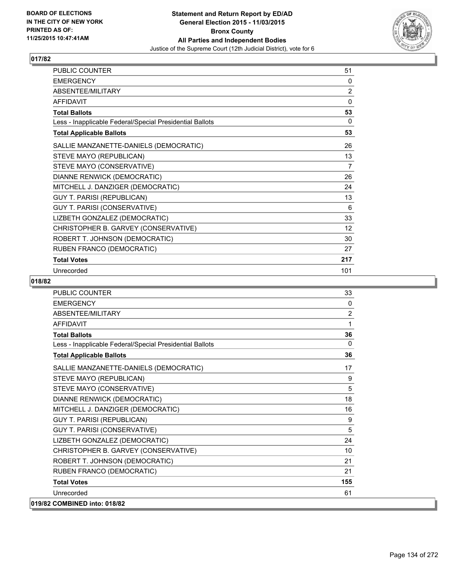

| <b>PUBLIC COUNTER</b>                                    | 51                |
|----------------------------------------------------------|-------------------|
| <b>EMERGENCY</b>                                         | 0                 |
| ABSENTEE/MILITARY                                        | 2                 |
| <b>AFFIDAVIT</b>                                         | 0                 |
| <b>Total Ballots</b>                                     | 53                |
| Less - Inapplicable Federal/Special Presidential Ballots | 0                 |
| <b>Total Applicable Ballots</b>                          | 53                |
| SALLIE MANZANETTE-DANIELS (DEMOCRATIC)                   | 26                |
| STEVE MAYO (REPUBLICAN)                                  | 13                |
| STEVE MAYO (CONSERVATIVE)                                | 7                 |
| DIANNE RENWICK (DEMOCRATIC)                              | 26                |
| MITCHELL J. DANZIGER (DEMOCRATIC)                        | 24                |
| <b>GUY T. PARISI (REPUBLICAN)</b>                        | 13                |
| GUY T. PARISI (CONSERVATIVE)                             | 6                 |
| LIZBETH GONZALEZ (DEMOCRATIC)                            | 33                |
| CHRISTOPHER B. GARVEY (CONSERVATIVE)                     | $12 \overline{ }$ |
| ROBERT T. JOHNSON (DEMOCRATIC)                           | 30                |
| RUBEN FRANCO (DEMOCRATIC)                                | 27                |
| <b>Total Votes</b>                                       | 217               |
| Unrecorded                                               | 101               |

| <b>PUBLIC COUNTER</b>                                    | 33       |
|----------------------------------------------------------|----------|
| <b>FMFRGFNCY</b>                                         | $\Omega$ |
| <b>ABSENTEE/MILITARY</b>                                 | 2        |
| <b>AFFIDAVIT</b>                                         | 1        |
| <b>Total Ballots</b>                                     | 36       |
| Less - Inapplicable Federal/Special Presidential Ballots | $\Omega$ |
| <b>Total Applicable Ballots</b>                          | 36       |
| SALLIE MANZANETTE-DANIELS (DEMOCRATIC)                   | 17       |
| STEVE MAYO (REPUBLICAN)                                  | 9        |
| STEVE MAYO (CONSERVATIVE)                                | 5        |
| DIANNE RENWICK (DEMOCRATIC)                              | 18       |
| MITCHELL J. DANZIGER (DEMOCRATIC)                        | 16       |
| <b>GUY T. PARISI (REPUBLICAN)</b>                        | 9        |
| GUY T. PARISI (CONSERVATIVE)                             | 5        |
| LIZBETH GONZALEZ (DEMOCRATIC)                            | 24       |
| CHRISTOPHER B. GARVEY (CONSERVATIVE)                     | 10       |
| ROBERT T. JOHNSON (DEMOCRATIC)                           | 21       |
| RUBEN FRANCO (DEMOCRATIC)                                | 21       |
| <b>Total Votes</b>                                       | 155      |
| Unrecorded                                               | 61       |
| 019/82 COMBINED into: 018/82                             |          |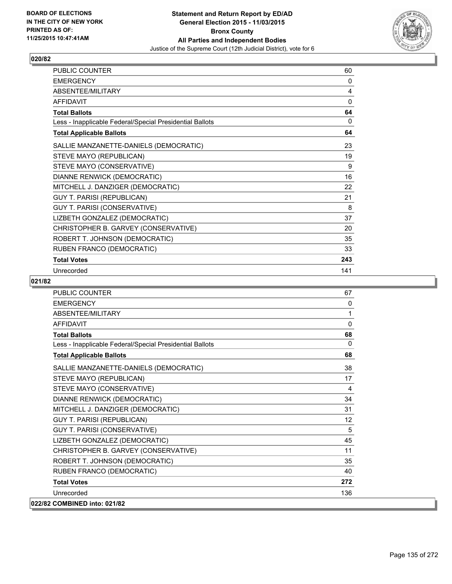

| <b>PUBLIC COUNTER</b>                                    | 60  |
|----------------------------------------------------------|-----|
| <b>EMERGENCY</b>                                         | 0   |
| ABSENTEE/MILITARY                                        | 4   |
| <b>AFFIDAVIT</b>                                         | 0   |
| <b>Total Ballots</b>                                     | 64  |
| Less - Inapplicable Federal/Special Presidential Ballots | 0   |
| <b>Total Applicable Ballots</b>                          | 64  |
| SALLIE MANZANETTE-DANIELS (DEMOCRATIC)                   | 23  |
| STEVE MAYO (REPUBLICAN)                                  | 19  |
| STEVE MAYO (CONSERVATIVE)                                | 9   |
| DIANNE RENWICK (DEMOCRATIC)                              | 16  |
| MITCHELL J. DANZIGER (DEMOCRATIC)                        | 22  |
| <b>GUY T. PARISI (REPUBLICAN)</b>                        | 21  |
| <b>GUY T. PARISI (CONSERVATIVE)</b>                      | 8   |
| LIZBETH GONZALEZ (DEMOCRATIC)                            | 37  |
| CHRISTOPHER B. GARVEY (CONSERVATIVE)                     | 20  |
| ROBERT T. JOHNSON (DEMOCRATIC)                           | 35  |
| RUBEN FRANCO (DEMOCRATIC)                                | 33  |
| <b>Total Votes</b>                                       | 243 |
| Unrecorded                                               | 141 |

| <b>PUBLIC COUNTER</b>                                    | 67       |
|----------------------------------------------------------|----------|
| <b>EMERGENCY</b>                                         | $\Omega$ |
| ABSENTEE/MILITARY                                        | 1        |
| <b>AFFIDAVIT</b>                                         | $\Omega$ |
| <b>Total Ballots</b>                                     | 68       |
| Less - Inapplicable Federal/Special Presidential Ballots | $\Omega$ |
| <b>Total Applicable Ballots</b>                          | 68       |
| SALLIE MANZANETTE-DANIELS (DEMOCRATIC)                   | 38       |
| STEVE MAYO (REPUBLICAN)                                  | 17       |
| STEVE MAYO (CONSERVATIVE)                                | 4        |
| <b>DIANNE RENWICK (DEMOCRATIC)</b>                       | 34       |
| MITCHELL J. DANZIGER (DEMOCRATIC)                        | 31       |
| <b>GUY T. PARISI (REPUBLICAN)</b>                        | 12       |
| GUY T. PARISI (CONSERVATIVE)                             | 5        |
| LIZBETH GONZALEZ (DEMOCRATIC)                            | 45       |
| CHRISTOPHER B. GARVEY (CONSERVATIVE)                     | 11       |
| ROBERT T. JOHNSON (DEMOCRATIC)                           | 35       |
| RUBEN FRANCO (DEMOCRATIC)                                | 40       |
| <b>Total Votes</b>                                       | 272      |
| Unrecorded                                               | 136      |
| 022/82 COMBINED into: 021/82                             |          |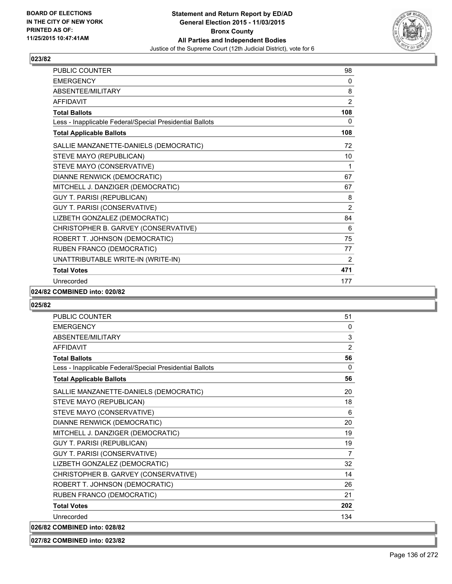

| PUBLIC COUNTER                                           | 98             |
|----------------------------------------------------------|----------------|
| <b>EMERGENCY</b>                                         | 0              |
| ABSENTEE/MILITARY                                        | 8              |
| <b>AFFIDAVIT</b>                                         | 2              |
| <b>Total Ballots</b>                                     | 108            |
| Less - Inapplicable Federal/Special Presidential Ballots | 0              |
| <b>Total Applicable Ballots</b>                          | 108            |
| SALLIE MANZANETTE-DANIELS (DEMOCRATIC)                   | 72             |
| STEVE MAYO (REPUBLICAN)                                  | 10             |
| STEVE MAYO (CONSERVATIVE)                                | 1              |
| DIANNE RENWICK (DEMOCRATIC)                              | 67             |
| MITCHELL J. DANZIGER (DEMOCRATIC)                        | 67             |
| <b>GUY T. PARISI (REPUBLICAN)</b>                        | 8              |
| GUY T. PARISI (CONSERVATIVE)                             | $\overline{2}$ |
| LIZBETH GONZALEZ (DEMOCRATIC)                            | 84             |
| CHRISTOPHER B. GARVEY (CONSERVATIVE)                     | 6              |
| ROBERT T. JOHNSON (DEMOCRATIC)                           | 75             |
| RUBEN FRANCO (DEMOCRATIC)                                | 77             |
| UNATTRIBUTABLE WRITE-IN (WRITE-IN)                       | 2              |
| <b>Total Votes</b>                                       | 471            |
| Unrecorded                                               | 177            |

#### **024/82 COMBINED into: 020/82**

## **025/82**

| <b>PUBLIC COUNTER</b>                                    | 51             |
|----------------------------------------------------------|----------------|
| <b>EMERGENCY</b>                                         | $\Omega$       |
| ABSENTEE/MILITARY                                        | 3              |
| <b>AFFIDAVIT</b>                                         | $\overline{2}$ |
| <b>Total Ballots</b>                                     | 56             |
| Less - Inapplicable Federal/Special Presidential Ballots | $\Omega$       |
| <b>Total Applicable Ballots</b>                          | 56             |
| SALLIE MANZANETTE-DANIELS (DEMOCRATIC)                   | 20             |
| STEVE MAYO (REPUBLICAN)                                  | 18             |
| STEVE MAYO (CONSERVATIVE)                                | 6              |
| DIANNE RENWICK (DEMOCRATIC)                              | 20             |
| MITCHELL J. DANZIGER (DEMOCRATIC)                        | 19             |
| <b>GUY T. PARISI (REPUBLICAN)</b>                        | 19             |
| GUY T. PARISI (CONSERVATIVE)                             | 7              |
| LIZBETH GONZALEZ (DEMOCRATIC)                            | 32             |
| CHRISTOPHER B. GARVEY (CONSERVATIVE)                     | 14             |
| ROBERT T. JOHNSON (DEMOCRATIC)                           | 26             |
| RUBEN FRANCO (DEMOCRATIC)                                | 21             |
| <b>Total Votes</b>                                       | 202            |
| Unrecorded                                               | 134            |
| 026/82 COMBINED into: 028/82                             |                |

#### **027/82 COMBINED into: 023/82**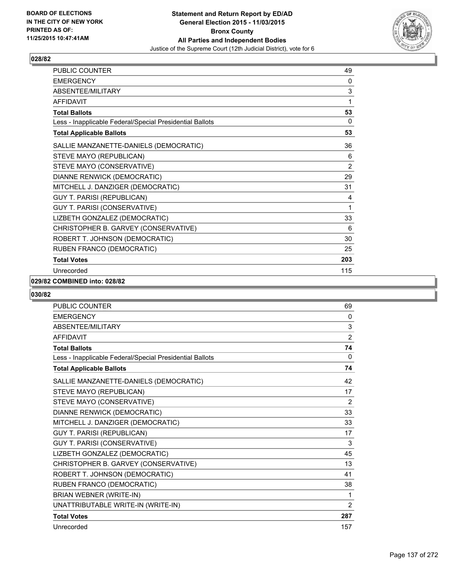

| PUBLIC COUNTER                                           | 49             |
|----------------------------------------------------------|----------------|
| <b>EMERGENCY</b>                                         | 0              |
| ABSENTEE/MILITARY                                        | 3              |
| <b>AFFIDAVIT</b>                                         | 1              |
| <b>Total Ballots</b>                                     | 53             |
| Less - Inapplicable Federal/Special Presidential Ballots | 0              |
| <b>Total Applicable Ballots</b>                          | 53             |
| SALLIE MANZANETTE-DANIELS (DEMOCRATIC)                   | 36             |
| STEVE MAYO (REPUBLICAN)                                  | 6              |
| STEVE MAYO (CONSERVATIVE)                                | $\overline{2}$ |
| DIANNE RENWICK (DEMOCRATIC)                              | 29             |
| MITCHELL J. DANZIGER (DEMOCRATIC)                        | 31             |
| <b>GUY T. PARISI (REPUBLICAN)</b>                        | 4              |
| GUY T. PARISI (CONSERVATIVE)                             | 1              |
| LIZBETH GONZALEZ (DEMOCRATIC)                            | 33             |
| CHRISTOPHER B. GARVEY (CONSERVATIVE)                     | 6              |
| ROBERT T. JOHNSON (DEMOCRATIC)                           | 30             |
| RUBEN FRANCO (DEMOCRATIC)                                | 25             |
| <b>Total Votes</b>                                       | 203            |
| Unrecorded                                               | 115            |

## **029/82 COMBINED into: 028/82**

| <b>PUBLIC COUNTER</b>                                    | 69             |
|----------------------------------------------------------|----------------|
| <b>EMERGENCY</b>                                         | $\mathbf{0}$   |
| ABSENTEE/MILITARY                                        | 3              |
| <b>AFFIDAVIT</b>                                         | $\overline{2}$ |
| <b>Total Ballots</b>                                     | 74             |
| Less - Inapplicable Federal/Special Presidential Ballots | 0              |
| <b>Total Applicable Ballots</b>                          | 74             |
| SALLIE MANZANETTE-DANIELS (DEMOCRATIC)                   | 42             |
| STEVE MAYO (REPUBLICAN)                                  | 17             |
| STEVE MAYO (CONSERVATIVE)                                | $\overline{2}$ |
| DIANNE RENWICK (DEMOCRATIC)                              | 33             |
| MITCHELL J. DANZIGER (DEMOCRATIC)                        | 33             |
| <b>GUY T. PARISI (REPUBLICAN)</b>                        | 17             |
| <b>GUY T. PARISI (CONSERVATIVE)</b>                      | 3              |
| LIZBETH GONZALEZ (DEMOCRATIC)                            | 45             |
| CHRISTOPHER B. GARVEY (CONSERVATIVE)                     | 13             |
| ROBERT T. JOHNSON (DEMOCRATIC)                           | 41             |
| RUBEN FRANCO (DEMOCRATIC)                                | 38             |
| BRIAN WEBNER (WRITE-IN)                                  | 1              |
| UNATTRIBUTABLE WRITE-IN (WRITE-IN)                       | $\overline{2}$ |
| <b>Total Votes</b>                                       | 287            |
| Unrecorded                                               | 157            |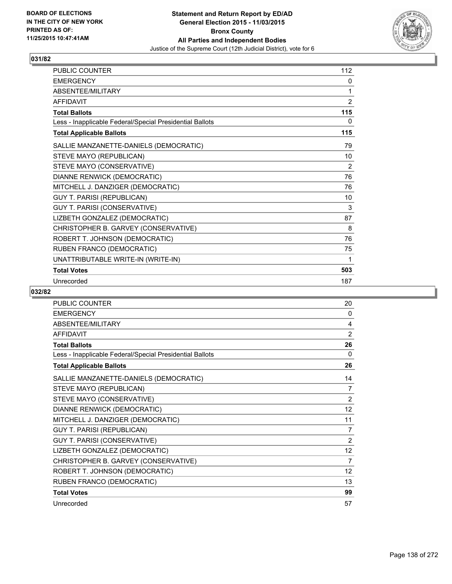

| <b>PUBLIC COUNTER</b>                                    | 112            |
|----------------------------------------------------------|----------------|
| <b>EMERGENCY</b>                                         | 0              |
| ABSENTEE/MILITARY                                        | 1              |
| <b>AFFIDAVIT</b>                                         | $\overline{2}$ |
| <b>Total Ballots</b>                                     | 115            |
| Less - Inapplicable Federal/Special Presidential Ballots | 0              |
| <b>Total Applicable Ballots</b>                          | 115            |
| SALLIE MANZANETTE-DANIELS (DEMOCRATIC)                   | 79             |
| STEVE MAYO (REPUBLICAN)                                  | 10             |
| STEVE MAYO (CONSERVATIVE)                                | 2              |
| DIANNE RENWICK (DEMOCRATIC)                              | 76             |
| MITCHELL J. DANZIGER (DEMOCRATIC)                        | 76             |
| <b>GUY T. PARISI (REPUBLICAN)</b>                        | 10             |
| GUY T. PARISI (CONSERVATIVE)                             | 3              |
| LIZBETH GONZALEZ (DEMOCRATIC)                            | 87             |
| CHRISTOPHER B. GARVEY (CONSERVATIVE)                     | 8              |
| ROBERT T. JOHNSON (DEMOCRATIC)                           | 76             |
| RUBEN FRANCO (DEMOCRATIC)                                | 75             |
| UNATTRIBUTABLE WRITE-IN (WRITE-IN)                       | 1              |
| <b>Total Votes</b>                                       | 503            |
| Unrecorded                                               | 187            |

| PUBLIC COUNTER                                           | 20              |
|----------------------------------------------------------|-----------------|
| <b>EMERGENCY</b>                                         | 0               |
| ABSENTEE/MILITARY                                        | 4               |
| <b>AFFIDAVIT</b>                                         | $\overline{2}$  |
| <b>Total Ballots</b>                                     | 26              |
| Less - Inapplicable Federal/Special Presidential Ballots | 0               |
| <b>Total Applicable Ballots</b>                          | 26              |
| SALLIE MANZANETTE-DANIELS (DEMOCRATIC)                   | 14              |
| STEVE MAYO (REPUBLICAN)                                  | 7               |
| STEVE MAYO (CONSERVATIVE)                                | 2               |
| DIANNE RENWICK (DEMOCRATIC)                              | 12              |
| MITCHELL J. DANZIGER (DEMOCRATIC)                        | 11              |
| <b>GUY T. PARISI (REPUBLICAN)</b>                        | 7               |
| GUY T. PARISI (CONSERVATIVE)                             | $\overline{2}$  |
| LIZBETH GONZALEZ (DEMOCRATIC)                            | 12              |
| CHRISTOPHER B. GARVEY (CONSERVATIVE)                     | $\overline{7}$  |
| ROBERT T. JOHNSON (DEMOCRATIC)                           | 12 <sup>°</sup> |
| RUBEN FRANCO (DEMOCRATIC)                                | 13              |
| <b>Total Votes</b>                                       | 99              |
| Unrecorded                                               | 57              |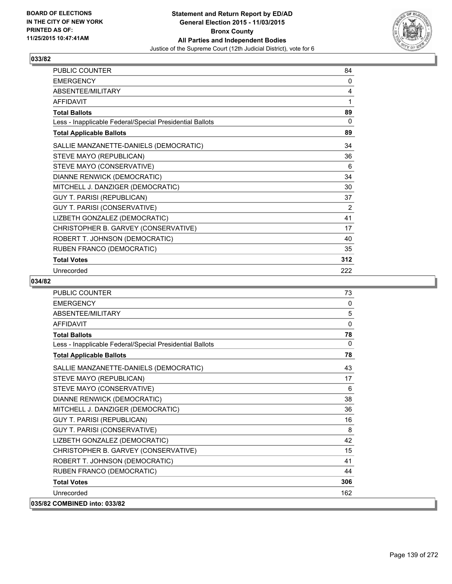

| <b>PUBLIC COUNTER</b>                                    | 84  |
|----------------------------------------------------------|-----|
| <b>EMERGENCY</b>                                         | 0   |
| ABSENTEE/MILITARY                                        | 4   |
| <b>AFFIDAVIT</b>                                         | 1   |
| <b>Total Ballots</b>                                     | 89  |
| Less - Inapplicable Federal/Special Presidential Ballots | 0   |
| <b>Total Applicable Ballots</b>                          | 89  |
| SALLIE MANZANETTE-DANIELS (DEMOCRATIC)                   | 34  |
| STEVE MAYO (REPUBLICAN)                                  | 36  |
| STEVE MAYO (CONSERVATIVE)                                | 6   |
| DIANNE RENWICK (DEMOCRATIC)                              | 34  |
| MITCHELL J. DANZIGER (DEMOCRATIC)                        | 30  |
| <b>GUY T. PARISI (REPUBLICAN)</b>                        | 37  |
| GUY T. PARISI (CONSERVATIVE)                             | 2   |
| LIZBETH GONZALEZ (DEMOCRATIC)                            | 41  |
| CHRISTOPHER B. GARVEY (CONSERVATIVE)                     | 17  |
| ROBERT T. JOHNSON (DEMOCRATIC)                           | 40  |
| RUBEN FRANCO (DEMOCRATIC)                                | 35  |
| <b>Total Votes</b>                                       | 312 |
| Unrecorded                                               | 222 |

| <b>PUBLIC COUNTER</b>                                    | 73  |
|----------------------------------------------------------|-----|
| <b>EMERGENCY</b>                                         | 0   |
| ABSENTEE/MILITARY                                        | 5   |
| <b>AFFIDAVIT</b>                                         | 0   |
| <b>Total Ballots</b>                                     | 78  |
| Less - Inapplicable Federal/Special Presidential Ballots | 0   |
| <b>Total Applicable Ballots</b>                          | 78  |
| SALLIE MANZANETTE-DANIELS (DEMOCRATIC)                   | 43  |
| STEVE MAYO (REPUBLICAN)                                  | 17  |
| STEVE MAYO (CONSERVATIVE)                                | 6   |
| DIANNE RENWICK (DEMOCRATIC)                              | 38  |
| MITCHELL J. DANZIGER (DEMOCRATIC)                        | 36  |
| <b>GUY T. PARISI (REPUBLICAN)</b>                        | 16  |
| GUY T. PARISI (CONSERVATIVE)                             | 8   |
| LIZBETH GONZALEZ (DEMOCRATIC)                            | 42  |
| CHRISTOPHER B. GARVEY (CONSERVATIVE)                     | 15  |
| ROBERT T. JOHNSON (DEMOCRATIC)                           | 41  |
| RUBEN FRANCO (DEMOCRATIC)                                | 44  |
| <b>Total Votes</b>                                       | 306 |
| Unrecorded                                               | 162 |
| 035/82 COMBINED into: 033/82                             |     |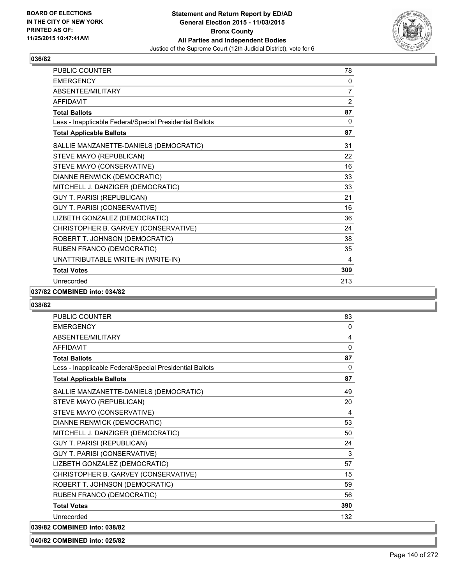

| PUBLIC COUNTER                                           | 78             |
|----------------------------------------------------------|----------------|
| <b>EMERGENCY</b>                                         | 0              |
| ABSENTEE/MILITARY                                        | 7              |
| <b>AFFIDAVIT</b>                                         | $\overline{2}$ |
| <b>Total Ballots</b>                                     | 87             |
| Less - Inapplicable Federal/Special Presidential Ballots | 0              |
| <b>Total Applicable Ballots</b>                          | 87             |
| SALLIE MANZANETTE-DANIELS (DEMOCRATIC)                   | 31             |
| STEVE MAYO (REPUBLICAN)                                  | 22             |
| STEVE MAYO (CONSERVATIVE)                                | 16             |
| DIANNE RENWICK (DEMOCRATIC)                              | 33             |
| MITCHELL J. DANZIGER (DEMOCRATIC)                        | 33             |
| <b>GUY T. PARISI (REPUBLICAN)</b>                        | 21             |
| GUY T. PARISI (CONSERVATIVE)                             | 16             |
| LIZBETH GONZALEZ (DEMOCRATIC)                            | 36             |
| CHRISTOPHER B. GARVEY (CONSERVATIVE)                     | 24             |
| ROBERT T. JOHNSON (DEMOCRATIC)                           | 38             |
| RUBEN FRANCO (DEMOCRATIC)                                | 35             |
| UNATTRIBUTABLE WRITE-IN (WRITE-IN)                       | 4              |
| <b>Total Votes</b>                                       | 309            |
| Unrecorded                                               | 213            |

#### **037/82 COMBINED into: 034/82**

#### **038/82**

| <b>PUBLIC COUNTER</b>                                    | 83       |
|----------------------------------------------------------|----------|
| <b>EMERGENCY</b>                                         | 0        |
| ABSENTEE/MILITARY                                        | 4        |
| <b>AFFIDAVIT</b>                                         | $\Omega$ |
| <b>Total Ballots</b>                                     | 87       |
| Less - Inapplicable Federal/Special Presidential Ballots | $\Omega$ |
| <b>Total Applicable Ballots</b>                          | 87       |
| SALLIE MANZANETTE-DANIELS (DEMOCRATIC)                   | 49       |
| STEVE MAYO (REPUBLICAN)                                  | 20       |
| STEVE MAYO (CONSERVATIVE)                                | 4        |
| DIANNE RENWICK (DEMOCRATIC)                              | 53       |
| MITCHELL J. DANZIGER (DEMOCRATIC)                        | 50       |
| <b>GUY T. PARISI (REPUBLICAN)</b>                        | 24       |
| GUY T. PARISI (CONSERVATIVE)                             | 3        |
| LIZBETH GONZALEZ (DEMOCRATIC)                            | 57       |
| CHRISTOPHER B. GARVEY (CONSERVATIVE)                     | 15       |
| ROBERT T. JOHNSON (DEMOCRATIC)                           | 59       |
| RUBEN FRANCO (DEMOCRATIC)                                | 56       |
| <b>Total Votes</b>                                       | 390      |
| Unrecorded                                               | 132      |
| 039/82 COMBINED into: 038/82                             |          |

#### **040/82 COMBINED into: 025/82**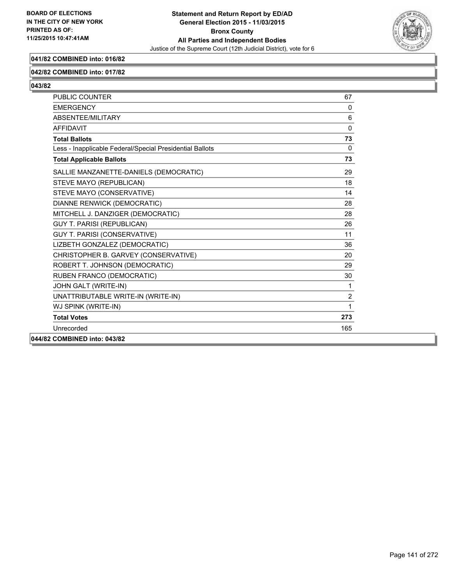

# **041/82 COMBINED into: 016/82**

#### **042/82 COMBINED into: 017/82**

| <b>PUBLIC COUNTER</b>                                    | 67       |
|----------------------------------------------------------|----------|
| <b>EMERGENCY</b>                                         | 0        |
| ABSENTEE/MILITARY                                        | 6        |
| <b>AFFIDAVIT</b>                                         | $\Omega$ |
| <b>Total Ballots</b>                                     | 73       |
| Less - Inapplicable Federal/Special Presidential Ballots | $\Omega$ |
| <b>Total Applicable Ballots</b>                          | 73       |
| SALLIE MANZANETTE-DANIELS (DEMOCRATIC)                   | 29       |
| STEVE MAYO (REPUBLICAN)                                  | 18       |
| STEVE MAYO (CONSERVATIVE)                                | 14       |
| DIANNE RENWICK (DEMOCRATIC)                              | 28       |
| MITCHELL J. DANZIGER (DEMOCRATIC)                        | 28       |
| <b>GUY T. PARISI (REPUBLICAN)</b>                        | 26       |
| <b>GUY T. PARISI (CONSERVATIVE)</b>                      | 11       |
| LIZBETH GONZALEZ (DEMOCRATIC)                            | 36       |
| CHRISTOPHER B. GARVEY (CONSERVATIVE)                     | 20       |
| ROBERT T. JOHNSON (DEMOCRATIC)                           | 29       |
| RUBEN FRANCO (DEMOCRATIC)                                | 30       |
| JOHN GALT (WRITE-IN)                                     | 1        |
| UNATTRIBUTABLE WRITE-IN (WRITE-IN)                       | 2        |
| WJ SPINK (WRITE-IN)                                      | 1        |
| <b>Total Votes</b>                                       | 273      |
| Unrecorded                                               | 165      |
| 044/82 COMBINED into: 043/82                             |          |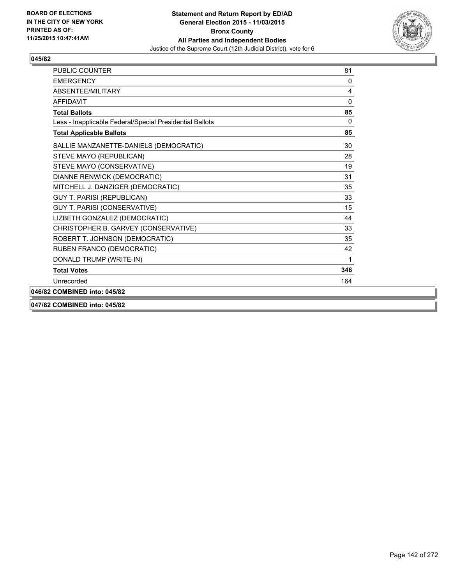

| <b>PUBLIC COUNTER</b>                                    | 81           |
|----------------------------------------------------------|--------------|
| <b>EMERGENCY</b>                                         | 0            |
| ABSENTEE/MILITARY                                        | 4            |
| <b>AFFIDAVIT</b>                                         | $\Omega$     |
| <b>Total Ballots</b>                                     | 85           |
| Less - Inapplicable Federal/Special Presidential Ballots | $\mathbf{0}$ |
| <b>Total Applicable Ballots</b>                          | 85           |
| SALLIE MANZANETTE-DANIELS (DEMOCRATIC)                   | 30           |
| STEVE MAYO (REPUBLICAN)                                  | 28           |
| STEVE MAYO (CONSERVATIVE)                                | 19           |
| DIANNE RENWICK (DEMOCRATIC)                              | 31           |
| MITCHELL J. DANZIGER (DEMOCRATIC)                        | 35           |
| GUY T. PARISI (REPUBLICAN)                               | 33           |
| GUY T. PARISI (CONSERVATIVE)                             | 15           |
| LIZBETH GONZALEZ (DEMOCRATIC)                            | 44           |
| CHRISTOPHER B. GARVEY (CONSERVATIVE)                     | 33           |
| ROBERT T. JOHNSON (DEMOCRATIC)                           | 35           |
| RUBEN FRANCO (DEMOCRATIC)                                | 42           |
| DONALD TRUMP (WRITE-IN)                                  | 1            |
| <b>Total Votes</b>                                       | 346          |
| Unrecorded                                               | 164          |
| 046/82 COMBINED into: 045/82                             |              |
| 047/82 COMBINED into: 045/82                             |              |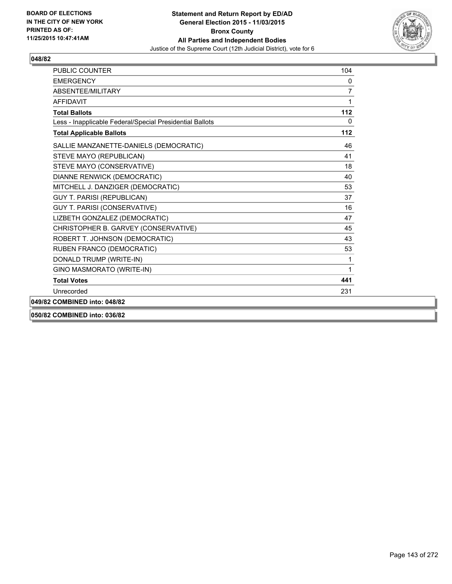

| PUBLIC COUNTER                                           | 104 |
|----------------------------------------------------------|-----|
| <b>FMFRGFNCY</b>                                         | 0   |
| ABSENTEE/MILITARY                                        | 7   |
| <b>AFFIDAVIT</b>                                         | 1   |
| <b>Total Ballots</b>                                     | 112 |
| Less - Inapplicable Federal/Special Presidential Ballots | 0   |
| <b>Total Applicable Ballots</b>                          | 112 |
| SALLIE MANZANETTE-DANIELS (DEMOCRATIC)                   | 46  |
| STEVE MAYO (REPUBLICAN)                                  | 41  |
| STEVE MAYO (CONSERVATIVE)                                | 18  |
| DIANNE RENWICK (DEMOCRATIC)                              | 40  |
| MITCHELL J. DANZIGER (DEMOCRATIC)                        | 53  |
| <b>GUY T. PARISI (REPUBLICAN)</b>                        | 37  |
| <b>GUY T. PARISI (CONSERVATIVE)</b>                      | 16  |
| LIZBETH GONZALEZ (DEMOCRATIC)                            | 47  |
| CHRISTOPHER B. GARVEY (CONSERVATIVE)                     | 45  |
| ROBERT T. JOHNSON (DEMOCRATIC)                           | 43  |
| RUBEN FRANCO (DEMOCRATIC)                                | 53  |
| DONALD TRUMP (WRITE-IN)                                  | 1   |
| GINO MASMORATO (WRITE-IN)                                | 1   |
| <b>Total Votes</b>                                       | 441 |
| Unrecorded                                               | 231 |
| 049/82 COMBINED into: 048/82                             |     |
| 050/82 COMBINED into: 036/82                             |     |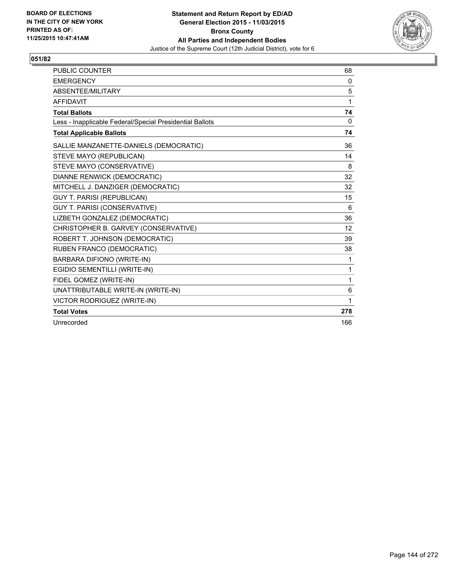

| <b>PUBLIC COUNTER</b>                                    | 68           |
|----------------------------------------------------------|--------------|
| <b>EMERGENCY</b>                                         | 0            |
| ABSENTEE/MILITARY                                        | 5            |
| <b>AFFIDAVIT</b>                                         | 1            |
| <b>Total Ballots</b>                                     | 74           |
| Less - Inapplicable Federal/Special Presidential Ballots | $\mathbf{0}$ |
| <b>Total Applicable Ballots</b>                          | 74           |
| SALLIE MANZANETTE-DANIELS (DEMOCRATIC)                   | 36           |
| STEVE MAYO (REPUBLICAN)                                  | 14           |
| STEVE MAYO (CONSERVATIVE)                                | 8            |
| <b>DIANNE RENWICK (DEMOCRATIC)</b>                       | 32           |
| MITCHELL J. DANZIGER (DEMOCRATIC)                        | 32           |
| <b>GUY T. PARISI (REPUBLICAN)</b>                        | 15           |
| <b>GUY T. PARISI (CONSERVATIVE)</b>                      | 6            |
| LIZBETH GONZALEZ (DEMOCRATIC)                            | 36           |
| CHRISTOPHER B. GARVEY (CONSERVATIVE)                     | 12           |
| ROBERT T. JOHNSON (DEMOCRATIC)                           | 39           |
| RUBEN FRANCO (DEMOCRATIC)                                | 38           |
| BARBARA DIFIONO (WRITE-IN)                               | 1            |
| EGIDIO SEMENTILLI (WRITE-IN)                             | 1            |
| FIDEL GOMEZ (WRITE-IN)                                   | 1            |
| UNATTRIBUTABLE WRITE-IN (WRITE-IN)                       | 6            |
| VICTOR RODRIGUEZ (WRITE-IN)                              | 1            |
| <b>Total Votes</b>                                       | 278          |
| Unrecorded                                               | 166          |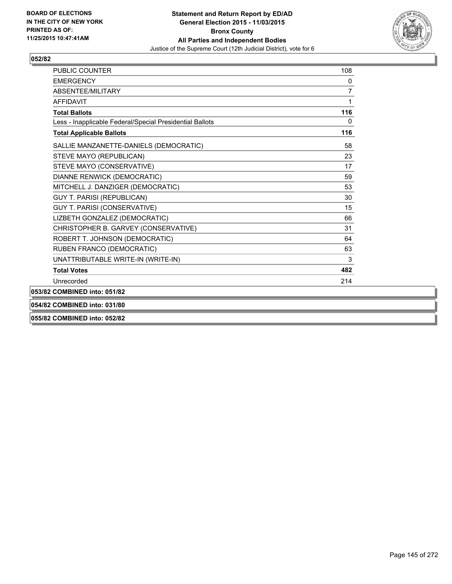

| <b>PUBLIC COUNTER</b>                                    | 108 |
|----------------------------------------------------------|-----|
| <b>FMFRGFNCY</b>                                         | 0   |
| <b>ABSENTEE/MILITARY</b>                                 | 7   |
| <b>AFFIDAVIT</b>                                         |     |
| <b>Total Ballots</b>                                     | 116 |
| Less - Inapplicable Federal/Special Presidential Ballots | 0   |
| <b>Total Applicable Ballots</b>                          | 116 |
| SALLIE MANZANETTE-DANIELS (DEMOCRATIC)                   | 58  |
| STEVE MAYO (REPUBLICAN)                                  | 23  |
| STEVE MAYO (CONSERVATIVE)                                | 17  |
| DIANNE RENWICK (DEMOCRATIC)                              | 59  |
| MITCHELL J. DANZIGER (DEMOCRATIC)                        | 53  |
| <b>GUY T. PARISI (REPUBLICAN)</b>                        | 30  |
| GUY T. PARISI (CONSERVATIVE)                             | 15  |
| LIZBETH GONZALEZ (DEMOCRATIC)                            | 66  |
| CHRISTOPHER B. GARVEY (CONSERVATIVE)                     | 31  |
| ROBERT T. JOHNSON (DEMOCRATIC)                           | 64  |
| RUBEN FRANCO (DEMOCRATIC)                                | 63  |
| UNATTRIBUTABLE WRITE-IN (WRITE-IN)                       | 3   |
| <b>Total Votes</b>                                       | 482 |
| Unrecorded                                               | 214 |
| 053/82 COMBINED into: 051/82                             |     |
| 054/82 COMBINED into: 031/80                             |     |
|                                                          |     |

**055/82 COMBINED into: 052/82**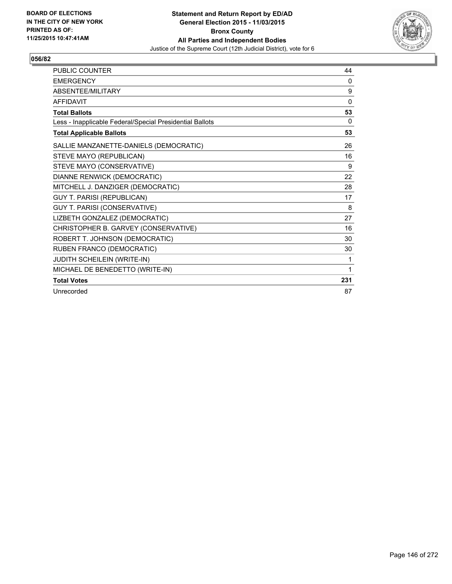

| PUBLIC COUNTER                                           | 44  |
|----------------------------------------------------------|-----|
| <b>EMERGENCY</b>                                         | 0   |
| ABSENTEE/MILITARY                                        | 9   |
| <b>AFFIDAVIT</b>                                         | 0   |
| <b>Total Ballots</b>                                     | 53  |
| Less - Inapplicable Federal/Special Presidential Ballots | 0   |
| <b>Total Applicable Ballots</b>                          | 53  |
| SALLIE MANZANETTE-DANIELS (DEMOCRATIC)                   | 26  |
| STEVE MAYO (REPUBLICAN)                                  | 16  |
| STEVE MAYO (CONSERVATIVE)                                | 9   |
| DIANNE RENWICK (DEMOCRATIC)                              | 22  |
| MITCHELL J. DANZIGER (DEMOCRATIC)                        | 28  |
| <b>GUY T. PARISI (REPUBLICAN)</b>                        | 17  |
| <b>GUY T. PARISI (CONSERVATIVE)</b>                      | 8   |
| LIZBETH GONZALEZ (DEMOCRATIC)                            | 27  |
| CHRISTOPHER B. GARVEY (CONSERVATIVE)                     | 16  |
| ROBERT T. JOHNSON (DEMOCRATIC)                           | 30  |
| RUBEN FRANCO (DEMOCRATIC)                                | 30  |
| JUDITH SCHEILEIN (WRITE-IN)                              | 1   |
| MICHAEL DE BENEDETTO (WRITE-IN)                          | 1   |
| <b>Total Votes</b>                                       | 231 |
| Unrecorded                                               | 87  |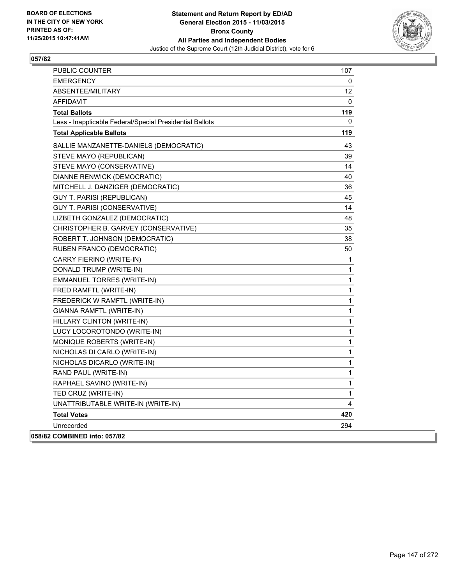

| <b>PUBLIC COUNTER</b>                                    | 107          |
|----------------------------------------------------------|--------------|
| <b>EMERGENCY</b>                                         | 0            |
| ABSENTEE/MILITARY                                        | 12           |
| AFFIDAVIT                                                | 0            |
| Total Ballots                                            | 119          |
| Less - Inapplicable Federal/Special Presidential Ballots | 0            |
| <b>Total Applicable Ballots</b>                          | 119          |
| SALLIE MANZANETTE-DANIELS (DEMOCRATIC)                   | 43           |
| STEVE MAYO (REPUBLICAN)                                  | 39           |
| STEVE MAYO (CONSERVATIVE)                                | 14           |
| DIANNE RENWICK (DEMOCRATIC)                              | 40           |
| MITCHELL J. DANZIGER (DEMOCRATIC)                        | 36           |
| GUY T. PARISI (REPUBLICAN)                               | 45           |
| GUY T. PARISI (CONSERVATIVE)                             | 14           |
| LIZBETH GONZALEZ (DEMOCRATIC)                            | 48           |
| CHRISTOPHER B. GARVEY (CONSERVATIVE)                     | 35           |
| ROBERT T. JOHNSON (DEMOCRATIC)                           | 38           |
| RUBEN FRANCO (DEMOCRATIC)                                | 50           |
| CARRY FIERINO (WRITE-IN)                                 | 1            |
| DONALD TRUMP (WRITE-IN)                                  | 1            |
| EMMANUEL TORRES (WRITE-IN)                               | 1            |
| FRED RAMFTL (WRITE-IN)                                   | 1            |
| FREDERICK W RAMFTL (WRITE-IN)                            | $\mathbf{1}$ |
| GIANNA RAMFTL (WRITE-IN)                                 | 1            |
| HILLARY CLINTON (WRITE-IN)                               | $\mathbf 1$  |
| LUCY LOCOROTONDO (WRITE-IN)                              | $\mathbf{1}$ |
| MONIQUE ROBERTS (WRITE-IN)                               | $\mathbf{1}$ |
| NICHOLAS DI CARLO (WRITE-IN)                             | 1            |
| NICHOLAS DICARLO (WRITE-IN)                              | 1            |
| RAND PAUL (WRITE-IN)                                     | 1            |
| RAPHAEL SAVINO (WRITE-IN)                                | $\mathbf{1}$ |
| TED CRUZ (WRITE-IN)                                      | 1            |
| UNATTRIBUTABLE WRITE-IN (WRITE-IN)                       | 4            |
| <b>Total Votes</b>                                       | 420          |
| Unrecorded                                               | 294          |
| 058/82 COMBINED into: 057/82                             |              |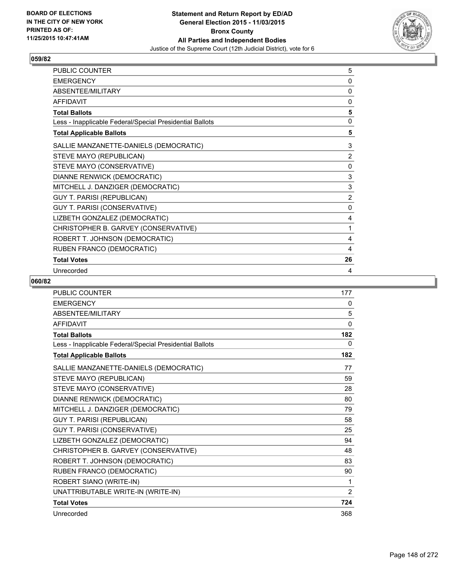

| PUBLIC COUNTER                                           | 5              |
|----------------------------------------------------------|----------------|
| <b>EMERGENCY</b>                                         | 0              |
| ABSENTEE/MILITARY                                        | 0              |
| <b>AFFIDAVIT</b>                                         | 0              |
| <b>Total Ballots</b>                                     | 5              |
| Less - Inapplicable Federal/Special Presidential Ballots | 0              |
| <b>Total Applicable Ballots</b>                          | 5              |
| SALLIE MANZANETTE-DANIELS (DEMOCRATIC)                   | 3              |
| STEVE MAYO (REPUBLICAN)                                  | $\overline{2}$ |
| STEVE MAYO (CONSERVATIVE)                                | 0              |
| DIANNE RENWICK (DEMOCRATIC)                              | 3              |
| MITCHELL J. DANZIGER (DEMOCRATIC)                        | 3              |
| <b>GUY T. PARISI (REPUBLICAN)</b>                        | $\overline{2}$ |
| <b>GUY T. PARISI (CONSERVATIVE)</b>                      | $\mathbf{0}$   |
| LIZBETH GONZALEZ (DEMOCRATIC)                            | 4              |
| CHRISTOPHER B. GARVEY (CONSERVATIVE)                     | 1              |
| ROBERT T. JOHNSON (DEMOCRATIC)                           | 4              |
| RUBEN FRANCO (DEMOCRATIC)                                | 4              |
| <b>Total Votes</b>                                       | 26             |
| Unrecorded                                               | 4              |

| <b>PUBLIC COUNTER</b>                                    | 177 |
|----------------------------------------------------------|-----|
| <b>EMERGENCY</b>                                         | 0   |
| <b>ABSENTEE/MILITARY</b>                                 | 5   |
| <b>AFFIDAVIT</b>                                         | 0   |
| <b>Total Ballots</b>                                     | 182 |
| Less - Inapplicable Federal/Special Presidential Ballots | 0   |
| <b>Total Applicable Ballots</b>                          | 182 |
| SALLIE MANZANETTE-DANIELS (DEMOCRATIC)                   | 77  |
| STEVE MAYO (REPUBLICAN)                                  | 59  |
| STEVE MAYO (CONSERVATIVE)                                | 28  |
| DIANNE RENWICK (DEMOCRATIC)                              | 80  |
| MITCHELL J. DANZIGER (DEMOCRATIC)                        | 79  |
| <b>GUY T. PARISI (REPUBLICAN)</b>                        | 58  |
| GUY T. PARISI (CONSERVATIVE)                             | 25  |
| LIZBETH GONZALEZ (DEMOCRATIC)                            | 94  |
| CHRISTOPHER B. GARVEY (CONSERVATIVE)                     | 48  |
| ROBERT T. JOHNSON (DEMOCRATIC)                           | 83  |
| RUBEN FRANCO (DEMOCRATIC)                                | 90  |
| ROBERT SIANO (WRITE-IN)                                  | 1   |
| UNATTRIBUTABLE WRITE-IN (WRITE-IN)                       | 2   |
| <b>Total Votes</b>                                       | 724 |
| Unrecorded                                               | 368 |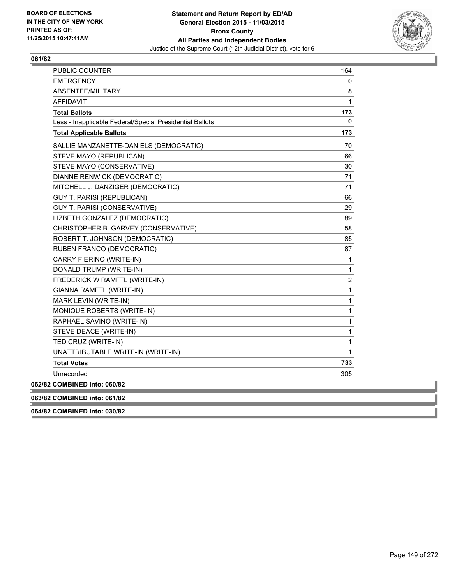

| <b>PUBLIC COUNTER</b>                                    | 164            |
|----------------------------------------------------------|----------------|
| <b>EMERGENCY</b>                                         | 0              |
| ABSENTEE/MILITARY                                        | 8              |
| <b>AFFIDAVIT</b>                                         | $\mathbf{1}$   |
| <b>Total Ballots</b>                                     | 173            |
| Less - Inapplicable Federal/Special Presidential Ballots | 0              |
| <b>Total Applicable Ballots</b>                          | 173            |
| SALLIE MANZANETTE-DANIELS (DEMOCRATIC)                   | 70             |
| STEVE MAYO (REPUBLICAN)                                  | 66             |
| STEVE MAYO (CONSERVATIVE)                                | 30             |
| DIANNE RENWICK (DEMOCRATIC)                              | 71             |
| MITCHELL J. DANZIGER (DEMOCRATIC)                        | 71             |
| <b>GUY T. PARISI (REPUBLICAN)</b>                        | 66             |
| GUY T. PARISI (CONSERVATIVE)                             | 29             |
| LIZBETH GONZALEZ (DEMOCRATIC)                            | 89             |
| CHRISTOPHER B. GARVEY (CONSERVATIVE)                     | 58             |
| ROBERT T. JOHNSON (DEMOCRATIC)                           | 85             |
| RUBEN FRANCO (DEMOCRATIC)                                | 87             |
| CARRY FIERINO (WRITE-IN)                                 | $\mathbf{1}$   |
| DONALD TRUMP (WRITE-IN)                                  | $\mathbf{1}$   |
| FREDERICK W RAMFTL (WRITE-IN)                            | $\overline{2}$ |
| GIANNA RAMFTL (WRITE-IN)                                 | $\mathbf{1}$   |
| MARK LEVIN (WRITE-IN)                                    | $\mathbf{1}$   |
| MONIQUE ROBERTS (WRITE-IN)                               | $\mathbf{1}$   |
| RAPHAEL SAVINO (WRITE-IN)                                | $\mathbf{1}$   |
| STEVE DEACE (WRITE-IN)                                   | $\mathbf{1}$   |
| TED CRUZ (WRITE-IN)                                      | $\mathbf{1}$   |
| UNATTRIBUTABLE WRITE-IN (WRITE-IN)                       | $\mathbf{1}$   |
| <b>Total Votes</b>                                       | 733            |
| Unrecorded                                               | 305            |
| 062/82 COMBINED into: 060/82                             |                |
| 063/82 COMBINED into: 061/82                             |                |

**064/82 COMBINED into: 030/82**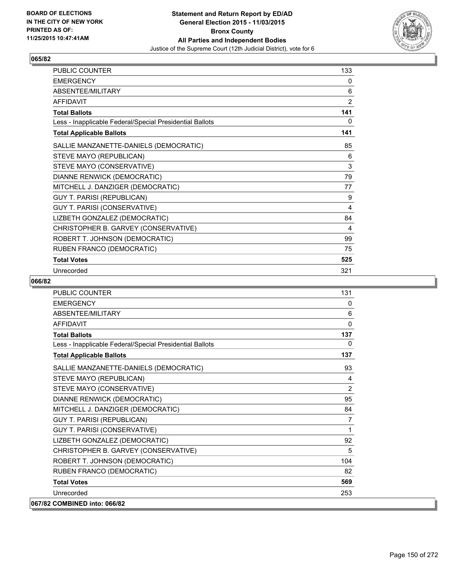

| PUBLIC COUNTER                                           | 133 |
|----------------------------------------------------------|-----|
| <b>EMERGENCY</b>                                         | 0   |
| ABSENTEE/MILITARY                                        | 6   |
| <b>AFFIDAVIT</b>                                         | 2   |
| <b>Total Ballots</b>                                     | 141 |
| Less - Inapplicable Federal/Special Presidential Ballots | 0   |
| <b>Total Applicable Ballots</b>                          | 141 |
| SALLIE MANZANETTE-DANIELS (DEMOCRATIC)                   | 85  |
| STEVE MAYO (REPUBLICAN)                                  | 6   |
| STEVE MAYO (CONSERVATIVE)                                | 3   |
| DIANNE RENWICK (DEMOCRATIC)                              | 79  |
| MITCHELL J. DANZIGER (DEMOCRATIC)                        | 77  |
| <b>GUY T. PARISI (REPUBLICAN)</b>                        | 9   |
| <b>GUY T. PARISI (CONSERVATIVE)</b>                      | 4   |
| LIZBETH GONZALEZ (DEMOCRATIC)                            | 84  |
| CHRISTOPHER B. GARVEY (CONSERVATIVE)                     | 4   |
| ROBERT T. JOHNSON (DEMOCRATIC)                           | 99  |
| RUBEN FRANCO (DEMOCRATIC)                                | 75  |
| <b>Total Votes</b>                                       | 525 |
| Unrecorded                                               | 321 |

| <b>PUBLIC COUNTER</b>                                    | 131            |
|----------------------------------------------------------|----------------|
| <b>FMFRGFNCY</b>                                         | 0              |
| <b>ABSENTEE/MILITARY</b>                                 | 6              |
| <b>AFFIDAVIT</b>                                         | $\Omega$       |
| <b>Total Ballots</b>                                     | 137            |
| Less - Inapplicable Federal/Special Presidential Ballots | $\mathbf{0}$   |
| <b>Total Applicable Ballots</b>                          | 137            |
| SALLIE MANZANETTE-DANIELS (DEMOCRATIC)                   | 93             |
| STEVE MAYO (REPUBLICAN)                                  | 4              |
| STEVE MAYO (CONSERVATIVE)                                | 2              |
| DIANNE RENWICK (DEMOCRATIC)                              | 95             |
| MITCHELL J. DANZIGER (DEMOCRATIC)                        | 84             |
| <b>GUY T. PARISI (REPUBLICAN)</b>                        | $\overline{7}$ |
| GUY T. PARISI (CONSERVATIVE)                             | 1              |
| LIZBETH GONZALEZ (DEMOCRATIC)                            | 92             |
| CHRISTOPHER B. GARVEY (CONSERVATIVE)                     | 5              |
| ROBERT T. JOHNSON (DEMOCRATIC)                           | 104            |
| RUBEN FRANCO (DEMOCRATIC)                                | 82             |
| <b>Total Votes</b>                                       | 569            |
| Unrecorded                                               | 253            |
| 067/82 COMBINED into: 066/82                             |                |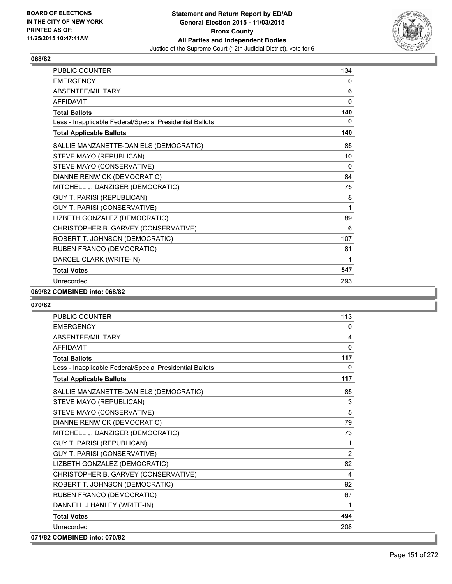

| PUBLIC COUNTER                                           | 134          |
|----------------------------------------------------------|--------------|
| <b>EMERGENCY</b>                                         | 0            |
| <b>ABSENTEE/MILITARY</b>                                 | 6            |
| <b>AFFIDAVIT</b>                                         | $\mathbf{0}$ |
| <b>Total Ballots</b>                                     | 140          |
| Less - Inapplicable Federal/Special Presidential Ballots | 0            |
| <b>Total Applicable Ballots</b>                          | 140          |
| SALLIE MANZANETTE-DANIELS (DEMOCRATIC)                   | 85           |
| STEVE MAYO (REPUBLICAN)                                  | 10           |
| STEVE MAYO (CONSERVATIVE)                                | $\mathbf{0}$ |
| DIANNE RENWICK (DEMOCRATIC)                              | 84           |
| MITCHELL J. DANZIGER (DEMOCRATIC)                        | 75           |
| GUY T. PARISI (REPUBLICAN)                               | 8            |
| GUY T. PARISI (CONSERVATIVE)                             | 1            |
| LIZBETH GONZALEZ (DEMOCRATIC)                            | 89           |
| CHRISTOPHER B. GARVEY (CONSERVATIVE)                     | 6            |
| ROBERT T. JOHNSON (DEMOCRATIC)                           | 107          |
| RUBEN FRANCO (DEMOCRATIC)                                | 81           |
| DARCEL CLARK (WRITE-IN)                                  | 1            |
| <b>Total Votes</b>                                       | 547          |
| Unrecorded                                               | 293          |

#### **069/82 COMBINED into: 068/82**

| <b>PUBLIC COUNTER</b>                                    | 113          |
|----------------------------------------------------------|--------------|
| <b>EMERGENCY</b>                                         | $\mathbf{0}$ |
| ABSENTEE/MILITARY                                        | 4            |
| <b>AFFIDAVIT</b>                                         | $\Omega$     |
| <b>Total Ballots</b>                                     | 117          |
| Less - Inapplicable Federal/Special Presidential Ballots | 0            |
| <b>Total Applicable Ballots</b>                          | 117          |
| SALLIE MANZANETTE-DANIELS (DEMOCRATIC)                   | 85           |
| STEVE MAYO (REPUBLICAN)                                  | 3            |
| STEVE MAYO (CONSERVATIVE)                                | 5            |
| DIANNE RENWICK (DEMOCRATIC)                              | 79           |
| MITCHELL J. DANZIGER (DEMOCRATIC)                        | 73           |
| <b>GUY T. PARISI (REPUBLICAN)</b>                        | $\mathbf{1}$ |
| <b>GUY T. PARISI (CONSERVATIVE)</b>                      | 2            |
| LIZBETH GONZALEZ (DEMOCRATIC)                            | 82           |
| CHRISTOPHER B. GARVEY (CONSERVATIVE)                     | 4            |
| ROBERT T. JOHNSON (DEMOCRATIC)                           | 92           |
| RUBEN FRANCO (DEMOCRATIC)                                | 67           |
| DANNELL J HANLEY (WRITE-IN)                              | 1            |
| <b>Total Votes</b>                                       | 494          |
| Unrecorded                                               | 208          |
| 071/82 COMBINED into: 070/82                             |              |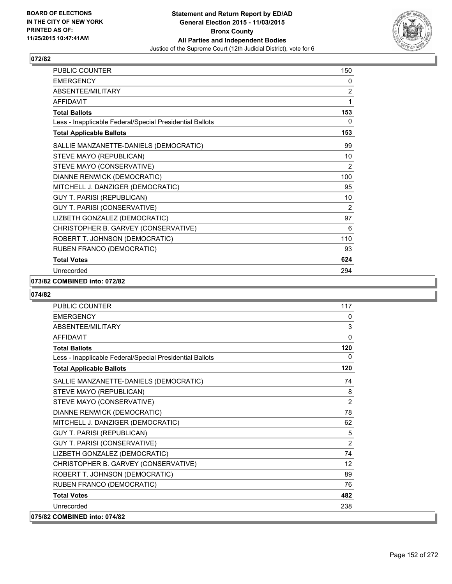

| PUBLIC COUNTER                                           | 150            |
|----------------------------------------------------------|----------------|
| <b>EMERGENCY</b>                                         | 0              |
| ABSENTEE/MILITARY                                        | $\overline{2}$ |
| <b>AFFIDAVIT</b>                                         | 1              |
| <b>Total Ballots</b>                                     | 153            |
| Less - Inapplicable Federal/Special Presidential Ballots | 0              |
| <b>Total Applicable Ballots</b>                          | 153            |
| SALLIE MANZANETTE-DANIELS (DEMOCRATIC)                   | 99             |
| STEVE MAYO (REPUBLICAN)                                  | 10             |
| STEVE MAYO (CONSERVATIVE)                                | 2              |
| DIANNE RENWICK (DEMOCRATIC)                              | 100            |
| MITCHELL J. DANZIGER (DEMOCRATIC)                        | 95             |
| GUY T. PARISI (REPUBLICAN)                               | 10             |
| GUY T. PARISI (CONSERVATIVE)                             | 2              |
| LIZBETH GONZALEZ (DEMOCRATIC)                            | 97             |
| CHRISTOPHER B. GARVEY (CONSERVATIVE)                     | 6              |
| ROBERT T. JOHNSON (DEMOCRATIC)                           | 110            |
| RUBEN FRANCO (DEMOCRATIC)                                | 93             |
| <b>Total Votes</b>                                       | 624            |
| Unrecorded                                               | 294            |

#### **073/82 COMBINED into: 072/82**

| <b>PUBLIC COUNTER</b>                                    | 117            |
|----------------------------------------------------------|----------------|
| <b>EMERGENCY</b>                                         | 0              |
| ABSENTEE/MILITARY                                        | 3              |
| <b>AFFIDAVIT</b>                                         | $\mathbf{0}$   |
| <b>Total Ballots</b>                                     | 120            |
| Less - Inapplicable Federal/Special Presidential Ballots | 0              |
| <b>Total Applicable Ballots</b>                          | 120            |
| SALLIE MANZANETTE-DANIELS (DEMOCRATIC)                   | 74             |
| STEVE MAYO (REPUBLICAN)                                  | 8              |
| STEVE MAYO (CONSERVATIVE)                                | 2              |
| DIANNE RENWICK (DEMOCRATIC)                              | 78             |
| MITCHELL J. DANZIGER (DEMOCRATIC)                        | 62             |
| <b>GUY T. PARISI (REPUBLICAN)</b>                        | 5              |
| GUY T. PARISI (CONSERVATIVE)                             | $\overline{2}$ |
| LIZBETH GONZALEZ (DEMOCRATIC)                            | 74             |
| CHRISTOPHER B. GARVEY (CONSERVATIVE)                     | 12             |
| ROBERT T. JOHNSON (DEMOCRATIC)                           | 89             |
| RUBEN FRANCO (DEMOCRATIC)                                | 76             |
| <b>Total Votes</b>                                       | 482            |
| Unrecorded                                               | 238            |
| 075/82 COMBINED into: 074/82                             |                |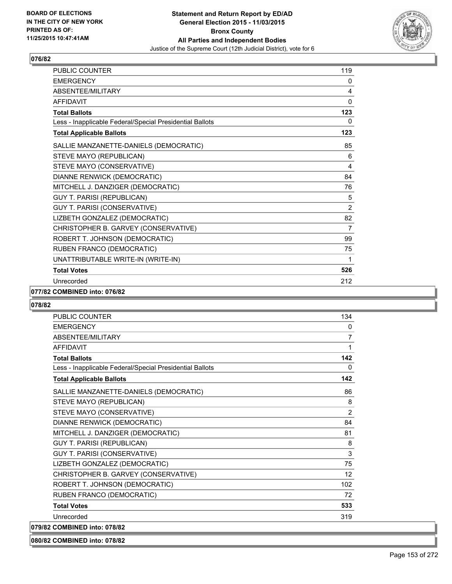

| PUBLIC COUNTER                                           | 119            |
|----------------------------------------------------------|----------------|
| <b>EMERGENCY</b>                                         | 0              |
| ABSENTEE/MILITARY                                        | 4              |
| <b>AFFIDAVIT</b>                                         | $\mathbf{0}$   |
| <b>Total Ballots</b>                                     | 123            |
| Less - Inapplicable Federal/Special Presidential Ballots | 0              |
| <b>Total Applicable Ballots</b>                          | 123            |
| SALLIE MANZANETTE-DANIELS (DEMOCRATIC)                   | 85             |
| STEVE MAYO (REPUBLICAN)                                  | 6              |
| STEVE MAYO (CONSERVATIVE)                                | 4              |
| DIANNE RENWICK (DEMOCRATIC)                              | 84             |
| MITCHELL J. DANZIGER (DEMOCRATIC)                        | 76             |
| GUY T. PARISI (REPUBLICAN)                               | 5              |
| GUY T. PARISI (CONSERVATIVE)                             | $\overline{2}$ |
| LIZBETH GONZALEZ (DEMOCRATIC)                            | 82             |
| CHRISTOPHER B. GARVEY (CONSERVATIVE)                     | 7              |
| ROBERT T. JOHNSON (DEMOCRATIC)                           | 99             |
| RUBEN FRANCO (DEMOCRATIC)                                | 75             |
| UNATTRIBUTABLE WRITE-IN (WRITE-IN)                       | 1              |
| <b>Total Votes</b>                                       | 526            |
| Unrecorded                                               | 212            |

# **077/82 COMBINED into: 076/82**

#### **078/82**

| <b>PUBLIC COUNTER</b>                                    | 134            |
|----------------------------------------------------------|----------------|
| <b>EMERGENCY</b>                                         | $\mathbf{0}$   |
| ABSENTEE/MILITARY                                        | $\overline{7}$ |
| <b>AFFIDAVIT</b>                                         | 1              |
| <b>Total Ballots</b>                                     | 142            |
| Less - Inapplicable Federal/Special Presidential Ballots | $\Omega$       |
| <b>Total Applicable Ballots</b>                          | 142            |
| SALLIE MANZANETTE-DANIELS (DEMOCRATIC)                   | 86             |
| STEVE MAYO (REPUBLICAN)                                  | 8              |
| STEVE MAYO (CONSERVATIVE)                                | 2              |
| DIANNE RENWICK (DEMOCRATIC)                              | 84             |
| MITCHELL J. DANZIGER (DEMOCRATIC)                        | 81             |
| <b>GUY T. PARISI (REPUBLICAN)</b>                        | 8              |
| GUY T. PARISI (CONSERVATIVE)                             | 3              |
| LIZBETH GONZALEZ (DEMOCRATIC)                            | 75             |
| CHRISTOPHER B. GARVEY (CONSERVATIVE)                     | 12             |
| ROBERT T. JOHNSON (DEMOCRATIC)                           | 102            |
| RUBEN FRANCO (DEMOCRATIC)                                | 72             |
| <b>Total Votes</b>                                       | 533            |
| Unrecorded                                               | 319            |
| 079/82 COMBINED into: 078/82                             |                |

# **080/82 COMBINED into: 078/82**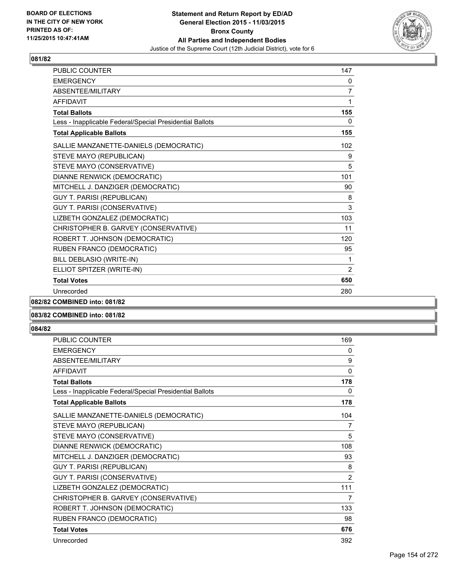

| <b>PUBLIC COUNTER</b>                                    | 147            |
|----------------------------------------------------------|----------------|
| <b>EMERGENCY</b>                                         | 0              |
| ABSENTEE/MILITARY                                        | 7              |
| <b>AFFIDAVIT</b>                                         | 1              |
| <b>Total Ballots</b>                                     | 155            |
| Less - Inapplicable Federal/Special Presidential Ballots | 0              |
| <b>Total Applicable Ballots</b>                          | 155            |
| SALLIE MANZANETTE-DANIELS (DEMOCRATIC)                   | 102            |
| STEVE MAYO (REPUBLICAN)                                  | 9              |
| STEVE MAYO (CONSERVATIVE)                                | 5              |
| DIANNE RENWICK (DEMOCRATIC)                              | 101            |
| MITCHELL J. DANZIGER (DEMOCRATIC)                        | 90             |
| <b>GUY T. PARISI (REPUBLICAN)</b>                        | 8              |
| GUY T. PARISI (CONSERVATIVE)                             | 3              |
| LIZBETH GONZALEZ (DEMOCRATIC)                            | 103            |
| CHRISTOPHER B. GARVEY (CONSERVATIVE)                     | 11             |
| ROBERT T. JOHNSON (DEMOCRATIC)                           | 120            |
| RUBEN FRANCO (DEMOCRATIC)                                | 95             |
| BILL DEBLASIO (WRITE-IN)                                 | 1              |
| ELLIOT SPITZER (WRITE-IN)                                | $\overline{2}$ |
| <b>Total Votes</b>                                       | 650            |
| Unrecorded                                               | 280            |

# **082/82 COMBINED into: 081/82**

# **083/82 COMBINED into: 081/82**

| <b>PUBLIC COUNTER</b>                                    | 169          |
|----------------------------------------------------------|--------------|
| <b>EMERGENCY</b>                                         | 0            |
| <b>ABSENTEE/MILITARY</b>                                 | 9            |
| <b>AFFIDAVIT</b>                                         | $\mathbf{0}$ |
| <b>Total Ballots</b>                                     | 178          |
| Less - Inapplicable Federal/Special Presidential Ballots | 0            |
| <b>Total Applicable Ballots</b>                          | 178          |
| SALLIE MANZANETTE-DANIELS (DEMOCRATIC)                   | 104          |
| STEVE MAYO (REPUBLICAN)                                  | 7            |
| STEVE MAYO (CONSERVATIVE)                                | 5            |
| DIANNE RENWICK (DEMOCRATIC)                              | 108          |
| MITCHELL J. DANZIGER (DEMOCRATIC)                        | 93           |
| <b>GUY T. PARISI (REPUBLICAN)</b>                        | 8            |
| GUY T. PARISI (CONSERVATIVE)                             | 2            |
| LIZBETH GONZALEZ (DEMOCRATIC)                            | 111          |
| CHRISTOPHER B. GARVEY (CONSERVATIVE)                     | 7            |
| ROBERT T. JOHNSON (DEMOCRATIC)                           | 133          |
| RUBEN FRANCO (DEMOCRATIC)                                | 98           |
| <b>Total Votes</b>                                       | 676          |
| Unrecorded                                               | 392          |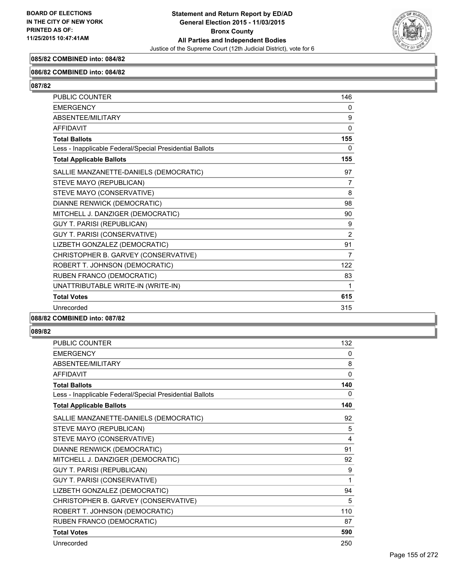

# **085/82 COMBINED into: 084/82**

#### **086/82 COMBINED into: 084/82**

**087/82** 

| PUBLIC COUNTER                                           | 146 |
|----------------------------------------------------------|-----|
| <b>EMERGENCY</b>                                         | 0   |
| <b>ABSENTEE/MILITARY</b>                                 | 9   |
| <b>AFFIDAVIT</b>                                         | 0   |
| <b>Total Ballots</b>                                     | 155 |
| Less - Inapplicable Federal/Special Presidential Ballots | 0   |
| <b>Total Applicable Ballots</b>                          | 155 |
| SALLIE MANZANETTE-DANIELS (DEMOCRATIC)                   | 97  |
| STEVE MAYO (REPUBLICAN)                                  | 7   |
| STEVE MAYO (CONSERVATIVE)                                | 8   |
| DIANNE RENWICK (DEMOCRATIC)                              | 98  |
| MITCHELL J. DANZIGER (DEMOCRATIC)                        | 90  |
| <b>GUY T. PARISI (REPUBLICAN)</b>                        | 9   |
| GUY T. PARISI (CONSERVATIVE)                             | 2   |
| LIZBETH GONZALEZ (DEMOCRATIC)                            | 91  |
| CHRISTOPHER B. GARVEY (CONSERVATIVE)                     | 7   |
| ROBERT T. JOHNSON (DEMOCRATIC)                           | 122 |
| RUBEN FRANCO (DEMOCRATIC)                                | 83  |
| UNATTRIBUTABLE WRITE-IN (WRITE-IN)                       | 1   |
| <b>Total Votes</b>                                       | 615 |
| Unrecorded                                               | 315 |

#### **088/82 COMBINED into: 087/82**

| PUBLIC COUNTER                                           | 132          |
|----------------------------------------------------------|--------------|
| <b>EMERGENCY</b>                                         | 0            |
| ABSENTEE/MILITARY                                        | 8            |
| <b>AFFIDAVIT</b>                                         | $\mathbf{0}$ |
| <b>Total Ballots</b>                                     | 140          |
| Less - Inapplicable Federal/Special Presidential Ballots | 0            |
| <b>Total Applicable Ballots</b>                          | 140          |
| SALLIE MANZANETTE-DANIELS (DEMOCRATIC)                   | 92           |
| STEVE MAYO (REPUBLICAN)                                  | 5            |
| STEVE MAYO (CONSERVATIVE)                                | 4            |
| DIANNE RENWICK (DEMOCRATIC)                              | 91           |
| MITCHELL J. DANZIGER (DEMOCRATIC)                        | 92           |
| <b>GUY T. PARISI (REPUBLICAN)</b>                        | 9            |
| <b>GUY T. PARISI (CONSERVATIVE)</b>                      | 1            |
| LIZBETH GONZALEZ (DEMOCRATIC)                            | 94           |
| CHRISTOPHER B. GARVEY (CONSERVATIVE)                     | 5            |
| ROBERT T. JOHNSON (DEMOCRATIC)                           | 110          |
| RUBEN FRANCO (DEMOCRATIC)                                | 87           |
| <b>Total Votes</b>                                       | 590          |
| Unrecorded                                               | 250          |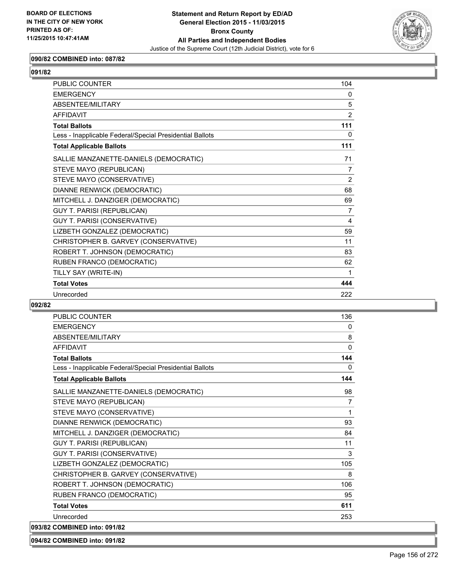

# **090/82 COMBINED into: 087/82**

| <b>PUBLIC COUNTER</b>                                    | 104            |
|----------------------------------------------------------|----------------|
| <b>EMERGENCY</b>                                         | 0              |
| ABSENTEE/MILITARY                                        | 5              |
| <b>AFFIDAVIT</b>                                         | $\overline{2}$ |
| <b>Total Ballots</b>                                     | 111            |
| Less - Inapplicable Federal/Special Presidential Ballots | 0              |
| <b>Total Applicable Ballots</b>                          | 111            |
| SALLIE MANZANETTE-DANIELS (DEMOCRATIC)                   | 71             |
| STEVE MAYO (REPUBLICAN)                                  | 7              |
| STEVE MAYO (CONSERVATIVE)                                | 2              |
| DIANNE RENWICK (DEMOCRATIC)                              | 68             |
| MITCHELL J. DANZIGER (DEMOCRATIC)                        | 69             |
| <b>GUY T. PARISI (REPUBLICAN)</b>                        | 7              |
| GUY T. PARISI (CONSERVATIVE)                             | 4              |
| LIZBETH GONZALEZ (DEMOCRATIC)                            | 59             |
| CHRISTOPHER B. GARVEY (CONSERVATIVE)                     | 11             |
| ROBERT T. JOHNSON (DEMOCRATIC)                           | 83             |
| RUBEN FRANCO (DEMOCRATIC)                                | 62             |
| TILLY SAY (WRITE-IN)                                     | 1              |
| <b>Total Votes</b>                                       | 444            |
| Unrecorded                                               | 222            |

#### **092/82**

| PUBLIC COUNTER                                           | 136            |
|----------------------------------------------------------|----------------|
| <b>EMERGENCY</b>                                         | 0              |
| ABSENTEE/MILITARY                                        | 8              |
| <b>AFFIDAVIT</b>                                         | $\Omega$       |
| <b>Total Ballots</b>                                     | 144            |
| Less - Inapplicable Federal/Special Presidential Ballots | 0              |
| <b>Total Applicable Ballots</b>                          | 144            |
| SALLIE MANZANETTE-DANIELS (DEMOCRATIC)                   | 98             |
| STEVE MAYO (REPUBLICAN)                                  | $\overline{7}$ |
| STEVE MAYO (CONSERVATIVE)                                | 1              |
| DIANNE RENWICK (DEMOCRATIC)                              | 93             |
| MITCHELL J. DANZIGER (DEMOCRATIC)                        | 84             |
| <b>GUY T. PARISI (REPUBLICAN)</b>                        | 11             |
| <b>GUY T. PARISI (CONSERVATIVE)</b>                      | 3              |
| LIZBETH GONZALEZ (DEMOCRATIC)                            | 105            |
| CHRISTOPHER B. GARVEY (CONSERVATIVE)                     | 8              |
| ROBERT T. JOHNSON (DEMOCRATIC)                           | 106            |
| RUBEN FRANCO (DEMOCRATIC)                                | 95             |
| <b>Total Votes</b>                                       | 611            |
| Unrecorded                                               | 253            |
| 093/82 COMBINED into: 091/82                             |                |

**094/82 COMBINED into: 091/82**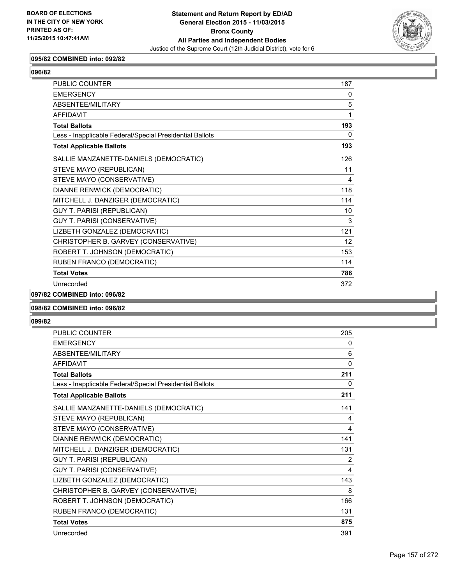

# **095/82 COMBINED into: 092/82**

| <b>PUBLIC COUNTER</b>                                    | 187                     |
|----------------------------------------------------------|-------------------------|
| <b>EMERGENCY</b>                                         | $\Omega$                |
| ABSENTEE/MILITARY                                        | 5                       |
| <b>AFFIDAVIT</b>                                         | 1                       |
| <b>Total Ballots</b>                                     | 193                     |
| Less - Inapplicable Federal/Special Presidential Ballots | $\Omega$                |
| <b>Total Applicable Ballots</b>                          | 193                     |
| SALLIE MANZANETTE-DANIELS (DEMOCRATIC)                   | 126                     |
| STEVE MAYO (REPUBLICAN)                                  | 11                      |
| STEVE MAYO (CONSERVATIVE)                                | $\overline{\mathbf{4}}$ |
| DIANNE RENWICK (DEMOCRATIC)                              | 118                     |
| MITCHELL J. DANZIGER (DEMOCRATIC)                        | 114                     |
| <b>GUY T. PARISI (REPUBLICAN)</b>                        | 10                      |
| GUY T. PARISI (CONSERVATIVE)                             | 3                       |
| LIZBETH GONZALEZ (DEMOCRATIC)                            | 121                     |
| CHRISTOPHER B. GARVEY (CONSERVATIVE)                     | 12                      |
| ROBERT T. JOHNSON (DEMOCRATIC)                           | 153                     |
| RUBEN FRANCO (DEMOCRATIC)                                | 114                     |
| <b>Total Votes</b>                                       | 786                     |
| Unrecorded                                               | 372                     |

**097/82 COMBINED into: 096/82**

#### **098/82 COMBINED into: 096/82**

| <b>PUBLIC COUNTER</b>                                    | 205      |
|----------------------------------------------------------|----------|
| <b>EMERGENCY</b>                                         | 0        |
| ABSENTEE/MILITARY                                        | 6        |
| <b>AFFIDAVIT</b>                                         | $\Omega$ |
| <b>Total Ballots</b>                                     | 211      |
| Less - Inapplicable Federal/Special Presidential Ballots | 0        |
| <b>Total Applicable Ballots</b>                          | 211      |
| SALLIE MANZANETTE-DANIELS (DEMOCRATIC)                   | 141      |
| STEVE MAYO (REPUBLICAN)                                  | 4        |
| STEVE MAYO (CONSERVATIVE)                                | 4        |
| DIANNE RENWICK (DEMOCRATIC)                              | 141      |
| MITCHELL J. DANZIGER (DEMOCRATIC)                        | 131      |
| GUY T. PARISI (REPUBLICAN)                               | 2        |
| GUY T. PARISI (CONSERVATIVE)                             | 4        |
| LIZBETH GONZALEZ (DEMOCRATIC)                            | 143      |
| CHRISTOPHER B. GARVEY (CONSERVATIVE)                     | 8        |
| ROBERT T. JOHNSON (DEMOCRATIC)                           | 166      |
| RUBEN FRANCO (DEMOCRATIC)                                | 131      |
| <b>Total Votes</b>                                       | 875      |
| Unrecorded                                               | 391      |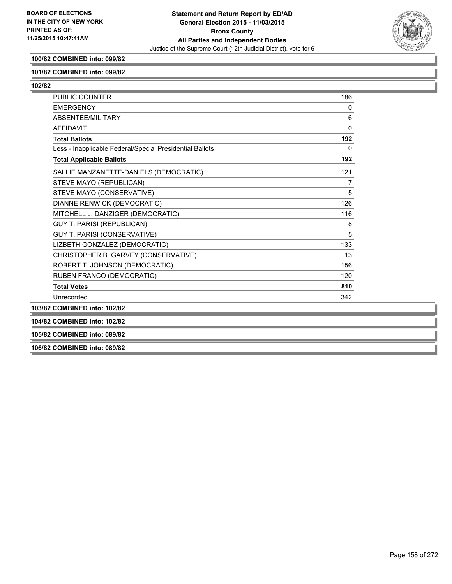

# **100/82 COMBINED into: 099/82**

#### **101/82 COMBINED into: 099/82**

**102/82** 

| <b>PUBLIC COUNTER</b>                                    | 186            |
|----------------------------------------------------------|----------------|
| <b>EMERGENCY</b>                                         | 0              |
| <b>ABSENTEE/MILITARY</b>                                 | 6              |
| <b>AFFIDAVIT</b>                                         | $\Omega$       |
| <b>Total Ballots</b>                                     | 192            |
| Less - Inapplicable Federal/Special Presidential Ballots | 0              |
| <b>Total Applicable Ballots</b>                          | 192            |
| SALLIE MANZANETTE-DANIELS (DEMOCRATIC)                   | 121            |
| STEVE MAYO (REPUBLICAN)                                  | $\overline{7}$ |
| STEVE MAYO (CONSERVATIVE)                                | 5              |
| DIANNE RENWICK (DEMOCRATIC)                              | 126            |
| MITCHELL J. DANZIGER (DEMOCRATIC)                        | 116            |
| <b>GUY T. PARISI (REPUBLICAN)</b>                        | 8              |
| <b>GUY T. PARISI (CONSERVATIVE)</b>                      | 5              |
| LIZBETH GONZALEZ (DEMOCRATIC)                            | 133            |
| CHRISTOPHER B. GARVEY (CONSERVATIVE)                     | 13             |
| ROBERT T. JOHNSON (DEMOCRATIC)                           | 156            |
| RUBEN FRANCO (DEMOCRATIC)                                | 120            |
| <b>Total Votes</b>                                       | 810            |
| Unrecorded                                               | 342            |
| 103/82 COMBINED into: 102/82                             |                |
| 104/82 COMBINED into: 102/82                             |                |
| 105/82 COMBINED into: 089/82                             |                |

**106/82 COMBINED into: 089/82**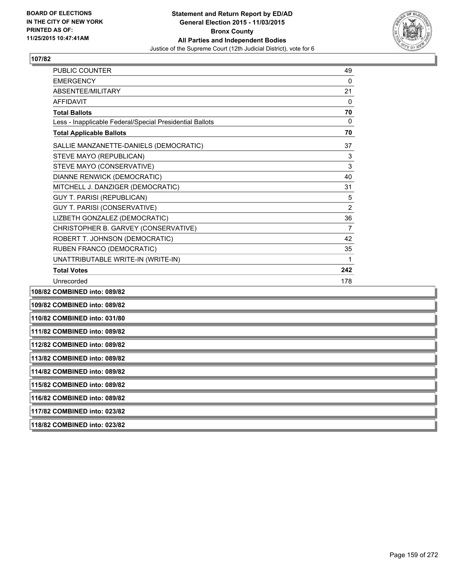

| <b>PUBLIC COUNTER</b>                                    | 49             |
|----------------------------------------------------------|----------------|
| <b>EMERGENCY</b>                                         | $\mathbf{0}$   |
| ABSENTEE/MILITARY                                        | 21             |
| <b>AFFIDAVIT</b>                                         | 0              |
| <b>Total Ballots</b>                                     | 70             |
| Less - Inapplicable Federal/Special Presidential Ballots | 0              |
| <b>Total Applicable Ballots</b>                          | 70             |
| SALLIE MANZANETTE-DANIELS (DEMOCRATIC)                   | 37             |
| STEVE MAYO (REPUBLICAN)                                  | 3              |
| STEVE MAYO (CONSERVATIVE)                                | 3              |
| DIANNE RENWICK (DEMOCRATIC)                              | 40             |
| MITCHELL J. DANZIGER (DEMOCRATIC)                        | 31             |
| <b>GUY T. PARISI (REPUBLICAN)</b>                        | 5              |
| <b>GUY T. PARISI (CONSERVATIVE)</b>                      | $\overline{2}$ |
| LIZBETH GONZALEZ (DEMOCRATIC)                            | 36             |
| CHRISTOPHER B. GARVEY (CONSERVATIVE)                     | $\overline{7}$ |
| ROBERT T. JOHNSON (DEMOCRATIC)                           | 42             |
| RUBEN FRANCO (DEMOCRATIC)                                | 35             |
| UNATTRIBUTABLE WRITE-IN (WRITE-IN)                       | 1              |
| <b>Total Votes</b>                                       | 242            |
| Unrecorded                                               | 178            |
| COMPINED into: 000/02                                    |                |

**108/82 COMBINED into: 089/82**

**109/82 COMBINED into: 089/82**

**110/82 COMBINED into: 031/80**

**111/82 COMBINED into: 089/82**

**112/82 COMBINED into: 089/82**

**113/82 COMBINED into: 089/82**

**114/82 COMBINED into: 089/82**

**115/82 COMBINED into: 089/82**

**116/82 COMBINED into: 089/82**

**117/82 COMBINED into: 023/82**

**118/82 COMBINED into: 023/82**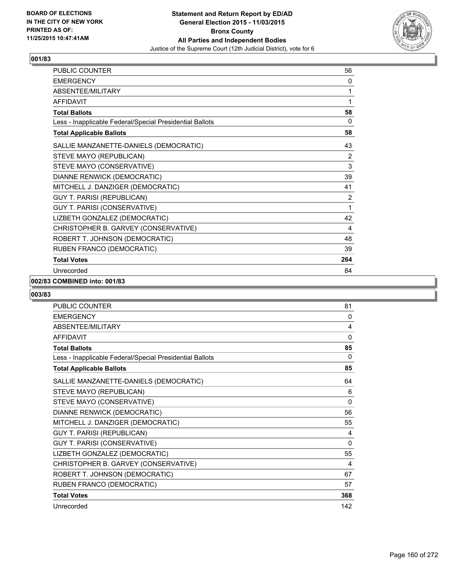

| <b>PUBLIC COUNTER</b>                                    | 56             |
|----------------------------------------------------------|----------------|
| <b>EMERGENCY</b>                                         | 0              |
| ABSENTEE/MILITARY                                        | 1              |
| <b>AFFIDAVIT</b>                                         | 1              |
| <b>Total Ballots</b>                                     | 58             |
| Less - Inapplicable Federal/Special Presidential Ballots | $\mathbf{0}$   |
| <b>Total Applicable Ballots</b>                          | 58             |
| SALLIE MANZANETTE-DANIELS (DEMOCRATIC)                   | 43             |
| STEVE MAYO (REPUBLICAN)                                  | $\overline{2}$ |
| STEVE MAYO (CONSERVATIVE)                                | 3              |
| DIANNE RENWICK (DEMOCRATIC)                              | 39             |
| MITCHELL J. DANZIGER (DEMOCRATIC)                        | 41             |
| GUY T. PARISI (REPUBLICAN)                               | 2              |
| GUY T. PARISI (CONSERVATIVE)                             | 1              |
| LIZBETH GONZALEZ (DEMOCRATIC)                            | 42             |
| CHRISTOPHER B. GARVEY (CONSERVATIVE)                     | 4              |
| ROBERT T. JOHNSON (DEMOCRATIC)                           | 48             |
| RUBEN FRANCO (DEMOCRATIC)                                | 39             |
| <b>Total Votes</b>                                       | 264            |
| Unrecorded                                               | 84             |

# **002/83 COMBINED into: 001/83**

| <b>PUBLIC COUNTER</b>                                    | 81       |
|----------------------------------------------------------|----------|
| <b>EMERGENCY</b>                                         | 0        |
| ABSENTEE/MILITARY                                        | 4        |
| <b>AFFIDAVIT</b>                                         | $\Omega$ |
| <b>Total Ballots</b>                                     | 85       |
| Less - Inapplicable Federal/Special Presidential Ballots | 0        |
| <b>Total Applicable Ballots</b>                          | 85       |
| SALLIE MANZANETTE-DANIELS (DEMOCRATIC)                   | 64       |
| STEVE MAYO (REPUBLICAN)                                  | 6        |
| STEVE MAYO (CONSERVATIVE)                                | 0        |
| DIANNE RENWICK (DEMOCRATIC)                              | 56       |
| MITCHELL J. DANZIGER (DEMOCRATIC)                        | 55       |
| <b>GUY T. PARISI (REPUBLICAN)</b>                        | 4        |
| GUY T. PARISI (CONSERVATIVE)                             | 0        |
| LIZBETH GONZALEZ (DEMOCRATIC)                            | 55       |
| CHRISTOPHER B. GARVEY (CONSERVATIVE)                     | 4        |
| ROBERT T. JOHNSON (DEMOCRATIC)                           | 67       |
| RUBEN FRANCO (DEMOCRATIC)                                | 57       |
| <b>Total Votes</b>                                       | 368      |
| Unrecorded                                               | 142      |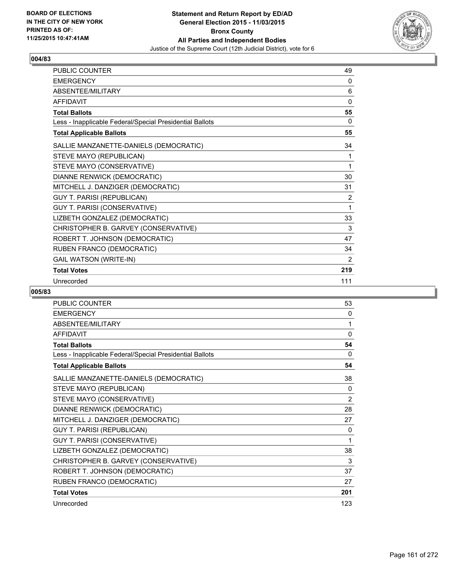

| <b>PUBLIC COUNTER</b>                                    | 49  |
|----------------------------------------------------------|-----|
| <b>EMERGENCY</b>                                         | 0   |
| ABSENTEE/MILITARY                                        | 6   |
| <b>AFFIDAVIT</b>                                         | 0   |
| <b>Total Ballots</b>                                     | 55  |
| Less - Inapplicable Federal/Special Presidential Ballots | 0   |
| <b>Total Applicable Ballots</b>                          | 55  |
| SALLIE MANZANETTE-DANIELS (DEMOCRATIC)                   | 34  |
| STEVE MAYO (REPUBLICAN)                                  | 1   |
| STEVE MAYO (CONSERVATIVE)                                | 1   |
| DIANNE RENWICK (DEMOCRATIC)                              | 30  |
| MITCHELL J. DANZIGER (DEMOCRATIC)                        | 31  |
| <b>GUY T. PARISI (REPUBLICAN)</b>                        | 2   |
| GUY T. PARISI (CONSERVATIVE)                             | 1   |
| LIZBETH GONZALEZ (DEMOCRATIC)                            | 33  |
| CHRISTOPHER B. GARVEY (CONSERVATIVE)                     | 3   |
| ROBERT T. JOHNSON (DEMOCRATIC)                           | 47  |
| RUBEN FRANCO (DEMOCRATIC)                                | 34  |
| <b>GAIL WATSON (WRITE-IN)</b>                            | 2   |
| <b>Total Votes</b>                                       | 219 |
| Unrecorded                                               | 111 |

| PUBLIC COUNTER                                           | 53  |
|----------------------------------------------------------|-----|
| <b>EMERGENCY</b>                                         | 0   |
| ABSENTEE/MILITARY                                        | 1   |
| <b>AFFIDAVIT</b>                                         | 0   |
| <b>Total Ballots</b>                                     | 54  |
| Less - Inapplicable Federal/Special Presidential Ballots | 0   |
| <b>Total Applicable Ballots</b>                          | 54  |
| SALLIE MANZANETTE-DANIELS (DEMOCRATIC)                   | 38  |
| STEVE MAYO (REPUBLICAN)                                  | 0   |
| STEVE MAYO (CONSERVATIVE)                                | 2   |
| DIANNE RENWICK (DEMOCRATIC)                              | 28  |
| MITCHELL J. DANZIGER (DEMOCRATIC)                        | 27  |
| <b>GUY T. PARISI (REPUBLICAN)</b>                        | 0   |
| GUY T. PARISI (CONSERVATIVE)                             | 1   |
| LIZBETH GONZALEZ (DEMOCRATIC)                            | 38  |
| CHRISTOPHER B. GARVEY (CONSERVATIVE)                     | 3   |
| ROBERT T. JOHNSON (DEMOCRATIC)                           | 37  |
| RUBEN FRANCO (DEMOCRATIC)                                | 27  |
| <b>Total Votes</b>                                       | 201 |
| Unrecorded                                               | 123 |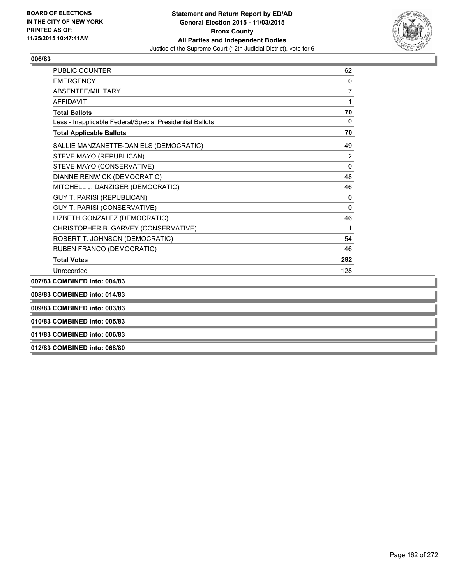

| 010/83 COMBINED into: 005/83                             |                |
|----------------------------------------------------------|----------------|
| 009/83 COMBINED into: 003/83                             |                |
| 008/83 COMBINED into: 014/83                             |                |
| 007/83 COMBINED into: 004/83                             |                |
| Unrecorded                                               | 128            |
| <b>Total Votes</b>                                       | 292            |
| RUBEN FRANCO (DEMOCRATIC)                                | 46             |
| ROBERT T. JOHNSON (DEMOCRATIC)                           | 54             |
| CHRISTOPHER B. GARVEY (CONSERVATIVE)                     | 1              |
| LIZBETH GONZALEZ (DEMOCRATIC)                            | 46             |
| <b>GUY T. PARISI (CONSERVATIVE)</b>                      | 0              |
| <b>GUY T. PARISI (REPUBLICAN)</b>                        | $\Omega$       |
| MITCHELL J. DANZIGER (DEMOCRATIC)                        | 46             |
| DIANNE RENWICK (DEMOCRATIC)                              | 48             |
| STEVE MAYO (CONSERVATIVE)                                | 0              |
| STEVE MAYO (REPUBLICAN)                                  | 2              |
| SALLIE MANZANETTE-DANIELS (DEMOCRATIC)                   | 49             |
| <b>Total Applicable Ballots</b>                          | 70             |
| Less - Inapplicable Federal/Special Presidential Ballots | $\Omega$       |
| <b>Total Ballots</b>                                     | 70             |
| <b>AFFIDAVIT</b>                                         | 1              |
| ABSENTEE/MILITARY                                        | $\overline{7}$ |
| <b>EMERGENCY</b>                                         | 0              |
| PUBLIC COUNTER                                           | 62             |

**011/83 COMBINED into: 006/83**

**012/83 COMBINED into: 068/80**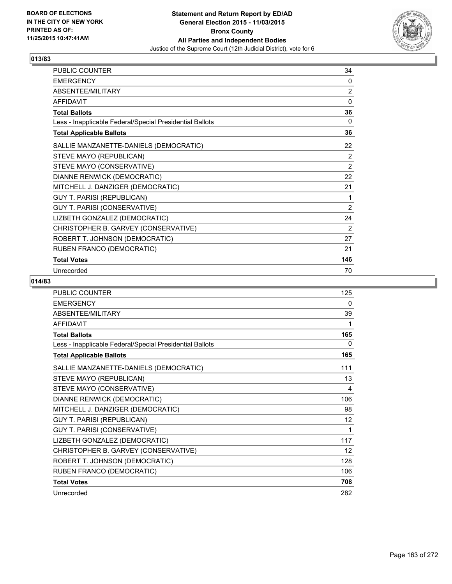

| PUBLIC COUNTER                                           | 34             |
|----------------------------------------------------------|----------------|
| <b>EMERGENCY</b>                                         | 0              |
| ABSENTEE/MILITARY                                        | $\overline{2}$ |
| <b>AFFIDAVIT</b>                                         | 0              |
| <b>Total Ballots</b>                                     | 36             |
| Less - Inapplicable Federal/Special Presidential Ballots | 0              |
| <b>Total Applicable Ballots</b>                          | 36             |
| SALLIE MANZANETTE-DANIELS (DEMOCRATIC)                   | 22             |
| STEVE MAYO (REPUBLICAN)                                  | 2              |
| STEVE MAYO (CONSERVATIVE)                                | $\overline{2}$ |
| DIANNE RENWICK (DEMOCRATIC)                              | 22             |
| MITCHELL J. DANZIGER (DEMOCRATIC)                        | 21             |
| <b>GUY T. PARISI (REPUBLICAN)</b>                        | 1              |
| GUY T. PARISI (CONSERVATIVE)                             | 2              |
| LIZBETH GONZALEZ (DEMOCRATIC)                            | 24             |
| CHRISTOPHER B. GARVEY (CONSERVATIVE)                     | 2              |
| ROBERT T. JOHNSON (DEMOCRATIC)                           | 27             |
| RUBEN FRANCO (DEMOCRATIC)                                | 21             |
| <b>Total Votes</b>                                       | 146            |
| Unrecorded                                               | 70             |

| <b>PUBLIC COUNTER</b>                                    | 125 |
|----------------------------------------------------------|-----|
| <b>EMERGENCY</b>                                         | 0   |
| ABSENTEE/MILITARY                                        | 39  |
| <b>AFFIDAVIT</b>                                         | 1   |
| <b>Total Ballots</b>                                     | 165 |
| Less - Inapplicable Federal/Special Presidential Ballots | 0   |
| <b>Total Applicable Ballots</b>                          | 165 |
| SALLIE MANZANETTE-DANIELS (DEMOCRATIC)                   | 111 |
| STEVE MAYO (REPUBLICAN)                                  | 13  |
| STEVE MAYO (CONSERVATIVE)                                | 4   |
| DIANNE RENWICK (DEMOCRATIC)                              | 106 |
| MITCHELL J. DANZIGER (DEMOCRATIC)                        | 98  |
| GUY T. PARISI (REPUBLICAN)                               | 12  |
| GUY T. PARISI (CONSERVATIVE)                             | 1   |
| LIZBETH GONZALEZ (DEMOCRATIC)                            | 117 |
| CHRISTOPHER B. GARVEY (CONSERVATIVE)                     | 12  |
| ROBERT T. JOHNSON (DEMOCRATIC)                           | 128 |
| RUBEN FRANCO (DEMOCRATIC)                                | 106 |
| <b>Total Votes</b>                                       | 708 |
| Unrecorded                                               | 282 |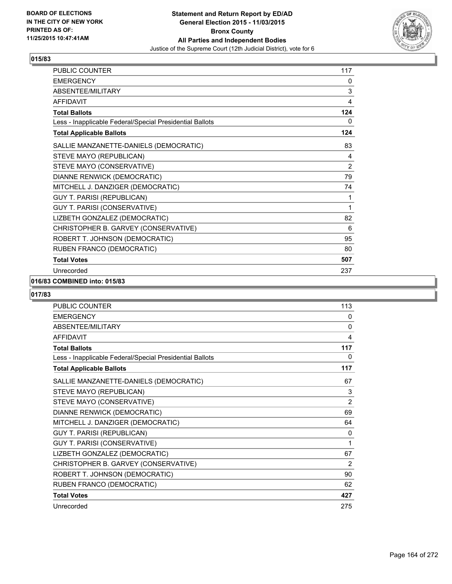

| PUBLIC COUNTER                                           | 117 |
|----------------------------------------------------------|-----|
| <b>EMERGENCY</b>                                         | 0   |
| ABSENTEE/MILITARY                                        | 3   |
| <b>AFFIDAVIT</b>                                         | 4   |
| <b>Total Ballots</b>                                     | 124 |
| Less - Inapplicable Federal/Special Presidential Ballots | 0   |
| <b>Total Applicable Ballots</b>                          | 124 |
| SALLIE MANZANETTE-DANIELS (DEMOCRATIC)                   | 83  |
| STEVE MAYO (REPUBLICAN)                                  | 4   |
| STEVE MAYO (CONSERVATIVE)                                | 2   |
| DIANNE RENWICK (DEMOCRATIC)                              | 79  |
| MITCHELL J. DANZIGER (DEMOCRATIC)                        | 74  |
| <b>GUY T. PARISI (REPUBLICAN)</b>                        | 1   |
| GUY T. PARISI (CONSERVATIVE)                             | 1   |
| LIZBETH GONZALEZ (DEMOCRATIC)                            | 82  |
| CHRISTOPHER B. GARVEY (CONSERVATIVE)                     | 6   |
| ROBERT T. JOHNSON (DEMOCRATIC)                           | 95  |
| RUBEN FRANCO (DEMOCRATIC)                                | 80  |
| <b>Total Votes</b>                                       | 507 |
| Unrecorded                                               | 237 |

# **016/83 COMBINED into: 015/83**

| <b>PUBLIC COUNTER</b>                                    | 113 |
|----------------------------------------------------------|-----|
| <b>EMERGENCY</b>                                         | 0   |
| <b>ABSENTEE/MILITARY</b>                                 | 0   |
| <b>AFFIDAVIT</b>                                         | 4   |
| <b>Total Ballots</b>                                     | 117 |
| Less - Inapplicable Federal/Special Presidential Ballots | 0   |
| <b>Total Applicable Ballots</b>                          | 117 |
| SALLIE MANZANETTE-DANIELS (DEMOCRATIC)                   | 67  |
| STEVE MAYO (REPUBLICAN)                                  | 3   |
| STEVE MAYO (CONSERVATIVE)                                | 2   |
| DIANNE RENWICK (DEMOCRATIC)                              | 69  |
| MITCHELL J. DANZIGER (DEMOCRATIC)                        | 64  |
| GUY T. PARISI (REPUBLICAN)                               | 0   |
| GUY T. PARISI (CONSERVATIVE)                             | 1   |
| LIZBETH GONZALEZ (DEMOCRATIC)                            | 67  |
| CHRISTOPHER B. GARVEY (CONSERVATIVE)                     | 2   |
| ROBERT T. JOHNSON (DEMOCRATIC)                           | 90  |
| RUBEN FRANCO (DEMOCRATIC)                                | 62  |
| <b>Total Votes</b>                                       | 427 |
| Unrecorded                                               | 275 |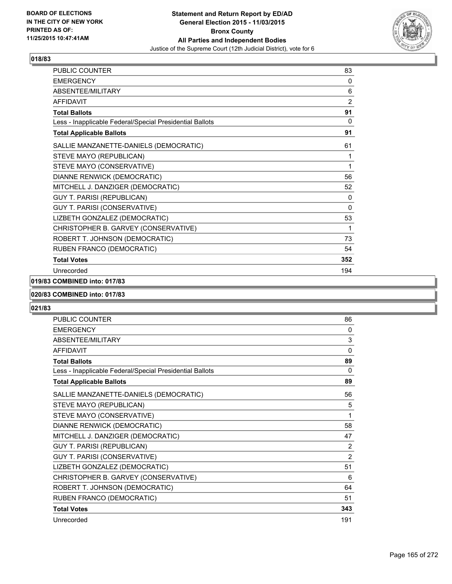

| PUBLIC COUNTER                                           | 83             |
|----------------------------------------------------------|----------------|
| <b>EMERGENCY</b>                                         | 0              |
| ABSENTEE/MILITARY                                        | 6              |
| <b>AFFIDAVIT</b>                                         | $\overline{2}$ |
| <b>Total Ballots</b>                                     | 91             |
| Less - Inapplicable Federal/Special Presidential Ballots | $\mathbf{0}$   |
| <b>Total Applicable Ballots</b>                          | 91             |
| SALLIE MANZANETTE-DANIELS (DEMOCRATIC)                   | 61             |
| STEVE MAYO (REPUBLICAN)                                  | 1              |
| STEVE MAYO (CONSERVATIVE)                                | 1              |
| DIANNE RENWICK (DEMOCRATIC)                              | 56             |
| MITCHELL J. DANZIGER (DEMOCRATIC)                        | 52             |
| <b>GUY T. PARISI (REPUBLICAN)</b>                        | 0              |
| GUY T. PARISI (CONSERVATIVE)                             | $\mathbf{0}$   |
| LIZBETH GONZALEZ (DEMOCRATIC)                            | 53             |
| CHRISTOPHER B. GARVEY (CONSERVATIVE)                     | 1              |
| ROBERT T. JOHNSON (DEMOCRATIC)                           | 73             |
| RUBEN FRANCO (DEMOCRATIC)                                | 54             |
| <b>Total Votes</b>                                       | 352            |
| Unrecorded                                               | 194            |

# **019/83 COMBINED into: 017/83**

#### **020/83 COMBINED into: 017/83**

| PUBLIC COUNTER                                           | 86  |
|----------------------------------------------------------|-----|
| <b>EMERGENCY</b>                                         | 0   |
| ABSENTEE/MILITARY                                        | 3   |
| <b>AFFIDAVIT</b>                                         | 0   |
| <b>Total Ballots</b>                                     | 89  |
| Less - Inapplicable Federal/Special Presidential Ballots | 0   |
| <b>Total Applicable Ballots</b>                          | 89  |
| SALLIE MANZANETTE-DANIELS (DEMOCRATIC)                   | 56  |
| STEVE MAYO (REPUBLICAN)                                  | 5   |
| STEVE MAYO (CONSERVATIVE)                                | 1   |
| DIANNE RENWICK (DEMOCRATIC)                              | 58  |
| MITCHELL J. DANZIGER (DEMOCRATIC)                        | 47  |
| <b>GUY T. PARISI (REPUBLICAN)</b>                        | 2   |
| GUY T. PARISI (CONSERVATIVE)                             | 2   |
| LIZBETH GONZALEZ (DEMOCRATIC)                            | 51  |
| CHRISTOPHER B. GARVEY (CONSERVATIVE)                     | 6   |
| ROBERT T. JOHNSON (DEMOCRATIC)                           | 64  |
| RUBEN FRANCO (DEMOCRATIC)                                | 51  |
| <b>Total Votes</b>                                       | 343 |
| Unrecorded                                               | 191 |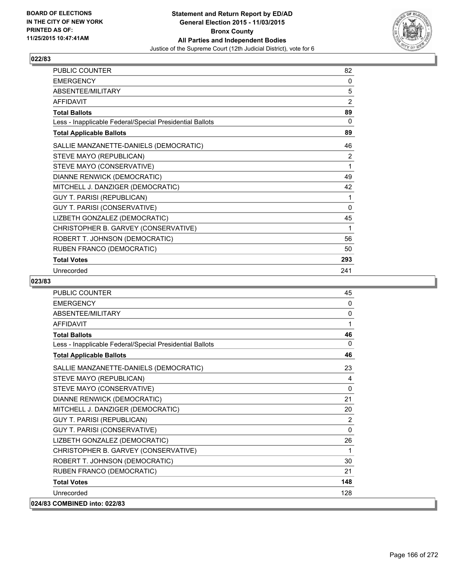

| PUBLIC COUNTER                                           | 82       |
|----------------------------------------------------------|----------|
| <b>EMERGENCY</b>                                         | 0        |
| ABSENTEE/MILITARY                                        | 5        |
| <b>AFFIDAVIT</b>                                         | 2        |
| <b>Total Ballots</b>                                     | 89       |
| Less - Inapplicable Federal/Special Presidential Ballots | 0        |
| <b>Total Applicable Ballots</b>                          | 89       |
| SALLIE MANZANETTE-DANIELS (DEMOCRATIC)                   | 46       |
| STEVE MAYO (REPUBLICAN)                                  | 2        |
| STEVE MAYO (CONSERVATIVE)                                | 1        |
| DIANNE RENWICK (DEMOCRATIC)                              | 49       |
| MITCHELL J. DANZIGER (DEMOCRATIC)                        | 42       |
| <b>GUY T. PARISI (REPUBLICAN)</b>                        | 1        |
| GUY T. PARISI (CONSERVATIVE)                             | $\Omega$ |
| LIZBETH GONZALEZ (DEMOCRATIC)                            | 45       |
| CHRISTOPHER B. GARVEY (CONSERVATIVE)                     | 1        |
| ROBERT T. JOHNSON (DEMOCRATIC)                           | 56       |
| RUBEN FRANCO (DEMOCRATIC)                                | 50       |
| <b>Total Votes</b>                                       | 293      |
| Unrecorded                                               | 241      |

| PUBLIC COUNTER                                           | 45           |
|----------------------------------------------------------|--------------|
| <b>EMERGENCY</b>                                         | $\Omega$     |
| ABSENTEE/MILITARY                                        | $\mathbf{0}$ |
| <b>AFFIDAVIT</b>                                         | 1            |
| <b>Total Ballots</b>                                     | 46           |
| Less - Inapplicable Federal/Special Presidential Ballots | $\Omega$     |
| <b>Total Applicable Ballots</b>                          | 46           |
| SALLIE MANZANETTE-DANIELS (DEMOCRATIC)                   | 23           |
| STEVE MAYO (REPUBLICAN)                                  | 4            |
| STEVE MAYO (CONSERVATIVE)                                | 0            |
| DIANNE RENWICK (DEMOCRATIC)                              | 21           |
| MITCHELL J. DANZIGER (DEMOCRATIC)                        | 20           |
| <b>GUY T. PARISI (REPUBLICAN)</b>                        | 2            |
| GUY T. PARISI (CONSERVATIVE)                             | $\mathbf{0}$ |
| LIZBETH GONZALEZ (DEMOCRATIC)                            | 26           |
| CHRISTOPHER B. GARVEY (CONSERVATIVE)                     | 1            |
| ROBERT T. JOHNSON (DEMOCRATIC)                           | 30           |
| RUBEN FRANCO (DEMOCRATIC)                                | 21           |
| <b>Total Votes</b>                                       | 148          |
| Unrecorded                                               | 128          |
| 024/83 COMBINED into: 022/83                             |              |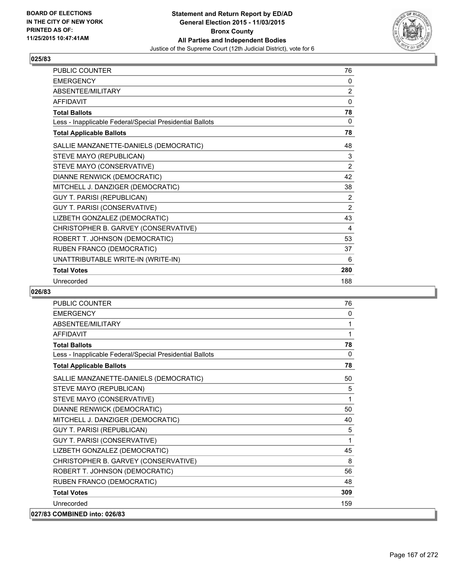

| <b>PUBLIC COUNTER</b>                                    | 76           |
|----------------------------------------------------------|--------------|
| <b>EMERGENCY</b>                                         | 0            |
| ABSENTEE/MILITARY                                        | 2            |
| <b>AFFIDAVIT</b>                                         | $\mathbf{0}$ |
| <b>Total Ballots</b>                                     | 78           |
| Less - Inapplicable Federal/Special Presidential Ballots | 0            |
| <b>Total Applicable Ballots</b>                          | 78           |
| SALLIE MANZANETTE-DANIELS (DEMOCRATIC)                   | 48           |
| STEVE MAYO (REPUBLICAN)                                  | 3            |
| STEVE MAYO (CONSERVATIVE)                                | 2            |
| DIANNE RENWICK (DEMOCRATIC)                              | 42           |
| MITCHELL J. DANZIGER (DEMOCRATIC)                        | 38           |
| GUY T. PARISI (REPUBLICAN)                               | 2            |
| GUY T. PARISI (CONSERVATIVE)                             | 2            |
| LIZBETH GONZALEZ (DEMOCRATIC)                            | 43           |
| CHRISTOPHER B. GARVEY (CONSERVATIVE)                     | 4            |
| ROBERT T. JOHNSON (DEMOCRATIC)                           | 53           |
| RUBEN FRANCO (DEMOCRATIC)                                | 37           |
| UNATTRIBUTABLE WRITE-IN (WRITE-IN)                       | 6            |
| <b>Total Votes</b>                                       | 280          |
| Unrecorded                                               | 188          |

| <b>PUBLIC COUNTER</b>                                    | 76           |
|----------------------------------------------------------|--------------|
| <b>FMFRGFNCY</b>                                         | 0            |
| ABSENTEE/MILITARY                                        | 1            |
| <b>AFFIDAVIT</b>                                         | 1            |
| <b>Total Ballots</b>                                     | 78           |
| Less - Inapplicable Federal/Special Presidential Ballots | $\mathbf{0}$ |
| <b>Total Applicable Ballots</b>                          | 78           |
| SALLIE MANZANETTE-DANIELS (DEMOCRATIC)                   | 50           |
| STEVE MAYO (REPUBLICAN)                                  | 5            |
| STEVE MAYO (CONSERVATIVE)                                | 1            |
| DIANNE RENWICK (DEMOCRATIC)                              | 50           |
| MITCHELL J. DANZIGER (DEMOCRATIC)                        | 40           |
| <b>GUY T. PARISI (REPUBLICAN)</b>                        | 5            |
| GUY T. PARISI (CONSERVATIVE)                             | 1            |
| LIZBETH GONZALEZ (DEMOCRATIC)                            | 45           |
| CHRISTOPHER B. GARVEY (CONSERVATIVE)                     | 8            |
| ROBERT T. JOHNSON (DEMOCRATIC)                           | 56           |
| RUBEN FRANCO (DEMOCRATIC)                                | 48           |
| <b>Total Votes</b>                                       | 309          |
| Unrecorded                                               | 159          |
| 027/83 COMBINED into: 026/83                             |              |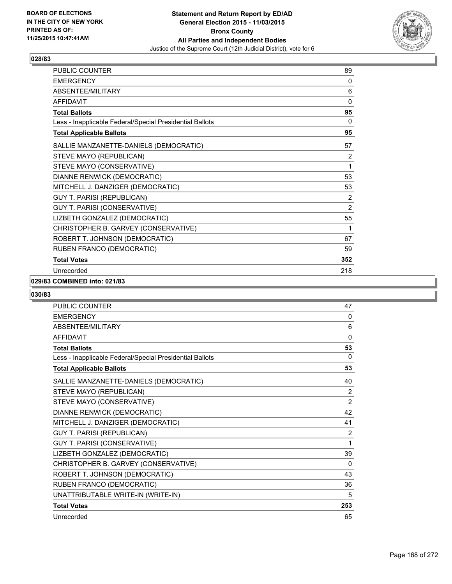

| PUBLIC COUNTER                                           | 89             |
|----------------------------------------------------------|----------------|
| <b>EMERGENCY</b>                                         | 0              |
| <b>ABSENTEE/MILITARY</b>                                 | 6              |
| <b>AFFIDAVIT</b>                                         | $\Omega$       |
| <b>Total Ballots</b>                                     | 95             |
| Less - Inapplicable Federal/Special Presidential Ballots | 0              |
| <b>Total Applicable Ballots</b>                          | 95             |
| SALLIE MANZANETTE-DANIELS (DEMOCRATIC)                   | 57             |
| STEVE MAYO (REPUBLICAN)                                  | 2              |
| STEVE MAYO (CONSERVATIVE)                                | 1              |
| DIANNE RENWICK (DEMOCRATIC)                              | 53             |
| MITCHELL J. DANZIGER (DEMOCRATIC)                        | 53             |
| <b>GUY T. PARISI (REPUBLICAN)</b>                        | 2              |
| GUY T. PARISI (CONSERVATIVE)                             | $\overline{2}$ |
| LIZBETH GONZALEZ (DEMOCRATIC)                            | 55             |
| CHRISTOPHER B. GARVEY (CONSERVATIVE)                     | 1              |
| ROBERT T. JOHNSON (DEMOCRATIC)                           | 67             |
| RUBEN FRANCO (DEMOCRATIC)                                | 59             |
| <b>Total Votes</b>                                       | 352            |
| Unrecorded                                               | 218            |

# **029/83 COMBINED into: 021/83**

| <b>PUBLIC COUNTER</b>                                    | 47           |
|----------------------------------------------------------|--------------|
| <b>EMERGENCY</b>                                         | 0            |
| <b>ABSENTEE/MILITARY</b>                                 | 6            |
| <b>AFFIDAVIT</b>                                         | $\mathbf{0}$ |
| <b>Total Ballots</b>                                     | 53           |
| Less - Inapplicable Federal/Special Presidential Ballots | $\Omega$     |
| <b>Total Applicable Ballots</b>                          | 53           |
| SALLIE MANZANETTE-DANIELS (DEMOCRATIC)                   | 40           |
| STEVE MAYO (REPUBLICAN)                                  | 2            |
| STEVE MAYO (CONSERVATIVE)                                | 2            |
| DIANNE RENWICK (DEMOCRATIC)                              | 42           |
| MITCHELL J. DANZIGER (DEMOCRATIC)                        | 41           |
| <b>GUY T. PARISI (REPUBLICAN)</b>                        | 2            |
| GUY T. PARISI (CONSERVATIVE)                             | 1            |
| LIZBETH GONZALEZ (DEMOCRATIC)                            | 39           |
| CHRISTOPHER B. GARVEY (CONSERVATIVE)                     | 0            |
| ROBERT T. JOHNSON (DEMOCRATIC)                           | 43           |
| RUBEN FRANCO (DEMOCRATIC)                                | 36           |
| UNATTRIBUTABLE WRITE-IN (WRITE-IN)                       | 5            |
| <b>Total Votes</b>                                       | 253          |
| Unrecorded                                               | 65           |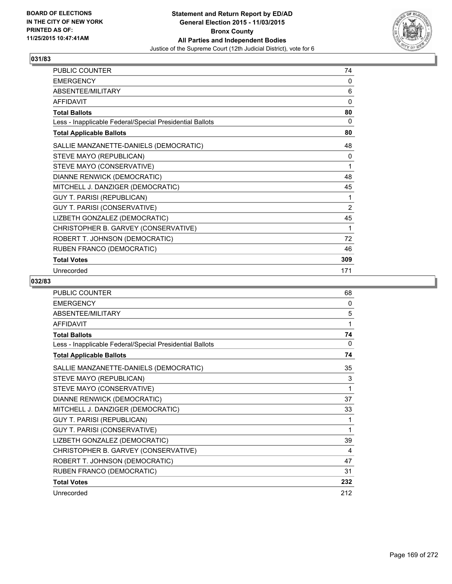

| PUBLIC COUNTER                                           | 74             |
|----------------------------------------------------------|----------------|
| <b>EMERGENCY</b>                                         | 0              |
| ABSENTEE/MILITARY                                        | 6              |
| <b>AFFIDAVIT</b>                                         | 0              |
| <b>Total Ballots</b>                                     | 80             |
| Less - Inapplicable Federal/Special Presidential Ballots | 0              |
| <b>Total Applicable Ballots</b>                          | 80             |
| SALLIE MANZANETTE-DANIELS (DEMOCRATIC)                   | 48             |
| STEVE MAYO (REPUBLICAN)                                  | 0              |
| STEVE MAYO (CONSERVATIVE)                                | 1              |
| DIANNE RENWICK (DEMOCRATIC)                              | 48             |
| MITCHELL J. DANZIGER (DEMOCRATIC)                        | 45             |
| <b>GUY T. PARISI (REPUBLICAN)</b>                        | 1              |
| GUY T. PARISI (CONSERVATIVE)                             | $\overline{2}$ |
| LIZBETH GONZALEZ (DEMOCRATIC)                            | 45             |
| CHRISTOPHER B. GARVEY (CONSERVATIVE)                     | 1              |
| ROBERT T. JOHNSON (DEMOCRATIC)                           | 72             |
| RUBEN FRANCO (DEMOCRATIC)                                | 46             |
| <b>Total Votes</b>                                       | 309            |
| Unrecorded                                               | 171            |

| <b>PUBLIC COUNTER</b>                                    | 68  |
|----------------------------------------------------------|-----|
| <b>EMERGENCY</b>                                         | 0   |
| ABSENTEE/MILITARY                                        | 5   |
| <b>AFFIDAVIT</b>                                         | 1   |
| <b>Total Ballots</b>                                     | 74  |
| Less - Inapplicable Federal/Special Presidential Ballots | 0   |
| <b>Total Applicable Ballots</b>                          | 74  |
| SALLIE MANZANETTE-DANIELS (DEMOCRATIC)                   | 35  |
| STEVE MAYO (REPUBLICAN)                                  | 3   |
| STEVE MAYO (CONSERVATIVE)                                | 1   |
| DIANNE RENWICK (DEMOCRATIC)                              | 37  |
| MITCHELL J. DANZIGER (DEMOCRATIC)                        | 33  |
| <b>GUY T. PARISI (REPUBLICAN)</b>                        | 1   |
| GUY T. PARISI (CONSERVATIVE)                             | 1   |
| LIZBETH GONZALEZ (DEMOCRATIC)                            | 39  |
| CHRISTOPHER B. GARVEY (CONSERVATIVE)                     | 4   |
| ROBERT T. JOHNSON (DEMOCRATIC)                           | 47  |
| RUBEN FRANCO (DEMOCRATIC)                                | 31  |
| <b>Total Votes</b>                                       | 232 |
| Unrecorded                                               | 212 |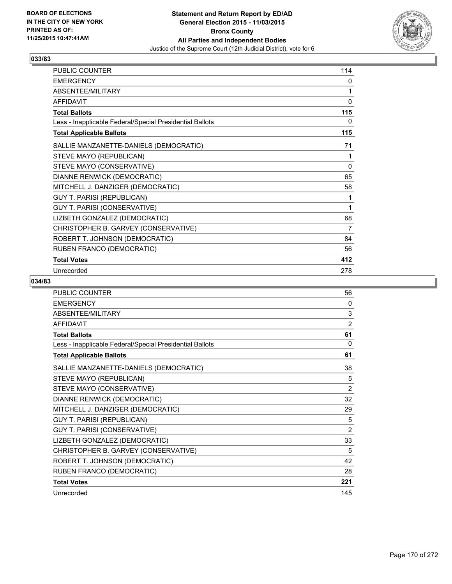

| PUBLIC COUNTER                                           | 114 |
|----------------------------------------------------------|-----|
| <b>EMERGENCY</b>                                         | 0   |
| ABSENTEE/MILITARY                                        | 1   |
| <b>AFFIDAVIT</b>                                         | 0   |
| <b>Total Ballots</b>                                     | 115 |
| Less - Inapplicable Federal/Special Presidential Ballots | 0   |
| <b>Total Applicable Ballots</b>                          | 115 |
| SALLIE MANZANETTE-DANIELS (DEMOCRATIC)                   | 71  |
| STEVE MAYO (REPUBLICAN)                                  | 1   |
| STEVE MAYO (CONSERVATIVE)                                | 0   |
| DIANNE RENWICK (DEMOCRATIC)                              | 65  |
| MITCHELL J. DANZIGER (DEMOCRATIC)                        | 58  |
| <b>GUY T. PARISI (REPUBLICAN)</b>                        | 1   |
| <b>GUY T. PARISI (CONSERVATIVE)</b>                      | 1   |
| LIZBETH GONZALEZ (DEMOCRATIC)                            | 68  |
| CHRISTOPHER B. GARVEY (CONSERVATIVE)                     | 7   |
| ROBERT T. JOHNSON (DEMOCRATIC)                           | 84  |
| RUBEN FRANCO (DEMOCRATIC)                                | 56  |
| <b>Total Votes</b>                                       | 412 |
| Unrecorded                                               | 278 |

| <b>PUBLIC COUNTER</b>                                    | 56  |
|----------------------------------------------------------|-----|
| <b>EMERGENCY</b>                                         | 0   |
| ABSENTEE/MILITARY                                        | 3   |
| <b>AFFIDAVIT</b>                                         | 2   |
| <b>Total Ballots</b>                                     | 61  |
| Less - Inapplicable Federal/Special Presidential Ballots | 0   |
| <b>Total Applicable Ballots</b>                          | 61  |
| SALLIE MANZANETTE-DANIELS (DEMOCRATIC)                   | 38  |
| STEVE MAYO (REPUBLICAN)                                  | 5   |
| STEVE MAYO (CONSERVATIVE)                                | 2   |
| DIANNE RENWICK (DEMOCRATIC)                              | 32  |
| MITCHELL J. DANZIGER (DEMOCRATIC)                        | 29  |
| <b>GUY T. PARISI (REPUBLICAN)</b>                        | 5   |
| GUY T. PARISI (CONSERVATIVE)                             | 2   |
| LIZBETH GONZALEZ (DEMOCRATIC)                            | 33  |
| CHRISTOPHER B. GARVEY (CONSERVATIVE)                     | 5   |
| ROBERT T. JOHNSON (DEMOCRATIC)                           | 42  |
| RUBEN FRANCO (DEMOCRATIC)                                | 28  |
| <b>Total Votes</b>                                       | 221 |
| Unrecorded                                               | 145 |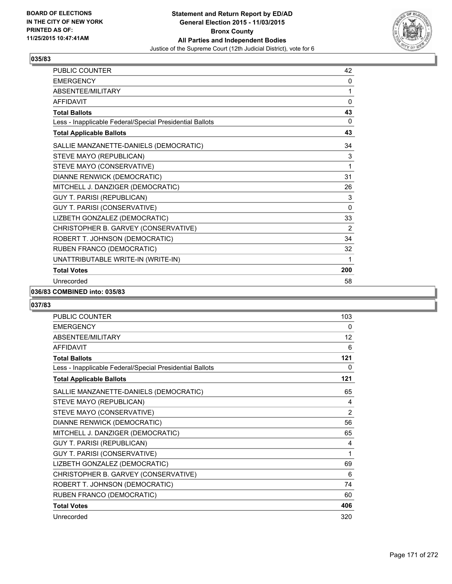

| PUBLIC COUNTER                                           | 42           |
|----------------------------------------------------------|--------------|
| <b>EMERGENCY</b>                                         | 0            |
| <b>ABSENTEE/MILITARY</b>                                 | 1            |
| <b>AFFIDAVIT</b>                                         | $\Omega$     |
| <b>Total Ballots</b>                                     | 43           |
| Less - Inapplicable Federal/Special Presidential Ballots | 0            |
| <b>Total Applicable Ballots</b>                          | 43           |
| SALLIE MANZANETTE-DANIELS (DEMOCRATIC)                   | 34           |
| STEVE MAYO (REPUBLICAN)                                  | 3            |
| STEVE MAYO (CONSERVATIVE)                                | 1            |
| DIANNE RENWICK (DEMOCRATIC)                              | 31           |
| MITCHELL J. DANZIGER (DEMOCRATIC)                        | 26           |
| <b>GUY T. PARISI (REPUBLICAN)</b>                        | 3            |
| GUY T. PARISI (CONSERVATIVE)                             | $\mathbf{0}$ |
| LIZBETH GONZALEZ (DEMOCRATIC)                            | 33           |
| CHRISTOPHER B. GARVEY (CONSERVATIVE)                     | 2            |
| ROBERT T. JOHNSON (DEMOCRATIC)                           | 34           |
| RUBEN FRANCO (DEMOCRATIC)                                | 32           |
| UNATTRIBUTABLE WRITE-IN (WRITE-IN)                       | 1            |
| <b>Total Votes</b>                                       | 200          |
| Unrecorded                                               | 58           |

#### **036/83 COMBINED into: 035/83**

| <b>PUBLIC COUNTER</b>                                    | 103            |
|----------------------------------------------------------|----------------|
| <b>EMERGENCY</b>                                         | 0              |
| <b>ABSENTEE/MILITARY</b>                                 | 12             |
| <b>AFFIDAVIT</b>                                         | 6              |
| <b>Total Ballots</b>                                     | 121            |
| Less - Inapplicable Federal/Special Presidential Ballots | 0              |
| <b>Total Applicable Ballots</b>                          | 121            |
| SALLIE MANZANETTE-DANIELS (DEMOCRATIC)                   | 65             |
| STEVE MAYO (REPUBLICAN)                                  | 4              |
| STEVE MAYO (CONSERVATIVE)                                | $\overline{2}$ |
| DIANNE RENWICK (DEMOCRATIC)                              | 56             |
| MITCHELL J. DANZIGER (DEMOCRATIC)                        | 65             |
| GUY T. PARISI (REPUBLICAN)                               | 4              |
| GUY T. PARISI (CONSERVATIVE)                             | 1              |
| LIZBETH GONZALEZ (DEMOCRATIC)                            | 69             |
| CHRISTOPHER B. GARVEY (CONSERVATIVE)                     | 6              |
| ROBERT T. JOHNSON (DEMOCRATIC)                           | 74             |
| RUBEN FRANCO (DEMOCRATIC)                                | 60             |
| <b>Total Votes</b>                                       | 406            |
| Unrecorded                                               | 320            |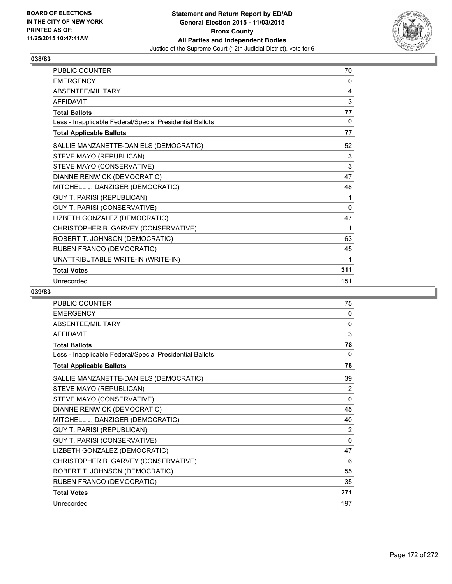

| <b>PUBLIC COUNTER</b>                                    | 70  |
|----------------------------------------------------------|-----|
| <b>EMERGENCY</b>                                         | 0   |
| ABSENTEE/MILITARY                                        | 4   |
| <b>AFFIDAVIT</b>                                         | 3   |
| <b>Total Ballots</b>                                     | 77  |
| Less - Inapplicable Federal/Special Presidential Ballots | 0   |
| <b>Total Applicable Ballots</b>                          | 77  |
| SALLIE MANZANETTE-DANIELS (DEMOCRATIC)                   | 52  |
| STEVE MAYO (REPUBLICAN)                                  | 3   |
| STEVE MAYO (CONSERVATIVE)                                | 3   |
| DIANNE RENWICK (DEMOCRATIC)                              | 47  |
| MITCHELL J. DANZIGER (DEMOCRATIC)                        | 48  |
| <b>GUY T. PARISI (REPUBLICAN)</b>                        | 1   |
| GUY T. PARISI (CONSERVATIVE)                             | 0   |
| LIZBETH GONZALEZ (DEMOCRATIC)                            | 47  |
| CHRISTOPHER B. GARVEY (CONSERVATIVE)                     | 1   |
| ROBERT T. JOHNSON (DEMOCRATIC)                           | 63  |
| RUBEN FRANCO (DEMOCRATIC)                                | 45  |
| UNATTRIBUTABLE WRITE-IN (WRITE-IN)                       | 1   |
| <b>Total Votes</b>                                       | 311 |
| Unrecorded                                               | 151 |

| PUBLIC COUNTER                                           | 75  |
|----------------------------------------------------------|-----|
| <b>EMERGENCY</b>                                         | 0   |
| ABSENTEE/MILITARY                                        | 0   |
| <b>AFFIDAVIT</b>                                         | 3   |
| <b>Total Ballots</b>                                     | 78  |
| Less - Inapplicable Federal/Special Presidential Ballots | 0   |
| <b>Total Applicable Ballots</b>                          | 78  |
| SALLIE MANZANETTE-DANIELS (DEMOCRATIC)                   | 39  |
| STEVE MAYO (REPUBLICAN)                                  | 2   |
| STEVE MAYO (CONSERVATIVE)                                | 0   |
| DIANNE RENWICK (DEMOCRATIC)                              | 45  |
| MITCHELL J. DANZIGER (DEMOCRATIC)                        | 40  |
| <b>GUY T. PARISI (REPUBLICAN)</b>                        | 2   |
| GUY T. PARISI (CONSERVATIVE)                             | 0   |
| LIZBETH GONZALEZ (DEMOCRATIC)                            | 47  |
| CHRISTOPHER B. GARVEY (CONSERVATIVE)                     | 6   |
| ROBERT T. JOHNSON (DEMOCRATIC)                           | 55  |
| RUBEN FRANCO (DEMOCRATIC)                                | 35  |
| <b>Total Votes</b>                                       | 271 |
| Unrecorded                                               | 197 |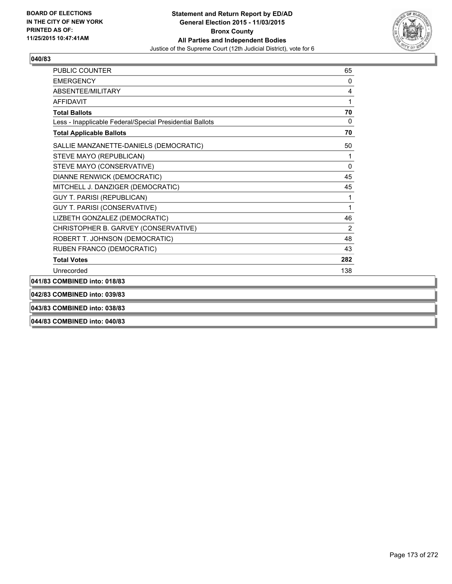

| <b>PUBLIC COUNTER</b>                                    | 65  |
|----------------------------------------------------------|-----|
| <b>EMERGENCY</b>                                         | 0   |
| ABSENTEE/MILITARY                                        | 4   |
| <b>AFFIDAVIT</b>                                         | 1   |
| <b>Total Ballots</b>                                     | 70  |
| Less - Inapplicable Federal/Special Presidential Ballots | 0   |
| <b>Total Applicable Ballots</b>                          | 70  |
| SALLIE MANZANETTE-DANIELS (DEMOCRATIC)                   | 50  |
| STEVE MAYO (REPUBLICAN)                                  | 1   |
| STEVE MAYO (CONSERVATIVE)                                | 0   |
| DIANNE RENWICK (DEMOCRATIC)                              | 45  |
| MITCHELL J. DANZIGER (DEMOCRATIC)                        | 45  |
| <b>GUY T. PARISI (REPUBLICAN)</b>                        | 1   |
| GUY T. PARISI (CONSERVATIVE)                             | 1   |
| LIZBETH GONZALEZ (DEMOCRATIC)                            | 46  |
| CHRISTOPHER B. GARVEY (CONSERVATIVE)                     | 2   |
| ROBERT T. JOHNSON (DEMOCRATIC)                           | 48  |
| RUBEN FRANCO (DEMOCRATIC)                                | 43  |
| <b>Total Votes</b>                                       | 282 |
| Unrecorded                                               | 138 |
| 041/83 COMBINED into: 018/83                             |     |
| 042/83 COMBINED into: 039/83                             |     |
| 043/83 COMBINED into: 038/83                             |     |

**044/83 COMBINED into: 040/83**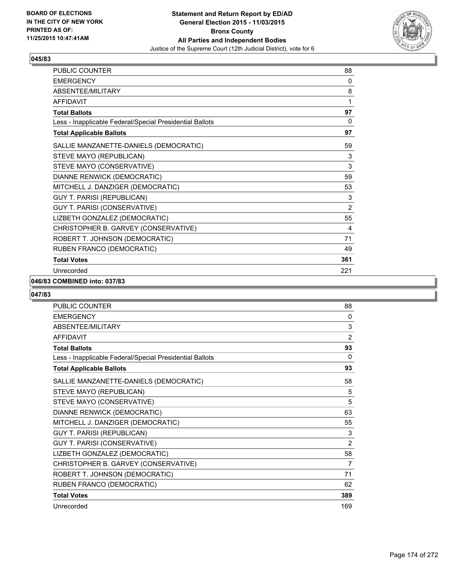

| PUBLIC COUNTER                                           | 88             |
|----------------------------------------------------------|----------------|
| <b>EMERGENCY</b>                                         | 0              |
| ABSENTEE/MILITARY                                        | 8              |
| <b>AFFIDAVIT</b>                                         | 1              |
| <b>Total Ballots</b>                                     | 97             |
| Less - Inapplicable Federal/Special Presidential Ballots | $\mathbf{0}$   |
| <b>Total Applicable Ballots</b>                          | 97             |
| SALLIE MANZANETTE-DANIELS (DEMOCRATIC)                   | 59             |
| STEVE MAYO (REPUBLICAN)                                  | 3              |
| STEVE MAYO (CONSERVATIVE)                                | 3              |
| DIANNE RENWICK (DEMOCRATIC)                              | 59             |
| MITCHELL J. DANZIGER (DEMOCRATIC)                        | 53             |
| <b>GUY T. PARISI (REPUBLICAN)</b>                        | 3              |
| GUY T. PARISI (CONSERVATIVE)                             | $\overline{2}$ |
| LIZBETH GONZALEZ (DEMOCRATIC)                            | 55             |
| CHRISTOPHER B. GARVEY (CONSERVATIVE)                     | 4              |
| ROBERT T. JOHNSON (DEMOCRATIC)                           | 71             |
| RUBEN FRANCO (DEMOCRATIC)                                | 49             |
| <b>Total Votes</b>                                       | 361            |
| Unrecorded                                               | 221            |

# **046/83 COMBINED into: 037/83**

| <b>PUBLIC COUNTER</b>                                    | 88             |
|----------------------------------------------------------|----------------|
| <b>EMERGENCY</b>                                         | 0              |
| ABSENTEE/MILITARY                                        | 3              |
| <b>AFFIDAVIT</b>                                         | $\overline{2}$ |
| <b>Total Ballots</b>                                     | 93             |
| Less - Inapplicable Federal/Special Presidential Ballots | $\mathbf{0}$   |
| <b>Total Applicable Ballots</b>                          | 93             |
| SALLIE MANZANETTE-DANIELS (DEMOCRATIC)                   | 58             |
| STEVE MAYO (REPUBLICAN)                                  | 5              |
| STEVE MAYO (CONSERVATIVE)                                | 5              |
| DIANNE RENWICK (DEMOCRATIC)                              | 63             |
| MITCHELL J. DANZIGER (DEMOCRATIC)                        | 55             |
| <b>GUY T. PARISI (REPUBLICAN)</b>                        | 3              |
| GUY T. PARISI (CONSERVATIVE)                             | 2              |
| LIZBETH GONZALEZ (DEMOCRATIC)                            | 58             |
| CHRISTOPHER B. GARVEY (CONSERVATIVE)                     | 7              |
| ROBERT T. JOHNSON (DEMOCRATIC)                           | 71             |
| RUBEN FRANCO (DEMOCRATIC)                                | 62             |
| <b>Total Votes</b>                                       | 389            |
| Unrecorded                                               | 169            |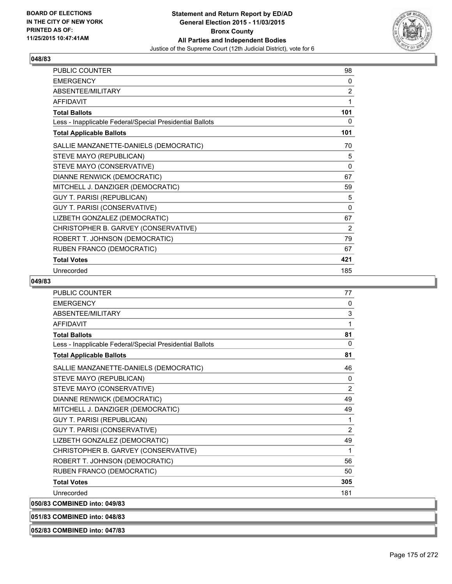

| PUBLIC COUNTER                                           | 98             |
|----------------------------------------------------------|----------------|
| <b>EMERGENCY</b>                                         | 0              |
| ABSENTEE/MILITARY                                        | $\overline{2}$ |
| <b>AFFIDAVIT</b>                                         | 1              |
| <b>Total Ballots</b>                                     | 101            |
| Less - Inapplicable Federal/Special Presidential Ballots | 0              |
| <b>Total Applicable Ballots</b>                          | 101            |
| SALLIE MANZANETTE-DANIELS (DEMOCRATIC)                   | 70             |
| STEVE MAYO (REPUBLICAN)                                  | 5              |
| STEVE MAYO (CONSERVATIVE)                                | $\Omega$       |
| DIANNE RENWICK (DEMOCRATIC)                              | 67             |
| MITCHELL J. DANZIGER (DEMOCRATIC)                        | 59             |
| <b>GUY T. PARISI (REPUBLICAN)</b>                        | 5              |
| <b>GUY T. PARISI (CONSERVATIVE)</b>                      | $\Omega$       |
| LIZBETH GONZALEZ (DEMOCRATIC)                            | 67             |
| CHRISTOPHER B. GARVEY (CONSERVATIVE)                     | 2              |
| ROBERT T. JOHNSON (DEMOCRATIC)                           | 79             |
| RUBEN FRANCO (DEMOCRATIC)                                | 67             |
| <b>Total Votes</b>                                       | 421            |
| Unrecorded                                               | 185            |

#### **049/83**

| PUBLIC COUNTER                                           | 77             |
|----------------------------------------------------------|----------------|
| <b>FMFRGFNCY</b>                                         | $\mathbf{0}$   |
| ABSENTEE/MILITARY                                        | 3              |
| <b>AFFIDAVIT</b>                                         | 1              |
| <b>Total Ballots</b>                                     | 81             |
| Less - Inapplicable Federal/Special Presidential Ballots | $\mathbf{0}$   |
| <b>Total Applicable Ballots</b>                          | 81             |
| SALLIE MANZANETTE-DANIELS (DEMOCRATIC)                   | 46             |
| STEVE MAYO (REPUBLICAN)                                  | 0              |
| STEVE MAYO (CONSERVATIVE)                                | 2              |
| DIANNE RENWICK (DEMOCRATIC)                              | 49             |
| MITCHELL J. DANZIGER (DEMOCRATIC)                        | 49             |
| <b>GUY T. PARISI (REPUBLICAN)</b>                        | 1              |
| <b>GUY T. PARISI (CONSERVATIVE)</b>                      | $\overline{2}$ |
| LIZBETH GONZALEZ (DEMOCRATIC)                            | 49             |
| CHRISTOPHER B. GARVEY (CONSERVATIVE)                     | 1              |
| ROBERT T. JOHNSON (DEMOCRATIC)                           | 56             |
| RUBEN FRANCO (DEMOCRATIC)                                | 50             |
| <b>Total Votes</b>                                       | 305            |
| Unrecorded                                               | 181            |
| 050/83 COMBINED into: 049/83                             |                |
|                                                          |                |

**051/83 COMBINED into: 048/83**

**052/83 COMBINED into: 047/83**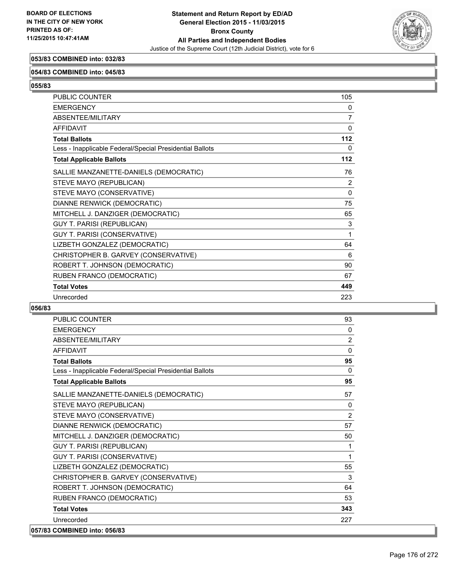

# **053/83 COMBINED into: 032/83**

#### **054/83 COMBINED into: 045/83**

**055/83** 

| PUBLIC COUNTER                                           | 105         |
|----------------------------------------------------------|-------------|
| <b>EMERGENCY</b>                                         | 0           |
| ABSENTEE/MILITARY                                        | 7           |
| <b>AFFIDAVIT</b>                                         | $\mathbf 0$ |
| <b>Total Ballots</b>                                     | 112         |
| Less - Inapplicable Federal/Special Presidential Ballots | 0           |
| <b>Total Applicable Ballots</b>                          | 112         |
| SALLIE MANZANETTE-DANIELS (DEMOCRATIC)                   | 76          |
| STEVE MAYO (REPUBLICAN)                                  | 2           |
| STEVE MAYO (CONSERVATIVE)                                | 0           |
| DIANNE RENWICK (DEMOCRATIC)                              | 75          |
| MITCHELL J. DANZIGER (DEMOCRATIC)                        | 65          |
| <b>GUY T. PARISI (REPUBLICAN)</b>                        | 3           |
| GUY T. PARISI (CONSERVATIVE)                             | 1           |
| LIZBETH GONZALEZ (DEMOCRATIC)                            | 64          |
| CHRISTOPHER B. GARVEY (CONSERVATIVE)                     | 6           |
| ROBERT T. JOHNSON (DEMOCRATIC)                           | 90          |
| RUBEN FRANCO (DEMOCRATIC)                                | 67          |
| <b>Total Votes</b>                                       | 449         |
| Unrecorded                                               | 223         |

| PUBLIC COUNTER                                           | 93             |
|----------------------------------------------------------|----------------|
| <b>EMERGENCY</b>                                         | 0              |
| ABSENTEE/MILITARY                                        | $\overline{2}$ |
| <b>AFFIDAVIT</b>                                         | $\mathbf{0}$   |
| <b>Total Ballots</b>                                     | 95             |
| Less - Inapplicable Federal/Special Presidential Ballots | $\Omega$       |
| <b>Total Applicable Ballots</b>                          | 95             |
| SALLIE MANZANETTE-DANIELS (DEMOCRATIC)                   | 57             |
| STEVE MAYO (REPUBLICAN)                                  | $\mathbf{0}$   |
| STEVE MAYO (CONSERVATIVE)                                | 2              |
| DIANNE RENWICK (DEMOCRATIC)                              | 57             |
| MITCHELL J. DANZIGER (DEMOCRATIC)                        | 50             |
| <b>GUY T. PARISI (REPUBLICAN)</b>                        | 1              |
| GUY T. PARISI (CONSERVATIVE)                             | 1              |
| LIZBETH GONZALEZ (DEMOCRATIC)                            | 55             |
| CHRISTOPHER B. GARVEY (CONSERVATIVE)                     | 3              |
| ROBERT T. JOHNSON (DEMOCRATIC)                           | 64             |
| RUBEN FRANCO (DEMOCRATIC)                                | 53             |
| <b>Total Votes</b>                                       | 343            |
| Unrecorded                                               | 227            |
| 057/83 COMBINED into: 056/83                             |                |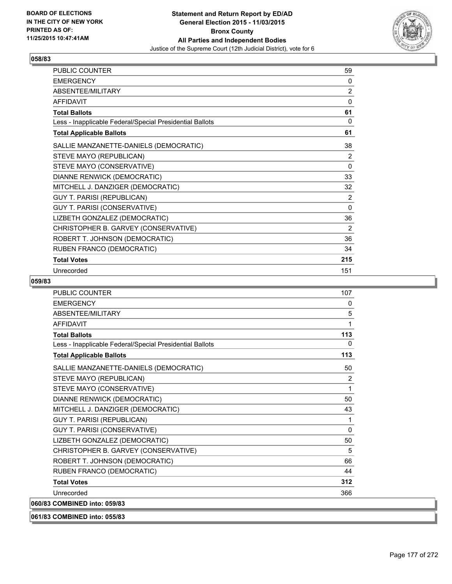

| PUBLIC COUNTER                                           | 59             |
|----------------------------------------------------------|----------------|
| <b>EMERGENCY</b>                                         | 0              |
| ABSENTEE/MILITARY                                        | $\overline{2}$ |
| <b>AFFIDAVIT</b>                                         | 0              |
| <b>Total Ballots</b>                                     | 61             |
| Less - Inapplicable Federal/Special Presidential Ballots | 0              |
| <b>Total Applicable Ballots</b>                          | 61             |
| SALLIE MANZANETTE-DANIELS (DEMOCRATIC)                   | 38             |
| STEVE MAYO (REPUBLICAN)                                  | $\overline{2}$ |
| STEVE MAYO (CONSERVATIVE)                                | $\Omega$       |
| DIANNE RENWICK (DEMOCRATIC)                              | 33             |
| MITCHELL J. DANZIGER (DEMOCRATIC)                        | 32             |
| <b>GUY T. PARISI (REPUBLICAN)</b>                        | $\overline{2}$ |
| GUY T. PARISI (CONSERVATIVE)                             | $\Omega$       |
| LIZBETH GONZALEZ (DEMOCRATIC)                            | 36             |
| CHRISTOPHER B. GARVEY (CONSERVATIVE)                     | 2              |
| ROBERT T. JOHNSON (DEMOCRATIC)                           | 36             |
| RUBEN FRANCO (DEMOCRATIC)                                | 34             |
| <b>Total Votes</b>                                       | 215            |
| Unrecorded                                               | 151            |

| <b>PUBLIC COUNTER</b>                                    | 107            |
|----------------------------------------------------------|----------------|
| <b>FMFRGFNCY</b>                                         | 0              |
| ABSENTEE/MILITARY                                        | 5              |
| AFFIDAVIT                                                | 1              |
| <b>Total Ballots</b>                                     | 113            |
| Less - Inapplicable Federal/Special Presidential Ballots | 0              |
| <b>Total Applicable Ballots</b>                          | 113            |
| SALLIE MANZANETTE-DANIELS (DEMOCRATIC)                   | 50             |
| STEVE MAYO (REPUBLICAN)                                  | $\overline{2}$ |
| STEVE MAYO (CONSERVATIVE)                                | 1              |
| DIANNE RENWICK (DEMOCRATIC)                              | 50             |
| MITCHELL J. DANZIGER (DEMOCRATIC)                        | 43             |
| <b>GUY T. PARISI (REPUBLICAN)</b>                        | 1              |
| <b>GUY T. PARISI (CONSERVATIVE)</b>                      | $\mathbf 0$    |
| LIZBETH GONZALEZ (DEMOCRATIC)                            | 50             |
| CHRISTOPHER B. GARVEY (CONSERVATIVE)                     | 5              |
| ROBERT T. JOHNSON (DEMOCRATIC)                           | 66             |
| RUBEN FRANCO (DEMOCRATIC)                                | 44             |
| <b>Total Votes</b>                                       | 312            |
| Unrecorded                                               | 366            |
| 060/83 COMBINED into: 059/83                             |                |
| 061/83 COMBINED into: 055/83                             |                |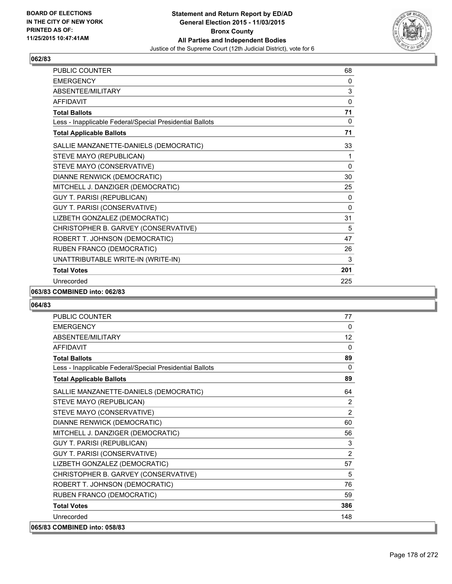

| PUBLIC COUNTER                                           | 68           |
|----------------------------------------------------------|--------------|
| <b>EMERGENCY</b>                                         | 0            |
| ABSENTEE/MILITARY                                        | 3            |
| <b>AFFIDAVIT</b>                                         | $\mathbf{0}$ |
| <b>Total Ballots</b>                                     | 71           |
| Less - Inapplicable Federal/Special Presidential Ballots | 0            |
| <b>Total Applicable Ballots</b>                          | 71           |
| SALLIE MANZANETTE-DANIELS (DEMOCRATIC)                   | 33           |
| STEVE MAYO (REPUBLICAN)                                  | 1            |
| STEVE MAYO (CONSERVATIVE)                                | 0            |
| DIANNE RENWICK (DEMOCRATIC)                              | 30           |
| MITCHELL J. DANZIGER (DEMOCRATIC)                        | 25           |
| <b>GUY T. PARISI (REPUBLICAN)</b>                        | 0            |
| GUY T. PARISI (CONSERVATIVE)                             | $\mathbf{0}$ |
| LIZBETH GONZALEZ (DEMOCRATIC)                            | 31           |
| CHRISTOPHER B. GARVEY (CONSERVATIVE)                     | 5            |
| ROBERT T. JOHNSON (DEMOCRATIC)                           | 47           |
| RUBEN FRANCO (DEMOCRATIC)                                | 26           |
| UNATTRIBUTABLE WRITE-IN (WRITE-IN)                       | 3            |
| <b>Total Votes</b>                                       | 201          |
| Unrecorded                                               | 225          |

#### **063/83 COMBINED into: 062/83**

| <b>PUBLIC COUNTER</b>                                    | 77       |
|----------------------------------------------------------|----------|
| <b>EMERGENCY</b>                                         | 0        |
| ABSENTEE/MILITARY                                        | 12       |
| <b>AFFIDAVIT</b>                                         | $\Omega$ |
| <b>Total Ballots</b>                                     | 89       |
| Less - Inapplicable Federal/Special Presidential Ballots | $\Omega$ |
| <b>Total Applicable Ballots</b>                          | 89       |
| SALLIE MANZANETTE-DANIELS (DEMOCRATIC)                   | 64       |
| STEVE MAYO (REPUBLICAN)                                  | 2        |
| STEVE MAYO (CONSERVATIVE)                                | 2        |
| DIANNE RENWICK (DEMOCRATIC)                              | 60       |
| MITCHELL J. DANZIGER (DEMOCRATIC)                        | 56       |
| <b>GUY T. PARISI (REPUBLICAN)</b>                        | 3        |
| GUY T. PARISI (CONSERVATIVE)                             | 2        |
| LIZBETH GONZALEZ (DEMOCRATIC)                            | 57       |
| CHRISTOPHER B. GARVEY (CONSERVATIVE)                     | 5        |
| ROBERT T. JOHNSON (DEMOCRATIC)                           | 76       |
| RUBEN FRANCO (DEMOCRATIC)                                | 59       |
| <b>Total Votes</b>                                       | 386      |
| Unrecorded                                               | 148      |
| 065/83 COMBINED into: 058/83                             |          |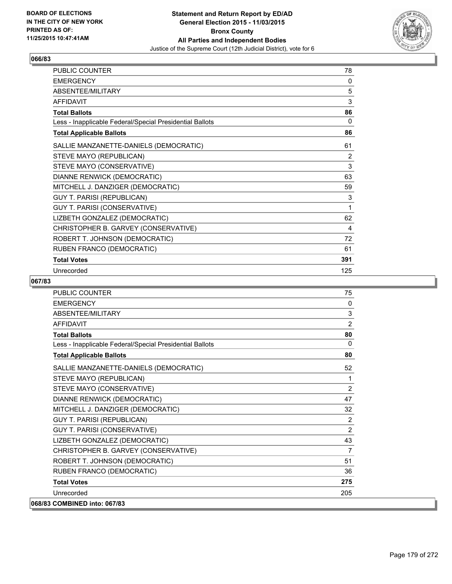

| PUBLIC COUNTER                                           | 78             |
|----------------------------------------------------------|----------------|
| <b>EMERGENCY</b>                                         | 0              |
| ABSENTEE/MILITARY                                        | 5              |
| <b>AFFIDAVIT</b>                                         | 3              |
| <b>Total Ballots</b>                                     | 86             |
| Less - Inapplicable Federal/Special Presidential Ballots | 0              |
| <b>Total Applicable Ballots</b>                          | 86             |
| SALLIE MANZANETTE-DANIELS (DEMOCRATIC)                   | 61             |
| STEVE MAYO (REPUBLICAN)                                  | $\overline{2}$ |
| STEVE MAYO (CONSERVATIVE)                                | 3              |
| DIANNE RENWICK (DEMOCRATIC)                              | 63             |
| MITCHELL J. DANZIGER (DEMOCRATIC)                        | 59             |
| <b>GUY T. PARISI (REPUBLICAN)</b>                        | 3              |
| <b>GUY T. PARISI (CONSERVATIVE)</b>                      | 1              |
| LIZBETH GONZALEZ (DEMOCRATIC)                            | 62             |
| CHRISTOPHER B. GARVEY (CONSERVATIVE)                     | 4              |
| ROBERT T. JOHNSON (DEMOCRATIC)                           | 72             |
| RUBEN FRANCO (DEMOCRATIC)                                | 61             |
| <b>Total Votes</b>                                       | 391            |
| Unrecorded                                               | 125            |

| PUBLIC COUNTER                                           | 75             |
|----------------------------------------------------------|----------------|
| <b>EMERGENCY</b>                                         | $\Omega$       |
| ABSENTEE/MILITARY                                        | 3              |
| <b>AFFIDAVIT</b>                                         | 2              |
| <b>Total Ballots</b>                                     | 80             |
| Less - Inapplicable Federal/Special Presidential Ballots | $\Omega$       |
| <b>Total Applicable Ballots</b>                          | 80             |
| SALLIE MANZANETTE-DANIELS (DEMOCRATIC)                   | 52             |
| STEVE MAYO (REPUBLICAN)                                  | 1              |
| STEVE MAYO (CONSERVATIVE)                                | 2              |
| DIANNE RENWICK (DEMOCRATIC)                              | 47             |
| MITCHELL J. DANZIGER (DEMOCRATIC)                        | 32             |
| <b>GUY T. PARISI (REPUBLICAN)</b>                        | 2              |
| GUY T. PARISI (CONSERVATIVE)                             | 2              |
| LIZBETH GONZALEZ (DEMOCRATIC)                            | 43             |
| CHRISTOPHER B. GARVEY (CONSERVATIVE)                     | $\overline{7}$ |
| ROBERT T. JOHNSON (DEMOCRATIC)                           | 51             |
| RUBEN FRANCO (DEMOCRATIC)                                | 36             |
| <b>Total Votes</b>                                       | 275            |
| Unrecorded                                               | 205            |
| 068/83 COMBINED into: 067/83                             |                |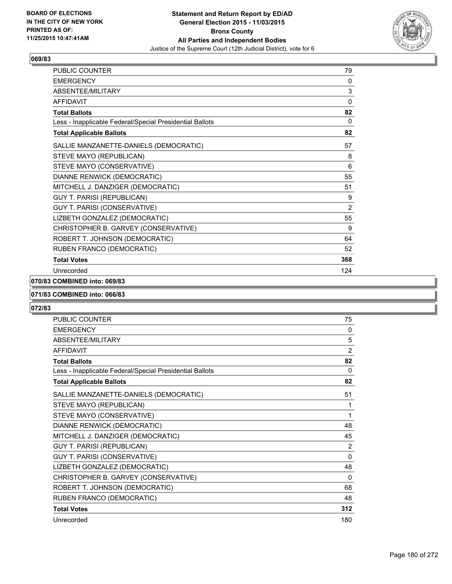

| PUBLIC COUNTER                                           | 79             |
|----------------------------------------------------------|----------------|
| <b>EMERGENCY</b>                                         | 0              |
| ABSENTEE/MILITARY                                        | 3              |
| <b>AFFIDAVIT</b>                                         | $\mathbf{0}$   |
| <b>Total Ballots</b>                                     | 82             |
| Less - Inapplicable Federal/Special Presidential Ballots | $\mathbf{0}$   |
| <b>Total Applicable Ballots</b>                          | 82             |
| SALLIE MANZANETTE-DANIELS (DEMOCRATIC)                   | 57             |
| STEVE MAYO (REPUBLICAN)                                  | 8              |
| STEVE MAYO (CONSERVATIVE)                                | 6              |
| DIANNE RENWICK (DEMOCRATIC)                              | 55             |
| MITCHELL J. DANZIGER (DEMOCRATIC)                        | 51             |
| <b>GUY T. PARISI (REPUBLICAN)</b>                        | 9              |
| GUY T. PARISI (CONSERVATIVE)                             | $\overline{2}$ |
| LIZBETH GONZALEZ (DEMOCRATIC)                            | 55             |
| CHRISTOPHER B. GARVEY (CONSERVATIVE)                     | 9              |
| ROBERT T. JOHNSON (DEMOCRATIC)                           | 64             |
| RUBEN FRANCO (DEMOCRATIC)                                | 52             |
| <b>Total Votes</b>                                       | 368            |
| Unrecorded                                               | 124            |

# **070/83 COMBINED into: 069/83**

#### **071/83 COMBINED into: 066/83**

| <b>PUBLIC COUNTER</b>                                    | 75             |
|----------------------------------------------------------|----------------|
| <b>EMERGENCY</b>                                         | 0              |
| ABSENTEE/MILITARY                                        | 5              |
| <b>AFFIDAVIT</b>                                         | $\overline{2}$ |
| <b>Total Ballots</b>                                     | 82             |
| Less - Inapplicable Federal/Special Presidential Ballots | $\Omega$       |
| <b>Total Applicable Ballots</b>                          | 82             |
| SALLIE MANZANETTE-DANIELS (DEMOCRATIC)                   | 51             |
| STEVE MAYO (REPUBLICAN)                                  | 1              |
| STEVE MAYO (CONSERVATIVE)                                | 1              |
| DIANNE RENWICK (DEMOCRATIC)                              | 48             |
| MITCHELL J. DANZIGER (DEMOCRATIC)                        | 45             |
| <b>GUY T. PARISI (REPUBLICAN)</b>                        | 2              |
| GUY T. PARISI (CONSERVATIVE)                             | 0              |
| LIZBETH GONZALEZ (DEMOCRATIC)                            | 48             |
| CHRISTOPHER B. GARVEY (CONSERVATIVE)                     | $\Omega$       |
| ROBERT T. JOHNSON (DEMOCRATIC)                           | 68             |
| RUBEN FRANCO (DEMOCRATIC)                                | 48             |
| <b>Total Votes</b>                                       | 312            |
| Unrecorded                                               | 180            |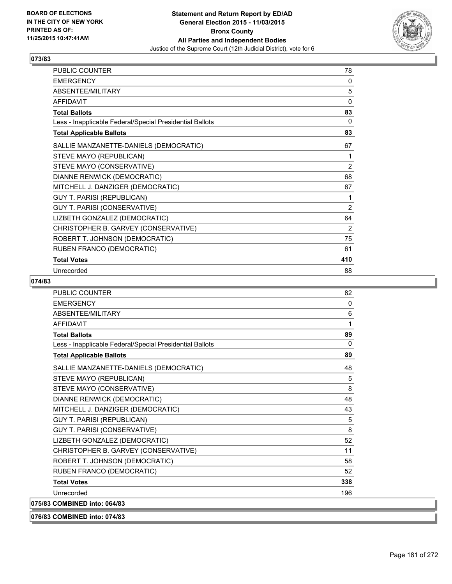

| PUBLIC COUNTER                                           | 78             |
|----------------------------------------------------------|----------------|
| <b>EMERGENCY</b>                                         | 0              |
| ABSENTEE/MILITARY                                        | 5              |
| <b>AFFIDAVIT</b>                                         | 0              |
| <b>Total Ballots</b>                                     | 83             |
| Less - Inapplicable Federal/Special Presidential Ballots | 0              |
| <b>Total Applicable Ballots</b>                          | 83             |
| SALLIE MANZANETTE-DANIELS (DEMOCRATIC)                   | 67             |
| STEVE MAYO (REPUBLICAN)                                  | 1              |
| STEVE MAYO (CONSERVATIVE)                                | 2              |
| DIANNE RENWICK (DEMOCRATIC)                              | 68             |
| MITCHELL J. DANZIGER (DEMOCRATIC)                        | 67             |
| <b>GUY T. PARISI (REPUBLICAN)</b>                        | 1              |
| GUY T. PARISI (CONSERVATIVE)                             | $\overline{2}$ |
| LIZBETH GONZALEZ (DEMOCRATIC)                            | 64             |
| CHRISTOPHER B. GARVEY (CONSERVATIVE)                     | 2              |
| ROBERT T. JOHNSON (DEMOCRATIC)                           | 75             |
| RUBEN FRANCO (DEMOCRATIC)                                | 61             |
| <b>Total Votes</b>                                       | 410            |
| Unrecorded                                               | 88             |

| <b>PUBLIC COUNTER</b>                                    | 82  |
|----------------------------------------------------------|-----|
| <b>EMERGENCY</b>                                         | 0   |
| ABSENTEE/MILITARY                                        | 6   |
| <b>AFFIDAVIT</b>                                         | 1   |
| <b>Total Ballots</b>                                     | 89  |
| Less - Inapplicable Federal/Special Presidential Ballots | 0   |
| <b>Total Applicable Ballots</b>                          | 89  |
| SALLIE MANZANETTE-DANIELS (DEMOCRATIC)                   | 48  |
| STEVE MAYO (REPUBLICAN)                                  | 5   |
| STEVE MAYO (CONSERVATIVE)                                | 8   |
| DIANNE RENWICK (DEMOCRATIC)                              | 48  |
| MITCHELL J. DANZIGER (DEMOCRATIC)                        | 43  |
| <b>GUY T. PARISI (REPUBLICAN)</b>                        | 5   |
| <b>GUY T. PARISI (CONSERVATIVE)</b>                      | 8   |
| LIZBETH GONZALEZ (DEMOCRATIC)                            | 52  |
| CHRISTOPHER B. GARVEY (CONSERVATIVE)                     | 11  |
| ROBERT T. JOHNSON (DEMOCRATIC)                           | 58  |
| RUBEN FRANCO (DEMOCRATIC)                                | 52  |
| <b>Total Votes</b>                                       | 338 |
| Unrecorded                                               | 196 |
| 075/83 COMBINED into: 064/83                             |     |
| 076/83 COMBINED into: 074/83                             |     |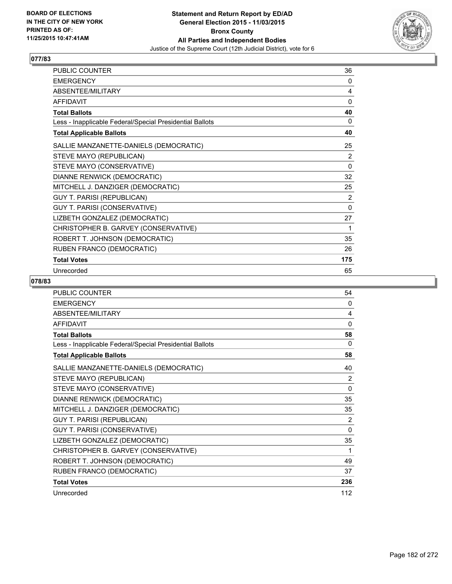

| PUBLIC COUNTER                                           | 36       |
|----------------------------------------------------------|----------|
| <b>EMERGENCY</b>                                         | 0        |
| ABSENTEE/MILITARY                                        | 4        |
| <b>AFFIDAVIT</b>                                         | 0        |
| <b>Total Ballots</b>                                     | 40       |
| Less - Inapplicable Federal/Special Presidential Ballots | 0        |
| <b>Total Applicable Ballots</b>                          | 40       |
| SALLIE MANZANETTE-DANIELS (DEMOCRATIC)                   | 25       |
| STEVE MAYO (REPUBLICAN)                                  | 2        |
| STEVE MAYO (CONSERVATIVE)                                | $\Omega$ |
| DIANNE RENWICK (DEMOCRATIC)                              | 32       |
| MITCHELL J. DANZIGER (DEMOCRATIC)                        | 25       |
| GUY T. PARISI (REPUBLICAN)                               | 2        |
| GUY T. PARISI (CONSERVATIVE)                             | 0        |
| LIZBETH GONZALEZ (DEMOCRATIC)                            | 27       |
| CHRISTOPHER B. GARVEY (CONSERVATIVE)                     | 1        |
| ROBERT T. JOHNSON (DEMOCRATIC)                           | 35       |
| RUBEN FRANCO (DEMOCRATIC)                                | 26       |
| <b>Total Votes</b>                                       | 175      |
| Unrecorded                                               | 65       |

| <b>PUBLIC COUNTER</b>                                    | 54           |
|----------------------------------------------------------|--------------|
| <b>EMERGENCY</b>                                         | 0            |
| ABSENTEE/MILITARY                                        | 4            |
| <b>AFFIDAVIT</b>                                         | $\mathbf{0}$ |
| <b>Total Ballots</b>                                     | 58           |
| Less - Inapplicable Federal/Special Presidential Ballots | $\Omega$     |
| <b>Total Applicable Ballots</b>                          | 58           |
| SALLIE MANZANETTE-DANIELS (DEMOCRATIC)                   | 40           |
| STEVE MAYO (REPUBLICAN)                                  | 2            |
| STEVE MAYO (CONSERVATIVE)                                | $\mathbf{0}$ |
| DIANNE RENWICK (DEMOCRATIC)                              | 35           |
| MITCHELL J. DANZIGER (DEMOCRATIC)                        | 35           |
| <b>GUY T. PARISI (REPUBLICAN)</b>                        | 2            |
| GUY T. PARISI (CONSERVATIVE)                             | $\Omega$     |
| LIZBETH GONZALEZ (DEMOCRATIC)                            | 35           |
| CHRISTOPHER B. GARVEY (CONSERVATIVE)                     | 1            |
| ROBERT T. JOHNSON (DEMOCRATIC)                           | 49           |
| RUBEN FRANCO (DEMOCRATIC)                                | 37           |
| <b>Total Votes</b>                                       | 236          |
| Unrecorded                                               | 112          |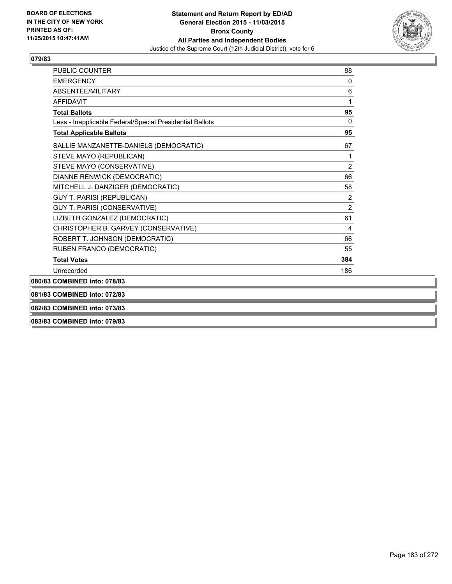

| <b>PUBLIC COUNTER</b>                                    | 88             |
|----------------------------------------------------------|----------------|
| <b>EMERGENCY</b>                                         | $\mathbf{0}$   |
| ABSENTEE/MILITARY                                        | 6              |
| <b>AFFIDAVIT</b>                                         | 1              |
| <b>Total Ballots</b>                                     | 95             |
| Less - Inapplicable Federal/Special Presidential Ballots | 0              |
| <b>Total Applicable Ballots</b>                          | 95             |
| SALLIE MANZANETTE-DANIELS (DEMOCRATIC)                   | 67             |
| STEVE MAYO (REPUBLICAN)                                  | 1              |
| STEVE MAYO (CONSERVATIVE)                                | $\overline{2}$ |
| DIANNE RENWICK (DEMOCRATIC)                              | 66             |
| MITCHELL J. DANZIGER (DEMOCRATIC)                        | 58             |
| <b>GUY T. PARISI (REPUBLICAN)</b>                        | $\overline{2}$ |
| <b>GUY T. PARISI (CONSERVATIVE)</b>                      | $\overline{2}$ |
| LIZBETH GONZALEZ (DEMOCRATIC)                            | 61             |
| CHRISTOPHER B. GARVEY (CONSERVATIVE)                     | 4              |
| ROBERT T. JOHNSON (DEMOCRATIC)                           | 66             |
| RUBEN FRANCO (DEMOCRATIC)                                | 55             |
| <b>Total Votes</b>                                       | 384            |
| Unrecorded                                               | 186            |
| 080/83 COMBINED into: 078/83                             |                |
| 081/83 COMBINED into: 072/83                             |                |
| 082/83 COMBINED into: 073/83                             |                |

**083/83 COMBINED into: 079/83**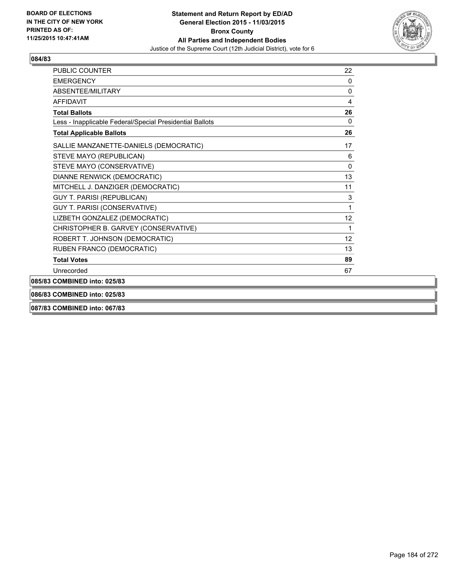

| 22        |
|-----------|
| 0         |
| 0         |
| 4         |
| 26        |
| $\Omega$  |
| 26        |
| 17        |
| 6         |
| $\pmb{0}$ |
| 13        |
| 11        |
| 3         |
|           |
| 12        |
|           |
| 12        |
| 13        |
| 89        |
| 67        |
|           |
|           |
|           |

**087/83 COMBINED into: 067/83**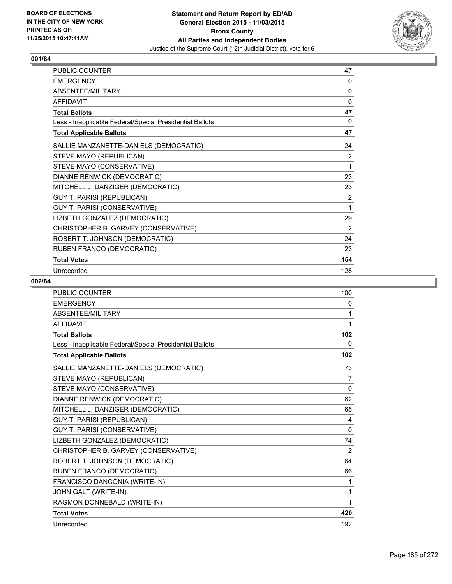

| <b>PUBLIC COUNTER</b>                                    | 47  |
|----------------------------------------------------------|-----|
| <b>EMERGENCY</b>                                         | 0   |
| ABSENTEE/MILITARY                                        | 0   |
| <b>AFFIDAVIT</b>                                         | 0   |
| <b>Total Ballots</b>                                     | 47  |
| Less - Inapplicable Federal/Special Presidential Ballots | 0   |
| <b>Total Applicable Ballots</b>                          | 47  |
| SALLIE MANZANETTE-DANIELS (DEMOCRATIC)                   | 24  |
| STEVE MAYO (REPUBLICAN)                                  | 2   |
| STEVE MAYO (CONSERVATIVE)                                | 1   |
| DIANNE RENWICK (DEMOCRATIC)                              | 23  |
| MITCHELL J. DANZIGER (DEMOCRATIC)                        | 23  |
| <b>GUY T. PARISI (REPUBLICAN)</b>                        | 2   |
| GUY T. PARISI (CONSERVATIVE)                             | 1   |
| LIZBETH GONZALEZ (DEMOCRATIC)                            | 29  |
| CHRISTOPHER B. GARVEY (CONSERVATIVE)                     | 2   |
| ROBERT T. JOHNSON (DEMOCRATIC)                           | 24  |
| RUBEN FRANCO (DEMOCRATIC)                                | 23  |
| <b>Total Votes</b>                                       | 154 |
| Unrecorded                                               | 128 |

| <b>PUBLIC COUNTER</b>                                    | 100          |
|----------------------------------------------------------|--------------|
| <b>EMERGENCY</b>                                         | 0            |
| ABSENTEE/MILITARY                                        | 1            |
| <b>AFFIDAVIT</b>                                         | 1            |
| <b>Total Ballots</b>                                     | 102          |
| Less - Inapplicable Federal/Special Presidential Ballots | 0            |
| <b>Total Applicable Ballots</b>                          | 102          |
| SALLIE MANZANETTE-DANIELS (DEMOCRATIC)                   | 73           |
| STEVE MAYO (REPUBLICAN)                                  | 7            |
| STEVE MAYO (CONSERVATIVE)                                | 0            |
| DIANNE RENWICK (DEMOCRATIC)                              | 62           |
| MITCHELL J. DANZIGER (DEMOCRATIC)                        | 65           |
| <b>GUY T. PARISI (REPUBLICAN)</b>                        | 4            |
| GUY T. PARISI (CONSERVATIVE)                             | $\mathbf{0}$ |
| LIZBETH GONZALEZ (DEMOCRATIC)                            | 74           |
| CHRISTOPHER B. GARVEY (CONSERVATIVE)                     | 2            |
| ROBERT T. JOHNSON (DEMOCRATIC)                           | 64           |
| RUBEN FRANCO (DEMOCRATIC)                                | 66           |
| FRANCISCO DANCONIA (WRITE-IN)                            | 1            |
| JOHN GALT (WRITE-IN)                                     | 1            |
| RAGMON DONNEBALD (WRITE-IN)                              | 1            |
| <b>Total Votes</b>                                       | 420          |
| Unrecorded                                               | 192          |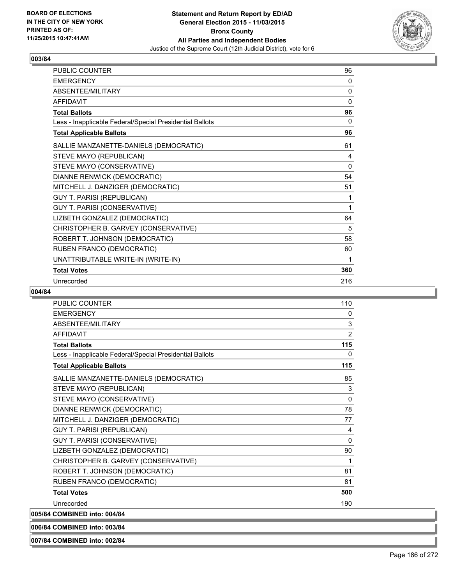

| <b>PUBLIC COUNTER</b>                                    | 96  |
|----------------------------------------------------------|-----|
| <b>EMERGENCY</b>                                         | 0   |
| ABSENTEE/MILITARY                                        | 0   |
| <b>AFFIDAVIT</b>                                         | 0   |
| <b>Total Ballots</b>                                     | 96  |
| Less - Inapplicable Federal/Special Presidential Ballots | 0   |
| <b>Total Applicable Ballots</b>                          | 96  |
| SALLIE MANZANETTE-DANIELS (DEMOCRATIC)                   | 61  |
| STEVE MAYO (REPUBLICAN)                                  | 4   |
| STEVE MAYO (CONSERVATIVE)                                | 0   |
| DIANNE RENWICK (DEMOCRATIC)                              | 54  |
| MITCHELL J. DANZIGER (DEMOCRATIC)                        | 51  |
| <b>GUY T. PARISI (REPUBLICAN)</b>                        | 1   |
| GUY T. PARISI (CONSERVATIVE)                             | 1   |
| LIZBETH GONZALEZ (DEMOCRATIC)                            | 64  |
| CHRISTOPHER B. GARVEY (CONSERVATIVE)                     | 5   |
| ROBERT T. JOHNSON (DEMOCRATIC)                           | 58  |
| RUBEN FRANCO (DEMOCRATIC)                                | 60  |
| UNATTRIBUTABLE WRITE-IN (WRITE-IN)                       | 1   |
| <b>Total Votes</b>                                       | 360 |
| Unrecorded                                               | 216 |

# **004/84**

| <b>PUBLIC COUNTER</b>                                    | 110          |
|----------------------------------------------------------|--------------|
| <b>FMFRGFNCY</b>                                         | 0            |
| ABSENTEE/MILITARY                                        | 3            |
| <b>AFFIDAVIT</b>                                         | 2            |
| <b>Total Ballots</b>                                     | 115          |
| Less - Inapplicable Federal/Special Presidential Ballots | 0            |
| <b>Total Applicable Ballots</b>                          | 115          |
| SALLIE MANZANETTE-DANIELS (DEMOCRATIC)                   | 85           |
| STEVE MAYO (REPUBLICAN)                                  | 3            |
| STEVE MAYO (CONSERVATIVE)                                | $\mathbf{0}$ |
| DIANNE RENWICK (DEMOCRATIC)                              | 78           |
| MITCHELL J. DANZIGER (DEMOCRATIC)                        | 77           |
| <b>GUY T. PARISI (REPUBLICAN)</b>                        | 4            |
| GUY T. PARISI (CONSERVATIVE)                             | 0            |
| LIZBETH GONZALEZ (DEMOCRATIC)                            | 90           |
| CHRISTOPHER B. GARVEY (CONSERVATIVE)                     | 1            |
| ROBERT T. JOHNSON (DEMOCRATIC)                           | 81           |
| RUBEN FRANCO (DEMOCRATIC)                                | 81           |
| <b>Total Votes</b>                                       | 500          |
| Unrecorded                                               | 190          |
| 005/84 COMBINED into: 004/84                             |              |

**006/84 COMBINED into: 003/84**

**007/84 COMBINED into: 002/84**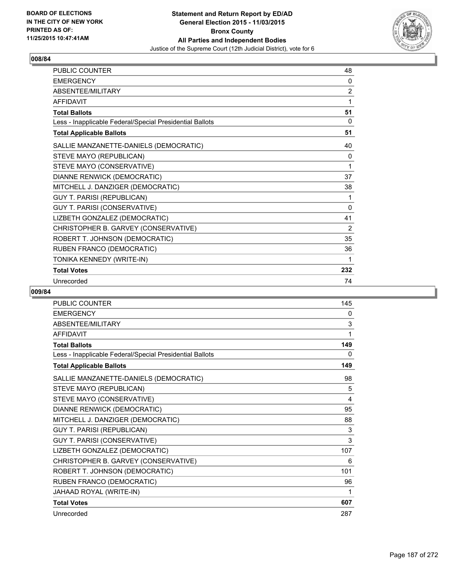

| <b>PUBLIC COUNTER</b>                                    | 48             |
|----------------------------------------------------------|----------------|
| <b>EMERGENCY</b>                                         | 0              |
| <b>ABSENTFF/MILITARY</b>                                 | $\overline{2}$ |
| <b>AFFIDAVIT</b>                                         | 1              |
| <b>Total Ballots</b>                                     | 51             |
| Less - Inapplicable Federal/Special Presidential Ballots | 0              |
| <b>Total Applicable Ballots</b>                          | 51             |
| SALLIE MANZANETTE-DANIELS (DEMOCRATIC)                   | 40             |
| STEVE MAYO (REPUBLICAN)                                  | 0              |
| STEVE MAYO (CONSERVATIVE)                                | 1              |
| DIANNE RENWICK (DEMOCRATIC)                              | 37             |
| MITCHELL J. DANZIGER (DEMOCRATIC)                        | 38             |
| GUY T. PARISI (REPUBLICAN)                               | 1              |
| GUY T. PARISI (CONSERVATIVE)                             | 0              |
| LIZBETH GONZALEZ (DEMOCRATIC)                            | 41             |
| CHRISTOPHER B. GARVEY (CONSERVATIVE)                     | 2              |
| ROBERT T. JOHNSON (DEMOCRATIC)                           | 35             |
| RUBEN FRANCO (DEMOCRATIC)                                | 36             |
| TONIKA KENNEDY (WRITE-IN)                                | 1              |
| <b>Total Votes</b>                                       | 232            |
| Unrecorded                                               | 74             |

| PUBLIC COUNTER                                           | 145 |
|----------------------------------------------------------|-----|
| <b>EMERGENCY</b>                                         | 0   |
| <b>ABSENTEE/MILITARY</b>                                 | 3   |
| <b>AFFIDAVIT</b>                                         | 1   |
| <b>Total Ballots</b>                                     | 149 |
| Less - Inapplicable Federal/Special Presidential Ballots | 0   |
| <b>Total Applicable Ballots</b>                          | 149 |
| SALLIE MANZANETTE-DANIELS (DEMOCRATIC)                   | 98  |
| STEVE MAYO (REPUBLICAN)                                  | 5   |
| STEVE MAYO (CONSERVATIVE)                                | 4   |
| DIANNE RENWICK (DEMOCRATIC)                              | 95  |
| MITCHELL J. DANZIGER (DEMOCRATIC)                        | 88  |
| <b>GUY T. PARISI (REPUBLICAN)</b>                        | 3   |
| GUY T. PARISI (CONSERVATIVE)                             | 3   |
| LIZBETH GONZALEZ (DEMOCRATIC)                            | 107 |
| CHRISTOPHER B. GARVEY (CONSERVATIVE)                     | 6   |
| ROBERT T. JOHNSON (DEMOCRATIC)                           | 101 |
| RUBEN FRANCO (DEMOCRATIC)                                | 96  |
| JAHAAD ROYAL (WRITE-IN)                                  |     |
| <b>Total Votes</b>                                       | 607 |
| Unrecorded                                               | 287 |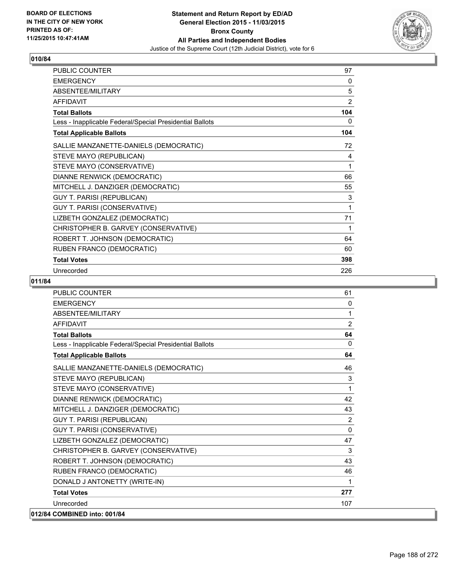

| PUBLIC COUNTER                                           | 97  |
|----------------------------------------------------------|-----|
| <b>EMERGENCY</b>                                         | 0   |
| ABSENTEE/MILITARY                                        | 5   |
| <b>AFFIDAVIT</b>                                         | 2   |
| <b>Total Ballots</b>                                     | 104 |
| Less - Inapplicable Federal/Special Presidential Ballots | 0   |
| <b>Total Applicable Ballots</b>                          | 104 |
| SALLIE MANZANETTE-DANIELS (DEMOCRATIC)                   | 72  |
| STEVE MAYO (REPUBLICAN)                                  | 4   |
| STEVE MAYO (CONSERVATIVE)                                | 1   |
| DIANNE RENWICK (DEMOCRATIC)                              | 66  |
| MITCHELL J. DANZIGER (DEMOCRATIC)                        | 55  |
| <b>GUY T. PARISI (REPUBLICAN)</b>                        | 3   |
| GUY T. PARISI (CONSERVATIVE)                             | 1   |
| LIZBETH GONZALEZ (DEMOCRATIC)                            | 71  |
| CHRISTOPHER B. GARVEY (CONSERVATIVE)                     | 1   |
| ROBERT T. JOHNSON (DEMOCRATIC)                           | 64  |
| RUBEN FRANCO (DEMOCRATIC)                                | 60  |
| <b>Total Votes</b>                                       | 398 |
| Unrecorded                                               | 226 |

| <b>PUBLIC COUNTER</b>                                    | 61             |
|----------------------------------------------------------|----------------|
| <b>EMERGENCY</b>                                         | 0              |
| ABSENTEE/MILITARY                                        | 1              |
| <b>AFFIDAVIT</b>                                         | $\overline{2}$ |
| <b>Total Ballots</b>                                     | 64             |
| Less - Inapplicable Federal/Special Presidential Ballots | 0              |
| <b>Total Applicable Ballots</b>                          | 64             |
| SALLIE MANZANETTE-DANIELS (DEMOCRATIC)                   | 46             |
| STEVE MAYO (REPUBLICAN)                                  | 3              |
| STEVE MAYO (CONSERVATIVE)                                | 1              |
| DIANNE RENWICK (DEMOCRATIC)                              | 42             |
| MITCHELL J. DANZIGER (DEMOCRATIC)                        | 43             |
| <b>GUY T. PARISI (REPUBLICAN)</b>                        | 2              |
| GUY T. PARISI (CONSERVATIVE)                             | $\Omega$       |
| LIZBETH GONZALEZ (DEMOCRATIC)                            | 47             |
| CHRISTOPHER B. GARVEY (CONSERVATIVE)                     | 3              |
| ROBERT T. JOHNSON (DEMOCRATIC)                           | 43             |
| RUBEN FRANCO (DEMOCRATIC)                                | 46             |
| DONALD J ANTONETTY (WRITE-IN)                            | 1              |
| <b>Total Votes</b>                                       | 277            |
| Unrecorded                                               | 107            |
| 012/84 COMBINED into: 001/84                             |                |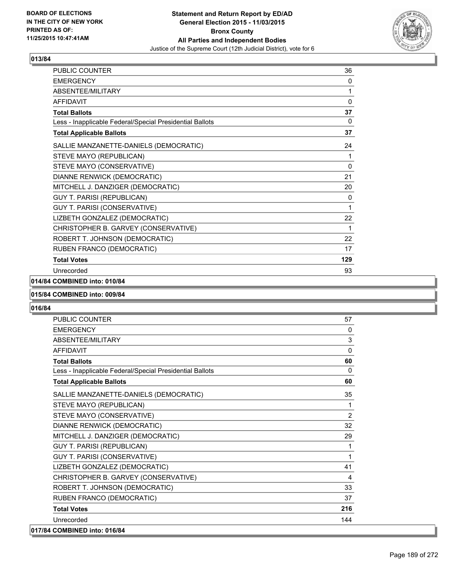

| PUBLIC COUNTER                                           | 36  |
|----------------------------------------------------------|-----|
| <b>EMERGENCY</b>                                         | 0   |
| <b>ABSENTEE/MILITARY</b>                                 | 1   |
| <b>AFFIDAVIT</b>                                         | 0   |
| <b>Total Ballots</b>                                     | 37  |
| Less - Inapplicable Federal/Special Presidential Ballots | 0   |
| <b>Total Applicable Ballots</b>                          | 37  |
| SALLIE MANZANETTE-DANIELS (DEMOCRATIC)                   | 24  |
| STEVE MAYO (REPUBLICAN)                                  | 1   |
| STEVE MAYO (CONSERVATIVE)                                | 0   |
| DIANNE RENWICK (DEMOCRATIC)                              | 21  |
| MITCHELL J. DANZIGER (DEMOCRATIC)                        | 20  |
| GUY T. PARISI (REPUBLICAN)                               | 0   |
| GUY T. PARISI (CONSERVATIVE)                             | 1   |
| LIZBETH GONZALEZ (DEMOCRATIC)                            | 22  |
| CHRISTOPHER B. GARVEY (CONSERVATIVE)                     | 1   |
| ROBERT T. JOHNSON (DEMOCRATIC)                           | 22  |
| RUBEN FRANCO (DEMOCRATIC)                                | 17  |
| <b>Total Votes</b>                                       | 129 |
| Unrecorded                                               | 93  |

## **014/84 COMBINED into: 010/84**

#### **015/84 COMBINED into: 009/84**

| <b>PUBLIC COUNTER</b>                                    | 57           |
|----------------------------------------------------------|--------------|
| <b>EMERGENCY</b>                                         | $\mathbf{0}$ |
| <b>ABSENTEE/MILITARY</b>                                 | 3            |
| <b>AFFIDAVIT</b>                                         | $\mathbf{0}$ |
| <b>Total Ballots</b>                                     | 60           |
| Less - Inapplicable Federal/Special Presidential Ballots | $\Omega$     |
| <b>Total Applicable Ballots</b>                          | 60           |
| SALLIE MANZANETTE-DANIELS (DEMOCRATIC)                   | 35           |
| STEVE MAYO (REPUBLICAN)                                  | 1            |
| STEVE MAYO (CONSERVATIVE)                                | 2            |
| DIANNE RENWICK (DEMOCRATIC)                              | 32           |
| MITCHELL J. DANZIGER (DEMOCRATIC)                        | 29           |
| GUY T. PARISI (REPUBLICAN)                               | 1            |
| GUY T. PARISI (CONSERVATIVE)                             | 1            |
| LIZBETH GONZALEZ (DEMOCRATIC)                            | 41           |
| CHRISTOPHER B. GARVEY (CONSERVATIVE)                     | 4            |
| ROBERT T. JOHNSON (DEMOCRATIC)                           | 33           |
| RUBEN FRANCO (DEMOCRATIC)                                | 37           |
| <b>Total Votes</b>                                       | 216          |
| Unrecorded                                               | 144          |
| 017/84 COMBINED into: 016/84                             |              |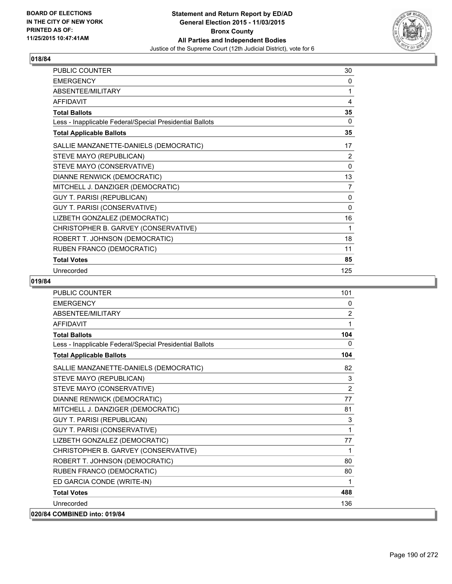

| PUBLIC COUNTER                                           | 30           |
|----------------------------------------------------------|--------------|
| <b>EMERGENCY</b>                                         | 0            |
| ABSENTEE/MILITARY                                        | 1            |
| <b>AFFIDAVIT</b>                                         | 4            |
| <b>Total Ballots</b>                                     | 35           |
| Less - Inapplicable Federal/Special Presidential Ballots | 0            |
| <b>Total Applicable Ballots</b>                          | 35           |
| SALLIE MANZANETTE-DANIELS (DEMOCRATIC)                   | 17           |
| STEVE MAYO (REPUBLICAN)                                  | 2            |
| STEVE MAYO (CONSERVATIVE)                                | $\mathbf{0}$ |
| DIANNE RENWICK (DEMOCRATIC)                              | 13           |
| MITCHELL J. DANZIGER (DEMOCRATIC)                        | 7            |
| GUY T. PARISI (REPUBLICAN)                               | 0            |
| GUY T. PARISI (CONSERVATIVE)                             | $\mathbf{0}$ |
| LIZBETH GONZALEZ (DEMOCRATIC)                            | 16           |
| CHRISTOPHER B. GARVEY (CONSERVATIVE)                     | 1            |
| ROBERT T. JOHNSON (DEMOCRATIC)                           | 18           |
| RUBEN FRANCO (DEMOCRATIC)                                | 11           |
| <b>Total Votes</b>                                       | 85           |
| Unrecorded                                               | 125          |

| <b>PUBLIC COUNTER</b>                                    | 101            |
|----------------------------------------------------------|----------------|
| <b>EMERGENCY</b>                                         | 0              |
| <b>ABSENTEE/MILITARY</b>                                 | $\overline{2}$ |
| <b>AFFIDAVIT</b>                                         | 1              |
| <b>Total Ballots</b>                                     | 104            |
| Less - Inapplicable Federal/Special Presidential Ballots | 0              |
| <b>Total Applicable Ballots</b>                          | 104            |
| SALLIE MANZANETTE-DANIELS (DEMOCRATIC)                   | 82             |
| STEVE MAYO (REPUBLICAN)                                  | 3              |
| STEVE MAYO (CONSERVATIVE)                                | $\overline{2}$ |
| DIANNE RENWICK (DEMOCRATIC)                              | 77             |
| MITCHELL J. DANZIGER (DEMOCRATIC)                        | 81             |
| <b>GUY T. PARISI (REPUBLICAN)</b>                        | 3              |
| <b>GUY T. PARISI (CONSERVATIVE)</b>                      | 1              |
| LIZBETH GONZALEZ (DEMOCRATIC)                            | 77             |
| CHRISTOPHER B. GARVEY (CONSERVATIVE)                     | 1              |
| ROBERT T. JOHNSON (DEMOCRATIC)                           | 80             |
| RUBEN FRANCO (DEMOCRATIC)                                | 80             |
| ED GARCIA CONDE (WRITE-IN)                               | 1              |
| <b>Total Votes</b>                                       | 488            |
| Unrecorded                                               | 136            |
| 020/84 COMBINED into: 019/84                             |                |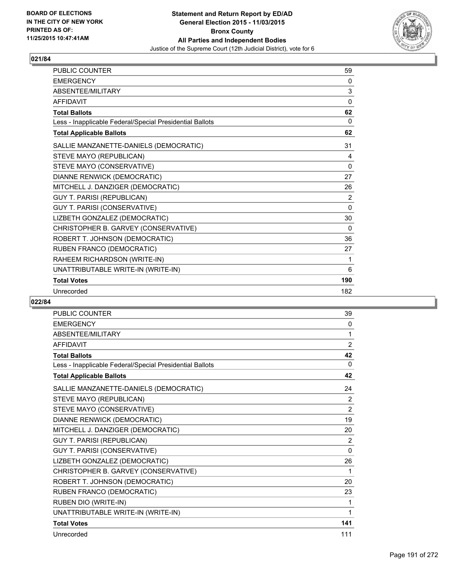

| PUBLIC COUNTER                                           | 59       |
|----------------------------------------------------------|----------|
| <b>EMERGENCY</b>                                         | 0        |
| ABSENTEE/MILITARY                                        | 3        |
| <b>AFFIDAVIT</b>                                         | $\Omega$ |
| <b>Total Ballots</b>                                     | 62       |
| Less - Inapplicable Federal/Special Presidential Ballots | 0        |
| <b>Total Applicable Ballots</b>                          | 62       |
| SALLIE MANZANETTE-DANIELS (DEMOCRATIC)                   | 31       |
| STEVE MAYO (REPUBLICAN)                                  | 4        |
| STEVE MAYO (CONSERVATIVE)                                | 0        |
| DIANNE RENWICK (DEMOCRATIC)                              | 27       |
| MITCHELL J. DANZIGER (DEMOCRATIC)                        | 26       |
| <b>GUY T. PARISI (REPUBLICAN)</b>                        | 2        |
| GUY T. PARISI (CONSERVATIVE)                             | 0        |
| LIZBETH GONZALEZ (DEMOCRATIC)                            | 30       |
| CHRISTOPHER B. GARVEY (CONSERVATIVE)                     | 0        |
| ROBERT T. JOHNSON (DEMOCRATIC)                           | 36       |
| RUBEN FRANCO (DEMOCRATIC)                                | 27       |
| RAHEEM RICHARDSON (WRITE-IN)                             | 1        |
| UNATTRIBUTABLE WRITE-IN (WRITE-IN)                       | 6        |
| <b>Total Votes</b>                                       | 190      |
| Unrecorded                                               | 182      |
|                                                          |          |

| <b>PUBLIC COUNTER</b>                                    | 39             |
|----------------------------------------------------------|----------------|
| <b>EMERGENCY</b>                                         | 0              |
| <b>ABSENTEE/MILITARY</b>                                 | 1              |
| <b>AFFIDAVIT</b>                                         | $\overline{2}$ |
| <b>Total Ballots</b>                                     | 42             |
| Less - Inapplicable Federal/Special Presidential Ballots | 0              |
| <b>Total Applicable Ballots</b>                          | 42             |
| SALLIE MANZANETTE-DANIELS (DEMOCRATIC)                   | 24             |
| STEVE MAYO (REPUBLICAN)                                  | 2              |
| STEVE MAYO (CONSERVATIVE)                                | $\overline{2}$ |
| DIANNE RENWICK (DEMOCRATIC)                              | 19             |
| MITCHELL J. DANZIGER (DEMOCRATIC)                        | 20             |
| GUY T. PARISI (REPUBLICAN)                               | 2              |
| GUY T. PARISI (CONSERVATIVE)                             | $\mathbf{0}$   |
| LIZBETH GONZALEZ (DEMOCRATIC)                            | 26             |
| CHRISTOPHER B. GARVEY (CONSERVATIVE)                     | 1              |
| ROBERT T. JOHNSON (DEMOCRATIC)                           | 20             |
| RUBEN FRANCO (DEMOCRATIC)                                | 23             |
| RUBEN DIO (WRITE-IN)                                     | 1              |
| UNATTRIBUTABLE WRITE-IN (WRITE-IN)                       | 1              |
| <b>Total Votes</b>                                       | 141            |
| Unrecorded                                               | 111            |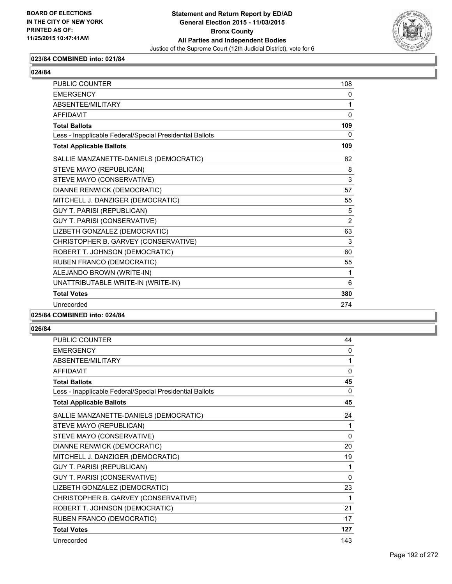

# **023/84 COMBINED into: 021/84**

| <b>PUBLIC COUNTER</b>                                    | 108            |
|----------------------------------------------------------|----------------|
| <b>EMERGENCY</b>                                         | 0              |
| ABSENTEE/MILITARY                                        | 1              |
| <b>AFFIDAVIT</b>                                         | $\mathbf{0}$   |
| <b>Total Ballots</b>                                     | 109            |
| Less - Inapplicable Federal/Special Presidential Ballots | 0              |
| <b>Total Applicable Ballots</b>                          | 109            |
| SALLIE MANZANETTE-DANIELS (DEMOCRATIC)                   | 62             |
| STEVE MAYO (REPUBLICAN)                                  | 8              |
| STEVE MAYO (CONSERVATIVE)                                | 3              |
| DIANNE RENWICK (DEMOCRATIC)                              | 57             |
| MITCHELL J. DANZIGER (DEMOCRATIC)                        | 55             |
| <b>GUY T. PARISI (REPUBLICAN)</b>                        | 5              |
| GUY T. PARISI (CONSERVATIVE)                             | $\overline{2}$ |
| LIZBETH GONZALEZ (DEMOCRATIC)                            | 63             |
| CHRISTOPHER B. GARVEY (CONSERVATIVE)                     | 3              |
| ROBERT T. JOHNSON (DEMOCRATIC)                           | 60             |
| RUBEN FRANCO (DEMOCRATIC)                                | 55             |
| ALEJANDO BROWN (WRITE-IN)                                | 1              |
| UNATTRIBUTABLE WRITE-IN (WRITE-IN)                       | 6              |
| <b>Total Votes</b>                                       | 380            |
| Unrecorded                                               | 274            |
|                                                          |                |

#### **025/84 COMBINED into: 024/84**

| <b>PUBLIC COUNTER</b>                                    | 44           |
|----------------------------------------------------------|--------------|
| <b>EMERGENCY</b>                                         | 0            |
| ABSENTEE/MILITARY                                        | 1            |
| <b>AFFIDAVIT</b>                                         | $\Omega$     |
| <b>Total Ballots</b>                                     | 45           |
| Less - Inapplicable Federal/Special Presidential Ballots | $\Omega$     |
| <b>Total Applicable Ballots</b>                          | 45           |
| SALLIE MANZANETTE-DANIELS (DEMOCRATIC)                   | 24           |
| STEVE MAYO (REPUBLICAN)                                  | 1            |
| STEVE MAYO (CONSERVATIVE)                                | $\mathbf{0}$ |
| DIANNE RENWICK (DEMOCRATIC)                              | 20           |
| MITCHELL J. DANZIGER (DEMOCRATIC)                        | 19           |
| <b>GUY T. PARISI (REPUBLICAN)</b>                        | 1            |
| GUY T. PARISI (CONSERVATIVE)                             | 0            |
| LIZBETH GONZALEZ (DEMOCRATIC)                            | 23           |
| CHRISTOPHER B. GARVEY (CONSERVATIVE)                     | 1            |
| ROBERT T. JOHNSON (DEMOCRATIC)                           | 21           |
| RUBEN FRANCO (DEMOCRATIC)                                | 17           |
| <b>Total Votes</b>                                       | 127          |
| Unrecorded                                               | 143          |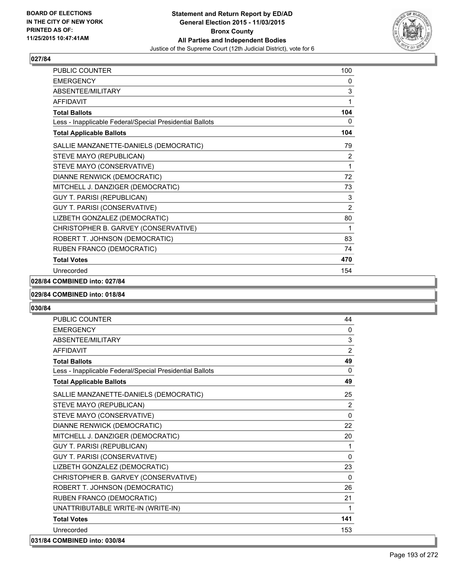

| PUBLIC COUNTER                                           | 100            |
|----------------------------------------------------------|----------------|
| <b>EMERGENCY</b>                                         | 0              |
| ABSENTEE/MILITARY                                        | 3              |
| <b>AFFIDAVIT</b>                                         | 1              |
| <b>Total Ballots</b>                                     | 104            |
| Less - Inapplicable Federal/Special Presidential Ballots | 0              |
| <b>Total Applicable Ballots</b>                          | 104            |
| SALLIE MANZANETTE-DANIELS (DEMOCRATIC)                   | 79             |
| STEVE MAYO (REPUBLICAN)                                  | 2              |
| STEVE MAYO (CONSERVATIVE)                                | 1              |
| DIANNE RENWICK (DEMOCRATIC)                              | 72             |
| MITCHELL J. DANZIGER (DEMOCRATIC)                        | 73             |
| <b>GUY T. PARISI (REPUBLICAN)</b>                        | 3              |
| GUY T. PARISI (CONSERVATIVE)                             | $\overline{2}$ |
| LIZBETH GONZALEZ (DEMOCRATIC)                            | 80             |
| CHRISTOPHER B. GARVEY (CONSERVATIVE)                     | 1              |
| ROBERT T. JOHNSON (DEMOCRATIC)                           | 83             |
| RUBEN FRANCO (DEMOCRATIC)                                | 74             |
| <b>Total Votes</b>                                       | 470            |
| Unrecorded                                               | 154            |

# **028/84 COMBINED into: 027/84**

#### **029/84 COMBINED into: 018/84**

| <b>PUBLIC COUNTER</b>                                    | 44             |
|----------------------------------------------------------|----------------|
| <b>EMERGENCY</b>                                         | $\mathbf{0}$   |
| <b>ABSENTFF/MILITARY</b>                                 | 3              |
| <b>AFFIDAVIT</b>                                         | $\overline{2}$ |
| <b>Total Ballots</b>                                     | 49             |
| Less - Inapplicable Federal/Special Presidential Ballots | $\mathbf{0}$   |
| <b>Total Applicable Ballots</b>                          | 49             |
| SALLIE MANZANETTE-DANIELS (DEMOCRATIC)                   | 25             |
| STEVE MAYO (REPUBLICAN)                                  | $\overline{2}$ |
| STEVE MAYO (CONSERVATIVE)                                | $\Omega$       |
| DIANNE RENWICK (DEMOCRATIC)                              | 22             |
| MITCHELL J. DANZIGER (DEMOCRATIC)                        | 20             |
| <b>GUY T. PARISI (REPUBLICAN)</b>                        | 1              |
| GUY T. PARISI (CONSERVATIVE)                             | $\Omega$       |
| LIZBETH GONZALEZ (DEMOCRATIC)                            | 23             |
| CHRISTOPHER B. GARVEY (CONSERVATIVE)                     | $\Omega$       |
| ROBERT T. JOHNSON (DEMOCRATIC)                           | 26             |
| RUBEN FRANCO (DEMOCRATIC)                                | 21             |
| UNATTRIBUTABLE WRITE-IN (WRITE-IN)                       | 1              |
| <b>Total Votes</b>                                       | 141            |
| Unrecorded                                               | 153            |
| 031/84 COMBINED into: 030/84                             |                |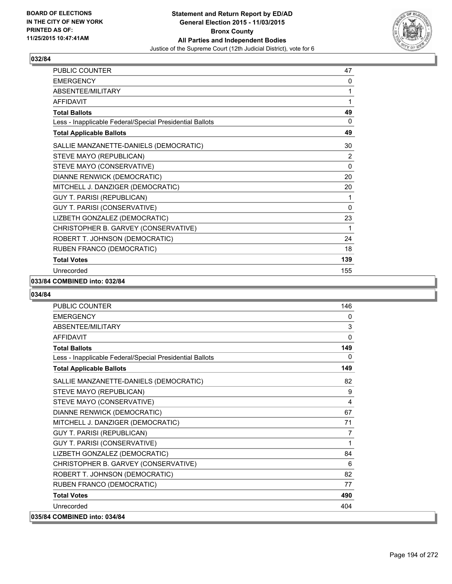

| <b>PUBLIC COUNTER</b>                                    | 47             |
|----------------------------------------------------------|----------------|
| <b>EMERGENCY</b>                                         | 0              |
| <b>ABSENTEE/MILITARY</b>                                 | 1              |
| <b>AFFIDAVIT</b>                                         | 1              |
| <b>Total Ballots</b>                                     | 49             |
| Less - Inapplicable Federal/Special Presidential Ballots | 0              |
| <b>Total Applicable Ballots</b>                          | 49             |
| SALLIE MANZANETTE-DANIELS (DEMOCRATIC)                   | 30             |
| STEVE MAYO (REPUBLICAN)                                  | $\overline{2}$ |
| STEVE MAYO (CONSERVATIVE)                                | 0              |
| DIANNE RENWICK (DEMOCRATIC)                              | 20             |
| MITCHELL J. DANZIGER (DEMOCRATIC)                        | 20             |
| <b>GUY T. PARISI (REPUBLICAN)</b>                        | 1              |
| GUY T. PARISI (CONSERVATIVE)                             | $\mathbf{0}$   |
| LIZBETH GONZALEZ (DEMOCRATIC)                            | 23             |
| CHRISTOPHER B. GARVEY (CONSERVATIVE)                     | 1              |
| ROBERT T. JOHNSON (DEMOCRATIC)                           | 24             |
| RUBEN FRANCO (DEMOCRATIC)                                | 18             |
| <b>Total Votes</b>                                       | 139            |
| Unrecorded                                               | 155            |

#### **033/84 COMBINED into: 032/84**

| <b>PUBLIC COUNTER</b>                                    | 146            |
|----------------------------------------------------------|----------------|
| <b>EMERGENCY</b>                                         | 0              |
| ABSENTEE/MILITARY                                        | 3              |
| <b>AFFIDAVIT</b>                                         | $\mathbf{0}$   |
| <b>Total Ballots</b>                                     | 149            |
| Less - Inapplicable Federal/Special Presidential Ballots | 0              |
| <b>Total Applicable Ballots</b>                          | 149            |
| SALLIE MANZANETTE-DANIELS (DEMOCRATIC)                   | 82             |
| STEVE MAYO (REPUBLICAN)                                  | 9              |
| STEVE MAYO (CONSERVATIVE)                                | 4              |
| DIANNE RENWICK (DEMOCRATIC)                              | 67             |
| MITCHELL J. DANZIGER (DEMOCRATIC)                        | 71             |
| <b>GUY T. PARISI (REPUBLICAN)</b>                        | $\overline{7}$ |
| <b>GUY T. PARISI (CONSERVATIVE)</b>                      | 1              |
| LIZBETH GONZALEZ (DEMOCRATIC)                            | 84             |
| CHRISTOPHER B. GARVEY (CONSERVATIVE)                     | 6              |
| ROBERT T. JOHNSON (DEMOCRATIC)                           | 82             |
| RUBEN FRANCO (DEMOCRATIC)                                | 77             |
| <b>Total Votes</b>                                       | 490            |
| Unrecorded                                               | 404            |
| 035/84 COMBINED into: 034/84                             |                |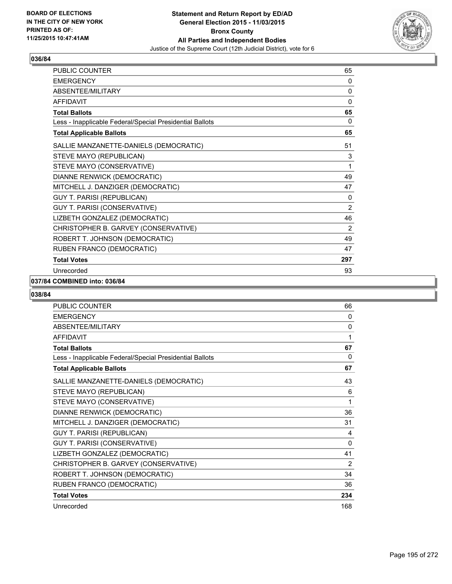

| PUBLIC COUNTER                                           | 65             |
|----------------------------------------------------------|----------------|
| <b>EMERGENCY</b>                                         | 0              |
| <b>ABSENTEE/MILITARY</b>                                 | 0              |
| <b>AFFIDAVIT</b>                                         | 0              |
| <b>Total Ballots</b>                                     | 65             |
| Less - Inapplicable Federal/Special Presidential Ballots | 0              |
| <b>Total Applicable Ballots</b>                          | 65             |
| SALLIE MANZANETTE-DANIELS (DEMOCRATIC)                   | 51             |
| STEVE MAYO (REPUBLICAN)                                  | 3              |
| STEVE MAYO (CONSERVATIVE)                                | 1              |
| DIANNE RENWICK (DEMOCRATIC)                              | 49             |
| MITCHELL J. DANZIGER (DEMOCRATIC)                        | 47             |
| <b>GUY T. PARISI (REPUBLICAN)</b>                        | 0              |
| GUY T. PARISI (CONSERVATIVE)                             | $\overline{2}$ |
| LIZBETH GONZALEZ (DEMOCRATIC)                            | 46             |
| CHRISTOPHER B. GARVEY (CONSERVATIVE)                     | $\overline{2}$ |
| ROBERT T. JOHNSON (DEMOCRATIC)                           | 49             |
| RUBEN FRANCO (DEMOCRATIC)                                | 47             |
| <b>Total Votes</b>                                       | 297            |
| Unrecorded                                               | 93             |

#### **037/84 COMBINED into: 036/84**

| <b>PUBLIC COUNTER</b>                                    | 66  |
|----------------------------------------------------------|-----|
| <b>EMERGENCY</b>                                         | 0   |
| ABSENTEE/MILITARY                                        | 0   |
| <b>AFFIDAVIT</b>                                         | 1   |
| <b>Total Ballots</b>                                     | 67  |
| Less - Inapplicable Federal/Special Presidential Ballots | 0   |
| <b>Total Applicable Ballots</b>                          | 67  |
| SALLIE MANZANETTE-DANIELS (DEMOCRATIC)                   | 43  |
| STEVE MAYO (REPUBLICAN)                                  | 6   |
| STEVE MAYO (CONSERVATIVE)                                | 1   |
| DIANNE RENWICK (DEMOCRATIC)                              | 36  |
| MITCHELL J. DANZIGER (DEMOCRATIC)                        | 31  |
| <b>GUY T. PARISI (REPUBLICAN)</b>                        | 4   |
| GUY T. PARISI (CONSERVATIVE)                             | 0   |
| LIZBETH GONZALEZ (DEMOCRATIC)                            | 41  |
| CHRISTOPHER B. GARVEY (CONSERVATIVE)                     | 2   |
| ROBERT T. JOHNSON (DEMOCRATIC)                           | 34  |
| RUBEN FRANCO (DEMOCRATIC)                                | 36  |
| <b>Total Votes</b>                                       | 234 |
| Unrecorded                                               | 168 |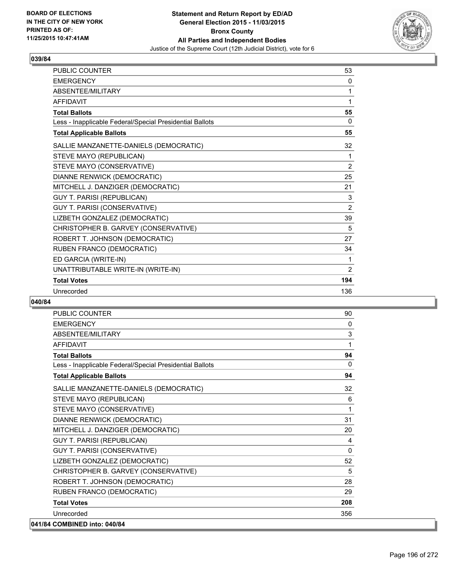

| <b>PUBLIC COUNTER</b>                                    | 53             |
|----------------------------------------------------------|----------------|
| <b>EMERGENCY</b>                                         | 0              |
| ABSENTEE/MILITARY                                        | 1              |
| <b>AFFIDAVIT</b>                                         | 1              |
| <b>Total Ballots</b>                                     | 55             |
| Less - Inapplicable Federal/Special Presidential Ballots | 0              |
| <b>Total Applicable Ballots</b>                          | 55             |
| SALLIE MANZANETTE-DANIELS (DEMOCRATIC)                   | 32             |
| STEVE MAYO (REPUBLICAN)                                  | 1              |
| STEVE MAYO (CONSERVATIVE)                                | 2              |
| DIANNE RENWICK (DEMOCRATIC)                              | 25             |
| MITCHELL J. DANZIGER (DEMOCRATIC)                        | 21             |
| <b>GUY T. PARISI (REPUBLICAN)</b>                        | 3              |
| GUY T. PARISI (CONSERVATIVE)                             | $\overline{2}$ |
| LIZBETH GONZALEZ (DEMOCRATIC)                            | 39             |
| CHRISTOPHER B. GARVEY (CONSERVATIVE)                     | 5              |
| ROBERT T. JOHNSON (DEMOCRATIC)                           | 27             |
| RUBEN FRANCO (DEMOCRATIC)                                | 34             |
| ED GARCIA (WRITE-IN)                                     | 1              |
| UNATTRIBUTABLE WRITE-IN (WRITE-IN)                       | $\overline{2}$ |
| <b>Total Votes</b>                                       | 194            |
| Unrecorded                                               | 136            |

| <b>PUBLIC COUNTER</b>                                    | 90       |
|----------------------------------------------------------|----------|
| <b>EMERGENCY</b>                                         | $\Omega$ |
| ABSENTEE/MILITARY                                        | 3        |
| <b>AFFIDAVIT</b>                                         | 1        |
| <b>Total Ballots</b>                                     | 94       |
| Less - Inapplicable Federal/Special Presidential Ballots | $\Omega$ |
| <b>Total Applicable Ballots</b>                          | 94       |
| SALLIE MANZANETTE-DANIELS (DEMOCRATIC)                   | 32       |
| STEVE MAYO (REPUBLICAN)                                  | 6        |
| STEVE MAYO (CONSERVATIVE)                                | 1        |
| DIANNE RENWICK (DEMOCRATIC)                              | 31       |
| MITCHELL J. DANZIGER (DEMOCRATIC)                        | 20       |
| GUY T. PARISI (REPUBLICAN)                               | 4        |
| <b>GUY T. PARISI (CONSERVATIVE)</b>                      | 0        |
| LIZBETH GONZALEZ (DEMOCRATIC)                            | 52       |
| CHRISTOPHER B. GARVEY (CONSERVATIVE)                     | 5        |
| ROBERT T. JOHNSON (DEMOCRATIC)                           | 28       |
| RUBEN FRANCO (DEMOCRATIC)                                | 29       |
| <b>Total Votes</b>                                       | 208      |
| Unrecorded                                               | 356      |
| 041/84 COMBINED into: 040/84                             |          |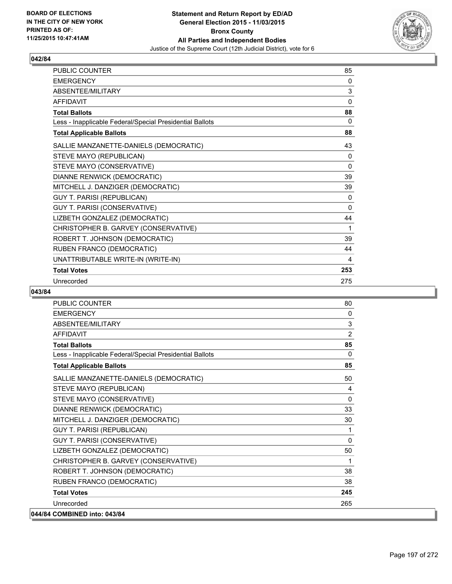

| <b>PUBLIC COUNTER</b>                                    | 85       |
|----------------------------------------------------------|----------|
| <b>EMERGENCY</b>                                         | 0        |
| ABSENTEE/MILITARY                                        | 3        |
| <b>AFFIDAVIT</b>                                         | $\Omega$ |
| <b>Total Ballots</b>                                     | 88       |
| Less - Inapplicable Federal/Special Presidential Ballots | 0        |
| <b>Total Applicable Ballots</b>                          | 88       |
| SALLIE MANZANETTE-DANIELS (DEMOCRATIC)                   | 43       |
| STEVE MAYO (REPUBLICAN)                                  | 0        |
| STEVE MAYO (CONSERVATIVE)                                | 0        |
| DIANNE RENWICK (DEMOCRATIC)                              | 39       |
| MITCHELL J. DANZIGER (DEMOCRATIC)                        | 39       |
| <b>GUY T. PARISI (REPUBLICAN)</b>                        | 0        |
| GUY T. PARISI (CONSERVATIVE)                             | 0        |
| LIZBETH GONZALEZ (DEMOCRATIC)                            | 44       |
| CHRISTOPHER B. GARVEY (CONSERVATIVE)                     | 1        |
| ROBERT T. JOHNSON (DEMOCRATIC)                           | 39       |
| RUBEN FRANCO (DEMOCRATIC)                                | 44       |
| UNATTRIBUTABLE WRITE-IN (WRITE-IN)                       | 4        |
| <b>Total Votes</b>                                       | 253      |
| Unrecorded                                               | 275      |

| <b>PUBLIC COUNTER</b>                                    | 80             |
|----------------------------------------------------------|----------------|
| <b>EMERGENCY</b>                                         | 0              |
| ABSENTEE/MILITARY                                        | 3              |
| <b>AFFIDAVIT</b>                                         | $\overline{2}$ |
| <b>Total Ballots</b>                                     | 85             |
| Less - Inapplicable Federal/Special Presidential Ballots | $\mathbf{0}$   |
| <b>Total Applicable Ballots</b>                          | 85             |
| SALLIE MANZANETTE-DANIELS (DEMOCRATIC)                   | 50             |
| STEVE MAYO (REPUBLICAN)                                  | 4              |
| STEVE MAYO (CONSERVATIVE)                                | 0              |
| DIANNE RENWICK (DEMOCRATIC)                              | 33             |
| MITCHELL J. DANZIGER (DEMOCRATIC)                        | 30             |
| <b>GUY T. PARISI (REPUBLICAN)</b>                        | 1              |
| <b>GUY T. PARISI (CONSERVATIVE)</b>                      | 0              |
| LIZBETH GONZALEZ (DEMOCRATIC)                            | 50             |
| CHRISTOPHER B. GARVEY (CONSERVATIVE)                     | 1              |
| ROBERT T. JOHNSON (DEMOCRATIC)                           | 38             |
| RUBEN FRANCO (DEMOCRATIC)                                | 38             |
| <b>Total Votes</b>                                       | 245            |
| Unrecorded                                               | 265            |
| 044/84 COMBINED into: 043/84                             |                |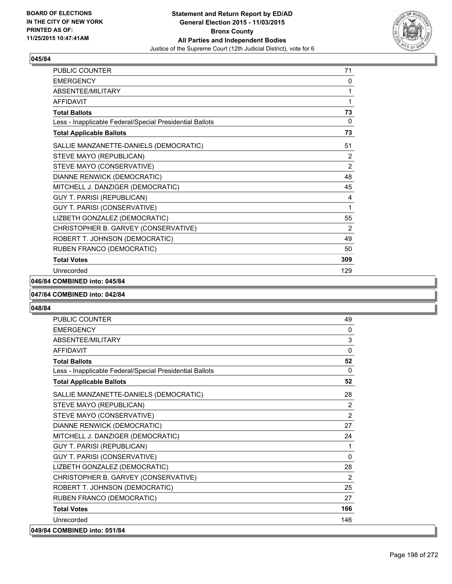

| PUBLIC COUNTER                                           | 71  |
|----------------------------------------------------------|-----|
| <b>EMERGENCY</b>                                         | 0   |
| ABSENTEE/MILITARY                                        | 1   |
| <b>AFFIDAVIT</b>                                         | 1   |
| <b>Total Ballots</b>                                     | 73  |
| Less - Inapplicable Federal/Special Presidential Ballots | 0   |
| <b>Total Applicable Ballots</b>                          | 73  |
| SALLIE MANZANETTE-DANIELS (DEMOCRATIC)                   | 51  |
| STEVE MAYO (REPUBLICAN)                                  | 2   |
| STEVE MAYO (CONSERVATIVE)                                | 2   |
| DIANNE RENWICK (DEMOCRATIC)                              | 48  |
| MITCHELL J. DANZIGER (DEMOCRATIC)                        | 45  |
| GUY T. PARISI (REPUBLICAN)                               | 4   |
| GUY T. PARISI (CONSERVATIVE)                             | 1   |
| LIZBETH GONZALEZ (DEMOCRATIC)                            | 55  |
| CHRISTOPHER B. GARVEY (CONSERVATIVE)                     | 2   |
| ROBERT T. JOHNSON (DEMOCRATIC)                           | 49  |
| RUBEN FRANCO (DEMOCRATIC)                                | 50  |
| <b>Total Votes</b>                                       | 309 |
| Unrecorded                                               | 129 |

# **046/84 COMBINED into: 045/84**

#### **047/84 COMBINED into: 042/84**

| <b>PUBLIC COUNTER</b>                                    | 49             |
|----------------------------------------------------------|----------------|
| <b>EMERGENCY</b>                                         | $\Omega$       |
| ABSENTEE/MILITARY                                        | 3              |
| <b>AFFIDAVIT</b>                                         | $\mathbf{0}$   |
| <b>Total Ballots</b>                                     | 52             |
| Less - Inapplicable Federal/Special Presidential Ballots | $\Omega$       |
| <b>Total Applicable Ballots</b>                          | 52             |
| SALLIE MANZANETTE-DANIELS (DEMOCRATIC)                   | 28             |
| STEVE MAYO (REPUBLICAN)                                  | $\overline{2}$ |
| STEVE MAYO (CONSERVATIVE)                                | 2              |
| DIANNE RENWICK (DEMOCRATIC)                              | 27             |
| MITCHELL J. DANZIGER (DEMOCRATIC)                        | 24             |
| <b>GUY T. PARISI (REPUBLICAN)</b>                        | 1              |
| GUY T. PARISI (CONSERVATIVE)                             | $\Omega$       |
| LIZBETH GONZALEZ (DEMOCRATIC)                            | 28             |
| CHRISTOPHER B. GARVEY (CONSERVATIVE)                     | 2              |
| ROBERT T. JOHNSON (DEMOCRATIC)                           | 25             |
| RUBEN FRANCO (DEMOCRATIC)                                | 27             |
| <b>Total Votes</b>                                       | 166            |
| Unrecorded                                               | 146            |
| 049/84 COMBINED into: 051/84                             |                |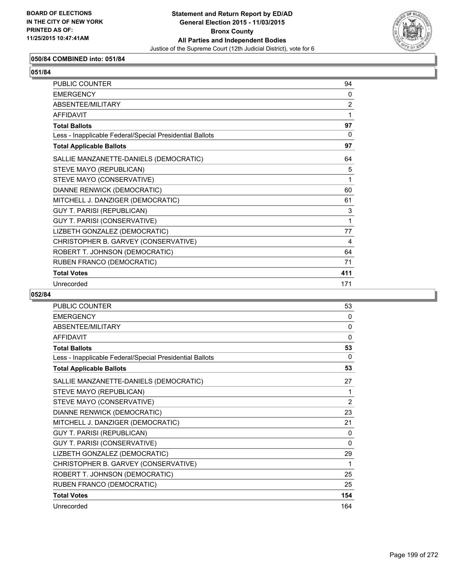

# **050/84 COMBINED into: 051/84**

| ۰.<br>۰.<br>۰,<br>×<br>× |
|--------------------------|
|--------------------------|

| <b>PUBLIC COUNTER</b>                                    | 94             |
|----------------------------------------------------------|----------------|
|                                                          |                |
| <b>FMFRGFNCY</b>                                         | $\Omega$       |
| ABSENTEE/MILITARY                                        | $\overline{2}$ |
| <b>AFFIDAVIT</b>                                         | 1              |
| <b>Total Ballots</b>                                     | 97             |
| Less - Inapplicable Federal/Special Presidential Ballots | $\Omega$       |
| <b>Total Applicable Ballots</b>                          | 97             |
| SALLIE MANZANETTE-DANIELS (DEMOCRATIC)                   | 64             |
| STEVE MAYO (REPUBLICAN)                                  | 5              |
| STEVE MAYO (CONSERVATIVE)                                | 1              |
| DIANNE RENWICK (DEMOCRATIC)                              | 60             |
| MITCHELL J. DANZIGER (DEMOCRATIC)                        | 61             |
| GUY T. PARISI (REPUBLICAN)                               | 3              |
| GUY T. PARISI (CONSERVATIVE)                             | 1              |
| LIZBETH GONZALEZ (DEMOCRATIC)                            | 77             |
| CHRISTOPHER B. GARVEY (CONSERVATIVE)                     | 4              |
| ROBERT T. JOHNSON (DEMOCRATIC)                           | 64             |
| RUBEN FRANCO (DEMOCRATIC)                                | 71             |
| <b>Total Votes</b>                                       | 411            |
| Unrecorded                                               | 171            |

| PUBLIC COUNTER                                           | 53           |
|----------------------------------------------------------|--------------|
| <b>EMERGENCY</b>                                         | 0            |
| ABSENTEE/MILITARY                                        | $\mathbf{0}$ |
| <b>AFFIDAVIT</b>                                         | $\Omega$     |
| <b>Total Ballots</b>                                     | 53           |
| Less - Inapplicable Federal/Special Presidential Ballots | 0            |
| <b>Total Applicable Ballots</b>                          | 53           |
| SALLIE MANZANETTE-DANIELS (DEMOCRATIC)                   | 27           |
| STEVE MAYO (REPUBLICAN)                                  | 1            |
| STEVE MAYO (CONSERVATIVE)                                | 2            |
| DIANNE RENWICK (DEMOCRATIC)                              | 23           |
| MITCHELL J. DANZIGER (DEMOCRATIC)                        | 21           |
| <b>GUY T. PARISI (REPUBLICAN)</b>                        | 0            |
| GUY T. PARISI (CONSERVATIVE)                             | 0            |
| LIZBETH GONZALEZ (DEMOCRATIC)                            | 29           |
| CHRISTOPHER B. GARVEY (CONSERVATIVE)                     | 1            |
| ROBERT T. JOHNSON (DEMOCRATIC)                           | 25           |
| RUBEN FRANCO (DEMOCRATIC)                                | 25           |
| <b>Total Votes</b>                                       | 154          |
| Unrecorded                                               | 164          |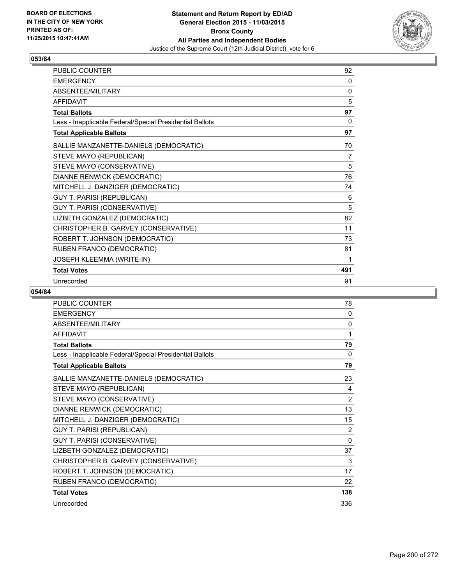

| PUBLIC COUNTER                                           | 92       |
|----------------------------------------------------------|----------|
| <b>EMERGENCY</b>                                         | 0        |
| ABSENTEE/MILITARY                                        | $\Omega$ |
| <b>AFFIDAVIT</b>                                         | 5        |
| <b>Total Ballots</b>                                     | 97       |
| Less - Inapplicable Federal/Special Presidential Ballots | 0        |
| <b>Total Applicable Ballots</b>                          | 97       |
| SALLIE MANZANETTE-DANIELS (DEMOCRATIC)                   | 70       |
| STEVE MAYO (REPUBLICAN)                                  | 7        |
| STEVE MAYO (CONSERVATIVE)                                | 5        |
| DIANNE RENWICK (DEMOCRATIC)                              | 76       |
| MITCHELL J. DANZIGER (DEMOCRATIC)                        | 74       |
| <b>GUY T. PARISI (REPUBLICAN)</b>                        | 6        |
| GUY T. PARISI (CONSERVATIVE)                             | 5        |
| LIZBETH GONZALEZ (DEMOCRATIC)                            | 82       |
| CHRISTOPHER B. GARVEY (CONSERVATIVE)                     | 11       |
| ROBERT T. JOHNSON (DEMOCRATIC)                           | 73       |
| RUBEN FRANCO (DEMOCRATIC)                                | 81       |
| <b>JOSEPH KLEEMMA (WRITE-IN)</b>                         | 1        |
| <b>Total Votes</b>                                       | 491      |
| Unrecorded                                               | 91       |

| PUBLIC COUNTER                                           | 78           |
|----------------------------------------------------------|--------------|
| <b>EMERGENCY</b>                                         | 0            |
| ABSENTEE/MILITARY                                        | $\mathbf{0}$ |
| <b>AFFIDAVIT</b>                                         | 1            |
| <b>Total Ballots</b>                                     | 79           |
| Less - Inapplicable Federal/Special Presidential Ballots | 0            |
| <b>Total Applicable Ballots</b>                          | 79           |
| SALLIE MANZANETTE-DANIELS (DEMOCRATIC)                   | 23           |
| STEVE MAYO (REPUBLICAN)                                  | 4            |
| STEVE MAYO (CONSERVATIVE)                                | 2            |
| DIANNE RENWICK (DEMOCRATIC)                              | 13           |
| MITCHELL J. DANZIGER (DEMOCRATIC)                        | 15           |
| <b>GUY T. PARISI (REPUBLICAN)</b>                        | 2            |
| GUY T. PARISI (CONSERVATIVE)                             | $\Omega$     |
| LIZBETH GONZALEZ (DEMOCRATIC)                            | 37           |
| CHRISTOPHER B. GARVEY (CONSERVATIVE)                     | 3            |
| ROBERT T. JOHNSON (DEMOCRATIC)                           | 17           |
| RUBEN FRANCO (DEMOCRATIC)                                | 22           |
| <b>Total Votes</b>                                       | 138          |
| Unrecorded                                               | 336          |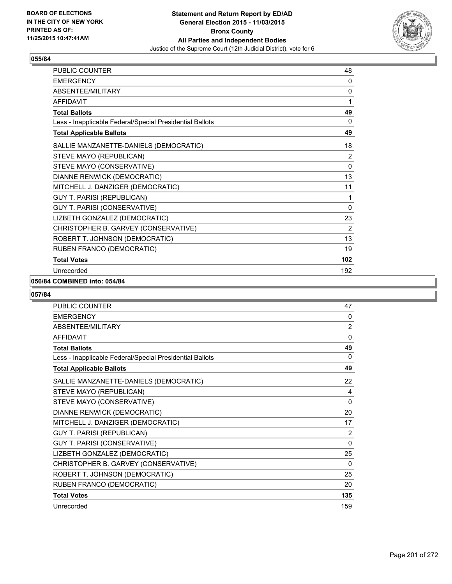

| PUBLIC COUNTER                                           | 48             |
|----------------------------------------------------------|----------------|
| <b>EMERGENCY</b>                                         | 0              |
| ABSENTEE/MILITARY                                        | 0              |
| <b>AFFIDAVIT</b>                                         | 1              |
| <b>Total Ballots</b>                                     | 49             |
| Less - Inapplicable Federal/Special Presidential Ballots | 0              |
| <b>Total Applicable Ballots</b>                          | 49             |
| SALLIE MANZANETTE-DANIELS (DEMOCRATIC)                   | 18             |
| STEVE MAYO (REPUBLICAN)                                  | 2              |
| STEVE MAYO (CONSERVATIVE)                                | 0              |
| DIANNE RENWICK (DEMOCRATIC)                              | 13             |
| MITCHELL J. DANZIGER (DEMOCRATIC)                        | 11             |
| <b>GUY T. PARISI (REPUBLICAN)</b>                        | 1              |
| GUY T. PARISI (CONSERVATIVE)                             | 0              |
| LIZBETH GONZALEZ (DEMOCRATIC)                            | 23             |
| CHRISTOPHER B. GARVEY (CONSERVATIVE)                     | $\overline{2}$ |
| ROBERT T. JOHNSON (DEMOCRATIC)                           | 13             |
| RUBEN FRANCO (DEMOCRATIC)                                | 19             |
| <b>Total Votes</b>                                       | 102            |
| Unrecorded                                               | 192            |

## **056/84 COMBINED into: 054/84**

| <b>PUBLIC COUNTER</b>                                    | 47             |
|----------------------------------------------------------|----------------|
| <b>EMERGENCY</b>                                         | 0              |
| ABSENTEE/MILITARY                                        | $\overline{2}$ |
| <b>AFFIDAVIT</b>                                         | $\Omega$       |
| <b>Total Ballots</b>                                     | 49             |
| Less - Inapplicable Federal/Special Presidential Ballots | 0              |
| <b>Total Applicable Ballots</b>                          | 49             |
| SALLIE MANZANETTE-DANIELS (DEMOCRATIC)                   | 22             |
| STEVE MAYO (REPUBLICAN)                                  | 4              |
| STEVE MAYO (CONSERVATIVE)                                | $\Omega$       |
| DIANNE RENWICK (DEMOCRATIC)                              | 20             |
| MITCHELL J. DANZIGER (DEMOCRATIC)                        | 17             |
| <b>GUY T. PARISI (REPUBLICAN)</b>                        | 2              |
| GUY T. PARISI (CONSERVATIVE)                             | 0              |
| LIZBETH GONZALEZ (DEMOCRATIC)                            | 25             |
| CHRISTOPHER B. GARVEY (CONSERVATIVE)                     | $\Omega$       |
| ROBERT T. JOHNSON (DEMOCRATIC)                           | 25             |
| RUBEN FRANCO (DEMOCRATIC)                                | 20             |
| <b>Total Votes</b>                                       | 135            |
| Unrecorded                                               | 159            |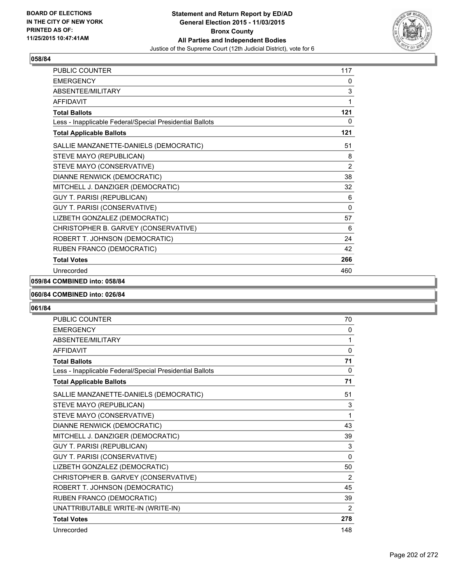

| PUBLIC COUNTER                                           | 117         |
|----------------------------------------------------------|-------------|
| <b>EMERGENCY</b>                                         | 0           |
| <b>ABSENTEE/MILITARY</b>                                 | $\mathsf 3$ |
| <b>AFFIDAVIT</b>                                         | 1           |
| <b>Total Ballots</b>                                     | 121         |
| Less - Inapplicable Federal/Special Presidential Ballots | 0           |
| <b>Total Applicable Ballots</b>                          | 121         |
| SALLIE MANZANETTE-DANIELS (DEMOCRATIC)                   | 51          |
| STEVE MAYO (REPUBLICAN)                                  | 8           |
| STEVE MAYO (CONSERVATIVE)                                | 2           |
| DIANNE RENWICK (DEMOCRATIC)                              | 38          |
| MITCHELL J. DANZIGER (DEMOCRATIC)                        | 32          |
| <b>GUY T. PARISI (REPUBLICAN)</b>                        | 6           |
| GUY T. PARISI (CONSERVATIVE)                             | $\Omega$    |
| LIZBETH GONZALEZ (DEMOCRATIC)                            | 57          |
| CHRISTOPHER B. GARVEY (CONSERVATIVE)                     | 6           |
| ROBERT T. JOHNSON (DEMOCRATIC)                           | 24          |
| RUBEN FRANCO (DEMOCRATIC)                                | 42          |
| <b>Total Votes</b>                                       | 266         |
| Unrecorded                                               | 460         |

## **059/84 COMBINED into: 058/84**

#### **060/84 COMBINED into: 026/84**

| <b>PUBLIC COUNTER</b>                                    | 70       |
|----------------------------------------------------------|----------|
| <b>EMERGENCY</b>                                         | 0        |
| <b>ABSENTEE/MILITARY</b>                                 | 1        |
| <b>AFFIDAVIT</b>                                         | 0        |
| <b>Total Ballots</b>                                     | 71       |
| Less - Inapplicable Federal/Special Presidential Ballots | 0        |
| <b>Total Applicable Ballots</b>                          | 71       |
| SALLIE MANZANETTE-DANIELS (DEMOCRATIC)                   | 51       |
| STEVE MAYO (REPUBLICAN)                                  | 3        |
| STEVE MAYO (CONSERVATIVE)                                | 1        |
| DIANNE RENWICK (DEMOCRATIC)                              | 43       |
| MITCHELL J. DANZIGER (DEMOCRATIC)                        | 39       |
| <b>GUY T. PARISI (REPUBLICAN)</b>                        | 3        |
| <b>GUY T. PARISI (CONSERVATIVE)</b>                      | $\Omega$ |
| LIZBETH GONZALEZ (DEMOCRATIC)                            | 50       |
| CHRISTOPHER B. GARVEY (CONSERVATIVE)                     | 2        |
| ROBERT T. JOHNSON (DEMOCRATIC)                           | 45       |
| RUBEN FRANCO (DEMOCRATIC)                                | 39       |
| UNATTRIBUTABLE WRITE-IN (WRITE-IN)                       | 2        |
| <b>Total Votes</b>                                       | 278      |
| Unrecorded                                               | 148      |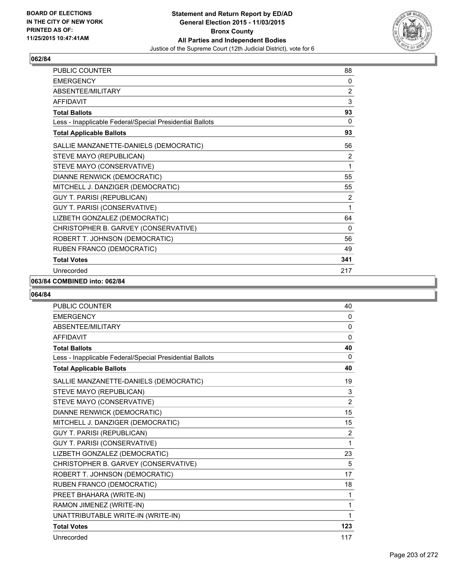

| <b>PUBLIC COUNTER</b>                                    | 88           |
|----------------------------------------------------------|--------------|
| <b>EMERGENCY</b>                                         | 0            |
| <b>ABSENTEE/MILITARY</b>                                 | 2            |
| <b>AFFIDAVIT</b>                                         | 3            |
| <b>Total Ballots</b>                                     | 93           |
| Less - Inapplicable Federal/Special Presidential Ballots | $\mathbf{0}$ |
| <b>Total Applicable Ballots</b>                          | 93           |
| SALLIE MANZANETTE-DANIELS (DEMOCRATIC)                   | 56           |
| STEVE MAYO (REPUBLICAN)                                  | 2            |
| STEVE MAYO (CONSERVATIVE)                                | 1            |
| DIANNE RENWICK (DEMOCRATIC)                              | 55           |
| MITCHELL J. DANZIGER (DEMOCRATIC)                        | 55           |
| <b>GUY T. PARISI (REPUBLICAN)</b>                        | 2            |
| GUY T. PARISI (CONSERVATIVE)                             | 1            |
| LIZBETH GONZALEZ (DEMOCRATIC)                            | 64           |
| CHRISTOPHER B. GARVEY (CONSERVATIVE)                     | 0            |
| ROBERT T. JOHNSON (DEMOCRATIC)                           | 56           |
| RUBEN FRANCO (DEMOCRATIC)                                | 49           |
| <b>Total Votes</b>                                       | 341          |
| Unrecorded                                               | 217          |

## **063/84 COMBINED into: 062/84**

| <b>PUBLIC COUNTER</b>                                    | 40             |
|----------------------------------------------------------|----------------|
| <b>EMERGENCY</b>                                         | $\mathbf{0}$   |
| <b>ABSENTEE/MILITARY</b>                                 | 0              |
| <b>AFFIDAVIT</b>                                         | $\mathbf{0}$   |
| <b>Total Ballots</b>                                     | 40             |
| Less - Inapplicable Federal/Special Presidential Ballots | $\Omega$       |
| <b>Total Applicable Ballots</b>                          | 40             |
| SALLIE MANZANETTE-DANIELS (DEMOCRATIC)                   | 19             |
| STEVE MAYO (REPUBLICAN)                                  | 3              |
| STEVE MAYO (CONSERVATIVE)                                | $\overline{2}$ |
| DIANNE RENWICK (DEMOCRATIC)                              | 15             |
| MITCHELL J. DANZIGER (DEMOCRATIC)                        | 15             |
| <b>GUY T. PARISI (REPUBLICAN)</b>                        | $\overline{2}$ |
| <b>GUY T. PARISI (CONSERVATIVE)</b>                      | 1              |
| LIZBETH GONZALEZ (DEMOCRATIC)                            | 23             |
| CHRISTOPHER B. GARVEY (CONSERVATIVE)                     | 5              |
| ROBERT T. JOHNSON (DEMOCRATIC)                           | 17             |
| RUBEN FRANCO (DEMOCRATIC)                                | 18             |
| PREET BHAHARA (WRITE-IN)                                 | 1              |
| RAMON JIMENEZ (WRITE-IN)                                 | 1              |
| UNATTRIBUTABLE WRITE-IN (WRITE-IN)                       | 1              |
| <b>Total Votes</b>                                       | 123            |
| Unrecorded                                               | 117            |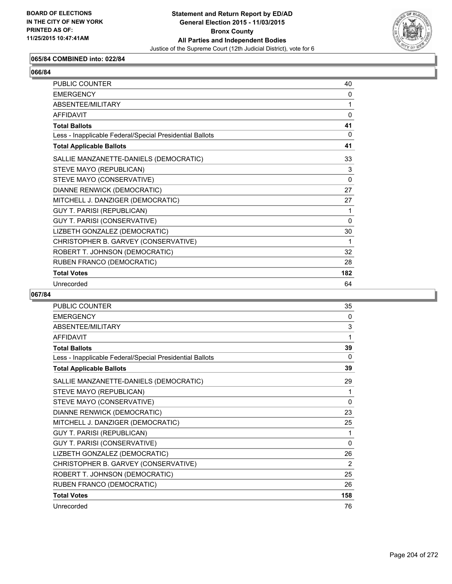

# **065/84 COMBINED into: 022/84**

| <b>PUBLIC COUNTER</b>                                    | 40          |
|----------------------------------------------------------|-------------|
| <b>FMFRGFNCY</b>                                         | $\Omega$    |
| ABSENTEE/MILITARY                                        | 1           |
| AFFIDAVIT                                                | $\Omega$    |
| <b>Total Ballots</b>                                     | 41          |
| Less - Inapplicable Federal/Special Presidential Ballots | $\Omega$    |
| <b>Total Applicable Ballots</b>                          | 41          |
| SALLIE MANZANETTE-DANIELS (DEMOCRATIC)                   | 33          |
| STEVE MAYO (REPUBLICAN)                                  | 3           |
| STEVE MAYO (CONSERVATIVE)                                | $\mathbf 0$ |
| DIANNE RENWICK (DEMOCRATIC)                              | 27          |
| MITCHELL J. DANZIGER (DEMOCRATIC)                        | 27          |
| <b>GUY T. PARISI (REPUBLICAN)</b>                        | 1           |
| <b>GUY T. PARISI (CONSERVATIVE)</b>                      | $\Omega$    |
| LIZBETH GONZALEZ (DEMOCRATIC)                            | 30          |
| CHRISTOPHER B. GARVEY (CONSERVATIVE)                     | 1           |
| ROBERT T. JOHNSON (DEMOCRATIC)                           | 32          |
| RUBEN FRANCO (DEMOCRATIC)                                | 28          |
| <b>Total Votes</b>                                       | 182         |
| Unrecorded                                               | 64          |

| <b>PUBLIC COUNTER</b>                                    | 35       |
|----------------------------------------------------------|----------|
| <b>EMERGENCY</b>                                         | 0        |
| ABSENTEE/MILITARY                                        | 3        |
| <b>AFFIDAVIT</b>                                         | 1        |
| <b>Total Ballots</b>                                     | 39       |
| Less - Inapplicable Federal/Special Presidential Ballots | 0        |
| <b>Total Applicable Ballots</b>                          | 39       |
| SALLIE MANZANETTE-DANIELS (DEMOCRATIC)                   | 29       |
| STEVE MAYO (REPUBLICAN)                                  | 1        |
| STEVE MAYO (CONSERVATIVE)                                | $\Omega$ |
| DIANNE RENWICK (DEMOCRATIC)                              | 23       |
| MITCHELL J. DANZIGER (DEMOCRATIC)                        | 25       |
| <b>GUY T. PARISI (REPUBLICAN)</b>                        | 1        |
| GUY T. PARISI (CONSERVATIVE)                             | 0        |
| LIZBETH GONZALEZ (DEMOCRATIC)                            | 26       |
| CHRISTOPHER B. GARVEY (CONSERVATIVE)                     | 2        |
| ROBERT T. JOHNSON (DEMOCRATIC)                           | 25       |
| RUBEN FRANCO (DEMOCRATIC)                                | 26       |
| <b>Total Votes</b>                                       | 158      |
| Unrecorded                                               | 76       |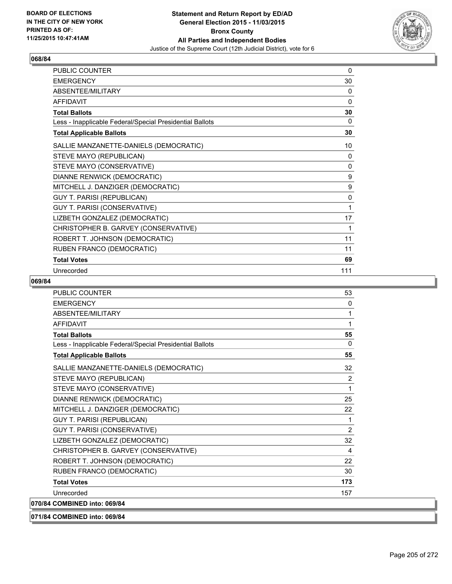

| PUBLIC COUNTER                                           | 0            |
|----------------------------------------------------------|--------------|
| <b>EMERGENCY</b>                                         | 30           |
| ABSENTEE/MILITARY                                        | 0            |
| <b>AFFIDAVIT</b>                                         | $\Omega$     |
| <b>Total Ballots</b>                                     | 30           |
| Less - Inapplicable Federal/Special Presidential Ballots | 0            |
| <b>Total Applicable Ballots</b>                          | 30           |
| SALLIE MANZANETTE-DANIELS (DEMOCRATIC)                   | 10           |
| STEVE MAYO (REPUBLICAN)                                  | 0            |
| STEVE MAYO (CONSERVATIVE)                                | $\mathbf{0}$ |
| DIANNE RENWICK (DEMOCRATIC)                              | 9            |
| MITCHELL J. DANZIGER (DEMOCRATIC)                        | 9            |
| GUY T. PARISI (REPUBLICAN)                               | 0            |
| GUY T. PARISI (CONSERVATIVE)                             | 1            |
| LIZBETH GONZALEZ (DEMOCRATIC)                            | 17           |
| CHRISTOPHER B. GARVEY (CONSERVATIVE)                     | 1            |
| ROBERT T. JOHNSON (DEMOCRATIC)                           | 11           |
| RUBEN FRANCO (DEMOCRATIC)                                | 11           |
| <b>Total Votes</b>                                       | 69           |
| Unrecorded                                               | 111          |

| <b>PUBLIC COUNTER</b>                                    | 53             |
|----------------------------------------------------------|----------------|
| <b>EMERGENCY</b>                                         | $\mathbf{0}$   |
| ABSENTEE/MILITARY                                        | 1              |
| <b>AFFIDAVIT</b>                                         | 1              |
| <b>Total Ballots</b>                                     | 55             |
| Less - Inapplicable Federal/Special Presidential Ballots | 0              |
| <b>Total Applicable Ballots</b>                          | 55             |
| SALLIE MANZANETTE-DANIELS (DEMOCRATIC)                   | 32             |
| STEVE MAYO (REPUBLICAN)                                  | 2              |
| STEVE MAYO (CONSERVATIVE)                                | 1              |
| DIANNE RENWICK (DEMOCRATIC)                              | 25             |
| MITCHELL J. DANZIGER (DEMOCRATIC)                        | 22             |
| <b>GUY T. PARISI (REPUBLICAN)</b>                        | 1              |
| <b>GUY T. PARISI (CONSERVATIVE)</b>                      | $\overline{2}$ |
| LIZBETH GONZALEZ (DEMOCRATIC)                            | 32             |
| CHRISTOPHER B. GARVEY (CONSERVATIVE)                     | 4              |
| ROBERT T. JOHNSON (DEMOCRATIC)                           | 22             |
| RUBEN FRANCO (DEMOCRATIC)                                | 30             |
| <b>Total Votes</b>                                       | 173            |
| Unrecorded                                               | 157            |
| 070/84 COMBINED into: 069/84                             |                |
| 071/84 COMBINED into: 069/84                             |                |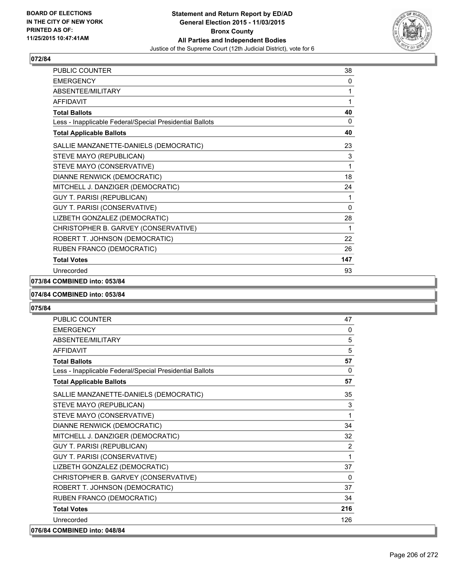

| PUBLIC COUNTER                                           | 38           |
|----------------------------------------------------------|--------------|
| <b>EMERGENCY</b>                                         | 0            |
| ABSENTEE/MILITARY                                        | 1            |
| <b>AFFIDAVIT</b>                                         | 1            |
| <b>Total Ballots</b>                                     | 40           |
| Less - Inapplicable Federal/Special Presidential Ballots | 0            |
| <b>Total Applicable Ballots</b>                          | 40           |
| SALLIE MANZANETTE-DANIELS (DEMOCRATIC)                   | 23           |
| STEVE MAYO (REPUBLICAN)                                  | 3            |
| STEVE MAYO (CONSERVATIVE)                                | 1            |
| DIANNE RENWICK (DEMOCRATIC)                              | 18           |
| MITCHELL J. DANZIGER (DEMOCRATIC)                        | 24           |
| <b>GUY T. PARISI (REPUBLICAN)</b>                        | 1            |
| GUY T. PARISI (CONSERVATIVE)                             | $\mathbf{0}$ |
| LIZBETH GONZALEZ (DEMOCRATIC)                            | 28           |
| CHRISTOPHER B. GARVEY (CONSERVATIVE)                     | 1            |
| ROBERT T. JOHNSON (DEMOCRATIC)                           | 22           |
| RUBEN FRANCO (DEMOCRATIC)                                | 26           |
| <b>Total Votes</b>                                       | 147          |
| Unrecorded                                               | 93           |

## **073/84 COMBINED into: 053/84**

#### **074/84 COMBINED into: 053/84**

| <b>PUBLIC COUNTER</b>                                    | 47       |
|----------------------------------------------------------|----------|
| <b>EMERGENCY</b>                                         | 0        |
| <b>ABSENTEE/MILITARY</b>                                 | 5        |
| <b>AFFIDAVIT</b>                                         | 5        |
| <b>Total Ballots</b>                                     | 57       |
| Less - Inapplicable Federal/Special Presidential Ballots | $\Omega$ |
| <b>Total Applicable Ballots</b>                          | 57       |
| SALLIE MANZANETTE-DANIELS (DEMOCRATIC)                   | 35       |
| STEVE MAYO (REPUBLICAN)                                  | 3        |
| STEVE MAYO (CONSERVATIVE)                                | 1        |
| DIANNE RENWICK (DEMOCRATIC)                              | 34       |
| MITCHELL J. DANZIGER (DEMOCRATIC)                        | 32       |
| <b>GUY T. PARISI (REPUBLICAN)</b>                        | 2        |
| GUY T. PARISI (CONSERVATIVE)                             | 1        |
| LIZBETH GONZALEZ (DEMOCRATIC)                            | 37       |
| CHRISTOPHER B. GARVEY (CONSERVATIVE)                     | $\Omega$ |
| ROBERT T. JOHNSON (DEMOCRATIC)                           | 37       |
| RUBEN FRANCO (DEMOCRATIC)                                | 34       |
| <b>Total Votes</b>                                       | 216      |
| Unrecorded                                               | 126      |
| 076/84 COMBINED into: 048/84                             |          |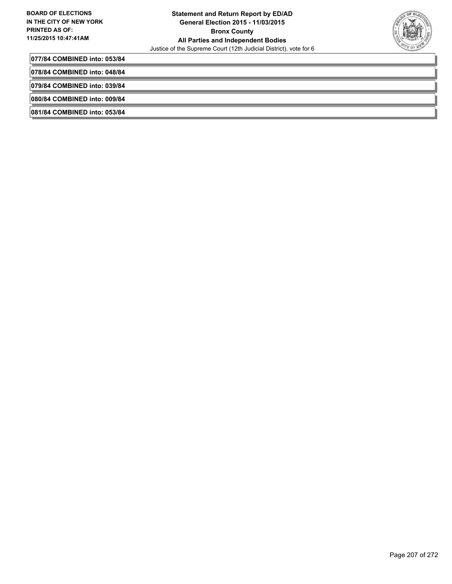

**077/84 COMBINED into: 053/84**

**078/84 COMBINED into: 048/84**

**079/84 COMBINED into: 039/84**

**080/84 COMBINED into: 009/84**

**081/84 COMBINED into: 053/84**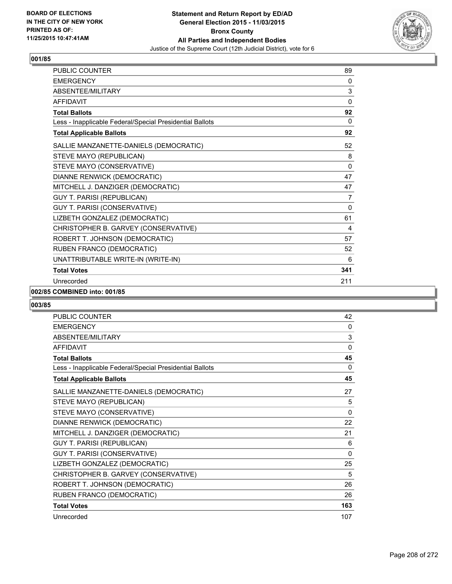

| PUBLIC COUNTER                                           | 89           |
|----------------------------------------------------------|--------------|
| <b>EMERGENCY</b>                                         | 0            |
| <b>ABSENTEE/MILITARY</b>                                 | 3            |
| <b>AFFIDAVIT</b>                                         | 0            |
| <b>Total Ballots</b>                                     | 92           |
| Less - Inapplicable Federal/Special Presidential Ballots | 0            |
| <b>Total Applicable Ballots</b>                          | 92           |
| SALLIE MANZANETTE-DANIELS (DEMOCRATIC)                   | 52           |
| STEVE MAYO (REPUBLICAN)                                  | 8            |
| STEVE MAYO (CONSERVATIVE)                                | $\mathbf{0}$ |
| DIANNE RENWICK (DEMOCRATIC)                              | 47           |
| MITCHELL J. DANZIGER (DEMOCRATIC)                        | 47           |
| <b>GUY T. PARISI (REPUBLICAN)</b>                        | 7            |
| GUY T. PARISI (CONSERVATIVE)                             | 0            |
| LIZBETH GONZALEZ (DEMOCRATIC)                            | 61           |
| CHRISTOPHER B. GARVEY (CONSERVATIVE)                     | 4            |
| ROBERT T. JOHNSON (DEMOCRATIC)                           | 57           |
| RUBEN FRANCO (DEMOCRATIC)                                | 52           |
| UNATTRIBUTABLE WRITE-IN (WRITE-IN)                       | 6            |
| <b>Total Votes</b>                                       | 341          |
| Unrecorded                                               | 211          |

#### **002/85 COMBINED into: 001/85**

| <b>PUBLIC COUNTER</b>                                    | 42           |
|----------------------------------------------------------|--------------|
| <b>EMERGENCY</b>                                         | 0            |
| <b>ABSENTEE/MILITARY</b>                                 | 3            |
| <b>AFFIDAVIT</b>                                         | $\mathbf{0}$ |
| <b>Total Ballots</b>                                     | 45           |
| Less - Inapplicable Federal/Special Presidential Ballots | 0            |
| <b>Total Applicable Ballots</b>                          | 45           |
| SALLIE MANZANETTE-DANIELS (DEMOCRATIC)                   | 27           |
| STEVE MAYO (REPUBLICAN)                                  | 5            |
| STEVE MAYO (CONSERVATIVE)                                | $\mathbf{0}$ |
| DIANNE RENWICK (DEMOCRATIC)                              | 22           |
| MITCHELL J. DANZIGER (DEMOCRATIC)                        | 21           |
| GUY T. PARISI (REPUBLICAN)                               | 6            |
| GUY T. PARISI (CONSERVATIVE)                             | $\Omega$     |
| LIZBETH GONZALEZ (DEMOCRATIC)                            | 25           |
| CHRISTOPHER B. GARVEY (CONSERVATIVE)                     | 5            |
| ROBERT T. JOHNSON (DEMOCRATIC)                           | 26           |
| RUBEN FRANCO (DEMOCRATIC)                                | 26           |
| <b>Total Votes</b>                                       | 163          |
| Unrecorded                                               | 107          |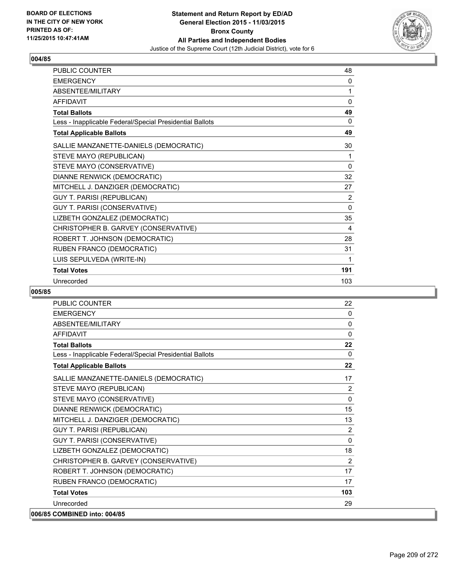

| <b>PUBLIC COUNTER</b>                                    | 48             |
|----------------------------------------------------------|----------------|
| <b>EMERGENCY</b>                                         | 0              |
| ABSENTEE/MILITARY                                        | 1              |
| <b>AFFIDAVIT</b>                                         | $\mathbf{0}$   |
| <b>Total Ballots</b>                                     | 49             |
| Less - Inapplicable Federal/Special Presidential Ballots | 0              |
| <b>Total Applicable Ballots</b>                          | 49             |
| SALLIE MANZANETTE-DANIELS (DEMOCRATIC)                   | 30             |
| STEVE MAYO (REPUBLICAN)                                  | 1              |
| STEVE MAYO (CONSERVATIVE)                                | $\mathbf{0}$   |
| DIANNE RENWICK (DEMOCRATIC)                              | 32             |
| MITCHELL J. DANZIGER (DEMOCRATIC)                        | 27             |
| <b>GUY T. PARISI (REPUBLICAN)</b>                        | $\overline{2}$ |
| GUY T. PARISI (CONSERVATIVE)                             | $\Omega$       |
| LIZBETH GONZALEZ (DEMOCRATIC)                            | 35             |
| CHRISTOPHER B. GARVEY (CONSERVATIVE)                     | 4              |
| ROBERT T. JOHNSON (DEMOCRATIC)                           | 28             |
| RUBEN FRANCO (DEMOCRATIC)                                | 31             |
| LUIS SEPULVEDA (WRITE-IN)                                | 1              |
| <b>Total Votes</b>                                       | 191            |
| Unrecorded                                               | 103            |

| <b>PUBLIC COUNTER</b>                                    | 22             |
|----------------------------------------------------------|----------------|
| <b>EMERGENCY</b>                                         | $\mathbf{0}$   |
| ABSENTEE/MILITARY                                        | 0              |
| AFFIDAVIT                                                | 0              |
| <b>Total Ballots</b>                                     | 22             |
| Less - Inapplicable Federal/Special Presidential Ballots | $\Omega$       |
| <b>Total Applicable Ballots</b>                          | 22             |
| SALLIE MANZANETTE-DANIELS (DEMOCRATIC)                   | 17             |
| STEVE MAYO (REPUBLICAN)                                  | 2              |
| STEVE MAYO (CONSERVATIVE)                                | $\mathbf{0}$   |
| DIANNE RENWICK (DEMOCRATIC)                              | 15             |
| MITCHELL J. DANZIGER (DEMOCRATIC)                        | 13             |
| <b>GUY T. PARISI (REPUBLICAN)</b>                        | $\overline{2}$ |
| <b>GUY T. PARISI (CONSERVATIVE)</b>                      | 0              |
| LIZBETH GONZALEZ (DEMOCRATIC)                            | 18             |
| CHRISTOPHER B. GARVEY (CONSERVATIVE)                     | 2              |
| ROBERT T. JOHNSON (DEMOCRATIC)                           | 17             |
| RUBEN FRANCO (DEMOCRATIC)                                | 17             |
| <b>Total Votes</b>                                       | 103            |
| Unrecorded                                               | 29             |
| 006/85 COMBINED into: 004/85                             |                |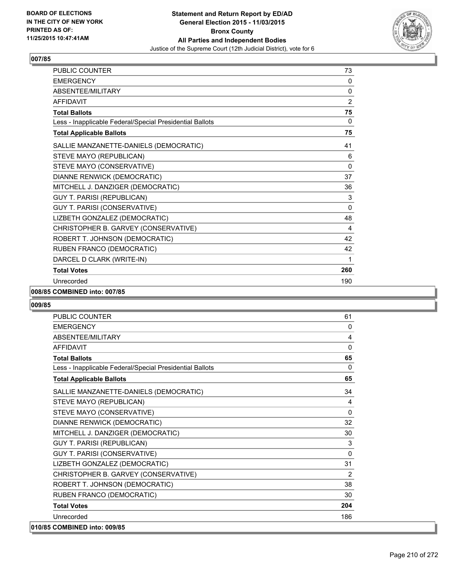

| PUBLIC COUNTER                                           | 73           |
|----------------------------------------------------------|--------------|
| <b>EMERGENCY</b>                                         | 0            |
| ABSENTEE/MILITARY                                        | $\mathbf{0}$ |
| <b>AFFIDAVIT</b>                                         | 2            |
| <b>Total Ballots</b>                                     | 75           |
| Less - Inapplicable Federal/Special Presidential Ballots | 0            |
| <b>Total Applicable Ballots</b>                          | 75           |
| SALLIE MANZANETTE-DANIELS (DEMOCRATIC)                   | 41           |
| STEVE MAYO (REPUBLICAN)                                  | 6            |
| STEVE MAYO (CONSERVATIVE)                                | $\Omega$     |
| DIANNE RENWICK (DEMOCRATIC)                              | 37           |
| MITCHELL J. DANZIGER (DEMOCRATIC)                        | 36           |
| <b>GUY T. PARISI (REPUBLICAN)</b>                        | 3            |
| GUY T. PARISI (CONSERVATIVE)                             | $\mathbf{0}$ |
| LIZBETH GONZALEZ (DEMOCRATIC)                            | 48           |
| CHRISTOPHER B. GARVEY (CONSERVATIVE)                     | 4            |
| ROBERT T. JOHNSON (DEMOCRATIC)                           | 42           |
| RUBEN FRANCO (DEMOCRATIC)                                | 42           |
| DARCEL D CLARK (WRITE-IN)                                | 1            |
| <b>Total Votes</b>                                       | 260          |
| Unrecorded                                               | 190          |

#### **008/85 COMBINED into: 007/85**

| <b>PUBLIC COUNTER</b>                                    | 61       |
|----------------------------------------------------------|----------|
| <b>EMERGENCY</b>                                         | 0        |
| ABSENTEE/MILITARY                                        | 4        |
| <b>AFFIDAVIT</b>                                         | 0        |
| <b>Total Ballots</b>                                     | 65       |
| Less - Inapplicable Federal/Special Presidential Ballots | $\Omega$ |
| <b>Total Applicable Ballots</b>                          | 65       |
| SALLIE MANZANETTE-DANIELS (DEMOCRATIC)                   | 34       |
| STEVE MAYO (REPUBLICAN)                                  | 4        |
| STEVE MAYO (CONSERVATIVE)                                | $\Omega$ |
| DIANNE RENWICK (DEMOCRATIC)                              | 32       |
| MITCHELL J. DANZIGER (DEMOCRATIC)                        | 30       |
| <b>GUY T. PARISI (REPUBLICAN)</b>                        | 3        |
| GUY T. PARISI (CONSERVATIVE)                             | 0        |
| LIZBETH GONZALEZ (DEMOCRATIC)                            | 31       |
| CHRISTOPHER B. GARVEY (CONSERVATIVE)                     | 2        |
| ROBERT T. JOHNSON (DEMOCRATIC)                           | 38       |
| RUBEN FRANCO (DEMOCRATIC)                                | 30       |
| <b>Total Votes</b>                                       | 204      |
| Unrecorded                                               | 186      |
| 010/85 COMBINED into: 009/85                             |          |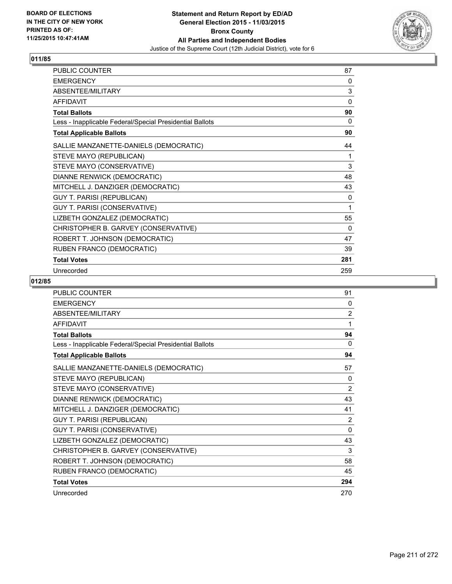

| PUBLIC COUNTER                                           | 87  |
|----------------------------------------------------------|-----|
| <b>EMERGENCY</b>                                         | 0   |
| ABSENTEE/MILITARY                                        | 3   |
| <b>AFFIDAVIT</b>                                         | 0   |
| <b>Total Ballots</b>                                     | 90  |
| Less - Inapplicable Federal/Special Presidential Ballots | 0   |
| <b>Total Applicable Ballots</b>                          | 90  |
| SALLIE MANZANETTE-DANIELS (DEMOCRATIC)                   | 44  |
| STEVE MAYO (REPUBLICAN)                                  | 1   |
| STEVE MAYO (CONSERVATIVE)                                | 3   |
| DIANNE RENWICK (DEMOCRATIC)                              | 48  |
| MITCHELL J. DANZIGER (DEMOCRATIC)                        | 43  |
| <b>GUY T. PARISI (REPUBLICAN)</b>                        | 0   |
| GUY T. PARISI (CONSERVATIVE)                             | 1   |
| LIZBETH GONZALEZ (DEMOCRATIC)                            | 55  |
| CHRISTOPHER B. GARVEY (CONSERVATIVE)                     | 0   |
| ROBERT T. JOHNSON (DEMOCRATIC)                           | 47  |
| RUBEN FRANCO (DEMOCRATIC)                                | 39  |
| <b>Total Votes</b>                                       | 281 |
| Unrecorded                                               | 259 |

| <b>PUBLIC COUNTER</b>                                    | 91       |
|----------------------------------------------------------|----------|
| <b>EMERGENCY</b>                                         | 0        |
| ABSENTEE/MILITARY                                        | 2        |
| <b>AFFIDAVIT</b>                                         | 1        |
| <b>Total Ballots</b>                                     | 94       |
| Less - Inapplicable Federal/Special Presidential Ballots | $\Omega$ |
| <b>Total Applicable Ballots</b>                          | 94       |
| SALLIE MANZANETTE-DANIELS (DEMOCRATIC)                   | 57       |
| STEVE MAYO (REPUBLICAN)                                  | 0        |
| STEVE MAYO (CONSERVATIVE)                                | 2        |
| DIANNE RENWICK (DEMOCRATIC)                              | 43       |
| MITCHELL J. DANZIGER (DEMOCRATIC)                        | 41       |
| <b>GUY T. PARISI (REPUBLICAN)</b>                        | 2        |
| GUY T. PARISI (CONSERVATIVE)                             | $\Omega$ |
| LIZBETH GONZALEZ (DEMOCRATIC)                            | 43       |
| CHRISTOPHER B. GARVEY (CONSERVATIVE)                     | 3        |
| ROBERT T. JOHNSON (DEMOCRATIC)                           | 58       |
| RUBEN FRANCO (DEMOCRATIC)                                | 45       |
| <b>Total Votes</b>                                       | 294      |
| Unrecorded                                               | 270      |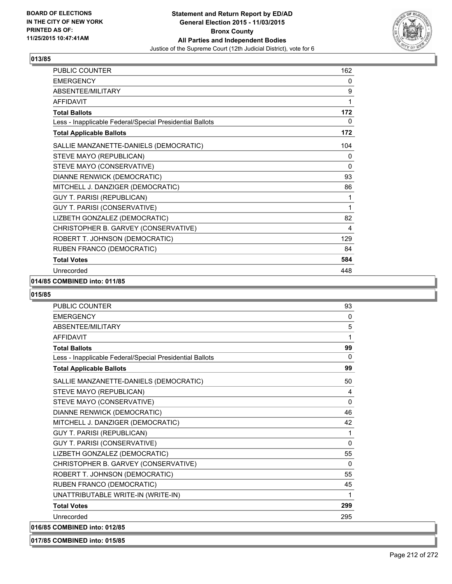

| PUBLIC COUNTER                                           | 162 |
|----------------------------------------------------------|-----|
| <b>EMERGENCY</b>                                         | 0   |
| ABSENTEE/MILITARY                                        | 9   |
| <b>AFFIDAVIT</b>                                         | 1   |
| <b>Total Ballots</b>                                     | 172 |
| Less - Inapplicable Federal/Special Presidential Ballots | 0   |
| <b>Total Applicable Ballots</b>                          | 172 |
| SALLIE MANZANETTE-DANIELS (DEMOCRATIC)                   | 104 |
| STEVE MAYO (REPUBLICAN)                                  | 0   |
| STEVE MAYO (CONSERVATIVE)                                | 0   |
| DIANNE RENWICK (DEMOCRATIC)                              | 93  |
| MITCHELL J. DANZIGER (DEMOCRATIC)                        | 86  |
| <b>GUY T. PARISI (REPUBLICAN)</b>                        | 1   |
| GUY T. PARISI (CONSERVATIVE)                             | 1   |
| LIZBETH GONZALEZ (DEMOCRATIC)                            | 82  |
| CHRISTOPHER B. GARVEY (CONSERVATIVE)                     | 4   |
| ROBERT T. JOHNSON (DEMOCRATIC)                           | 129 |
| RUBEN FRANCO (DEMOCRATIC)                                | 84  |
| <b>Total Votes</b>                                       | 584 |
| Unrecorded                                               | 448 |

## **014/85 COMBINED into: 011/85**

#### **015/85**

| <b>PUBLIC COUNTER</b>                                    | 93           |
|----------------------------------------------------------|--------------|
| <b>EMERGENCY</b>                                         | $\mathbf{0}$ |
| ABSENTEE/MILITARY                                        | 5            |
| <b>AFFIDAVIT</b>                                         | 1            |
| <b>Total Ballots</b>                                     | 99           |
| Less - Inapplicable Federal/Special Presidential Ballots | $\mathbf{0}$ |
| <b>Total Applicable Ballots</b>                          | 99           |
| SALLIE MANZANETTE-DANIELS (DEMOCRATIC)                   | 50           |
| STEVE MAYO (REPUBLICAN)                                  | 4            |
| STEVE MAYO (CONSERVATIVE)                                | 0            |
| DIANNE RENWICK (DEMOCRATIC)                              | 46           |
| MITCHELL J. DANZIGER (DEMOCRATIC)                        | 42           |
| <b>GUY T. PARISI (REPUBLICAN)</b>                        | 1            |
| <b>GUY T. PARISI (CONSERVATIVE)</b>                      | 0            |
| LIZBETH GONZALEZ (DEMOCRATIC)                            | 55           |
| CHRISTOPHER B. GARVEY (CONSERVATIVE)                     | 0            |
| ROBERT T. JOHNSON (DEMOCRATIC)                           | 55           |
| RUBEN FRANCO (DEMOCRATIC)                                | 45           |
| UNATTRIBUTABLE WRITE-IN (WRITE-IN)                       | 1            |
| <b>Total Votes</b>                                       | 299          |
| Unrecorded                                               | 295          |
| 016/85 COMBINED into: 012/85                             |              |

# **017/85 COMBINED into: 015/85**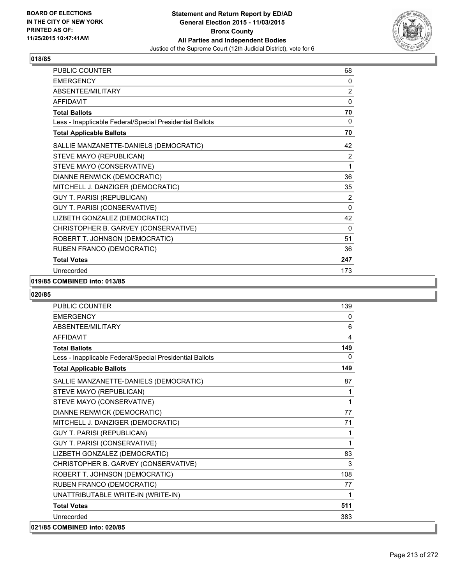

| PUBLIC COUNTER                                           | 68             |
|----------------------------------------------------------|----------------|
| <b>EMERGENCY</b>                                         | 0              |
| ABSENTEE/MILITARY                                        | 2              |
| <b>AFFIDAVIT</b>                                         | $\mathbf{0}$   |
| <b>Total Ballots</b>                                     | 70             |
| Less - Inapplicable Federal/Special Presidential Ballots | 0              |
| <b>Total Applicable Ballots</b>                          | 70             |
| SALLIE MANZANETTE-DANIELS (DEMOCRATIC)                   | 42             |
| STEVE MAYO (REPUBLICAN)                                  | $\overline{2}$ |
| STEVE MAYO (CONSERVATIVE)                                | 1              |
| DIANNE RENWICK (DEMOCRATIC)                              | 36             |
| MITCHELL J. DANZIGER (DEMOCRATIC)                        | 35             |
| <b>GUY T. PARISI (REPUBLICAN)</b>                        | 2              |
| GUY T. PARISI (CONSERVATIVE)                             | $\mathbf{0}$   |
| LIZBETH GONZALEZ (DEMOCRATIC)                            | 42             |
| CHRISTOPHER B. GARVEY (CONSERVATIVE)                     | 0              |
| ROBERT T. JOHNSON (DEMOCRATIC)                           | 51             |
| RUBEN FRANCO (DEMOCRATIC)                                | 36             |
| <b>Total Votes</b>                                       | 247            |
| Unrecorded                                               | 173            |

## **019/85 COMBINED into: 013/85**

| PUBLIC COUNTER                                           | 139          |
|----------------------------------------------------------|--------------|
| <b>EMERGENCY</b>                                         | 0            |
| <b>ABSENTEE/MILITARY</b>                                 | 6            |
| <b>AFFIDAVIT</b>                                         | 4            |
| <b>Total Ballots</b>                                     | 149          |
| Less - Inapplicable Federal/Special Presidential Ballots | $\mathbf{0}$ |
| <b>Total Applicable Ballots</b>                          | 149          |
| SALLIE MANZANETTE-DANIELS (DEMOCRATIC)                   | 87           |
| STEVE MAYO (REPUBLICAN)                                  | 1            |
| STEVE MAYO (CONSERVATIVE)                                | 1            |
| DIANNE RENWICK (DEMOCRATIC)                              | 77           |
| MITCHELL J. DANZIGER (DEMOCRATIC)                        | 71           |
| <b>GUY T. PARISI (REPUBLICAN)</b>                        | 1            |
| <b>GUY T. PARISI (CONSERVATIVE)</b>                      | 1            |
| LIZBETH GONZALEZ (DEMOCRATIC)                            | 83           |
| CHRISTOPHER B. GARVEY (CONSERVATIVE)                     | 3            |
| ROBERT T. JOHNSON (DEMOCRATIC)                           | 108          |
| RUBEN FRANCO (DEMOCRATIC)                                | 77           |
| UNATTRIBUTABLE WRITE-IN (WRITE-IN)                       | 1            |
| <b>Total Votes</b>                                       | 511          |
| Unrecorded                                               | 383          |
| 021/85 COMBINED into: 020/85                             |              |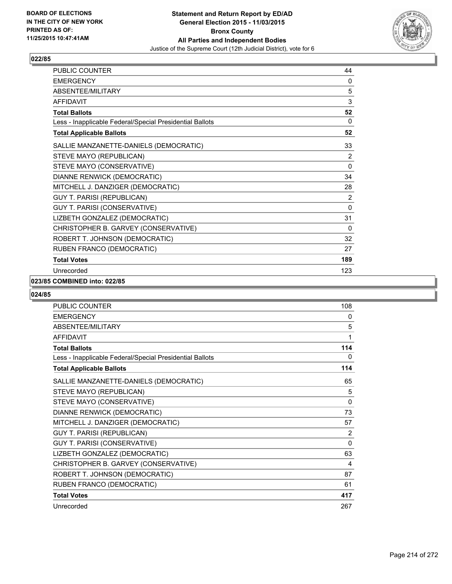

| <b>PUBLIC COUNTER</b>                                    | 44           |
|----------------------------------------------------------|--------------|
| <b>EMERGENCY</b>                                         | 0            |
| <b>ABSENTEE/MILITARY</b>                                 | 5            |
| <b>AFFIDAVIT</b>                                         | 3            |
| <b>Total Ballots</b>                                     | 52           |
| Less - Inapplicable Federal/Special Presidential Ballots | $\mathbf{0}$ |
| <b>Total Applicable Ballots</b>                          | 52           |
| SALLIE MANZANETTE-DANIELS (DEMOCRATIC)                   | 33           |
| STEVE MAYO (REPUBLICAN)                                  | 2            |
| STEVE MAYO (CONSERVATIVE)                                | 0            |
| DIANNE RENWICK (DEMOCRATIC)                              | 34           |
| MITCHELL J. DANZIGER (DEMOCRATIC)                        | 28           |
| GUY T. PARISI (REPUBLICAN)                               | 2            |
| GUY T. PARISI (CONSERVATIVE)                             | $\mathbf{0}$ |
| LIZBETH GONZALEZ (DEMOCRATIC)                            | 31           |
| CHRISTOPHER B. GARVEY (CONSERVATIVE)                     | 0            |
| ROBERT T. JOHNSON (DEMOCRATIC)                           | 32           |
| RUBEN FRANCO (DEMOCRATIC)                                | 27           |
| <b>Total Votes</b>                                       | 189          |
| Unrecorded                                               | 123          |

#### **023/85 COMBINED into: 022/85**

| <b>PUBLIC COUNTER</b>                                    | 108          |
|----------------------------------------------------------|--------------|
| <b>EMERGENCY</b>                                         | 0            |
| <b>ABSENTEE/MILITARY</b>                                 | 5            |
| <b>AFFIDAVIT</b>                                         | 1            |
| <b>Total Ballots</b>                                     | 114          |
| Less - Inapplicable Federal/Special Presidential Ballots | 0            |
| <b>Total Applicable Ballots</b>                          | 114          |
| SALLIE MANZANETTE-DANIELS (DEMOCRATIC)                   | 65           |
| STEVE MAYO (REPUBLICAN)                                  | 5            |
| STEVE MAYO (CONSERVATIVE)                                | $\mathbf{0}$ |
| DIANNE RENWICK (DEMOCRATIC)                              | 73           |
| MITCHELL J. DANZIGER (DEMOCRATIC)                        | 57           |
| <b>GUY T. PARISI (REPUBLICAN)</b>                        | 2            |
| GUY T. PARISI (CONSERVATIVE)                             | $\mathbf{0}$ |
| LIZBETH GONZALEZ (DEMOCRATIC)                            | 63           |
| CHRISTOPHER B. GARVEY (CONSERVATIVE)                     | 4            |
| ROBERT T. JOHNSON (DEMOCRATIC)                           | 87           |
| RUBEN FRANCO (DEMOCRATIC)                                | 61           |
| <b>Total Votes</b>                                       | 417          |
| Unrecorded                                               | 267          |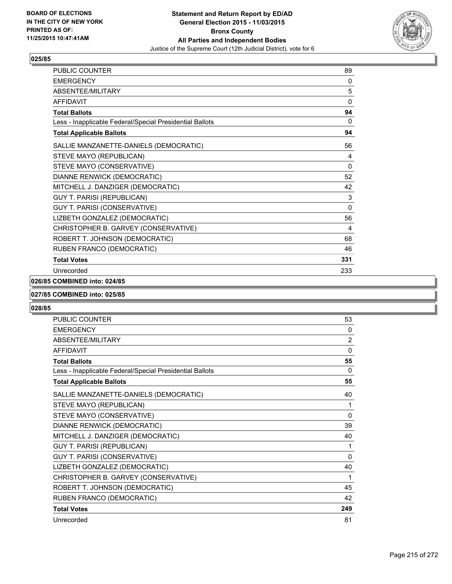

| PUBLIC COUNTER                                           | 89           |
|----------------------------------------------------------|--------------|
| <b>EMERGENCY</b>                                         | 0            |
| <b>ABSENTEE/MILITARY</b>                                 | 5            |
| <b>AFFIDAVIT</b>                                         | $\Omega$     |
| <b>Total Ballots</b>                                     | 94           |
| Less - Inapplicable Federal/Special Presidential Ballots | 0            |
| <b>Total Applicable Ballots</b>                          | 94           |
| SALLIE MANZANETTE-DANIELS (DEMOCRATIC)                   | 56           |
| STEVE MAYO (REPUBLICAN)                                  | 4            |
| STEVE MAYO (CONSERVATIVE)                                | 0            |
| DIANNE RENWICK (DEMOCRATIC)                              | 52           |
| MITCHELL J. DANZIGER (DEMOCRATIC)                        | 42           |
| <b>GUY T. PARISI (REPUBLICAN)</b>                        | 3            |
| GUY T. PARISI (CONSERVATIVE)                             | $\mathbf{0}$ |
| LIZBETH GONZALEZ (DEMOCRATIC)                            | 56           |
| CHRISTOPHER B. GARVEY (CONSERVATIVE)                     | 4            |
| ROBERT T. JOHNSON (DEMOCRATIC)                           | 68           |
| RUBEN FRANCO (DEMOCRATIC)                                | 46           |
| <b>Total Votes</b>                                       | 331          |
| Unrecorded                                               | 233          |

## **026/85 COMBINED into: 024/85**

#### **027/85 COMBINED into: 025/85**

| PUBLIC COUNTER                                           | 53           |
|----------------------------------------------------------|--------------|
| <b>EMERGENCY</b>                                         | 0            |
| ABSENTEE/MILITARY                                        | 2            |
| <b>AFFIDAVIT</b>                                         | $\mathbf{0}$ |
| <b>Total Ballots</b>                                     | 55           |
| Less - Inapplicable Federal/Special Presidential Ballots | 0            |
| <b>Total Applicable Ballots</b>                          | 55           |
| SALLIE MANZANETTE-DANIELS (DEMOCRATIC)                   | 40           |
| STEVE MAYO (REPUBLICAN)                                  | 1            |
| STEVE MAYO (CONSERVATIVE)                                | $\mathbf{0}$ |
| DIANNE RENWICK (DEMOCRATIC)                              | 39           |
| MITCHELL J. DANZIGER (DEMOCRATIC)                        | 40           |
| <b>GUY T. PARISI (REPUBLICAN)</b>                        | 1            |
| GUY T. PARISI (CONSERVATIVE)                             | $\Omega$     |
| LIZBETH GONZALEZ (DEMOCRATIC)                            | 40           |
| CHRISTOPHER B. GARVEY (CONSERVATIVE)                     | 1            |
| ROBERT T. JOHNSON (DEMOCRATIC)                           | 45           |
| RUBEN FRANCO (DEMOCRATIC)                                | 42           |
| <b>Total Votes</b>                                       | 249          |
| Unrecorded                                               | 81           |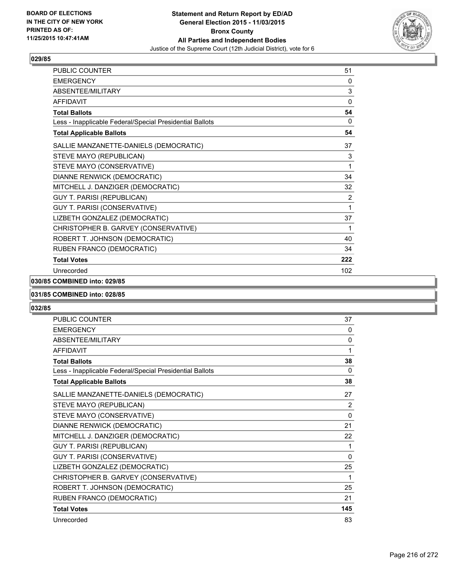

| PUBLIC COUNTER                                           | 51  |
|----------------------------------------------------------|-----|
| <b>EMERGENCY</b>                                         | 0   |
| ABSENTEE/MILITARY                                        | 3   |
| <b>AFFIDAVIT</b>                                         | 0   |
| <b>Total Ballots</b>                                     | 54  |
| Less - Inapplicable Federal/Special Presidential Ballots | 0   |
| <b>Total Applicable Ballots</b>                          | 54  |
| SALLIE MANZANETTE-DANIELS (DEMOCRATIC)                   | 37  |
| STEVE MAYO (REPUBLICAN)                                  | 3   |
| STEVE MAYO (CONSERVATIVE)                                | 1   |
| DIANNE RENWICK (DEMOCRATIC)                              | 34  |
| MITCHELL J. DANZIGER (DEMOCRATIC)                        | 32  |
| <b>GUY T. PARISI (REPUBLICAN)</b>                        | 2   |
| GUY T. PARISI (CONSERVATIVE)                             | 1   |
| LIZBETH GONZALEZ (DEMOCRATIC)                            | 37  |
| CHRISTOPHER B. GARVEY (CONSERVATIVE)                     | 1   |
| ROBERT T. JOHNSON (DEMOCRATIC)                           | 40  |
| RUBEN FRANCO (DEMOCRATIC)                                | 34  |
| <b>Total Votes</b>                                       | 222 |
| Unrecorded                                               | 102 |

## **030/85 COMBINED into: 029/85**

#### **031/85 COMBINED into: 028/85**

| <b>PUBLIC COUNTER</b>                                    | 37           |
|----------------------------------------------------------|--------------|
| <b>EMERGENCY</b>                                         | 0            |
| ABSENTEE/MILITARY                                        | $\mathbf{0}$ |
| <b>AFFIDAVIT</b>                                         | 1            |
| <b>Total Ballots</b>                                     | 38           |
| Less - Inapplicable Federal/Special Presidential Ballots | $\Omega$     |
| <b>Total Applicable Ballots</b>                          | 38           |
| SALLIE MANZANETTE-DANIELS (DEMOCRATIC)                   | 27           |
| STEVE MAYO (REPUBLICAN)                                  | 2            |
| STEVE MAYO (CONSERVATIVE)                                | $\mathbf{0}$ |
| DIANNE RENWICK (DEMOCRATIC)                              | 21           |
| MITCHELL J. DANZIGER (DEMOCRATIC)                        | 22           |
| <b>GUY T. PARISI (REPUBLICAN)</b>                        | 1            |
| GUY T. PARISI (CONSERVATIVE)                             | $\Omega$     |
| LIZBETH GONZALEZ (DEMOCRATIC)                            | 25           |
| CHRISTOPHER B. GARVEY (CONSERVATIVE)                     | 1            |
| ROBERT T. JOHNSON (DEMOCRATIC)                           | 25           |
| RUBEN FRANCO (DEMOCRATIC)                                | 21           |
| <b>Total Votes</b>                                       | 145          |
| Unrecorded                                               | 83           |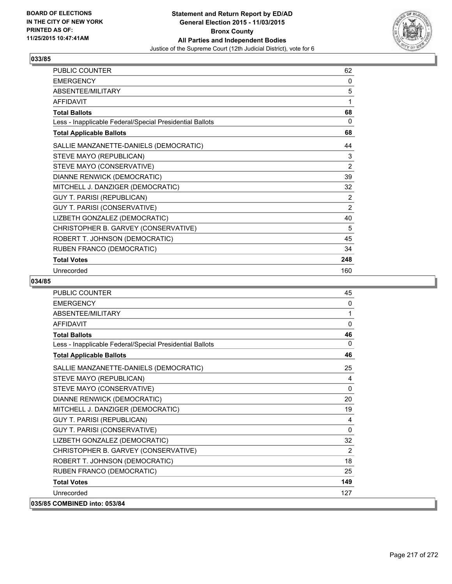

| PUBLIC COUNTER                                           | 62             |
|----------------------------------------------------------|----------------|
| <b>EMERGENCY</b>                                         | 0              |
| ABSENTEE/MILITARY                                        | 5              |
| <b>AFFIDAVIT</b>                                         | 1              |
| <b>Total Ballots</b>                                     | 68             |
| Less - Inapplicable Federal/Special Presidential Ballots | 0              |
| <b>Total Applicable Ballots</b>                          | 68             |
| SALLIE MANZANETTE-DANIELS (DEMOCRATIC)                   | 44             |
| STEVE MAYO (REPUBLICAN)                                  | 3              |
| STEVE MAYO (CONSERVATIVE)                                | $\overline{2}$ |
| DIANNE RENWICK (DEMOCRATIC)                              | 39             |
| MITCHELL J. DANZIGER (DEMOCRATIC)                        | 32             |
| <b>GUY T. PARISI (REPUBLICAN)</b>                        | $\overline{2}$ |
| GUY T. PARISI (CONSERVATIVE)                             | $\overline{2}$ |
| LIZBETH GONZALEZ (DEMOCRATIC)                            | 40             |
| CHRISTOPHER B. GARVEY (CONSERVATIVE)                     | 5              |
| ROBERT T. JOHNSON (DEMOCRATIC)                           | 45             |
| RUBEN FRANCO (DEMOCRATIC)                                | 34             |
| <b>Total Votes</b>                                       | 248            |
| Unrecorded                                               | 160            |

| PUBLIC COUNTER                                           | 45           |
|----------------------------------------------------------|--------------|
| <b>EMERGENCY</b>                                         | $\mathbf{0}$ |
| <b>ABSENTEE/MILITARY</b>                                 | 1            |
| <b>AFFIDAVIT</b>                                         | $\mathbf{0}$ |
| <b>Total Ballots</b>                                     | 46           |
| Less - Inapplicable Federal/Special Presidential Ballots | 0            |
| <b>Total Applicable Ballots</b>                          | 46           |
| SALLIE MANZANETTE-DANIELS (DEMOCRATIC)                   | 25           |
| STEVE MAYO (REPUBLICAN)                                  | 4            |
| STEVE MAYO (CONSERVATIVE)                                | $\mathbf{0}$ |
| DIANNE RENWICK (DEMOCRATIC)                              | 20           |
| MITCHELL J. DANZIGER (DEMOCRATIC)                        | 19           |
| GUY T. PARISI (REPUBLICAN)                               | 4            |
| GUY T. PARISI (CONSERVATIVE)                             | 0            |
| LIZBETH GONZALEZ (DEMOCRATIC)                            | 32           |
| CHRISTOPHER B. GARVEY (CONSERVATIVE)                     | 2            |
| ROBERT T. JOHNSON (DEMOCRATIC)                           | 18           |
| RUBEN FRANCO (DEMOCRATIC)                                | 25           |
| <b>Total Votes</b>                                       | 149          |
| Unrecorded                                               | 127          |
| 035/85 COMBINED into: 053/84                             |              |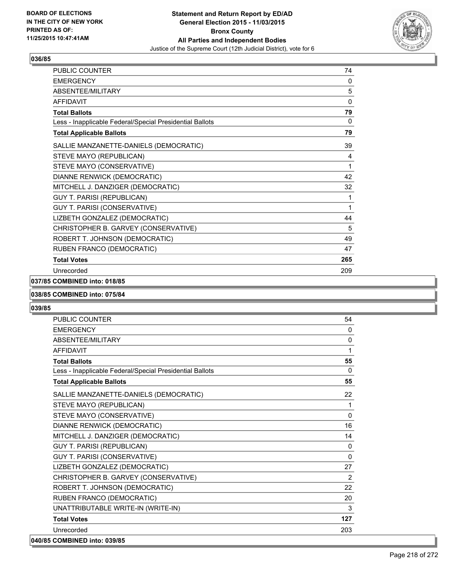

| PUBLIC COUNTER                                           | 74       |
|----------------------------------------------------------|----------|
| <b>EMERGENCY</b>                                         | 0        |
| ABSENTEE/MILITARY                                        | 5        |
| <b>AFFIDAVIT</b>                                         | $\Omega$ |
| <b>Total Ballots</b>                                     | 79       |
| Less - Inapplicable Federal/Special Presidential Ballots | 0        |
| <b>Total Applicable Ballots</b>                          | 79       |
| SALLIE MANZANETTE-DANIELS (DEMOCRATIC)                   | 39       |
| STEVE MAYO (REPUBLICAN)                                  | 4        |
| STEVE MAYO (CONSERVATIVE)                                | 1        |
| DIANNE RENWICK (DEMOCRATIC)                              | 42       |
| MITCHELL J. DANZIGER (DEMOCRATIC)                        | 32       |
| <b>GUY T. PARISI (REPUBLICAN)</b>                        | 1        |
| GUY T. PARISI (CONSERVATIVE)                             | 1        |
| LIZBETH GONZALEZ (DEMOCRATIC)                            | 44       |
| CHRISTOPHER B. GARVEY (CONSERVATIVE)                     | 5        |
| ROBERT T. JOHNSON (DEMOCRATIC)                           | 49       |
| RUBEN FRANCO (DEMOCRATIC)                                | 47       |
| <b>Total Votes</b>                                       | 265      |
| Unrecorded                                               | 209      |

#### **037/85 COMBINED into: 018/85**

#### **038/85 COMBINED into: 075/84**

| <b>PUBLIC COUNTER</b>                                    | 54           |
|----------------------------------------------------------|--------------|
| <b>EMERGENCY</b>                                         | $\Omega$     |
| ABSENTEE/MILITARY                                        | $\mathbf{0}$ |
| <b>AFFIDAVIT</b>                                         | 1            |
| <b>Total Ballots</b>                                     | 55           |
| Less - Inapplicable Federal/Special Presidential Ballots | $\mathbf{0}$ |
| <b>Total Applicable Ballots</b>                          | 55           |
| SALLIE MANZANETTE-DANIELS (DEMOCRATIC)                   | 22           |
| STEVE MAYO (REPUBLICAN)                                  | 1            |
| STEVE MAYO (CONSERVATIVE)                                | $\Omega$     |
| DIANNE RENWICK (DEMOCRATIC)                              | 16           |
| MITCHELL J. DANZIGER (DEMOCRATIC)                        | 14           |
| <b>GUY T. PARISI (REPUBLICAN)</b>                        | $\Omega$     |
| GUY T. PARISI (CONSERVATIVE)                             | $\Omega$     |
| LIZBETH GONZALEZ (DEMOCRATIC)                            | 27           |
| CHRISTOPHER B. GARVEY (CONSERVATIVE)                     | 2            |
| ROBERT T. JOHNSON (DEMOCRATIC)                           | 22           |
| RUBEN FRANCO (DEMOCRATIC)                                | 20           |
| UNATTRIBUTABLE WRITE-IN (WRITE-IN)                       | 3            |
| <b>Total Votes</b>                                       | 127          |
| Unrecorded                                               | 203          |
| 040/85 COMBINED into: 039/85                             |              |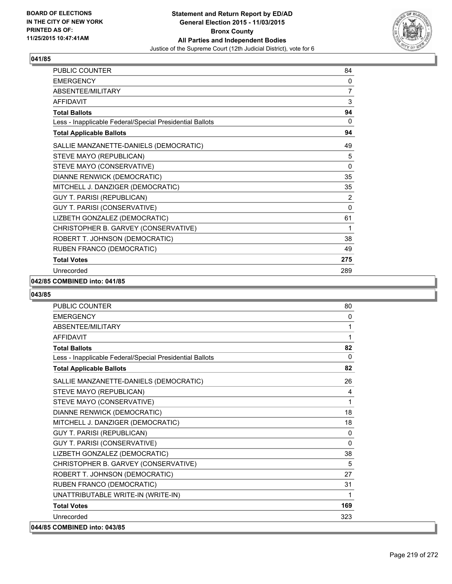

| PUBLIC COUNTER                                           | 84           |
|----------------------------------------------------------|--------------|
| <b>EMERGENCY</b>                                         | 0            |
| ABSENTEE/MILITARY                                        | 7            |
| <b>AFFIDAVIT</b>                                         | 3            |
| <b>Total Ballots</b>                                     | 94           |
| Less - Inapplicable Federal/Special Presidential Ballots | 0            |
| <b>Total Applicable Ballots</b>                          | 94           |
| SALLIE MANZANETTE-DANIELS (DEMOCRATIC)                   | 49           |
| STEVE MAYO (REPUBLICAN)                                  | 5            |
| STEVE MAYO (CONSERVATIVE)                                | 0            |
| DIANNE RENWICK (DEMOCRATIC)                              | 35           |
| MITCHELL J. DANZIGER (DEMOCRATIC)                        | 35           |
| GUY T. PARISI (REPUBLICAN)                               | 2            |
| GUY T. PARISI (CONSERVATIVE)                             | $\mathbf{0}$ |
| LIZBETH GONZALEZ (DEMOCRATIC)                            | 61           |
| CHRISTOPHER B. GARVEY (CONSERVATIVE)                     | 1            |
| ROBERT T. JOHNSON (DEMOCRATIC)                           | 38           |
| RUBEN FRANCO (DEMOCRATIC)                                | 49           |
| <b>Total Votes</b>                                       | 275          |
| Unrecorded                                               | 289          |

## **042/85 COMBINED into: 041/85**

| <b>PUBLIC COUNTER</b>                                    | 80           |
|----------------------------------------------------------|--------------|
| <b>EMERGENCY</b>                                         | $\mathbf{0}$ |
| ABSENTEE/MILITARY                                        | 1            |
| <b>AFFIDAVIT</b>                                         | 1            |
| <b>Total Ballots</b>                                     | 82           |
| Less - Inapplicable Federal/Special Presidential Ballots | $\mathbf{0}$ |
| <b>Total Applicable Ballots</b>                          | 82           |
| SALLIE MANZANETTE-DANIELS (DEMOCRATIC)                   | 26           |
| STEVE MAYO (REPUBLICAN)                                  | 4            |
| STEVE MAYO (CONSERVATIVE)                                | 1            |
| DIANNE RENWICK (DEMOCRATIC)                              | 18           |
| MITCHELL J. DANZIGER (DEMOCRATIC)                        | 18           |
| <b>GUY T. PARISI (REPUBLICAN)</b>                        | 0            |
| GUY T. PARISI (CONSERVATIVE)                             | 0            |
| LIZBETH GONZALEZ (DEMOCRATIC)                            | 38           |
| CHRISTOPHER B. GARVEY (CONSERVATIVE)                     | 5            |
| ROBERT T. JOHNSON (DEMOCRATIC)                           | 27           |
| RUBEN FRANCO (DEMOCRATIC)                                | 31           |
| UNATTRIBUTABLE WRITE-IN (WRITE-IN)                       | 1            |
| <b>Total Votes</b>                                       | 169          |
| Unrecorded                                               | 323          |
| 044/85 COMBINED into: 043/85                             |              |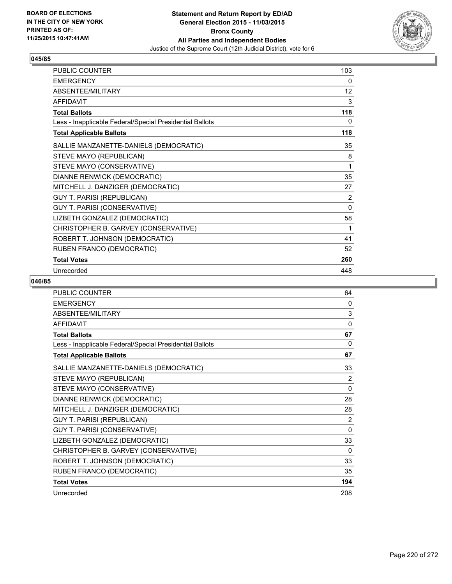

| PUBLIC COUNTER                                           | 103      |
|----------------------------------------------------------|----------|
| <b>EMERGENCY</b>                                         | 0        |
| ABSENTEE/MILITARY                                        | 12       |
| <b>AFFIDAVIT</b>                                         | 3        |
| <b>Total Ballots</b>                                     | 118      |
| Less - Inapplicable Federal/Special Presidential Ballots | 0        |
| <b>Total Applicable Ballots</b>                          | 118      |
| SALLIE MANZANETTE-DANIELS (DEMOCRATIC)                   | 35       |
| STEVE MAYO (REPUBLICAN)                                  | 8        |
| STEVE MAYO (CONSERVATIVE)                                | 1        |
| DIANNE RENWICK (DEMOCRATIC)                              | 35       |
| MITCHELL J. DANZIGER (DEMOCRATIC)                        | 27       |
| GUY T. PARISI (REPUBLICAN)                               | 2        |
| GUY T. PARISI (CONSERVATIVE)                             | $\Omega$ |
| LIZBETH GONZALEZ (DEMOCRATIC)                            | 58       |
| CHRISTOPHER B. GARVEY (CONSERVATIVE)                     | 1        |
| ROBERT T. JOHNSON (DEMOCRATIC)                           | 41       |
| RUBEN FRANCO (DEMOCRATIC)                                | 52       |
| <b>Total Votes</b>                                       | 260      |
| Unrecorded                                               | 448      |

| <b>PUBLIC COUNTER</b>                                    | 64           |
|----------------------------------------------------------|--------------|
| <b>EMERGENCY</b>                                         | 0            |
| ABSENTEE/MILITARY                                        | 3            |
| <b>AFFIDAVIT</b>                                         | 0            |
| <b>Total Ballots</b>                                     | 67           |
| Less - Inapplicable Federal/Special Presidential Ballots | 0            |
| <b>Total Applicable Ballots</b>                          | 67           |
| SALLIE MANZANETTE-DANIELS (DEMOCRATIC)                   | 33           |
| STEVE MAYO (REPUBLICAN)                                  | 2            |
| STEVE MAYO (CONSERVATIVE)                                | $\mathbf{0}$ |
| DIANNE RENWICK (DEMOCRATIC)                              | 28           |
| MITCHELL J. DANZIGER (DEMOCRATIC)                        | 28           |
| <b>GUY T. PARISI (REPUBLICAN)</b>                        | 2            |
| GUY T. PARISI (CONSERVATIVE)                             | $\Omega$     |
| LIZBETH GONZALEZ (DEMOCRATIC)                            | 33           |
| CHRISTOPHER B. GARVEY (CONSERVATIVE)                     | $\Omega$     |
| ROBERT T. JOHNSON (DEMOCRATIC)                           | 33           |
| RUBEN FRANCO (DEMOCRATIC)                                | 35           |
| <b>Total Votes</b>                                       | 194          |
| Unrecorded                                               | 208          |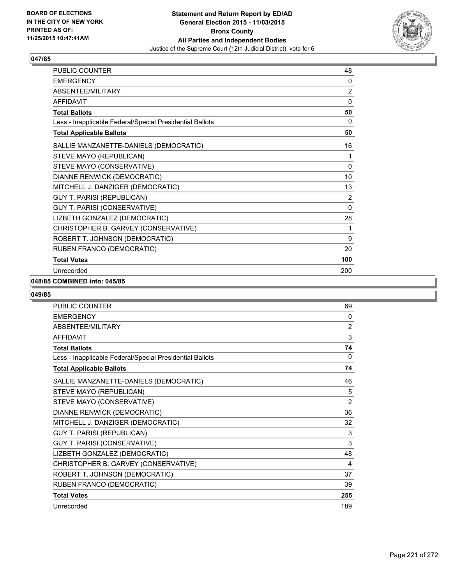

| PUBLIC COUNTER                                           | 48             |
|----------------------------------------------------------|----------------|
| <b>EMERGENCY</b>                                         | 0              |
| ABSENTEE/MILITARY                                        | $\overline{2}$ |
| <b>AFFIDAVIT</b>                                         | 0              |
| <b>Total Ballots</b>                                     | 50             |
| Less - Inapplicable Federal/Special Presidential Ballots | 0              |
| <b>Total Applicable Ballots</b>                          | 50             |
| SALLIE MANZANETTE-DANIELS (DEMOCRATIC)                   | 16             |
| STEVE MAYO (REPUBLICAN)                                  | 1              |
| STEVE MAYO (CONSERVATIVE)                                | 0              |
| DIANNE RENWICK (DEMOCRATIC)                              | 10             |
| MITCHELL J. DANZIGER (DEMOCRATIC)                        | 13             |
| GUY T. PARISI (REPUBLICAN)                               | 2              |
| GUY T. PARISI (CONSERVATIVE)                             | $\mathbf{0}$   |
| LIZBETH GONZALEZ (DEMOCRATIC)                            | 28             |
| CHRISTOPHER B. GARVEY (CONSERVATIVE)                     | 1              |
| ROBERT T. JOHNSON (DEMOCRATIC)                           | 9              |
| RUBEN FRANCO (DEMOCRATIC)                                | 20             |
| <b>Total Votes</b>                                       | 100            |
| Unrecorded                                               | 200            |

#### **048/85 COMBINED into: 045/85**

| <b>PUBLIC COUNTER</b>                                    | 69             |
|----------------------------------------------------------|----------------|
| <b>EMERGENCY</b>                                         | 0              |
| ABSENTEE/MILITARY                                        | $\overline{2}$ |
| <b>AFFIDAVIT</b>                                         | 3              |
| <b>Total Ballots</b>                                     | 74             |
| Less - Inapplicable Federal/Special Presidential Ballots | 0              |
| <b>Total Applicable Ballots</b>                          | 74             |
| SALLIE MANZANETTE-DANIELS (DEMOCRATIC)                   | 46             |
| STEVE MAYO (REPUBLICAN)                                  | 5              |
| STEVE MAYO (CONSERVATIVE)                                | $\overline{2}$ |
| DIANNE RENWICK (DEMOCRATIC)                              | 36             |
| MITCHELL J. DANZIGER (DEMOCRATIC)                        | 32             |
| <b>GUY T. PARISI (REPUBLICAN)</b>                        | 3              |
| GUY T. PARISI (CONSERVATIVE)                             | 3              |
| LIZBETH GONZALEZ (DEMOCRATIC)                            | 48             |
| CHRISTOPHER B. GARVEY (CONSERVATIVE)                     | 4              |
| ROBERT T. JOHNSON (DEMOCRATIC)                           | 37             |
| RUBEN FRANCO (DEMOCRATIC)                                | 39             |
| <b>Total Votes</b>                                       | 255            |
| Unrecorded                                               | 189            |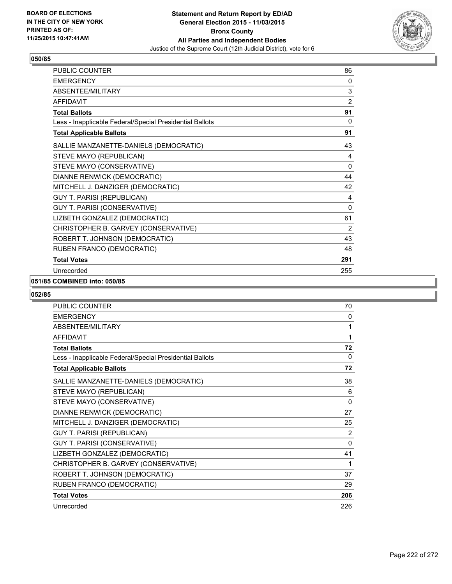

| PUBLIC COUNTER                                           | 86             |
|----------------------------------------------------------|----------------|
| <b>EMERGENCY</b>                                         | 0              |
| <b>ABSENTEE/MILITARY</b>                                 | 3              |
| <b>AFFIDAVIT</b>                                         | $\overline{2}$ |
| <b>Total Ballots</b>                                     | 91             |
| Less - Inapplicable Federal/Special Presidential Ballots | $\mathbf{0}$   |
| <b>Total Applicable Ballots</b>                          | 91             |
| SALLIE MANZANETTE-DANIELS (DEMOCRATIC)                   | 43             |
| STEVE MAYO (REPUBLICAN)                                  | 4              |
| STEVE MAYO (CONSERVATIVE)                                | 0              |
| DIANNE RENWICK (DEMOCRATIC)                              | 44             |
| MITCHELL J. DANZIGER (DEMOCRATIC)                        | 42             |
| <b>GUY T. PARISI (REPUBLICAN)</b>                        | 4              |
| GUY T. PARISI (CONSERVATIVE)                             | $\mathbf{0}$   |
| LIZBETH GONZALEZ (DEMOCRATIC)                            | 61             |
| CHRISTOPHER B. GARVEY (CONSERVATIVE)                     | 2              |
| ROBERT T. JOHNSON (DEMOCRATIC)                           | 43             |
| RUBEN FRANCO (DEMOCRATIC)                                | 48             |
| <b>Total Votes</b>                                       | 291            |
| Unrecorded                                               | 255            |

## **051/85 COMBINED into: 050/85**

| <b>PUBLIC COUNTER</b>                                    | 70           |
|----------------------------------------------------------|--------------|
| <b>EMERGENCY</b>                                         | 0            |
| ABSENTEE/MILITARY                                        | 1            |
| <b>AFFIDAVIT</b>                                         | 1            |
| <b>Total Ballots</b>                                     | 72           |
| Less - Inapplicable Federal/Special Presidential Ballots | $\mathbf{0}$ |
| <b>Total Applicable Ballots</b>                          | 72           |
| SALLIE MANZANETTE-DANIELS (DEMOCRATIC)                   | 38           |
| STEVE MAYO (REPUBLICAN)                                  | 6            |
| STEVE MAYO (CONSERVATIVE)                                | 0            |
| DIANNE RENWICK (DEMOCRATIC)                              | 27           |
| MITCHELL J. DANZIGER (DEMOCRATIC)                        | 25           |
| <b>GUY T. PARISI (REPUBLICAN)</b>                        | 2            |
| GUY T. PARISI (CONSERVATIVE)                             | 0            |
| LIZBETH GONZALEZ (DEMOCRATIC)                            | 41           |
| CHRISTOPHER B. GARVEY (CONSERVATIVE)                     | 1            |
| ROBERT T. JOHNSON (DEMOCRATIC)                           | 37           |
| RUBEN FRANCO (DEMOCRATIC)                                | 29           |
| <b>Total Votes</b>                                       | 206          |
| Unrecorded                                               | 226          |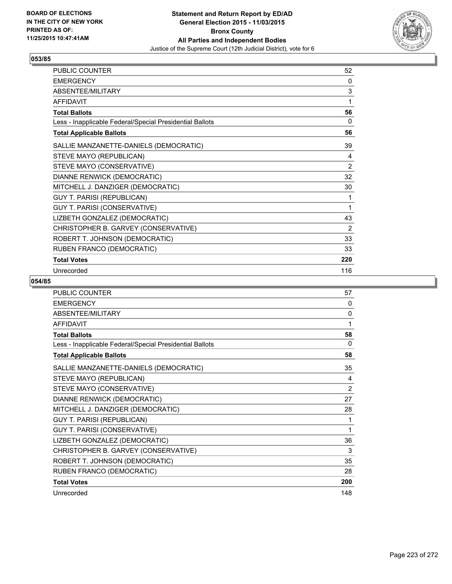

| PUBLIC COUNTER                                           | 52  |
|----------------------------------------------------------|-----|
| <b>EMERGENCY</b>                                         | 0   |
| ABSENTEE/MILITARY                                        | 3   |
| <b>AFFIDAVIT</b>                                         | 1   |
| <b>Total Ballots</b>                                     | 56  |
| Less - Inapplicable Federal/Special Presidential Ballots | 0   |
| <b>Total Applicable Ballots</b>                          | 56  |
| SALLIE MANZANETTE-DANIELS (DEMOCRATIC)                   | 39  |
| STEVE MAYO (REPUBLICAN)                                  | 4   |
| STEVE MAYO (CONSERVATIVE)                                | 2   |
| DIANNE RENWICK (DEMOCRATIC)                              | 32  |
| MITCHELL J. DANZIGER (DEMOCRATIC)                        | 30  |
| <b>GUY T. PARISI (REPUBLICAN)</b>                        | 1   |
| GUY T. PARISI (CONSERVATIVE)                             | 1   |
| LIZBETH GONZALEZ (DEMOCRATIC)                            | 43  |
| CHRISTOPHER B. GARVEY (CONSERVATIVE)                     | 2   |
| ROBERT T. JOHNSON (DEMOCRATIC)                           | 33  |
| RUBEN FRANCO (DEMOCRATIC)                                | 33  |
| <b>Total Votes</b>                                       | 220 |
| Unrecorded                                               | 116 |

| <b>PUBLIC COUNTER</b>                                    | 57       |
|----------------------------------------------------------|----------|
| <b>EMERGENCY</b>                                         | 0        |
| ABSENTEE/MILITARY                                        | $\Omega$ |
| <b>AFFIDAVIT</b>                                         | 1        |
| <b>Total Ballots</b>                                     | 58       |
| Less - Inapplicable Federal/Special Presidential Ballots | $\Omega$ |
| <b>Total Applicable Ballots</b>                          | 58       |
| SALLIE MANZANETTE-DANIELS (DEMOCRATIC)                   | 35       |
| STEVE MAYO (REPUBLICAN)                                  | 4        |
| STEVE MAYO (CONSERVATIVE)                                | 2        |
| DIANNE RENWICK (DEMOCRATIC)                              | 27       |
| MITCHELL J. DANZIGER (DEMOCRATIC)                        | 28       |
| GUY T. PARISI (REPUBLICAN)                               | 1        |
| GUY T. PARISI (CONSERVATIVE)                             | 1        |
| LIZBETH GONZALEZ (DEMOCRATIC)                            | 36       |
| CHRISTOPHER B. GARVEY (CONSERVATIVE)                     | 3        |
| ROBERT T. JOHNSON (DEMOCRATIC)                           | 35       |
| RUBEN FRANCO (DEMOCRATIC)                                | 28       |
| <b>Total Votes</b>                                       | 200      |
| Unrecorded                                               | 148      |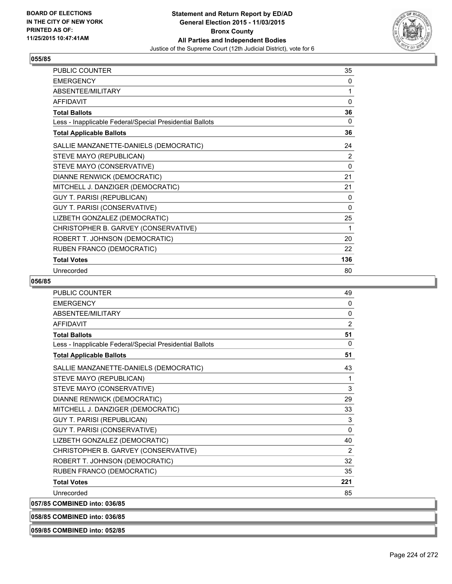

| PUBLIC COUNTER                                           | 35           |
|----------------------------------------------------------|--------------|
| <b>EMERGENCY</b>                                         | 0            |
| ABSENTEE/MILITARY                                        | 1            |
| <b>AFFIDAVIT</b>                                         | 0            |
| <b>Total Ballots</b>                                     | 36           |
| Less - Inapplicable Federal/Special Presidential Ballots | 0            |
| <b>Total Applicable Ballots</b>                          | 36           |
| SALLIE MANZANETTE-DANIELS (DEMOCRATIC)                   | 24           |
| STEVE MAYO (REPUBLICAN)                                  | 2            |
| STEVE MAYO (CONSERVATIVE)                                | $\Omega$     |
| DIANNE RENWICK (DEMOCRATIC)                              | 21           |
| MITCHELL J. DANZIGER (DEMOCRATIC)                        | 21           |
| <b>GUY T. PARISI (REPUBLICAN)</b>                        | $\mathbf{0}$ |
| GUY T. PARISI (CONSERVATIVE)                             | $\Omega$     |
| LIZBETH GONZALEZ (DEMOCRATIC)                            | 25           |
| CHRISTOPHER B. GARVEY (CONSERVATIVE)                     | 1            |
| ROBERT T. JOHNSON (DEMOCRATIC)                           | 20           |
| RUBEN FRANCO (DEMOCRATIC)                                | 22           |
| <b>Total Votes</b>                                       | 136          |
| Unrecorded                                               | 80           |

#### **056/85**

| <b>PUBLIC COUNTER</b>                                    | 49           |
|----------------------------------------------------------|--------------|
| <b>EMERGENCY</b>                                         | $\mathbf{0}$ |
| <b>ABSENTEE/MILITARY</b>                                 | 0            |
| <b>AFFIDAVIT</b>                                         | 2            |
| <b>Total Ballots</b>                                     | 51           |
| Less - Inapplicable Federal/Special Presidential Ballots | 0            |
| <b>Total Applicable Ballots</b>                          | 51           |
| SALLIE MANZANETTE-DANIELS (DEMOCRATIC)                   | 43           |
| STEVE MAYO (REPUBLICAN)                                  | 1            |
| STEVE MAYO (CONSERVATIVE)                                | 3            |
| DIANNE RENWICK (DEMOCRATIC)                              | 29           |
| MITCHELL J. DANZIGER (DEMOCRATIC)                        | 33           |
| GUY T. PARISI (REPUBLICAN)                               | 3            |
| <b>GUY T. PARISI (CONSERVATIVE)</b>                      | $\mathbf{0}$ |
| LIZBETH GONZALEZ (DEMOCRATIC)                            | 40           |
| CHRISTOPHER B. GARVEY (CONSERVATIVE)                     | 2            |
| ROBERT T. JOHNSON (DEMOCRATIC)                           | 32           |
| RUBEN FRANCO (DEMOCRATIC)                                | 35           |
| <b>Total Votes</b>                                       | 221          |
| Unrecorded                                               | 85           |
| 057/85 COMBINED into: 036/85                             |              |
|                                                          |              |

**058/85 COMBINED into: 036/85**

**059/85 COMBINED into: 052/85**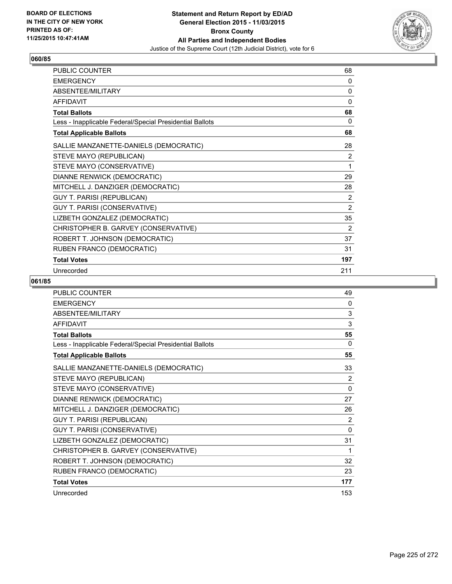

| PUBLIC COUNTER                                           | 68             |
|----------------------------------------------------------|----------------|
| <b>EMERGENCY</b>                                         | 0              |
| ABSENTEE/MILITARY                                        | 0              |
| <b>AFFIDAVIT</b>                                         | 0              |
| <b>Total Ballots</b>                                     | 68             |
| Less - Inapplicable Federal/Special Presidential Ballots | 0              |
| <b>Total Applicable Ballots</b>                          | 68             |
| SALLIE MANZANETTE-DANIELS (DEMOCRATIC)                   | 28             |
| STEVE MAYO (REPUBLICAN)                                  | 2              |
| STEVE MAYO (CONSERVATIVE)                                | 1              |
| DIANNE RENWICK (DEMOCRATIC)                              | 29             |
| MITCHELL J. DANZIGER (DEMOCRATIC)                        | 28             |
| <b>GUY T. PARISI (REPUBLICAN)</b>                        | 2              |
| GUY T. PARISI (CONSERVATIVE)                             | $\overline{2}$ |
| LIZBETH GONZALEZ (DEMOCRATIC)                            | 35             |
| CHRISTOPHER B. GARVEY (CONSERVATIVE)                     | 2              |
| ROBERT T. JOHNSON (DEMOCRATIC)                           | 37             |
| RUBEN FRANCO (DEMOCRATIC)                                | 31             |
| <b>Total Votes</b>                                       | 197            |
| Unrecorded                                               | 211            |

| <b>PUBLIC COUNTER</b>                                    | 49           |
|----------------------------------------------------------|--------------|
| <b>EMERGENCY</b>                                         | 0            |
| ABSENTEE/MILITARY                                        | 3            |
| <b>AFFIDAVIT</b>                                         | 3            |
| <b>Total Ballots</b>                                     | 55           |
| Less - Inapplicable Federal/Special Presidential Ballots | 0            |
| <b>Total Applicable Ballots</b>                          | 55           |
| SALLIE MANZANETTE-DANIELS (DEMOCRATIC)                   | 33           |
| STEVE MAYO (REPUBLICAN)                                  | 2            |
| STEVE MAYO (CONSERVATIVE)                                | $\mathbf{0}$ |
| DIANNE RENWICK (DEMOCRATIC)                              | 27           |
| MITCHELL J. DANZIGER (DEMOCRATIC)                        | 26           |
| <b>GUY T. PARISI (REPUBLICAN)</b>                        | 2            |
| GUY T. PARISI (CONSERVATIVE)                             | 0            |
| LIZBETH GONZALEZ (DEMOCRATIC)                            | 31           |
| CHRISTOPHER B. GARVEY (CONSERVATIVE)                     | 1            |
| ROBERT T. JOHNSON (DEMOCRATIC)                           | 32           |
| RUBEN FRANCO (DEMOCRATIC)                                | 23           |
| <b>Total Votes</b>                                       | 177          |
| Unrecorded                                               | 153          |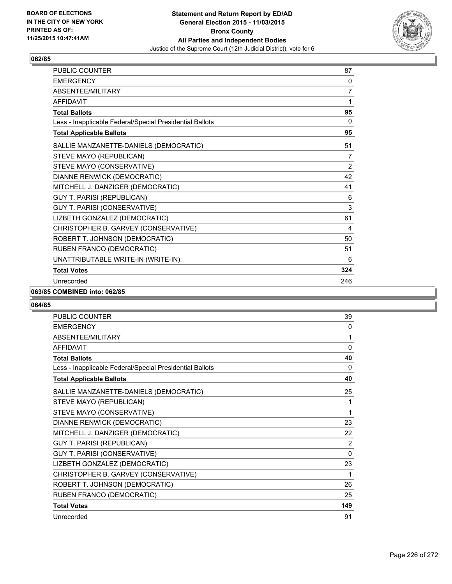

| <b>PUBLIC COUNTER</b>                                    | 87             |
|----------------------------------------------------------|----------------|
| <b>EMERGENCY</b>                                         | 0              |
| <b>ABSENTEE/MILITARY</b>                                 | 7              |
| <b>AFFIDAVIT</b>                                         | 1              |
| <b>Total Ballots</b>                                     | 95             |
| Less - Inapplicable Federal/Special Presidential Ballots | 0              |
| <b>Total Applicable Ballots</b>                          | 95             |
| SALLIE MANZANETTE-DANIELS (DEMOCRATIC)                   | 51             |
| STEVE MAYO (REPUBLICAN)                                  | 7              |
| STEVE MAYO (CONSERVATIVE)                                | $\overline{2}$ |
| DIANNE RENWICK (DEMOCRATIC)                              | 42             |
| MITCHELL J. DANZIGER (DEMOCRATIC)                        | 41             |
| <b>GUY T. PARISI (REPUBLICAN)</b>                        | 6              |
| GUY T. PARISI (CONSERVATIVE)                             | 3              |
| LIZBETH GONZALEZ (DEMOCRATIC)                            | 61             |
| CHRISTOPHER B. GARVEY (CONSERVATIVE)                     | 4              |
| ROBERT T. JOHNSON (DEMOCRATIC)                           | 50             |
| RUBEN FRANCO (DEMOCRATIC)                                | 51             |
| UNATTRIBUTABLE WRITE-IN (WRITE-IN)                       | 6              |
| <b>Total Votes</b>                                       | 324            |
| Unrecorded                                               | 246            |

#### **063/85 COMBINED into: 062/85**

| <b>PUBLIC COUNTER</b>                                    | 39       |
|----------------------------------------------------------|----------|
| <b>EMERGENCY</b>                                         | 0        |
| ABSENTEE/MILITARY                                        | 1        |
| <b>AFFIDAVIT</b>                                         | $\Omega$ |
| <b>Total Ballots</b>                                     | 40       |
| Less - Inapplicable Federal/Special Presidential Ballots | 0        |
| <b>Total Applicable Ballots</b>                          | 40       |
| SALLIE MANZANETTE-DANIELS (DEMOCRATIC)                   | 25       |
| STEVE MAYO (REPUBLICAN)                                  | 1        |
| STEVE MAYO (CONSERVATIVE)                                | 1        |
| DIANNE RENWICK (DEMOCRATIC)                              | 23       |
| MITCHELL J. DANZIGER (DEMOCRATIC)                        | 22       |
| GUY T. PARISI (REPUBLICAN)                               | 2        |
| GUY T. PARISI (CONSERVATIVE)                             | 0        |
| LIZBETH GONZALEZ (DEMOCRATIC)                            | 23       |
| CHRISTOPHER B. GARVEY (CONSERVATIVE)                     | 1        |
| ROBERT T. JOHNSON (DEMOCRATIC)                           | 26       |
| RUBEN FRANCO (DEMOCRATIC)                                | 25       |
| <b>Total Votes</b>                                       | 149      |
| Unrecorded                                               | 91       |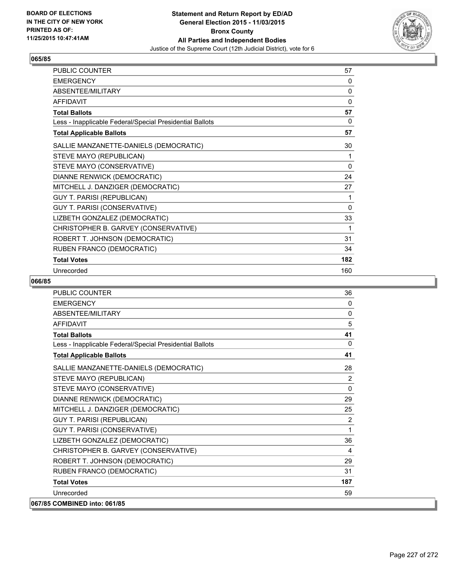

| PUBLIC COUNTER                                           | 57       |
|----------------------------------------------------------|----------|
| <b>EMERGENCY</b>                                         | 0        |
| ABSENTEE/MILITARY                                        | 0        |
| <b>AFFIDAVIT</b>                                         | 0        |
| <b>Total Ballots</b>                                     | 57       |
| Less - Inapplicable Federal/Special Presidential Ballots | 0        |
| <b>Total Applicable Ballots</b>                          | 57       |
| SALLIE MANZANETTE-DANIELS (DEMOCRATIC)                   | 30       |
| STEVE MAYO (REPUBLICAN)                                  | 1        |
| STEVE MAYO (CONSERVATIVE)                                | $\Omega$ |
| DIANNE RENWICK (DEMOCRATIC)                              | 24       |
| MITCHELL J. DANZIGER (DEMOCRATIC)                        | 27       |
| <b>GUY T. PARISI (REPUBLICAN)</b>                        | 1        |
| <b>GUY T. PARISI (CONSERVATIVE)</b>                      | $\Omega$ |
| LIZBETH GONZALEZ (DEMOCRATIC)                            | 33       |
| CHRISTOPHER B. GARVEY (CONSERVATIVE)                     | 1        |
| ROBERT T. JOHNSON (DEMOCRATIC)                           | 31       |
| RUBEN FRANCO (DEMOCRATIC)                                | 34       |
| <b>Total Votes</b>                                       | 182      |
| Unrecorded                                               | 160      |

| PUBLIC COUNTER                                           | 36           |
|----------------------------------------------------------|--------------|
| <b>FMFRGFNCY</b>                                         | 0            |
| <b>ABSENTEE/MILITARY</b>                                 | 0            |
| <b>AFFIDAVIT</b>                                         | 5            |
| <b>Total Ballots</b>                                     | 41           |
| Less - Inapplicable Federal/Special Presidential Ballots | $\mathbf{0}$ |
| <b>Total Applicable Ballots</b>                          | 41           |
| SALLIE MANZANETTE-DANIELS (DEMOCRATIC)                   | 28           |
| STEVE MAYO (REPUBLICAN)                                  | 2            |
| STEVE MAYO (CONSERVATIVE)                                | $\mathbf{0}$ |
| DIANNE RENWICK (DEMOCRATIC)                              | 29           |
| MITCHELL J. DANZIGER (DEMOCRATIC)                        | 25           |
| GUY T. PARISI (REPUBLICAN)                               | 2            |
| GUY T. PARISI (CONSERVATIVE)                             | 1            |
| LIZBETH GONZALEZ (DEMOCRATIC)                            | 36           |
| CHRISTOPHER B. GARVEY (CONSERVATIVE)                     | 4            |
| ROBERT T. JOHNSON (DEMOCRATIC)                           | 29           |
| RUBEN FRANCO (DEMOCRATIC)                                | 31           |
| <b>Total Votes</b>                                       | 187          |
| Unrecorded                                               | 59           |
| 067/85 COMBINED into: 061/85                             |              |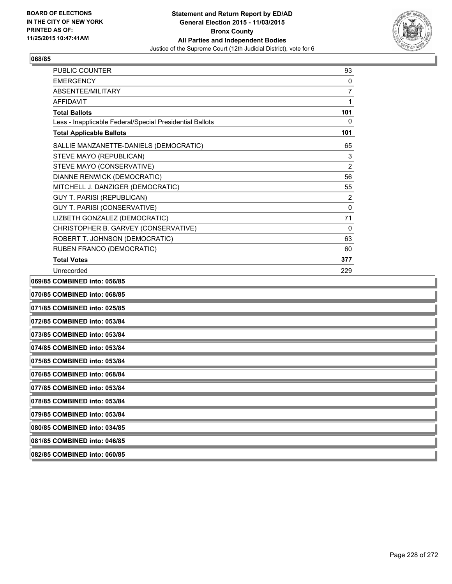

| <b>PUBLIC COUNTER</b>                                    | 93             |
|----------------------------------------------------------|----------------|
| <b>EMERGENCY</b>                                         | 0              |
| ABSENTEE/MILITARY                                        | $\overline{7}$ |
| <b>AFFIDAVIT</b>                                         | 1              |
| <b>Total Ballots</b>                                     | 101            |
| Less - Inapplicable Federal/Special Presidential Ballots | 0              |
| <b>Total Applicable Ballots</b>                          | 101            |
| SALLIE MANZANETTE-DANIELS (DEMOCRATIC)                   | 65             |
| STEVE MAYO (REPUBLICAN)                                  | 3              |
| STEVE MAYO (CONSERVATIVE)                                | $\overline{2}$ |
| DIANNE RENWICK (DEMOCRATIC)                              | 56             |
| MITCHELL J. DANZIGER (DEMOCRATIC)                        | 55             |
| <b>GUY T. PARISI (REPUBLICAN)</b>                        | $\overline{2}$ |
| GUY T. PARISI (CONSERVATIVE)                             | 0              |
| LIZBETH GONZALEZ (DEMOCRATIC)                            | 71             |
| CHRISTOPHER B. GARVEY (CONSERVATIVE)                     | 0              |
| ROBERT T. JOHNSON (DEMOCRATIC)                           | 63             |
| RUBEN FRANCO (DEMOCRATIC)                                | 60             |
| <b>Total Votes</b>                                       | 377            |
| Unrecorded                                               | 229            |
| 069/85 COMBINED into: 056/85                             |                |

**070/85 COMBINED into: 068/85 071/85 COMBINED into: 025/85 072/85 COMBINED into: 053/84 073/85 COMBINED into: 053/84 074/85 COMBINED into: 053/84 075/85 COMBINED into: 053/84 076/85 COMBINED into: 068/84 077/85 COMBINED into: 053/84 078/85 COMBINED into: 053/84 079/85 COMBINED into: 053/84 080/85 COMBINED into: 034/85 081/85 COMBINED into: 046/85 082/85 COMBINED into: 060/85**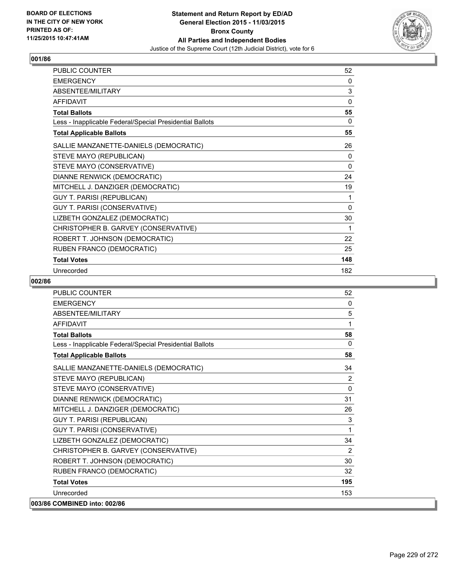

| PUBLIC COUNTER                                           | 52           |
|----------------------------------------------------------|--------------|
| <b>EMERGENCY</b>                                         | 0            |
| ABSENTEE/MILITARY                                        | 3            |
| <b>AFFIDAVIT</b>                                         | $\Omega$     |
| <b>Total Ballots</b>                                     | 55           |
| Less - Inapplicable Federal/Special Presidential Ballots | 0            |
| <b>Total Applicable Ballots</b>                          | 55           |
| SALLIE MANZANETTE-DANIELS (DEMOCRATIC)                   | 26           |
| STEVE MAYO (REPUBLICAN)                                  | 0            |
| STEVE MAYO (CONSERVATIVE)                                | $\mathbf{0}$ |
| DIANNE RENWICK (DEMOCRATIC)                              | 24           |
| MITCHELL J. DANZIGER (DEMOCRATIC)                        | 19           |
| GUY T. PARISI (REPUBLICAN)                               | 1            |
| GUY T. PARISI (CONSERVATIVE)                             | 0            |
| LIZBETH GONZALEZ (DEMOCRATIC)                            | 30           |
| CHRISTOPHER B. GARVEY (CONSERVATIVE)                     | 1            |
| ROBERT T. JOHNSON (DEMOCRATIC)                           | 22           |
| RUBEN FRANCO (DEMOCRATIC)                                | 25           |
| <b>Total Votes</b>                                       | 148          |
| Unrecorded                                               | 182          |

| PUBLIC COUNTER                                           | 52           |
|----------------------------------------------------------|--------------|
| <b>EMERGENCY</b>                                         | $\Omega$     |
| ABSENTEE/MILITARY                                        | 5            |
| <b>AFFIDAVIT</b>                                         | 1            |
| <b>Total Ballots</b>                                     | 58           |
| Less - Inapplicable Federal/Special Presidential Ballots | $\Omega$     |
| <b>Total Applicable Ballots</b>                          | 58           |
| SALLIE MANZANETTE-DANIELS (DEMOCRATIC)                   | 34           |
| STEVE MAYO (REPUBLICAN)                                  | 2            |
| STEVE MAYO (CONSERVATIVE)                                | $\mathbf{0}$ |
| DIANNE RENWICK (DEMOCRATIC)                              | 31           |
| MITCHELL J. DANZIGER (DEMOCRATIC)                        | 26           |
| <b>GUY T. PARISI (REPUBLICAN)</b>                        | 3            |
| GUY T. PARISI (CONSERVATIVE)                             | 1            |
| LIZBETH GONZALEZ (DEMOCRATIC)                            | 34           |
| CHRISTOPHER B. GARVEY (CONSERVATIVE)                     | 2            |
| ROBERT T. JOHNSON (DEMOCRATIC)                           | 30           |
| RUBEN FRANCO (DEMOCRATIC)                                | 32           |
| <b>Total Votes</b>                                       | 195          |
| Unrecorded                                               | 153          |
| 003/86 COMBINED into: 002/86                             |              |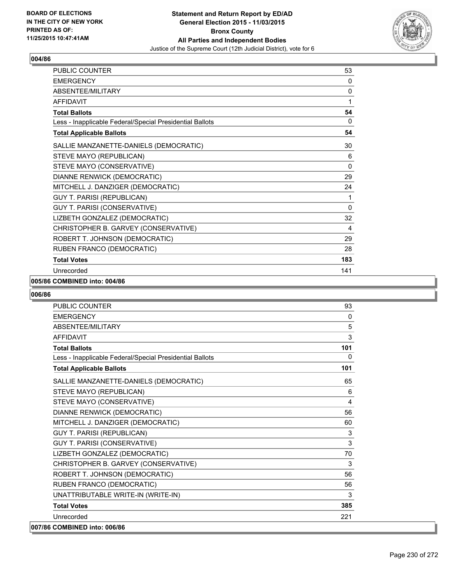

| PUBLIC COUNTER                                           | 53           |
|----------------------------------------------------------|--------------|
| <b>EMERGENCY</b>                                         | 0            |
| ABSENTEE/MILITARY                                        | 0            |
| <b>AFFIDAVIT</b>                                         | 1            |
| <b>Total Ballots</b>                                     | 54           |
| Less - Inapplicable Federal/Special Presidential Ballots | $\mathbf{0}$ |
| <b>Total Applicable Ballots</b>                          | 54           |
| SALLIE MANZANETTE-DANIELS (DEMOCRATIC)                   | 30           |
| STEVE MAYO (REPUBLICAN)                                  | 6            |
| STEVE MAYO (CONSERVATIVE)                                | 0            |
| DIANNE RENWICK (DEMOCRATIC)                              | 29           |
| MITCHELL J. DANZIGER (DEMOCRATIC)                        | 24           |
| <b>GUY T. PARISI (REPUBLICAN)</b>                        | 1            |
| GUY T. PARISI (CONSERVATIVE)                             | $\mathbf{0}$ |
| LIZBETH GONZALEZ (DEMOCRATIC)                            | 32           |
| CHRISTOPHER B. GARVEY (CONSERVATIVE)                     | 4            |
| ROBERT T. JOHNSON (DEMOCRATIC)                           | 29           |
| RUBEN FRANCO (DEMOCRATIC)                                | 28           |
| <b>Total Votes</b>                                       | 183          |
| Unrecorded                                               | 141          |

#### **005/86 COMBINED into: 004/86**

| <b>PUBLIC COUNTER</b>                                    | 93           |
|----------------------------------------------------------|--------------|
| <b>EMERGENCY</b>                                         | $\mathbf{0}$ |
| <b>ABSENTEE/MILITARY</b>                                 | 5            |
| <b>AFFIDAVIT</b>                                         | 3            |
| <b>Total Ballots</b>                                     | 101          |
| Less - Inapplicable Federal/Special Presidential Ballots | 0            |
| <b>Total Applicable Ballots</b>                          | 101          |
| SALLIE MANZANETTE-DANIELS (DEMOCRATIC)                   | 65           |
| STEVE MAYO (REPUBLICAN)                                  | 6            |
| STEVE MAYO (CONSERVATIVE)                                | 4            |
| DIANNE RENWICK (DEMOCRATIC)                              | 56           |
| MITCHELL J. DANZIGER (DEMOCRATIC)                        | 60           |
| <b>GUY T. PARISI (REPUBLICAN)</b>                        | $\mathsf 3$  |
| <b>GUY T. PARISI (CONSERVATIVE)</b>                      | 3            |
| LIZBETH GONZALEZ (DEMOCRATIC)                            | 70           |
| CHRISTOPHER B. GARVEY (CONSERVATIVE)                     | 3            |
| ROBERT T. JOHNSON (DEMOCRATIC)                           | 56           |
| RUBEN FRANCO (DEMOCRATIC)                                | 56           |
| UNATTRIBUTABLE WRITE-IN (WRITE-IN)                       | 3            |
| <b>Total Votes</b>                                       | 385          |
| Unrecorded                                               | 221          |
| 007/86 COMBINED into: 006/86                             |              |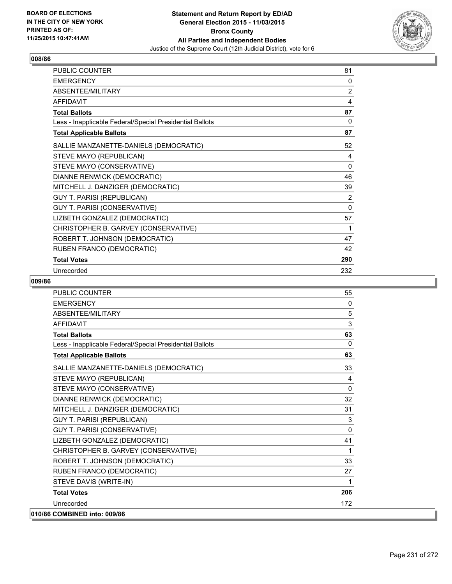

| PUBLIC COUNTER                                           | 81             |
|----------------------------------------------------------|----------------|
| <b>EMERGENCY</b>                                         | 0              |
| ABSENTEE/MILITARY                                        | $\overline{2}$ |
| <b>AFFIDAVIT</b>                                         | 4              |
| <b>Total Ballots</b>                                     | 87             |
| Less - Inapplicable Federal/Special Presidential Ballots | 0              |
| <b>Total Applicable Ballots</b>                          | 87             |
| SALLIE MANZANETTE-DANIELS (DEMOCRATIC)                   | 52             |
| STEVE MAYO (REPUBLICAN)                                  | 4              |
| STEVE MAYO (CONSERVATIVE)                                | $\Omega$       |
| DIANNE RENWICK (DEMOCRATIC)                              | 46             |
| MITCHELL J. DANZIGER (DEMOCRATIC)                        | 39             |
| <b>GUY T. PARISI (REPUBLICAN)</b>                        | $\overline{2}$ |
| <b>GUY T. PARISI (CONSERVATIVE)</b>                      | $\Omega$       |
| LIZBETH GONZALEZ (DEMOCRATIC)                            | 57             |
| CHRISTOPHER B. GARVEY (CONSERVATIVE)                     | 1              |
| ROBERT T. JOHNSON (DEMOCRATIC)                           | 47             |
| RUBEN FRANCO (DEMOCRATIC)                                | 42             |
| <b>Total Votes</b>                                       | 290            |
| Unrecorded                                               | 232            |

| PUBLIC COUNTER                                           | 55       |
|----------------------------------------------------------|----------|
| <b>EMERGENCY</b>                                         | 0        |
| <b>ABSENTEE/MILITARY</b>                                 | 5        |
| <b>AFFIDAVIT</b>                                         | 3        |
| <b>Total Ballots</b>                                     | 63       |
| Less - Inapplicable Federal/Special Presidential Ballots | 0        |
| <b>Total Applicable Ballots</b>                          | 63       |
| SALLIE MANZANETTE-DANIELS (DEMOCRATIC)                   | 33       |
| STEVE MAYO (REPUBLICAN)                                  | 4        |
| STEVE MAYO (CONSERVATIVE)                                | 0        |
| DIANNE RENWICK (DEMOCRATIC)                              | 32       |
| MITCHELL J. DANZIGER (DEMOCRATIC)                        | 31       |
| <b>GUY T. PARISI (REPUBLICAN)</b>                        | 3        |
| GUY T. PARISI (CONSERVATIVE)                             | $\Omega$ |
| LIZBETH GONZALEZ (DEMOCRATIC)                            | 41       |
| CHRISTOPHER B. GARVEY (CONSERVATIVE)                     | 1        |
| ROBERT T. JOHNSON (DEMOCRATIC)                           | 33       |
| RUBEN FRANCO (DEMOCRATIC)                                | 27       |
| STEVE DAVIS (WRITE-IN)                                   | 1        |
| <b>Total Votes</b>                                       | 206      |
| Unrecorded                                               | 172      |
| 010/86 COMBINED into: 009/86                             |          |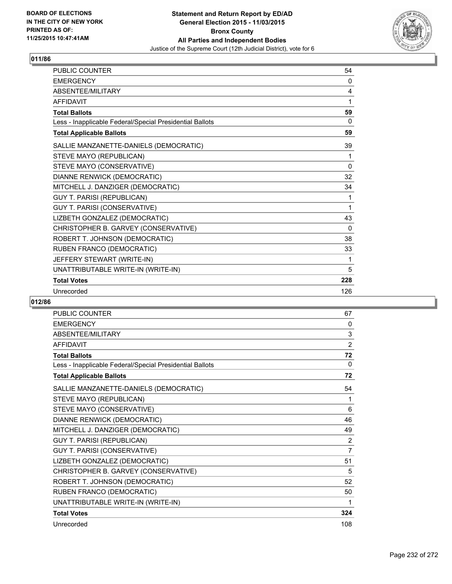

| <b>PUBLIC COUNTER</b>                                    | 54       |
|----------------------------------------------------------|----------|
| <b>EMERGENCY</b>                                         | 0        |
| ABSENTEE/MILITARY                                        | 4        |
| <b>AFFIDAVIT</b>                                         | 1        |
| <b>Total Ballots</b>                                     | 59       |
| Less - Inapplicable Federal/Special Presidential Ballots | 0        |
| <b>Total Applicable Ballots</b>                          | 59       |
| SALLIE MANZANETTE-DANIELS (DEMOCRATIC)                   | 39       |
| STEVE MAYO (REPUBLICAN)                                  | 1        |
| STEVE MAYO (CONSERVATIVE)                                | $\Omega$ |
| DIANNE RENWICK (DEMOCRATIC)                              | 32       |
| MITCHELL J. DANZIGER (DEMOCRATIC)                        | 34       |
| <b>GUY T. PARISI (REPUBLICAN)</b>                        | 1        |
| GUY T. PARISI (CONSERVATIVE)                             | 1        |
| LIZBETH GONZALEZ (DEMOCRATIC)                            | 43       |
| CHRISTOPHER B. GARVEY (CONSERVATIVE)                     | 0        |
| ROBERT T. JOHNSON (DEMOCRATIC)                           | 38       |
| RUBEN FRANCO (DEMOCRATIC)                                | 33       |
| JEFFERY STEWART (WRITE-IN)                               | 1        |
| UNATTRIBUTABLE WRITE-IN (WRITE-IN)                       | 5        |
| <b>Total Votes</b>                                       | 228      |
| Unrecorded                                               | 126      |

| <b>PUBLIC COUNTER</b>                                    | 67             |
|----------------------------------------------------------|----------------|
| <b>EMERGENCY</b>                                         | 0              |
| ABSENTEE/MILITARY                                        | 3              |
| <b>AFFIDAVIT</b>                                         | $\overline{2}$ |
| <b>Total Ballots</b>                                     | 72             |
| Less - Inapplicable Federal/Special Presidential Ballots | $\Omega$       |
| <b>Total Applicable Ballots</b>                          | 72             |
| SALLIE MANZANETTE-DANIELS (DEMOCRATIC)                   | 54             |
| STEVE MAYO (REPUBLICAN)                                  | 1              |
| STEVE MAYO (CONSERVATIVE)                                | 6              |
| DIANNE RENWICK (DEMOCRATIC)                              | 46             |
| MITCHELL J. DANZIGER (DEMOCRATIC)                        | 49             |
| <b>GUY T. PARISI (REPUBLICAN)</b>                        | 2              |
| <b>GUY T. PARISI (CONSERVATIVE)</b>                      | $\overline{7}$ |
| LIZBETH GONZALEZ (DEMOCRATIC)                            | 51             |
| CHRISTOPHER B. GARVEY (CONSERVATIVE)                     | 5              |
| ROBERT T. JOHNSON (DEMOCRATIC)                           | 52             |
| RUBEN FRANCO (DEMOCRATIC)                                | 50             |
| UNATTRIBUTABLE WRITE-IN (WRITE-IN)                       | 1              |
| <b>Total Votes</b>                                       | 324            |
| Unrecorded                                               | 108            |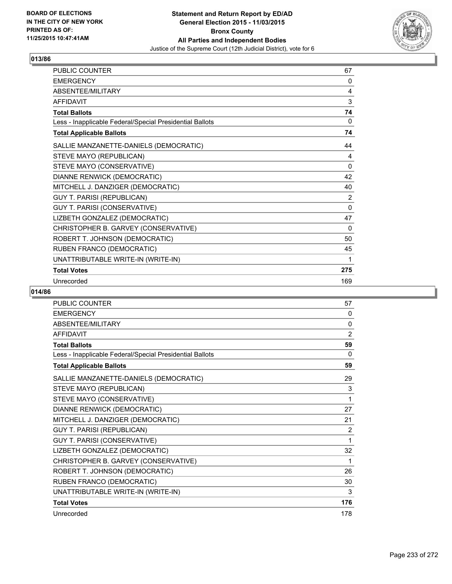

| <b>PUBLIC COUNTER</b>                                    | 67           |
|----------------------------------------------------------|--------------|
| <b>EMERGENCY</b>                                         | 0            |
| ABSENTEE/MILITARY                                        | 4            |
| <b>AFFIDAVIT</b>                                         | 3            |
| <b>Total Ballots</b>                                     | 74           |
| Less - Inapplicable Federal/Special Presidential Ballots | 0            |
| <b>Total Applicable Ballots</b>                          | 74           |
| SALLIE MANZANETTE-DANIELS (DEMOCRATIC)                   | 44           |
| STEVE MAYO (REPUBLICAN)                                  | 4            |
| STEVE MAYO (CONSERVATIVE)                                | $\mathbf{0}$ |
| DIANNE RENWICK (DEMOCRATIC)                              | 42           |
| MITCHELL J. DANZIGER (DEMOCRATIC)                        | 40           |
| <b>GUY T. PARISI (REPUBLICAN)</b>                        | 2            |
| GUY T. PARISI (CONSERVATIVE)                             | $\mathbf{0}$ |
| LIZBETH GONZALEZ (DEMOCRATIC)                            | 47           |
| CHRISTOPHER B. GARVEY (CONSERVATIVE)                     | $\Omega$     |
| ROBERT T. JOHNSON (DEMOCRATIC)                           | 50           |
| RUBEN FRANCO (DEMOCRATIC)                                | 45           |
| UNATTRIBUTABLE WRITE-IN (WRITE-IN)                       | 1            |
| <b>Total Votes</b>                                       | 275          |
| Unrecorded                                               | 169          |

| PUBLIC COUNTER                                           | 57             |
|----------------------------------------------------------|----------------|
| <b>EMERGENCY</b>                                         | 0              |
| <b>ABSENTEE/MILITARY</b>                                 | 0              |
| <b>AFFIDAVIT</b>                                         | $\overline{2}$ |
| <b>Total Ballots</b>                                     | 59             |
| Less - Inapplicable Federal/Special Presidential Ballots | $\Omega$       |
| <b>Total Applicable Ballots</b>                          | 59             |
| SALLIE MANZANETTE-DANIELS (DEMOCRATIC)                   | 29             |
| STEVE MAYO (REPUBLICAN)                                  | 3              |
| STEVE MAYO (CONSERVATIVE)                                | 1              |
| DIANNE RENWICK (DEMOCRATIC)                              | 27             |
| MITCHELL J. DANZIGER (DEMOCRATIC)                        | 21             |
| <b>GUY T. PARISI (REPUBLICAN)</b>                        | 2              |
| GUY T. PARISI (CONSERVATIVE)                             | 1              |
| LIZBETH GONZALEZ (DEMOCRATIC)                            | 32             |
| CHRISTOPHER B. GARVEY (CONSERVATIVE)                     | 1              |
| ROBERT T. JOHNSON (DEMOCRATIC)                           | 26             |
| RUBEN FRANCO (DEMOCRATIC)                                | 30             |
| UNATTRIBUTABLE WRITE-IN (WRITE-IN)                       | 3              |
| <b>Total Votes</b>                                       | 176            |
| Unrecorded                                               | 178            |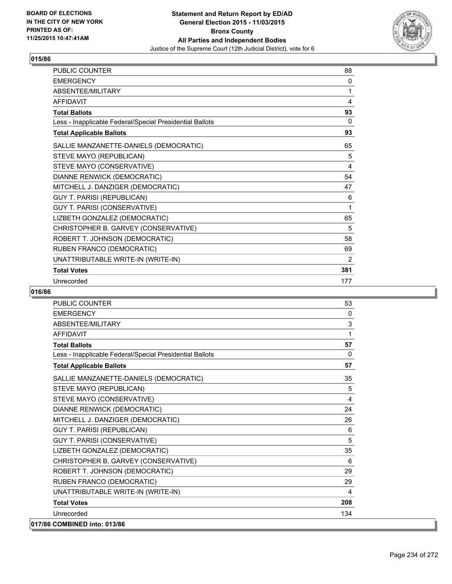

| <b>PUBLIC COUNTER</b>                                    | 88  |
|----------------------------------------------------------|-----|
| <b>EMERGENCY</b>                                         | 0   |
| ABSENTEE/MILITARY                                        | 1   |
| <b>AFFIDAVIT</b>                                         | 4   |
| <b>Total Ballots</b>                                     | 93  |
| Less - Inapplicable Federal/Special Presidential Ballots | 0   |
| <b>Total Applicable Ballots</b>                          | 93  |
| SALLIE MANZANETTE-DANIELS (DEMOCRATIC)                   | 65  |
| STEVE MAYO (REPUBLICAN)                                  | 5   |
| STEVE MAYO (CONSERVATIVE)                                | 4   |
| DIANNE RENWICK (DEMOCRATIC)                              | 54  |
| MITCHELL J. DANZIGER (DEMOCRATIC)                        | 47  |
| <b>GUY T. PARISI (REPUBLICAN)</b>                        | 6   |
| GUY T. PARISI (CONSERVATIVE)                             | 1   |
| LIZBETH GONZALEZ (DEMOCRATIC)                            | 65  |
| CHRISTOPHER B. GARVEY (CONSERVATIVE)                     | 5   |
| ROBERT T. JOHNSON (DEMOCRATIC)                           | 58  |
| RUBEN FRANCO (DEMOCRATIC)                                | 69  |
| UNATTRIBUTABLE WRITE-IN (WRITE-IN)                       | 2   |
| <b>Total Votes</b>                                       | 381 |
| Unrecorded                                               | 177 |

| <b>PUBLIC COUNTER</b>                                    | 53           |
|----------------------------------------------------------|--------------|
| <b>EMERGENCY</b>                                         | 0            |
| ABSENTEE/MILITARY                                        | 3            |
| <b>AFFIDAVIT</b>                                         | 1            |
| <b>Total Ballots</b>                                     | 57           |
| Less - Inapplicable Federal/Special Presidential Ballots | $\mathbf{0}$ |
| <b>Total Applicable Ballots</b>                          | 57           |
| SALLIE MANZANETTE-DANIELS (DEMOCRATIC)                   | 35           |
| STEVE MAYO (REPUBLICAN)                                  | 5            |
| STEVE MAYO (CONSERVATIVE)                                | 4            |
| DIANNE RENWICK (DEMOCRATIC)                              | 24           |
| MITCHELL J. DANZIGER (DEMOCRATIC)                        | 26           |
| <b>GUY T. PARISI (REPUBLICAN)</b>                        | 6            |
| GUY T. PARISI (CONSERVATIVE)                             | 5            |
| LIZBETH GONZALEZ (DEMOCRATIC)                            | 35           |
| CHRISTOPHER B. GARVEY (CONSERVATIVE)                     | 6            |
| ROBERT T. JOHNSON (DEMOCRATIC)                           | 29           |
| RUBEN FRANCO (DEMOCRATIC)                                | 29           |
| UNATTRIBUTABLE WRITE-IN (WRITE-IN)                       | 4            |
| <b>Total Votes</b>                                       | 208          |
| Unrecorded                                               | 134          |
| 017/86 COMBINED into: 013/86                             |              |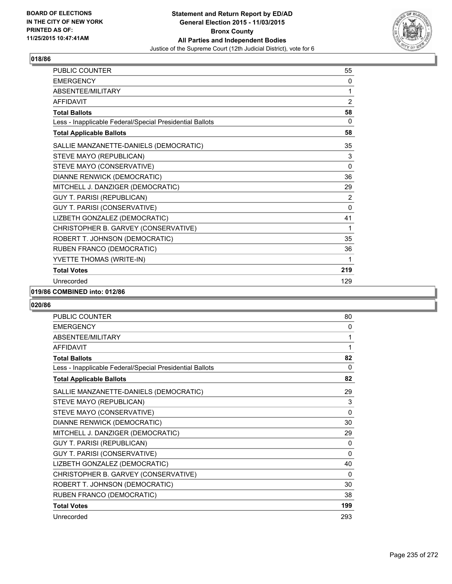

| <b>PUBLIC COUNTER</b>                                    | 55             |
|----------------------------------------------------------|----------------|
| <b>EMERGENCY</b>                                         | 0              |
| ABSENTEE/MILITARY                                        | 1              |
| <b>AFFIDAVIT</b>                                         | $\overline{2}$ |
| <b>Total Ballots</b>                                     | 58             |
| Less - Inapplicable Federal/Special Presidential Ballots | 0              |
| <b>Total Applicable Ballots</b>                          | 58             |
| SALLIE MANZANETTE-DANIELS (DEMOCRATIC)                   | 35             |
| STEVE MAYO (REPUBLICAN)                                  | 3              |
| STEVE MAYO (CONSERVATIVE)                                | $\mathbf{0}$   |
| DIANNE RENWICK (DEMOCRATIC)                              | 36             |
| MITCHELL J. DANZIGER (DEMOCRATIC)                        | 29             |
| <b>GUY T. PARISI (REPUBLICAN)</b>                        | 2              |
| GUY T. PARISI (CONSERVATIVE)                             | $\Omega$       |
| LIZBETH GONZALEZ (DEMOCRATIC)                            | 41             |
| CHRISTOPHER B. GARVEY (CONSERVATIVE)                     | 1              |
| ROBERT T. JOHNSON (DEMOCRATIC)                           | 35             |
| RUBEN FRANCO (DEMOCRATIC)                                | 36             |
| YVETTE THOMAS (WRITE-IN)                                 | 1              |
| <b>Total Votes</b>                                       | 219            |
| Unrecorded                                               | 129            |

#### **019/86 COMBINED into: 012/86**

| <b>PUBLIC COUNTER</b>                                    | 80           |
|----------------------------------------------------------|--------------|
| <b>EMERGENCY</b>                                         | 0            |
| <b>ABSENTEE/MILITARY</b>                                 | 1            |
| <b>AFFIDAVIT</b>                                         | 1            |
| <b>Total Ballots</b>                                     | 82           |
| Less - Inapplicable Federal/Special Presidential Ballots | 0            |
| <b>Total Applicable Ballots</b>                          | 82           |
| SALLIE MANZANETTE-DANIELS (DEMOCRATIC)                   | 29           |
| STEVE MAYO (REPUBLICAN)                                  | 3            |
| STEVE MAYO (CONSERVATIVE)                                | $\mathbf{0}$ |
| DIANNE RENWICK (DEMOCRATIC)                              | 30           |
| MITCHELL J. DANZIGER (DEMOCRATIC)                        | 29           |
| GUY T. PARISI (REPUBLICAN)                               | 0            |
| GUY T. PARISI (CONSERVATIVE)                             | 0            |
| LIZBETH GONZALEZ (DEMOCRATIC)                            | 40           |
| CHRISTOPHER B. GARVEY (CONSERVATIVE)                     | 0            |
| ROBERT T. JOHNSON (DEMOCRATIC)                           | 30           |
| RUBEN FRANCO (DEMOCRATIC)                                | 38           |
| <b>Total Votes</b>                                       | 199          |
| Unrecorded                                               | 293          |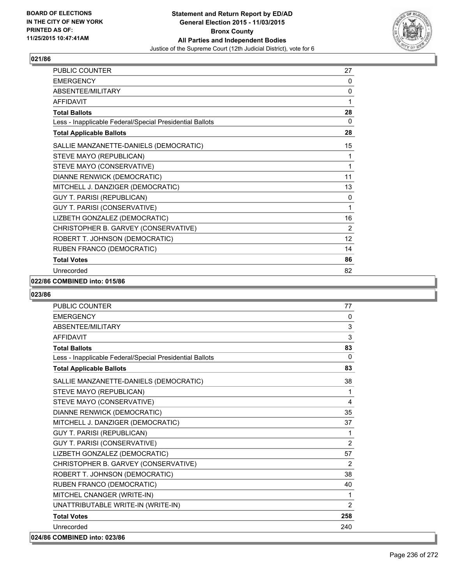

| PUBLIC COUNTER                                           | 27             |
|----------------------------------------------------------|----------------|
| <b>EMERGENCY</b>                                         | 0              |
| ABSENTEE/MILITARY                                        | 0              |
| <b>AFFIDAVIT</b>                                         | 1              |
| <b>Total Ballots</b>                                     | 28             |
| Less - Inapplicable Federal/Special Presidential Ballots | 0              |
| <b>Total Applicable Ballots</b>                          | 28             |
| SALLIE MANZANETTE-DANIELS (DEMOCRATIC)                   | 15             |
| STEVE MAYO (REPUBLICAN)                                  | 1              |
| STEVE MAYO (CONSERVATIVE)                                | 1              |
| DIANNE RENWICK (DEMOCRATIC)                              | 11             |
| MITCHELL J. DANZIGER (DEMOCRATIC)                        | 13             |
| GUY T. PARISI (REPUBLICAN)                               | 0              |
| GUY T. PARISI (CONSERVATIVE)                             | 1              |
| LIZBETH GONZALEZ (DEMOCRATIC)                            | 16             |
| CHRISTOPHER B. GARVEY (CONSERVATIVE)                     | $\overline{2}$ |
| ROBERT T. JOHNSON (DEMOCRATIC)                           | 12             |
| RUBEN FRANCO (DEMOCRATIC)                                | 14             |
| <b>Total Votes</b>                                       | 86             |
| Unrecorded                                               | 82             |

## **022/86 COMBINED into: 015/86**

| <b>PUBLIC COUNTER</b>                                    | 77             |
|----------------------------------------------------------|----------------|
| <b>EMERGENCY</b>                                         | $\mathbf{0}$   |
| ABSENTEE/MILITARY                                        | 3              |
| <b>AFFIDAVIT</b>                                         | 3              |
| <b>Total Ballots</b>                                     | 83             |
| Less - Inapplicable Federal/Special Presidential Ballots | $\Omega$       |
| <b>Total Applicable Ballots</b>                          | 83             |
| SALLIE MANZANETTE-DANIELS (DEMOCRATIC)                   | 38             |
| STEVE MAYO (REPUBLICAN)                                  | 1              |
| STEVE MAYO (CONSERVATIVE)                                | 4              |
| DIANNE RENWICK (DEMOCRATIC)                              | 35             |
| MITCHELL J. DANZIGER (DEMOCRATIC)                        | 37             |
| <b>GUY T. PARISI (REPUBLICAN)</b>                        | 1              |
| <b>GUY T. PARISI (CONSERVATIVE)</b>                      | $\overline{2}$ |
| LIZBETH GONZALEZ (DEMOCRATIC)                            | 57             |
| CHRISTOPHER B. GARVEY (CONSERVATIVE)                     | 2              |
| ROBERT T. JOHNSON (DEMOCRATIC)                           | 38             |
| RUBEN FRANCO (DEMOCRATIC)                                | 40             |
| MITCHEL CNANGER (WRITE-IN)                               | $\mathbf{1}$   |
| UNATTRIBUTABLE WRITE-IN (WRITE-IN)                       | 2              |
| <b>Total Votes</b>                                       | 258            |
| Unrecorded                                               | 240            |
| 024/86 COMBINED into: 023/86                             |                |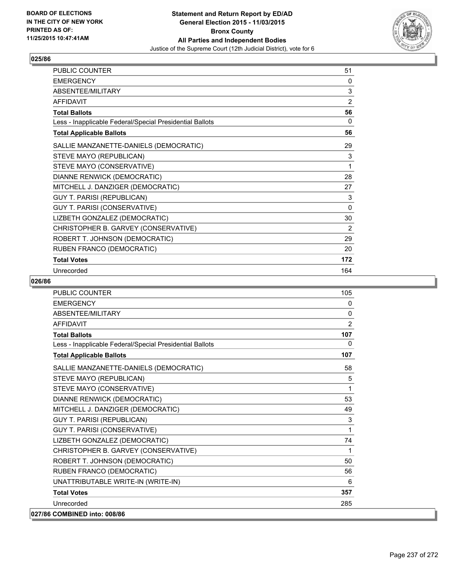

| PUBLIC COUNTER                                           | 51       |
|----------------------------------------------------------|----------|
| <b>EMERGENCY</b>                                         | 0        |
| ABSENTEE/MILITARY                                        | 3        |
| <b>AFFIDAVIT</b>                                         | 2        |
| <b>Total Ballots</b>                                     | 56       |
| Less - Inapplicable Federal/Special Presidential Ballots | 0        |
| <b>Total Applicable Ballots</b>                          | 56       |
| SALLIE MANZANETTE-DANIELS (DEMOCRATIC)                   | 29       |
| STEVE MAYO (REPUBLICAN)                                  | 3        |
| STEVE MAYO (CONSERVATIVE)                                | 1        |
| DIANNE RENWICK (DEMOCRATIC)                              | 28       |
| MITCHELL J. DANZIGER (DEMOCRATIC)                        | 27       |
| <b>GUY T. PARISI (REPUBLICAN)</b>                        | 3        |
| GUY T. PARISI (CONSERVATIVE)                             | $\Omega$ |
| LIZBETH GONZALEZ (DEMOCRATIC)                            | 30       |
| CHRISTOPHER B. GARVEY (CONSERVATIVE)                     | 2        |
| ROBERT T. JOHNSON (DEMOCRATIC)                           | 29       |
| RUBEN FRANCO (DEMOCRATIC)                                | 20       |
| <b>Total Votes</b>                                       | 172      |
| Unrecorded                                               | 164      |

| <b>PUBLIC COUNTER</b>                                    | 105          |
|----------------------------------------------------------|--------------|
| <b>EMERGENCY</b>                                         | $\mathbf{0}$ |
| <b>ABSENTEE/MILITARY</b>                                 | $\mathbf{0}$ |
| <b>AFFIDAVIT</b>                                         | 2            |
| <b>Total Ballots</b>                                     | 107          |
| Less - Inapplicable Federal/Special Presidential Ballots | $\mathbf{0}$ |
| <b>Total Applicable Ballots</b>                          | 107          |
| SALLIE MANZANETTE-DANIELS (DEMOCRATIC)                   | 58           |
| STEVE MAYO (REPUBLICAN)                                  | 5            |
| STEVE MAYO (CONSERVATIVE)                                | 1            |
| DIANNE RENWICK (DEMOCRATIC)                              | 53           |
| MITCHELL J. DANZIGER (DEMOCRATIC)                        | 49           |
| <b>GUY T. PARISI (REPUBLICAN)</b>                        | 3            |
| GUY T. PARISI (CONSERVATIVE)                             | 1            |
| LIZBETH GONZALEZ (DEMOCRATIC)                            | 74           |
| CHRISTOPHER B. GARVEY (CONSERVATIVE)                     | 1            |
| ROBERT T. JOHNSON (DEMOCRATIC)                           | 50           |
| RUBEN FRANCO (DEMOCRATIC)                                | 56           |
| UNATTRIBUTABLE WRITE-IN (WRITE-IN)                       | 6            |
| <b>Total Votes</b>                                       | 357          |
| Unrecorded                                               | 285          |
| 027/86 COMBINED into: 008/86                             |              |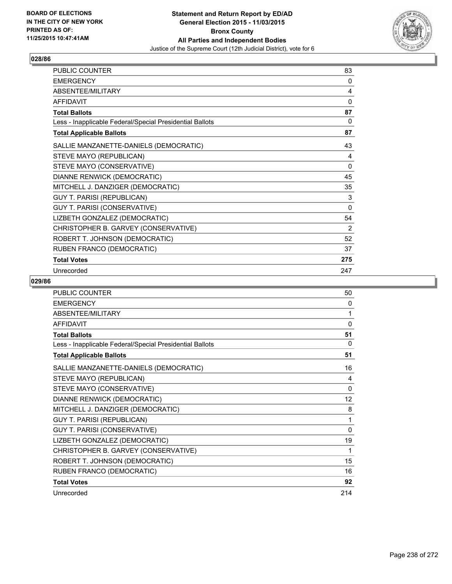

| PUBLIC COUNTER                                           | 83       |
|----------------------------------------------------------|----------|
| <b>EMERGENCY</b>                                         | 0        |
| ABSENTEE/MILITARY                                        | 4        |
| <b>AFFIDAVIT</b>                                         | 0        |
| <b>Total Ballots</b>                                     | 87       |
| Less - Inapplicable Federal/Special Presidential Ballots | 0        |
| <b>Total Applicable Ballots</b>                          | 87       |
| SALLIE MANZANETTE-DANIELS (DEMOCRATIC)                   | 43       |
| STEVE MAYO (REPUBLICAN)                                  | 4        |
| STEVE MAYO (CONSERVATIVE)                                | $\Omega$ |
| DIANNE RENWICK (DEMOCRATIC)                              | 45       |
| MITCHELL J. DANZIGER (DEMOCRATIC)                        | 35       |
| GUY T. PARISI (REPUBLICAN)                               | 3        |
| GUY T. PARISI (CONSERVATIVE)                             | 0        |
| LIZBETH GONZALEZ (DEMOCRATIC)                            | 54       |
| CHRISTOPHER B. GARVEY (CONSERVATIVE)                     | 2        |
| ROBERT T. JOHNSON (DEMOCRATIC)                           | 52       |
| RUBEN FRANCO (DEMOCRATIC)                                | 37       |
| <b>Total Votes</b>                                       | 275      |
| Unrecorded                                               | 247      |

| <b>PUBLIC COUNTER</b>                                    | 50           |
|----------------------------------------------------------|--------------|
| <b>EMERGENCY</b>                                         | 0            |
| ABSENTEE/MILITARY                                        | 1            |
| <b>AFFIDAVIT</b>                                         | $\mathbf{0}$ |
| <b>Total Ballots</b>                                     | 51           |
| Less - Inapplicable Federal/Special Presidential Ballots | $\Omega$     |
| <b>Total Applicable Ballots</b>                          | 51           |
| SALLIE MANZANETTE-DANIELS (DEMOCRATIC)                   | 16           |
| STEVE MAYO (REPUBLICAN)                                  | 4            |
| STEVE MAYO (CONSERVATIVE)                                | $\mathbf{0}$ |
| DIANNE RENWICK (DEMOCRATIC)                              | 12           |
| MITCHELL J. DANZIGER (DEMOCRATIC)                        | 8            |
| <b>GUY T. PARISI (REPUBLICAN)</b>                        | 1            |
| GUY T. PARISI (CONSERVATIVE)                             | $\mathbf{0}$ |
| LIZBETH GONZALEZ (DEMOCRATIC)                            | 19           |
| CHRISTOPHER B. GARVEY (CONSERVATIVE)                     | 1            |
| ROBERT T. JOHNSON (DEMOCRATIC)                           | 15           |
| RUBEN FRANCO (DEMOCRATIC)                                | 16           |
| <b>Total Votes</b>                                       | 92           |
| Unrecorded                                               | 214          |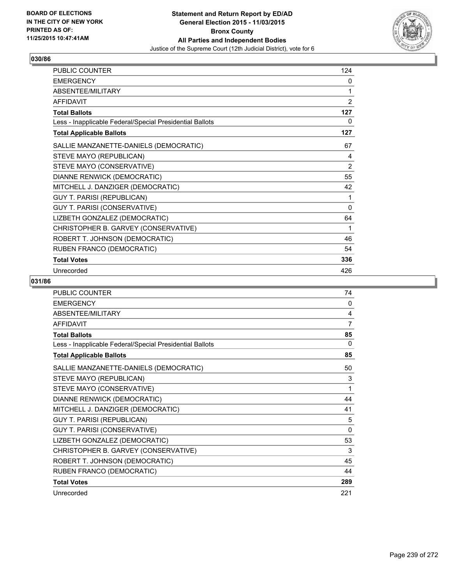

| PUBLIC COUNTER                                           | 124            |
|----------------------------------------------------------|----------------|
| <b>EMERGENCY</b>                                         | 0              |
| ABSENTEE/MILITARY                                        | 1              |
| <b>AFFIDAVIT</b>                                         | 2              |
| <b>Total Ballots</b>                                     | 127            |
| Less - Inapplicable Federal/Special Presidential Ballots | 0              |
| <b>Total Applicable Ballots</b>                          | 127            |
| SALLIE MANZANETTE-DANIELS (DEMOCRATIC)                   | 67             |
| STEVE MAYO (REPUBLICAN)                                  | 4              |
| STEVE MAYO (CONSERVATIVE)                                | $\overline{2}$ |
| DIANNE RENWICK (DEMOCRATIC)                              | 55             |
| MITCHELL J. DANZIGER (DEMOCRATIC)                        | 42             |
| <b>GUY T. PARISI (REPUBLICAN)</b>                        | 1              |
| GUY T. PARISI (CONSERVATIVE)                             | $\Omega$       |
| LIZBETH GONZALEZ (DEMOCRATIC)                            | 64             |
| CHRISTOPHER B. GARVEY (CONSERVATIVE)                     | 1              |
| ROBERT T. JOHNSON (DEMOCRATIC)                           | 46             |
| RUBEN FRANCO (DEMOCRATIC)                                | 54             |
| <b>Total Votes</b>                                       | 336            |
| Unrecorded                                               | 426            |

| <b>PUBLIC COUNTER</b>                                    | 74  |
|----------------------------------------------------------|-----|
| <b>EMERGENCY</b>                                         | 0   |
| ABSENTEE/MILITARY                                        | 4   |
| <b>AFFIDAVIT</b>                                         | 7   |
| <b>Total Ballots</b>                                     | 85  |
| Less - Inapplicable Federal/Special Presidential Ballots | 0   |
| <b>Total Applicable Ballots</b>                          | 85  |
| SALLIE MANZANETTE-DANIELS (DEMOCRATIC)                   | 50  |
| STEVE MAYO (REPUBLICAN)                                  | 3   |
| STEVE MAYO (CONSERVATIVE)                                | 1   |
| DIANNE RENWICK (DEMOCRATIC)                              | 44  |
| MITCHELL J. DANZIGER (DEMOCRATIC)                        | 41  |
| <b>GUY T. PARISI (REPUBLICAN)</b>                        | 5   |
| GUY T. PARISI (CONSERVATIVE)                             | 0   |
| LIZBETH GONZALEZ (DEMOCRATIC)                            | 53  |
| CHRISTOPHER B. GARVEY (CONSERVATIVE)                     | 3   |
| ROBERT T. JOHNSON (DEMOCRATIC)                           | 45  |
| RUBEN FRANCO (DEMOCRATIC)                                | 44  |
| <b>Total Votes</b>                                       | 289 |
| Unrecorded                                               | 221 |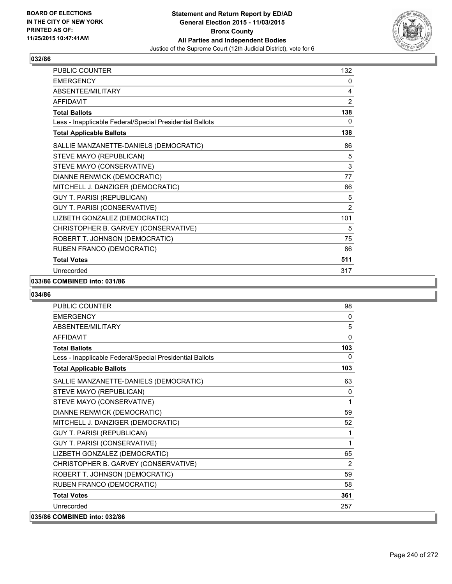

| PUBLIC COUNTER                                           | 132            |
|----------------------------------------------------------|----------------|
| <b>EMERGENCY</b>                                         | 0              |
| ABSENTEE/MILITARY                                        | 4              |
| <b>AFFIDAVIT</b>                                         | $\overline{2}$ |
| <b>Total Ballots</b>                                     | 138            |
| Less - Inapplicable Federal/Special Presidential Ballots | 0              |
| <b>Total Applicable Ballots</b>                          | 138            |
| SALLIE MANZANETTE-DANIELS (DEMOCRATIC)                   | 86             |
| STEVE MAYO (REPUBLICAN)                                  | 5              |
| STEVE MAYO (CONSERVATIVE)                                | 3              |
| DIANNE RENWICK (DEMOCRATIC)                              | 77             |
| MITCHELL J. DANZIGER (DEMOCRATIC)                        | 66             |
| <b>GUY T. PARISI (REPUBLICAN)</b>                        | 5              |
| GUY T. PARISI (CONSERVATIVE)                             | $\overline{2}$ |
| LIZBETH GONZALEZ (DEMOCRATIC)                            | 101            |
| CHRISTOPHER B. GARVEY (CONSERVATIVE)                     | 5              |
| ROBERT T. JOHNSON (DEMOCRATIC)                           | 75             |
| RUBEN FRANCO (DEMOCRATIC)                                | 86             |
| <b>Total Votes</b>                                       | 511            |
| Unrecorded                                               | 317            |

#### **033/86 COMBINED into: 031/86**

| <b>PUBLIC COUNTER</b>                                    | 98           |
|----------------------------------------------------------|--------------|
| <b>EMERGENCY</b>                                         | $\mathbf{0}$ |
| ABSENTEE/MILITARY                                        | 5            |
| <b>AFFIDAVIT</b>                                         | 0            |
| <b>Total Ballots</b>                                     | 103          |
| Less - Inapplicable Federal/Special Presidential Ballots | 0            |
| <b>Total Applicable Ballots</b>                          | 103          |
| SALLIE MANZANETTE-DANIELS (DEMOCRATIC)                   | 63           |
| STEVE MAYO (REPUBLICAN)                                  | $\mathbf{0}$ |
| STEVE MAYO (CONSERVATIVE)                                | 1            |
| DIANNE RENWICK (DEMOCRATIC)                              | 59           |
| MITCHELL J. DANZIGER (DEMOCRATIC)                        | 52           |
| <b>GUY T. PARISI (REPUBLICAN)</b>                        | 1            |
| <b>GUY T. PARISI (CONSERVATIVE)</b>                      | 1            |
| LIZBETH GONZALEZ (DEMOCRATIC)                            | 65           |
| CHRISTOPHER B. GARVEY (CONSERVATIVE)                     | 2            |
| ROBERT T. JOHNSON (DEMOCRATIC)                           | 59           |
| RUBEN FRANCO (DEMOCRATIC)                                | 58           |
| <b>Total Votes</b>                                       | 361          |
| Unrecorded                                               | 257          |
| 035/86 COMBINED into: 032/86                             |              |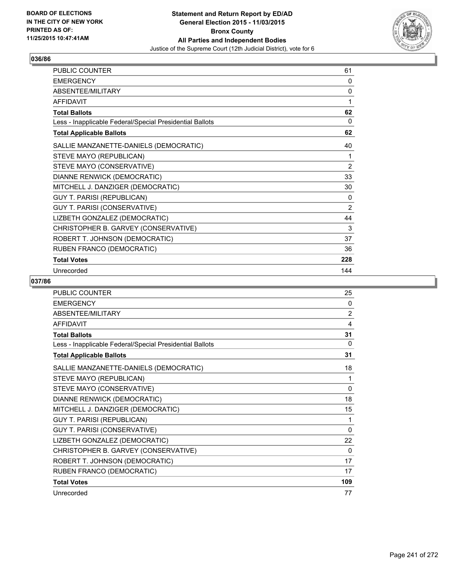

| PUBLIC COUNTER                                           | 61             |
|----------------------------------------------------------|----------------|
| <b>EMERGENCY</b>                                         | 0              |
| ABSENTEE/MILITARY                                        | 0              |
| <b>AFFIDAVIT</b>                                         | 1              |
| <b>Total Ballots</b>                                     | 62             |
| Less - Inapplicable Federal/Special Presidential Ballots | 0              |
| <b>Total Applicable Ballots</b>                          | 62             |
| SALLIE MANZANETTE-DANIELS (DEMOCRATIC)                   | 40             |
| STEVE MAYO (REPUBLICAN)                                  | 1              |
| STEVE MAYO (CONSERVATIVE)                                | $\overline{2}$ |
| DIANNE RENWICK (DEMOCRATIC)                              | 33             |
| MITCHELL J. DANZIGER (DEMOCRATIC)                        | 30             |
| <b>GUY T. PARISI (REPUBLICAN)</b>                        | 0              |
| GUY T. PARISI (CONSERVATIVE)                             | 2              |
| LIZBETH GONZALEZ (DEMOCRATIC)                            | 44             |
| CHRISTOPHER B. GARVEY (CONSERVATIVE)                     | 3              |
| ROBERT T. JOHNSON (DEMOCRATIC)                           | 37             |
| RUBEN FRANCO (DEMOCRATIC)                                | 36             |
| <b>Total Votes</b>                                       | 228            |
| Unrecorded                                               | 144            |

| PUBLIC COUNTER                                           | 25           |
|----------------------------------------------------------|--------------|
| <b>EMERGENCY</b>                                         | 0            |
| ABSENTEE/MILITARY                                        | 2            |
| <b>AFFIDAVIT</b>                                         | 4            |
| <b>Total Ballots</b>                                     | 31           |
| Less - Inapplicable Federal/Special Presidential Ballots | 0            |
| <b>Total Applicable Ballots</b>                          | 31           |
| SALLIE MANZANETTE-DANIELS (DEMOCRATIC)                   | 18           |
| STEVE MAYO (REPUBLICAN)                                  | 1            |
| STEVE MAYO (CONSERVATIVE)                                | $\mathbf{0}$ |
| DIANNE RENWICK (DEMOCRATIC)                              | 18           |
| MITCHELL J. DANZIGER (DEMOCRATIC)                        | 15           |
| <b>GUY T. PARISI (REPUBLICAN)</b>                        | 1            |
| GUY T. PARISI (CONSERVATIVE)                             | 0            |
| LIZBETH GONZALEZ (DEMOCRATIC)                            | 22           |
| CHRISTOPHER B. GARVEY (CONSERVATIVE)                     | $\Omega$     |
| ROBERT T. JOHNSON (DEMOCRATIC)                           | 17           |
| RUBEN FRANCO (DEMOCRATIC)                                | 17           |
| <b>Total Votes</b>                                       | 109          |
| Unrecorded                                               | 77           |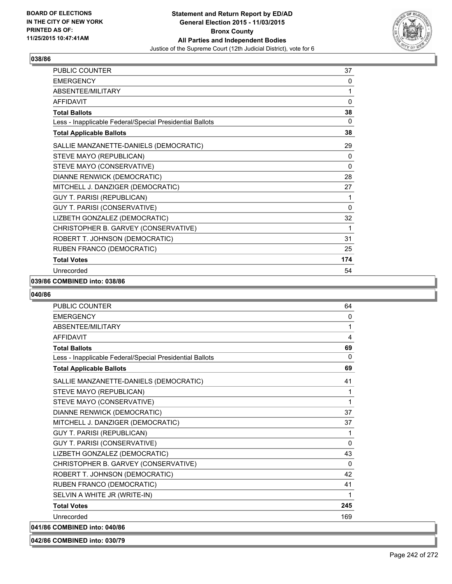

| PUBLIC COUNTER                                           | 37       |
|----------------------------------------------------------|----------|
| <b>EMERGENCY</b>                                         | 0        |
| ABSENTEE/MILITARY                                        | 1        |
| <b>AFFIDAVIT</b>                                         | 0        |
| <b>Total Ballots</b>                                     | 38       |
| Less - Inapplicable Federal/Special Presidential Ballots | 0        |
| <b>Total Applicable Ballots</b>                          | 38       |
| SALLIE MANZANETTE-DANIELS (DEMOCRATIC)                   | 29       |
| STEVE MAYO (REPUBLICAN)                                  | 0        |
| STEVE MAYO (CONSERVATIVE)                                | 0        |
| DIANNE RENWICK (DEMOCRATIC)                              | 28       |
| MITCHELL J. DANZIGER (DEMOCRATIC)                        | 27       |
| GUY T. PARISI (REPUBLICAN)                               | 1        |
| GUY T. PARISI (CONSERVATIVE)                             | $\Omega$ |
| LIZBETH GONZALEZ (DEMOCRATIC)                            | 32       |
| CHRISTOPHER B. GARVEY (CONSERVATIVE)                     | 1        |
| ROBERT T. JOHNSON (DEMOCRATIC)                           | 31       |
| RUBEN FRANCO (DEMOCRATIC)                                | 25       |
| <b>Total Votes</b>                                       | 174      |
| Unrecorded                                               | 54       |

#### **039/86 COMBINED into: 038/86**

#### **040/86**

| <b>PUBLIC COUNTER</b>                                    | 64           |
|----------------------------------------------------------|--------------|
| <b>EMERGENCY</b>                                         | $\mathbf{0}$ |
| ABSENTEE/MILITARY                                        | 1            |
| <b>AFFIDAVIT</b>                                         | 4            |
| <b>Total Ballots</b>                                     | 69           |
| Less - Inapplicable Federal/Special Presidential Ballots | 0            |
| <b>Total Applicable Ballots</b>                          | 69           |
| SALLIE MANZANETTE-DANIELS (DEMOCRATIC)                   | 41           |
| STEVE MAYO (REPUBLICAN)                                  | 1            |
| STEVE MAYO (CONSERVATIVE)                                | 1            |
| DIANNE RENWICK (DEMOCRATIC)                              | 37           |
| MITCHELL J. DANZIGER (DEMOCRATIC)                        | 37           |
| <b>GUY T. PARISI (REPUBLICAN)</b>                        | 1            |
| GUY T. PARISI (CONSERVATIVE)                             | 0            |
| LIZBETH GONZALEZ (DEMOCRATIC)                            | 43           |
| CHRISTOPHER B. GARVEY (CONSERVATIVE)                     | $\mathbf{0}$ |
| ROBERT T. JOHNSON (DEMOCRATIC)                           | 42           |
| RUBEN FRANCO (DEMOCRATIC)                                | 41           |
| SELVIN A WHITE JR (WRITE-IN)                             | 1            |
| <b>Total Votes</b>                                       | 245          |
| Unrecorded                                               | 169          |
| 041/86 COMBINED into: 040/86                             |              |

**042/86 COMBINED into: 030/79**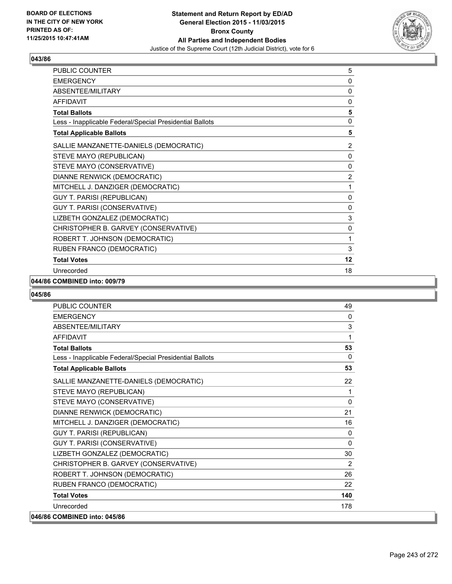

| PUBLIC COUNTER                                           | 5              |
|----------------------------------------------------------|----------------|
| <b>EMERGENCY</b>                                         | 0              |
| <b>ABSENTEE/MILITARY</b>                                 | 0              |
| <b>AFFIDAVIT</b>                                         | 0              |
| <b>Total Ballots</b>                                     | 5              |
| Less - Inapplicable Federal/Special Presidential Ballots | 0              |
| <b>Total Applicable Ballots</b>                          | 5              |
| SALLIE MANZANETTE-DANIELS (DEMOCRATIC)                   | $\overline{2}$ |
| STEVE MAYO (REPUBLICAN)                                  | 0              |
| STEVE MAYO (CONSERVATIVE)                                | 0              |
| DIANNE RENWICK (DEMOCRATIC)                              | $\overline{2}$ |
| MITCHELL J. DANZIGER (DEMOCRATIC)                        | 1              |
| <b>GUY T. PARISI (REPUBLICAN)</b>                        | 0              |
| GUY T. PARISI (CONSERVATIVE)                             | 0              |
| LIZBETH GONZALEZ (DEMOCRATIC)                            | 3              |
| CHRISTOPHER B. GARVEY (CONSERVATIVE)                     | 0              |
| ROBERT T. JOHNSON (DEMOCRATIC)                           | 1              |
| RUBEN FRANCO (DEMOCRATIC)                                | 3              |
| <b>Total Votes</b>                                       | 12             |
| Unrecorded                                               | 18             |

#### **044/86 COMBINED into: 009/79**

| <b>PUBLIC COUNTER</b>                                    | 49           |
|----------------------------------------------------------|--------------|
| <b>EMERGENCY</b>                                         | $\mathbf{0}$ |
| ABSENTEE/MILITARY                                        | $\mathsf 3$  |
| <b>AFFIDAVIT</b>                                         | 1            |
| <b>Total Ballots</b>                                     | 53           |
| Less - Inapplicable Federal/Special Presidential Ballots | $\Omega$     |
| <b>Total Applicable Ballots</b>                          | 53           |
| SALLIE MANZANETTE-DANIELS (DEMOCRATIC)                   | 22           |
| STEVE MAYO (REPUBLICAN)                                  | 1            |
| STEVE MAYO (CONSERVATIVE)                                | 0            |
| DIANNE RENWICK (DEMOCRATIC)                              | 21           |
| MITCHELL J. DANZIGER (DEMOCRATIC)                        | 16           |
| <b>GUY T. PARISI (REPUBLICAN)</b>                        | $\mathbf{0}$ |
| GUY T. PARISI (CONSERVATIVE)                             | 0            |
| LIZBETH GONZALEZ (DEMOCRATIC)                            | 30           |
| CHRISTOPHER B. GARVEY (CONSERVATIVE)                     | 2            |
| ROBERT T. JOHNSON (DEMOCRATIC)                           | 26           |
| RUBEN FRANCO (DEMOCRATIC)                                | 22           |
| <b>Total Votes</b>                                       | 140          |
| Unrecorded                                               | 178          |
| 046/86 COMBINED into: 045/86                             |              |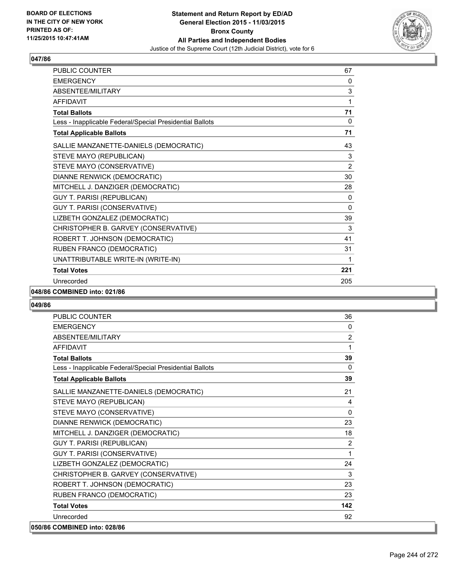

| <b>PUBLIC COUNTER</b>                                    | 67             |
|----------------------------------------------------------|----------------|
| <b>EMERGENCY</b>                                         | 0              |
| ABSENTEE/MILITARY                                        | 3              |
| <b>AFFIDAVIT</b>                                         | 1              |
| <b>Total Ballots</b>                                     | 71             |
| Less - Inapplicable Federal/Special Presidential Ballots | 0              |
| <b>Total Applicable Ballots</b>                          | 71             |
| SALLIE MANZANETTE-DANIELS (DEMOCRATIC)                   | 43             |
| STEVE MAYO (REPUBLICAN)                                  | 3              |
| STEVE MAYO (CONSERVATIVE)                                | $\overline{2}$ |
| DIANNE RENWICK (DEMOCRATIC)                              | 30             |
| MITCHELL J. DANZIGER (DEMOCRATIC)                        | 28             |
| <b>GUY T. PARISI (REPUBLICAN)</b>                        | 0              |
| GUY T. PARISI (CONSERVATIVE)                             | $\mathbf{0}$   |
| LIZBETH GONZALEZ (DEMOCRATIC)                            | 39             |
| CHRISTOPHER B. GARVEY (CONSERVATIVE)                     | 3              |
| ROBERT T. JOHNSON (DEMOCRATIC)                           | 41             |
| RUBEN FRANCO (DEMOCRATIC)                                | 31             |
| UNATTRIBUTABLE WRITE-IN (WRITE-IN)                       | 1              |
| <b>Total Votes</b>                                       | 221            |
| Unrecorded                                               | 205            |

## **048/86 COMBINED into: 021/86**

| <b>PUBLIC COUNTER</b>                                    | 36             |
|----------------------------------------------------------|----------------|
| <b>EMERGENCY</b>                                         | $\Omega$       |
| ABSENTEE/MILITARY                                        | $\overline{2}$ |
| <b>AFFIDAVIT</b>                                         | 1              |
| <b>Total Ballots</b>                                     | 39             |
| Less - Inapplicable Federal/Special Presidential Ballots | $\Omega$       |
| <b>Total Applicable Ballots</b>                          | 39             |
| SALLIE MANZANETTE-DANIELS (DEMOCRATIC)                   | 21             |
| STEVE MAYO (REPUBLICAN)                                  | 4              |
| STEVE MAYO (CONSERVATIVE)                                | $\Omega$       |
| DIANNE RENWICK (DEMOCRATIC)                              | 23             |
| MITCHELL J. DANZIGER (DEMOCRATIC)                        | 18             |
| <b>GUY T. PARISI (REPUBLICAN)</b>                        | 2              |
| GUY T. PARISI (CONSERVATIVE)                             | 1              |
| LIZBETH GONZALEZ (DEMOCRATIC)                            | 24             |
| CHRISTOPHER B. GARVEY (CONSERVATIVE)                     | 3              |
| ROBERT T. JOHNSON (DEMOCRATIC)                           | 23             |
| RUBEN FRANCO (DEMOCRATIC)                                | 23             |
| <b>Total Votes</b>                                       | 142            |
| Unrecorded                                               | 92             |
| 050/86 COMBINED into: 028/86                             |                |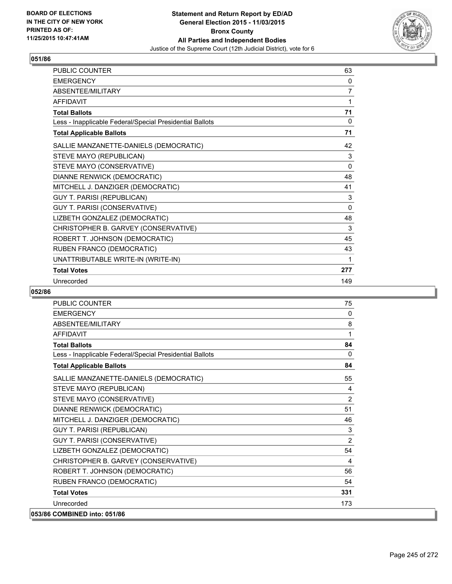

| <b>PUBLIC COUNTER</b>                                    | 63           |
|----------------------------------------------------------|--------------|
| <b>EMERGENCY</b>                                         | 0            |
| <b>ABSENTFF/MILITARY</b>                                 | 7            |
| <b>AFFIDAVIT</b>                                         | 1            |
| <b>Total Ballots</b>                                     | 71           |
| Less - Inapplicable Federal/Special Presidential Ballots | 0            |
| <b>Total Applicable Ballots</b>                          | 71           |
| SALLIE MANZANETTE-DANIELS (DEMOCRATIC)                   | 42           |
| STEVE MAYO (REPUBLICAN)                                  | 3            |
| STEVE MAYO (CONSERVATIVE)                                | $\mathbf{0}$ |
| DIANNE RENWICK (DEMOCRATIC)                              | 48           |
| MITCHELL J. DANZIGER (DEMOCRATIC)                        | 41           |
| <b>GUY T. PARISI (REPUBLICAN)</b>                        | 3            |
| GUY T. PARISI (CONSERVATIVE)                             | 0            |
| LIZBETH GONZALEZ (DEMOCRATIC)                            | 48           |
| CHRISTOPHER B. GARVEY (CONSERVATIVE)                     | 3            |
| ROBERT T. JOHNSON (DEMOCRATIC)                           | 45           |
| RUBEN FRANCO (DEMOCRATIC)                                | 43           |
| UNATTRIBUTABLE WRITE-IN (WRITE-IN)                       | 1            |
| <b>Total Votes</b>                                       | 277          |
| Unrecorded                                               | 149          |

| <b>PUBLIC COUNTER</b>                                    | 75           |
|----------------------------------------------------------|--------------|
| <b>EMERGENCY</b>                                         | $\mathbf{0}$ |
| ABSENTEE/MILITARY                                        | 8            |
| <b>AFFIDAVIT</b>                                         | 1            |
| <b>Total Ballots</b>                                     | 84           |
| Less - Inapplicable Federal/Special Presidential Ballots | $\mathbf{0}$ |
| <b>Total Applicable Ballots</b>                          | 84           |
| SALLIE MANZANETTE-DANIELS (DEMOCRATIC)                   | 55           |
| STEVE MAYO (REPUBLICAN)                                  | 4            |
| STEVE MAYO (CONSERVATIVE)                                | 2            |
| DIANNE RENWICK (DEMOCRATIC)                              | 51           |
| MITCHELL J. DANZIGER (DEMOCRATIC)                        | 46           |
| <b>GUY T. PARISI (REPUBLICAN)</b>                        | 3            |
| <b>GUY T. PARISI (CONSERVATIVE)</b>                      | 2            |
| LIZBETH GONZALEZ (DEMOCRATIC)                            | 54           |
| CHRISTOPHER B. GARVEY (CONSERVATIVE)                     | 4            |
| ROBERT T. JOHNSON (DEMOCRATIC)                           | 56           |
| RUBEN FRANCO (DEMOCRATIC)                                | 54           |
| <b>Total Votes</b>                                       | 331          |
| Unrecorded                                               | 173          |
| 053/86 COMBINED into: 051/86                             |              |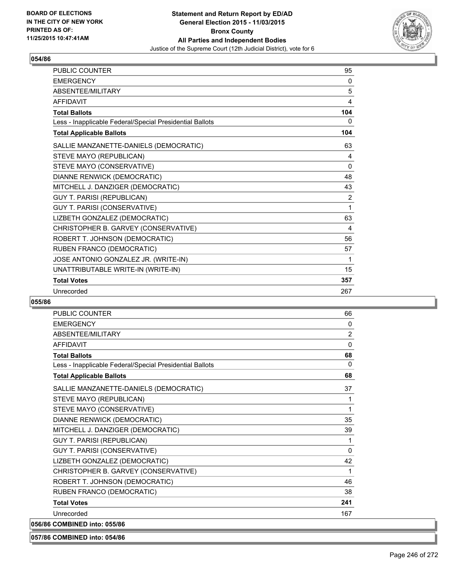

| <b>PUBLIC COUNTER</b>                                    | 95             |
|----------------------------------------------------------|----------------|
| <b>EMERGENCY</b>                                         | 0              |
| ABSENTEE/MILITARY                                        | 5              |
| <b>AFFIDAVIT</b>                                         | 4              |
| <b>Total Ballots</b>                                     | 104            |
| Less - Inapplicable Federal/Special Presidential Ballots | 0              |
| <b>Total Applicable Ballots</b>                          | 104            |
| SALLIE MANZANETTE-DANIELS (DEMOCRATIC)                   | 63             |
| STEVE MAYO (REPUBLICAN)                                  | 4              |
| STEVE MAYO (CONSERVATIVE)                                | 0              |
| DIANNE RENWICK (DEMOCRATIC)                              | 48             |
| MITCHELL J. DANZIGER (DEMOCRATIC)                        | 43             |
| <b>GUY T. PARISI (REPUBLICAN)</b>                        | $\overline{2}$ |
| GUY T. PARISI (CONSERVATIVE)                             | 1              |
| LIZBETH GONZALEZ (DEMOCRATIC)                            | 63             |
| CHRISTOPHER B. GARVEY (CONSERVATIVE)                     | 4              |
| ROBERT T. JOHNSON (DEMOCRATIC)                           | 56             |
| RUBEN FRANCO (DEMOCRATIC)                                | 57             |
| JOSE ANTONIO GONZALEZ JR. (WRITE-IN)                     | 1              |
| UNATTRIBUTABLE WRITE-IN (WRITE-IN)                       | 15             |
| <b>Total Votes</b>                                       | 357            |
| Unrecorded                                               | 267            |

# **055/86**

| <b>PUBLIC COUNTER</b>                                    | 66             |
|----------------------------------------------------------|----------------|
| <b>EMERGENCY</b>                                         | 0              |
| ABSENTEE/MILITARY                                        | $\overline{2}$ |
| <b>AFFIDAVIT</b>                                         | $\mathbf{0}$   |
| <b>Total Ballots</b>                                     | 68             |
| Less - Inapplicable Federal/Special Presidential Ballots | 0              |
| <b>Total Applicable Ballots</b>                          | 68             |
| SALLIE MANZANETTE-DANIELS (DEMOCRATIC)                   | 37             |
| STEVE MAYO (REPUBLICAN)                                  | 1              |
| STEVE MAYO (CONSERVATIVE)                                | 1              |
| DIANNE RENWICK (DEMOCRATIC)                              | 35             |
| MITCHELL J. DANZIGER (DEMOCRATIC)                        | 39             |
| <b>GUY T. PARISI (REPUBLICAN)</b>                        | 1              |
| GUY T. PARISI (CONSERVATIVE)                             | 0              |
| LIZBETH GONZALEZ (DEMOCRATIC)                            | 42             |
| CHRISTOPHER B. GARVEY (CONSERVATIVE)                     | 1              |
| ROBERT T. JOHNSON (DEMOCRATIC)                           | 46             |
| RUBEN FRANCO (DEMOCRATIC)                                | 38             |
| <b>Total Votes</b>                                       | 241            |
| Unrecorded                                               | 167            |
| 056/86 COMBINED into: 055/86                             |                |

**057/86 COMBINED into: 054/86**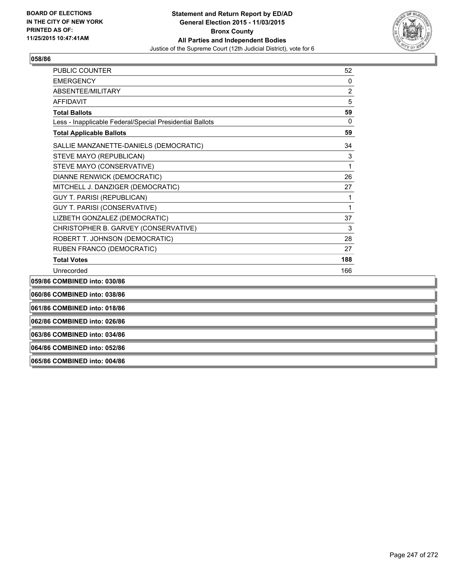

| 062/86 COMBINED into: 026/86                                      |                |
|-------------------------------------------------------------------|----------------|
| 061/86 COMBINED into: 018/86                                      |                |
| 060/86 COMBINED into: 038/86                                      |                |
| 059/86 COMBINED into: 030/86                                      |                |
| Unrecorded                                                        | 166            |
| <b>Total Votes</b>                                                | 188            |
| RUBEN FRANCO (DEMOCRATIC)                                         | 27             |
| ROBERT T. JOHNSON (DEMOCRATIC)                                    | 28             |
| CHRISTOPHER B. GARVEY (CONSERVATIVE)                              | 3              |
| LIZBETH GONZALEZ (DEMOCRATIC)                                     | 37             |
| <b>GUY T. PARISI (CONSERVATIVE)</b>                               | 1              |
| <b>GUY T. PARISI (REPUBLICAN)</b>                                 | 1              |
| MITCHELL J. DANZIGER (DEMOCRATIC)                                 | 27             |
| <b>DIANNE RENWICK (DEMOCRATIC)</b>                                | 26             |
| STEVE MAYO (CONSERVATIVE)                                         | 1              |
| SALLIE MANZANETTE-DANIELS (DEMOCRATIC)<br>STEVE MAYO (REPUBLICAN) | 34<br>3        |
| <b>Total Applicable Ballots</b>                                   | 59             |
| Less - Inapplicable Federal/Special Presidential Ballots          |                |
| <b>Total Ballots</b>                                              | 59<br>$\Omega$ |
| <b>AFFIDAVIT</b>                                                  | 5              |
| ABSENTEE/MILITARY                                                 | $\overline{2}$ |
| <b>EMERGENCY</b>                                                  | 0              |
| <b>PUBLIC COUNTER</b>                                             | 52             |

**063/86 COMBINED into: 034/86**

# **064/86 COMBINED into: 052/86**

**065/86 COMBINED into: 004/86**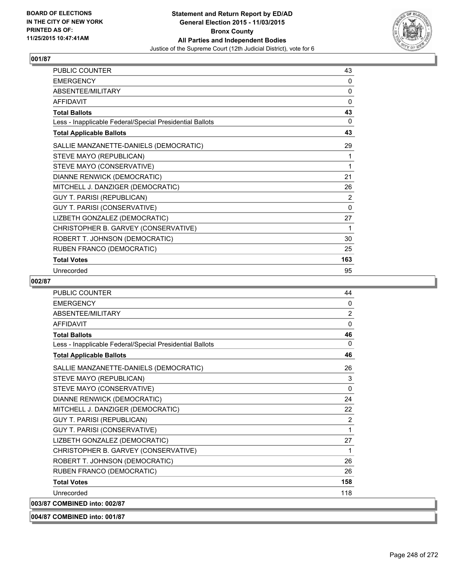

| PUBLIC COUNTER                                           | 43       |
|----------------------------------------------------------|----------|
| <b>EMERGENCY</b>                                         | 0        |
| ABSENTEE/MILITARY                                        | 0        |
| <b>AFFIDAVIT</b>                                         | 0        |
| <b>Total Ballots</b>                                     | 43       |
| Less - Inapplicable Federal/Special Presidential Ballots | 0        |
| <b>Total Applicable Ballots</b>                          | 43       |
| SALLIE MANZANETTE-DANIELS (DEMOCRATIC)                   | 29       |
| STEVE MAYO (REPUBLICAN)                                  | 1        |
| STEVE MAYO (CONSERVATIVE)                                | 1        |
| DIANNE RENWICK (DEMOCRATIC)                              | 21       |
| MITCHELL J. DANZIGER (DEMOCRATIC)                        | 26       |
| <b>GUY T. PARISI (REPUBLICAN)</b>                        | 2        |
| <b>GUY T. PARISI (CONSERVATIVE)</b>                      | $\Omega$ |
| LIZBETH GONZALEZ (DEMOCRATIC)                            | 27       |
| CHRISTOPHER B. GARVEY (CONSERVATIVE)                     | 1        |
| ROBERT T. JOHNSON (DEMOCRATIC)                           | 30       |
| RUBEN FRANCO (DEMOCRATIC)                                | 25       |
| <b>Total Votes</b>                                       | 163      |
| Unrecorded                                               | 95       |

| <b>PUBLIC COUNTER</b>                                    | 44           |
|----------------------------------------------------------|--------------|
| <b>FMFRGFNCY</b>                                         | 0            |
| ABSENTEE/MILITARY                                        | 2            |
| <b>AFFIDAVIT</b>                                         | $\mathbf{0}$ |
| <b>Total Ballots</b>                                     | 46           |
| Less - Inapplicable Federal/Special Presidential Ballots | 0            |
| <b>Total Applicable Ballots</b>                          | 46           |
| SALLIE MANZANETTE-DANIELS (DEMOCRATIC)                   | 26           |
| STEVE MAYO (REPUBLICAN)                                  | 3            |
| STEVE MAYO (CONSERVATIVE)                                | $\mathbf{0}$ |
| DIANNE RENWICK (DEMOCRATIC)                              | 24           |
| MITCHELL J. DANZIGER (DEMOCRATIC)                        | 22           |
| <b>GUY T. PARISI (REPUBLICAN)</b>                        | 2            |
| GUY T. PARISI (CONSERVATIVE)                             | 1            |
| LIZBETH GONZALEZ (DEMOCRATIC)                            | 27           |
| CHRISTOPHER B. GARVEY (CONSERVATIVE)                     | 1            |
| ROBERT T. JOHNSON (DEMOCRATIC)                           | 26           |
| RUBEN FRANCO (DEMOCRATIC)                                | 26           |
| <b>Total Votes</b>                                       | 158          |
| Unrecorded                                               | 118          |
| 003/87 COMBINED into: 002/87                             |              |
| 004/87 COMBINED into: 001/87                             |              |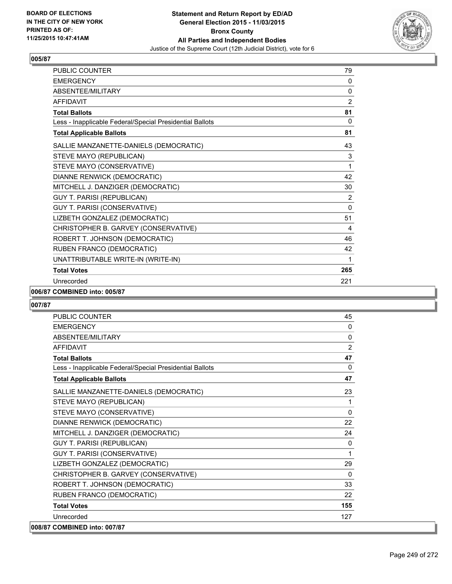

| <b>PUBLIC COUNTER</b>                                    | 79             |
|----------------------------------------------------------|----------------|
| <b>EMERGENCY</b>                                         | 0              |
| ABSENTEE/MILITARY                                        | 0              |
| <b>AFFIDAVIT</b>                                         | $\overline{2}$ |
| <b>Total Ballots</b>                                     | 81             |
| Less - Inapplicable Federal/Special Presidential Ballots | $\mathbf{0}$   |
| <b>Total Applicable Ballots</b>                          | 81             |
| SALLIE MANZANETTE-DANIELS (DEMOCRATIC)                   | 43             |
| STEVE MAYO (REPUBLICAN)                                  | 3              |
| STEVE MAYO (CONSERVATIVE)                                | 1              |
| DIANNE RENWICK (DEMOCRATIC)                              | 42             |
| MITCHELL J. DANZIGER (DEMOCRATIC)                        | 30             |
| <b>GUY T. PARISI (REPUBLICAN)</b>                        | 2              |
| GUY T. PARISI (CONSERVATIVE)                             | $\mathbf{0}$   |
| LIZBETH GONZALEZ (DEMOCRATIC)                            | 51             |
| CHRISTOPHER B. GARVEY (CONSERVATIVE)                     | 4              |
| ROBERT T. JOHNSON (DEMOCRATIC)                           | 46             |
| RUBEN FRANCO (DEMOCRATIC)                                | 42             |
| UNATTRIBUTABLE WRITE-IN (WRITE-IN)                       | 1              |
| <b>Total Votes</b>                                       | 265            |
| Unrecorded                                               | 221            |

#### **006/87 COMBINED into: 005/87**

| <b>PUBLIC COUNTER</b>                                    | 45           |
|----------------------------------------------------------|--------------|
| <b>EMERGENCY</b>                                         | 0            |
| ABSENTEE/MILITARY                                        | $\Omega$     |
| <b>AFFIDAVIT</b>                                         | 2            |
| <b>Total Ballots</b>                                     | 47           |
| Less - Inapplicable Federal/Special Presidential Ballots | $\Omega$     |
| <b>Total Applicable Ballots</b>                          | 47           |
| SALLIE MANZANETTE-DANIELS (DEMOCRATIC)                   | 23           |
| STEVE MAYO (REPUBLICAN)                                  | 1            |
| STEVE MAYO (CONSERVATIVE)                                | $\Omega$     |
| DIANNE RENWICK (DEMOCRATIC)                              | 22           |
| MITCHELL J. DANZIGER (DEMOCRATIC)                        | 24           |
| GUY T. PARISI (REPUBLICAN)                               | $\mathbf{0}$ |
| GUY T. PARISI (CONSERVATIVE)                             | 1            |
| LIZBETH GONZALEZ (DEMOCRATIC)                            | 29           |
| CHRISTOPHER B. GARVEY (CONSERVATIVE)                     | $\Omega$     |
| ROBERT T. JOHNSON (DEMOCRATIC)                           | 33           |
| RUBEN FRANCO (DEMOCRATIC)                                | 22           |
| <b>Total Votes</b>                                       | 155          |
| Unrecorded                                               | 127          |
| 008/87 COMBINED into: 007/87                             |              |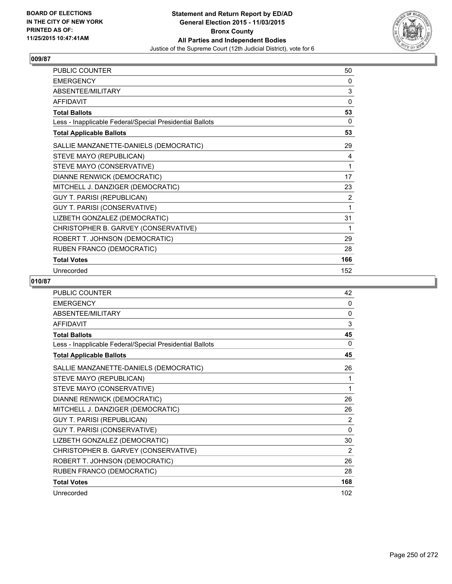

| PUBLIC COUNTER                                           | 50             |
|----------------------------------------------------------|----------------|
| <b>EMERGENCY</b>                                         | 0              |
| ABSENTEE/MILITARY                                        | 3              |
| <b>AFFIDAVIT</b>                                         | 0              |
| <b>Total Ballots</b>                                     | 53             |
| Less - Inapplicable Federal/Special Presidential Ballots | 0              |
| <b>Total Applicable Ballots</b>                          | 53             |
| SALLIE MANZANETTE-DANIELS (DEMOCRATIC)                   | 29             |
| STEVE MAYO (REPUBLICAN)                                  | 4              |
| STEVE MAYO (CONSERVATIVE)                                | 1              |
| DIANNE RENWICK (DEMOCRATIC)                              | 17             |
| MITCHELL J. DANZIGER (DEMOCRATIC)                        | 23             |
| <b>GUY T. PARISI (REPUBLICAN)</b>                        | $\overline{2}$ |
| GUY T. PARISI (CONSERVATIVE)                             | 1              |
| LIZBETH GONZALEZ (DEMOCRATIC)                            | 31             |
| CHRISTOPHER B. GARVEY (CONSERVATIVE)                     | 1              |
| ROBERT T. JOHNSON (DEMOCRATIC)                           | 29             |
| RUBEN FRANCO (DEMOCRATIC)                                | 28             |
| <b>Total Votes</b>                                       | 166            |
| Unrecorded                                               | 152            |

| <b>PUBLIC COUNTER</b>                                    | 42       |
|----------------------------------------------------------|----------|
| <b>EMERGENCY</b>                                         | 0        |
| ABSENTEE/MILITARY                                        | 0        |
| <b>AFFIDAVIT</b>                                         | 3        |
| <b>Total Ballots</b>                                     | 45       |
| Less - Inapplicable Federal/Special Presidential Ballots | $\Omega$ |
| <b>Total Applicable Ballots</b>                          | 45       |
| SALLIE MANZANETTE-DANIELS (DEMOCRATIC)                   | 26       |
| STEVE MAYO (REPUBLICAN)                                  | 1        |
| STEVE MAYO (CONSERVATIVE)                                | 1        |
| DIANNE RENWICK (DEMOCRATIC)                              | 26       |
| MITCHELL J. DANZIGER (DEMOCRATIC)                        | 26       |
| <b>GUY T. PARISI (REPUBLICAN)</b>                        | 2        |
| GUY T. PARISI (CONSERVATIVE)                             | $\Omega$ |
| LIZBETH GONZALEZ (DEMOCRATIC)                            | 30       |
| CHRISTOPHER B. GARVEY (CONSERVATIVE)                     | 2        |
| ROBERT T. JOHNSON (DEMOCRATIC)                           | 26       |
| RUBEN FRANCO (DEMOCRATIC)                                | 28       |
| <b>Total Votes</b>                                       | 168      |
| Unrecorded                                               | 102      |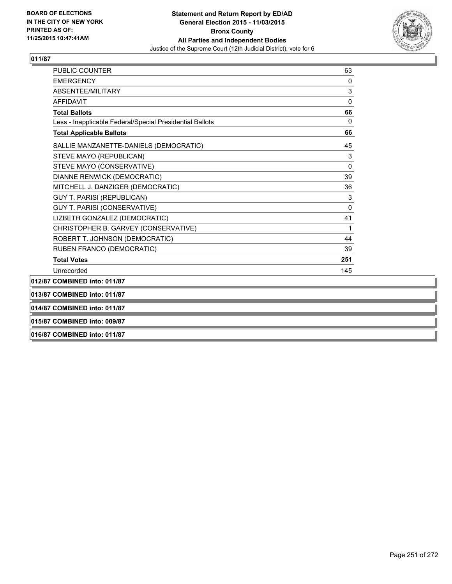

| 015/87 COMBINED into: 009/87                             |             |
|----------------------------------------------------------|-------------|
| 014/87 COMBINED into: 011/87                             |             |
| 013/87 COMBINED into: 011/87                             |             |
| 012/87 COMBINED into: 011/87                             |             |
| Unrecorded                                               | 145         |
| <b>Total Votes</b>                                       | 251         |
| RUBEN FRANCO (DEMOCRATIC)                                | 39          |
| ROBERT T. JOHNSON (DEMOCRATIC)                           | 44          |
| CHRISTOPHER B. GARVEY (CONSERVATIVE)                     | 1           |
| LIZBETH GONZALEZ (DEMOCRATIC)                            | 41          |
| GUY T. PARISI (CONSERVATIVE)                             | $\mathbf 0$ |
| <b>GUY T. PARISI (REPUBLICAN)</b>                        | 3           |
| MITCHELL J. DANZIGER (DEMOCRATIC)                        | 36          |
| DIANNE RENWICK (DEMOCRATIC)                              | 39          |
| STEVE MAYO (CONSERVATIVE)                                | 0           |
| STEVE MAYO (REPUBLICAN)                                  | 3           |
| SALLIE MANZANETTE-DANIELS (DEMOCRATIC)                   | 45          |
| <b>Total Applicable Ballots</b>                          | 66          |
| Less - Inapplicable Federal/Special Presidential Ballots | $\Omega$    |
| <b>Total Ballots</b>                                     | 66          |
| <b>AFFIDAVIT</b>                                         | $\Omega$    |
| ABSENTEE/MILITARY                                        | 3           |
| <b>FMFRGFNCY</b>                                         | 0           |
| PUBLIC COUNTER                                           | 63          |

**016/87 COMBINED into: 011/87**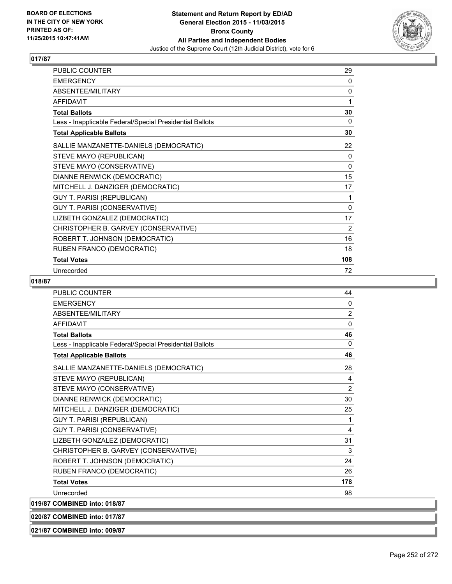

| <b>PUBLIC COUNTER</b>                                    | 29       |
|----------------------------------------------------------|----------|
| <b>EMERGENCY</b>                                         | 0        |
| ABSENTEE/MILITARY                                        | 0        |
| <b>AFFIDAVIT</b>                                         | 1        |
| <b>Total Ballots</b>                                     | 30       |
| Less - Inapplicable Federal/Special Presidential Ballots | 0        |
| <b>Total Applicable Ballots</b>                          | 30       |
| SALLIE MANZANETTE-DANIELS (DEMOCRATIC)                   | 22       |
| STEVE MAYO (REPUBLICAN)                                  | 0        |
| STEVE MAYO (CONSERVATIVE)                                | $\Omega$ |
| DIANNE RENWICK (DEMOCRATIC)                              | 15       |
| MITCHELL J. DANZIGER (DEMOCRATIC)                        | 17       |
| <b>GUY T. PARISI (REPUBLICAN)</b>                        | 1        |
| GUY T. PARISI (CONSERVATIVE)                             | $\Omega$ |
| LIZBETH GONZALEZ (DEMOCRATIC)                            | 17       |
| CHRISTOPHER B. GARVEY (CONSERVATIVE)                     | 2        |
| ROBERT T. JOHNSON (DEMOCRATIC)                           | 16       |
| RUBEN FRANCO (DEMOCRATIC)                                | 18       |
| <b>Total Votes</b>                                       | 108      |
| Unrecorded                                               | 72       |

## **018/87**

| <b>PUBLIC COUNTER</b>                                    | 44           |
|----------------------------------------------------------|--------------|
| <b>EMERGENCY</b>                                         | $\mathbf{0}$ |
| <b>ABSENTEE/MILITARY</b>                                 | 2            |
| <b>AFFIDAVIT</b>                                         | $\mathbf{0}$ |
| <b>Total Ballots</b>                                     | 46           |
| Less - Inapplicable Federal/Special Presidential Ballots | $\mathbf{0}$ |
| <b>Total Applicable Ballots</b>                          | 46           |
| SALLIE MANZANETTE-DANIELS (DEMOCRATIC)                   | 28           |
| STEVE MAYO (REPUBLICAN)                                  | 4            |
| STEVE MAYO (CONSERVATIVE)                                | 2            |
| DIANNE RENWICK (DEMOCRATIC)                              | 30           |
| MITCHELL J. DANZIGER (DEMOCRATIC)                        | 25           |
| <b>GUY T. PARISI (REPUBLICAN)</b>                        | 1            |
| GUY T. PARISI (CONSERVATIVE)                             | 4            |
| LIZBETH GONZALEZ (DEMOCRATIC)                            | 31           |
| CHRISTOPHER B. GARVEY (CONSERVATIVE)                     | 3            |
| ROBERT T. JOHNSON (DEMOCRATIC)                           | 24           |
| RUBEN FRANCO (DEMOCRATIC)                                | 26           |
| <b>Total Votes</b>                                       | 178          |
| Unrecorded                                               | 98           |
| 019/87 COMBINED into: 018/87                             |              |
|                                                          |              |

**020/87 COMBINED into: 017/87**

**021/87 COMBINED into: 009/87**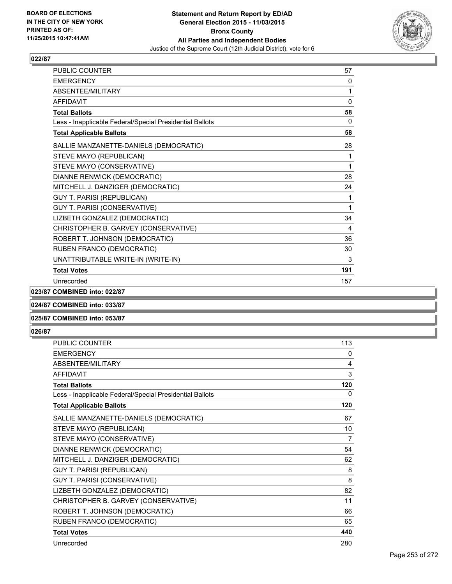

| <b>PUBLIC COUNTER</b>                                    | 57           |
|----------------------------------------------------------|--------------|
| <b>EMERGENCY</b>                                         | 0            |
| <b>ABSENTEE/MILITARY</b>                                 | 1            |
| <b>AFFIDAVIT</b>                                         | $\mathbf{0}$ |
| <b>Total Ballots</b>                                     | 58           |
| Less - Inapplicable Federal/Special Presidential Ballots | 0            |
| <b>Total Applicable Ballots</b>                          | 58           |
| SALLIE MANZANETTE-DANIELS (DEMOCRATIC)                   | 28           |
| STEVE MAYO (REPUBLICAN)                                  | 1            |
| STEVE MAYO (CONSERVATIVE)                                | 1            |
| DIANNE RENWICK (DEMOCRATIC)                              | 28           |
| MITCHELL J. DANZIGER (DEMOCRATIC)                        | 24           |
| <b>GUY T. PARISI (REPUBLICAN)</b>                        | 1            |
| GUY T. PARISI (CONSERVATIVE)                             | 1            |
| LIZBETH GONZALEZ (DEMOCRATIC)                            | 34           |
| CHRISTOPHER B. GARVEY (CONSERVATIVE)                     | 4            |
| ROBERT T. JOHNSON (DEMOCRATIC)                           | 36           |
| RUBEN FRANCO (DEMOCRATIC)                                | 30           |
| UNATTRIBUTABLE WRITE-IN (WRITE-IN)                       | 3            |
| <b>Total Votes</b>                                       | 191          |
| Unrecorded                                               | 157          |

**023/87 COMBINED into: 022/87**

**024/87 COMBINED into: 033/87**

### **025/87 COMBINED into: 053/87**

| <b>PUBLIC COUNTER</b>                                    | 113 |
|----------------------------------------------------------|-----|
| <b>EMERGENCY</b>                                         | 0   |
| ABSENTEE/MILITARY                                        | 4   |
| <b>AFFIDAVIT</b>                                         | 3   |
| <b>Total Ballots</b>                                     | 120 |
| Less - Inapplicable Federal/Special Presidential Ballots | 0   |
| <b>Total Applicable Ballots</b>                          | 120 |
| SALLIE MANZANETTE-DANIELS (DEMOCRATIC)                   | 67  |
| STEVE MAYO (REPUBLICAN)                                  | 10  |
| STEVE MAYO (CONSERVATIVE)                                | 7   |
| DIANNE RENWICK (DEMOCRATIC)                              | 54  |
| MITCHELL J. DANZIGER (DEMOCRATIC)                        | 62  |
| GUY T. PARISI (REPUBLICAN)                               | 8   |
| <b>GUY T. PARISI (CONSERVATIVE)</b>                      | 8   |
| LIZBETH GONZALEZ (DEMOCRATIC)                            | 82  |
| CHRISTOPHER B. GARVEY (CONSERVATIVE)                     | 11  |
| ROBERT T. JOHNSON (DEMOCRATIC)                           | 66  |
| RUBEN FRANCO (DEMOCRATIC)                                | 65  |
| <b>Total Votes</b>                                       | 440 |
| Unrecorded                                               | 280 |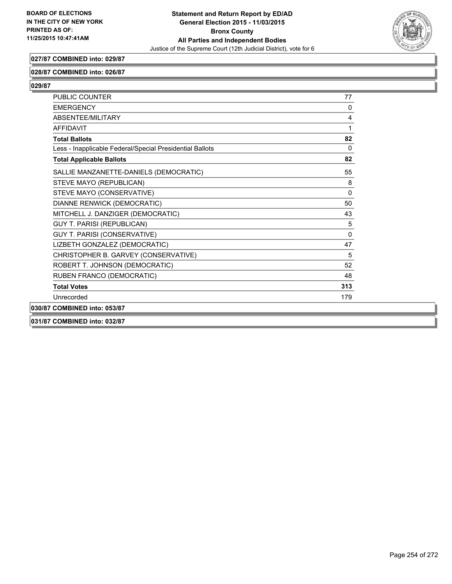

## **027/87 COMBINED into: 029/87**

### **028/87 COMBINED into: 026/87**

**029/87** 

| PUBLIC COUNTER                                           | 77           |
|----------------------------------------------------------|--------------|
| <b>EMERGENCY</b>                                         | 0            |
| ABSENTEE/MILITARY                                        | 4            |
| <b>AFFIDAVIT</b>                                         | 1            |
| <b>Total Ballots</b>                                     | 82           |
| Less - Inapplicable Federal/Special Presidential Ballots | $\mathbf{0}$ |
| <b>Total Applicable Ballots</b>                          | 82           |
| SALLIE MANZANETTE-DANIELS (DEMOCRATIC)                   | 55           |
| STEVE MAYO (REPUBLICAN)                                  | 8            |
| STEVE MAYO (CONSERVATIVE)                                | $\mathbf{0}$ |
| DIANNE RENWICK (DEMOCRATIC)                              | 50           |
| MITCHELL J. DANZIGER (DEMOCRATIC)                        | 43           |
| <b>GUY T. PARISI (REPUBLICAN)</b>                        | 5            |
| GUY T. PARISI (CONSERVATIVE)                             | 0            |
| LIZBETH GONZALEZ (DEMOCRATIC)                            | 47           |
| CHRISTOPHER B. GARVEY (CONSERVATIVE)                     | 5            |
| ROBERT T. JOHNSON (DEMOCRATIC)                           | 52           |
| RUBEN FRANCO (DEMOCRATIC)                                | 48           |
| <b>Total Votes</b>                                       | 313          |
| Unrecorded                                               | 179          |
| 030/87 COMBINED into: 053/87                             |              |
|                                                          |              |

**031/87 COMBINED into: 032/87**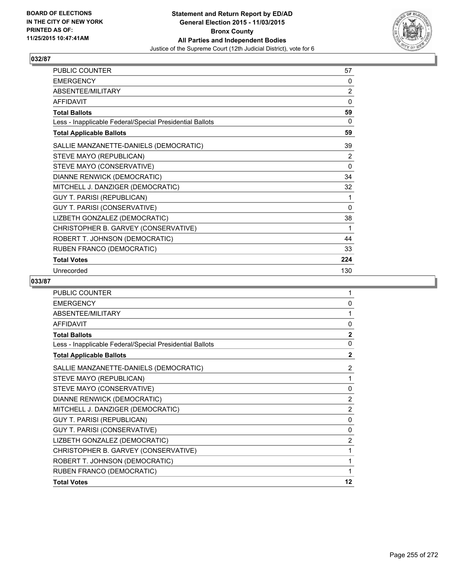

| PUBLIC COUNTER                                           | 57             |
|----------------------------------------------------------|----------------|
| <b>EMERGENCY</b>                                         | 0              |
| ABSENTEE/MILITARY                                        | $\overline{2}$ |
| <b>AFFIDAVIT</b>                                         | 0              |
| <b>Total Ballots</b>                                     | 59             |
| Less - Inapplicable Federal/Special Presidential Ballots | 0              |
| <b>Total Applicable Ballots</b>                          | 59             |
| SALLIE MANZANETTE-DANIELS (DEMOCRATIC)                   | 39             |
| STEVE MAYO (REPUBLICAN)                                  | 2              |
| STEVE MAYO (CONSERVATIVE)                                | $\mathbf{0}$   |
| DIANNE RENWICK (DEMOCRATIC)                              | 34             |
| MITCHELL J. DANZIGER (DEMOCRATIC)                        | 32             |
| GUY T. PARISI (REPUBLICAN)                               | 1              |
| GUY T. PARISI (CONSERVATIVE)                             | 0              |
| LIZBETH GONZALEZ (DEMOCRATIC)                            | 38             |
| CHRISTOPHER B. GARVEY (CONSERVATIVE)                     | 1              |
| ROBERT T. JOHNSON (DEMOCRATIC)                           | 44             |
| RUBEN FRANCO (DEMOCRATIC)                                | 33             |
| <b>Total Votes</b>                                       | 224            |
| Unrecorded                                               | 130            |

| <b>PUBLIC COUNTER</b>                                    | 1              |
|----------------------------------------------------------|----------------|
| <b>EMERGENCY</b>                                         | $\mathbf{0}$   |
| ABSENTEE/MILITARY                                        | 1              |
| <b>AFFIDAVIT</b>                                         | $\mathbf{0}$   |
| <b>Total Ballots</b>                                     | $\overline{2}$ |
| Less - Inapplicable Federal/Special Presidential Ballots | $\mathbf{0}$   |
| <b>Total Applicable Ballots</b>                          | $\mathbf{2}$   |
| SALLIE MANZANETTE-DANIELS (DEMOCRATIC)                   | 2              |
| STEVE MAYO (REPUBLICAN)                                  | 1              |
| STEVE MAYO (CONSERVATIVE)                                | 0              |
| DIANNE RENWICK (DEMOCRATIC)                              | 2              |
| MITCHELL J. DANZIGER (DEMOCRATIC)                        | $\overline{2}$ |
| <b>GUY T. PARISI (REPUBLICAN)</b>                        | $\mathbf{0}$   |
| GUY T. PARISI (CONSERVATIVE)                             | $\mathbf{0}$   |
| LIZBETH GONZALEZ (DEMOCRATIC)                            | 2              |
| CHRISTOPHER B. GARVEY (CONSERVATIVE)                     | 1              |
| ROBERT T. JOHNSON (DEMOCRATIC)                           | 1              |
| RUBEN FRANCO (DEMOCRATIC)                                | 1              |
| <b>Total Votes</b>                                       | 12             |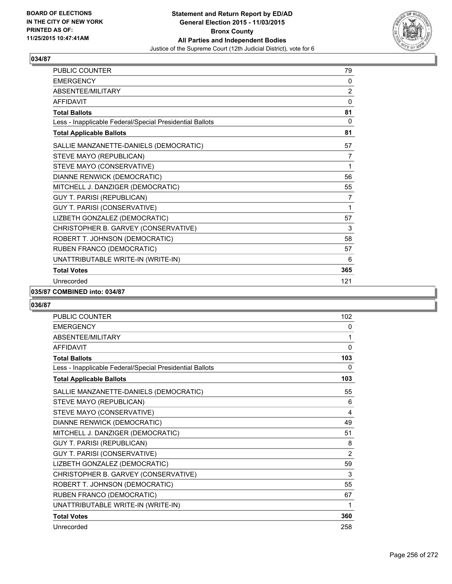

| PUBLIC COUNTER                                           | 79             |
|----------------------------------------------------------|----------------|
| <b>EMERGENCY</b>                                         | 0              |
| ABSENTEE/MILITARY                                        | $\overline{2}$ |
| <b>AFFIDAVIT</b>                                         | $\mathbf{0}$   |
| <b>Total Ballots</b>                                     | 81             |
| Less - Inapplicable Federal/Special Presidential Ballots | $\mathbf{0}$   |
| <b>Total Applicable Ballots</b>                          | 81             |
| SALLIE MANZANETTE-DANIELS (DEMOCRATIC)                   | 57             |
| STEVE MAYO (REPUBLICAN)                                  | 7              |
| STEVE MAYO (CONSERVATIVE)                                | 1              |
| DIANNE RENWICK (DEMOCRATIC)                              | 56             |
| MITCHELL J. DANZIGER (DEMOCRATIC)                        | 55             |
| <b>GUY T. PARISI (REPUBLICAN)</b>                        | 7              |
| GUY T. PARISI (CONSERVATIVE)                             | 1              |
| LIZBETH GONZALEZ (DEMOCRATIC)                            | 57             |
| CHRISTOPHER B. GARVEY (CONSERVATIVE)                     | 3              |
| ROBERT T. JOHNSON (DEMOCRATIC)                           | 58             |
| RUBEN FRANCO (DEMOCRATIC)                                | 57             |
| UNATTRIBUTABLE WRITE-IN (WRITE-IN)                       | 6              |
| <b>Total Votes</b>                                       | 365            |
| Unrecorded                                               | 121            |

### **035/87 COMBINED into: 034/87**

| <b>PUBLIC COUNTER</b>                                    | 102          |
|----------------------------------------------------------|--------------|
| <b>EMERGENCY</b>                                         | 0            |
| ABSENTEE/MILITARY                                        | 1            |
| <b>AFFIDAVIT</b>                                         | $\mathbf{0}$ |
| <b>Total Ballots</b>                                     | 103          |
| Less - Inapplicable Federal/Special Presidential Ballots | 0            |
| <b>Total Applicable Ballots</b>                          | 103          |
| SALLIE MANZANETTE-DANIELS (DEMOCRATIC)                   | 55           |
| STEVE MAYO (REPUBLICAN)                                  | 6            |
| STEVE MAYO (CONSERVATIVE)                                | 4            |
| DIANNE RENWICK (DEMOCRATIC)                              | 49           |
| MITCHELL J. DANZIGER (DEMOCRATIC)                        | 51           |
| <b>GUY T. PARISI (REPUBLICAN)</b>                        | 8            |
| GUY T. PARISI (CONSERVATIVE)                             | 2            |
| LIZBETH GONZALEZ (DEMOCRATIC)                            | 59           |
| CHRISTOPHER B. GARVEY (CONSERVATIVE)                     | 3            |
| ROBERT T. JOHNSON (DEMOCRATIC)                           | 55           |
| RUBEN FRANCO (DEMOCRATIC)                                | 67           |
| UNATTRIBUTABLE WRITE-IN (WRITE-IN)                       | 1            |
| <b>Total Votes</b>                                       | 360          |
| Unrecorded                                               | 258          |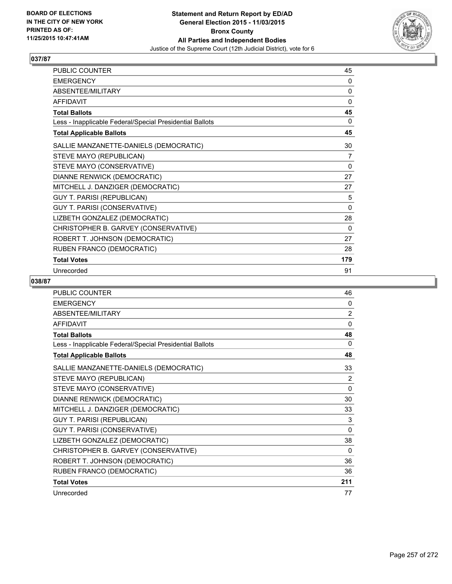

| <b>PUBLIC COUNTER</b>                                    | 45       |
|----------------------------------------------------------|----------|
| <b>EMERGENCY</b>                                         | 0        |
| ABSENTEE/MILITARY                                        | 0        |
| <b>AFFIDAVIT</b>                                         | 0        |
| <b>Total Ballots</b>                                     | 45       |
| Less - Inapplicable Federal/Special Presidential Ballots | 0        |
| <b>Total Applicable Ballots</b>                          | 45       |
| SALLIE MANZANETTE-DANIELS (DEMOCRATIC)                   | 30       |
| STEVE MAYO (REPUBLICAN)                                  | 7        |
| STEVE MAYO (CONSERVATIVE)                                | 0        |
| DIANNE RENWICK (DEMOCRATIC)                              | 27       |
| MITCHELL J. DANZIGER (DEMOCRATIC)                        | 27       |
| GUY T. PARISI (REPUBLICAN)                               | 5        |
| GUY T. PARISI (CONSERVATIVE)                             | $\Omega$ |
| LIZBETH GONZALEZ (DEMOCRATIC)                            | 28       |
| CHRISTOPHER B. GARVEY (CONSERVATIVE)                     | 0        |
| ROBERT T. JOHNSON (DEMOCRATIC)                           | 27       |
| RUBEN FRANCO (DEMOCRATIC)                                | 28       |
| <b>Total Votes</b>                                       | 179      |
| Unrecorded                                               | 91       |

| <b>PUBLIC COUNTER</b>                                    | 46             |
|----------------------------------------------------------|----------------|
| <b>EMERGENCY</b>                                         | 0              |
| ABSENTEE/MILITARY                                        | $\overline{2}$ |
| <b>AFFIDAVIT</b>                                         | $\mathbf{0}$   |
| <b>Total Ballots</b>                                     | 48             |
| Less - Inapplicable Federal/Special Presidential Ballots | $\Omega$       |
| <b>Total Applicable Ballots</b>                          | 48             |
| SALLIE MANZANETTE-DANIELS (DEMOCRATIC)                   | 33             |
| STEVE MAYO (REPUBLICAN)                                  | 2              |
| STEVE MAYO (CONSERVATIVE)                                | $\mathbf{0}$   |
| DIANNE RENWICK (DEMOCRATIC)                              | 30             |
| MITCHELL J. DANZIGER (DEMOCRATIC)                        | 33             |
| GUY T. PARISI (REPUBLICAN)                               | 3              |
| GUY T. PARISI (CONSERVATIVE)                             | $\mathbf{0}$   |
| LIZBETH GONZALEZ (DEMOCRATIC)                            | 38             |
| CHRISTOPHER B. GARVEY (CONSERVATIVE)                     | $\Omega$       |
| ROBERT T. JOHNSON (DEMOCRATIC)                           | 36             |
| RUBEN FRANCO (DEMOCRATIC)                                | 36             |
| <b>Total Votes</b>                                       | 211            |
| Unrecorded                                               | 77             |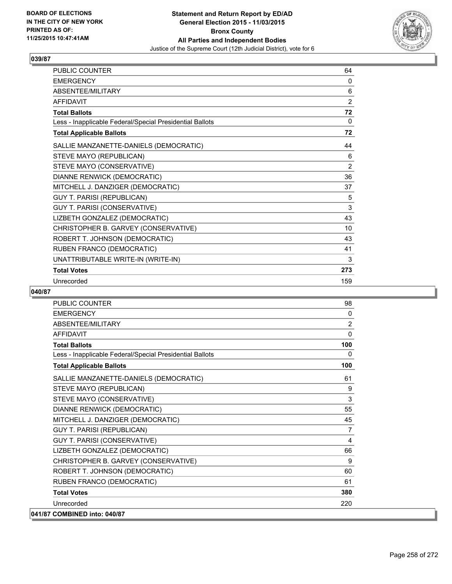

| <b>PUBLIC COUNTER</b>                                    | 64             |
|----------------------------------------------------------|----------------|
| <b>EMERGENCY</b>                                         | 0              |
| ABSENTEE/MILITARY                                        | 6              |
| <b>AFFIDAVIT</b>                                         | $\overline{2}$ |
| <b>Total Ballots</b>                                     | 72             |
| Less - Inapplicable Federal/Special Presidential Ballots | 0              |
| <b>Total Applicable Ballots</b>                          | 72             |
| SALLIE MANZANETTE-DANIELS (DEMOCRATIC)                   | 44             |
| STEVE MAYO (REPUBLICAN)                                  | 6              |
| STEVE MAYO (CONSERVATIVE)                                | 2              |
| DIANNE RENWICK (DEMOCRATIC)                              | 36             |
| MITCHELL J. DANZIGER (DEMOCRATIC)                        | 37             |
| GUY T. PARISI (REPUBLICAN)                               | 5              |
| GUY T. PARISI (CONSERVATIVE)                             | 3              |
| LIZBETH GONZALEZ (DEMOCRATIC)                            | 43             |
| CHRISTOPHER B. GARVEY (CONSERVATIVE)                     | 10             |
| ROBERT T. JOHNSON (DEMOCRATIC)                           | 43             |
| RUBEN FRANCO (DEMOCRATIC)                                | 41             |
| UNATTRIBUTABLE WRITE-IN (WRITE-IN)                       | 3              |
| <b>Total Votes</b>                                       | 273            |
| Unrecorded                                               | 159            |

| <b>PUBLIC COUNTER</b>                                    | 98             |
|----------------------------------------------------------|----------------|
| <b>EMERGENCY</b>                                         | $\mathbf{0}$   |
| ABSENTEE/MILITARY                                        | $\overline{2}$ |
| <b>AFFIDAVIT</b>                                         | $\Omega$       |
| <b>Total Ballots</b>                                     | 100            |
| Less - Inapplicable Federal/Special Presidential Ballots | $\mathbf{0}$   |
| <b>Total Applicable Ballots</b>                          | 100            |
| SALLIE MANZANETTE-DANIELS (DEMOCRATIC)                   | 61             |
| STEVE MAYO (REPUBLICAN)                                  | 9              |
| STEVE MAYO (CONSERVATIVE)                                | 3              |
| DIANNE RENWICK (DEMOCRATIC)                              | 55             |
| MITCHELL J. DANZIGER (DEMOCRATIC)                        | 45             |
| <b>GUY T. PARISI (REPUBLICAN)</b>                        | 7              |
| GUY T. PARISI (CONSERVATIVE)                             | 4              |
| LIZBETH GONZALEZ (DEMOCRATIC)                            | 66             |
| CHRISTOPHER B. GARVEY (CONSERVATIVE)                     | 9              |
| ROBERT T. JOHNSON (DEMOCRATIC)                           | 60             |
| RUBEN FRANCO (DEMOCRATIC)                                | 61             |
| <b>Total Votes</b>                                       | 380            |
| Unrecorded                                               | 220            |
| 041/87 COMBINED into: 040/87                             |                |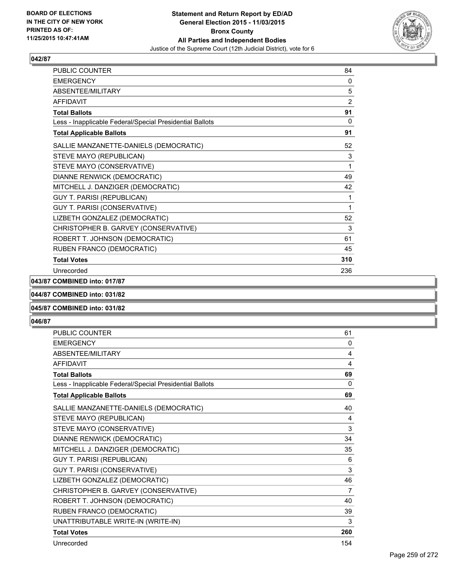

| <b>PUBLIC COUNTER</b>                                    | 84  |
|----------------------------------------------------------|-----|
| <b>EMERGENCY</b>                                         | 0   |
| <b>ABSENTEE/MILITARY</b>                                 | 5   |
| <b>AFFIDAVIT</b>                                         | 2   |
| <b>Total Ballots</b>                                     | 91  |
| Less - Inapplicable Federal/Special Presidential Ballots | 0   |
| <b>Total Applicable Ballots</b>                          | 91  |
| SALLIE MANZANETTE-DANIELS (DEMOCRATIC)                   | 52  |
| STEVE MAYO (REPUBLICAN)                                  | 3   |
| STEVE MAYO (CONSERVATIVE)                                | 1   |
| DIANNE RENWICK (DEMOCRATIC)                              | 49  |
| MITCHELL J. DANZIGER (DEMOCRATIC)                        | 42  |
| <b>GUY T. PARISI (REPUBLICAN)</b>                        | 1   |
| GUY T. PARISI (CONSERVATIVE)                             | 1   |
| LIZBETH GONZALEZ (DEMOCRATIC)                            | 52  |
| CHRISTOPHER B. GARVEY (CONSERVATIVE)                     | 3   |
| ROBERT T. JOHNSON (DEMOCRATIC)                           | 61  |
| RUBEN FRANCO (DEMOCRATIC)                                | 45  |
| <b>Total Votes</b>                                       | 310 |
| Unrecorded                                               | 236 |

### **043/87 COMBINED into: 017/87**

## **044/87 COMBINED into: 031/82**

### **045/87 COMBINED into: 031/82**

| <b>PUBLIC COUNTER</b>                                    | 61             |
|----------------------------------------------------------|----------------|
| <b>EMERGENCY</b>                                         | 0              |
| <b>ABSENTEE/MILITARY</b>                                 | 4              |
| <b>AFFIDAVIT</b>                                         | 4              |
| <b>Total Ballots</b>                                     | 69             |
| Less - Inapplicable Federal/Special Presidential Ballots | $\Omega$       |
| <b>Total Applicable Ballots</b>                          | 69             |
| SALLIE MANZANETTE-DANIELS (DEMOCRATIC)                   | 40             |
| STEVE MAYO (REPUBLICAN)                                  | 4              |
| STEVE MAYO (CONSERVATIVE)                                | 3              |
| DIANNE RENWICK (DEMOCRATIC)                              | 34             |
| MITCHELL J. DANZIGER (DEMOCRATIC)                        | 35             |
| <b>GUY T. PARISI (REPUBLICAN)</b>                        | 6              |
| <b>GUY T. PARISI (CONSERVATIVE)</b>                      | 3              |
| LIZBETH GONZALEZ (DEMOCRATIC)                            | 46             |
| CHRISTOPHER B. GARVEY (CONSERVATIVE)                     | $\overline{7}$ |
| ROBERT T. JOHNSON (DEMOCRATIC)                           | 40             |
| RUBEN FRANCO (DEMOCRATIC)                                | 39             |
| UNATTRIBUTABLE WRITE-IN (WRITE-IN)                       | 3              |
| <b>Total Votes</b>                                       | 260            |
| Unrecorded                                               | 154            |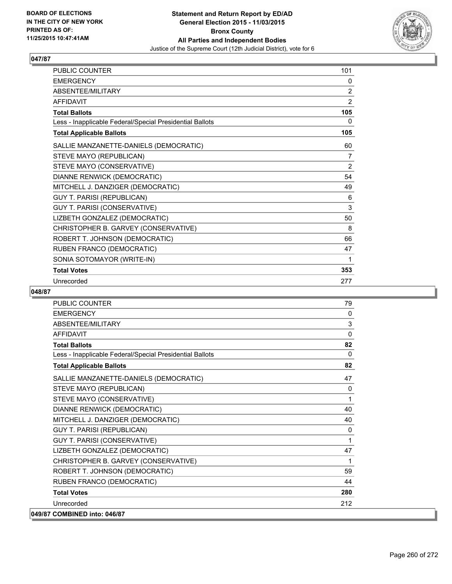

| <b>PUBLIC COUNTER</b>                                    | 101            |
|----------------------------------------------------------|----------------|
| <b>EMERGENCY</b>                                         | 0              |
| ABSENTEE/MILITARY                                        | 2              |
| <b>AFFIDAVIT</b>                                         | $\overline{2}$ |
| <b>Total Ballots</b>                                     | 105            |
| Less - Inapplicable Federal/Special Presidential Ballots | 0              |
| <b>Total Applicable Ballots</b>                          | 105            |
| SALLIE MANZANETTE-DANIELS (DEMOCRATIC)                   | 60             |
| STEVE MAYO (REPUBLICAN)                                  | 7              |
| STEVE MAYO (CONSERVATIVE)                                | $\overline{2}$ |
| DIANNE RENWICK (DEMOCRATIC)                              | 54             |
| MITCHELL J. DANZIGER (DEMOCRATIC)                        | 49             |
| GUY T. PARISI (REPUBLICAN)                               | 6              |
| GUY T. PARISI (CONSERVATIVE)                             | 3              |
| LIZBETH GONZALEZ (DEMOCRATIC)                            | 50             |
| CHRISTOPHER B. GARVEY (CONSERVATIVE)                     | 8              |
| ROBERT T. JOHNSON (DEMOCRATIC)                           | 66             |
| RUBEN FRANCO (DEMOCRATIC)                                | 47             |
| SONIA SOTOMAYOR (WRITE-IN)                               | 1              |
| <b>Total Votes</b>                                       | 353            |
| Unrecorded                                               | 277            |

| <b>PUBLIC COUNTER</b>                                    | 79           |
|----------------------------------------------------------|--------------|
| <b>EMERGENCY</b>                                         | 0            |
| ABSENTEE/MILITARY                                        | 3            |
| <b>AFFIDAVIT</b>                                         | 0            |
| <b>Total Ballots</b>                                     | 82           |
| Less - Inapplicable Federal/Special Presidential Ballots | $\mathbf{0}$ |
| <b>Total Applicable Ballots</b>                          | 82           |
| SALLIE MANZANETTE-DANIELS (DEMOCRATIC)                   | 47           |
| STEVE MAYO (REPUBLICAN)                                  | $\mathbf{0}$ |
| STEVE MAYO (CONSERVATIVE)                                | 1            |
| DIANNE RENWICK (DEMOCRATIC)                              | 40           |
| MITCHELL J. DANZIGER (DEMOCRATIC)                        | 40           |
| <b>GUY T. PARISI (REPUBLICAN)</b>                        | 0            |
| GUY T. PARISI (CONSERVATIVE)                             | 1            |
| LIZBETH GONZALEZ (DEMOCRATIC)                            | 47           |
| CHRISTOPHER B. GARVEY (CONSERVATIVE)                     | 1            |
| ROBERT T. JOHNSON (DEMOCRATIC)                           | 59           |
| RUBEN FRANCO (DEMOCRATIC)                                | 44           |
| <b>Total Votes</b>                                       | 280          |
| Unrecorded                                               | 212          |
| 049/87 COMBINED into: 046/87                             |              |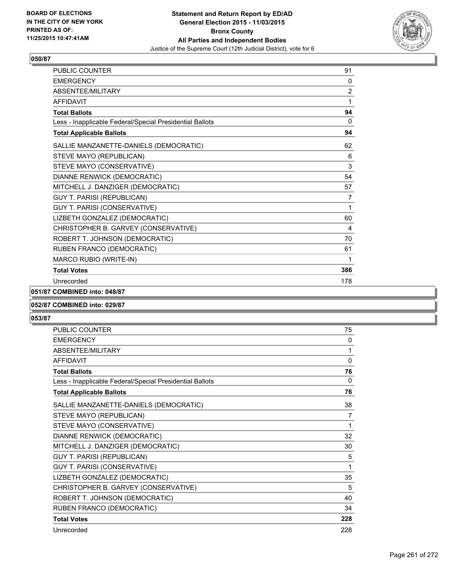

| <b>PUBLIC COUNTER</b>                                    | 91  |
|----------------------------------------------------------|-----|
| <b>FMFRGFNCY</b>                                         | 0   |
| <b>ABSENTEE/MILITARY</b>                                 | 2   |
| <b>AFFIDAVIT</b>                                         | 1   |
| <b>Total Ballots</b>                                     | 94  |
| Less - Inapplicable Federal/Special Presidential Ballots | 0   |
| <b>Total Applicable Ballots</b>                          | 94  |
| SALLIE MANZANETTE-DANIELS (DEMOCRATIC)                   | 62  |
| STEVE MAYO (REPUBLICAN)                                  | 6   |
| STEVE MAYO (CONSERVATIVE)                                | 3   |
| DIANNE RENWICK (DEMOCRATIC)                              | 54  |
| MITCHELL J. DANZIGER (DEMOCRATIC)                        | 57  |
| <b>GUY T. PARISI (REPUBLICAN)</b>                        | 7   |
| GUY T. PARISI (CONSERVATIVE)                             | 1   |
| LIZBETH GONZALEZ (DEMOCRATIC)                            | 60  |
| CHRISTOPHER B. GARVEY (CONSERVATIVE)                     | 4   |
| ROBERT T. JOHNSON (DEMOCRATIC)                           | 70  |
| RUBEN FRANCO (DEMOCRATIC)                                | 61  |
| MARCO RUBIO (WRITE-IN)                                   | 1   |
| <b>Total Votes</b>                                       | 386 |
| Unrecorded                                               | 178 |

**051/87 COMBINED into: 048/87**

### **052/87 COMBINED into: 029/87**

| <b>PUBLIC COUNTER</b>                                    | 75           |
|----------------------------------------------------------|--------------|
| <b>EMERGENCY</b>                                         | 0            |
| ABSENTEE/MILITARY                                        | 1            |
| <b>AFFIDAVIT</b>                                         | $\mathbf{0}$ |
| <b>Total Ballots</b>                                     | 76           |
| Less - Inapplicable Federal/Special Presidential Ballots | 0            |
| <b>Total Applicable Ballots</b>                          | 76           |
| SALLIE MANZANETTE-DANIELS (DEMOCRATIC)                   | 38           |
| STEVE MAYO (REPUBLICAN)                                  | 7            |
| STEVE MAYO (CONSERVATIVE)                                | 1            |
| DIANNE RENWICK (DEMOCRATIC)                              | 32           |
| MITCHELL J. DANZIGER (DEMOCRATIC)                        | 30           |
| GUY T. PARISI (REPUBLICAN)                               | 5            |
| GUY T. PARISI (CONSERVATIVE)                             | 1            |
| LIZBETH GONZALEZ (DEMOCRATIC)                            | 35           |
| CHRISTOPHER B. GARVEY (CONSERVATIVE)                     | 5            |
| ROBERT T. JOHNSON (DEMOCRATIC)                           | 40           |
| RUBEN FRANCO (DEMOCRATIC)                                | 34           |
| <b>Total Votes</b>                                       | 228          |
| Unrecorded                                               | 228          |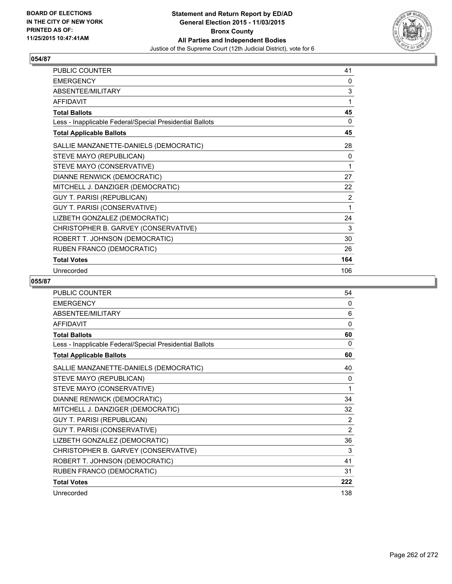

| PUBLIC COUNTER                                           | 41             |
|----------------------------------------------------------|----------------|
| <b>EMERGENCY</b>                                         | 0              |
| ABSENTEE/MILITARY                                        | 3              |
| <b>AFFIDAVIT</b>                                         | 1              |
| <b>Total Ballots</b>                                     | 45             |
| Less - Inapplicable Federal/Special Presidential Ballots | 0              |
| <b>Total Applicable Ballots</b>                          | 45             |
| SALLIE MANZANETTE-DANIELS (DEMOCRATIC)                   | 28             |
| STEVE MAYO (REPUBLICAN)                                  | 0              |
| STEVE MAYO (CONSERVATIVE)                                | 1              |
| DIANNE RENWICK (DEMOCRATIC)                              | 27             |
| MITCHELL J. DANZIGER (DEMOCRATIC)                        | 22             |
| GUY T. PARISI (REPUBLICAN)                               | $\overline{2}$ |
| GUY T. PARISI (CONSERVATIVE)                             | 1              |
| LIZBETH GONZALEZ (DEMOCRATIC)                            | 24             |
| CHRISTOPHER B. GARVEY (CONSERVATIVE)                     | 3              |
| ROBERT T. JOHNSON (DEMOCRATIC)                           | 30             |
| RUBEN FRANCO (DEMOCRATIC)                                | 26             |
| <b>Total Votes</b>                                       | 164            |
| Unrecorded                                               | 106            |

| <b>PUBLIC COUNTER</b>                                    | 54           |
|----------------------------------------------------------|--------------|
| <b>EMERGENCY</b>                                         | 0            |
| ABSENTEE/MILITARY                                        | 6            |
| <b>AFFIDAVIT</b>                                         | $\mathbf{0}$ |
| <b>Total Ballots</b>                                     | 60           |
| Less - Inapplicable Federal/Special Presidential Ballots | 0            |
| <b>Total Applicable Ballots</b>                          | 60           |
| SALLIE MANZANETTE-DANIELS (DEMOCRATIC)                   | 40           |
| STEVE MAYO (REPUBLICAN)                                  | 0            |
| STEVE MAYO (CONSERVATIVE)                                | 1            |
| DIANNE RENWICK (DEMOCRATIC)                              | 34           |
| MITCHELL J. DANZIGER (DEMOCRATIC)                        | 32           |
| <b>GUY T. PARISI (REPUBLICAN)</b>                        | 2            |
| GUY T. PARISI (CONSERVATIVE)                             | 2            |
| LIZBETH GONZALEZ (DEMOCRATIC)                            | 36           |
| CHRISTOPHER B. GARVEY (CONSERVATIVE)                     | 3            |
| ROBERT T. JOHNSON (DEMOCRATIC)                           | 41           |
| RUBEN FRANCO (DEMOCRATIC)                                | 31           |
| <b>Total Votes</b>                                       | 222          |
| Unrecorded                                               | 138          |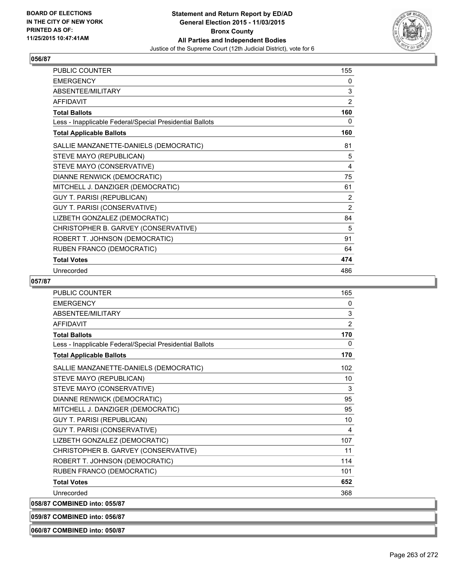

| PUBLIC COUNTER                                           | 155            |
|----------------------------------------------------------|----------------|
| <b>EMERGENCY</b>                                         | 0              |
| ABSENTEE/MILITARY                                        | 3              |
| <b>AFFIDAVIT</b>                                         | 2              |
| <b>Total Ballots</b>                                     | 160            |
| Less - Inapplicable Federal/Special Presidential Ballots | 0              |
| <b>Total Applicable Ballots</b>                          | 160            |
| SALLIE MANZANETTE-DANIELS (DEMOCRATIC)                   | 81             |
| STEVE MAYO (REPUBLICAN)                                  | 5              |
| STEVE MAYO (CONSERVATIVE)                                | 4              |
| DIANNE RENWICK (DEMOCRATIC)                              | 75             |
| MITCHELL J. DANZIGER (DEMOCRATIC)                        | 61             |
| <b>GUY T. PARISI (REPUBLICAN)</b>                        | $\overline{2}$ |
| GUY T. PARISI (CONSERVATIVE)                             | 2              |
| LIZBETH GONZALEZ (DEMOCRATIC)                            | 84             |
| CHRISTOPHER B. GARVEY (CONSERVATIVE)                     | 5              |
| ROBERT T. JOHNSON (DEMOCRATIC)                           | 91             |
| RUBEN FRANCO (DEMOCRATIC)                                | 64             |
| <b>Total Votes</b>                                       | 474            |
| Unrecorded                                               | 486            |

### **057/87**

| <b>PUBLIC COUNTER</b>                                    | 165          |
|----------------------------------------------------------|--------------|
| <b>EMERGENCY</b>                                         | $\mathbf{0}$ |
| ABSENTEE/MILITARY                                        | 3            |
| <b>AFFIDAVIT</b>                                         | 2            |
| <b>Total Ballots</b>                                     | 170          |
| Less - Inapplicable Federal/Special Presidential Ballots | $\mathbf{0}$ |
| <b>Total Applicable Ballots</b>                          | 170          |
| SALLIE MANZANETTE-DANIELS (DEMOCRATIC)                   | 102          |
| STEVE MAYO (REPUBLICAN)                                  | 10           |
| STEVE MAYO (CONSERVATIVE)                                | 3            |
| DIANNE RENWICK (DEMOCRATIC)                              | 95           |
| MITCHELL J. DANZIGER (DEMOCRATIC)                        | 95           |
| <b>GUY T. PARISI (REPUBLICAN)</b>                        | 10           |
| GUY T. PARISI (CONSERVATIVE)                             | 4            |
| LIZBETH GONZALEZ (DEMOCRATIC)                            | 107          |
| CHRISTOPHER B. GARVEY (CONSERVATIVE)                     | 11           |
| ROBERT T. JOHNSON (DEMOCRATIC)                           | 114          |
| RUBEN FRANCO (DEMOCRATIC)                                | 101          |
| <b>Total Votes</b>                                       | 652          |
| Unrecorded                                               | 368          |
| 058/87 COMBINED into: 055/87                             |              |

**059/87 COMBINED into: 056/87**

**060/87 COMBINED into: 050/87**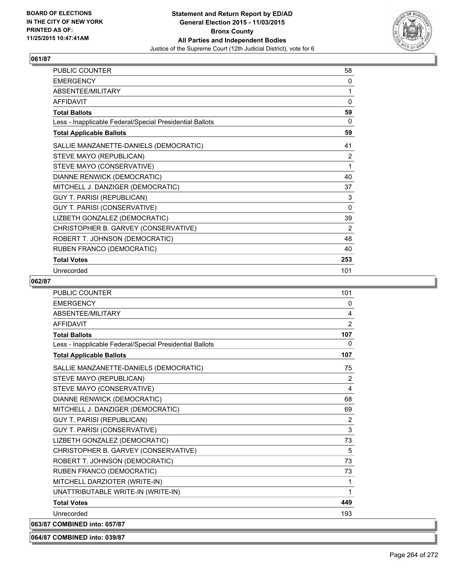

| PUBLIC COUNTER                                           | 58       |
|----------------------------------------------------------|----------|
| <b>EMERGENCY</b>                                         | 0        |
| ABSENTEE/MILITARY                                        | 1        |
| <b>AFFIDAVIT</b>                                         | 0        |
| <b>Total Ballots</b>                                     | 59       |
| Less - Inapplicable Federal/Special Presidential Ballots | 0        |
| <b>Total Applicable Ballots</b>                          | 59       |
| SALLIE MANZANETTE-DANIELS (DEMOCRATIC)                   | 41       |
| STEVE MAYO (REPUBLICAN)                                  | 2        |
| STEVE MAYO (CONSERVATIVE)                                | 1        |
| DIANNE RENWICK (DEMOCRATIC)                              | 40       |
| MITCHELL J. DANZIGER (DEMOCRATIC)                        | 37       |
| <b>GUY T. PARISI (REPUBLICAN)</b>                        | 3        |
| GUY T. PARISI (CONSERVATIVE)                             | $\Omega$ |
| LIZBETH GONZALEZ (DEMOCRATIC)                            | 39       |
| CHRISTOPHER B. GARVEY (CONSERVATIVE)                     | 2        |
| ROBERT T. JOHNSON (DEMOCRATIC)                           | 48       |
| RUBEN FRANCO (DEMOCRATIC)                                | 40       |
| <b>Total Votes</b>                                       | 253      |
| Unrecorded                                               | 101      |

### **062/87**

| <b>PUBLIC COUNTER</b>                                    | 101          |
|----------------------------------------------------------|--------------|
| <b>EMERGENCY</b>                                         | $\mathbf{0}$ |
| <b>ABSENTEE/MILITARY</b>                                 | 4            |
| <b>AFFIDAVIT</b>                                         | 2            |
| <b>Total Ballots</b>                                     | 107          |
| Less - Inapplicable Federal/Special Presidential Ballots | $\Omega$     |
| <b>Total Applicable Ballots</b>                          | 107          |
| SALLIE MANZANETTE-DANIELS (DEMOCRATIC)                   | 75           |
| STEVE MAYO (REPUBLICAN)                                  | 2            |
| STEVE MAYO (CONSERVATIVE)                                | 4            |
| DIANNE RENWICK (DEMOCRATIC)                              | 68           |
| MITCHELL J. DANZIGER (DEMOCRATIC)                        | 69           |
| <b>GUY T. PARISI (REPUBLICAN)</b>                        | 2            |
| GUY T. PARISI (CONSERVATIVE)                             | 3            |
| LIZBETH GONZALEZ (DEMOCRATIC)                            | 73           |
| CHRISTOPHER B. GARVEY (CONSERVATIVE)                     | 5            |
| ROBERT T. JOHNSON (DEMOCRATIC)                           | 73           |
| RUBEN FRANCO (DEMOCRATIC)                                | 73           |
| MITCHELL DARZIOTER (WRITE-IN)                            | 1            |
| UNATTRIBUTABLE WRITE-IN (WRITE-IN)                       | 1            |
| <b>Total Votes</b>                                       | 449          |
| Unrecorded                                               | 193          |
| 063/87 COMBINED into: 057/87                             |              |

#### **064/87 COMBINED into: 039/87**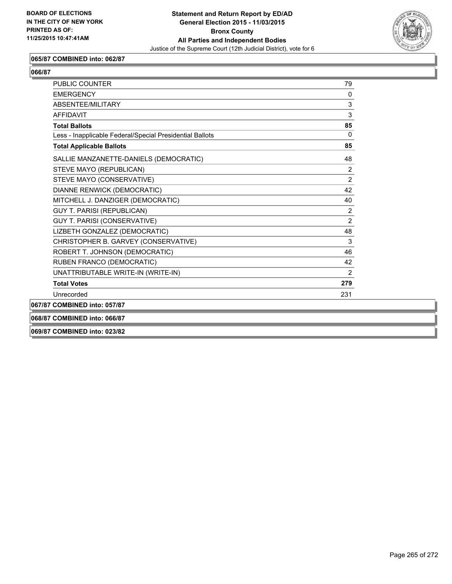

### **065/87 COMBINED into: 062/87**

| ۰.<br>۰.<br>۰,<br>۰. |
|----------------------|
|----------------------|

| PUBLIC COUNTER                                           | 79             |
|----------------------------------------------------------|----------------|
| <b>FMFRGFNCY</b>                                         | $\Omega$       |
| ABSENTEE/MILITARY                                        | 3              |
| <b>AFFIDAVIT</b>                                         | 3              |
| <b>Total Ballots</b>                                     | 85             |
| Less - Inapplicable Federal/Special Presidential Ballots | $\Omega$       |
| <b>Total Applicable Ballots</b>                          | 85             |
| SALLIE MANZANETTE-DANIELS (DEMOCRATIC)                   | 48             |
| STEVE MAYO (REPUBLICAN)                                  | $\overline{2}$ |
| STEVE MAYO (CONSERVATIVE)                                | $\overline{2}$ |
| DIANNE RENWICK (DEMOCRATIC)                              | 42             |
| MITCHELL J. DANZIGER (DEMOCRATIC)                        | 40             |
| <b>GUY T. PARISI (REPUBLICAN)</b>                        | $\overline{2}$ |
| GUY T. PARISI (CONSERVATIVE)                             | $\overline{2}$ |
| LIZBETH GONZALEZ (DEMOCRATIC)                            | 48             |
| CHRISTOPHER B. GARVEY (CONSERVATIVE)                     | 3              |
| ROBERT T. JOHNSON (DEMOCRATIC)                           | 46             |
| RUBEN FRANCO (DEMOCRATIC)                                | 42             |
| UNATTRIBUTABLE WRITE-IN (WRITE-IN)                       | $\overline{2}$ |
| <b>Total Votes</b>                                       | 279            |
| Unrecorded                                               | 231            |
| 067/87 COMBINED into: 057/87                             |                |
| 068/87 COMBINED into: 066/87                             |                |

**069/87 COMBINED into: 023/82**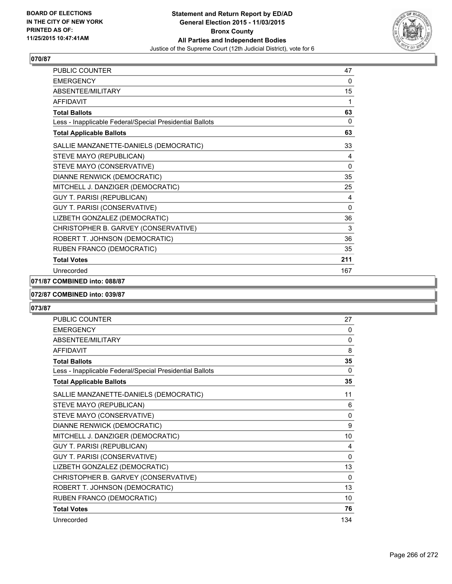

| <b>PUBLIC COUNTER</b>                                    | 47           |
|----------------------------------------------------------|--------------|
| <b>EMERGENCY</b>                                         | 0            |
| ABSENTEE/MILITARY                                        | 15           |
| <b>AFFIDAVIT</b>                                         | 1            |
| <b>Total Ballots</b>                                     | 63           |
| Less - Inapplicable Federal/Special Presidential Ballots | 0            |
| <b>Total Applicable Ballots</b>                          | 63           |
| SALLIE MANZANETTE-DANIELS (DEMOCRATIC)                   | 33           |
| STEVE MAYO (REPUBLICAN)                                  | 4            |
| STEVE MAYO (CONSERVATIVE)                                | 0            |
| DIANNE RENWICK (DEMOCRATIC)                              | 35           |
| MITCHELL J. DANZIGER (DEMOCRATIC)                        | 25           |
| GUY T. PARISI (REPUBLICAN)                               | 4            |
| GUY T. PARISI (CONSERVATIVE)                             | $\mathbf{0}$ |
| LIZBETH GONZALEZ (DEMOCRATIC)                            | 36           |
| CHRISTOPHER B. GARVEY (CONSERVATIVE)                     | 3            |
| ROBERT T. JOHNSON (DEMOCRATIC)                           | 36           |
| RUBEN FRANCO (DEMOCRATIC)                                | 35           |
| <b>Total Votes</b>                                       | 211          |
| Unrecorded                                               | 167          |

## **071/87 COMBINED into: 088/87**

### **072/87 COMBINED into: 039/87**

| <b>PUBLIC COUNTER</b>                                    | 27       |
|----------------------------------------------------------|----------|
| <b>EMERGENCY</b>                                         | 0        |
| ABSENTEE/MILITARY                                        | 0        |
| <b>AFFIDAVIT</b>                                         | 8        |
| <b>Total Ballots</b>                                     | 35       |
| Less - Inapplicable Federal/Special Presidential Ballots | $\Omega$ |
| <b>Total Applicable Ballots</b>                          | 35       |
| SALLIE MANZANETTE-DANIELS (DEMOCRATIC)                   | 11       |
| STEVE MAYO (REPUBLICAN)                                  | 6        |
| STEVE MAYO (CONSERVATIVE)                                | 0        |
| DIANNE RENWICK (DEMOCRATIC)                              | 9        |
| MITCHELL J. DANZIGER (DEMOCRATIC)                        | 10       |
| <b>GUY T. PARISI (REPUBLICAN)</b>                        | 4        |
| GUY T. PARISI (CONSERVATIVE)                             | 0        |
| LIZBETH GONZALEZ (DEMOCRATIC)                            | 13       |
| CHRISTOPHER B. GARVEY (CONSERVATIVE)                     | 0        |
| ROBERT T. JOHNSON (DEMOCRATIC)                           | 13       |
| RUBEN FRANCO (DEMOCRATIC)                                | 10       |
| <b>Total Votes</b>                                       | 76       |
| Unrecorded                                               | 134      |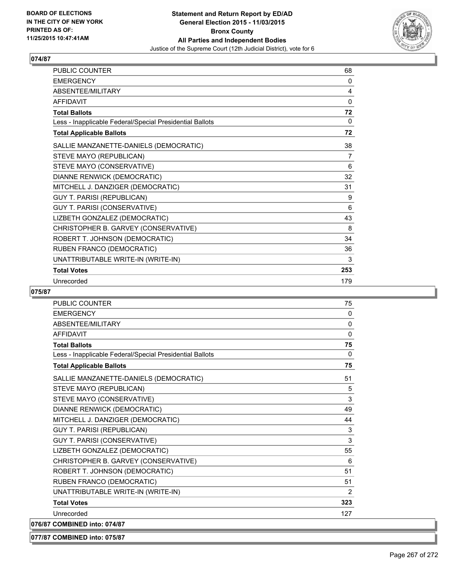

| <b>PUBLIC COUNTER</b>                                    | 68  |
|----------------------------------------------------------|-----|
| <b>EMERGENCY</b>                                         | 0   |
| ABSENTEE/MILITARY                                        | 4   |
| <b>AFFIDAVIT</b>                                         | 0   |
| <b>Total Ballots</b>                                     | 72  |
| Less - Inapplicable Federal/Special Presidential Ballots | 0   |
| <b>Total Applicable Ballots</b>                          | 72  |
| SALLIE MANZANETTE-DANIELS (DEMOCRATIC)                   | 38  |
| STEVE MAYO (REPUBLICAN)                                  | 7   |
| STEVE MAYO (CONSERVATIVE)                                | 6   |
| DIANNE RENWICK (DEMOCRATIC)                              | 32  |
| MITCHELL J. DANZIGER (DEMOCRATIC)                        | 31  |
| <b>GUY T. PARISI (REPUBLICAN)</b>                        | 9   |
| GUY T. PARISI (CONSERVATIVE)                             | 6   |
| LIZBETH GONZALEZ (DEMOCRATIC)                            | 43  |
| CHRISTOPHER B. GARVEY (CONSERVATIVE)                     | 8   |
| ROBERT T. JOHNSON (DEMOCRATIC)                           | 34  |
| RUBEN FRANCO (DEMOCRATIC)                                | 36  |
| UNATTRIBUTABLE WRITE-IN (WRITE-IN)                       | 3   |
| <b>Total Votes</b>                                       | 253 |
| Unrecorded                                               | 179 |

## **075/87**

| <b>PUBLIC COUNTER</b>                                    | 75           |
|----------------------------------------------------------|--------------|
| <b>FMFRGFNCY</b>                                         | $\mathbf{0}$ |
| <b>ABSENTEE/MILITARY</b>                                 | $\mathbf{0}$ |
| <b>AFFIDAVIT</b>                                         | 0            |
| <b>Total Ballots</b>                                     | 75           |
| Less - Inapplicable Federal/Special Presidential Ballots | 0            |
| <b>Total Applicable Ballots</b>                          | 75           |
| SALLIE MANZANETTE-DANIELS (DEMOCRATIC)                   | 51           |
| STEVE MAYO (REPUBLICAN)                                  | 5            |
| STEVE MAYO (CONSERVATIVE)                                | 3            |
| DIANNE RENWICK (DEMOCRATIC)                              | 49           |
| MITCHELL J. DANZIGER (DEMOCRATIC)                        | 44           |
| <b>GUY T. PARISI (REPUBLICAN)</b>                        | 3            |
| GUY T. PARISI (CONSERVATIVE)                             | 3            |
| LIZBETH GONZALEZ (DEMOCRATIC)                            | 55           |
| CHRISTOPHER B. GARVEY (CONSERVATIVE)                     | 6            |
| ROBERT T. JOHNSON (DEMOCRATIC)                           | 51           |
| RUBEN FRANCO (DEMOCRATIC)                                | 51           |
| UNATTRIBUTABLE WRITE-IN (WRITE-IN)                       | 2            |
| <b>Total Votes</b>                                       | 323          |
| Unrecorded                                               | 127          |
| 076/87 COMBINED into: 074/87                             |              |

**077/87 COMBINED into: 075/87**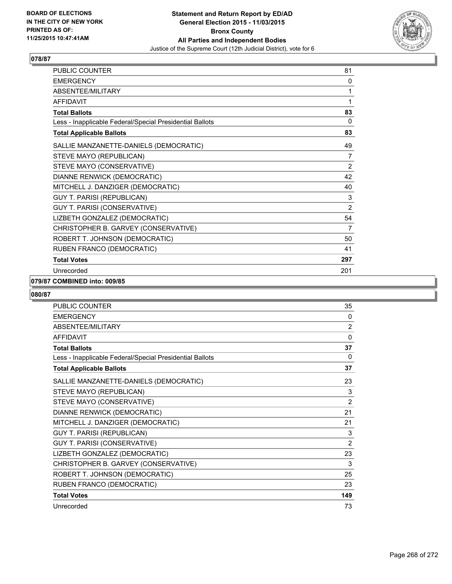

| PUBLIC COUNTER                                           | 81             |
|----------------------------------------------------------|----------------|
| <b>EMERGENCY</b>                                         | 0              |
| ABSENTEE/MILITARY                                        | 1              |
| <b>AFFIDAVIT</b>                                         | 1              |
| <b>Total Ballots</b>                                     | 83             |
| Less - Inapplicable Federal/Special Presidential Ballots | 0              |
| <b>Total Applicable Ballots</b>                          | 83             |
| SALLIE MANZANETTE-DANIELS (DEMOCRATIC)                   | 49             |
| STEVE MAYO (REPUBLICAN)                                  | $\overline{7}$ |
| STEVE MAYO (CONSERVATIVE)                                | 2              |
| DIANNE RENWICK (DEMOCRATIC)                              | 42             |
| MITCHELL J. DANZIGER (DEMOCRATIC)                        | 40             |
| <b>GUY T. PARISI (REPUBLICAN)</b>                        | 3              |
| GUY T. PARISI (CONSERVATIVE)                             | $\overline{2}$ |
| LIZBETH GONZALEZ (DEMOCRATIC)                            | 54             |
| CHRISTOPHER B. GARVEY (CONSERVATIVE)                     | 7              |
| ROBERT T. JOHNSON (DEMOCRATIC)                           | 50             |
| RUBEN FRANCO (DEMOCRATIC)                                | 41             |
| <b>Total Votes</b>                                       | 297            |
| Unrecorded                                               | 201            |

### **079/87 COMBINED into: 009/85**

| <b>PUBLIC COUNTER</b>                                    | 35             |
|----------------------------------------------------------|----------------|
| <b>EMERGENCY</b>                                         | 0              |
| ABSENTEE/MILITARY                                        | $\overline{2}$ |
| <b>AFFIDAVIT</b>                                         | $\mathbf{0}$   |
| <b>Total Ballots</b>                                     | 37             |
| Less - Inapplicable Federal/Special Presidential Ballots | 0              |
| <b>Total Applicable Ballots</b>                          | 37             |
| SALLIE MANZANETTE-DANIELS (DEMOCRATIC)                   | 23             |
| STEVE MAYO (REPUBLICAN)                                  | 3              |
| STEVE MAYO (CONSERVATIVE)                                | $\overline{2}$ |
| DIANNE RENWICK (DEMOCRATIC)                              | 21             |
| MITCHELL J. DANZIGER (DEMOCRATIC)                        | 21             |
| <b>GUY T. PARISI (REPUBLICAN)</b>                        | 3              |
| GUY T. PARISI (CONSERVATIVE)                             | $\overline{2}$ |
| LIZBETH GONZALEZ (DEMOCRATIC)                            | 23             |
| CHRISTOPHER B. GARVEY (CONSERVATIVE)                     | 3              |
| ROBERT T. JOHNSON (DEMOCRATIC)                           | 25             |
| RUBEN FRANCO (DEMOCRATIC)                                | 23             |
| <b>Total Votes</b>                                       | 149            |
| Unrecorded                                               | 73             |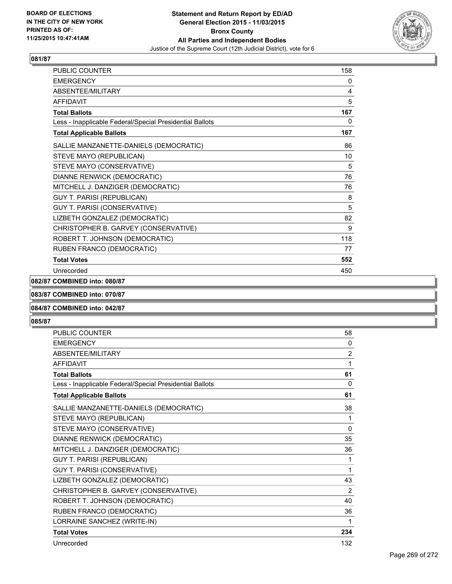

| PUBLIC COUNTER                                           | 158 |
|----------------------------------------------------------|-----|
| <b>EMERGENCY</b>                                         | 0   |
| ABSENTEE/MILITARY                                        | 4   |
| <b>AFFIDAVIT</b>                                         | 5   |
| <b>Total Ballots</b>                                     | 167 |
| Less - Inapplicable Federal/Special Presidential Ballots | 0   |
| <b>Total Applicable Ballots</b>                          | 167 |
| SALLIE MANZANETTE-DANIELS (DEMOCRATIC)                   | 86  |
| STEVE MAYO (REPUBLICAN)                                  | 10  |
| STEVE MAYO (CONSERVATIVE)                                | 5   |
| DIANNE RENWICK (DEMOCRATIC)                              | 76  |
| MITCHELL J. DANZIGER (DEMOCRATIC)                        | 76  |
| <b>GUY T. PARISI (REPUBLICAN)</b>                        | 8   |
| GUY T. PARISI (CONSERVATIVE)                             | 5   |
| LIZBETH GONZALEZ (DEMOCRATIC)                            | 82  |
| CHRISTOPHER B. GARVEY (CONSERVATIVE)                     | 9   |
| ROBERT T. JOHNSON (DEMOCRATIC)                           | 118 |
| RUBEN FRANCO (DEMOCRATIC)                                | 77  |
| <b>Total Votes</b>                                       | 552 |
| Unrecorded                                               | 450 |

### **082/87 COMBINED into: 080/87**

### **083/87 COMBINED into: 070/87**

### **084/87 COMBINED into: 042/87**

| <b>PUBLIC COUNTER</b>                                    | 58       |
|----------------------------------------------------------|----------|
| <b>EMERGENCY</b>                                         | 0        |
| <b>ABSENTEE/MILITARY</b>                                 | 2        |
| <b>AFFIDAVIT</b>                                         | 1        |
| <b>Total Ballots</b>                                     | 61       |
| Less - Inapplicable Federal/Special Presidential Ballots | $\Omega$ |
| <b>Total Applicable Ballots</b>                          | 61       |
| SALLIE MANZANETTE-DANIELS (DEMOCRATIC)                   | 38       |
| STEVE MAYO (REPUBLICAN)                                  | 1        |
| STEVE MAYO (CONSERVATIVE)                                | 0        |
| DIANNE RENWICK (DEMOCRATIC)                              | 35       |
| MITCHELL J. DANZIGER (DEMOCRATIC)                        | 36       |
| <b>GUY T. PARISI (REPUBLICAN)</b>                        | 1        |
| GUY T. PARISI (CONSERVATIVE)                             | 1        |
| LIZBETH GONZALEZ (DEMOCRATIC)                            | 43       |
| CHRISTOPHER B. GARVEY (CONSERVATIVE)                     | 2        |
| ROBERT T. JOHNSON (DEMOCRATIC)                           | 40       |
| RUBEN FRANCO (DEMOCRATIC)                                | 36       |
| LORRAINE SANCHEZ (WRITE-IN)                              | 1        |
| <b>Total Votes</b>                                       | 234      |
| Unrecorded                                               | 132      |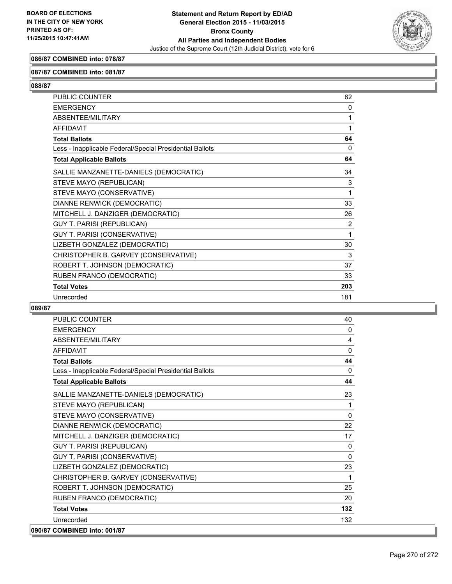

## **086/87 COMBINED into: 078/87**

### **087/87 COMBINED into: 081/87**

**088/87** 

| PUBLIC COUNTER                                           | 62       |
|----------------------------------------------------------|----------|
| <b>EMERGENCY</b>                                         | $\Omega$ |
| ABSENTEE/MILITARY                                        | 1        |
| <b>AFFIDAVIT</b>                                         | 1        |
| <b>Total Ballots</b>                                     | 64       |
| Less - Inapplicable Federal/Special Presidential Ballots | 0        |
| <b>Total Applicable Ballots</b>                          | 64       |
| SALLIE MANZANETTE-DANIELS (DEMOCRATIC)                   | 34       |
| STEVE MAYO (REPUBLICAN)                                  | 3        |
| STEVE MAYO (CONSERVATIVE)                                | 1        |
| DIANNE RENWICK (DEMOCRATIC)                              | 33       |
| MITCHELL J. DANZIGER (DEMOCRATIC)                        | 26       |
| <b>GUY T. PARISI (REPUBLICAN)</b>                        | 2        |
| GUY T. PARISI (CONSERVATIVE)                             | 1        |
| LIZBETH GONZALEZ (DEMOCRATIC)                            | 30       |
| CHRISTOPHER B. GARVEY (CONSERVATIVE)                     | 3        |
| ROBERT T. JOHNSON (DEMOCRATIC)                           | 37       |
| RUBEN FRANCO (DEMOCRATIC)                                | 33       |
| <b>Total Votes</b>                                       | 203      |
| Unrecorded                                               | 181      |

| <b>PUBLIC COUNTER</b>                                    | 40           |
|----------------------------------------------------------|--------------|
| <b>EMERGENCY</b>                                         | 0            |
| ABSENTEE/MILITARY                                        | 4            |
| <b>AFFIDAVIT</b>                                         | 0            |
| <b>Total Ballots</b>                                     | 44           |
| Less - Inapplicable Federal/Special Presidential Ballots | $\Omega$     |
| <b>Total Applicable Ballots</b>                          | 44           |
| SALLIE MANZANETTE-DANIELS (DEMOCRATIC)                   | 23           |
| STEVE MAYO (REPUBLICAN)                                  | 1            |
| STEVE MAYO (CONSERVATIVE)                                | $\mathbf{0}$ |
| DIANNE RENWICK (DEMOCRATIC)                              | 22           |
| MITCHELL J. DANZIGER (DEMOCRATIC)                        | 17           |
| <b>GUY T. PARISI (REPUBLICAN)</b>                        | $\mathbf{0}$ |
| GUY T. PARISI (CONSERVATIVE)                             | 0            |
| LIZBETH GONZALEZ (DEMOCRATIC)                            | 23           |
| CHRISTOPHER B. GARVEY (CONSERVATIVE)                     | 1            |
| ROBERT T. JOHNSON (DEMOCRATIC)                           | 25           |
| RUBEN FRANCO (DEMOCRATIC)                                | 20           |
| <b>Total Votes</b>                                       | 132          |
| Unrecorded                                               | 132          |
| 090/87 COMBINED into: 001/87                             |              |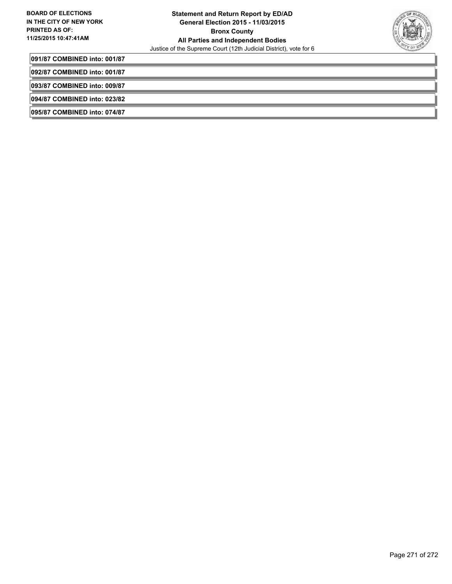

**091/87 COMBINED into: 001/87**

**092/87 COMBINED into: 001/87**

**093/87 COMBINED into: 009/87**

**094/87 COMBINED into: 023/82**

**095/87 COMBINED into: 074/87**